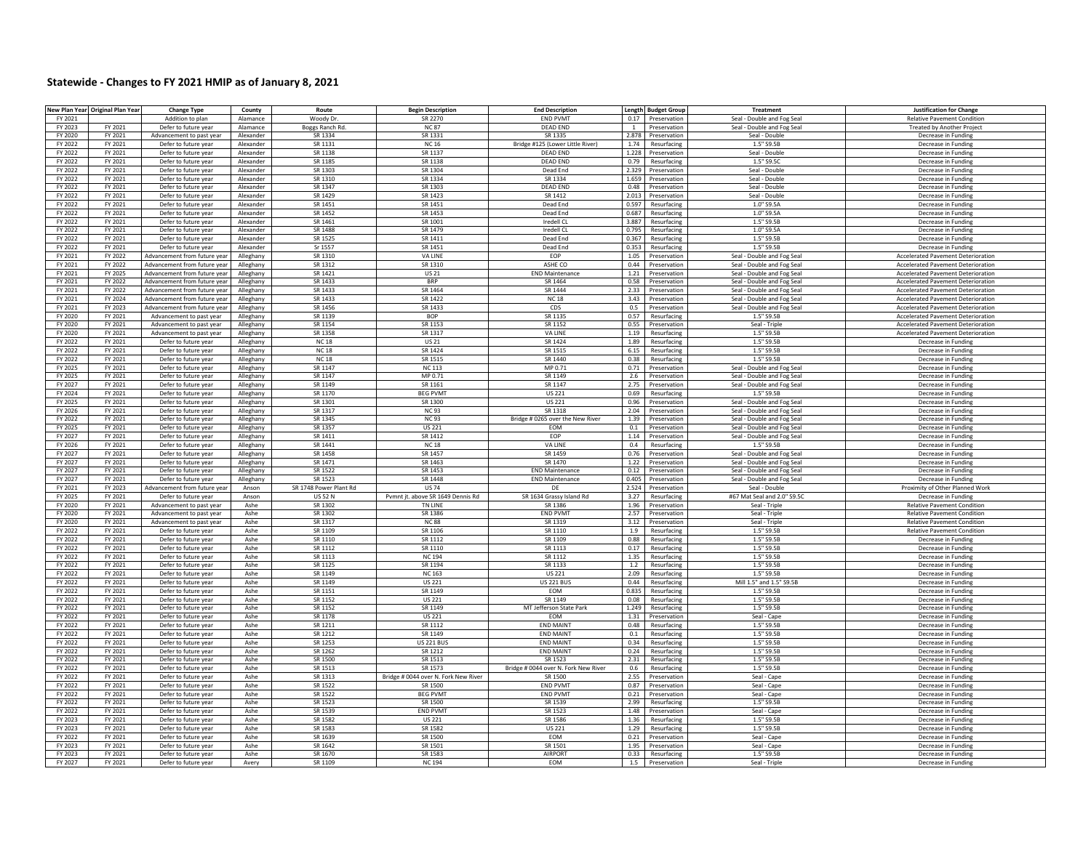## Statewide - Changes to FY 2021 HMIP as of January 8, 2021

| FY 2021<br>Addition to plan<br>Alamance<br>Woody Dr.<br>SR 2270<br><b>END PVMT</b><br>0.17 Preservation<br>Seal - Double and Fog Seal<br><b>Relative Pavement Condition</b><br>FY 2021<br><b>DEAD END</b><br>FY 2023<br><b>NC87</b><br>Defer to future year<br>Alamance<br>Boggs Ranch Rd.<br>Preservation<br>Seal - Double and Fog Seal<br><b>Treated by Another Project</b><br>$\sim$<br>FY 2020<br>FY 2021<br>SR 1334<br>SR 1331<br>SR 1335<br>2.878<br>Alexander<br>Preservation<br>Seal - Double<br>Advancement to past year<br>Decrease in Funding<br>FY 2022<br>FY 2021<br>Defer to future year<br>Alexander<br>SR 1131<br><b>NC 16</b><br>Bridge #125 (Lower Little River)<br>1.74<br>Resurfacing<br>1.5" S9.5B<br>Decrease in Funding<br>FY 2022<br>FY 2021<br>Defer to future year<br>Alexander<br>SR 1138<br>SR 1137<br>DFAD FND<br>1.228<br>Preservation<br>Seal - Double<br>Decrease in Funding<br>FY 2022<br>FY 2021<br>SR 1185<br>SR 1138<br>DEAD END<br>0.79<br>1.5" S9.5C<br>Defer to future year<br>Alexander<br>Resurfacing<br>Decrease in Funding<br>FY 2022<br>FY 2021<br>Defer to future year<br>Alexander<br>SR 1303<br>SR 1304<br>Dead End<br>2.329<br>Preservation<br>Seal - Double<br>Decrease in Funding<br>SR 1310<br>FY 2022<br>FY 2021<br>SR 1334<br>SR 1334<br>1.659<br>Defer to future year<br>Alexander<br>Preservation<br>Seal - Double<br>Decrease in Funding<br>SR 1347<br>SR 1303<br>FY 2022<br>FY 2021<br>Defer to future year<br>Alexander<br>DFAD FND<br>0.48<br>Seal - Double<br>Preservation<br>Decrease in Funding<br>SR 1429<br>SR 1412<br>FY 2022<br>FY 2021<br>Defer to future year<br>Alexander<br>SR 1423<br>2.013<br>Seal - Double<br>Preservation<br>Decrease in Fundin<br>FY 2022<br>FY 2021<br>Defer to future year<br>SR 1451<br>SR 1451<br>Dead End<br>0.597<br>Resurfacing<br>1.0" S9.5A<br>Alexander<br>Decrease in Fundin<br>FY 2022<br>FY 2021<br>Defer to future year<br>Alexander<br>SR 1452<br>SR 1453<br>Dead End<br>0.687<br>Resurfacing<br>1.0" S9.5A<br>Decrease in Funding<br>FY 2022<br>FY 2021<br>SR 1461<br>SR 1001<br>Iredell CL<br>3.887<br>1.5" S9.5B<br>Defer to future year<br>Alexander<br>Resurfacing<br>Decrease in Funding<br>FY 2022<br>FY 2021<br>Defer to future year<br>SR 1488<br>SR 1479<br>Iredell CL<br>0.795<br>Resurfacing<br>1.0" S9.5A<br>Alexander<br>Decrease in Funding<br>SR 1525<br>FY 2022<br>FY 2021<br>Defer to future year<br>Alexander<br>SR 1411<br>Dead End<br>0.367<br>Resurfacing<br>1.5" S9.5B<br>Decrease in Funding<br>FY 2021<br>Sr 1557<br>SR 1451<br>1.5" S9.5B<br>FY 2022<br>Defer to future year<br>Alexander<br>Dead End<br>0.353<br>Resurfacing<br>Decrease in Funding<br>FY 2022<br>SR 1310<br><b>VA LINE</b><br>EOP<br>FY 2021<br>Alleghany<br>Seal - Double and Fog Seal<br><b>Accelerated Pavement Deterioration</b><br>Advancement from future vear<br>1.05<br>Preservation<br>FY 2021<br>FY 2022<br>Advancement from future year<br>SR 1312<br>SR 1310<br>ASHE CO<br>0.44<br>Preservation<br>Seal - Double and Fog Seal<br>Accelerated Pavement Deterioration<br>Alleghany<br>FY 2021<br>FY 2025<br>SR 1421<br><b>END Maintenance</b><br><b>Accelerated Pavement Deterioration</b><br>Advancement from future year<br>Alleghany<br><b>US21</b><br>1.21<br>Preservation<br>Seal - Double and Fog Seal<br>FY 2021<br>FY 2022<br>Advancement from future yea<br>Alleghany<br>SR 1433<br><b>BRP</b><br>SR 1464<br>0.58<br>Preservation<br>Seal - Double and Fog Sea<br><b>Accelerated Pavement Deterioration</b><br>SR 1433<br>SR 1464<br>SR 1444<br>FY 2021<br>FY 2022<br>Advancement from future year<br>Alleghany<br>2.33<br>Preservation<br>Seal - Double and Fog Seal<br><b>Accelerated Pavement Deterioration</b><br>FY 2021<br>FY 2024<br>Advancement from future year<br>Alleghany<br>SR 1433<br>SR 1422<br><b>NC18</b><br>3.43<br>Seal - Double and Fog Seal<br><b>Accelerated Pavement Deterioration</b><br>Preservation<br>SR 1456<br>SR 1433<br>FY 2021<br>FY 2023<br>CDS<br>Seal - Double and Fog Seal<br>Advancement from future year<br>Alleghany<br>0.5<br>Preservation<br><b>Accelerated Pavement Deterioration</b><br>FY 2020<br>FY 2021<br>SR 1139<br><b>BOP</b><br>SR 1135<br>0.57<br>1.5" S9.5B<br>Alleghany<br>Resurfacing<br>Advancement to past year<br><b>Accelerated Pavement Deterioration</b><br>SR 1152<br>FY 2020<br>FY 2021<br>Alleghany<br>SR 1154<br>SR 1153<br>0.55<br>Advancement to past year<br>Preservation<br>Seal - Triple<br><b>Accelerated Pavement Deterioration</b><br>FY 2020<br>FY 2021<br>Advancement to past year<br>Alleghany<br>SR 1358<br>SR 1317<br><b>VA LINE</b><br>1.19<br>Resurfacing<br>1.5" S9.5B<br>Accelerated Pavement Deterioration<br>SR 1424<br>FY 2022<br>FY 2021<br>Defer to future year<br>Alleghany<br><b>NC18</b><br><b>US 21</b><br>1.89<br>Resurfacing<br>1.5" S9.5B<br>Decrease in Eunding<br>SR 1424<br>SR 1515<br>FY 2022<br>FY 2021<br>Defer to future year<br>Alleghany<br><b>NC18</b><br>6.15<br>Resurfacing<br>1.5" S9.5B<br>Decrease in Funding<br>FY 2022<br>FY 2021<br>Defer to future year<br>Alleghany<br><b>NC18</b><br>SR 1515<br>SR 1440<br>0.38 Resurfacing<br>1.5" S9.5B<br>Decrease in Funding<br>MP 0.71<br>FY 2025<br>FY 2021<br>Defer to future year<br>Alleghany<br>SR 1147<br><b>NC 113</b><br>0.71 Preservation<br>Seal - Double and Fog Seal<br>Decrease in Funding<br>SR 1147<br>MP 0.71<br>SR 1149<br>FY 2025<br>FY 2021<br>Defer to future year<br>Alleghany<br>2.6<br>Preservation<br>Seal - Double and Fog Seal<br>Decrease in Funding<br>SR 1149<br>SR 1161<br>SR 1147<br>FY 2027<br>FY 2021<br>Defer to future year<br>Alleghany<br>2.75<br>Seal - Double and Fog Seal<br>Decrease in Eunding<br>Preservation<br>FY 2024<br>FY 2021<br>SR 1170<br><b>BEG PVMT</b><br><b>US 221</b><br>Defer to future year<br>Alleghany<br>0.69<br>Resurfacing<br>1.5" S9.5B<br>Decrease in Funding<br>FY 2025<br>FY 2021<br>Defer to future year<br>Alleghany<br>SR 1301<br>SR 1300<br><b>US 221</b><br>0.96<br>Preservation<br>Seal - Double and Fog Seal<br>Decrease in Funding<br>FY 2026<br>FY 2021<br>Defer to future year<br>Alleghany<br>SR 1317<br><b>NC93</b><br>SR 1318<br>2.04<br>Preservation<br>Seal - Double and Fog Seal<br>Decrease in Funding<br>FY 2021<br>SR 1345<br>Bridge # 0265 over the New River<br>FY 2022<br>Defer to future year<br>Alleghany<br><b>NC93</b><br>1.39<br>Preservation<br>Seal - Double and Fog Seal<br>Decrease in Funding<br>SR 1357<br>FY 2025<br>FY 2021<br>Defer to future year<br>Alleghany<br><b>US 221</b><br>EOM<br>0.1<br>Preservation<br>Seal - Double and Fog Seal<br>Decrease in Fundin<br>SR 1411<br>FY 2027<br>FY 2021<br>SR 1412<br><b>FOP</b><br>Defer to future year<br>Alleghany<br>1.14<br>Preservation<br>Seal - Double and Fog Seal<br>Decrease in Funding<br>SR 1441<br>FY 2026<br>FY 2021<br><b>NC 18</b><br><b>VAIINF</b><br>0.4<br>1.5" S9.5B<br>Defer to future year<br>Alleghany<br>Resurfacing<br>Decrease in Funding<br>FY 2027<br>FY 2021<br>SR 1458<br>SR 1457<br>SR 1459<br>Defer to future year<br>Alleghany<br>0.76<br>Seal - Double and Fog Seal<br>Preservation<br>Decrease in Funding<br>FY 2027<br>FY 2021<br>Defer to future year<br>Alleghany<br>SR 1471<br>SR 1463<br>SR 1470<br>1.22<br>Preservation<br>Seal - Double and Fog Seal<br>Decrease in Funding<br>SR 1522<br>SR 1453<br>FY 2027<br>FY 2021<br>Defer to future year<br>Alleghany<br><b>END Maintenance</b><br>0.12<br>Preservation<br>Seal - Double and Fog Seal<br>Decrease in Funding<br>SR 1523<br>SR 1448<br><b>END Maintenance</b><br>FY 2027<br>FY 2021<br>Defer to future year<br>Alleghany<br>0.405 Preservation<br>Seal - Double and Fog Seal<br>Decrease in Funding<br>FY 2021<br>FY 2023<br>Advancement from future year<br>SR 1748 Power Plant Rd<br><b>US 74</b><br>DE<br>2.524 Preservation<br>Seal - Double<br>Proximity of Other Planned Work<br>Anson<br>FY 2025<br>FY 2021<br>Defer to future year<br>Anson<br><b>US 52 N</b><br>Pymnt it, above SR 1649 Dennis Rd<br>SR 1634 Grassy Island Rd<br>3.27<br>Resurfacing<br>#67 Mat Seal and 2.0" S9.5C<br>Decrease in Funding<br>FY 2020<br>FY 2021<br>SR 1302<br>SR 1386<br>Advancement to past year<br>Ashe<br><b>TN LINE</b><br>1.96<br>Preservation<br>Seal - Triple<br><b>Relative Pavement Condition</b><br><b>END PVMT</b><br>FY 2020<br>FY 2021<br>SR 1302<br>SR 1386<br>2.57<br><b>Relative Pavement Condition</b><br>Ashe<br>Preservation<br>Seal - Triple<br>Advancement to past year<br>FY 2020<br>FY 2021<br>Advancement to past year<br>Ashe<br>SR 1317<br><b>NC88</b><br>SR 1319<br>3.12<br>Preservation<br>Seal - Triple<br><b>Relative Pavement Condition</b><br>FY 2022<br>FY 2021<br>Defer to future year<br>SR 1109<br>SR 1106<br>SR 1110<br>1.9<br>1.5" S9.5B<br><b>Relative Pavement Condition</b><br>Ashe<br>Resurfacing<br>FY 2022<br>FY 2021<br>Defer to future year<br>Ashe<br>SR 1110<br>SR 1112<br>SR 1109<br>0.88<br>Resurfacing<br>1.5" S9.5F<br>Decrease in Funding<br>FY 2022<br>FY 2021<br>Ashe<br>SR 1112<br>SR 1110<br>SR 1113<br>1.5" S9.5B<br>Defer to future year<br>0.17<br>Resurfacing<br>Decrease in Funding<br>FY 2022<br>FY 2021<br>Defer to future year<br>Ashe<br>SR 1113<br><b>NC 194</b><br>SR 1112<br>1.35<br>Resurfacing<br>1.5" S9.5B<br>Decrease in Funding<br>FY 2022<br>FY 2021<br>Defer to future year<br>Ashe<br>SR 1125<br>SR 1194<br>SR 1133<br>1.2<br>Resurfacing<br>1.5" S9.5E<br>Decrease in Funding<br>SR 1149<br>FY 2022<br>FY 2021<br>Ashe<br><b>NC 163</b><br><b>US 221</b><br>2.09<br>1.5" S9.5B<br>Defer to future year<br>Resurfacing<br>Decrease in Funding<br>SR 1149<br><b>US 221</b><br><b>US 221 BUS</b><br>Mill 1.5" and 1.5" S9.5B<br>FY 2022<br>FY 2021<br>Defer to future year<br>Ashe<br>0.44<br>Resurfacing<br>Decrease in Eunding<br>FY 2022<br>FY 2021<br>Defer to future year<br>Ashe<br>SR 1151<br>SR 1149<br><b>FOM</b><br>0.835<br>Resurfacing<br>1.5" S9.5F<br>Decrease in Eunding<br>FY 2022<br>FY 2021<br>Defer to future year<br>Ashe<br>SR 1152<br><b>US 221</b><br>SR 1149<br>0.08<br>Resurfacing<br>1.5" S9.5F<br>Decrease in Eunding<br>SR 1152<br>SR 1149<br>MT Jefferson State Park<br>1.5" S9.5B<br>FY 2022<br>FY 2021<br>Defer to future year<br>Ashe<br>1.249<br>Resurfacing<br>Decrease in Funding<br>FY 2022<br>FY 2021<br>Defer to future year<br>Ashe<br>SR 1178<br><b>US 221</b><br><b>FOM</b><br>1.31 Preservation<br>Seal - Cape<br>Decrease in Funding<br>SR 1211<br><b>FND MAINT</b><br>1.5" S9.5B<br>FY 2022<br>FY 2021<br>Defer to future year<br>Ashe<br>SR 1112<br>0.48 Resurfacing<br>Decrease in Funding<br>FY 2022<br>FY 2021<br>SR 1212<br>SR 1149<br><b>FND MAINT</b><br>1.5" S9.5B<br>Defer to future year<br>Ashe<br>0.1<br>Resurfacing<br>Decrease in Funding<br>SR 1253<br><b>END MAINT</b><br>FY 2022<br>FY 2021<br>Ashe<br><b>US 221 BUS</b><br>0.34<br>1.5" S9.5B<br>Defer to future year<br>Resurfacing<br>Decrease in Funding<br>FY 2021<br>SR 1262<br><b>END MAINT</b><br>1.5" S9.5B<br>FY 2022<br>Ashe<br>SR 1212<br>0.24<br>Resurfacing<br>Defer to future year<br>Decrease in Funding<br>FY 2022<br>FY 2021<br>Ashe<br>SR 1500<br>SR 1513<br>SR 1523<br>2.31<br>Resurfacing<br>1.5" S9.5B<br>Defer to future year<br>Decrease in Funding<br>Bridge # 0044 over N. Fork New River<br>FY 2022<br>FY 2021<br>Defer to future year<br>Ashe<br>SR 1513<br>SR 1573<br>0.6<br>Resurfacing<br>1.5" S9.5B<br>Decrease in Funding<br>FY 2022<br>FY 2021<br>Ashe<br>SR 1313<br>Bridge # 0044 over N. Fork New River<br>SR 1500<br>2.55<br>Seal - Cape<br>Defer to future year<br>Preservation<br>Decrease in Funding<br>SR 1522<br>FY 2022<br>FY 2021<br>Defer to future year<br>Ashe<br>SR 1500<br><b>END PVMT</b><br>0.87<br>Preservation<br>Seal - Cape<br>Decrease in Funding<br>FY 2022<br>FY 2021<br>Ashe<br>SR 1522<br><b>BFG PVM1</b><br><b>END PVMT</b><br>Seal - Cape<br>Defer to future year<br>0.21<br>Preservation<br>Decrease in Funding<br>FY 2021<br>SR 1523<br>SR 1539<br>1.5" S9.5B<br><b>FY 2022</b><br>Ashe<br>SR 1500<br>2.99<br>Defer to future year<br>Resurfacing<br>Decrease in Funding<br>FY 2022<br>FY 2021<br>Defer to future year<br>Ashe<br>SR 1539<br><b>END PVMT</b><br>SR 1523<br>Seal - Cape<br>1.48<br>Preservation<br>Decrease in Funding<br>FY 2023<br>FY 2021<br>Defer to future year<br>Ashe<br>SR 1582<br><b>US 221</b><br>SR 1586<br>1.36<br>Resurfacing<br>1.5" S9.5B<br>Decrease in Funding<br>FY 2023<br>FY 2021<br>Defer to future year<br>Ashe<br>SR 1583<br>SR 1582<br>US 221<br>1.29<br>Resurfacing<br>1.5" S9.5B<br>Decrease in Funding<br>Ashe<br>SR 1639<br>SR 1500<br>EOM<br>Seal - Cape<br>FY 2022<br>FY 2021<br>Defer to future year<br>0.21 Preservation<br>Decrease in Funding<br>FY 2023<br>FY 2021<br>Defer to future year<br>Ashe<br>SR 1642<br>SR 1501<br>SR 1501<br>1.95<br>Preservation<br>Seal - Cape<br>Decrease in Funding<br>SR 1583<br>FY 2023<br>FY 2021<br>Defer to future year<br>Ashe<br>SR 1670<br><b>AIRPORT</b><br>0.33 Resurfacing<br>1.5" S9.5B<br>Decrease in Funding<br>SR 1109<br>EOM<br>FY 2027<br>FY 2021<br>Defer to future year<br><b>NC194</b><br>Seal - Triple<br>Avery<br>1.5<br>Preservation<br>Decrease in Funding | New Plan Year Original Plan Year | <b>Change Type</b> | County | Route | <b>Begin Description</b> | <b>End Description</b> | Length Budget Group | <b>Treatment</b> | <b>Justification for Change</b> |
|-----------------------------------------------------------------------------------------------------------------------------------------------------------------------------------------------------------------------------------------------------------------------------------------------------------------------------------------------------------------------------------------------------------------------------------------------------------------------------------------------------------------------------------------------------------------------------------------------------------------------------------------------------------------------------------------------------------------------------------------------------------------------------------------------------------------------------------------------------------------------------------------------------------------------------------------------------------------------------------------------------------------------------------------------------------------------------------------------------------------------------------------------------------------------------------------------------------------------------------------------------------------------------------------------------------------------------------------------------------------------------------------------------------------------------------------------------------------------------------------------------------------------------------------------------------------------------------------------------------------------------------------------------------------------------------------------------------------------------------------------------------------------------------------------------------------------------------------------------------------------------------------------------------------------------------------------------------------------------------------------------------------------------------------------------------------------------------------------------------------------------------------------------------------------------------------------------------------------------------------------------------------------------------------------------------------------------------------------------------------------------------------------------------------------------------------------------------------------------------------------------------------------------------------------------------------------------------------------------------------------------------------------------------------------------------------------------------------------------------------------------------------------------------------------------------------------------------------------------------------------------------------------------------------------------------------------------------------------------------------------------------------------------------------------------------------------------------------------------------------------------------------------------------------------------------------------------------------------------------------------------------------------------------------------------------------------------------------------------------------------------------------------------------------------------------------------------------------------------------------------------------------------------------------------------------------------------------------------------------------------------------------------------------------------------------------------------------------------------------------------------------------------------------------------------------------------------------------------------------------------------------------------------------------------------------------------------------------------------------------------------------------------------------------------------------------------------------------------------------------------------------------------------------------------------------------------------------------------------------------------------------------------------------------------------------------------------------------------------------------------------------------------------------------------------------------------------------------------------------------------------------------------------------------------------------------------------------------------------------------------------------------------------------------------------------------------------------------------------------------------------------------------------------------------------------------------------------------------------------------------------------------------------------------------------------------------------------------------------------------------------------------------------------------------------------------------------------------------------------------------------------------------------------------------------------------------------------------------------------------------------------------------------------------------------------------------------------------------------------------------------------------------------------------------------------------------------------------------------------------------------------------------------------------------------------------------------------------------------------------------------------------------------------------------------------------------------------------------------------------------------------------------------------------------------------------------------------------------------------------------------------------------------------------------------------------------------------------------------------------------------------------------------------------------------------------------------------------------------------------------------------------------------------------------------------------------------------------------------------------------------------------------------------------------------------------------------------------------------------------------------------------------------------------------------------------------------------------------------------------------------------------------------------------------------------------------------------------------------------------------------------------------------------------------------------------------------------------------------------------------------------------------------------------------------------------------------------------------------------------------------------------------------------------------------------------------------------------------------------------------------------------------------------------------------------------------------------------------------------------------------------------------------------------------------------------------------------------------------------------------------------------------------------------------------------------------------------------------------------------------------------------------------------------------------------------------------------------------------------------------------------------------------------------------------------------------------------------------------------------------------------------------------------------------------------------------------------------------------------------------------------------------------------------------------------------------------------------------------------------------------------------------------------------------------------------------------------------------------------------------------------------------------------------------------------------------------------------------------------------------------------------------------------------------------------------------------------------------------------------------------------------------------------------------------------------------------------------------------------------------------------------------------------------------------------------------------------------------------------------------------------------------------------------------------------------------------------------------------------------------------------------------------------------------------------------------------------------------------------------------------------------------------------------------------------------------------------------------------------------------------------------------------------------------------------------------------------------------------------------------------------------------------------------------------------------------------------------------------------------------------------------------------------------------------------------------------------------------------------------------------------------------------------------------------------------------------------------------------------------------------------------------------------------------------------------------------------------------------------------------------------------------------------------------------------------------------------------------------------------------------------------------------------------------------------------------------------------------------------------------------------------------------------------------------------------------------------------------------------------------------------------------------------------------------------------------------------------------------------------------------------------------------------------------------------------------------------------------------------------------------------------------------------------------------------------------------------------------------------------------------------------------------------------------------------------------------------------------------------------------------------------------------------------------------------------------------------------------------------------------------------------------------------------------------------------------------------------------------------------------------------------------------------------------------------------------------------------------------------------------------------------------------------------------------------------------------------------------------------------------------------------------------------------------------------------------------------------------------------------------------------------------------------------------------------------------------------------------------------------------------------------------------------------------------------------------------------------------------------------------------------------------------------------------------------------------------------------------------------------------------------------------------------------------------------------------------------------------------------------------------------------------------------------------------------------------------------------------------------------------------------------------------------------------------------------------------------------------------------------------------------------------------------------------------------------------------------------------------------------------------------------------------------------------------------------------------------------------------------------------------------------------------------------------------------------------------------------------------------------------------------------------------------------------------------------------------------------------------------------------------------------------------------------------------------------------------------------------------------------------------------------------------------------------------------------------------------------------------------------------------------------------------------------------------------------------------------------------------------------------------------------------------------------------------------------------------------------------------------------------------------------------------------------------------------------------------------------------------------------------------------------------------------------------------------------------------------------------------------------------------------------------------------------------------------------------------------------------------------------------------------------------------------------------------------------------------------------------------------------------------------|----------------------------------|--------------------|--------|-------|--------------------------|------------------------|---------------------|------------------|---------------------------------|
|                                                                                                                                                                                                                                                                                                                                                                                                                                                                                                                                                                                                                                                                                                                                                                                                                                                                                                                                                                                                                                                                                                                                                                                                                                                                                                                                                                                                                                                                                                                                                                                                                                                                                                                                                                                                                                                                                                                                                                                                                                                                                                                                                                                                                                                                                                                                                                                                                                                                                                                                                                                                                                                                                                                                                                                                                                                                                                                                                                                                                                                                                                                                                                                                                                                                                                                                                                                                                                                                                                                                                                                                                                                                                                                                                                                                                                                                                                                                                                                                                                                                                                                                                                                                                                                                                                                                                                                                                                                                                                                                                                                                                                                                                                                                                                                                                                                                                                                                                                                                                                                                                                                                                                                                                                                                                                                                                                                                                                                                                                                                                                                                                                                                                                                                                                                                                                                                                                                                                                                                                                                                                                                                                                                                                                                                                                                                                                                                                                                                                                                                                                                                                                                                                                                                                                                                                                                                                                                                                                                                                                                                                                                                                                                                                                                                                                                                                                                                                                                                                                                                                                                                                                                                                                                                                                                                                                                                                                                                                                                                                                                                                                                                                                                                                                                                                                                                                                                                                                                                                                                                                                                                                                                                                                                                                                                                                                                                                                                                                                                                                                                                                                                                                                                                                                                                                                                                                                                                                                                                                                                                                                                                                                                                                                                                                                                                                                                                                                                                                                                                                                                                                                                                                                                                                                                                                                                                                                                                                                                                                                                                                                                                                                                                                                                                                                                                                                                                                                                                                                                                                                                                                                                                                                                                                                                                                                                                                                                                                                                                                                                                                                                                                                                                                                                                                                                                                                                                                                                                                                                                                                                                                                                                                                                                                                                                                                                                                                                                                                                                                                                                                                                                                                                                                                                                                                                                                                                                                                                                                                                                                                                                                                                                                                                                                                                           |                                  |                    |        |       |                          |                        |                     |                  |                                 |
|                                                                                                                                                                                                                                                                                                                                                                                                                                                                                                                                                                                                                                                                                                                                                                                                                                                                                                                                                                                                                                                                                                                                                                                                                                                                                                                                                                                                                                                                                                                                                                                                                                                                                                                                                                                                                                                                                                                                                                                                                                                                                                                                                                                                                                                                                                                                                                                                                                                                                                                                                                                                                                                                                                                                                                                                                                                                                                                                                                                                                                                                                                                                                                                                                                                                                                                                                                                                                                                                                                                                                                                                                                                                                                                                                                                                                                                                                                                                                                                                                                                                                                                                                                                                                                                                                                                                                                                                                                                                                                                                                                                                                                                                                                                                                                                                                                                                                                                                                                                                                                                                                                                                                                                                                                                                                                                                                                                                                                                                                                                                                                                                                                                                                                                                                                                                                                                                                                                                                                                                                                                                                                                                                                                                                                                                                                                                                                                                                                                                                                                                                                                                                                                                                                                                                                                                                                                                                                                                                                                                                                                                                                                                                                                                                                                                                                                                                                                                                                                                                                                                                                                                                                                                                                                                                                                                                                                                                                                                                                                                                                                                                                                                                                                                                                                                                                                                                                                                                                                                                                                                                                                                                                                                                                                                                                                                                                                                                                                                                                                                                                                                                                                                                                                                                                                                                                                                                                                                                                                                                                                                                                                                                                                                                                                                                                                                                                                                                                                                                                                                                                                                                                                                                                                                                                                                                                                                                                                                                                                                                                                                                                                                                                                                                                                                                                                                                                                                                                                                                                                                                                                                                                                                                                                                                                                                                                                                                                                                                                                                                                                                                                                                                                                                                                                                                                                                                                                                                                                                                                                                                                                                                                                                                                                                                                                                                                                                                                                                                                                                                                                                                                                                                                                                                                                                                                                                                                                                                                                                                                                                                                                                                                                                                                                                                                                           |                                  |                    |        |       |                          |                        |                     |                  |                                 |
|                                                                                                                                                                                                                                                                                                                                                                                                                                                                                                                                                                                                                                                                                                                                                                                                                                                                                                                                                                                                                                                                                                                                                                                                                                                                                                                                                                                                                                                                                                                                                                                                                                                                                                                                                                                                                                                                                                                                                                                                                                                                                                                                                                                                                                                                                                                                                                                                                                                                                                                                                                                                                                                                                                                                                                                                                                                                                                                                                                                                                                                                                                                                                                                                                                                                                                                                                                                                                                                                                                                                                                                                                                                                                                                                                                                                                                                                                                                                                                                                                                                                                                                                                                                                                                                                                                                                                                                                                                                                                                                                                                                                                                                                                                                                                                                                                                                                                                                                                                                                                                                                                                                                                                                                                                                                                                                                                                                                                                                                                                                                                                                                                                                                                                                                                                                                                                                                                                                                                                                                                                                                                                                                                                                                                                                                                                                                                                                                                                                                                                                                                                                                                                                                                                                                                                                                                                                                                                                                                                                                                                                                                                                                                                                                                                                                                                                                                                                                                                                                                                                                                                                                                                                                                                                                                                                                                                                                                                                                                                                                                                                                                                                                                                                                                                                                                                                                                                                                                                                                                                                                                                                                                                                                                                                                                                                                                                                                                                                                                                                                                                                                                                                                                                                                                                                                                                                                                                                                                                                                                                                                                                                                                                                                                                                                                                                                                                                                                                                                                                                                                                                                                                                                                                                                                                                                                                                                                                                                                                                                                                                                                                                                                                                                                                                                                                                                                                                                                                                                                                                                                                                                                                                                                                                                                                                                                                                                                                                                                                                                                                                                                                                                                                                                                                                                                                                                                                                                                                                                                                                                                                                                                                                                                                                                                                                                                                                                                                                                                                                                                                                                                                                                                                                                                                                                                                                                                                                                                                                                                                                                                                                                                                                                                                                                                                                           |                                  |                    |        |       |                          |                        |                     |                  |                                 |
|                                                                                                                                                                                                                                                                                                                                                                                                                                                                                                                                                                                                                                                                                                                                                                                                                                                                                                                                                                                                                                                                                                                                                                                                                                                                                                                                                                                                                                                                                                                                                                                                                                                                                                                                                                                                                                                                                                                                                                                                                                                                                                                                                                                                                                                                                                                                                                                                                                                                                                                                                                                                                                                                                                                                                                                                                                                                                                                                                                                                                                                                                                                                                                                                                                                                                                                                                                                                                                                                                                                                                                                                                                                                                                                                                                                                                                                                                                                                                                                                                                                                                                                                                                                                                                                                                                                                                                                                                                                                                                                                                                                                                                                                                                                                                                                                                                                                                                                                                                                                                                                                                                                                                                                                                                                                                                                                                                                                                                                                                                                                                                                                                                                                                                                                                                                                                                                                                                                                                                                                                                                                                                                                                                                                                                                                                                                                                                                                                                                                                                                                                                                                                                                                                                                                                                                                                                                                                                                                                                                                                                                                                                                                                                                                                                                                                                                                                                                                                                                                                                                                                                                                                                                                                                                                                                                                                                                                                                                                                                                                                                                                                                                                                                                                                                                                                                                                                                                                                                                                                                                                                                                                                                                                                                                                                                                                                                                                                                                                                                                                                                                                                                                                                                                                                                                                                                                                                                                                                                                                                                                                                                                                                                                                                                                                                                                                                                                                                                                                                                                                                                                                                                                                                                                                                                                                                                                                                                                                                                                                                                                                                                                                                                                                                                                                                                                                                                                                                                                                                                                                                                                                                                                                                                                                                                                                                                                                                                                                                                                                                                                                                                                                                                                                                                                                                                                                                                                                                                                                                                                                                                                                                                                                                                                                                                                                                                                                                                                                                                                                                                                                                                                                                                                                                                                                                                                                                                                                                                                                                                                                                                                                                                                                                                                                                                                           |                                  |                    |        |       |                          |                        |                     |                  |                                 |
|                                                                                                                                                                                                                                                                                                                                                                                                                                                                                                                                                                                                                                                                                                                                                                                                                                                                                                                                                                                                                                                                                                                                                                                                                                                                                                                                                                                                                                                                                                                                                                                                                                                                                                                                                                                                                                                                                                                                                                                                                                                                                                                                                                                                                                                                                                                                                                                                                                                                                                                                                                                                                                                                                                                                                                                                                                                                                                                                                                                                                                                                                                                                                                                                                                                                                                                                                                                                                                                                                                                                                                                                                                                                                                                                                                                                                                                                                                                                                                                                                                                                                                                                                                                                                                                                                                                                                                                                                                                                                                                                                                                                                                                                                                                                                                                                                                                                                                                                                                                                                                                                                                                                                                                                                                                                                                                                                                                                                                                                                                                                                                                                                                                                                                                                                                                                                                                                                                                                                                                                                                                                                                                                                                                                                                                                                                                                                                                                                                                                                                                                                                                                                                                                                                                                                                                                                                                                                                                                                                                                                                                                                                                                                                                                                                                                                                                                                                                                                                                                                                                                                                                                                                                                                                                                                                                                                                                                                                                                                                                                                                                                                                                                                                                                                                                                                                                                                                                                                                                                                                                                                                                                                                                                                                                                                                                                                                                                                                                                                                                                                                                                                                                                                                                                                                                                                                                                                                                                                                                                                                                                                                                                                                                                                                                                                                                                                                                                                                                                                                                                                                                                                                                                                                                                                                                                                                                                                                                                                                                                                                                                                                                                                                                                                                                                                                                                                                                                                                                                                                                                                                                                                                                                                                                                                                                                                                                                                                                                                                                                                                                                                                                                                                                                                                                                                                                                                                                                                                                                                                                                                                                                                                                                                                                                                                                                                                                                                                                                                                                                                                                                                                                                                                                                                                                                                                                                                                                                                                                                                                                                                                                                                                                                                                                                                                                           |                                  |                    |        |       |                          |                        |                     |                  |                                 |
|                                                                                                                                                                                                                                                                                                                                                                                                                                                                                                                                                                                                                                                                                                                                                                                                                                                                                                                                                                                                                                                                                                                                                                                                                                                                                                                                                                                                                                                                                                                                                                                                                                                                                                                                                                                                                                                                                                                                                                                                                                                                                                                                                                                                                                                                                                                                                                                                                                                                                                                                                                                                                                                                                                                                                                                                                                                                                                                                                                                                                                                                                                                                                                                                                                                                                                                                                                                                                                                                                                                                                                                                                                                                                                                                                                                                                                                                                                                                                                                                                                                                                                                                                                                                                                                                                                                                                                                                                                                                                                                                                                                                                                                                                                                                                                                                                                                                                                                                                                                                                                                                                                                                                                                                                                                                                                                                                                                                                                                                                                                                                                                                                                                                                                                                                                                                                                                                                                                                                                                                                                                                                                                                                                                                                                                                                                                                                                                                                                                                                                                                                                                                                                                                                                                                                                                                                                                                                                                                                                                                                                                                                                                                                                                                                                                                                                                                                                                                                                                                                                                                                                                                                                                                                                                                                                                                                                                                                                                                                                                                                                                                                                                                                                                                                                                                                                                                                                                                                                                                                                                                                                                                                                                                                                                                                                                                                                                                                                                                                                                                                                                                                                                                                                                                                                                                                                                                                                                                                                                                                                                                                                                                                                                                                                                                                                                                                                                                                                                                                                                                                                                                                                                                                                                                                                                                                                                                                                                                                                                                                                                                                                                                                                                                                                                                                                                                                                                                                                                                                                                                                                                                                                                                                                                                                                                                                                                                                                                                                                                                                                                                                                                                                                                                                                                                                                                                                                                                                                                                                                                                                                                                                                                                                                                                                                                                                                                                                                                                                                                                                                                                                                                                                                                                                                                                                                                                                                                                                                                                                                                                                                                                                                                                                                                                                                                           |                                  |                    |        |       |                          |                        |                     |                  |                                 |
|                                                                                                                                                                                                                                                                                                                                                                                                                                                                                                                                                                                                                                                                                                                                                                                                                                                                                                                                                                                                                                                                                                                                                                                                                                                                                                                                                                                                                                                                                                                                                                                                                                                                                                                                                                                                                                                                                                                                                                                                                                                                                                                                                                                                                                                                                                                                                                                                                                                                                                                                                                                                                                                                                                                                                                                                                                                                                                                                                                                                                                                                                                                                                                                                                                                                                                                                                                                                                                                                                                                                                                                                                                                                                                                                                                                                                                                                                                                                                                                                                                                                                                                                                                                                                                                                                                                                                                                                                                                                                                                                                                                                                                                                                                                                                                                                                                                                                                                                                                                                                                                                                                                                                                                                                                                                                                                                                                                                                                                                                                                                                                                                                                                                                                                                                                                                                                                                                                                                                                                                                                                                                                                                                                                                                                                                                                                                                                                                                                                                                                                                                                                                                                                                                                                                                                                                                                                                                                                                                                                                                                                                                                                                                                                                                                                                                                                                                                                                                                                                                                                                                                                                                                                                                                                                                                                                                                                                                                                                                                                                                                                                                                                                                                                                                                                                                                                                                                                                                                                                                                                                                                                                                                                                                                                                                                                                                                                                                                                                                                                                                                                                                                                                                                                                                                                                                                                                                                                                                                                                                                                                                                                                                                                                                                                                                                                                                                                                                                                                                                                                                                                                                                                                                                                                                                                                                                                                                                                                                                                                                                                                                                                                                                                                                                                                                                                                                                                                                                                                                                                                                                                                                                                                                                                                                                                                                                                                                                                                                                                                                                                                                                                                                                                                                                                                                                                                                                                                                                                                                                                                                                                                                                                                                                                                                                                                                                                                                                                                                                                                                                                                                                                                                                                                                                                                                                                                                                                                                                                                                                                                                                                                                                                                                                                                                                                           |                                  |                    |        |       |                          |                        |                     |                  |                                 |
|                                                                                                                                                                                                                                                                                                                                                                                                                                                                                                                                                                                                                                                                                                                                                                                                                                                                                                                                                                                                                                                                                                                                                                                                                                                                                                                                                                                                                                                                                                                                                                                                                                                                                                                                                                                                                                                                                                                                                                                                                                                                                                                                                                                                                                                                                                                                                                                                                                                                                                                                                                                                                                                                                                                                                                                                                                                                                                                                                                                                                                                                                                                                                                                                                                                                                                                                                                                                                                                                                                                                                                                                                                                                                                                                                                                                                                                                                                                                                                                                                                                                                                                                                                                                                                                                                                                                                                                                                                                                                                                                                                                                                                                                                                                                                                                                                                                                                                                                                                                                                                                                                                                                                                                                                                                                                                                                                                                                                                                                                                                                                                                                                                                                                                                                                                                                                                                                                                                                                                                                                                                                                                                                                                                                                                                                                                                                                                                                                                                                                                                                                                                                                                                                                                                                                                                                                                                                                                                                                                                                                                                                                                                                                                                                                                                                                                                                                                                                                                                                                                                                                                                                                                                                                                                                                                                                                                                                                                                                                                                                                                                                                                                                                                                                                                                                                                                                                                                                                                                                                                                                                                                                                                                                                                                                                                                                                                                                                                                                                                                                                                                                                                                                                                                                                                                                                                                                                                                                                                                                                                                                                                                                                                                                                                                                                                                                                                                                                                                                                                                                                                                                                                                                                                                                                                                                                                                                                                                                                                                                                                                                                                                                                                                                                                                                                                                                                                                                                                                                                                                                                                                                                                                                                                                                                                                                                                                                                                                                                                                                                                                                                                                                                                                                                                                                                                                                                                                                                                                                                                                                                                                                                                                                                                                                                                                                                                                                                                                                                                                                                                                                                                                                                                                                                                                                                                                                                                                                                                                                                                                                                                                                                                                                                                                                                                                           |                                  |                    |        |       |                          |                        |                     |                  |                                 |
|                                                                                                                                                                                                                                                                                                                                                                                                                                                                                                                                                                                                                                                                                                                                                                                                                                                                                                                                                                                                                                                                                                                                                                                                                                                                                                                                                                                                                                                                                                                                                                                                                                                                                                                                                                                                                                                                                                                                                                                                                                                                                                                                                                                                                                                                                                                                                                                                                                                                                                                                                                                                                                                                                                                                                                                                                                                                                                                                                                                                                                                                                                                                                                                                                                                                                                                                                                                                                                                                                                                                                                                                                                                                                                                                                                                                                                                                                                                                                                                                                                                                                                                                                                                                                                                                                                                                                                                                                                                                                                                                                                                                                                                                                                                                                                                                                                                                                                                                                                                                                                                                                                                                                                                                                                                                                                                                                                                                                                                                                                                                                                                                                                                                                                                                                                                                                                                                                                                                                                                                                                                                                                                                                                                                                                                                                                                                                                                                                                                                                                                                                                                                                                                                                                                                                                                                                                                                                                                                                                                                                                                                                                                                                                                                                                                                                                                                                                                                                                                                                                                                                                                                                                                                                                                                                                                                                                                                                                                                                                                                                                                                                                                                                                                                                                                                                                                                                                                                                                                                                                                                                                                                                                                                                                                                                                                                                                                                                                                                                                                                                                                                                                                                                                                                                                                                                                                                                                                                                                                                                                                                                                                                                                                                                                                                                                                                                                                                                                                                                                                                                                                                                                                                                                                                                                                                                                                                                                                                                                                                                                                                                                                                                                                                                                                                                                                                                                                                                                                                                                                                                                                                                                                                                                                                                                                                                                                                                                                                                                                                                                                                                                                                                                                                                                                                                                                                                                                                                                                                                                                                                                                                                                                                                                                                                                                                                                                                                                                                                                                                                                                                                                                                                                                                                                                                                                                                                                                                                                                                                                                                                                                                                                                                                                                                                                                           |                                  |                    |        |       |                          |                        |                     |                  |                                 |
|                                                                                                                                                                                                                                                                                                                                                                                                                                                                                                                                                                                                                                                                                                                                                                                                                                                                                                                                                                                                                                                                                                                                                                                                                                                                                                                                                                                                                                                                                                                                                                                                                                                                                                                                                                                                                                                                                                                                                                                                                                                                                                                                                                                                                                                                                                                                                                                                                                                                                                                                                                                                                                                                                                                                                                                                                                                                                                                                                                                                                                                                                                                                                                                                                                                                                                                                                                                                                                                                                                                                                                                                                                                                                                                                                                                                                                                                                                                                                                                                                                                                                                                                                                                                                                                                                                                                                                                                                                                                                                                                                                                                                                                                                                                                                                                                                                                                                                                                                                                                                                                                                                                                                                                                                                                                                                                                                                                                                                                                                                                                                                                                                                                                                                                                                                                                                                                                                                                                                                                                                                                                                                                                                                                                                                                                                                                                                                                                                                                                                                                                                                                                                                                                                                                                                                                                                                                                                                                                                                                                                                                                                                                                                                                                                                                                                                                                                                                                                                                                                                                                                                                                                                                                                                                                                                                                                                                                                                                                                                                                                                                                                                                                                                                                                                                                                                                                                                                                                                                                                                                                                                                                                                                                                                                                                                                                                                                                                                                                                                                                                                                                                                                                                                                                                                                                                                                                                                                                                                                                                                                                                                                                                                                                                                                                                                                                                                                                                                                                                                                                                                                                                                                                                                                                                                                                                                                                                                                                                                                                                                                                                                                                                                                                                                                                                                                                                                                                                                                                                                                                                                                                                                                                                                                                                                                                                                                                                                                                                                                                                                                                                                                                                                                                                                                                                                                                                                                                                                                                                                                                                                                                                                                                                                                                                                                                                                                                                                                                                                                                                                                                                                                                                                                                                                                                                                                                                                                                                                                                                                                                                                                                                                                                                                                                                                                           |                                  |                    |        |       |                          |                        |                     |                  |                                 |
|                                                                                                                                                                                                                                                                                                                                                                                                                                                                                                                                                                                                                                                                                                                                                                                                                                                                                                                                                                                                                                                                                                                                                                                                                                                                                                                                                                                                                                                                                                                                                                                                                                                                                                                                                                                                                                                                                                                                                                                                                                                                                                                                                                                                                                                                                                                                                                                                                                                                                                                                                                                                                                                                                                                                                                                                                                                                                                                                                                                                                                                                                                                                                                                                                                                                                                                                                                                                                                                                                                                                                                                                                                                                                                                                                                                                                                                                                                                                                                                                                                                                                                                                                                                                                                                                                                                                                                                                                                                                                                                                                                                                                                                                                                                                                                                                                                                                                                                                                                                                                                                                                                                                                                                                                                                                                                                                                                                                                                                                                                                                                                                                                                                                                                                                                                                                                                                                                                                                                                                                                                                                                                                                                                                                                                                                                                                                                                                                                                                                                                                                                                                                                                                                                                                                                                                                                                                                                                                                                                                                                                                                                                                                                                                                                                                                                                                                                                                                                                                                                                                                                                                                                                                                                                                                                                                                                                                                                                                                                                                                                                                                                                                                                                                                                                                                                                                                                                                                                                                                                                                                                                                                                                                                                                                                                                                                                                                                                                                                                                                                                                                                                                                                                                                                                                                                                                                                                                                                                                                                                                                                                                                                                                                                                                                                                                                                                                                                                                                                                                                                                                                                                                                                                                                                                                                                                                                                                                                                                                                                                                                                                                                                                                                                                                                                                                                                                                                                                                                                                                                                                                                                                                                                                                                                                                                                                                                                                                                                                                                                                                                                                                                                                                                                                                                                                                                                                                                                                                                                                                                                                                                                                                                                                                                                                                                                                                                                                                                                                                                                                                                                                                                                                                                                                                                                                                                                                                                                                                                                                                                                                                                                                                                                                                                                                                                           |                                  |                    |        |       |                          |                        |                     |                  |                                 |
|                                                                                                                                                                                                                                                                                                                                                                                                                                                                                                                                                                                                                                                                                                                                                                                                                                                                                                                                                                                                                                                                                                                                                                                                                                                                                                                                                                                                                                                                                                                                                                                                                                                                                                                                                                                                                                                                                                                                                                                                                                                                                                                                                                                                                                                                                                                                                                                                                                                                                                                                                                                                                                                                                                                                                                                                                                                                                                                                                                                                                                                                                                                                                                                                                                                                                                                                                                                                                                                                                                                                                                                                                                                                                                                                                                                                                                                                                                                                                                                                                                                                                                                                                                                                                                                                                                                                                                                                                                                                                                                                                                                                                                                                                                                                                                                                                                                                                                                                                                                                                                                                                                                                                                                                                                                                                                                                                                                                                                                                                                                                                                                                                                                                                                                                                                                                                                                                                                                                                                                                                                                                                                                                                                                                                                                                                                                                                                                                                                                                                                                                                                                                                                                                                                                                                                                                                                                                                                                                                                                                                                                                                                                                                                                                                                                                                                                                                                                                                                                                                                                                                                                                                                                                                                                                                                                                                                                                                                                                                                                                                                                                                                                                                                                                                                                                                                                                                                                                                                                                                                                                                                                                                                                                                                                                                                                                                                                                                                                                                                                                                                                                                                                                                                                                                                                                                                                                                                                                                                                                                                                                                                                                                                                                                                                                                                                                                                                                                                                                                                                                                                                                                                                                                                                                                                                                                                                                                                                                                                                                                                                                                                                                                                                                                                                                                                                                                                                                                                                                                                                                                                                                                                                                                                                                                                                                                                                                                                                                                                                                                                                                                                                                                                                                                                                                                                                                                                                                                                                                                                                                                                                                                                                                                                                                                                                                                                                                                                                                                                                                                                                                                                                                                                                                                                                                                                                                                                                                                                                                                                                                                                                                                                                                                                                                                                                           |                                  |                    |        |       |                          |                        |                     |                  |                                 |
|                                                                                                                                                                                                                                                                                                                                                                                                                                                                                                                                                                                                                                                                                                                                                                                                                                                                                                                                                                                                                                                                                                                                                                                                                                                                                                                                                                                                                                                                                                                                                                                                                                                                                                                                                                                                                                                                                                                                                                                                                                                                                                                                                                                                                                                                                                                                                                                                                                                                                                                                                                                                                                                                                                                                                                                                                                                                                                                                                                                                                                                                                                                                                                                                                                                                                                                                                                                                                                                                                                                                                                                                                                                                                                                                                                                                                                                                                                                                                                                                                                                                                                                                                                                                                                                                                                                                                                                                                                                                                                                                                                                                                                                                                                                                                                                                                                                                                                                                                                                                                                                                                                                                                                                                                                                                                                                                                                                                                                                                                                                                                                                                                                                                                                                                                                                                                                                                                                                                                                                                                                                                                                                                                                                                                                                                                                                                                                                                                                                                                                                                                                                                                                                                                                                                                                                                                                                                                                                                                                                                                                                                                                                                                                                                                                                                                                                                                                                                                                                                                                                                                                                                                                                                                                                                                                                                                                                                                                                                                                                                                                                                                                                                                                                                                                                                                                                                                                                                                                                                                                                                                                                                                                                                                                                                                                                                                                                                                                                                                                                                                                                                                                                                                                                                                                                                                                                                                                                                                                                                                                                                                                                                                                                                                                                                                                                                                                                                                                                                                                                                                                                                                                                                                                                                                                                                                                                                                                                                                                                                                                                                                                                                                                                                                                                                                                                                                                                                                                                                                                                                                                                                                                                                                                                                                                                                                                                                                                                                                                                                                                                                                                                                                                                                                                                                                                                                                                                                                                                                                                                                                                                                                                                                                                                                                                                                                                                                                                                                                                                                                                                                                                                                                                                                                                                                                                                                                                                                                                                                                                                                                                                                                                                                                                                                                                                           |                                  |                    |        |       |                          |                        |                     |                  |                                 |
|                                                                                                                                                                                                                                                                                                                                                                                                                                                                                                                                                                                                                                                                                                                                                                                                                                                                                                                                                                                                                                                                                                                                                                                                                                                                                                                                                                                                                                                                                                                                                                                                                                                                                                                                                                                                                                                                                                                                                                                                                                                                                                                                                                                                                                                                                                                                                                                                                                                                                                                                                                                                                                                                                                                                                                                                                                                                                                                                                                                                                                                                                                                                                                                                                                                                                                                                                                                                                                                                                                                                                                                                                                                                                                                                                                                                                                                                                                                                                                                                                                                                                                                                                                                                                                                                                                                                                                                                                                                                                                                                                                                                                                                                                                                                                                                                                                                                                                                                                                                                                                                                                                                                                                                                                                                                                                                                                                                                                                                                                                                                                                                                                                                                                                                                                                                                                                                                                                                                                                                                                                                                                                                                                                                                                                                                                                                                                                                                                                                                                                                                                                                                                                                                                                                                                                                                                                                                                                                                                                                                                                                                                                                                                                                                                                                                                                                                                                                                                                                                                                                                                                                                                                                                                                                                                                                                                                                                                                                                                                                                                                                                                                                                                                                                                                                                                                                                                                                                                                                                                                                                                                                                                                                                                                                                                                                                                                                                                                                                                                                                                                                                                                                                                                                                                                                                                                                                                                                                                                                                                                                                                                                                                                                                                                                                                                                                                                                                                                                                                                                                                                                                                                                                                                                                                                                                                                                                                                                                                                                                                                                                                                                                                                                                                                                                                                                                                                                                                                                                                                                                                                                                                                                                                                                                                                                                                                                                                                                                                                                                                                                                                                                                                                                                                                                                                                                                                                                                                                                                                                                                                                                                                                                                                                                                                                                                                                                                                                                                                                                                                                                                                                                                                                                                                                                                                                                                                                                                                                                                                                                                                                                                                                                                                                                                                                                           |                                  |                    |        |       |                          |                        |                     |                  |                                 |
|                                                                                                                                                                                                                                                                                                                                                                                                                                                                                                                                                                                                                                                                                                                                                                                                                                                                                                                                                                                                                                                                                                                                                                                                                                                                                                                                                                                                                                                                                                                                                                                                                                                                                                                                                                                                                                                                                                                                                                                                                                                                                                                                                                                                                                                                                                                                                                                                                                                                                                                                                                                                                                                                                                                                                                                                                                                                                                                                                                                                                                                                                                                                                                                                                                                                                                                                                                                                                                                                                                                                                                                                                                                                                                                                                                                                                                                                                                                                                                                                                                                                                                                                                                                                                                                                                                                                                                                                                                                                                                                                                                                                                                                                                                                                                                                                                                                                                                                                                                                                                                                                                                                                                                                                                                                                                                                                                                                                                                                                                                                                                                                                                                                                                                                                                                                                                                                                                                                                                                                                                                                                                                                                                                                                                                                                                                                                                                                                                                                                                                                                                                                                                                                                                                                                                                                                                                                                                                                                                                                                                                                                                                                                                                                                                                                                                                                                                                                                                                                                                                                                                                                                                                                                                                                                                                                                                                                                                                                                                                                                                                                                                                                                                                                                                                                                                                                                                                                                                                                                                                                                                                                                                                                                                                                                                                                                                                                                                                                                                                                                                                                                                                                                                                                                                                                                                                                                                                                                                                                                                                                                                                                                                                                                                                                                                                                                                                                                                                                                                                                                                                                                                                                                                                                                                                                                                                                                                                                                                                                                                                                                                                                                                                                                                                                                                                                                                                                                                                                                                                                                                                                                                                                                                                                                                                                                                                                                                                                                                                                                                                                                                                                                                                                                                                                                                                                                                                                                                                                                                                                                                                                                                                                                                                                                                                                                                                                                                                                                                                                                                                                                                                                                                                                                                                                                                                                                                                                                                                                                                                                                                                                                                                                                                                                                                                                           |                                  |                    |        |       |                          |                        |                     |                  |                                 |
|                                                                                                                                                                                                                                                                                                                                                                                                                                                                                                                                                                                                                                                                                                                                                                                                                                                                                                                                                                                                                                                                                                                                                                                                                                                                                                                                                                                                                                                                                                                                                                                                                                                                                                                                                                                                                                                                                                                                                                                                                                                                                                                                                                                                                                                                                                                                                                                                                                                                                                                                                                                                                                                                                                                                                                                                                                                                                                                                                                                                                                                                                                                                                                                                                                                                                                                                                                                                                                                                                                                                                                                                                                                                                                                                                                                                                                                                                                                                                                                                                                                                                                                                                                                                                                                                                                                                                                                                                                                                                                                                                                                                                                                                                                                                                                                                                                                                                                                                                                                                                                                                                                                                                                                                                                                                                                                                                                                                                                                                                                                                                                                                                                                                                                                                                                                                                                                                                                                                                                                                                                                                                                                                                                                                                                                                                                                                                                                                                                                                                                                                                                                                                                                                                                                                                                                                                                                                                                                                                                                                                                                                                                                                                                                                                                                                                                                                                                                                                                                                                                                                                                                                                                                                                                                                                                                                                                                                                                                                                                                                                                                                                                                                                                                                                                                                                                                                                                                                                                                                                                                                                                                                                                                                                                                                                                                                                                                                                                                                                                                                                                                                                                                                                                                                                                                                                                                                                                                                                                                                                                                                                                                                                                                                                                                                                                                                                                                                                                                                                                                                                                                                                                                                                                                                                                                                                                                                                                                                                                                                                                                                                                                                                                                                                                                                                                                                                                                                                                                                                                                                                                                                                                                                                                                                                                                                                                                                                                                                                                                                                                                                                                                                                                                                                                                                                                                                                                                                                                                                                                                                                                                                                                                                                                                                                                                                                                                                                                                                                                                                                                                                                                                                                                                                                                                                                                                                                                                                                                                                                                                                                                                                                                                                                                                                                                                           |                                  |                    |        |       |                          |                        |                     |                  |                                 |
|                                                                                                                                                                                                                                                                                                                                                                                                                                                                                                                                                                                                                                                                                                                                                                                                                                                                                                                                                                                                                                                                                                                                                                                                                                                                                                                                                                                                                                                                                                                                                                                                                                                                                                                                                                                                                                                                                                                                                                                                                                                                                                                                                                                                                                                                                                                                                                                                                                                                                                                                                                                                                                                                                                                                                                                                                                                                                                                                                                                                                                                                                                                                                                                                                                                                                                                                                                                                                                                                                                                                                                                                                                                                                                                                                                                                                                                                                                                                                                                                                                                                                                                                                                                                                                                                                                                                                                                                                                                                                                                                                                                                                                                                                                                                                                                                                                                                                                                                                                                                                                                                                                                                                                                                                                                                                                                                                                                                                                                                                                                                                                                                                                                                                                                                                                                                                                                                                                                                                                                                                                                                                                                                                                                                                                                                                                                                                                                                                                                                                                                                                                                                                                                                                                                                                                                                                                                                                                                                                                                                                                                                                                                                                                                                                                                                                                                                                                                                                                                                                                                                                                                                                                                                                                                                                                                                                                                                                                                                                                                                                                                                                                                                                                                                                                                                                                                                                                                                                                                                                                                                                                                                                                                                                                                                                                                                                                                                                                                                                                                                                                                                                                                                                                                                                                                                                                                                                                                                                                                                                                                                                                                                                                                                                                                                                                                                                                                                                                                                                                                                                                                                                                                                                                                                                                                                                                                                                                                                                                                                                                                                                                                                                                                                                                                                                                                                                                                                                                                                                                                                                                                                                                                                                                                                                                                                                                                                                                                                                                                                                                                                                                                                                                                                                                                                                                                                                                                                                                                                                                                                                                                                                                                                                                                                                                                                                                                                                                                                                                                                                                                                                                                                                                                                                                                                                                                                                                                                                                                                                                                                                                                                                                                                                                                                                                                           |                                  |                    |        |       |                          |                        |                     |                  |                                 |
|                                                                                                                                                                                                                                                                                                                                                                                                                                                                                                                                                                                                                                                                                                                                                                                                                                                                                                                                                                                                                                                                                                                                                                                                                                                                                                                                                                                                                                                                                                                                                                                                                                                                                                                                                                                                                                                                                                                                                                                                                                                                                                                                                                                                                                                                                                                                                                                                                                                                                                                                                                                                                                                                                                                                                                                                                                                                                                                                                                                                                                                                                                                                                                                                                                                                                                                                                                                                                                                                                                                                                                                                                                                                                                                                                                                                                                                                                                                                                                                                                                                                                                                                                                                                                                                                                                                                                                                                                                                                                                                                                                                                                                                                                                                                                                                                                                                                                                                                                                                                                                                                                                                                                                                                                                                                                                                                                                                                                                                                                                                                                                                                                                                                                                                                                                                                                                                                                                                                                                                                                                                                                                                                                                                                                                                                                                                                                                                                                                                                                                                                                                                                                                                                                                                                                                                                                                                                                                                                                                                                                                                                                                                                                                                                                                                                                                                                                                                                                                                                                                                                                                                                                                                                                                                                                                                                                                                                                                                                                                                                                                                                                                                                                                                                                                                                                                                                                                                                                                                                                                                                                                                                                                                                                                                                                                                                                                                                                                                                                                                                                                                                                                                                                                                                                                                                                                                                                                                                                                                                                                                                                                                                                                                                                                                                                                                                                                                                                                                                                                                                                                                                                                                                                                                                                                                                                                                                                                                                                                                                                                                                                                                                                                                                                                                                                                                                                                                                                                                                                                                                                                                                                                                                                                                                                                                                                                                                                                                                                                                                                                                                                                                                                                                                                                                                                                                                                                                                                                                                                                                                                                                                                                                                                                                                                                                                                                                                                                                                                                                                                                                                                                                                                                                                                                                                                                                                                                                                                                                                                                                                                                                                                                                                                                                                                                                           |                                  |                    |        |       |                          |                        |                     |                  |                                 |
|                                                                                                                                                                                                                                                                                                                                                                                                                                                                                                                                                                                                                                                                                                                                                                                                                                                                                                                                                                                                                                                                                                                                                                                                                                                                                                                                                                                                                                                                                                                                                                                                                                                                                                                                                                                                                                                                                                                                                                                                                                                                                                                                                                                                                                                                                                                                                                                                                                                                                                                                                                                                                                                                                                                                                                                                                                                                                                                                                                                                                                                                                                                                                                                                                                                                                                                                                                                                                                                                                                                                                                                                                                                                                                                                                                                                                                                                                                                                                                                                                                                                                                                                                                                                                                                                                                                                                                                                                                                                                                                                                                                                                                                                                                                                                                                                                                                                                                                                                                                                                                                                                                                                                                                                                                                                                                                                                                                                                                                                                                                                                                                                                                                                                                                                                                                                                                                                                                                                                                                                                                                                                                                                                                                                                                                                                                                                                                                                                                                                                                                                                                                                                                                                                                                                                                                                                                                                                                                                                                                                                                                                                                                                                                                                                                                                                                                                                                                                                                                                                                                                                                                                                                                                                                                                                                                                                                                                                                                                                                                                                                                                                                                                                                                                                                                                                                                                                                                                                                                                                                                                                                                                                                                                                                                                                                                                                                                                                                                                                                                                                                                                                                                                                                                                                                                                                                                                                                                                                                                                                                                                                                                                                                                                                                                                                                                                                                                                                                                                                                                                                                                                                                                                                                                                                                                                                                                                                                                                                                                                                                                                                                                                                                                                                                                                                                                                                                                                                                                                                                                                                                                                                                                                                                                                                                                                                                                                                                                                                                                                                                                                                                                                                                                                                                                                                                                                                                                                                                                                                                                                                                                                                                                                                                                                                                                                                                                                                                                                                                                                                                                                                                                                                                                                                                                                                                                                                                                                                                                                                                                                                                                                                                                                                                                                                                                           |                                  |                    |        |       |                          |                        |                     |                  |                                 |
|                                                                                                                                                                                                                                                                                                                                                                                                                                                                                                                                                                                                                                                                                                                                                                                                                                                                                                                                                                                                                                                                                                                                                                                                                                                                                                                                                                                                                                                                                                                                                                                                                                                                                                                                                                                                                                                                                                                                                                                                                                                                                                                                                                                                                                                                                                                                                                                                                                                                                                                                                                                                                                                                                                                                                                                                                                                                                                                                                                                                                                                                                                                                                                                                                                                                                                                                                                                                                                                                                                                                                                                                                                                                                                                                                                                                                                                                                                                                                                                                                                                                                                                                                                                                                                                                                                                                                                                                                                                                                                                                                                                                                                                                                                                                                                                                                                                                                                                                                                                                                                                                                                                                                                                                                                                                                                                                                                                                                                                                                                                                                                                                                                                                                                                                                                                                                                                                                                                                                                                                                                                                                                                                                                                                                                                                                                                                                                                                                                                                                                                                                                                                                                                                                                                                                                                                                                                                                                                                                                                                                                                                                                                                                                                                                                                                                                                                                                                                                                                                                                                                                                                                                                                                                                                                                                                                                                                                                                                                                                                                                                                                                                                                                                                                                                                                                                                                                                                                                                                                                                                                                                                                                                                                                                                                                                                                                                                                                                                                                                                                                                                                                                                                                                                                                                                                                                                                                                                                                                                                                                                                                                                                                                                                                                                                                                                                                                                                                                                                                                                                                                                                                                                                                                                                                                                                                                                                                                                                                                                                                                                                                                                                                                                                                                                                                                                                                                                                                                                                                                                                                                                                                                                                                                                                                                                                                                                                                                                                                                                                                                                                                                                                                                                                                                                                                                                                                                                                                                                                                                                                                                                                                                                                                                                                                                                                                                                                                                                                                                                                                                                                                                                                                                                                                                                                                                                                                                                                                                                                                                                                                                                                                                                                                                                                                                                           |                                  |                    |        |       |                          |                        |                     |                  |                                 |
|                                                                                                                                                                                                                                                                                                                                                                                                                                                                                                                                                                                                                                                                                                                                                                                                                                                                                                                                                                                                                                                                                                                                                                                                                                                                                                                                                                                                                                                                                                                                                                                                                                                                                                                                                                                                                                                                                                                                                                                                                                                                                                                                                                                                                                                                                                                                                                                                                                                                                                                                                                                                                                                                                                                                                                                                                                                                                                                                                                                                                                                                                                                                                                                                                                                                                                                                                                                                                                                                                                                                                                                                                                                                                                                                                                                                                                                                                                                                                                                                                                                                                                                                                                                                                                                                                                                                                                                                                                                                                                                                                                                                                                                                                                                                                                                                                                                                                                                                                                                                                                                                                                                                                                                                                                                                                                                                                                                                                                                                                                                                                                                                                                                                                                                                                                                                                                                                                                                                                                                                                                                                                                                                                                                                                                                                                                                                                                                                                                                                                                                                                                                                                                                                                                                                                                                                                                                                                                                                                                                                                                                                                                                                                                                                                                                                                                                                                                                                                                                                                                                                                                                                                                                                                                                                                                                                                                                                                                                                                                                                                                                                                                                                                                                                                                                                                                                                                                                                                                                                                                                                                                                                                                                                                                                                                                                                                                                                                                                                                                                                                                                                                                                                                                                                                                                                                                                                                                                                                                                                                                                                                                                                                                                                                                                                                                                                                                                                                                                                                                                                                                                                                                                                                                                                                                                                                                                                                                                                                                                                                                                                                                                                                                                                                                                                                                                                                                                                                                                                                                                                                                                                                                                                                                                                                                                                                                                                                                                                                                                                                                                                                                                                                                                                                                                                                                                                                                                                                                                                                                                                                                                                                                                                                                                                                                                                                                                                                                                                                                                                                                                                                                                                                                                                                                                                                                                                                                                                                                                                                                                                                                                                                                                                                                                                                                                           |                                  |                    |        |       |                          |                        |                     |                  |                                 |
|                                                                                                                                                                                                                                                                                                                                                                                                                                                                                                                                                                                                                                                                                                                                                                                                                                                                                                                                                                                                                                                                                                                                                                                                                                                                                                                                                                                                                                                                                                                                                                                                                                                                                                                                                                                                                                                                                                                                                                                                                                                                                                                                                                                                                                                                                                                                                                                                                                                                                                                                                                                                                                                                                                                                                                                                                                                                                                                                                                                                                                                                                                                                                                                                                                                                                                                                                                                                                                                                                                                                                                                                                                                                                                                                                                                                                                                                                                                                                                                                                                                                                                                                                                                                                                                                                                                                                                                                                                                                                                                                                                                                                                                                                                                                                                                                                                                                                                                                                                                                                                                                                                                                                                                                                                                                                                                                                                                                                                                                                                                                                                                                                                                                                                                                                                                                                                                                                                                                                                                                                                                                                                                                                                                                                                                                                                                                                                                                                                                                                                                                                                                                                                                                                                                                                                                                                                                                                                                                                                                                                                                                                                                                                                                                                                                                                                                                                                                                                                                                                                                                                                                                                                                                                                                                                                                                                                                                                                                                                                                                                                                                                                                                                                                                                                                                                                                                                                                                                                                                                                                                                                                                                                                                                                                                                                                                                                                                                                                                                                                                                                                                                                                                                                                                                                                                                                                                                                                                                                                                                                                                                                                                                                                                                                                                                                                                                                                                                                                                                                                                                                                                                                                                                                                                                                                                                                                                                                                                                                                                                                                                                                                                                                                                                                                                                                                                                                                                                                                                                                                                                                                                                                                                                                                                                                                                                                                                                                                                                                                                                                                                                                                                                                                                                                                                                                                                                                                                                                                                                                                                                                                                                                                                                                                                                                                                                                                                                                                                                                                                                                                                                                                                                                                                                                                                                                                                                                                                                                                                                                                                                                                                                                                                                                                                                                                           |                                  |                    |        |       |                          |                        |                     |                  |                                 |
|                                                                                                                                                                                                                                                                                                                                                                                                                                                                                                                                                                                                                                                                                                                                                                                                                                                                                                                                                                                                                                                                                                                                                                                                                                                                                                                                                                                                                                                                                                                                                                                                                                                                                                                                                                                                                                                                                                                                                                                                                                                                                                                                                                                                                                                                                                                                                                                                                                                                                                                                                                                                                                                                                                                                                                                                                                                                                                                                                                                                                                                                                                                                                                                                                                                                                                                                                                                                                                                                                                                                                                                                                                                                                                                                                                                                                                                                                                                                                                                                                                                                                                                                                                                                                                                                                                                                                                                                                                                                                                                                                                                                                                                                                                                                                                                                                                                                                                                                                                                                                                                                                                                                                                                                                                                                                                                                                                                                                                                                                                                                                                                                                                                                                                                                                                                                                                                                                                                                                                                                                                                                                                                                                                                                                                                                                                                                                                                                                                                                                                                                                                                                                                                                                                                                                                                                                                                                                                                                                                                                                                                                                                                                                                                                                                                                                                                                                                                                                                                                                                                                                                                                                                                                                                                                                                                                                                                                                                                                                                                                                                                                                                                                                                                                                                                                                                                                                                                                                                                                                                                                                                                                                                                                                                                                                                                                                                                                                                                                                                                                                                                                                                                                                                                                                                                                                                                                                                                                                                                                                                                                                                                                                                                                                                                                                                                                                                                                                                                                                                                                                                                                                                                                                                                                                                                                                                                                                                                                                                                                                                                                                                                                                                                                                                                                                                                                                                                                                                                                                                                                                                                                                                                                                                                                                                                                                                                                                                                                                                                                                                                                                                                                                                                                                                                                                                                                                                                                                                                                                                                                                                                                                                                                                                                                                                                                                                                                                                                                                                                                                                                                                                                                                                                                                                                                                                                                                                                                                                                                                                                                                                                                                                                                                                                                                                                           |                                  |                    |        |       |                          |                        |                     |                  |                                 |
|                                                                                                                                                                                                                                                                                                                                                                                                                                                                                                                                                                                                                                                                                                                                                                                                                                                                                                                                                                                                                                                                                                                                                                                                                                                                                                                                                                                                                                                                                                                                                                                                                                                                                                                                                                                                                                                                                                                                                                                                                                                                                                                                                                                                                                                                                                                                                                                                                                                                                                                                                                                                                                                                                                                                                                                                                                                                                                                                                                                                                                                                                                                                                                                                                                                                                                                                                                                                                                                                                                                                                                                                                                                                                                                                                                                                                                                                                                                                                                                                                                                                                                                                                                                                                                                                                                                                                                                                                                                                                                                                                                                                                                                                                                                                                                                                                                                                                                                                                                                                                                                                                                                                                                                                                                                                                                                                                                                                                                                                                                                                                                                                                                                                                                                                                                                                                                                                                                                                                                                                                                                                                                                                                                                                                                                                                                                                                                                                                                                                                                                                                                                                                                                                                                                                                                                                                                                                                                                                                                                                                                                                                                                                                                                                                                                                                                                                                                                                                                                                                                                                                                                                                                                                                                                                                                                                                                                                                                                                                                                                                                                                                                                                                                                                                                                                                                                                                                                                                                                                                                                                                                                                                                                                                                                                                                                                                                                                                                                                                                                                                                                                                                                                                                                                                                                                                                                                                                                                                                                                                                                                                                                                                                                                                                                                                                                                                                                                                                                                                                                                                                                                                                                                                                                                                                                                                                                                                                                                                                                                                                                                                                                                                                                                                                                                                                                                                                                                                                                                                                                                                                                                                                                                                                                                                                                                                                                                                                                                                                                                                                                                                                                                                                                                                                                                                                                                                                                                                                                                                                                                                                                                                                                                                                                                                                                                                                                                                                                                                                                                                                                                                                                                                                                                                                                                                                                                                                                                                                                                                                                                                                                                                                                                                                                                                                                           |                                  |                    |        |       |                          |                        |                     |                  |                                 |
|                                                                                                                                                                                                                                                                                                                                                                                                                                                                                                                                                                                                                                                                                                                                                                                                                                                                                                                                                                                                                                                                                                                                                                                                                                                                                                                                                                                                                                                                                                                                                                                                                                                                                                                                                                                                                                                                                                                                                                                                                                                                                                                                                                                                                                                                                                                                                                                                                                                                                                                                                                                                                                                                                                                                                                                                                                                                                                                                                                                                                                                                                                                                                                                                                                                                                                                                                                                                                                                                                                                                                                                                                                                                                                                                                                                                                                                                                                                                                                                                                                                                                                                                                                                                                                                                                                                                                                                                                                                                                                                                                                                                                                                                                                                                                                                                                                                                                                                                                                                                                                                                                                                                                                                                                                                                                                                                                                                                                                                                                                                                                                                                                                                                                                                                                                                                                                                                                                                                                                                                                                                                                                                                                                                                                                                                                                                                                                                                                                                                                                                                                                                                                                                                                                                                                                                                                                                                                                                                                                                                                                                                                                                                                                                                                                                                                                                                                                                                                                                                                                                                                                                                                                                                                                                                                                                                                                                                                                                                                                                                                                                                                                                                                                                                                                                                                                                                                                                                                                                                                                                                                                                                                                                                                                                                                                                                                                                                                                                                                                                                                                                                                                                                                                                                                                                                                                                                                                                                                                                                                                                                                                                                                                                                                                                                                                                                                                                                                                                                                                                                                                                                                                                                                                                                                                                                                                                                                                                                                                                                                                                                                                                                                                                                                                                                                                                                                                                                                                                                                                                                                                                                                                                                                                                                                                                                                                                                                                                                                                                                                                                                                                                                                                                                                                                                                                                                                                                                                                                                                                                                                                                                                                                                                                                                                                                                                                                                                                                                                                                                                                                                                                                                                                                                                                                                                                                                                                                                                                                                                                                                                                                                                                                                                                                                                                                           |                                  |                    |        |       |                          |                        |                     |                  |                                 |
|                                                                                                                                                                                                                                                                                                                                                                                                                                                                                                                                                                                                                                                                                                                                                                                                                                                                                                                                                                                                                                                                                                                                                                                                                                                                                                                                                                                                                                                                                                                                                                                                                                                                                                                                                                                                                                                                                                                                                                                                                                                                                                                                                                                                                                                                                                                                                                                                                                                                                                                                                                                                                                                                                                                                                                                                                                                                                                                                                                                                                                                                                                                                                                                                                                                                                                                                                                                                                                                                                                                                                                                                                                                                                                                                                                                                                                                                                                                                                                                                                                                                                                                                                                                                                                                                                                                                                                                                                                                                                                                                                                                                                                                                                                                                                                                                                                                                                                                                                                                                                                                                                                                                                                                                                                                                                                                                                                                                                                                                                                                                                                                                                                                                                                                                                                                                                                                                                                                                                                                                                                                                                                                                                                                                                                                                                                                                                                                                                                                                                                                                                                                                                                                                                                                                                                                                                                                                                                                                                                                                                                                                                                                                                                                                                                                                                                                                                                                                                                                                                                                                                                                                                                                                                                                                                                                                                                                                                                                                                                                                                                                                                                                                                                                                                                                                                                                                                                                                                                                                                                                                                                                                                                                                                                                                                                                                                                                                                                                                                                                                                                                                                                                                                                                                                                                                                                                                                                                                                                                                                                                                                                                                                                                                                                                                                                                                                                                                                                                                                                                                                                                                                                                                                                                                                                                                                                                                                                                                                                                                                                                                                                                                                                                                                                                                                                                                                                                                                                                                                                                                                                                                                                                                                                                                                                                                                                                                                                                                                                                                                                                                                                                                                                                                                                                                                                                                                                                                                                                                                                                                                                                                                                                                                                                                                                                                                                                                                                                                                                                                                                                                                                                                                                                                                                                                                                                                                                                                                                                                                                                                                                                                                                                                                                                                                                                           |                                  |                    |        |       |                          |                        |                     |                  |                                 |
|                                                                                                                                                                                                                                                                                                                                                                                                                                                                                                                                                                                                                                                                                                                                                                                                                                                                                                                                                                                                                                                                                                                                                                                                                                                                                                                                                                                                                                                                                                                                                                                                                                                                                                                                                                                                                                                                                                                                                                                                                                                                                                                                                                                                                                                                                                                                                                                                                                                                                                                                                                                                                                                                                                                                                                                                                                                                                                                                                                                                                                                                                                                                                                                                                                                                                                                                                                                                                                                                                                                                                                                                                                                                                                                                                                                                                                                                                                                                                                                                                                                                                                                                                                                                                                                                                                                                                                                                                                                                                                                                                                                                                                                                                                                                                                                                                                                                                                                                                                                                                                                                                                                                                                                                                                                                                                                                                                                                                                                                                                                                                                                                                                                                                                                                                                                                                                                                                                                                                                                                                                                                                                                                                                                                                                                                                                                                                                                                                                                                                                                                                                                                                                                                                                                                                                                                                                                                                                                                                                                                                                                                                                                                                                                                                                                                                                                                                                                                                                                                                                                                                                                                                                                                                                                                                                                                                                                                                                                                                                                                                                                                                                                                                                                                                                                                                                                                                                                                                                                                                                                                                                                                                                                                                                                                                                                                                                                                                                                                                                                                                                                                                                                                                                                                                                                                                                                                                                                                                                                                                                                                                                                                                                                                                                                                                                                                                                                                                                                                                                                                                                                                                                                                                                                                                                                                                                                                                                                                                                                                                                                                                                                                                                                                                                                                                                                                                                                                                                                                                                                                                                                                                                                                                                                                                                                                                                                                                                                                                                                                                                                                                                                                                                                                                                                                                                                                                                                                                                                                                                                                                                                                                                                                                                                                                                                                                                                                                                                                                                                                                                                                                                                                                                                                                                                                                                                                                                                                                                                                                                                                                                                                                                                                                                                                                                                           |                                  |                    |        |       |                          |                        |                     |                  |                                 |
|                                                                                                                                                                                                                                                                                                                                                                                                                                                                                                                                                                                                                                                                                                                                                                                                                                                                                                                                                                                                                                                                                                                                                                                                                                                                                                                                                                                                                                                                                                                                                                                                                                                                                                                                                                                                                                                                                                                                                                                                                                                                                                                                                                                                                                                                                                                                                                                                                                                                                                                                                                                                                                                                                                                                                                                                                                                                                                                                                                                                                                                                                                                                                                                                                                                                                                                                                                                                                                                                                                                                                                                                                                                                                                                                                                                                                                                                                                                                                                                                                                                                                                                                                                                                                                                                                                                                                                                                                                                                                                                                                                                                                                                                                                                                                                                                                                                                                                                                                                                                                                                                                                                                                                                                                                                                                                                                                                                                                                                                                                                                                                                                                                                                                                                                                                                                                                                                                                                                                                                                                                                                                                                                                                                                                                                                                                                                                                                                                                                                                                                                                                                                                                                                                                                                                                                                                                                                                                                                                                                                                                                                                                                                                                                                                                                                                                                                                                                                                                                                                                                                                                                                                                                                                                                                                                                                                                                                                                                                                                                                                                                                                                                                                                                                                                                                                                                                                                                                                                                                                                                                                                                                                                                                                                                                                                                                                                                                                                                                                                                                                                                                                                                                                                                                                                                                                                                                                                                                                                                                                                                                                                                                                                                                                                                                                                                                                                                                                                                                                                                                                                                                                                                                                                                                                                                                                                                                                                                                                                                                                                                                                                                                                                                                                                                                                                                                                                                                                                                                                                                                                                                                                                                                                                                                                                                                                                                                                                                                                                                                                                                                                                                                                                                                                                                                                                                                                                                                                                                                                                                                                                                                                                                                                                                                                                                                                                                                                                                                                                                                                                                                                                                                                                                                                                                                                                                                                                                                                                                                                                                                                                                                                                                                                                                                                                                           |                                  |                    |        |       |                          |                        |                     |                  |                                 |
|                                                                                                                                                                                                                                                                                                                                                                                                                                                                                                                                                                                                                                                                                                                                                                                                                                                                                                                                                                                                                                                                                                                                                                                                                                                                                                                                                                                                                                                                                                                                                                                                                                                                                                                                                                                                                                                                                                                                                                                                                                                                                                                                                                                                                                                                                                                                                                                                                                                                                                                                                                                                                                                                                                                                                                                                                                                                                                                                                                                                                                                                                                                                                                                                                                                                                                                                                                                                                                                                                                                                                                                                                                                                                                                                                                                                                                                                                                                                                                                                                                                                                                                                                                                                                                                                                                                                                                                                                                                                                                                                                                                                                                                                                                                                                                                                                                                                                                                                                                                                                                                                                                                                                                                                                                                                                                                                                                                                                                                                                                                                                                                                                                                                                                                                                                                                                                                                                                                                                                                                                                                                                                                                                                                                                                                                                                                                                                                                                                                                                                                                                                                                                                                                                                                                                                                                                                                                                                                                                                                                                                                                                                                                                                                                                                                                                                                                                                                                                                                                                                                                                                                                                                                                                                                                                                                                                                                                                                                                                                                                                                                                                                                                                                                                                                                                                                                                                                                                                                                                                                                                                                                                                                                                                                                                                                                                                                                                                                                                                                                                                                                                                                                                                                                                                                                                                                                                                                                                                                                                                                                                                                                                                                                                                                                                                                                                                                                                                                                                                                                                                                                                                                                                                                                                                                                                                                                                                                                                                                                                                                                                                                                                                                                                                                                                                                                                                                                                                                                                                                                                                                                                                                                                                                                                                                                                                                                                                                                                                                                                                                                                                                                                                                                                                                                                                                                                                                                                                                                                                                                                                                                                                                                                                                                                                                                                                                                                                                                                                                                                                                                                                                                                                                                                                                                                                                                                                                                                                                                                                                                                                                                                                                                                                                                                                                                           |                                  |                    |        |       |                          |                        |                     |                  |                                 |
|                                                                                                                                                                                                                                                                                                                                                                                                                                                                                                                                                                                                                                                                                                                                                                                                                                                                                                                                                                                                                                                                                                                                                                                                                                                                                                                                                                                                                                                                                                                                                                                                                                                                                                                                                                                                                                                                                                                                                                                                                                                                                                                                                                                                                                                                                                                                                                                                                                                                                                                                                                                                                                                                                                                                                                                                                                                                                                                                                                                                                                                                                                                                                                                                                                                                                                                                                                                                                                                                                                                                                                                                                                                                                                                                                                                                                                                                                                                                                                                                                                                                                                                                                                                                                                                                                                                                                                                                                                                                                                                                                                                                                                                                                                                                                                                                                                                                                                                                                                                                                                                                                                                                                                                                                                                                                                                                                                                                                                                                                                                                                                                                                                                                                                                                                                                                                                                                                                                                                                                                                                                                                                                                                                                                                                                                                                                                                                                                                                                                                                                                                                                                                                                                                                                                                                                                                                                                                                                                                                                                                                                                                                                                                                                                                                                                                                                                                                                                                                                                                                                                                                                                                                                                                                                                                                                                                                                                                                                                                                                                                                                                                                                                                                                                                                                                                                                                                                                                                                                                                                                                                                                                                                                                                                                                                                                                                                                                                                                                                                                                                                                                                                                                                                                                                                                                                                                                                                                                                                                                                                                                                                                                                                                                                                                                                                                                                                                                                                                                                                                                                                                                                                                                                                                                                                                                                                                                                                                                                                                                                                                                                                                                                                                                                                                                                                                                                                                                                                                                                                                                                                                                                                                                                                                                                                                                                                                                                                                                                                                                                                                                                                                                                                                                                                                                                                                                                                                                                                                                                                                                                                                                                                                                                                                                                                                                                                                                                                                                                                                                                                                                                                                                                                                                                                                                                                                                                                                                                                                                                                                                                                                                                                                                                                                                                                                           |                                  |                    |        |       |                          |                        |                     |                  |                                 |
|                                                                                                                                                                                                                                                                                                                                                                                                                                                                                                                                                                                                                                                                                                                                                                                                                                                                                                                                                                                                                                                                                                                                                                                                                                                                                                                                                                                                                                                                                                                                                                                                                                                                                                                                                                                                                                                                                                                                                                                                                                                                                                                                                                                                                                                                                                                                                                                                                                                                                                                                                                                                                                                                                                                                                                                                                                                                                                                                                                                                                                                                                                                                                                                                                                                                                                                                                                                                                                                                                                                                                                                                                                                                                                                                                                                                                                                                                                                                                                                                                                                                                                                                                                                                                                                                                                                                                                                                                                                                                                                                                                                                                                                                                                                                                                                                                                                                                                                                                                                                                                                                                                                                                                                                                                                                                                                                                                                                                                                                                                                                                                                                                                                                                                                                                                                                                                                                                                                                                                                                                                                                                                                                                                                                                                                                                                                                                                                                                                                                                                                                                                                                                                                                                                                                                                                                                                                                                                                                                                                                                                                                                                                                                                                                                                                                                                                                                                                                                                                                                                                                                                                                                                                                                                                                                                                                                                                                                                                                                                                                                                                                                                                                                                                                                                                                                                                                                                                                                                                                                                                                                                                                                                                                                                                                                                                                                                                                                                                                                                                                                                                                                                                                                                                                                                                                                                                                                                                                                                                                                                                                                                                                                                                                                                                                                                                                                                                                                                                                                                                                                                                                                                                                                                                                                                                                                                                                                                                                                                                                                                                                                                                                                                                                                                                                                                                                                                                                                                                                                                                                                                                                                                                                                                                                                                                                                                                                                                                                                                                                                                                                                                                                                                                                                                                                                                                                                                                                                                                                                                                                                                                                                                                                                                                                                                                                                                                                                                                                                                                                                                                                                                                                                                                                                                                                                                                                                                                                                                                                                                                                                                                                                                                                                                                                                                                           |                                  |                    |        |       |                          |                        |                     |                  |                                 |
|                                                                                                                                                                                                                                                                                                                                                                                                                                                                                                                                                                                                                                                                                                                                                                                                                                                                                                                                                                                                                                                                                                                                                                                                                                                                                                                                                                                                                                                                                                                                                                                                                                                                                                                                                                                                                                                                                                                                                                                                                                                                                                                                                                                                                                                                                                                                                                                                                                                                                                                                                                                                                                                                                                                                                                                                                                                                                                                                                                                                                                                                                                                                                                                                                                                                                                                                                                                                                                                                                                                                                                                                                                                                                                                                                                                                                                                                                                                                                                                                                                                                                                                                                                                                                                                                                                                                                                                                                                                                                                                                                                                                                                                                                                                                                                                                                                                                                                                                                                                                                                                                                                                                                                                                                                                                                                                                                                                                                                                                                                                                                                                                                                                                                                                                                                                                                                                                                                                                                                                                                                                                                                                                                                                                                                                                                                                                                                                                                                                                                                                                                                                                                                                                                                                                                                                                                                                                                                                                                                                                                                                                                                                                                                                                                                                                                                                                                                                                                                                                                                                                                                                                                                                                                                                                                                                                                                                                                                                                                                                                                                                                                                                                                                                                                                                                                                                                                                                                                                                                                                                                                                                                                                                                                                                                                                                                                                                                                                                                                                                                                                                                                                                                                                                                                                                                                                                                                                                                                                                                                                                                                                                                                                                                                                                                                                                                                                                                                                                                                                                                                                                                                                                                                                                                                                                                                                                                                                                                                                                                                                                                                                                                                                                                                                                                                                                                                                                                                                                                                                                                                                                                                                                                                                                                                                                                                                                                                                                                                                                                                                                                                                                                                                                                                                                                                                                                                                                                                                                                                                                                                                                                                                                                                                                                                                                                                                                                                                                                                                                                                                                                                                                                                                                                                                                                                                                                                                                                                                                                                                                                                                                                                                                                                                                                                                                           |                                  |                    |        |       |                          |                        |                     |                  |                                 |
|                                                                                                                                                                                                                                                                                                                                                                                                                                                                                                                                                                                                                                                                                                                                                                                                                                                                                                                                                                                                                                                                                                                                                                                                                                                                                                                                                                                                                                                                                                                                                                                                                                                                                                                                                                                                                                                                                                                                                                                                                                                                                                                                                                                                                                                                                                                                                                                                                                                                                                                                                                                                                                                                                                                                                                                                                                                                                                                                                                                                                                                                                                                                                                                                                                                                                                                                                                                                                                                                                                                                                                                                                                                                                                                                                                                                                                                                                                                                                                                                                                                                                                                                                                                                                                                                                                                                                                                                                                                                                                                                                                                                                                                                                                                                                                                                                                                                                                                                                                                                                                                                                                                                                                                                                                                                                                                                                                                                                                                                                                                                                                                                                                                                                                                                                                                                                                                                                                                                                                                                                                                                                                                                                                                                                                                                                                                                                                                                                                                                                                                                                                                                                                                                                                                                                                                                                                                                                                                                                                                                                                                                                                                                                                                                                                                                                                                                                                                                                                                                                                                                                                                                                                                                                                                                                                                                                                                                                                                                                                                                                                                                                                                                                                                                                                                                                                                                                                                                                                                                                                                                                                                                                                                                                                                                                                                                                                                                                                                                                                                                                                                                                                                                                                                                                                                                                                                                                                                                                                                                                                                                                                                                                                                                                                                                                                                                                                                                                                                                                                                                                                                                                                                                                                                                                                                                                                                                                                                                                                                                                                                                                                                                                                                                                                                                                                                                                                                                                                                                                                                                                                                                                                                                                                                                                                                                                                                                                                                                                                                                                                                                                                                                                                                                                                                                                                                                                                                                                                                                                                                                                                                                                                                                                                                                                                                                                                                                                                                                                                                                                                                                                                                                                                                                                                                                                                                                                                                                                                                                                                                                                                                                                                                                                                                                                                                           |                                  |                    |        |       |                          |                        |                     |                  |                                 |
|                                                                                                                                                                                                                                                                                                                                                                                                                                                                                                                                                                                                                                                                                                                                                                                                                                                                                                                                                                                                                                                                                                                                                                                                                                                                                                                                                                                                                                                                                                                                                                                                                                                                                                                                                                                                                                                                                                                                                                                                                                                                                                                                                                                                                                                                                                                                                                                                                                                                                                                                                                                                                                                                                                                                                                                                                                                                                                                                                                                                                                                                                                                                                                                                                                                                                                                                                                                                                                                                                                                                                                                                                                                                                                                                                                                                                                                                                                                                                                                                                                                                                                                                                                                                                                                                                                                                                                                                                                                                                                                                                                                                                                                                                                                                                                                                                                                                                                                                                                                                                                                                                                                                                                                                                                                                                                                                                                                                                                                                                                                                                                                                                                                                                                                                                                                                                                                                                                                                                                                                                                                                                                                                                                                                                                                                                                                                                                                                                                                                                                                                                                                                                                                                                                                                                                                                                                                                                                                                                                                                                                                                                                                                                                                                                                                                                                                                                                                                                                                                                                                                                                                                                                                                                                                                                                                                                                                                                                                                                                                                                                                                                                                                                                                                                                                                                                                                                                                                                                                                                                                                                                                                                                                                                                                                                                                                                                                                                                                                                                                                                                                                                                                                                                                                                                                                                                                                                                                                                                                                                                                                                                                                                                                                                                                                                                                                                                                                                                                                                                                                                                                                                                                                                                                                                                                                                                                                                                                                                                                                                                                                                                                                                                                                                                                                                                                                                                                                                                                                                                                                                                                                                                                                                                                                                                                                                                                                                                                                                                                                                                                                                                                                                                                                                                                                                                                                                                                                                                                                                                                                                                                                                                                                                                                                                                                                                                                                                                                                                                                                                                                                                                                                                                                                                                                                                                                                                                                                                                                                                                                                                                                                                                                                                                                                                                                           |                                  |                    |        |       |                          |                        |                     |                  |                                 |
|                                                                                                                                                                                                                                                                                                                                                                                                                                                                                                                                                                                                                                                                                                                                                                                                                                                                                                                                                                                                                                                                                                                                                                                                                                                                                                                                                                                                                                                                                                                                                                                                                                                                                                                                                                                                                                                                                                                                                                                                                                                                                                                                                                                                                                                                                                                                                                                                                                                                                                                                                                                                                                                                                                                                                                                                                                                                                                                                                                                                                                                                                                                                                                                                                                                                                                                                                                                                                                                                                                                                                                                                                                                                                                                                                                                                                                                                                                                                                                                                                                                                                                                                                                                                                                                                                                                                                                                                                                                                                                                                                                                                                                                                                                                                                                                                                                                                                                                                                                                                                                                                                                                                                                                                                                                                                                                                                                                                                                                                                                                                                                                                                                                                                                                                                                                                                                                                                                                                                                                                                                                                                                                                                                                                                                                                                                                                                                                                                                                                                                                                                                                                                                                                                                                                                                                                                                                                                                                                                                                                                                                                                                                                                                                                                                                                                                                                                                                                                                                                                                                                                                                                                                                                                                                                                                                                                                                                                                                                                                                                                                                                                                                                                                                                                                                                                                                                                                                                                                                                                                                                                                                                                                                                                                                                                                                                                                                                                                                                                                                                                                                                                                                                                                                                                                                                                                                                                                                                                                                                                                                                                                                                                                                                                                                                                                                                                                                                                                                                                                                                                                                                                                                                                                                                                                                                                                                                                                                                                                                                                                                                                                                                                                                                                                                                                                                                                                                                                                                                                                                                                                                                                                                                                                                                                                                                                                                                                                                                                                                                                                                                                                                                                                                                                                                                                                                                                                                                                                                                                                                                                                                                                                                                                                                                                                                                                                                                                                                                                                                                                                                                                                                                                                                                                                                                                                                                                                                                                                                                                                                                                                                                                                                                                                                                                                                           |                                  |                    |        |       |                          |                        |                     |                  |                                 |
|                                                                                                                                                                                                                                                                                                                                                                                                                                                                                                                                                                                                                                                                                                                                                                                                                                                                                                                                                                                                                                                                                                                                                                                                                                                                                                                                                                                                                                                                                                                                                                                                                                                                                                                                                                                                                                                                                                                                                                                                                                                                                                                                                                                                                                                                                                                                                                                                                                                                                                                                                                                                                                                                                                                                                                                                                                                                                                                                                                                                                                                                                                                                                                                                                                                                                                                                                                                                                                                                                                                                                                                                                                                                                                                                                                                                                                                                                                                                                                                                                                                                                                                                                                                                                                                                                                                                                                                                                                                                                                                                                                                                                                                                                                                                                                                                                                                                                                                                                                                                                                                                                                                                                                                                                                                                                                                                                                                                                                                                                                                                                                                                                                                                                                                                                                                                                                                                                                                                                                                                                                                                                                                                                                                                                                                                                                                                                                                                                                                                                                                                                                                                                                                                                                                                                                                                                                                                                                                                                                                                                                                                                                                                                                                                                                                                                                                                                                                                                                                                                                                                                                                                                                                                                                                                                                                                                                                                                                                                                                                                                                                                                                                                                                                                                                                                                                                                                                                                                                                                                                                                                                                                                                                                                                                                                                                                                                                                                                                                                                                                                                                                                                                                                                                                                                                                                                                                                                                                                                                                                                                                                                                                                                                                                                                                                                                                                                                                                                                                                                                                                                                                                                                                                                                                                                                                                                                                                                                                                                                                                                                                                                                                                                                                                                                                                                                                                                                                                                                                                                                                                                                                                                                                                                                                                                                                                                                                                                                                                                                                                                                                                                                                                                                                                                                                                                                                                                                                                                                                                                                                                                                                                                                                                                                                                                                                                                                                                                                                                                                                                                                                                                                                                                                                                                                                                                                                                                                                                                                                                                                                                                                                                                                                                                                                                                                           |                                  |                    |        |       |                          |                        |                     |                  |                                 |
|                                                                                                                                                                                                                                                                                                                                                                                                                                                                                                                                                                                                                                                                                                                                                                                                                                                                                                                                                                                                                                                                                                                                                                                                                                                                                                                                                                                                                                                                                                                                                                                                                                                                                                                                                                                                                                                                                                                                                                                                                                                                                                                                                                                                                                                                                                                                                                                                                                                                                                                                                                                                                                                                                                                                                                                                                                                                                                                                                                                                                                                                                                                                                                                                                                                                                                                                                                                                                                                                                                                                                                                                                                                                                                                                                                                                                                                                                                                                                                                                                                                                                                                                                                                                                                                                                                                                                                                                                                                                                                                                                                                                                                                                                                                                                                                                                                                                                                                                                                                                                                                                                                                                                                                                                                                                                                                                                                                                                                                                                                                                                                                                                                                                                                                                                                                                                                                                                                                                                                                                                                                                                                                                                                                                                                                                                                                                                                                                                                                                                                                                                                                                                                                                                                                                                                                                                                                                                                                                                                                                                                                                                                                                                                                                                                                                                                                                                                                                                                                                                                                                                                                                                                                                                                                                                                                                                                                                                                                                                                                                                                                                                                                                                                                                                                                                                                                                                                                                                                                                                                                                                                                                                                                                                                                                                                                                                                                                                                                                                                                                                                                                                                                                                                                                                                                                                                                                                                                                                                                                                                                                                                                                                                                                                                                                                                                                                                                                                                                                                                                                                                                                                                                                                                                                                                                                                                                                                                                                                                                                                                                                                                                                                                                                                                                                                                                                                                                                                                                                                                                                                                                                                                                                                                                                                                                                                                                                                                                                                                                                                                                                                                                                                                                                                                                                                                                                                                                                                                                                                                                                                                                                                                                                                                                                                                                                                                                                                                                                                                                                                                                                                                                                                                                                                                                                                                                                                                                                                                                                                                                                                                                                                                                                                                                                                                                           |                                  |                    |        |       |                          |                        |                     |                  |                                 |
|                                                                                                                                                                                                                                                                                                                                                                                                                                                                                                                                                                                                                                                                                                                                                                                                                                                                                                                                                                                                                                                                                                                                                                                                                                                                                                                                                                                                                                                                                                                                                                                                                                                                                                                                                                                                                                                                                                                                                                                                                                                                                                                                                                                                                                                                                                                                                                                                                                                                                                                                                                                                                                                                                                                                                                                                                                                                                                                                                                                                                                                                                                                                                                                                                                                                                                                                                                                                                                                                                                                                                                                                                                                                                                                                                                                                                                                                                                                                                                                                                                                                                                                                                                                                                                                                                                                                                                                                                                                                                                                                                                                                                                                                                                                                                                                                                                                                                                                                                                                                                                                                                                                                                                                                                                                                                                                                                                                                                                                                                                                                                                                                                                                                                                                                                                                                                                                                                                                                                                                                                                                                                                                                                                                                                                                                                                                                                                                                                                                                                                                                                                                                                                                                                                                                                                                                                                                                                                                                                                                                                                                                                                                                                                                                                                                                                                                                                                                                                                                                                                                                                                                                                                                                                                                                                                                                                                                                                                                                                                                                                                                                                                                                                                                                                                                                                                                                                                                                                                                                                                                                                                                                                                                                                                                                                                                                                                                                                                                                                                                                                                                                                                                                                                                                                                                                                                                                                                                                                                                                                                                                                                                                                                                                                                                                                                                                                                                                                                                                                                                                                                                                                                                                                                                                                                                                                                                                                                                                                                                                                                                                                                                                                                                                                                                                                                                                                                                                                                                                                                                                                                                                                                                                                                                                                                                                                                                                                                                                                                                                                                                                                                                                                                                                                                                                                                                                                                                                                                                                                                                                                                                                                                                                                                                                                                                                                                                                                                                                                                                                                                                                                                                                                                                                                                                                                                                                                                                                                                                                                                                                                                                                                                                                                                                                                                                           |                                  |                    |        |       |                          |                        |                     |                  |                                 |
|                                                                                                                                                                                                                                                                                                                                                                                                                                                                                                                                                                                                                                                                                                                                                                                                                                                                                                                                                                                                                                                                                                                                                                                                                                                                                                                                                                                                                                                                                                                                                                                                                                                                                                                                                                                                                                                                                                                                                                                                                                                                                                                                                                                                                                                                                                                                                                                                                                                                                                                                                                                                                                                                                                                                                                                                                                                                                                                                                                                                                                                                                                                                                                                                                                                                                                                                                                                                                                                                                                                                                                                                                                                                                                                                                                                                                                                                                                                                                                                                                                                                                                                                                                                                                                                                                                                                                                                                                                                                                                                                                                                                                                                                                                                                                                                                                                                                                                                                                                                                                                                                                                                                                                                                                                                                                                                                                                                                                                                                                                                                                                                                                                                                                                                                                                                                                                                                                                                                                                                                                                                                                                                                                                                                                                                                                                                                                                                                                                                                                                                                                                                                                                                                                                                                                                                                                                                                                                                                                                                                                                                                                                                                                                                                                                                                                                                                                                                                                                                                                                                                                                                                                                                                                                                                                                                                                                                                                                                                                                                                                                                                                                                                                                                                                                                                                                                                                                                                                                                                                                                                                                                                                                                                                                                                                                                                                                                                                                                                                                                                                                                                                                                                                                                                                                                                                                                                                                                                                                                                                                                                                                                                                                                                                                                                                                                                                                                                                                                                                                                                                                                                                                                                                                                                                                                                                                                                                                                                                                                                                                                                                                                                                                                                                                                                                                                                                                                                                                                                                                                                                                                                                                                                                                                                                                                                                                                                                                                                                                                                                                                                                                                                                                                                                                                                                                                                                                                                                                                                                                                                                                                                                                                                                                                                                                                                                                                                                                                                                                                                                                                                                                                                                                                                                                                                                                                                                                                                                                                                                                                                                                                                                                                                                                                                                                                           |                                  |                    |        |       |                          |                        |                     |                  |                                 |
|                                                                                                                                                                                                                                                                                                                                                                                                                                                                                                                                                                                                                                                                                                                                                                                                                                                                                                                                                                                                                                                                                                                                                                                                                                                                                                                                                                                                                                                                                                                                                                                                                                                                                                                                                                                                                                                                                                                                                                                                                                                                                                                                                                                                                                                                                                                                                                                                                                                                                                                                                                                                                                                                                                                                                                                                                                                                                                                                                                                                                                                                                                                                                                                                                                                                                                                                                                                                                                                                                                                                                                                                                                                                                                                                                                                                                                                                                                                                                                                                                                                                                                                                                                                                                                                                                                                                                                                                                                                                                                                                                                                                                                                                                                                                                                                                                                                                                                                                                                                                                                                                                                                                                                                                                                                                                                                                                                                                                                                                                                                                                                                                                                                                                                                                                                                                                                                                                                                                                                                                                                                                                                                                                                                                                                                                                                                                                                                                                                                                                                                                                                                                                                                                                                                                                                                                                                                                                                                                                                                                                                                                                                                                                                                                                                                                                                                                                                                                                                                                                                                                                                                                                                                                                                                                                                                                                                                                                                                                                                                                                                                                                                                                                                                                                                                                                                                                                                                                                                                                                                                                                                                                                                                                                                                                                                                                                                                                                                                                                                                                                                                                                                                                                                                                                                                                                                                                                                                                                                                                                                                                                                                                                                                                                                                                                                                                                                                                                                                                                                                                                                                                                                                                                                                                                                                                                                                                                                                                                                                                                                                                                                                                                                                                                                                                                                                                                                                                                                                                                                                                                                                                                                                                                                                                                                                                                                                                                                                                                                                                                                                                                                                                                                                                                                                                                                                                                                                                                                                                                                                                                                                                                                                                                                                                                                                                                                                                                                                                                                                                                                                                                                                                                                                                                                                                                                                                                                                                                                                                                                                                                                                                                                                                                                                                                                                           |                                  |                    |        |       |                          |                        |                     |                  |                                 |
|                                                                                                                                                                                                                                                                                                                                                                                                                                                                                                                                                                                                                                                                                                                                                                                                                                                                                                                                                                                                                                                                                                                                                                                                                                                                                                                                                                                                                                                                                                                                                                                                                                                                                                                                                                                                                                                                                                                                                                                                                                                                                                                                                                                                                                                                                                                                                                                                                                                                                                                                                                                                                                                                                                                                                                                                                                                                                                                                                                                                                                                                                                                                                                                                                                                                                                                                                                                                                                                                                                                                                                                                                                                                                                                                                                                                                                                                                                                                                                                                                                                                                                                                                                                                                                                                                                                                                                                                                                                                                                                                                                                                                                                                                                                                                                                                                                                                                                                                                                                                                                                                                                                                                                                                                                                                                                                                                                                                                                                                                                                                                                                                                                                                                                                                                                                                                                                                                                                                                                                                                                                                                                                                                                                                                                                                                                                                                                                                                                                                                                                                                                                                                                                                                                                                                                                                                                                                                                                                                                                                                                                                                                                                                                                                                                                                                                                                                                                                                                                                                                                                                                                                                                                                                                                                                                                                                                                                                                                                                                                                                                                                                                                                                                                                                                                                                                                                                                                                                                                                                                                                                                                                                                                                                                                                                                                                                                                                                                                                                                                                                                                                                                                                                                                                                                                                                                                                                                                                                                                                                                                                                                                                                                                                                                                                                                                                                                                                                                                                                                                                                                                                                                                                                                                                                                                                                                                                                                                                                                                                                                                                                                                                                                                                                                                                                                                                                                                                                                                                                                                                                                                                                                                                                                                                                                                                                                                                                                                                                                                                                                                                                                                                                                                                                                                                                                                                                                                                                                                                                                                                                                                                                                                                                                                                                                                                                                                                                                                                                                                                                                                                                                                                                                                                                                                                                                                                                                                                                                                                                                                                                                                                                                                                                                                                                                                           |                                  |                    |        |       |                          |                        |                     |                  |                                 |
|                                                                                                                                                                                                                                                                                                                                                                                                                                                                                                                                                                                                                                                                                                                                                                                                                                                                                                                                                                                                                                                                                                                                                                                                                                                                                                                                                                                                                                                                                                                                                                                                                                                                                                                                                                                                                                                                                                                                                                                                                                                                                                                                                                                                                                                                                                                                                                                                                                                                                                                                                                                                                                                                                                                                                                                                                                                                                                                                                                                                                                                                                                                                                                                                                                                                                                                                                                                                                                                                                                                                                                                                                                                                                                                                                                                                                                                                                                                                                                                                                                                                                                                                                                                                                                                                                                                                                                                                                                                                                                                                                                                                                                                                                                                                                                                                                                                                                                                                                                                                                                                                                                                                                                                                                                                                                                                                                                                                                                                                                                                                                                                                                                                                                                                                                                                                                                                                                                                                                                                                                                                                                                                                                                                                                                                                                                                                                                                                                                                                                                                                                                                                                                                                                                                                                                                                                                                                                                                                                                                                                                                                                                                                                                                                                                                                                                                                                                                                                                                                                                                                                                                                                                                                                                                                                                                                                                                                                                                                                                                                                                                                                                                                                                                                                                                                                                                                                                                                                                                                                                                                                                                                                                                                                                                                                                                                                                                                                                                                                                                                                                                                                                                                                                                                                                                                                                                                                                                                                                                                                                                                                                                                                                                                                                                                                                                                                                                                                                                                                                                                                                                                                                                                                                                                                                                                                                                                                                                                                                                                                                                                                                                                                                                                                                                                                                                                                                                                                                                                                                                                                                                                                                                                                                                                                                                                                                                                                                                                                                                                                                                                                                                                                                                                                                                                                                                                                                                                                                                                                                                                                                                                                                                                                                                                                                                                                                                                                                                                                                                                                                                                                                                                                                                                                                                                                                                                                                                                                                                                                                                                                                                                                                                                                                                                                                                           |                                  |                    |        |       |                          |                        |                     |                  |                                 |
|                                                                                                                                                                                                                                                                                                                                                                                                                                                                                                                                                                                                                                                                                                                                                                                                                                                                                                                                                                                                                                                                                                                                                                                                                                                                                                                                                                                                                                                                                                                                                                                                                                                                                                                                                                                                                                                                                                                                                                                                                                                                                                                                                                                                                                                                                                                                                                                                                                                                                                                                                                                                                                                                                                                                                                                                                                                                                                                                                                                                                                                                                                                                                                                                                                                                                                                                                                                                                                                                                                                                                                                                                                                                                                                                                                                                                                                                                                                                                                                                                                                                                                                                                                                                                                                                                                                                                                                                                                                                                                                                                                                                                                                                                                                                                                                                                                                                                                                                                                                                                                                                                                                                                                                                                                                                                                                                                                                                                                                                                                                                                                                                                                                                                                                                                                                                                                                                                                                                                                                                                                                                                                                                                                                                                                                                                                                                                                                                                                                                                                                                                                                                                                                                                                                                                                                                                                                                                                                                                                                                                                                                                                                                                                                                                                                                                                                                                                                                                                                                                                                                                                                                                                                                                                                                                                                                                                                                                                                                                                                                                                                                                                                                                                                                                                                                                                                                                                                                                                                                                                                                                                                                                                                                                                                                                                                                                                                                                                                                                                                                                                                                                                                                                                                                                                                                                                                                                                                                                                                                                                                                                                                                                                                                                                                                                                                                                                                                                                                                                                                                                                                                                                                                                                                                                                                                                                                                                                                                                                                                                                                                                                                                                                                                                                                                                                                                                                                                                                                                                                                                                                                                                                                                                                                                                                                                                                                                                                                                                                                                                                                                                                                                                                                                                                                                                                                                                                                                                                                                                                                                                                                                                                                                                                                                                                                                                                                                                                                                                                                                                                                                                                                                                                                                                                                                                                                                                                                                                                                                                                                                                                                                                                                                                                                                                                                           |                                  |                    |        |       |                          |                        |                     |                  |                                 |
|                                                                                                                                                                                                                                                                                                                                                                                                                                                                                                                                                                                                                                                                                                                                                                                                                                                                                                                                                                                                                                                                                                                                                                                                                                                                                                                                                                                                                                                                                                                                                                                                                                                                                                                                                                                                                                                                                                                                                                                                                                                                                                                                                                                                                                                                                                                                                                                                                                                                                                                                                                                                                                                                                                                                                                                                                                                                                                                                                                                                                                                                                                                                                                                                                                                                                                                                                                                                                                                                                                                                                                                                                                                                                                                                                                                                                                                                                                                                                                                                                                                                                                                                                                                                                                                                                                                                                                                                                                                                                                                                                                                                                                                                                                                                                                                                                                                                                                                                                                                                                                                                                                                                                                                                                                                                                                                                                                                                                                                                                                                                                                                                                                                                                                                                                                                                                                                                                                                                                                                                                                                                                                                                                                                                                                                                                                                                                                                                                                                                                                                                                                                                                                                                                                                                                                                                                                                                                                                                                                                                                                                                                                                                                                                                                                                                                                                                                                                                                                                                                                                                                                                                                                                                                                                                                                                                                                                                                                                                                                                                                                                                                                                                                                                                                                                                                                                                                                                                                                                                                                                                                                                                                                                                                                                                                                                                                                                                                                                                                                                                                                                                                                                                                                                                                                                                                                                                                                                                                                                                                                                                                                                                                                                                                                                                                                                                                                                                                                                                                                                                                                                                                                                                                                                                                                                                                                                                                                                                                                                                                                                                                                                                                                                                                                                                                                                                                                                                                                                                                                                                                                                                                                                                                                                                                                                                                                                                                                                                                                                                                                                                                                                                                                                                                                                                                                                                                                                                                                                                                                                                                                                                                                                                                                                                                                                                                                                                                                                                                                                                                                                                                                                                                                                                                                                                                                                                                                                                                                                                                                                                                                                                                                                                                                                                                                                           |                                  |                    |        |       |                          |                        |                     |                  |                                 |
|                                                                                                                                                                                                                                                                                                                                                                                                                                                                                                                                                                                                                                                                                                                                                                                                                                                                                                                                                                                                                                                                                                                                                                                                                                                                                                                                                                                                                                                                                                                                                                                                                                                                                                                                                                                                                                                                                                                                                                                                                                                                                                                                                                                                                                                                                                                                                                                                                                                                                                                                                                                                                                                                                                                                                                                                                                                                                                                                                                                                                                                                                                                                                                                                                                                                                                                                                                                                                                                                                                                                                                                                                                                                                                                                                                                                                                                                                                                                                                                                                                                                                                                                                                                                                                                                                                                                                                                                                                                                                                                                                                                                                                                                                                                                                                                                                                                                                                                                                                                                                                                                                                                                                                                                                                                                                                                                                                                                                                                                                                                                                                                                                                                                                                                                                                                                                                                                                                                                                                                                                                                                                                                                                                                                                                                                                                                                                                                                                                                                                                                                                                                                                                                                                                                                                                                                                                                                                                                                                                                                                                                                                                                                                                                                                                                                                                                                                                                                                                                                                                                                                                                                                                                                                                                                                                                                                                                                                                                                                                                                                                                                                                                                                                                                                                                                                                                                                                                                                                                                                                                                                                                                                                                                                                                                                                                                                                                                                                                                                                                                                                                                                                                                                                                                                                                                                                                                                                                                                                                                                                                                                                                                                                                                                                                                                                                                                                                                                                                                                                                                                                                                                                                                                                                                                                                                                                                                                                                                                                                                                                                                                                                                                                                                                                                                                                                                                                                                                                                                                                                                                                                                                                                                                                                                                                                                                                                                                                                                                                                                                                                                                                                                                                                                                                                                                                                                                                                                                                                                                                                                                                                                                                                                                                                                                                                                                                                                                                                                                                                                                                                                                                                                                                                                                                                                                                                                                                                                                                                                                                                                                                                                                                                                                                                                                                                           |                                  |                    |        |       |                          |                        |                     |                  |                                 |
|                                                                                                                                                                                                                                                                                                                                                                                                                                                                                                                                                                                                                                                                                                                                                                                                                                                                                                                                                                                                                                                                                                                                                                                                                                                                                                                                                                                                                                                                                                                                                                                                                                                                                                                                                                                                                                                                                                                                                                                                                                                                                                                                                                                                                                                                                                                                                                                                                                                                                                                                                                                                                                                                                                                                                                                                                                                                                                                                                                                                                                                                                                                                                                                                                                                                                                                                                                                                                                                                                                                                                                                                                                                                                                                                                                                                                                                                                                                                                                                                                                                                                                                                                                                                                                                                                                                                                                                                                                                                                                                                                                                                                                                                                                                                                                                                                                                                                                                                                                                                                                                                                                                                                                                                                                                                                                                                                                                                                                                                                                                                                                                                                                                                                                                                                                                                                                                                                                                                                                                                                                                                                                                                                                                                                                                                                                                                                                                                                                                                                                                                                                                                                                                                                                                                                                                                                                                                                                                                                                                                                                                                                                                                                                                                                                                                                                                                                                                                                                                                                                                                                                                                                                                                                                                                                                                                                                                                                                                                                                                                                                                                                                                                                                                                                                                                                                                                                                                                                                                                                                                                                                                                                                                                                                                                                                                                                                                                                                                                                                                                                                                                                                                                                                                                                                                                                                                                                                                                                                                                                                                                                                                                                                                                                                                                                                                                                                                                                                                                                                                                                                                                                                                                                                                                                                                                                                                                                                                                                                                                                                                                                                                                                                                                                                                                                                                                                                                                                                                                                                                                                                                                                                                                                                                                                                                                                                                                                                                                                                                                                                                                                                                                                                                                                                                                                                                                                                                                                                                                                                                                                                                                                                                                                                                                                                                                                                                                                                                                                                                                                                                                                                                                                                                                                                                                                                                                                                                                                                                                                                                                                                                                                                                                                                                                                                                           |                                  |                    |        |       |                          |                        |                     |                  |                                 |
|                                                                                                                                                                                                                                                                                                                                                                                                                                                                                                                                                                                                                                                                                                                                                                                                                                                                                                                                                                                                                                                                                                                                                                                                                                                                                                                                                                                                                                                                                                                                                                                                                                                                                                                                                                                                                                                                                                                                                                                                                                                                                                                                                                                                                                                                                                                                                                                                                                                                                                                                                                                                                                                                                                                                                                                                                                                                                                                                                                                                                                                                                                                                                                                                                                                                                                                                                                                                                                                                                                                                                                                                                                                                                                                                                                                                                                                                                                                                                                                                                                                                                                                                                                                                                                                                                                                                                                                                                                                                                                                                                                                                                                                                                                                                                                                                                                                                                                                                                                                                                                                                                                                                                                                                                                                                                                                                                                                                                                                                                                                                                                                                                                                                                                                                                                                                                                                                                                                                                                                                                                                                                                                                                                                                                                                                                                                                                                                                                                                                                                                                                                                                                                                                                                                                                                                                                                                                                                                                                                                                                                                                                                                                                                                                                                                                                                                                                                                                                                                                                                                                                                                                                                                                                                                                                                                                                                                                                                                                                                                                                                                                                                                                                                                                                                                                                                                                                                                                                                                                                                                                                                                                                                                                                                                                                                                                                                                                                                                                                                                                                                                                                                                                                                                                                                                                                                                                                                                                                                                                                                                                                                                                                                                                                                                                                                                                                                                                                                                                                                                                                                                                                                                                                                                                                                                                                                                                                                                                                                                                                                                                                                                                                                                                                                                                                                                                                                                                                                                                                                                                                                                                                                                                                                                                                                                                                                                                                                                                                                                                                                                                                                                                                                                                                                                                                                                                                                                                                                                                                                                                                                                                                                                                                                                                                                                                                                                                                                                                                                                                                                                                                                                                                                                                                                                                                                                                                                                                                                                                                                                                                                                                                                                                                                                                                                                           |                                  |                    |        |       |                          |                        |                     |                  |                                 |
|                                                                                                                                                                                                                                                                                                                                                                                                                                                                                                                                                                                                                                                                                                                                                                                                                                                                                                                                                                                                                                                                                                                                                                                                                                                                                                                                                                                                                                                                                                                                                                                                                                                                                                                                                                                                                                                                                                                                                                                                                                                                                                                                                                                                                                                                                                                                                                                                                                                                                                                                                                                                                                                                                                                                                                                                                                                                                                                                                                                                                                                                                                                                                                                                                                                                                                                                                                                                                                                                                                                                                                                                                                                                                                                                                                                                                                                                                                                                                                                                                                                                                                                                                                                                                                                                                                                                                                                                                                                                                                                                                                                                                                                                                                                                                                                                                                                                                                                                                                                                                                                                                                                                                                                                                                                                                                                                                                                                                                                                                                                                                                                                                                                                                                                                                                                                                                                                                                                                                                                                                                                                                                                                                                                                                                                                                                                                                                                                                                                                                                                                                                                                                                                                                                                                                                                                                                                                                                                                                                                                                                                                                                                                                                                                                                                                                                                                                                                                                                                                                                                                                                                                                                                                                                                                                                                                                                                                                                                                                                                                                                                                                                                                                                                                                                                                                                                                                                                                                                                                                                                                                                                                                                                                                                                                                                                                                                                                                                                                                                                                                                                                                                                                                                                                                                                                                                                                                                                                                                                                                                                                                                                                                                                                                                                                                                                                                                                                                                                                                                                                                                                                                                                                                                                                                                                                                                                                                                                                                                                                                                                                                                                                                                                                                                                                                                                                                                                                                                                                                                                                                                                                                                                                                                                                                                                                                                                                                                                                                                                                                                                                                                                                                                                                                                                                                                                                                                                                                                                                                                                                                                                                                                                                                                                                                                                                                                                                                                                                                                                                                                                                                                                                                                                                                                                                                                                                                                                                                                                                                                                                                                                                                                                                                                                                                                                           |                                  |                    |        |       |                          |                        |                     |                  |                                 |
|                                                                                                                                                                                                                                                                                                                                                                                                                                                                                                                                                                                                                                                                                                                                                                                                                                                                                                                                                                                                                                                                                                                                                                                                                                                                                                                                                                                                                                                                                                                                                                                                                                                                                                                                                                                                                                                                                                                                                                                                                                                                                                                                                                                                                                                                                                                                                                                                                                                                                                                                                                                                                                                                                                                                                                                                                                                                                                                                                                                                                                                                                                                                                                                                                                                                                                                                                                                                                                                                                                                                                                                                                                                                                                                                                                                                                                                                                                                                                                                                                                                                                                                                                                                                                                                                                                                                                                                                                                                                                                                                                                                                                                                                                                                                                                                                                                                                                                                                                                                                                                                                                                                                                                                                                                                                                                                                                                                                                                                                                                                                                                                                                                                                                                                                                                                                                                                                                                                                                                                                                                                                                                                                                                                                                                                                                                                                                                                                                                                                                                                                                                                                                                                                                                                                                                                                                                                                                                                                                                                                                                                                                                                                                                                                                                                                                                                                                                                                                                                                                                                                                                                                                                                                                                                                                                                                                                                                                                                                                                                                                                                                                                                                                                                                                                                                                                                                                                                                                                                                                                                                                                                                                                                                                                                                                                                                                                                                                                                                                                                                                                                                                                                                                                                                                                                                                                                                                                                                                                                                                                                                                                                                                                                                                                                                                                                                                                                                                                                                                                                                                                                                                                                                                                                                                                                                                                                                                                                                                                                                                                                                                                                                                                                                                                                                                                                                                                                                                                                                                                                                                                                                                                                                                                                                                                                                                                                                                                                                                                                                                                                                                                                                                                                                                                                                                                                                                                                                                                                                                                                                                                                                                                                                                                                                                                                                                                                                                                                                                                                                                                                                                                                                                                                                                                                                                                                                                                                                                                                                                                                                                                                                                                                                                                                                                                                           |                                  |                    |        |       |                          |                        |                     |                  |                                 |
|                                                                                                                                                                                                                                                                                                                                                                                                                                                                                                                                                                                                                                                                                                                                                                                                                                                                                                                                                                                                                                                                                                                                                                                                                                                                                                                                                                                                                                                                                                                                                                                                                                                                                                                                                                                                                                                                                                                                                                                                                                                                                                                                                                                                                                                                                                                                                                                                                                                                                                                                                                                                                                                                                                                                                                                                                                                                                                                                                                                                                                                                                                                                                                                                                                                                                                                                                                                                                                                                                                                                                                                                                                                                                                                                                                                                                                                                                                                                                                                                                                                                                                                                                                                                                                                                                                                                                                                                                                                                                                                                                                                                                                                                                                                                                                                                                                                                                                                                                                                                                                                                                                                                                                                                                                                                                                                                                                                                                                                                                                                                                                                                                                                                                                                                                                                                                                                                                                                                                                                                                                                                                                                                                                                                                                                                                                                                                                                                                                                                                                                                                                                                                                                                                                                                                                                                                                                                                                                                                                                                                                                                                                                                                                                                                                                                                                                                                                                                                                                                                                                                                                                                                                                                                                                                                                                                                                                                                                                                                                                                                                                                                                                                                                                                                                                                                                                                                                                                                                                                                                                                                                                                                                                                                                                                                                                                                                                                                                                                                                                                                                                                                                                                                                                                                                                                                                                                                                                                                                                                                                                                                                                                                                                                                                                                                                                                                                                                                                                                                                                                                                                                                                                                                                                                                                                                                                                                                                                                                                                                                                                                                                                                                                                                                                                                                                                                                                                                                                                                                                                                                                                                                                                                                                                                                                                                                                                                                                                                                                                                                                                                                                                                                                                                                                                                                                                                                                                                                                                                                                                                                                                                                                                                                                                                                                                                                                                                                                                                                                                                                                                                                                                                                                                                                                                                                                                                                                                                                                                                                                                                                                                                                                                                                                                                                                                           |                                  |                    |        |       |                          |                        |                     |                  |                                 |
|                                                                                                                                                                                                                                                                                                                                                                                                                                                                                                                                                                                                                                                                                                                                                                                                                                                                                                                                                                                                                                                                                                                                                                                                                                                                                                                                                                                                                                                                                                                                                                                                                                                                                                                                                                                                                                                                                                                                                                                                                                                                                                                                                                                                                                                                                                                                                                                                                                                                                                                                                                                                                                                                                                                                                                                                                                                                                                                                                                                                                                                                                                                                                                                                                                                                                                                                                                                                                                                                                                                                                                                                                                                                                                                                                                                                                                                                                                                                                                                                                                                                                                                                                                                                                                                                                                                                                                                                                                                                                                                                                                                                                                                                                                                                                                                                                                                                                                                                                                                                                                                                                                                                                                                                                                                                                                                                                                                                                                                                                                                                                                                                                                                                                                                                                                                                                                                                                                                                                                                                                                                                                                                                                                                                                                                                                                                                                                                                                                                                                                                                                                                                                                                                                                                                                                                                                                                                                                                                                                                                                                                                                                                                                                                                                                                                                                                                                                                                                                                                                                                                                                                                                                                                                                                                                                                                                                                                                                                                                                                                                                                                                                                                                                                                                                                                                                                                                                                                                                                                                                                                                                                                                                                                                                                                                                                                                                                                                                                                                                                                                                                                                                                                                                                                                                                                                                                                                                                                                                                                                                                                                                                                                                                                                                                                                                                                                                                                                                                                                                                                                                                                                                                                                                                                                                                                                                                                                                                                                                                                                                                                                                                                                                                                                                                                                                                                                                                                                                                                                                                                                                                                                                                                                                                                                                                                                                                                                                                                                                                                                                                                                                                                                                                                                                                                                                                                                                                                                                                                                                                                                                                                                                                                                                                                                                                                                                                                                                                                                                                                                                                                                                                                                                                                                                                                                                                                                                                                                                                                                                                                                                                                                                                                                                                                                                                           |                                  |                    |        |       |                          |                        |                     |                  |                                 |
|                                                                                                                                                                                                                                                                                                                                                                                                                                                                                                                                                                                                                                                                                                                                                                                                                                                                                                                                                                                                                                                                                                                                                                                                                                                                                                                                                                                                                                                                                                                                                                                                                                                                                                                                                                                                                                                                                                                                                                                                                                                                                                                                                                                                                                                                                                                                                                                                                                                                                                                                                                                                                                                                                                                                                                                                                                                                                                                                                                                                                                                                                                                                                                                                                                                                                                                                                                                                                                                                                                                                                                                                                                                                                                                                                                                                                                                                                                                                                                                                                                                                                                                                                                                                                                                                                                                                                                                                                                                                                                                                                                                                                                                                                                                                                                                                                                                                                                                                                                                                                                                                                                                                                                                                                                                                                                                                                                                                                                                                                                                                                                                                                                                                                                                                                                                                                                                                                                                                                                                                                                                                                                                                                                                                                                                                                                                                                                                                                                                                                                                                                                                                                                                                                                                                                                                                                                                                                                                                                                                                                                                                                                                                                                                                                                                                                                                                                                                                                                                                                                                                                                                                                                                                                                                                                                                                                                                                                                                                                                                                                                                                                                                                                                                                                                                                                                                                                                                                                                                                                                                                                                                                                                                                                                                                                                                                                                                                                                                                                                                                                                                                                                                                                                                                                                                                                                                                                                                                                                                                                                                                                                                                                                                                                                                                                                                                                                                                                                                                                                                                                                                                                                                                                                                                                                                                                                                                                                                                                                                                                                                                                                                                                                                                                                                                                                                                                                                                                                                                                                                                                                                                                                                                                                                                                                                                                                                                                                                                                                                                                                                                                                                                                                                                                                                                                                                                                                                                                                                                                                                                                                                                                                                                                                                                                                                                                                                                                                                                                                                                                                                                                                                                                                                                                                                                                                                                                                                                                                                                                                                                                                                                                                                                                                                                                                                           |                                  |                    |        |       |                          |                        |                     |                  |                                 |
|                                                                                                                                                                                                                                                                                                                                                                                                                                                                                                                                                                                                                                                                                                                                                                                                                                                                                                                                                                                                                                                                                                                                                                                                                                                                                                                                                                                                                                                                                                                                                                                                                                                                                                                                                                                                                                                                                                                                                                                                                                                                                                                                                                                                                                                                                                                                                                                                                                                                                                                                                                                                                                                                                                                                                                                                                                                                                                                                                                                                                                                                                                                                                                                                                                                                                                                                                                                                                                                                                                                                                                                                                                                                                                                                                                                                                                                                                                                                                                                                                                                                                                                                                                                                                                                                                                                                                                                                                                                                                                                                                                                                                                                                                                                                                                                                                                                                                                                                                                                                                                                                                                                                                                                                                                                                                                                                                                                                                                                                                                                                                                                                                                                                                                                                                                                                                                                                                                                                                                                                                                                                                                                                                                                                                                                                                                                                                                                                                                                                                                                                                                                                                                                                                                                                                                                                                                                                                                                                                                                                                                                                                                                                                                                                                                                                                                                                                                                                                                                                                                                                                                                                                                                                                                                                                                                                                                                                                                                                                                                                                                                                                                                                                                                                                                                                                                                                                                                                                                                                                                                                                                                                                                                                                                                                                                                                                                                                                                                                                                                                                                                                                                                                                                                                                                                                                                                                                                                                                                                                                                                                                                                                                                                                                                                                                                                                                                                                                                                                                                                                                                                                                                                                                                                                                                                                                                                                                                                                                                                                                                                                                                                                                                                                                                                                                                                                                                                                                                                                                                                                                                                                                                                                                                                                                                                                                                                                                                                                                                                                                                                                                                                                                                                                                                                                                                                                                                                                                                                                                                                                                                                                                                                                                                                                                                                                                                                                                                                                                                                                                                                                                                                                                                                                                                                                                                                                                                                                                                                                                                                                                                                                                                                                                                                                                                                           |                                  |                    |        |       |                          |                        |                     |                  |                                 |
|                                                                                                                                                                                                                                                                                                                                                                                                                                                                                                                                                                                                                                                                                                                                                                                                                                                                                                                                                                                                                                                                                                                                                                                                                                                                                                                                                                                                                                                                                                                                                                                                                                                                                                                                                                                                                                                                                                                                                                                                                                                                                                                                                                                                                                                                                                                                                                                                                                                                                                                                                                                                                                                                                                                                                                                                                                                                                                                                                                                                                                                                                                                                                                                                                                                                                                                                                                                                                                                                                                                                                                                                                                                                                                                                                                                                                                                                                                                                                                                                                                                                                                                                                                                                                                                                                                                                                                                                                                                                                                                                                                                                                                                                                                                                                                                                                                                                                                                                                                                                                                                                                                                                                                                                                                                                                                                                                                                                                                                                                                                                                                                                                                                                                                                                                                                                                                                                                                                                                                                                                                                                                                                                                                                                                                                                                                                                                                                                                                                                                                                                                                                                                                                                                                                                                                                                                                                                                                                                                                                                                                                                                                                                                                                                                                                                                                                                                                                                                                                                                                                                                                                                                                                                                                                                                                                                                                                                                                                                                                                                                                                                                                                                                                                                                                                                                                                                                                                                                                                                                                                                                                                                                                                                                                                                                                                                                                                                                                                                                                                                                                                                                                                                                                                                                                                                                                                                                                                                                                                                                                                                                                                                                                                                                                                                                                                                                                                                                                                                                                                                                                                                                                                                                                                                                                                                                                                                                                                                                                                                                                                                                                                                                                                                                                                                                                                                                                                                                                                                                                                                                                                                                                                                                                                                                                                                                                                                                                                                                                                                                                                                                                                                                                                                                                                                                                                                                                                                                                                                                                                                                                                                                                                                                                                                                                                                                                                                                                                                                                                                                                                                                                                                                                                                                                                                                                                                                                                                                                                                                                                                                                                                                                                                                                                                                                                           |                                  |                    |        |       |                          |                        |                     |                  |                                 |
|                                                                                                                                                                                                                                                                                                                                                                                                                                                                                                                                                                                                                                                                                                                                                                                                                                                                                                                                                                                                                                                                                                                                                                                                                                                                                                                                                                                                                                                                                                                                                                                                                                                                                                                                                                                                                                                                                                                                                                                                                                                                                                                                                                                                                                                                                                                                                                                                                                                                                                                                                                                                                                                                                                                                                                                                                                                                                                                                                                                                                                                                                                                                                                                                                                                                                                                                                                                                                                                                                                                                                                                                                                                                                                                                                                                                                                                                                                                                                                                                                                                                                                                                                                                                                                                                                                                                                                                                                                                                                                                                                                                                                                                                                                                                                                                                                                                                                                                                                                                                                                                                                                                                                                                                                                                                                                                                                                                                                                                                                                                                                                                                                                                                                                                                                                                                                                                                                                                                                                                                                                                                                                                                                                                                                                                                                                                                                                                                                                                                                                                                                                                                                                                                                                                                                                                                                                                                                                                                                                                                                                                                                                                                                                                                                                                                                                                                                                                                                                                                                                                                                                                                                                                                                                                                                                                                                                                                                                                                                                                                                                                                                                                                                                                                                                                                                                                                                                                                                                                                                                                                                                                                                                                                                                                                                                                                                                                                                                                                                                                                                                                                                                                                                                                                                                                                                                                                                                                                                                                                                                                                                                                                                                                                                                                                                                                                                                                                                                                                                                                                                                                                                                                                                                                                                                                                                                                                                                                                                                                                                                                                                                                                                                                                                                                                                                                                                                                                                                                                                                                                                                                                                                                                                                                                                                                                                                                                                                                                                                                                                                                                                                                                                                                                                                                                                                                                                                                                                                                                                                                                                                                                                                                                                                                                                                                                                                                                                                                                                                                                                                                                                                                                                                                                                                                                                                                                                                                                                                                                                                                                                                                                                                                                                                                                                                                           |                                  |                    |        |       |                          |                        |                     |                  |                                 |
|                                                                                                                                                                                                                                                                                                                                                                                                                                                                                                                                                                                                                                                                                                                                                                                                                                                                                                                                                                                                                                                                                                                                                                                                                                                                                                                                                                                                                                                                                                                                                                                                                                                                                                                                                                                                                                                                                                                                                                                                                                                                                                                                                                                                                                                                                                                                                                                                                                                                                                                                                                                                                                                                                                                                                                                                                                                                                                                                                                                                                                                                                                                                                                                                                                                                                                                                                                                                                                                                                                                                                                                                                                                                                                                                                                                                                                                                                                                                                                                                                                                                                                                                                                                                                                                                                                                                                                                                                                                                                                                                                                                                                                                                                                                                                                                                                                                                                                                                                                                                                                                                                                                                                                                                                                                                                                                                                                                                                                                                                                                                                                                                                                                                                                                                                                                                                                                                                                                                                                                                                                                                                                                                                                                                                                                                                                                                                                                                                                                                                                                                                                                                                                                                                                                                                                                                                                                                                                                                                                                                                                                                                                                                                                                                                                                                                                                                                                                                                                                                                                                                                                                                                                                                                                                                                                                                                                                                                                                                                                                                                                                                                                                                                                                                                                                                                                                                                                                                                                                                                                                                                                                                                                                                                                                                                                                                                                                                                                                                                                                                                                                                                                                                                                                                                                                                                                                                                                                                                                                                                                                                                                                                                                                                                                                                                                                                                                                                                                                                                                                                                                                                                                                                                                                                                                                                                                                                                                                                                                                                                                                                                                                                                                                                                                                                                                                                                                                                                                                                                                                                                                                                                                                                                                                                                                                                                                                                                                                                                                                                                                                                                                                                                                                                                                                                                                                                                                                                                                                                                                                                                                                                                                                                                                                                                                                                                                                                                                                                                                                                                                                                                                                                                                                                                                                                                                                                                                                                                                                                                                                                                                                                                                                                                                                                                                                           |                                  |                    |        |       |                          |                        |                     |                  |                                 |
|                                                                                                                                                                                                                                                                                                                                                                                                                                                                                                                                                                                                                                                                                                                                                                                                                                                                                                                                                                                                                                                                                                                                                                                                                                                                                                                                                                                                                                                                                                                                                                                                                                                                                                                                                                                                                                                                                                                                                                                                                                                                                                                                                                                                                                                                                                                                                                                                                                                                                                                                                                                                                                                                                                                                                                                                                                                                                                                                                                                                                                                                                                                                                                                                                                                                                                                                                                                                                                                                                                                                                                                                                                                                                                                                                                                                                                                                                                                                                                                                                                                                                                                                                                                                                                                                                                                                                                                                                                                                                                                                                                                                                                                                                                                                                                                                                                                                                                                                                                                                                                                                                                                                                                                                                                                                                                                                                                                                                                                                                                                                                                                                                                                                                                                                                                                                                                                                                                                                                                                                                                                                                                                                                                                                                                                                                                                                                                                                                                                                                                                                                                                                                                                                                                                                                                                                                                                                                                                                                                                                                                                                                                                                                                                                                                                                                                                                                                                                                                                                                                                                                                                                                                                                                                                                                                                                                                                                                                                                                                                                                                                                                                                                                                                                                                                                                                                                                                                                                                                                                                                                                                                                                                                                                                                                                                                                                                                                                                                                                                                                                                                                                                                                                                                                                                                                                                                                                                                                                                                                                                                                                                                                                                                                                                                                                                                                                                                                                                                                                                                                                                                                                                                                                                                                                                                                                                                                                                                                                                                                                                                                                                                                                                                                                                                                                                                                                                                                                                                                                                                                                                                                                                                                                                                                                                                                                                                                                                                                                                                                                                                                                                                                                                                                                                                                                                                                                                                                                                                                                                                                                                                                                                                                                                                                                                                                                                                                                                                                                                                                                                                                                                                                                                                                                                                                                                                                                                                                                                                                                                                                                                                                                                                                                                                                                                                           |                                  |                    |        |       |                          |                        |                     |                  |                                 |
|                                                                                                                                                                                                                                                                                                                                                                                                                                                                                                                                                                                                                                                                                                                                                                                                                                                                                                                                                                                                                                                                                                                                                                                                                                                                                                                                                                                                                                                                                                                                                                                                                                                                                                                                                                                                                                                                                                                                                                                                                                                                                                                                                                                                                                                                                                                                                                                                                                                                                                                                                                                                                                                                                                                                                                                                                                                                                                                                                                                                                                                                                                                                                                                                                                                                                                                                                                                                                                                                                                                                                                                                                                                                                                                                                                                                                                                                                                                                                                                                                                                                                                                                                                                                                                                                                                                                                                                                                                                                                                                                                                                                                                                                                                                                                                                                                                                                                                                                                                                                                                                                                                                                                                                                                                                                                                                                                                                                                                                                                                                                                                                                                                                                                                                                                                                                                                                                                                                                                                                                                                                                                                                                                                                                                                                                                                                                                                                                                                                                                                                                                                                                                                                                                                                                                                                                                                                                                                                                                                                                                                                                                                                                                                                                                                                                                                                                                                                                                                                                                                                                                                                                                                                                                                                                                                                                                                                                                                                                                                                                                                                                                                                                                                                                                                                                                                                                                                                                                                                                                                                                                                                                                                                                                                                                                                                                                                                                                                                                                                                                                                                                                                                                                                                                                                                                                                                                                                                                                                                                                                                                                                                                                                                                                                                                                                                                                                                                                                                                                                                                                                                                                                                                                                                                                                                                                                                                                                                                                                                                                                                                                                                                                                                                                                                                                                                                                                                                                                                                                                                                                                                                                                                                                                                                                                                                                                                                                                                                                                                                                                                                                                                                                                                                                                                                                                                                                                                                                                                                                                                                                                                                                                                                                                                                                                                                                                                                                                                                                                                                                                                                                                                                                                                                                                                                                                                                                                                                                                                                                                                                                                                                                                                                                                                                                                                           |                                  |                    |        |       |                          |                        |                     |                  |                                 |
|                                                                                                                                                                                                                                                                                                                                                                                                                                                                                                                                                                                                                                                                                                                                                                                                                                                                                                                                                                                                                                                                                                                                                                                                                                                                                                                                                                                                                                                                                                                                                                                                                                                                                                                                                                                                                                                                                                                                                                                                                                                                                                                                                                                                                                                                                                                                                                                                                                                                                                                                                                                                                                                                                                                                                                                                                                                                                                                                                                                                                                                                                                                                                                                                                                                                                                                                                                                                                                                                                                                                                                                                                                                                                                                                                                                                                                                                                                                                                                                                                                                                                                                                                                                                                                                                                                                                                                                                                                                                                                                                                                                                                                                                                                                                                                                                                                                                                                                                                                                                                                                                                                                                                                                                                                                                                                                                                                                                                                                                                                                                                                                                                                                                                                                                                                                                                                                                                                                                                                                                                                                                                                                                                                                                                                                                                                                                                                                                                                                                                                                                                                                                                                                                                                                                                                                                                                                                                                                                                                                                                                                                                                                                                                                                                                                                                                                                                                                                                                                                                                                                                                                                                                                                                                                                                                                                                                                                                                                                                                                                                                                                                                                                                                                                                                                                                                                                                                                                                                                                                                                                                                                                                                                                                                                                                                                                                                                                                                                                                                                                                                                                                                                                                                                                                                                                                                                                                                                                                                                                                                                                                                                                                                                                                                                                                                                                                                                                                                                                                                                                                                                                                                                                                                                                                                                                                                                                                                                                                                                                                                                                                                                                                                                                                                                                                                                                                                                                                                                                                                                                                                                                                                                                                                                                                                                                                                                                                                                                                                                                                                                                                                                                                                                                                                                                                                                                                                                                                                                                                                                                                                                                                                                                                                                                                                                                                                                                                                                                                                                                                                                                                                                                                                                                                                                                                                                                                                                                                                                                                                                                                                                                                                                                                                                                                                                           |                                  |                    |        |       |                          |                        |                     |                  |                                 |
|                                                                                                                                                                                                                                                                                                                                                                                                                                                                                                                                                                                                                                                                                                                                                                                                                                                                                                                                                                                                                                                                                                                                                                                                                                                                                                                                                                                                                                                                                                                                                                                                                                                                                                                                                                                                                                                                                                                                                                                                                                                                                                                                                                                                                                                                                                                                                                                                                                                                                                                                                                                                                                                                                                                                                                                                                                                                                                                                                                                                                                                                                                                                                                                                                                                                                                                                                                                                                                                                                                                                                                                                                                                                                                                                                                                                                                                                                                                                                                                                                                                                                                                                                                                                                                                                                                                                                                                                                                                                                                                                                                                                                                                                                                                                                                                                                                                                                                                                                                                                                                                                                                                                                                                                                                                                                                                                                                                                                                                                                                                                                                                                                                                                                                                                                                                                                                                                                                                                                                                                                                                                                                                                                                                                                                                                                                                                                                                                                                                                                                                                                                                                                                                                                                                                                                                                                                                                                                                                                                                                                                                                                                                                                                                                                                                                                                                                                                                                                                                                                                                                                                                                                                                                                                                                                                                                                                                                                                                                                                                                                                                                                                                                                                                                                                                                                                                                                                                                                                                                                                                                                                                                                                                                                                                                                                                                                                                                                                                                                                                                                                                                                                                                                                                                                                                                                                                                                                                                                                                                                                                                                                                                                                                                                                                                                                                                                                                                                                                                                                                                                                                                                                                                                                                                                                                                                                                                                                                                                                                                                                                                                                                                                                                                                                                                                                                                                                                                                                                                                                                                                                                                                                                                                                                                                                                                                                                                                                                                                                                                                                                                                                                                                                                                                                                                                                                                                                                                                                                                                                                                                                                                                                                                                                                                                                                                                                                                                                                                                                                                                                                                                                                                                                                                                                                                                                                                                                                                                                                                                                                                                                                                                                                                                                                                                                                           |                                  |                    |        |       |                          |                        |                     |                  |                                 |
|                                                                                                                                                                                                                                                                                                                                                                                                                                                                                                                                                                                                                                                                                                                                                                                                                                                                                                                                                                                                                                                                                                                                                                                                                                                                                                                                                                                                                                                                                                                                                                                                                                                                                                                                                                                                                                                                                                                                                                                                                                                                                                                                                                                                                                                                                                                                                                                                                                                                                                                                                                                                                                                                                                                                                                                                                                                                                                                                                                                                                                                                                                                                                                                                                                                                                                                                                                                                                                                                                                                                                                                                                                                                                                                                                                                                                                                                                                                                                                                                                                                                                                                                                                                                                                                                                                                                                                                                                                                                                                                                                                                                                                                                                                                                                                                                                                                                                                                                                                                                                                                                                                                                                                                                                                                                                                                                                                                                                                                                                                                                                                                                                                                                                                                                                                                                                                                                                                                                                                                                                                                                                                                                                                                                                                                                                                                                                                                                                                                                                                                                                                                                                                                                                                                                                                                                                                                                                                                                                                                                                                                                                                                                                                                                                                                                                                                                                                                                                                                                                                                                                                                                                                                                                                                                                                                                                                                                                                                                                                                                                                                                                                                                                                                                                                                                                                                                                                                                                                                                                                                                                                                                                                                                                                                                                                                                                                                                                                                                                                                                                                                                                                                                                                                                                                                                                                                                                                                                                                                                                                                                                                                                                                                                                                                                                                                                                                                                                                                                                                                                                                                                                                                                                                                                                                                                                                                                                                                                                                                                                                                                                                                                                                                                                                                                                                                                                                                                                                                                                                                                                                                                                                                                                                                                                                                                                                                                                                                                                                                                                                                                                                                                                                                                                                                                                                                                                                                                                                                                                                                                                                                                                                                                                                                                                                                                                                                                                                                                                                                                                                                                                                                                                                                                                                                                                                                                                                                                                                                                                                                                                                                                                                                                                                                                                                                           |                                  |                    |        |       |                          |                        |                     |                  |                                 |
|                                                                                                                                                                                                                                                                                                                                                                                                                                                                                                                                                                                                                                                                                                                                                                                                                                                                                                                                                                                                                                                                                                                                                                                                                                                                                                                                                                                                                                                                                                                                                                                                                                                                                                                                                                                                                                                                                                                                                                                                                                                                                                                                                                                                                                                                                                                                                                                                                                                                                                                                                                                                                                                                                                                                                                                                                                                                                                                                                                                                                                                                                                                                                                                                                                                                                                                                                                                                                                                                                                                                                                                                                                                                                                                                                                                                                                                                                                                                                                                                                                                                                                                                                                                                                                                                                                                                                                                                                                                                                                                                                                                                                                                                                                                                                                                                                                                                                                                                                                                                                                                                                                                                                                                                                                                                                                                                                                                                                                                                                                                                                                                                                                                                                                                                                                                                                                                                                                                                                                                                                                                                                                                                                                                                                                                                                                                                                                                                                                                                                                                                                                                                                                                                                                                                                                                                                                                                                                                                                                                                                                                                                                                                                                                                                                                                                                                                                                                                                                                                                                                                                                                                                                                                                                                                                                                                                                                                                                                                                                                                                                                                                                                                                                                                                                                                                                                                                                                                                                                                                                                                                                                                                                                                                                                                                                                                                                                                                                                                                                                                                                                                                                                                                                                                                                                                                                                                                                                                                                                                                                                                                                                                                                                                                                                                                                                                                                                                                                                                                                                                                                                                                                                                                                                                                                                                                                                                                                                                                                                                                                                                                                                                                                                                                                                                                                                                                                                                                                                                                                                                                                                                                                                                                                                                                                                                                                                                                                                                                                                                                                                                                                                                                                                                                                                                                                                                                                                                                                                                                                                                                                                                                                                                                                                                                                                                                                                                                                                                                                                                                                                                                                                                                                                                                                                                                                                                                                                                                                                                                                                                                                                                                                                                                                                                                                                           |                                  |                    |        |       |                          |                        |                     |                  |                                 |
|                                                                                                                                                                                                                                                                                                                                                                                                                                                                                                                                                                                                                                                                                                                                                                                                                                                                                                                                                                                                                                                                                                                                                                                                                                                                                                                                                                                                                                                                                                                                                                                                                                                                                                                                                                                                                                                                                                                                                                                                                                                                                                                                                                                                                                                                                                                                                                                                                                                                                                                                                                                                                                                                                                                                                                                                                                                                                                                                                                                                                                                                                                                                                                                                                                                                                                                                                                                                                                                                                                                                                                                                                                                                                                                                                                                                                                                                                                                                                                                                                                                                                                                                                                                                                                                                                                                                                                                                                                                                                                                                                                                                                                                                                                                                                                                                                                                                                                                                                                                                                                                                                                                                                                                                                                                                                                                                                                                                                                                                                                                                                                                                                                                                                                                                                                                                                                                                                                                                                                                                                                                                                                                                                                                                                                                                                                                                                                                                                                                                                                                                                                                                                                                                                                                                                                                                                                                                                                                                                                                                                                                                                                                                                                                                                                                                                                                                                                                                                                                                                                                                                                                                                                                                                                                                                                                                                                                                                                                                                                                                                                                                                                                                                                                                                                                                                                                                                                                                                                                                                                                                                                                                                                                                                                                                                                                                                                                                                                                                                                                                                                                                                                                                                                                                                                                                                                                                                                                                                                                                                                                                                                                                                                                                                                                                                                                                                                                                                                                                                                                                                                                                                                                                                                                                                                                                                                                                                                                                                                                                                                                                                                                                                                                                                                                                                                                                                                                                                                                                                                                                                                                                                                                                                                                                                                                                                                                                                                                                                                                                                                                                                                                                                                                                                                                                                                                                                                                                                                                                                                                                                                                                                                                                                                                                                                                                                                                                                                                                                                                                                                                                                                                                                                                                                                                                                                                                                                                                                                                                                                                                                                                                                                                                                                                                                                                           |                                  |                    |        |       |                          |                        |                     |                  |                                 |
|                                                                                                                                                                                                                                                                                                                                                                                                                                                                                                                                                                                                                                                                                                                                                                                                                                                                                                                                                                                                                                                                                                                                                                                                                                                                                                                                                                                                                                                                                                                                                                                                                                                                                                                                                                                                                                                                                                                                                                                                                                                                                                                                                                                                                                                                                                                                                                                                                                                                                                                                                                                                                                                                                                                                                                                                                                                                                                                                                                                                                                                                                                                                                                                                                                                                                                                                                                                                                                                                                                                                                                                                                                                                                                                                                                                                                                                                                                                                                                                                                                                                                                                                                                                                                                                                                                                                                                                                                                                                                                                                                                                                                                                                                                                                                                                                                                                                                                                                                                                                                                                                                                                                                                                                                                                                                                                                                                                                                                                                                                                                                                                                                                                                                                                                                                                                                                                                                                                                                                                                                                                                                                                                                                                                                                                                                                                                                                                                                                                                                                                                                                                                                                                                                                                                                                                                                                                                                                                                                                                                                                                                                                                                                                                                                                                                                                                                                                                                                                                                                                                                                                                                                                                                                                                                                                                                                                                                                                                                                                                                                                                                                                                                                                                                                                                                                                                                                                                                                                                                                                                                                                                                                                                                                                                                                                                                                                                                                                                                                                                                                                                                                                                                                                                                                                                                                                                                                                                                                                                                                                                                                                                                                                                                                                                                                                                                                                                                                                                                                                                                                                                                                                                                                                                                                                                                                                                                                                                                                                                                                                                                                                                                                                                                                                                                                                                                                                                                                                                                                                                                                                                                                                                                                                                                                                                                                                                                                                                                                                                                                                                                                                                                                                                                                                                                                                                                                                                                                                                                                                                                                                                                                                                                                                                                                                                                                                                                                                                                                                                                                                                                                                                                                                                                                                                                                                                                                                                                                                                                                                                                                                                                                                                                                                                                                                                           |                                  |                    |        |       |                          |                        |                     |                  |                                 |
|                                                                                                                                                                                                                                                                                                                                                                                                                                                                                                                                                                                                                                                                                                                                                                                                                                                                                                                                                                                                                                                                                                                                                                                                                                                                                                                                                                                                                                                                                                                                                                                                                                                                                                                                                                                                                                                                                                                                                                                                                                                                                                                                                                                                                                                                                                                                                                                                                                                                                                                                                                                                                                                                                                                                                                                                                                                                                                                                                                                                                                                                                                                                                                                                                                                                                                                                                                                                                                                                                                                                                                                                                                                                                                                                                                                                                                                                                                                                                                                                                                                                                                                                                                                                                                                                                                                                                                                                                                                                                                                                                                                                                                                                                                                                                                                                                                                                                                                                                                                                                                                                                                                                                                                                                                                                                                                                                                                                                                                                                                                                                                                                                                                                                                                                                                                                                                                                                                                                                                                                                                                                                                                                                                                                                                                                                                                                                                                                                                                                                                                                                                                                                                                                                                                                                                                                                                                                                                                                                                                                                                                                                                                                                                                                                                                                                                                                                                                                                                                                                                                                                                                                                                                                                                                                                                                                                                                                                                                                                                                                                                                                                                                                                                                                                                                                                                                                                                                                                                                                                                                                                                                                                                                                                                                                                                                                                                                                                                                                                                                                                                                                                                                                                                                                                                                                                                                                                                                                                                                                                                                                                                                                                                                                                                                                                                                                                                                                                                                                                                                                                                                                                                                                                                                                                                                                                                                                                                                                                                                                                                                                                                                                                                                                                                                                                                                                                                                                                                                                                                                                                                                                                                                                                                                                                                                                                                                                                                                                                                                                                                                                                                                                                                                                                                                                                                                                                                                                                                                                                                                                                                                                                                                                                                                                                                                                                                                                                                                                                                                                                                                                                                                                                                                                                                                                                                                                                                                                                                                                                                                                                                                                                                                                                                                                                                                           |                                  |                    |        |       |                          |                        |                     |                  |                                 |
|                                                                                                                                                                                                                                                                                                                                                                                                                                                                                                                                                                                                                                                                                                                                                                                                                                                                                                                                                                                                                                                                                                                                                                                                                                                                                                                                                                                                                                                                                                                                                                                                                                                                                                                                                                                                                                                                                                                                                                                                                                                                                                                                                                                                                                                                                                                                                                                                                                                                                                                                                                                                                                                                                                                                                                                                                                                                                                                                                                                                                                                                                                                                                                                                                                                                                                                                                                                                                                                                                                                                                                                                                                                                                                                                                                                                                                                                                                                                                                                                                                                                                                                                                                                                                                                                                                                                                                                                                                                                                                                                                                                                                                                                                                                                                                                                                                                                                                                                                                                                                                                                                                                                                                                                                                                                                                                                                                                                                                                                                                                                                                                                                                                                                                                                                                                                                                                                                                                                                                                                                                                                                                                                                                                                                                                                                                                                                                                                                                                                                                                                                                                                                                                                                                                                                                                                                                                                                                                                                                                                                                                                                                                                                                                                                                                                                                                                                                                                                                                                                                                                                                                                                                                                                                                                                                                                                                                                                                                                                                                                                                                                                                                                                                                                                                                                                                                                                                                                                                                                                                                                                                                                                                                                                                                                                                                                                                                                                                                                                                                                                                                                                                                                                                                                                                                                                                                                                                                                                                                                                                                                                                                                                                                                                                                                                                                                                                                                                                                                                                                                                                                                                                                                                                                                                                                                                                                                                                                                                                                                                                                                                                                                                                                                                                                                                                                                                                                                                                                                                                                                                                                                                                                                                                                                                                                                                                                                                                                                                                                                                                                                                                                                                                                                                                                                                                                                                                                                                                                                                                                                                                                                                                                                                                                                                                                                                                                                                                                                                                                                                                                                                                                                                                                                                                                                                                                                                                                                                                                                                                                                                                                                                                                                                                                                                                                           |                                  |                    |        |       |                          |                        |                     |                  |                                 |
|                                                                                                                                                                                                                                                                                                                                                                                                                                                                                                                                                                                                                                                                                                                                                                                                                                                                                                                                                                                                                                                                                                                                                                                                                                                                                                                                                                                                                                                                                                                                                                                                                                                                                                                                                                                                                                                                                                                                                                                                                                                                                                                                                                                                                                                                                                                                                                                                                                                                                                                                                                                                                                                                                                                                                                                                                                                                                                                                                                                                                                                                                                                                                                                                                                                                                                                                                                                                                                                                                                                                                                                                                                                                                                                                                                                                                                                                                                                                                                                                                                                                                                                                                                                                                                                                                                                                                                                                                                                                                                                                                                                                                                                                                                                                                                                                                                                                                                                                                                                                                                                                                                                                                                                                                                                                                                                                                                                                                                                                                                                                                                                                                                                                                                                                                                                                                                                                                                                                                                                                                                                                                                                                                                                                                                                                                                                                                                                                                                                                                                                                                                                                                                                                                                                                                                                                                                                                                                                                                                                                                                                                                                                                                                                                                                                                                                                                                                                                                                                                                                                                                                                                                                                                                                                                                                                                                                                                                                                                                                                                                                                                                                                                                                                                                                                                                                                                                                                                                                                                                                                                                                                                                                                                                                                                                                                                                                                                                                                                                                                                                                                                                                                                                                                                                                                                                                                                                                                                                                                                                                                                                                                                                                                                                                                                                                                                                                                                                                                                                                                                                                                                                                                                                                                                                                                                                                                                                                                                                                                                                                                                                                                                                                                                                                                                                                                                                                                                                                                                                                                                                                                                                                                                                                                                                                                                                                                                                                                                                                                                                                                                                                                                                                                                                                                                                                                                                                                                                                                                                                                                                                                                                                                                                                                                                                                                                                                                                                                                                                                                                                                                                                                                                                                                                                                                                                                                                                                                                                                                                                                                                                                                                                                                                                                                                                                           |                                  |                    |        |       |                          |                        |                     |                  |                                 |
|                                                                                                                                                                                                                                                                                                                                                                                                                                                                                                                                                                                                                                                                                                                                                                                                                                                                                                                                                                                                                                                                                                                                                                                                                                                                                                                                                                                                                                                                                                                                                                                                                                                                                                                                                                                                                                                                                                                                                                                                                                                                                                                                                                                                                                                                                                                                                                                                                                                                                                                                                                                                                                                                                                                                                                                                                                                                                                                                                                                                                                                                                                                                                                                                                                                                                                                                                                                                                                                                                                                                                                                                                                                                                                                                                                                                                                                                                                                                                                                                                                                                                                                                                                                                                                                                                                                                                                                                                                                                                                                                                                                                                                                                                                                                                                                                                                                                                                                                                                                                                                                                                                                                                                                                                                                                                                                                                                                                                                                                                                                                                                                                                                                                                                                                                                                                                                                                                                                                                                                                                                                                                                                                                                                                                                                                                                                                                                                                                                                                                                                                                                                                                                                                                                                                                                                                                                                                                                                                                                                                                                                                                                                                                                                                                                                                                                                                                                                                                                                                                                                                                                                                                                                                                                                                                                                                                                                                                                                                                                                                                                                                                                                                                                                                                                                                                                                                                                                                                                                                                                                                                                                                                                                                                                                                                                                                                                                                                                                                                                                                                                                                                                                                                                                                                                                                                                                                                                                                                                                                                                                                                                                                                                                                                                                                                                                                                                                                                                                                                                                                                                                                                                                                                                                                                                                                                                                                                                                                                                                                                                                                                                                                                                                                                                                                                                                                                                                                                                                                                                                                                                                                                                                                                                                                                                                                                                                                                                                                                                                                                                                                                                                                                                                                                                                                                                                                                                                                                                                                                                                                                                                                                                                                                                                                                                                                                                                                                                                                                                                                                                                                                                                                                                                                                                                                                                                                                                                                                                                                                                                                                                                                                                                                                                                                                                                           |                                  |                    |        |       |                          |                        |                     |                  |                                 |
|                                                                                                                                                                                                                                                                                                                                                                                                                                                                                                                                                                                                                                                                                                                                                                                                                                                                                                                                                                                                                                                                                                                                                                                                                                                                                                                                                                                                                                                                                                                                                                                                                                                                                                                                                                                                                                                                                                                                                                                                                                                                                                                                                                                                                                                                                                                                                                                                                                                                                                                                                                                                                                                                                                                                                                                                                                                                                                                                                                                                                                                                                                                                                                                                                                                                                                                                                                                                                                                                                                                                                                                                                                                                                                                                                                                                                                                                                                                                                                                                                                                                                                                                                                                                                                                                                                                                                                                                                                                                                                                                                                                                                                                                                                                                                                                                                                                                                                                                                                                                                                                                                                                                                                                                                                                                                                                                                                                                                                                                                                                                                                                                                                                                                                                                                                                                                                                                                                                                                                                                                                                                                                                                                                                                                                                                                                                                                                                                                                                                                                                                                                                                                                                                                                                                                                                                                                                                                                                                                                                                                                                                                                                                                                                                                                                                                                                                                                                                                                                                                                                                                                                                                                                                                                                                                                                                                                                                                                                                                                                                                                                                                                                                                                                                                                                                                                                                                                                                                                                                                                                                                                                                                                                                                                                                                                                                                                                                                                                                                                                                                                                                                                                                                                                                                                                                                                                                                                                                                                                                                                                                                                                                                                                                                                                                                                                                                                                                                                                                                                                                                                                                                                                                                                                                                                                                                                                                                                                                                                                                                                                                                                                                                                                                                                                                                                                                                                                                                                                                                                                                                                                                                                                                                                                                                                                                                                                                                                                                                                                                                                                                                                                                                                                                                                                                                                                                                                                                                                                                                                                                                                                                                                                                                                                                                                                                                                                                                                                                                                                                                                                                                                                                                                                                                                                                                                                                                                                                                                                                                                                                                                                                                                                                                                                                                                                           |                                  |                    |        |       |                          |                        |                     |                  |                                 |
|                                                                                                                                                                                                                                                                                                                                                                                                                                                                                                                                                                                                                                                                                                                                                                                                                                                                                                                                                                                                                                                                                                                                                                                                                                                                                                                                                                                                                                                                                                                                                                                                                                                                                                                                                                                                                                                                                                                                                                                                                                                                                                                                                                                                                                                                                                                                                                                                                                                                                                                                                                                                                                                                                                                                                                                                                                                                                                                                                                                                                                                                                                                                                                                                                                                                                                                                                                                                                                                                                                                                                                                                                                                                                                                                                                                                                                                                                                                                                                                                                                                                                                                                                                                                                                                                                                                                                                                                                                                                                                                                                                                                                                                                                                                                                                                                                                                                                                                                                                                                                                                                                                                                                                                                                                                                                                                                                                                                                                                                                                                                                                                                                                                                                                                                                                                                                                                                                                                                                                                                                                                                                                                                                                                                                                                                                                                                                                                                                                                                                                                                                                                                                                                                                                                                                                                                                                                                                                                                                                                                                                                                                                                                                                                                                                                                                                                                                                                                                                                                                                                                                                                                                                                                                                                                                                                                                                                                                                                                                                                                                                                                                                                                                                                                                                                                                                                                                                                                                                                                                                                                                                                                                                                                                                                                                                                                                                                                                                                                                                                                                                                                                                                                                                                                                                                                                                                                                                                                                                                                                                                                                                                                                                                                                                                                                                                                                                                                                                                                                                                                                                                                                                                                                                                                                                                                                                                                                                                                                                                                                                                                                                                                                                                                                                                                                                                                                                                                                                                                                                                                                                                                                                                                                                                                                                                                                                                                                                                                                                                                                                                                                                                                                                                                                                                                                                                                                                                                                                                                                                                                                                                                                                                                                                                                                                                                                                                                                                                                                                                                                                                                                                                                                                                                                                                                                                                                                                                                                                                                                                                                                                                                                                                                                                                                                                                           |                                  |                    |        |       |                          |                        |                     |                  |                                 |
|                                                                                                                                                                                                                                                                                                                                                                                                                                                                                                                                                                                                                                                                                                                                                                                                                                                                                                                                                                                                                                                                                                                                                                                                                                                                                                                                                                                                                                                                                                                                                                                                                                                                                                                                                                                                                                                                                                                                                                                                                                                                                                                                                                                                                                                                                                                                                                                                                                                                                                                                                                                                                                                                                                                                                                                                                                                                                                                                                                                                                                                                                                                                                                                                                                                                                                                                                                                                                                                                                                                                                                                                                                                                                                                                                                                                                                                                                                                                                                                                                                                                                                                                                                                                                                                                                                                                                                                                                                                                                                                                                                                                                                                                                                                                                                                                                                                                                                                                                                                                                                                                                                                                                                                                                                                                                                                                                                                                                                                                                                                                                                                                                                                                                                                                                                                                                                                                                                                                                                                                                                                                                                                                                                                                                                                                                                                                                                                                                                                                                                                                                                                                                                                                                                                                                                                                                                                                                                                                                                                                                                                                                                                                                                                                                                                                                                                                                                                                                                                                                                                                                                                                                                                                                                                                                                                                                                                                                                                                                                                                                                                                                                                                                                                                                                                                                                                                                                                                                                                                                                                                                                                                                                                                                                                                                                                                                                                                                                                                                                                                                                                                                                                                                                                                                                                                                                                                                                                                                                                                                                                                                                                                                                                                                                                                                                                                                                                                                                                                                                                                                                                                                                                                                                                                                                                                                                                                                                                                                                                                                                                                                                                                                                                                                                                                                                                                                                                                                                                                                                                                                                                                                                                                                                                                                                                                                                                                                                                                                                                                                                                                                                                                                                                                                                                                                                                                                                                                                                                                                                                                                                                                                                                                                                                                                                                                                                                                                                                                                                                                                                                                                                                                                                                                                                                                                                                                                                                                                                                                                                                                                                                                                                                                                                                                                                                           |                                  |                    |        |       |                          |                        |                     |                  |                                 |
|                                                                                                                                                                                                                                                                                                                                                                                                                                                                                                                                                                                                                                                                                                                                                                                                                                                                                                                                                                                                                                                                                                                                                                                                                                                                                                                                                                                                                                                                                                                                                                                                                                                                                                                                                                                                                                                                                                                                                                                                                                                                                                                                                                                                                                                                                                                                                                                                                                                                                                                                                                                                                                                                                                                                                                                                                                                                                                                                                                                                                                                                                                                                                                                                                                                                                                                                                                                                                                                                                                                                                                                                                                                                                                                                                                                                                                                                                                                                                                                                                                                                                                                                                                                                                                                                                                                                                                                                                                                                                                                                                                                                                                                                                                                                                                                                                                                                                                                                                                                                                                                                                                                                                                                                                                                                                                                                                                                                                                                                                                                                                                                                                                                                                                                                                                                                                                                                                                                                                                                                                                                                                                                                                                                                                                                                                                                                                                                                                                                                                                                                                                                                                                                                                                                                                                                                                                                                                                                                                                                                                                                                                                                                                                                                                                                                                                                                                                                                                                                                                                                                                                                                                                                                                                                                                                                                                                                                                                                                                                                                                                                                                                                                                                                                                                                                                                                                                                                                                                                                                                                                                                                                                                                                                                                                                                                                                                                                                                                                                                                                                                                                                                                                                                                                                                                                                                                                                                                                                                                                                                                                                                                                                                                                                                                                                                                                                                                                                                                                                                                                                                                                                                                                                                                                                                                                                                                                                                                                                                                                                                                                                                                                                                                                                                                                                                                                                                                                                                                                                                                                                                                                                                                                                                                                                                                                                                                                                                                                                                                                                                                                                                                                                                                                                                                                                                                                                                                                                                                                                                                                                                                                                                                                                                                                                                                                                                                                                                                                                                                                                                                                                                                                                                                                                                                                                                                                                                                                                                                                                                                                                                                                                                                                                                                                                                                           |                                  |                    |        |       |                          |                        |                     |                  |                                 |
|                                                                                                                                                                                                                                                                                                                                                                                                                                                                                                                                                                                                                                                                                                                                                                                                                                                                                                                                                                                                                                                                                                                                                                                                                                                                                                                                                                                                                                                                                                                                                                                                                                                                                                                                                                                                                                                                                                                                                                                                                                                                                                                                                                                                                                                                                                                                                                                                                                                                                                                                                                                                                                                                                                                                                                                                                                                                                                                                                                                                                                                                                                                                                                                                                                                                                                                                                                                                                                                                                                                                                                                                                                                                                                                                                                                                                                                                                                                                                                                                                                                                                                                                                                                                                                                                                                                                                                                                                                                                                                                                                                                                                                                                                                                                                                                                                                                                                                                                                                                                                                                                                                                                                                                                                                                                                                                                                                                                                                                                                                                                                                                                                                                                                                                                                                                                                                                                                                                                                                                                                                                                                                                                                                                                                                                                                                                                                                                                                                                                                                                                                                                                                                                                                                                                                                                                                                                                                                                                                                                                                                                                                                                                                                                                                                                                                                                                                                                                                                                                                                                                                                                                                                                                                                                                                                                                                                                                                                                                                                                                                                                                                                                                                                                                                                                                                                                                                                                                                                                                                                                                                                                                                                                                                                                                                                                                                                                                                                                                                                                                                                                                                                                                                                                                                                                                                                                                                                                                                                                                                                                                                                                                                                                                                                                                                                                                                                                                                                                                                                                                                                                                                                                                                                                                                                                                                                                                                                                                                                                                                                                                                                                                                                                                                                                                                                                                                                                                                                                                                                                                                                                                                                                                                                                                                                                                                                                                                                                                                                                                                                                                                                                                                                                                                                                                                                                                                                                                                                                                                                                                                                                                                                                                                                                                                                                                                                                                                                                                                                                                                                                                                                                                                                                                                                                                                                                                                                                                                                                                                                                                                                                                                                                                                                                                                                                           |                                  |                    |        |       |                          |                        |                     |                  |                                 |
|                                                                                                                                                                                                                                                                                                                                                                                                                                                                                                                                                                                                                                                                                                                                                                                                                                                                                                                                                                                                                                                                                                                                                                                                                                                                                                                                                                                                                                                                                                                                                                                                                                                                                                                                                                                                                                                                                                                                                                                                                                                                                                                                                                                                                                                                                                                                                                                                                                                                                                                                                                                                                                                                                                                                                                                                                                                                                                                                                                                                                                                                                                                                                                                                                                                                                                                                                                                                                                                                                                                                                                                                                                                                                                                                                                                                                                                                                                                                                                                                                                                                                                                                                                                                                                                                                                                                                                                                                                                                                                                                                                                                                                                                                                                                                                                                                                                                                                                                                                                                                                                                                                                                                                                                                                                                                                                                                                                                                                                                                                                                                                                                                                                                                                                                                                                                                                                                                                                                                                                                                                                                                                                                                                                                                                                                                                                                                                                                                                                                                                                                                                                                                                                                                                                                                                                                                                                                                                                                                                                                                                                                                                                                                                                                                                                                                                                                                                                                                                                                                                                                                                                                                                                                                                                                                                                                                                                                                                                                                                                                                                                                                                                                                                                                                                                                                                                                                                                                                                                                                                                                                                                                                                                                                                                                                                                                                                                                                                                                                                                                                                                                                                                                                                                                                                                                                                                                                                                                                                                                                                                                                                                                                                                                                                                                                                                                                                                                                                                                                                                                                                                                                                                                                                                                                                                                                                                                                                                                                                                                                                                                                                                                                                                                                                                                                                                                                                                                                                                                                                                                                                                                                                                                                                                                                                                                                                                                                                                                                                                                                                                                                                                                                                                                                                                                                                                                                                                                                                                                                                                                                                                                                                                                                                                                                                                                                                                                                                                                                                                                                                                                                                                                                                                                                                                                                                                                                                                                                                                                                                                                                                                                                                                                                                                                                                                           |                                  |                    |        |       |                          |                        |                     |                  |                                 |
|                                                                                                                                                                                                                                                                                                                                                                                                                                                                                                                                                                                                                                                                                                                                                                                                                                                                                                                                                                                                                                                                                                                                                                                                                                                                                                                                                                                                                                                                                                                                                                                                                                                                                                                                                                                                                                                                                                                                                                                                                                                                                                                                                                                                                                                                                                                                                                                                                                                                                                                                                                                                                                                                                                                                                                                                                                                                                                                                                                                                                                                                                                                                                                                                                                                                                                                                                                                                                                                                                                                                                                                                                                                                                                                                                                                                                                                                                                                                                                                                                                                                                                                                                                                                                                                                                                                                                                                                                                                                                                                                                                                                                                                                                                                                                                                                                                                                                                                                                                                                                                                                                                                                                                                                                                                                                                                                                                                                                                                                                                                                                                                                                                                                                                                                                                                                                                                                                                                                                                                                                                                                                                                                                                                                                                                                                                                                                                                                                                                                                                                                                                                                                                                                                                                                                                                                                                                                                                                                                                                                                                                                                                                                                                                                                                                                                                                                                                                                                                                                                                                                                                                                                                                                                                                                                                                                                                                                                                                                                                                                                                                                                                                                                                                                                                                                                                                                                                                                                                                                                                                                                                                                                                                                                                                                                                                                                                                                                                                                                                                                                                                                                                                                                                                                                                                                                                                                                                                                                                                                                                                                                                                                                                                                                                                                                                                                                                                                                                                                                                                                                                                                                                                                                                                                                                                                                                                                                                                                                                                                                                                                                                                                                                                                                                                                                                                                                                                                                                                                                                                                                                                                                                                                                                                                                                                                                                                                                                                                                                                                                                                                                                                                                                                                                                                                                                                                                                                                                                                                                                                                                                                                                                                                                                                                                                                                                                                                                                                                                                                                                                                                                                                                                                                                                                                                                                                                                                                                                                                                                                                                                                                                                                                                                                                                                                                           |                                  |                    |        |       |                          |                        |                     |                  |                                 |
|                                                                                                                                                                                                                                                                                                                                                                                                                                                                                                                                                                                                                                                                                                                                                                                                                                                                                                                                                                                                                                                                                                                                                                                                                                                                                                                                                                                                                                                                                                                                                                                                                                                                                                                                                                                                                                                                                                                                                                                                                                                                                                                                                                                                                                                                                                                                                                                                                                                                                                                                                                                                                                                                                                                                                                                                                                                                                                                                                                                                                                                                                                                                                                                                                                                                                                                                                                                                                                                                                                                                                                                                                                                                                                                                                                                                                                                                                                                                                                                                                                                                                                                                                                                                                                                                                                                                                                                                                                                                                                                                                                                                                                                                                                                                                                                                                                                                                                                                                                                                                                                                                                                                                                                                                                                                                                                                                                                                                                                                                                                                                                                                                                                                                                                                                                                                                                                                                                                                                                                                                                                                                                                                                                                                                                                                                                                                                                                                                                                                                                                                                                                                                                                                                                                                                                                                                                                                                                                                                                                                                                                                                                                                                                                                                                                                                                                                                                                                                                                                                                                                                                                                                                                                                                                                                                                                                                                                                                                                                                                                                                                                                                                                                                                                                                                                                                                                                                                                                                                                                                                                                                                                                                                                                                                                                                                                                                                                                                                                                                                                                                                                                                                                                                                                                                                                                                                                                                                                                                                                                                                                                                                                                                                                                                                                                                                                                                                                                                                                                                                                                                                                                                                                                                                                                                                                                                                                                                                                                                                                                                                                                                                                                                                                                                                                                                                                                                                                                                                                                                                                                                                                                                                                                                                                                                                                                                                                                                                                                                                                                                                                                                                                                                                                                                                                                                                                                                                                                                                                                                                                                                                                                                                                                                                                                                                                                                                                                                                                                                                                                                                                                                                                                                                                                                                                                                                                                                                                                                                                                                                                                                                                                                                                                                                                                                                           |                                  |                    |        |       |                          |                        |                     |                  |                                 |
|                                                                                                                                                                                                                                                                                                                                                                                                                                                                                                                                                                                                                                                                                                                                                                                                                                                                                                                                                                                                                                                                                                                                                                                                                                                                                                                                                                                                                                                                                                                                                                                                                                                                                                                                                                                                                                                                                                                                                                                                                                                                                                                                                                                                                                                                                                                                                                                                                                                                                                                                                                                                                                                                                                                                                                                                                                                                                                                                                                                                                                                                                                                                                                                                                                                                                                                                                                                                                                                                                                                                                                                                                                                                                                                                                                                                                                                                                                                                                                                                                                                                                                                                                                                                                                                                                                                                                                                                                                                                                                                                                                                                                                                                                                                                                                                                                                                                                                                                                                                                                                                                                                                                                                                                                                                                                                                                                                                                                                                                                                                                                                                                                                                                                                                                                                                                                                                                                                                                                                                                                                                                                                                                                                                                                                                                                                                                                                                                                                                                                                                                                                                                                                                                                                                                                                                                                                                                                                                                                                                                                                                                                                                                                                                                                                                                                                                                                                                                                                                                                                                                                                                                                                                                                                                                                                                                                                                                                                                                                                                                                                                                                                                                                                                                                                                                                                                                                                                                                                                                                                                                                                                                                                                                                                                                                                                                                                                                                                                                                                                                                                                                                                                                                                                                                                                                                                                                                                                                                                                                                                                                                                                                                                                                                                                                                                                                                                                                                                                                                                                                                                                                                                                                                                                                                                                                                                                                                                                                                                                                                                                                                                                                                                                                                                                                                                                                                                                                                                                                                                                                                                                                                                                                                                                                                                                                                                                                                                                                                                                                                                                                                                                                                                                                                                                                                                                                                                                                                                                                                                                                                                                                                                                                                                                                                                                                                                                                                                                                                                                                                                                                                                                                                                                                                                                                                                                                                                                                                                                                                                                                                                                                                                                                                                                                                                                           |                                  |                    |        |       |                          |                        |                     |                  |                                 |
|                                                                                                                                                                                                                                                                                                                                                                                                                                                                                                                                                                                                                                                                                                                                                                                                                                                                                                                                                                                                                                                                                                                                                                                                                                                                                                                                                                                                                                                                                                                                                                                                                                                                                                                                                                                                                                                                                                                                                                                                                                                                                                                                                                                                                                                                                                                                                                                                                                                                                                                                                                                                                                                                                                                                                                                                                                                                                                                                                                                                                                                                                                                                                                                                                                                                                                                                                                                                                                                                                                                                                                                                                                                                                                                                                                                                                                                                                                                                                                                                                                                                                                                                                                                                                                                                                                                                                                                                                                                                                                                                                                                                                                                                                                                                                                                                                                                                                                                                                                                                                                                                                                                                                                                                                                                                                                                                                                                                                                                                                                                                                                                                                                                                                                                                                                                                                                                                                                                                                                                                                                                                                                                                                                                                                                                                                                                                                                                                                                                                                                                                                                                                                                                                                                                                                                                                                                                                                                                                                                                                                                                                                                                                                                                                                                                                                                                                                                                                                                                                                                                                                                                                                                                                                                                                                                                                                                                                                                                                                                                                                                                                                                                                                                                                                                                                                                                                                                                                                                                                                                                                                                                                                                                                                                                                                                                                                                                                                                                                                                                                                                                                                                                                                                                                                                                                                                                                                                                                                                                                                                                                                                                                                                                                                                                                                                                                                                                                                                                                                                                                                                                                                                                                                                                                                                                                                                                                                                                                                                                                                                                                                                                                                                                                                                                                                                                                                                                                                                                                                                                                                                                                                                                                                                                                                                                                                                                                                                                                                                                                                                                                                                                                                                                                                                                                                                                                                                                                                                                                                                                                                                                                                                                                                                                                                                                                                                                                                                                                                                                                                                                                                                                                                                                                                                                                                                                                                                                                                                                                                                                                                                                                                                                                                                                                                                                           |                                  |                    |        |       |                          |                        |                     |                  |                                 |
|                                                                                                                                                                                                                                                                                                                                                                                                                                                                                                                                                                                                                                                                                                                                                                                                                                                                                                                                                                                                                                                                                                                                                                                                                                                                                                                                                                                                                                                                                                                                                                                                                                                                                                                                                                                                                                                                                                                                                                                                                                                                                                                                                                                                                                                                                                                                                                                                                                                                                                                                                                                                                                                                                                                                                                                                                                                                                                                                                                                                                                                                                                                                                                                                                                                                                                                                                                                                                                                                                                                                                                                                                                                                                                                                                                                                                                                                                                                                                                                                                                                                                                                                                                                                                                                                                                                                                                                                                                                                                                                                                                                                                                                                                                                                                                                                                                                                                                                                                                                                                                                                                                                                                                                                                                                                                                                                                                                                                                                                                                                                                                                                                                                                                                                                                                                                                                                                                                                                                                                                                                                                                                                                                                                                                                                                                                                                                                                                                                                                                                                                                                                                                                                                                                                                                                                                                                                                                                                                                                                                                                                                                                                                                                                                                                                                                                                                                                                                                                                                                                                                                                                                                                                                                                                                                                                                                                                                                                                                                                                                                                                                                                                                                                                                                                                                                                                                                                                                                                                                                                                                                                                                                                                                                                                                                                                                                                                                                                                                                                                                                                                                                                                                                                                                                                                                                                                                                                                                                                                                                                                                                                                                                                                                                                                                                                                                                                                                                                                                                                                                                                                                                                                                                                                                                                                                                                                                                                                                                                                                                                                                                                                                                                                                                                                                                                                                                                                                                                                                                                                                                                                                                                                                                                                                                                                                                                                                                                                                                                                                                                                                                                                                                                                                                                                                                                                                                                                                                                                                                                                                                                                                                                                                                                                                                                                                                                                                                                                                                                                                                                                                                                                                                                                                                                                                                                                                                                                                                                                                                                                                                                                                                                                                                                                                                                                           |                                  |                    |        |       |                          |                        |                     |                  |                                 |
|                                                                                                                                                                                                                                                                                                                                                                                                                                                                                                                                                                                                                                                                                                                                                                                                                                                                                                                                                                                                                                                                                                                                                                                                                                                                                                                                                                                                                                                                                                                                                                                                                                                                                                                                                                                                                                                                                                                                                                                                                                                                                                                                                                                                                                                                                                                                                                                                                                                                                                                                                                                                                                                                                                                                                                                                                                                                                                                                                                                                                                                                                                                                                                                                                                                                                                                                                                                                                                                                                                                                                                                                                                                                                                                                                                                                                                                                                                                                                                                                                                                                                                                                                                                                                                                                                                                                                                                                                                                                                                                                                                                                                                                                                                                                                                                                                                                                                                                                                                                                                                                                                                                                                                                                                                                                                                                                                                                                                                                                                                                                                                                                                                                                                                                                                                                                                                                                                                                                                                                                                                                                                                                                                                                                                                                                                                                                                                                                                                                                                                                                                                                                                                                                                                                                                                                                                                                                                                                                                                                                                                                                                                                                                                                                                                                                                                                                                                                                                                                                                                                                                                                                                                                                                                                                                                                                                                                                                                                                                                                                                                                                                                                                                                                                                                                                                                                                                                                                                                                                                                                                                                                                                                                                                                                                                                                                                                                                                                                                                                                                                                                                                                                                                                                                                                                                                                                                                                                                                                                                                                                                                                                                                                                                                                                                                                                                                                                                                                                                                                                                                                                                                                                                                                                                                                                                                                                                                                                                                                                                                                                                                                                                                                                                                                                                                                                                                                                                                                                                                                                                                                                                                                                                                                                                                                                                                                                                                                                                                                                                                                                                                                                                                                                                                                                                                                                                                                                                                                                                                                                                                                                                                                                                                                                                                                                                                                                                                                                                                                                                                                                                                                                                                                                                                                                                                                                                                                                                                                                                                                                                                                                                                                                                                                                                                                                           |                                  |                    |        |       |                          |                        |                     |                  |                                 |
|                                                                                                                                                                                                                                                                                                                                                                                                                                                                                                                                                                                                                                                                                                                                                                                                                                                                                                                                                                                                                                                                                                                                                                                                                                                                                                                                                                                                                                                                                                                                                                                                                                                                                                                                                                                                                                                                                                                                                                                                                                                                                                                                                                                                                                                                                                                                                                                                                                                                                                                                                                                                                                                                                                                                                                                                                                                                                                                                                                                                                                                                                                                                                                                                                                                                                                                                                                                                                                                                                                                                                                                                                                                                                                                                                                                                                                                                                                                                                                                                                                                                                                                                                                                                                                                                                                                                                                                                                                                                                                                                                                                                                                                                                                                                                                                                                                                                                                                                                                                                                                                                                                                                                                                                                                                                                                                                                                                                                                                                                                                                                                                                                                                                                                                                                                                                                                                                                                                                                                                                                                                                                                                                                                                                                                                                                                                                                                                                                                                                                                                                                                                                                                                                                                                                                                                                                                                                                                                                                                                                                                                                                                                                                                                                                                                                                                                                                                                                                                                                                                                                                                                                                                                                                                                                                                                                                                                                                                                                                                                                                                                                                                                                                                                                                                                                                                                                                                                                                                                                                                                                                                                                                                                                                                                                                                                                                                                                                                                                                                                                                                                                                                                                                                                                                                                                                                                                                                                                                                                                                                                                                                                                                                                                                                                                                                                                                                                                                                                                                                                                                                                                                                                                                                                                                                                                                                                                                                                                                                                                                                                                                                                                                                                                                                                                                                                                                                                                                                                                                                                                                                                                                                                                                                                                                                                                                                                                                                                                                                                                                                                                                                                                                                                                                                                                                                                                                                                                                                                                                                                                                                                                                                                                                                                                                                                                                                                                                                                                                                                                                                                                                                                                                                                                                                                                                                                                                                                                                                                                                                                                                                                                                                                                                                                                                                                           |                                  |                    |        |       |                          |                        |                     |                  |                                 |
|                                                                                                                                                                                                                                                                                                                                                                                                                                                                                                                                                                                                                                                                                                                                                                                                                                                                                                                                                                                                                                                                                                                                                                                                                                                                                                                                                                                                                                                                                                                                                                                                                                                                                                                                                                                                                                                                                                                                                                                                                                                                                                                                                                                                                                                                                                                                                                                                                                                                                                                                                                                                                                                                                                                                                                                                                                                                                                                                                                                                                                                                                                                                                                                                                                                                                                                                                                                                                                                                                                                                                                                                                                                                                                                                                                                                                                                                                                                                                                                                                                                                                                                                                                                                                                                                                                                                                                                                                                                                                                                                                                                                                                                                                                                                                                                                                                                                                                                                                                                                                                                                                                                                                                                                                                                                                                                                                                                                                                                                                                                                                                                                                                                                                                                                                                                                                                                                                                                                                                                                                                                                                                                                                                                                                                                                                                                                                                                                                                                                                                                                                                                                                                                                                                                                                                                                                                                                                                                                                                                                                                                                                                                                                                                                                                                                                                                                                                                                                                                                                                                                                                                                                                                                                                                                                                                                                                                                                                                                                                                                                                                                                                                                                                                                                                                                                                                                                                                                                                                                                                                                                                                                                                                                                                                                                                                                                                                                                                                                                                                                                                                                                                                                                                                                                                                                                                                                                                                                                                                                                                                                                                                                                                                                                                                                                                                                                                                                                                                                                                                                                                                                                                                                                                                                                                                                                                                                                                                                                                                                                                                                                                                                                                                                                                                                                                                                                                                                                                                                                                                                                                                                                                                                                                                                                                                                                                                                                                                                                                                                                                                                                                                                                                                                                                                                                                                                                                                                                                                                                                                                                                                                                                                                                                                                                                                                                                                                                                                                                                                                                                                                                                                                                                                                                                                                                                                                                                                                                                                                                                                                                                                                                                                                                                                                                                                           |                                  |                    |        |       |                          |                        |                     |                  |                                 |
|                                                                                                                                                                                                                                                                                                                                                                                                                                                                                                                                                                                                                                                                                                                                                                                                                                                                                                                                                                                                                                                                                                                                                                                                                                                                                                                                                                                                                                                                                                                                                                                                                                                                                                                                                                                                                                                                                                                                                                                                                                                                                                                                                                                                                                                                                                                                                                                                                                                                                                                                                                                                                                                                                                                                                                                                                                                                                                                                                                                                                                                                                                                                                                                                                                                                                                                                                                                                                                                                                                                                                                                                                                                                                                                                                                                                                                                                                                                                                                                                                                                                                                                                                                                                                                                                                                                                                                                                                                                                                                                                                                                                                                                                                                                                                                                                                                                                                                                                                                                                                                                                                                                                                                                                                                                                                                                                                                                                                                                                                                                                                                                                                                                                                                                                                                                                                                                                                                                                                                                                                                                                                                                                                                                                                                                                                                                                                                                                                                                                                                                                                                                                                                                                                                                                                                                                                                                                                                                                                                                                                                                                                                                                                                                                                                                                                                                                                                                                                                                                                                                                                                                                                                                                                                                                                                                                                                                                                                                                                                                                                                                                                                                                                                                                                                                                                                                                                                                                                                                                                                                                                                                                                                                                                                                                                                                                                                                                                                                                                                                                                                                                                                                                                                                                                                                                                                                                                                                                                                                                                                                                                                                                                                                                                                                                                                                                                                                                                                                                                                                                                                                                                                                                                                                                                                                                                                                                                                                                                                                                                                                                                                                                                                                                                                                                                                                                                                                                                                                                                                                                                                                                                                                                                                                                                                                                                                                                                                                                                                                                                                                                                                                                                                                                                                                                                                                                                                                                                                                                                                                                                                                                                                                                                                                                                                                                                                                                                                                                                                                                                                                                                                                                                                                                                                                                                                                                                                                                                                                                                                                                                                                                                                                                                                                                                                                           |                                  |                    |        |       |                          |                        |                     |                  |                                 |
|                                                                                                                                                                                                                                                                                                                                                                                                                                                                                                                                                                                                                                                                                                                                                                                                                                                                                                                                                                                                                                                                                                                                                                                                                                                                                                                                                                                                                                                                                                                                                                                                                                                                                                                                                                                                                                                                                                                                                                                                                                                                                                                                                                                                                                                                                                                                                                                                                                                                                                                                                                                                                                                                                                                                                                                                                                                                                                                                                                                                                                                                                                                                                                                                                                                                                                                                                                                                                                                                                                                                                                                                                                                                                                                                                                                                                                                                                                                                                                                                                                                                                                                                                                                                                                                                                                                                                                                                                                                                                                                                                                                                                                                                                                                                                                                                                                                                                                                                                                                                                                                                                                                                                                                                                                                                                                                                                                                                                                                                                                                                                                                                                                                                                                                                                                                                                                                                                                                                                                                                                                                                                                                                                                                                                                                                                                                                                                                                                                                                                                                                                                                                                                                                                                                                                                                                                                                                                                                                                                                                                                                                                                                                                                                                                                                                                                                                                                                                                                                                                                                                                                                                                                                                                                                                                                                                                                                                                                                                                                                                                                                                                                                                                                                                                                                                                                                                                                                                                                                                                                                                                                                                                                                                                                                                                                                                                                                                                                                                                                                                                                                                                                                                                                                                                                                                                                                                                                                                                                                                                                                                                                                                                                                                                                                                                                                                                                                                                                                                                                                                                                                                                                                                                                                                                                                                                                                                                                                                                                                                                                                                                                                                                                                                                                                                                                                                                                                                                                                                                                                                                                                                                                                                                                                                                                                                                                                                                                                                                                                                                                                                                                                                                                                                                                                                                                                                                                                                                                                                                                                                                                                                                                                                                                                                                                                                                                                                                                                                                                                                                                                                                                                                                                                                                                                                                                                                                                                                                                                                                                                                                                                                                                                                                                                                                                                           |                                  |                    |        |       |                          |                        |                     |                  |                                 |
|                                                                                                                                                                                                                                                                                                                                                                                                                                                                                                                                                                                                                                                                                                                                                                                                                                                                                                                                                                                                                                                                                                                                                                                                                                                                                                                                                                                                                                                                                                                                                                                                                                                                                                                                                                                                                                                                                                                                                                                                                                                                                                                                                                                                                                                                                                                                                                                                                                                                                                                                                                                                                                                                                                                                                                                                                                                                                                                                                                                                                                                                                                                                                                                                                                                                                                                                                                                                                                                                                                                                                                                                                                                                                                                                                                                                                                                                                                                                                                                                                                                                                                                                                                                                                                                                                                                                                                                                                                                                                                                                                                                                                                                                                                                                                                                                                                                                                                                                                                                                                                                                                                                                                                                                                                                                                                                                                                                                                                                                                                                                                                                                                                                                                                                                                                                                                                                                                                                                                                                                                                                                                                                                                                                                                                                                                                                                                                                                                                                                                                                                                                                                                                                                                                                                                                                                                                                                                                                                                                                                                                                                                                                                                                                                                                                                                                                                                                                                                                                                                                                                                                                                                                                                                                                                                                                                                                                                                                                                                                                                                                                                                                                                                                                                                                                                                                                                                                                                                                                                                                                                                                                                                                                                                                                                                                                                                                                                                                                                                                                                                                                                                                                                                                                                                                                                                                                                                                                                                                                                                                                                                                                                                                                                                                                                                                                                                                                                                                                                                                                                                                                                                                                                                                                                                                                                                                                                                                                                                                                                                                                                                                                                                                                                                                                                                                                                                                                                                                                                                                                                                                                                                                                                                                                                                                                                                                                                                                                                                                                                                                                                                                                                                                                                                                                                                                                                                                                                                                                                                                                                                                                                                                                                                                                                                                                                                                                                                                                                                                                                                                                                                                                                                                                                                                                                                                                                                                                                                                                                                                                                                                                                                                                                                                                                                                                           |                                  |                    |        |       |                          |                        |                     |                  |                                 |
|                                                                                                                                                                                                                                                                                                                                                                                                                                                                                                                                                                                                                                                                                                                                                                                                                                                                                                                                                                                                                                                                                                                                                                                                                                                                                                                                                                                                                                                                                                                                                                                                                                                                                                                                                                                                                                                                                                                                                                                                                                                                                                                                                                                                                                                                                                                                                                                                                                                                                                                                                                                                                                                                                                                                                                                                                                                                                                                                                                                                                                                                                                                                                                                                                                                                                                                                                                                                                                                                                                                                                                                                                                                                                                                                                                                                                                                                                                                                                                                                                                                                                                                                                                                                                                                                                                                                                                                                                                                                                                                                                                                                                                                                                                                                                                                                                                                                                                                                                                                                                                                                                                                                                                                                                                                                                                                                                                                                                                                                                                                                                                                                                                                                                                                                                                                                                                                                                                                                                                                                                                                                                                                                                                                                                                                                                                                                                                                                                                                                                                                                                                                                                                                                                                                                                                                                                                                                                                                                                                                                                                                                                                                                                                                                                                                                                                                                                                                                                                                                                                                                                                                                                                                                                                                                                                                                                                                                                                                                                                                                                                                                                                                                                                                                                                                                                                                                                                                                                                                                                                                                                                                                                                                                                                                                                                                                                                                                                                                                                                                                                                                                                                                                                                                                                                                                                                                                                                                                                                                                                                                                                                                                                                                                                                                                                                                                                                                                                                                                                                                                                                                                                                                                                                                                                                                                                                                                                                                                                                                                                                                                                                                                                                                                                                                                                                                                                                                                                                                                                                                                                                                                                                                                                                                                                                                                                                                                                                                                                                                                                                                                                                                                                                                                                                                                                                                                                                                                                                                                                                                                                                                                                                                                                                                                                                                                                                                                                                                                                                                                                                                                                                                                                                                                                                                                                                                                                                                                                                                                                                                                                                                                                                                                                                                                                                                           |                                  |                    |        |       |                          |                        |                     |                  |                                 |
|                                                                                                                                                                                                                                                                                                                                                                                                                                                                                                                                                                                                                                                                                                                                                                                                                                                                                                                                                                                                                                                                                                                                                                                                                                                                                                                                                                                                                                                                                                                                                                                                                                                                                                                                                                                                                                                                                                                                                                                                                                                                                                                                                                                                                                                                                                                                                                                                                                                                                                                                                                                                                                                                                                                                                                                                                                                                                                                                                                                                                                                                                                                                                                                                                                                                                                                                                                                                                                                                                                                                                                                                                                                                                                                                                                                                                                                                                                                                                                                                                                                                                                                                                                                                                                                                                                                                                                                                                                                                                                                                                                                                                                                                                                                                                                                                                                                                                                                                                                                                                                                                                                                                                                                                                                                                                                                                                                                                                                                                                                                                                                                                                                                                                                                                                                                                                                                                                                                                                                                                                                                                                                                                                                                                                                                                                                                                                                                                                                                                                                                                                                                                                                                                                                                                                                                                                                                                                                                                                                                                                                                                                                                                                                                                                                                                                                                                                                                                                                                                                                                                                                                                                                                                                                                                                                                                                                                                                                                                                                                                                                                                                                                                                                                                                                                                                                                                                                                                                                                                                                                                                                                                                                                                                                                                                                                                                                                                                                                                                                                                                                                                                                                                                                                                                                                                                                                                                                                                                                                                                                                                                                                                                                                                                                                                                                                                                                                                                                                                                                                                                                                                                                                                                                                                                                                                                                                                                                                                                                                                                                                                                                                                                                                                                                                                                                                                                                                                                                                                                                                                                                                                                                                                                                                                                                                                                                                                                                                                                                                                                                                                                                                                                                                                                                                                                                                                                                                                                                                                                                                                                                                                                                                                                                                                                                                                                                                                                                                                                                                                                                                                                                                                                                                                                                                                                                                                                                                                                                                                                                                                                                                                                                                                                                                                                                                           |                                  |                    |        |       |                          |                        |                     |                  |                                 |
|                                                                                                                                                                                                                                                                                                                                                                                                                                                                                                                                                                                                                                                                                                                                                                                                                                                                                                                                                                                                                                                                                                                                                                                                                                                                                                                                                                                                                                                                                                                                                                                                                                                                                                                                                                                                                                                                                                                                                                                                                                                                                                                                                                                                                                                                                                                                                                                                                                                                                                                                                                                                                                                                                                                                                                                                                                                                                                                                                                                                                                                                                                                                                                                                                                                                                                                                                                                                                                                                                                                                                                                                                                                                                                                                                                                                                                                                                                                                                                                                                                                                                                                                                                                                                                                                                                                                                                                                                                                                                                                                                                                                                                                                                                                                                                                                                                                                                                                                                                                                                                                                                                                                                                                                                                                                                                                                                                                                                                                                                                                                                                                                                                                                                                                                                                                                                                                                                                                                                                                                                                                                                                                                                                                                                                                                                                                                                                                                                                                                                                                                                                                                                                                                                                                                                                                                                                                                                                                                                                                                                                                                                                                                                                                                                                                                                                                                                                                                                                                                                                                                                                                                                                                                                                                                                                                                                                                                                                                                                                                                                                                                                                                                                                                                                                                                                                                                                                                                                                                                                                                                                                                                                                                                                                                                                                                                                                                                                                                                                                                                                                                                                                                                                                                                                                                                                                                                                                                                                                                                                                                                                                                                                                                                                                                                                                                                                                                                                                                                                                                                                                                                                                                                                                                                                                                                                                                                                                                                                                                                                                                                                                                                                                                                                                                                                                                                                                                                                                                                                                                                                                                                                                                                                                                                                                                                                                                                                                                                                                                                                                                                                                                                                                                                                                                                                                                                                                                                                                                                                                                                                                                                                                                                                                                                                                                                                                                                                                                                                                                                                                                                                                                                                                                                                                                                                                                                                                                                                                                                                                                                                                                                                                                                                                                                                                                           |                                  |                    |        |       |                          |                        |                     |                  |                                 |
|                                                                                                                                                                                                                                                                                                                                                                                                                                                                                                                                                                                                                                                                                                                                                                                                                                                                                                                                                                                                                                                                                                                                                                                                                                                                                                                                                                                                                                                                                                                                                                                                                                                                                                                                                                                                                                                                                                                                                                                                                                                                                                                                                                                                                                                                                                                                                                                                                                                                                                                                                                                                                                                                                                                                                                                                                                                                                                                                                                                                                                                                                                                                                                                                                                                                                                                                                                                                                                                                                                                                                                                                                                                                                                                                                                                                                                                                                                                                                                                                                                                                                                                                                                                                                                                                                                                                                                                                                                                                                                                                                                                                                                                                                                                                                                                                                                                                                                                                                                                                                                                                                                                                                                                                                                                                                                                                                                                                                                                                                                                                                                                                                                                                                                                                                                                                                                                                                                                                                                                                                                                                                                                                                                                                                                                                                                                                                                                                                                                                                                                                                                                                                                                                                                                                                                                                                                                                                                                                                                                                                                                                                                                                                                                                                                                                                                                                                                                                                                                                                                                                                                                                                                                                                                                                                                                                                                                                                                                                                                                                                                                                                                                                                                                                                                                                                                                                                                                                                                                                                                                                                                                                                                                                                                                                                                                                                                                                                                                                                                                                                                                                                                                                                                                                                                                                                                                                                                                                                                                                                                                                                                                                                                                                                                                                                                                                                                                                                                                                                                                                                                                                                                                                                                                                                                                                                                                                                                                                                                                                                                                                                                                                                                                                                                                                                                                                                                                                                                                                                                                                                                                                                                                                                                                                                                                                                                                                                                                                                                                                                                                                                                                                                                                                                                                                                                                                                                                                                                                                                                                                                                                                                                                                                                                                                                                                                                                                                                                                                                                                                                                                                                                                                                                                                                                                                                                                                                                                                                                                                                                                                                                                                                                                                                                                                                                           |                                  |                    |        |       |                          |                        |                     |                  |                                 |
|                                                                                                                                                                                                                                                                                                                                                                                                                                                                                                                                                                                                                                                                                                                                                                                                                                                                                                                                                                                                                                                                                                                                                                                                                                                                                                                                                                                                                                                                                                                                                                                                                                                                                                                                                                                                                                                                                                                                                                                                                                                                                                                                                                                                                                                                                                                                                                                                                                                                                                                                                                                                                                                                                                                                                                                                                                                                                                                                                                                                                                                                                                                                                                                                                                                                                                                                                                                                                                                                                                                                                                                                                                                                                                                                                                                                                                                                                                                                                                                                                                                                                                                                                                                                                                                                                                                                                                                                                                                                                                                                                                                                                                                                                                                                                                                                                                                                                                                                                                                                                                                                                                                                                                                                                                                                                                                                                                                                                                                                                                                                                                                                                                                                                                                                                                                                                                                                                                                                                                                                                                                                                                                                                                                                                                                                                                                                                                                                                                                                                                                                                                                                                                                                                                                                                                                                                                                                                                                                                                                                                                                                                                                                                                                                                                                                                                                                                                                                                                                                                                                                                                                                                                                                                                                                                                                                                                                                                                                                                                                                                                                                                                                                                                                                                                                                                                                                                                                                                                                                                                                                                                                                                                                                                                                                                                                                                                                                                                                                                                                                                                                                                                                                                                                                                                                                                                                                                                                                                                                                                                                                                                                                                                                                                                                                                                                                                                                                                                                                                                                                                                                                                                                                                                                                                                                                                                                                                                                                                                                                                                                                                                                                                                                                                                                                                                                                                                                                                                                                                                                                                                                                                                                                                                                                                                                                                                                                                                                                                                                                                                                                                                                                                                                                                                                                                                                                                                                                                                                                                                                                                                                                                                                                                                                                                                                                                                                                                                                                                                                                                                                                                                                                                                                                                                                                                                                                                                                                                                                                                                                                                                                                                                                                                                                                                                                           |                                  |                    |        |       |                          |                        |                     |                  |                                 |
|                                                                                                                                                                                                                                                                                                                                                                                                                                                                                                                                                                                                                                                                                                                                                                                                                                                                                                                                                                                                                                                                                                                                                                                                                                                                                                                                                                                                                                                                                                                                                                                                                                                                                                                                                                                                                                                                                                                                                                                                                                                                                                                                                                                                                                                                                                                                                                                                                                                                                                                                                                                                                                                                                                                                                                                                                                                                                                                                                                                                                                                                                                                                                                                                                                                                                                                                                                                                                                                                                                                                                                                                                                                                                                                                                                                                                                                                                                                                                                                                                                                                                                                                                                                                                                                                                                                                                                                                                                                                                                                                                                                                                                                                                                                                                                                                                                                                                                                                                                                                                                                                                                                                                                                                                                                                                                                                                                                                                                                                                                                                                                                                                                                                                                                                                                                                                                                                                                                                                                                                                                                                                                                                                                                                                                                                                                                                                                                                                                                                                                                                                                                                                                                                                                                                                                                                                                                                                                                                                                                                                                                                                                                                                                                                                                                                                                                                                                                                                                                                                                                                                                                                                                                                                                                                                                                                                                                                                                                                                                                                                                                                                                                                                                                                                                                                                                                                                                                                                                                                                                                                                                                                                                                                                                                                                                                                                                                                                                                                                                                                                                                                                                                                                                                                                                                                                                                                                                                                                                                                                                                                                                                                                                                                                                                                                                                                                                                                                                                                                                                                                                                                                                                                                                                                                                                                                                                                                                                                                                                                                                                                                                                                                                                                                                                                                                                                                                                                                                                                                                                                                                                                                                                                                                                                                                                                                                                                                                                                                                                                                                                                                                                                                                                                                                                                                                                                                                                                                                                                                                                                                                                                                                                                                                                                                                                                                                                                                                                                                                                                                                                                                                                                                                                                                                                                                                                                                                                                                                                                                                                                                                                                                                                                                                                                                                                           |                                  |                    |        |       |                          |                        |                     |                  |                                 |
|                                                                                                                                                                                                                                                                                                                                                                                                                                                                                                                                                                                                                                                                                                                                                                                                                                                                                                                                                                                                                                                                                                                                                                                                                                                                                                                                                                                                                                                                                                                                                                                                                                                                                                                                                                                                                                                                                                                                                                                                                                                                                                                                                                                                                                                                                                                                                                                                                                                                                                                                                                                                                                                                                                                                                                                                                                                                                                                                                                                                                                                                                                                                                                                                                                                                                                                                                                                                                                                                                                                                                                                                                                                                                                                                                                                                                                                                                                                                                                                                                                                                                                                                                                                                                                                                                                                                                                                                                                                                                                                                                                                                                                                                                                                                                                                                                                                                                                                                                                                                                                                                                                                                                                                                                                                                                                                                                                                                                                                                                                                                                                                                                                                                                                                                                                                                                                                                                                                                                                                                                                                                                                                                                                                                                                                                                                                                                                                                                                                                                                                                                                                                                                                                                                                                                                                                                                                                                                                                                                                                                                                                                                                                                                                                                                                                                                                                                                                                                                                                                                                                                                                                                                                                                                                                                                                                                                                                                                                                                                                                                                                                                                                                                                                                                                                                                                                                                                                                                                                                                                                                                                                                                                                                                                                                                                                                                                                                                                                                                                                                                                                                                                                                                                                                                                                                                                                                                                                                                                                                                                                                                                                                                                                                                                                                                                                                                                                                                                                                                                                                                                                                                                                                                                                                                                                                                                                                                                                                                                                                                                                                                                                                                                                                                                                                                                                                                                                                                                                                                                                                                                                                                                                                                                                                                                                                                                                                                                                                                                                                                                                                                                                                                                                                                                                                                                                                                                                                                                                                                                                                                                                                                                                                                                                                                                                                                                                                                                                                                                                                                                                                                                                                                                                                                                                                                                                                                                                                                                                                                                                                                                                                                                                                                                                                                                                           |                                  |                    |        |       |                          |                        |                     |                  |                                 |
|                                                                                                                                                                                                                                                                                                                                                                                                                                                                                                                                                                                                                                                                                                                                                                                                                                                                                                                                                                                                                                                                                                                                                                                                                                                                                                                                                                                                                                                                                                                                                                                                                                                                                                                                                                                                                                                                                                                                                                                                                                                                                                                                                                                                                                                                                                                                                                                                                                                                                                                                                                                                                                                                                                                                                                                                                                                                                                                                                                                                                                                                                                                                                                                                                                                                                                                                                                                                                                                                                                                                                                                                                                                                                                                                                                                                                                                                                                                                                                                                                                                                                                                                                                                                                                                                                                                                                                                                                                                                                                                                                                                                                                                                                                                                                                                                                                                                                                                                                                                                                                                                                                                                                                                                                                                                                                                                                                                                                                                                                                                                                                                                                                                                                                                                                                                                                                                                                                                                                                                                                                                                                                                                                                                                                                                                                                                                                                                                                                                                                                                                                                                                                                                                                                                                                                                                                                                                                                                                                                                                                                                                                                                                                                                                                                                                                                                                                                                                                                                                                                                                                                                                                                                                                                                                                                                                                                                                                                                                                                                                                                                                                                                                                                                                                                                                                                                                                                                                                                                                                                                                                                                                                                                                                                                                                                                                                                                                                                                                                                                                                                                                                                                                                                                                                                                                                                                                                                                                                                                                                                                                                                                                                                                                                                                                                                                                                                                                                                                                                                                                                                                                                                                                                                                                                                                                                                                                                                                                                                                                                                                                                                                                                                                                                                                                                                                                                                                                                                                                                                                                                                                                                                                                                                                                                                                                                                                                                                                                                                                                                                                                                                                                                                                                                                                                                                                                                                                                                                                                                                                                                                                                                                                                                                                                                                                                                                                                                                                                                                                                                                                                                                                                                                                                                                                                                                                                                                                                                                                                                                                                                                                                                                                                                                                                                                                           |                                  |                    |        |       |                          |                        |                     |                  |                                 |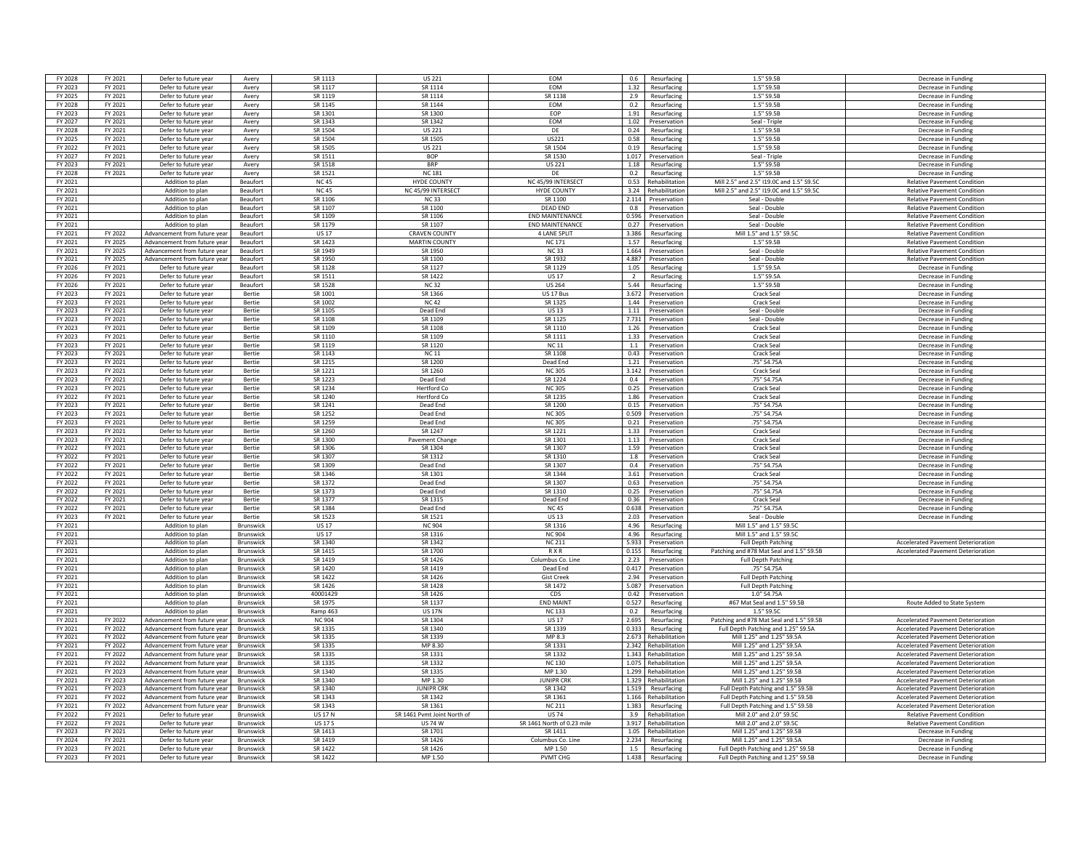| FY 2028 | FY 2021 | Defer to future year         | Avery            | SR 1113        | <b>US 221</b>               | <b>FOM</b>                 | 0.6            | Resurfacing            | 1.5" S9.5F                                                             | Decrease in Funding                       |
|---------|---------|------------------------------|------------------|----------------|-----------------------------|----------------------------|----------------|------------------------|------------------------------------------------------------------------|-------------------------------------------|
| FY 2023 | FY 2021 | Defer to future year         | Avery            | SR 1117        | SR 1114                     | EOM                        | 1.32           | Resurfacing            | 1.5" S9.5B                                                             | Decrease in Funding                       |
| FY 2025 | FY 2021 | Defer to future year         | Avery            | SR 1119        | SR 1114                     | SR 1138                    | 2.9            | Resurfacing            | 1.5" S9.5B                                                             | Decrease in Funding                       |
| FY 2028 | FY 2021 | Defer to future year         | Avery            | SR 1145        | SR 1144                     | <b>EOM</b>                 | 0.2            | Resurfacing            | 1.5" S9.5B                                                             | Decrease in Funding                       |
|         |         |                              |                  |                |                             |                            |                |                        |                                                                        |                                           |
| FY 2023 | FY 2021 | Defer to future year         | Avery            | SR 1301        | SR 1300                     | EOP                        | 1.91           | Resurfacing            | 1.5" S9.5B                                                             | Decrease in Funding                       |
| FY 2027 | FY 2021 | Defer to future year         | Avery            | SR 1343        | SR 1342                     | EOM                        | 1.02           | Preservation           | Seal - Triple                                                          | Decrease in Funding                       |
| FY 2028 | FY 2021 | Defer to future year         | Avery            | SR 1504        | <b>US 221</b>               | DF                         | 0.24           | Resurfacing            | 1.5" S9.5B                                                             | Decrease in Funding                       |
| FY 2025 | FY 2021 | Defer to future year         | Avery            | SR 1504        | SR 1505                     | US221                      | 0.58           | Resurfacing            | 1.5" S9.5B                                                             | Decrease in Funding                       |
| FY 2022 | FY 2021 | Defer to future year         | Avery            | SR 1505        | <b>US 221</b>               | SR 1504                    | 0.19           | Resurfacing            | 1.5" S9.5B                                                             | Decrease in Funding                       |
| FY 2027 | FY 2021 | Defer to future year         | Avery            | SR 1511        | <b>BOP</b>                  | SR 1530                    | 1.017          | Preservation           | Seal - Triple                                                          | Decrease in Funding                       |
| FY 2023 | FY 2021 | Defer to future year         | Avery            | SR 1518        | <b>BRP</b>                  | <b>US 221</b>              | 1.18           | Resurfacing            | 1.5" S9.5B                                                             | Decrease in Funding                       |
| FY 2028 | FY 2021 | Defer to future year         | Avery            | SR 1521        | <b>NC 181</b>               | DE                         | 0.2            | Resurfacing            | 1.5" S9.5B                                                             | Decrease in Funding                       |
| FY 2021 |         | Addition to plan             | Beaufort         | <b>NC45</b>    | HYDE COUNTY                 | NC 45/99 INTERSECT         | 0.53           | Rehabilitation         | Mill 2.5" and 2.5" I19.0C and 1.5" S9.5C                               | <b>Relative Pavement Condition</b>        |
| FY 2021 |         | Addition to plan             | Beaufort         | <b>NC45</b>    | NC 45/99 INTERSECT          | <b>HYDE COUNTY</b>         | 3.24           | <b>A</b> ehahilitation | Mill 2.5" and 2.5" I19.0C and 1.5" S9.50                               | <b>Relative Pavement Condition</b>        |
| FY 2021 |         | Addition to plan             | Beaufort         | SR 1106        | <b>NC33</b>                 | SR 1100                    | 2.114          | Preservation           | Seal - Double                                                          | <b>Relative Pavement Condition</b>        |
| FY 2021 |         | Addition to plan             | Beaufort         | SR 1107        | SR 1100                     | <b>DEAD END</b>            | 0.8            | Preservation           | Seal - Double                                                          | <b>Relative Pavement Condition</b>        |
| FY 2021 |         | Addition to plan             | Beaufort         | SR 1109        | SR 1106                     | <b>END MAINTENANCE</b>     | 0.596          | Preservation           | Seal - Double                                                          | <b>Relative Pavement Condition</b>        |
| FY 2021 |         | Addition to plan             | Beaufort         | SR 1179        | SR 1107                     | <b>END MAINTENANCE</b>     | 0.27           | Preservation           | Seal - Double                                                          | <b>Relative Pavement Condition</b>        |
| FY 2021 | FY 2022 | Advancement from future year | Beaufort         | <b>US 17</b>   | <b>CRAVEN COUNTY</b>        | 4 LANE SPLIT               | 3.386          | Resurfacing            | Mill 1.5" and 1.5" S9.50                                               | <b>Relative Pavement Condition</b>        |
| FY 2021 | FY 2025 | Advancement from future year | Beaufort         | SR 1423        | <b>MARTIN COUNTY</b>        | <b>NC171</b>               | 1.57           |                        | 1.5" S9.5B                                                             | <b>Relative Pavement Condition</b>        |
|         | FY 2025 |                              |                  | SR 1949        | SR 1950                     | NC 33                      | 1.664          | Resurfacing            | Seal - Double                                                          |                                           |
| FY 2021 |         | Advancement from future year | <b>Beaufort</b>  |                |                             |                            |                | Preservation           |                                                                        | <b>Relative Payement Condition</b>        |
| FY 2021 | FY 2025 | Advancement from future year | Beaufort         | SR 1950        | SR 1100                     | SR 1932                    | 4.887          | Preservation           | Seal - Double                                                          | <b>Relative Pavement Condition</b>        |
| FY 2026 | FY 2021 | Defer to future year         | Beaufort         | SR 1128        | SR 1127                     | SR 1129                    | 1.05           | Resurfacing            | 1.5" S9.5A                                                             | Decrease in Funding                       |
| FY 2026 | FY 2021 | Defer to future year         | Beaufort         | SR 1511        | SR 1422                     | <b>US17</b>                | $\overline{2}$ | Resurfacing            | 1.5" S9.5A                                                             | Decrease in Funding                       |
| FY 2026 | FY 2021 | Defer to future year         | <b>Beaufort</b>  | SR 1528        | <b>NC32</b>                 | <b>US 264</b>              | 5.44           | Resurfacing            | 1.5" S9.5B                                                             | Decrease in Funding                       |
| FY 2023 | FY 2021 | Defer to future year         | Bertie           | SR 1001        | SR 1366                     | US 17 Bus                  | 3.672          | Preservation           | Crack Seal                                                             | Decrease in Funding                       |
| FY 2023 | FY 2021 | Defer to future year         | Bertie           | SR 1002        | <b>NC42</b>                 | SR 1325                    | 1.44           | Preservation           | Crack Seal                                                             | Decrease in Funding                       |
| FY 2023 | FY 2021 | Defer to future year         | Bertie           | SR 1105        | Dead End                    | <b>US13</b>                | 1.11           | Preservation           | Seal - Double                                                          | Decrease in Fundin                        |
| FY 2023 | FY 2021 | Defer to future year         | Bertie           | SR 1108        | SR 1109                     | SR 1125                    | 7.731          | Preservation           | Seal - Double                                                          | Decrease in Funding                       |
| FY 2023 | FY 2021 | Defer to future year         | Bertie           | SR 1109        | SR 1108                     | SR 1110                    | 1.26           | Preservation           | Crack Sea                                                              | Decrease in Funding                       |
| FY 2023 | FY 2021 | Defer to future year         | Bertie           | SR 1110        | SR 1109                     | SR 1111                    |                | 1.33 Preservation      | Crack Seal                                                             | Decrease in Funding                       |
| FY 2023 | FY 2021 | Defer to future year         | <b>Bertie</b>    | SR 1119        | SR 1120                     | <b>NC11</b>                | $-1.1$         | Preservation           | Crack Seal                                                             | Decrease in Funding                       |
| FY 2023 | FY 2021 | Defer to future year         | Bertie           | SR 1143        | <b>NC 11</b>                | SR 1108                    | 0.43           | Preservation           | Crack Seal                                                             | Decrease in Funding                       |
| FY 2023 | FY 2021 | Defer to future year         | Bertie           | SR 1215        | SR 1200                     | Dead End                   | 1.21           | Preservation           | .75" S4.75A                                                            | Decrease in Funding                       |
| FY 2023 | FY 2021 | Defer to future year         | <b>Bertie</b>    | SR 1221        | SR 1260                     | <b>NC305</b>               | 3.142          | Preservation           | Crack Seal                                                             | Decrease in Funding                       |
| FY 2023 | FY 2021 | Defer to future year         | <b>Bertie</b>    | SR 1223        | Dead End                    | SR 1224                    | 0.4            | Preservation           | 75" \$4.75A                                                            | Decrease in Fundin                        |
| FY 2023 | FY 2021 | Defer to future year         | Bertie           | SR 1234        | <b>Hertford Co</b>          | <b>NC305</b>               | 0.25           | Preservation           | Crack Seal                                                             | Decrease in Funding                       |
| FY 2022 | FY 2021 |                              |                  | SR 1240        | <b>Hertford Co</b>          | SR 1235                    | 1.86           |                        |                                                                        |                                           |
| FY 2023 | FY 2021 | Defer to future year         | Bertie           | SR 1241        |                             | SR 1200                    |                | Preservation           | Crack Seal                                                             | Decrease in Funding                       |
|         |         | Defer to future year         | Bertie           |                | Dead End                    |                            | 0.15           | Preservation           | .75" S4.75A                                                            | Decrease in Funding                       |
| FY 2023 | FY 2021 | Defer to future year         | Bertie           | SR 1252        | Dead End                    | <b>NC 305</b>              | 0.509          | Preservation           | .75" S4.75A                                                            | Decrease in Funding                       |
| FY 2023 | FY 2021 | Defer to future year         | Bertie           | SR 1259        | Dead End                    | <b>NC305</b>               | 0.21           | Preservation           | .75" S4.75A                                                            | Decrease in Funding                       |
| FY 2023 | FY 2021 | Defer to future year         | Bertie           | SR 1260        | SR 1247                     | SR 1221                    | 1.33           | Preservation           | Crack Sea                                                              | Decrease in Fundin                        |
| FY 2023 | FY 2021 | Defer to future year         | Bertie           | SR 1300        | Pavement Change             | SR 1301                    | 1.13           | Preservation           | Crack Sea                                                              | Decrease in Funding                       |
| FY 2022 | FY 2021 | Defer to future year         | Bertie           | SR 1306        | SR 1304                     | SR 1307                    | 1.59           | Preservation           | Crack Seal                                                             | Decrease in Funding                       |
| FY 2022 | FY 2021 | Defer to future year         | Bertie           | SR 1307        | SR 1312                     | SR 1310                    | 1.8            | Preservation           | Crack Seal                                                             | Decrease in Funding                       |
| FY 2022 | FY 2021 | Defer to future year         | <b>Bertie</b>    | SR 1309        | Dead End                    | SR 1307                    | 0.4            | Preservation           | .75" S4.75A                                                            | Decrease in Funding                       |
| FY 2022 | FY 2021 | Defer to future year         | Bertie           | SR 1346        | SR 1301                     | SR 1344                    | 3.61           | Preservation           | Crack Seal                                                             | Decrease in Funding                       |
| FY 2022 | FY 2021 | Defer to future year         | Bertie           | SR 1372        | Dead End                    | SR 1307                    | 0.63           | Preservation           | .75" S4.75A                                                            | Decrease in Funding                       |
| FY 2022 | FY 2021 | Defer to future year         | <b>Bertie</b>    | SR 1373        | Dead End                    | SR 1310                    | 0.25           | Preservation           | .75" S4.75A                                                            | Decrease in Funding                       |
| FY 2022 | FY 2021 | Defer to future year         | <b>Bertie</b>    | SR 1377        | SR 1315                     | Dead End                   | 0.36           | Preservation           | <b>Crack Seal</b>                                                      | Decrease in Funding                       |
| FY 2022 | FY 2021 | Defer to future year         | Bertie           | SR 1384        | Dead End                    | <b>NC45</b>                | 0.638          | Preservation           | .75" S4.75A                                                            | Decrease in Funding                       |
| FY 2023 | FY 2021 | Defer to future year         | Bertie           | SR 1523        | SR 1521                     | <b>US13</b>                | 2.03           | Preservation           | Seal - Double                                                          | Decrease in Funding                       |
| FY 2021 |         | Addition to plan             | Brunswick        | <b>US 17</b>   | <b>NC 904</b>               | SR 1316                    | 4.96           | Resurfacing            | Mill 1.5" and 1.5" \$9.50                                              |                                           |
| FY 2021 |         | Addition to plan             | Brunswick        | <b>US17</b>    | SR 1316                     | <b>NC 904</b>              | 4.96           | Resurfacing            | Mill 1.5" and 1.5" \$9.50                                              |                                           |
| FY 2021 |         | Addition to plan             | Brunswick        | SR 1340        | SR 1342                     | <b>NC 211</b>              | 5.933          | Preservation           | <b>Full Depth Patching</b>                                             | <b>Accelerated Pavement Deterioration</b> |
| FY 2021 |         | Addition to plan             | Brunswick        | SR 1415        | SR 1700                     | <b>RXR</b>                 | 0.155          |                        |                                                                        | <b>Accelerated Pavement Deterioration</b> |
| FY 2021 |         | Addition to plan             | Brunswick        | SR 1419        | SR 1426                     | Columbus Co. Line          | 2.23           | Resurfacing            | Patching and #78 Mat Seal and 1.5" S9.5B<br><b>Full Depth Patching</b> |                                           |
|         |         |                              |                  | SR 1420        | SR 1419                     |                            | 0.417          | Preservation           | .75" S4.75A                                                            |                                           |
| FY 2021 |         | Addition to plan             | Brunswick        |                |                             | Dead End                   |                | Preservation           |                                                                        |                                           |
| FY 2021 |         | Addition to plan             | Brunswick        | SR 1422        | SR 1426                     | <b>Gist Creek</b>          |                | 2.94 Preservation      | <b>Full Depth Patching</b>                                             |                                           |
| FY 2021 |         | Addition to plan             | <b>Brunswick</b> | SR 1426        | SR 1428                     | SR 1472                    | 5.087          | Preservation           | <b>Full Depth Patching</b>                                             |                                           |
| FY 2021 |         | Addition to plan             | Brunswick        | 40001429       | SR 1426                     | CDS                        | 0.42           | Preservation           | 1.0" S4.75A                                                            |                                           |
| FY 2021 |         | Addition to plan             | Brunswick        | SR 1975        | SR 1137                     | <b>END MAINT</b>           | 0.527          | Resurfacing            | #67 Mat Seal and 1.5" S9.5B                                            | Route Added to State System               |
| FY 2021 |         | Addition to plan             | Brunswick        | Ramp 463       | <b>US 17N</b>               | <b>NC133</b>               | 0.2            | Resurfacing            | 1.5" \$9.50                                                            |                                           |
| FY 2021 | FY 2022 | Advancement from future year | Brunswick        | <b>NC 904</b>  | SR 1304                     | <b>US17</b>                | 2.695          | Resurfacing            | Patching and #78 Mat Seal and 1.5" S9.5B                               | <b>Accelerated Pavement Deterioration</b> |
| FY 2021 | FY 2022 | Advancement from future year | Brunswick        | SR 1335        | SR 1340                     | SR 1339                    | 0.333          | Resurfacing            | Full Depth Patching and 1.25" S9.5A                                    | <b>Accelerated Pavement Deterioration</b> |
| FY 2021 | FY 2022 | Advancement from future year | Brunswick        | SR 1335        | SR 1339                     | MP 8.3                     | 2.673          | Rehabilitation         | Mill 1.25" and 1.25" S9.5A                                             | Accelerated Pavement Deterioration        |
| FY 2021 | FY 2022 | Advancement from future year | Brunswick        | SR 1335        | MP 8 30                     | SR 1331                    | 2.342          | Rehabilitation         | Mill 1.25" and 1.25" S9.5A                                             | <b>Accelerated Pavement Deterioration</b> |
| FY 2021 | FY 2022 | Advancement from future year | Brunswick        | SR 1335        | SR 1331                     | SR 1332                    | 1.343          | Rehabilitation         | Mill 1.25" and 1.25" S9.5A                                             | <b>Accelerated Pavement Deterioration</b> |
| FY 2021 | FY 2022 | Advancement from future year | Brunswick        | SR 1335        | SR 1332                     | <b>NC 130</b>              | 1.075          | <b>Rehabilitation</b>  | Mill 1.25" and 1.25" S9.5A                                             | <b>Accelerated Pavement Deterioration</b> |
| FY 2021 | FY 2023 | Advancement from future year | Brunswick        | SR 1340        | SR 1335                     | MP 1.30                    | 1.299          | Rehabilitation         | Mill 1.25" and 1.25" S9.5B                                             | <b>Accelerated Pavement Deterioration</b> |
| FY 2021 | FY 2023 | Advancement from future year | <b>Brunswick</b> | SR 1340        | MP 1.30                     | <b>IUNIPR CRK</b>          | 1.329          | Rehabilitation         | Mill 1.25" and 1.25" S9.5B                                             | <b>Accelerated Pavement Deterioration</b> |
| FY 2021 | FY 2023 | Advancement from future year | <b>Brunswick</b> | SR 1340        | <b>IUNIPR CRK</b>           | SR 1342                    | 1.519          | Resurfacing            | Full Depth Patching and 1.5" S9.5B                                     | <b>Accelerated Pavement Deterioration</b> |
| FY 2021 | FY 2022 | Advancement from future year | Brunswick        | SR 1343        | SR 1342                     | SR 1361                    |                | 1.166 Rehabilitation   | Full Depth Patching and 1.5" S9.5B                                     | <b>Accelerated Pavement Deterioration</b> |
| FY 2021 | FY 2022 | Advancement from future year | <b>Brunswick</b> | SR 1343        | SR 1361                     | NC 211                     | 1.383          | Resurfacing            | Full Depth Patching and 1.5" S9.5B                                     | <b>Accelerated Payement Deterioration</b> |
| FY 2022 | FY 2021 | Defer to future year         |                  | <b>US 17 N</b> | SR 1461 Pvmt Joint North of | <b>US74</b>                | 3.9            | Rehabilitation         | Mill 2.0" and 2.0" S9.5C                                               | <b>Relative Pavement Condition</b>        |
|         |         |                              | <b>Brunswick</b> |                |                             |                            |                |                        |                                                                        |                                           |
| FY 2022 | FY 2021 | Defer to future year         | Brunswick        | <b>US 17 S</b> | <b>US 74 W</b>              | SR 1461 North of 0.23 mile | 3.917          | Rehabilitation         | Mill 2.0" and 2.0" S9.50                                               | <b>Relative Pavement Condition</b>        |
| FY 2023 | FY 2021 | Defer to future year         | Brunswick        | SR 1413        | SR 1701                     | SR 1411                    | 1.05           | <b>Rehabilitatio</b>   | Mill 1.25" and 1.25" S9.5B                                             | Decrease in Fundin                        |
| FY 2024 | FY 2021 | Defer to future year         | <b>Brunswick</b> | SR 1419        | SR 1426                     | Columbus Co. Line          | 2.234          | Resurfacing            | Mill 1.25" and 1.25" S9.5A                                             | Decrease in Funding                       |
| FY 2023 | FY 2021 | Defer to future year         | Brunswick        | SR 1422        | SR 1426                     | MP 1.50                    | 1.5            | Resurfacing            | Full Depth Patching and 1.25" S9.5E                                    | Decrease in Funding                       |
| FY 2023 | FY 2021 | Defer to future year         | Brunswick        | SR 1422        | MP 1.50                     | <b>PVMT CHG</b>            | 1.438          | Resurfacing            | Full Depth Patching and 1.25" S9.5B                                    | Decrease in Funding                       |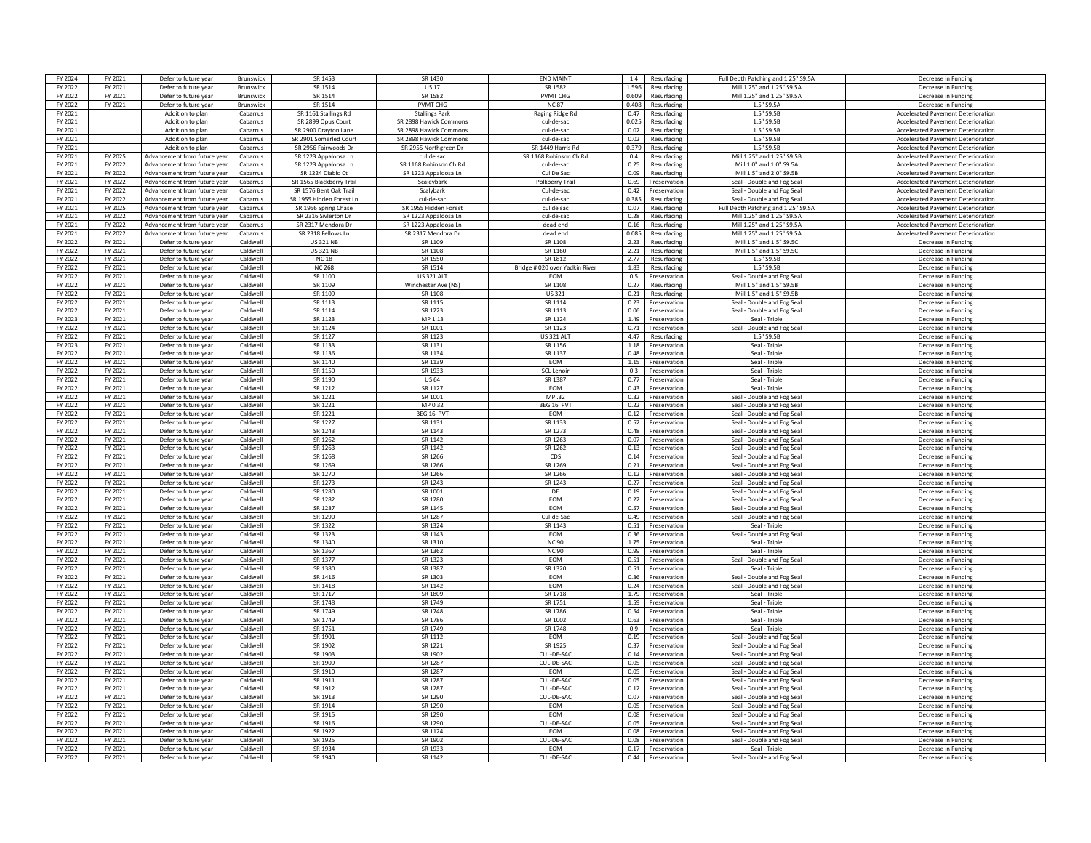| FY 2024 | FY 2021                   | Defer to future year                         | Brunswick        | SR 1453                  | SR 1430                | <b>END MAINT</b>               | 1.4          | Resurfacing                  | Full Depth Patching and 1.25" S9.5A                      | Decrease in Funding                        |
|---------|---------------------------|----------------------------------------------|------------------|--------------------------|------------------------|--------------------------------|--------------|------------------------------|----------------------------------------------------------|--------------------------------------------|
| FY 2022 | FY 2021                   | Defer to future year                         | Brunswick        | SR 1514                  | <b>US17</b>            | SR 1582                        |              | 1.596 Resurfacing            | Mill 1.25" and 1.25" S9.5A                               | Decrease in Funding                        |
| FY 2022 | FY 2021                   | Defer to future year                         | <b>Brunswick</b> | SR 1514                  | SR 1582                | <b>PVMT CHG</b>                | 0.609        | Resurfacing                  | Mill 1.25" and 1.25" S9.5A                               | Decrease in Funding                        |
| FY 2022 | FY 2021                   | Defer to future year                         | Brunswick        | SR 1514                  | <b>PVMT CHG</b>        | <b>NC87</b>                    | 0.408        | Resurfacing                  | 1.5" S9.5A                                               | Decrease in Funding                        |
| FY 2021 |                           | Addition to plan                             | Cabarrus         | SR 1161 Stallings Rd     | <b>Stallings Park</b>  | Raging Ridge Rd                | 0.47         | Resurfacing                  | 1.5" S9.5B                                               | <b>Accelerated Pavement Deterioration</b>  |
| FY 2021 |                           | Addition to plan                             | Cabarrus         | SR 2899 Opus Court       | SR 2898 Hawick Common  | cul-de-sac                     | 0.025        | Resurfacing                  | 1.5" \$9.58                                              | <b>Accelerated Pavement Deterioratio</b>   |
| FY 2021 |                           | Addition to plan                             | Cabarrus         | SR 2900 Drayton Lane     | SR 2898 Hawick Commons | cul-de-sac                     | 0.02         | Resurfacing                  | 1.5" S9.5B                                               | <b>Accelerated Pavement Deterioration</b>  |
| FY 2021 |                           | Addition to plan                             | Cabarrus         | SR 2901 Somerled Court   | SR 2898 Hawick Commons | cul-de-sac                     | 0.02         | Resurfacing                  | 1.5" S9.5B                                               | <b>Accelerated Pavement Deterioration</b>  |
| FY 2021 |                           | Addition to plan                             | Cabarrus         | SR 2956 Fairwoods Dr     | SR 2955 Northgreen Dr  | SR 1449 Harris Rd              | 0.379        | Resurfacing                  | 1.5" S9.5B                                               | <b>Accelerated Pavement Deterioration</b>  |
| FY 2021 | FY 2025                   | Advancement from future year                 | Cabarrus         | SR 1223 Appaloosa Ln     | cul de sac             | SR 1168 Robinson Ch Rd         | 0.4          | Resurfacing                  | Mill 1.25" and 1.25" S9.5B                               | <b>Accelerated Payement Deterioration</b>  |
| FY 2021 | FY 2022                   | Advancement from future year                 | Cabarrus         | SR 1223 Appaloosa Ln     | SR 1168 Robinson Ch Rd | cul-de-sac                     | 0.25         | Resurfacing                  | Mill 1.0" and 1.0" S9.5A                                 | <b>Accelerated Pavement Deterioration</b>  |
| FY 2021 |                           |                                              |                  |                          |                        |                                |              |                              |                                                          |                                            |
| FV 2021 | FY 2022<br><b>EV 2022</b> | Advancement from future year                 | Cabarrus         | SR 1224 Diablo Ct        | SR 1223 Appaloosa Ln   | Cul De Sac                     | 0.09         | Resurfacing                  | Mill 1.5" and 2.0" S9.5B                                 | <b>Accelerated Pavement Deterioration</b>  |
|         |                           | Advancement from future year                 | Cabarrus         | SR 1565 Blackberry Trail | Scaleyhark             | Polkberry Trail                | 0.69         | Preservation                 | Seal - Double and Fog Seal                               | Accelerated Pavement Deterioration         |
| FY 2021 | FY 2022                   | Advancement from future yea                  | Cabarrus         | SR 1576 Bent Oak Trail   | Scalybark              | Cul-de-sac                     | 0.42         | Preservation                 | Seal - Double and Fog Seal                               | <b>Accelerated Pavement Deterioration</b>  |
| FY 2021 | FY 2022                   | Advancement from future year                 | Cabarrus         | SR 1955 Hidden Forest Ln | cul-de-sac             | cul-de-sac                     | 0.385        | Resurfacing                  | Seal - Double and Fog Seal                               | <b>Accelerated Pavement Deterioration</b>  |
| FY 2021 | FY 2025                   | Advancement from future year                 | Cabarrus         | SR 1956 Spring Chase     | SR 1955 Hidden Forest  | cul de sac                     |              | 0.07 Resurfacing             | Full Depth Patching and 1.25" S9.5A                      | <b>Accelerated Pavement Deterioration</b>  |
| FY 2021 | FY 2022                   | Advancement from future year                 | Cabarrus         | SR 2316 Sivierton Dr     | SR 1223 Appaloosa Ln   | cul-de-sac                     | 0.28         | Resurfacing                  | Mill 1.25" and 1.25" S9.5A                               | <b>Accelerated Pavement Deterioration</b>  |
| FY 2021 | FY 2022                   | Advancement from future year                 | Cabarrus         | SR 2317 Mendora Dr       | SR 1223 Appaloosa Ln   | dead end                       | 0.16         | Resurfacing                  | Mill 1.25" and 1.25" S9.5A                               | <b>Accelerated Pavement Deterioration</b>  |
| FY 2021 | FY 2022                   | Advancement from future vea                  | Cabarrus         | SR 2318 Fellows Ln       | SR 2317 Mendora Dr     | dead end                       | 0.085        | Resurfacing                  | Mill 1.25" and 1.25" S9.5A                               | <b>Accelerated Pavement Deterioration</b>  |
| FY 2022 | FY 2021                   | Defer to future year                         | Caldwell         | <b>US 321 NB</b>         | SR 1109                | SR 1108                        | 2.23         | Resurfacing                  | Mill 1.5" and 1.5" S9.50                                 | Decrease in Funding                        |
| FY 2022 | FY 2021                   | Defer to future year                         | Caldwell         | <b>US 321 NB</b>         | SR 1108                | SR 1160                        | 2.21         | Resurfacing                  | Mill 1.5" and 1.5" S9.5C                                 | Decrease in Funding                        |
| FY 2022 | FY 2021                   | Defer to future year                         | Caldwell         | <b>NC18</b>              | SR 1550                | SR 1812                        | 2.77         | Resurfacing                  | 1.5" S9.5B                                               | Decrease in Funding                        |
| FY 2022 | FY 2021                   | Defer to future year                         | Caldwell         | <b>NC 268</b>            | SR 1514                | Bridge # 020 over Yadkin River |              | 1.83 Resurfacing             | 1.5" S9.5B                                               | Decrease in Funding                        |
| FY 2022 | FY 2021                   | Defer to future year                         | Caldwell         | SR 1100                  | <b>US 321 ALT</b>      | <b>FOM</b>                     | 0.5          | Preservation                 | Seal - Double and Fog Seal                               | Decrease in Funding                        |
| FY 2022 | FY 2021                   | Defer to future year                         | Caldwell         | SR 1109                  | Winchester Ave (NS)    | SR 1108                        | 0.27         | Resurfacing                  | Mill 1.5" and 1.5" S9.5B                                 | Decrease in Funding                        |
| FY 2022 | FY 2021                   | Defer to future year                         | Caldwell         | SR 1109                  | SR 1108                | <b>US321</b>                   | 0.21         | Resurfacing                  | Mill 1.5" and 1.5" S9.5B                                 | Decrease in Funding                        |
| FY 2022 | FY 2021                   | Defer to future year                         | Caldwell         | SR 1113                  | SR 1115                | SR 1114                        | 0.23         | Preservation                 | Seal - Double and Fog Sea                                | Decrease in Funding                        |
| FY 2022 | FY 2021                   | Defer to future year                         | Caldwell         | SR 1114                  | SR 1223                | SR 1113                        | 0.06         | Preservation                 | Seal - Double and Fog Seal                               | Decrease in Fundin                         |
| FY 2023 | FY 2021                   | Defer to future year                         | Caldwell         | SR 1123                  | MP 1.13                | SR 1124                        | 1.49         | Preservation                 | Seal - Triple                                            | Decrease in Funding                        |
| FY 2022 |                           |                                              |                  |                          | SR 1001                | SR 1123                        |              |                              |                                                          |                                            |
|         | FY 2021                   | Defer to future year                         | Caldwell         | SR 1124                  |                        | <b>US 321 ALT</b>              | 447          | 0.71 Preservation            | Seal - Double and Fog Seal                               | Decrease in Funding                        |
| FY 2022 | FY 2021                   | Defer to future year                         | Caldwell         | SR 1127                  | SR 1123                |                                |              | Resurfacing                  | 1.5" S9.5B                                               | Decrease in Funding                        |
| FY 2023 | FY 2021                   | Defer to future year                         | Caldwell         | SR 1133                  | SR 1131                | SR 1156                        | 1.18         | Preservation                 | Seal - Triple                                            | Decrease in Funding                        |
| FY 2022 | FY 2021                   | Defer to future year                         | Caldwell         | SR 1136                  | SR 1134                | SR 1137                        | 0.48         | Preservation                 | Seal - Triple                                            | Decrease in Funding                        |
| FY 2022 | FY 2021                   | Defer to future year                         | Caldwell         | SR 1140                  | SR 1139                | EOM                            | 1.15         | Preservation                 | Seal - Triple                                            | Decrease in Funding                        |
| FY 2022 | FY 2021                   | Defer to future year                         | Caldwell         | SR 1150                  | SR 1933                | <b>SCL Lenoi</b>               | 0.3          | Preservation                 | Seal - Triple                                            | Decrease in Funding                        |
| FY 2022 | FY 2021                   | Defer to future year                         | Caldwell         | SR 1190                  | US 64                  | SR 1387                        | 0.77         | Preservation                 | Seal - Triple                                            | Decrease in Funding                        |
| FY 2022 | FY 2021                   | Defer to future year                         | Caldwell         | SR 1212                  | SR 1127                | <b>FOM</b>                     |              | 0.43 Preservation            | Seal - Triple                                            | Decrease in Funding                        |
| FY 2022 | FY 2021                   | Defer to future year                         | Caldwell         | SR 1221                  | SR 1001                | MP 32                          | 0.32         | Preservation                 | Seal - Double and Fog Seal                               | Decrease in Funding                        |
| FY 2022 | FY 2021                   | Defer to future year                         | Caldwell         | SR 1221                  | MP 0.32                | BEG 16' PVT                    | 0.22         | Preservation                 | Seal - Double and Fog Seal                               | Decrease in Funding                        |
| FY 2022 | FY 2021                   | Defer to future year                         | Caldwell         | SR 1221                  | BEG 16' PVT            | EOM                            | 0.12         | Preservation                 | Seal - Double and Fog Seal                               | Decrease in Funding                        |
| FY 2022 | FY 2021                   | Defer to future year                         | Caldwell         | SR 1227                  | SR 1131                | SR 1133                        | 0.52         | Preservation                 | Seal - Double and Fog Seal                               | Decrease in Funding                        |
| FY 2022 | FY 2021                   | Defer to future year                         | Caldwell         | SR 1243                  | SR 1143                | SR 1273                        | 0.48         | Preservation                 | Seal - Double and Fog Seal                               | Decrease in Fundin                         |
| FY 2022 | FY 2021                   | Defer to future year                         | Caldwell         | SR 1262                  | SR 1142                | SR 1263                        | 0.07         | Preservation                 | Seal - Double and Fog Seal                               | Decrease in Funding                        |
| FY 2022 | FY 2021                   | Defer to future year                         | Caldwell         | SR 1263                  | SR 1142                | SR 1262                        |              | 0.13 Preservation            | Seal - Double and Fog Seal                               | Decrease in Funding                        |
| FY 2022 | FY 2021                   | Defer to future year                         | Caldwell         | SR 1268                  | SR 1266                | CDS                            | 0.14         | Preservation                 | Seal - Double and Fog Seal                               | Decrease in Funding                        |
| FY 2022 | FY 2021                   | Defer to future year                         | Caldwell         | SR 1269                  | SR 1266                | SR 1269                        | 0.21         | Preservation                 | Seal - Double and Fog Seal                               | Decrease in Funding                        |
| FY 2022 | FY 2021                   | Defer to future year                         | Caldwell         | SR 1270                  | SR 1266                | SR 1266                        | 0.12         | Preservation                 | Seal - Double and Fog Seal                               | Decrease in Funding                        |
| FY 2022 |                           |                                              | Caldwell         | SR 1273                  | SR 1243                | SR 1243                        |              |                              |                                                          |                                            |
| FY 2022 | FY 2021<br>FY 2021        | Defer to future year<br>Defer to future year | Caldwell         | SR 1280                  | SR 1001                | DF                             | 0.27<br>0.19 | Preservation<br>Preservation | Seal - Double and Fog Seal<br>Seal - Double and Fog Seal | Decrease in Funding<br>Decrease in Funding |
|         |                           |                                              |                  |                          |                        | <b>FOM</b>                     |              |                              |                                                          |                                            |
| FY 2022 | FY 2021                   | Defer to future year                         | Caldwell         | SR 1282                  | SR 1280                |                                | 0.22         | Preservation                 | Seal - Double and Fog Seal                               | Decrease in Funding                        |
| FY 2022 | FY 2021                   | Defer to future year                         | Caldwell         | SR 1287                  | SR 1145                | <b>EOM</b>                     |              | 0.57 Preservation            | Seal - Double and Fog Seal                               | Decrease in Funding                        |
| FY 2022 | FY 2021                   | Defer to future year                         | Caldwell         | SR 1290                  | SR 1287                | Cul-de-Sac                     |              | 0.49 Preservation            | Seal - Double and Fog Seal                               | Decrease in Funding                        |
| FY 2022 | FY 2021                   | Defer to future year                         | Caldwell         | SR 1322                  | SR 1324                | SR 1143                        | 0.51         | Preservation                 | Seal - Triple                                            | Decrease in Funding                        |
| FY 2022 | FY 2021                   | Defer to future year                         | Caldwell         | SR 1323                  | SR 1143                | EOM                            | 0.36         | Preservation                 | Seal - Double and Fog Seal                               | Decrease in Funding                        |
| FY 2022 | FY 2021                   | Defer to future year                         | Caldwell         | SR 1340                  | SR 1310                | <b>NC 90</b>                   | 1.75         | Preservation                 | Seal - Triple                                            | Decrease in Funding                        |
| FY 2022 | FY 2021                   | Defer to future year                         | Caldwell         | SR 1367                  | SR 1362                | NC 90                          | 0.99         | Preservation                 | Seal - Triple                                            | Decrease in Fundin                         |
| FY 2022 | FY 2021                   | Defer to future year                         | Caldwell         | SR 1377                  | SR 1323                | EOM                            | 0.51         | Preservation                 | Seal - Double and Fog Seal                               | Decrease in Fundin                         |
| FY 2022 | FY 2021                   | Defer to future year                         | Caldwell         | SR 1380                  | SR 1387                | SR 1320                        |              | 0.51 Preservation            | Seal - Triple                                            | Decrease in Funding                        |
| FY 2022 | FY 2021                   | Defer to future year                         | Caldwell         | SR 1416                  | SR 1303                | <b>EOM</b>                     | 0.36         | Preservation                 | Seal - Double and Fog Seal                               | Decrease in Funding                        |
| FY 2022 | FY 2021                   | Defer to future year                         | Caldwell         | SR 1418                  | SR 1142                | EOM                            | 0.24         | Preservation                 | Seal - Double and Fog Seal                               | Decrease in Funding                        |
| FY 2022 | FY 2021                   | Defer to future year                         | Caldwell         | SR 1717                  | SR 1809                | SR 1718                        | 1.79         | Preservation                 | Seal - Triple                                            | Decrease in Funding                        |
| FY 2022 | FY 2021                   | Defer to future year                         | Caldwell         | SR 1748                  | SR 1749                | SR 1751                        | 1.59         | Preservation                 | Seal - Triple                                            | Decrease in Funding                        |
| FY 2022 | FY 2021                   | Defer to future year                         | Caldwell         | SR 1749                  | SR 1748                | SR 1786                        | 0.54         | Preservation                 | Seal - Triple                                            | Decrease in Funding                        |
| FY 2022 | FY 2021                   | Defer to future year                         | Caldwell         | SR 1749                  | SR 1786                | SR 1002                        | 0.63         | Preservation                 | Seal - Triple                                            | Decrease in Fundin                         |
| FY 2022 | FY 2021                   | Defer to future year                         | Caldwell         | SR 1751                  | SR 1749                | SR 1748                        | 0.9          | Preservation                 | Seal - Triple                                            | Decrease in Funding                        |
| FY 2022 | FY 2021                   | Defer to future year                         | Caldwell         | SR 1901                  | SR 1112                | <b>FOM</b>                     |              | 0.19 Preservation            | Seal - Double and Fog Seal                               | Decrease in Funding                        |
| FY 2022 | FY 2021                   | Defer to future year                         | Caldwell         | SR 1902                  | SR 1221                | SR 1925                        | 0.37         | Preservation                 | Seal - Double and Fog Seal                               | Decrease in Funding                        |
| FY 2022 | FY 2021                   | Defer to future year                         | Caldwell         | SR 1903                  | SR 1902                | CUL-DE-SA                      | 0.14         | Preservation                 |                                                          | Decrease in Funding                        |
|         |                           |                                              |                  |                          |                        |                                |              |                              | Seal - Double and Fog Seal                               |                                            |
| FY 2022 | FY 2021                   | Defer to future year                         | Caldwell         | SR 1909                  | SR 1287                | CUL-DE-SAC                     | 0.05         | Preservation                 | Seal - Double and Fog Seal                               | Decrease in Fundin                         |
| FY 2022 | FY 2021                   | Defer to future year                         | Caldwell         | SR 1910                  | SR 1287                | <b>FOM</b>                     | 0.05         | Preservation                 | Seal - Double and Fog Seal                               | Decrease in Fundin                         |
| FY 2022 | FY 2021                   | Defer to future year                         | Caldwell         | SR 1911                  | SR 1287                | CUI-DE-SA                      | 0.05         | Preservation                 | Seal - Double and Fog Seal                               | Decrease in Fundin                         |
| FY 2022 | FY 2021                   | Defer to future year                         | Caldwell         | SR 1912                  | SR 1287                | CUL-DE-SAC                     |              | 0.12 Preservation            | Seal - Double and Fog Seal                               | Decrease in Funding                        |
| FY 2022 | FY 2021                   | Defer to future year                         | Caldwell         | SR 1913                  | SR 1290                | CUL-DE-SAC                     |              | 0.07 Preservation            | Seal - Double and Fog Seal                               | Decrease in Funding                        |
| FY 2022 | FY 2021                   | Defer to future year                         | Caldwell         | SR 1914                  | SR 1290                | EOM                            | 0.05         | Preservation                 | Seal - Double and Fog Seal                               | Decrease in Funding                        |
| FY 2022 | FY 2021                   | Defer to future year                         | Caldwell         | SR 1915                  | SR 1290                | <b>FOM</b>                     | 0.08         | Preservation                 | Seal - Double and Fog Seal                               | Decrease in Funding                        |
| FY 2022 | FY 2021                   | Defer to future year                         | Caldwell         | SR 1916                  | SR 1290                | CUL-DE-SA                      | 0.05         | Preservation                 | Seal - Double and Fog Seal                               | Decrease in Funding                        |
| FY 2022 | FY 2021                   | Defer to future year                         | Caldwell         | SR 1927                  | SR 1124                | <b>FOM</b>                     | 0.08         | Preservation                 | Seal - Double and Fog Seal                               | Decrease in Funding                        |
| FY 2022 | FY 2021                   | Defer to future year                         | Caldwell         | SR 1925                  | SR 1902                | CUL-DE-SAC                     | 0.08         | Preservation                 | Seal - Double and Fog Seal                               | Decrease in Funding                        |
| FY 2022 | FY 2021                   | Defer to future year                         | Caldwell         | SR 1934                  | SR 1933                | EOM                            | 0.17         | Preservation                 | Seal - Triple                                            | Decrease in Funding                        |
| FY 2022 | FY 2021                   | Defer to future year                         | Caldwell         | SR 1940                  | SR 1142                | CUI-DE-SAC                     |              | 0.44 Preservation            | Seal - Double and Fog Seal                               | Decrease in Funding                        |
|         |                           |                                              |                  |                          |                        |                                |              |                              |                                                          |                                            |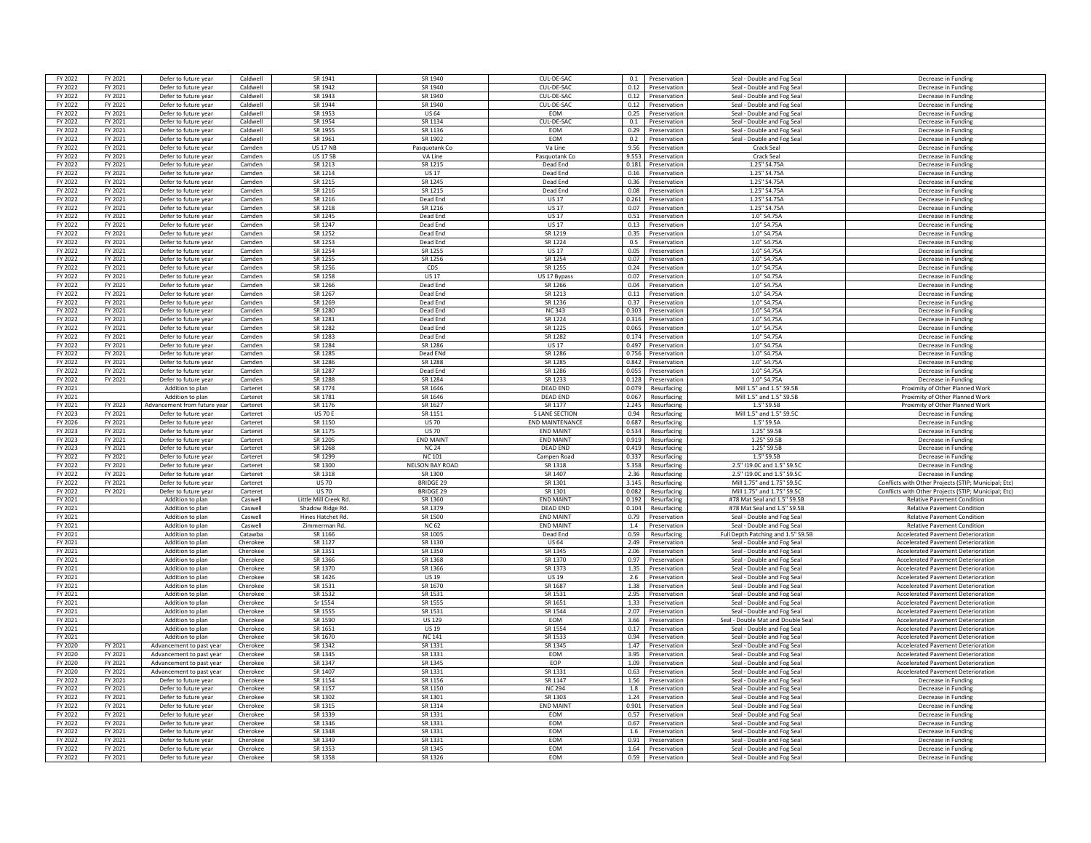| FY 2022            | FY 2021            | Defer to future year                         | Caldwell             | SR 1941                     | SR 1940                                  | CUI-DE-SAC             | 0.1   | Preservation                     | Seal - Double and Fog Seal                                | Decrease in Funding                                                                                          |
|--------------------|--------------------|----------------------------------------------|----------------------|-----------------------------|------------------------------------------|------------------------|-------|----------------------------------|-----------------------------------------------------------|--------------------------------------------------------------------------------------------------------------|
| FY 2022            | FY 2021            | Defer to future year                         | Caldwell             | SR 1942                     | SR 1940                                  | CUL-DE-SAC             |       | 0.12 Preservation                | Seal - Double and Fog Seal                                | Decrease in Funding                                                                                          |
| FY 2022            | FY 2021            | Defer to future year                         | Caldwell             | SR 1943                     | SR 1940                                  | CUL-DE-SAC             |       | 0.12 Preservation                | Seal - Double and Fog Seal                                | Decrease in Funding                                                                                          |
| FY 2022            | FY 2021            | Defer to future year                         | Caldwell             | SR 1944                     | SR 1940                                  | CUL-DE-SAC             | 0.12  | Preservation                     | Seal - Double and Fog Seal                                | Decrease in Funding                                                                                          |
|                    |                    |                                              |                      |                             |                                          |                        |       |                                  |                                                           |                                                                                                              |
| FY 2022            | FY 2021            | Defer to future year                         | Caldwell             | SR 1953                     | <b>US 64</b>                             | EOM                    | 0.25  | Preservation                     | Seal - Double and Fog Seal                                | Decrease in Funding                                                                                          |
| FY 2022            | FY 2021            | Defer to future year                         | Caldwell             | SR 1954                     | SR 1134                                  | CUL-DE-SAC             | 0.1   | Preservation                     | Seal - Double and Fog Seal                                | Decrease in Funding                                                                                          |
| FY 2022            | FY 2021            | Defer to future year                         | Caldwell             | SR 1955                     | SR 1136                                  | <b>FOM</b>             |       | 0.29 Preservation                | Seal - Double and Fog Seal                                | Decrease in Funding                                                                                          |
| FY 2022            | FY 2021            | Defer to future year                         | Caldwell             | SR 1961                     | SR 1902                                  | EOM                    | 0.2   | Preservation                     | Seal - Double and Fog Seal                                | Decrease in Fundin                                                                                           |
| FY 2022            | FY 2021            | Defer to future year                         | Camden               | <b>US 17 NB</b>             | Pasquotank Co                            | Va Line                | 9.56  | Preservation                     | Crack Seal                                                | Decrease in Funding                                                                                          |
| FY 2022            | FY 2021            | Defer to future year                         | Camden               | <b>US 17 SB</b>             | VA Line                                  | Pasquotank Co          |       | 9.553 Preservation               | Crack Seal                                                | Decrease in Funding                                                                                          |
| FY 2022            | FY 2021            | Defer to future year                         | Camden               | SR 1213                     | SR 1215                                  | Dead End               | 0.181 | Preservation                     | 1.25" S4.75A                                              | Decrease in Funding                                                                                          |
| FY 2022            | FY 2021            | Defer to future year                         | Camden               | SR 1214                     | <b>US17</b>                              | Dead End               | 0.16  | Preservation                     | 1.25" S4.75A                                              | Decrease in Funding                                                                                          |
| FY 2022            | FY 2021            | Defer to future year                         | Camden               | SR 1215                     | SR 1245                                  | Dead End               | 0.36  | Preservation                     | 1.25" S4.75A                                              | Decrease in Funding                                                                                          |
| FY 2022            | FY 2021            | Defer to future year                         | Camden               | SR 1216                     | SR 1215                                  | Dead End               | 0.08  | Preservation                     | 1.25" S4.75A                                              | Decrease in Funding                                                                                          |
| FY 2022            | FY 2021            | Defer to future year                         | Camden               | SR 1216                     | Dead End                                 | <b>US17</b>            | 0.261 | Preservation                     | 1.25" S4.75A                                              | Decrease in Funding                                                                                          |
| FY 2022            | FY 2021            | Defer to future year                         | Camden               | SR 1218                     | SR 1216                                  | <b>US17</b>            |       | 0.07 Preservation                | 1.25" S4.75A                                              | Decrease in Funding                                                                                          |
| FY 2022            | FY 2021            | Defer to future year                         | Camden               | SR 1245                     | Dead End                                 | <b>US 17</b>           | 0.51  | Preservation                     | 1.0" S4.75A                                               | Decrease in Funding                                                                                          |
| FY 2022            | FY 2021            | Defer to future year                         | Camden               | SR 1247                     | Dead End                                 | <b>US17</b>            | 0.13  | Preservation                     | 1.0" S4.75A                                               | Decrease in Funding                                                                                          |
|                    |                    |                                              |                      |                             |                                          | SR 1219                |       | Preservation                     | 1.0" S4.75A                                               |                                                                                                              |
| FY 2022            | FY 2021            | Defer to future year                         | Camden               | SR 1252                     | Dead End                                 |                        | 0.35  |                                  |                                                           | Decrease in Funding                                                                                          |
| FY 2022            | FY 2021            | Defer to future year                         | Camden               | SR 1253                     | Dead End                                 | SR 1224                | 0.5   | Preservation                     | 1.0" S4.75A                                               | Decrease in Funding                                                                                          |
| FY 2022            | FY 2021            | Defer to future year                         | Camden               | SR 1254                     | SR 1255                                  | <b>US17</b>            |       | 0.05 Preservation                | 1.0" S4.75A                                               | Decrease in Funding                                                                                          |
| FY 2022            | FY 2021            | Defer to future year                         | Camden               | SR 1255                     | SR 1256                                  | SR 1254                | 0.07  | Preservation                     | 1.0" S4.75A                                               | Decrease in Fundin                                                                                           |
| FY 2022            | FY 2021            | Defer to future year                         | Camden               | SR 1256                     | CDS                                      | SR 1255                |       | 0.24 Preservation                | 1.0" S4.75A                                               | Decrease in Funding                                                                                          |
| FY 2022            | FY 2021            | Defer to future year                         | Camden               | SR 1258                     | <b>US17</b>                              | US 17 Bypass           |       | 0.07 Preservation                | 1.0" S4.75A                                               | Decrease in Funding                                                                                          |
| FY 2022            | FY 2021            | Defer to future year                         | Camden               | SR 1266                     | Dead End                                 | SR 1266                | 0.04  | Preservation                     | 1.0" S4.75A                                               | Decrease in Funding                                                                                          |
| FY 2022            | FY 2021            | Defer to future year                         | Camden               | SR 1267                     | Dead End                                 | SR 1213                | 0.11  | Preservation                     | 1.0" S4.75A                                               | Decrease in Funding                                                                                          |
| FY 2022            | FY 2021            | Defer to future year                         | Camden               | SR 1269                     | Dead End                                 | SR 1236                | 0.37  | Preservation                     | 1.0" S4.75A                                               | Decrease in Funding                                                                                          |
| FY 2022            | FY 2021            | Defer to future year                         | Camden               | SR 1280                     | Dead End                                 | NC 343                 | 0.303 | Preservation                     | 1.0" S4.75A                                               | Decrease in Funding                                                                                          |
| FY 2022            | FY 2021            | Defer to future year                         | Camden               | SR 1281                     | Dead End                                 | SR 1224                | 0.316 | Preservation                     | 1.0" S4.75A                                               | Decrease in Funding                                                                                          |
| FY 2022            | FY 2021            | Defer to future year                         | Camden               | SR 1282                     | Dead End                                 | SR 1225                |       | 0.065 Preservation               | 1.0" S4.75A                                               | Decrease in Funding                                                                                          |
| FY 2022            | FY 2021            | Defer to future year                         | Camden               | SR 1283                     | Dead End                                 | SR 1282                | 0.174 | Preservation                     | 1.0" S4.75A                                               | Decrease in Funding                                                                                          |
| FY 2022            | FY 2021            | Defer to future year                         | Camden               | SR 1284                     | SR 1286                                  | <b>US17</b>            | 0.497 | Preservation                     | 1.0" S4.75A                                               | Decrease in Funding                                                                                          |
| FY 2022            | FY 2021            | Defer to future year                         | Camden               | SR 1285                     | Dead ENd                                 | SR 1286                | 0.756 | Preservation                     | 1.0" S4.75A                                               | Decrease in Funding                                                                                          |
| FY 2022            | FY 2021            | Defer to future year                         | Camden               | SR 1286                     | SR 1288                                  | SR 1285                | 0.842 | Preservation                     | 1.0" S4.75A                                               | Decrease in Funding                                                                                          |
| FY 2022            | FY 2021            | Defer to future year                         | Camden               | SR 1287                     | Dead End                                 | SR 1286                |       | 0.055 Preservation               | 1.0" S4.75A                                               | Decrease in Funding                                                                                          |
|                    |                    |                                              |                      |                             |                                          | SR 1233                |       |                                  |                                                           |                                                                                                              |
| FY 2022            | FY 2021            | Defer to future year                         | Camden               | SR 1288                     | SR 1284                                  |                        | 0.128 | Preservation                     | 1.0" S4.75A                                               | Decrease in Funding                                                                                          |
| FY 2021            |                    | Addition to plan                             | Carteret             | SR 1774                     | SR 1646<br>SR 1646                       | DEAD END               | 0.079 | Resurfacing                      | Mill 1.5" and 1.5" S9.5B                                  | Proximity of Other Planned Work                                                                              |
| FY 2021            |                    | Addition to plan                             | Carteret             | SR 1781                     |                                          | <b>DEAD END</b>        | 0.067 | Resurfacing                      | Mill 1.5" and 1.5" S9.5B                                  | Proximity of Other Planned Work                                                                              |
| FY 2021            | FY 2023            | Advancement from future vear                 | Carteret             | SR 1176                     | SR 1627                                  | SR 1177                | 2.245 | Resurfacing                      | 1.5" S9.5B                                                | Proximity of Other Planned Work                                                                              |
| FY 2023            | FY 2021            | Defer to future year                         | Carteret             | <b>US 70 B</b>              | SR 1151                                  | <b>5 LANE SECTION</b>  | 0.94  | Resurfacing                      | Mill 1.5" and 1.5" S9.50                                  | Decrease in Funding                                                                                          |
| FY 2026            | FY 2021            | Defer to future year                         | Carteret             | SR 1150                     | <b>US 70</b>                             | <b>END MAINTENANCE</b> | 0.687 | Resurfacing                      | 1.5" S9.5A                                                | Decrease in Funding                                                                                          |
| FY 2023            | FY 2021            | Defer to future year                         |                      |                             |                                          |                        |       |                                  |                                                           |                                                                                                              |
|                    |                    |                                              | Carteret             | SR 1175                     | <b>US 70</b>                             | <b>FND MAINT</b>       | 0.534 | Resurfacing                      | 1.25" S9.5B                                               | Decrease in Funding                                                                                          |
| FY 2023            | FY 2021            | Defer to future year                         | Carteret             | SR 1205                     | <b>FND MAIN</b>                          | <b>FND MAINT</b>       | 0.919 | Resurfacing                      | 1.25" S9.5R                                               | Decrease in Funding                                                                                          |
| FY 2023            | FY 2021            | Defer to future year                         | Carteret             | SR 1268                     | <b>NC 24</b>                             | DEAD END               | 0.419 | Resurfacing                      | 1.25" S9.5B                                               | Decrease in Funding                                                                                          |
| FY 2022            | FY 2021            | Defer to future year                         | Carteret             | SR 1299                     | <b>NC 101</b>                            | Campen Road            | 0.337 | Resurfacing                      | 1.5" S9.5B                                                | Decrease in Funding                                                                                          |
| FY 2022            | FY 2021            | Defer to future year                         | Carteret             | SR 1300                     | <b>NELSON BAY ROAD</b>                   | SR 1318                | 5.358 | Resurfacing                      | 2.5" I19.0C and 1.5" S9.5C                                | Decrease in Funding                                                                                          |
|                    |                    |                                              |                      | SR 1318                     | SR 1300                                  | SR 1407                |       |                                  | 2.5" I19.0C and 1.5" S9.50                                |                                                                                                              |
| FY 2022            | FY 2021            | Defer to future year                         | Carteret             |                             |                                          |                        | 2.36  | Resurfacing                      |                                                           | Decrease in Funding                                                                                          |
| FY 2022<br>FY 2022 | FY 2021<br>FY 2021 | Defer to future year<br>Defer to future year | Carteret<br>Carteret | <b>US70</b><br><b>US 70</b> | <b>BRIDGE 29</b><br>BRIDGE <sub>29</sub> | SR 1301<br>SR 1301     | 3.145 | Resurfacing<br>0.082 Resurfacing | Mill 1.75" and 1.75" S9.50<br>Mill 1.75" and 1.75" \$9.50 | Conflicts with Other Projects (STIP; Municipal; Etc)<br>Conflicts with Other Projects (STIP: Municipal: Etc) |
|                    |                    |                                              |                      |                             |                                          |                        |       |                                  |                                                           |                                                                                                              |
| FY 2021            |                    | Addition to plan                             | Caswell              | Little Mill Creek Rd.       | SR 1360                                  | <b>END MAINT</b>       | 0.192 | Resurfacing                      | #78 Mat Seal and 1.5" S9.5B                               | <b>Relative Pavement Condition</b>                                                                           |
| FY 2021            |                    | Addition to plan                             | Caswell              | Shadow Ridge Rd.            | SR 1379                                  | DEAD END               | 0.104 | Resurfacing                      | #78 Mat Seal and 1.5" S9.5B                               | <b>Relative Pavement Condition</b>                                                                           |
| FY 2021            |                    | Addition to plan                             | Caswell              | <b>Hines Hatchet Rd</b>     | SR 1500                                  | <b>FND MAINT</b>       | 0.79  | Preservation                     | Seal - Double and Fog Seal                                | <b>Relative Pavement Condition</b>                                                                           |
| FY 2021            |                    | Addition to plan                             | Caswell              | Zimmerman Rd.               | <b>NC 62</b>                             | <b>END MAINT</b>       | 1.4   | Preservation                     | Seal - Double and Fog Seal                                | <b>Relative Pavement Condition</b>                                                                           |
| FY 2021            |                    | Addition to plan                             | Catawba              | SR 1166                     | SR 1005                                  | Dead End               | 0.59  | Resurfacing                      | Full Depth Patching and 1.5" S9.5E                        | <b>Accelerated Pavement Deterioration</b>                                                                    |
| FY 2021            |                    | Addition to plan                             | Cherokee             | SR 1127                     | SR 1130                                  | <b>US 64</b>           | 2.49  | Preservation                     | Seal - Double and Fog Seal                                | Accelerated Pavement Deterioration                                                                           |
| FY 2021            |                    | Addition to plan                             | Cherokee             | SR 1351                     | SR 1350                                  | SR 1345                | 2.06  | Preservation                     | Seal - Double and Fog Seal                                | <b>Accelerated Pavement Deterioration</b>                                                                    |
| FY 2021            |                    | Addition to plan                             | Cherokee             | SR 1366                     | SR 1368                                  | SR 1370                | 0.97  | Preservation                     | Seal - Double and Fog Seal                                | <b>Accelerated Pavement Deterioration</b>                                                                    |
| FY 2021            |                    | Addition to plan                             | Cherokee             | SR 1370                     | SR 1366                                  | SR 1373                |       | 1.35 Preservation                | Seal - Double and Fog Seal                                | <b>Accelerated Pavement Deterioration</b>                                                                    |
| FY 2021            |                    | Addition to plan                             | Cherokee             | SR 1426                     | <b>US 19</b>                             | <b>US19</b>            |       | 2.6 Preservation                 | Seal - Double and Fog Seal                                | <b>Accelerated Pavement Deterioration</b>                                                                    |
| FY 2021            |                    | Addition to plan                             | Cherokee             | SR 1531                     | SR 1670                                  | SR 1687                | 1.38  | Preservation                     | Seal - Double and Fog Seal                                | <b>Accelerated Pavement Deterioration</b>                                                                    |
| FY 2021            |                    | Addition to plan                             | Cherokee             | SR 1532                     | SR 1531                                  | SR 1531                | 2.95  | Preservation                     | Seal - Double and Fog Seal                                | <b>Accelerated Pavement Deterioration</b>                                                                    |
| FY 2021            |                    | Addition to plan                             | Cherokee             | Sr 1554                     | SR 1555                                  | SR 1651                | 1.33  | Preservation                     | Seal - Double and Fog Seal                                | <b>Accelerated Pavement Deterioration</b>                                                                    |
| FY 2021            |                    | Addition to plan                             | Cherokee             | <b>SR 1555</b>              | SR 1531                                  | SR 1544                |       | 2.07 Preservation                | Seal - Double and Fog Seal                                | <b>Accelerated Payement Deterioration</b>                                                                    |
| FY 2021            |                    | Addition to plan                             | Cherokee             | SR 1590                     | <b>US 129</b>                            | EOM                    | 3.66  | Preservation                     | Seal - Double Mat and Double Sea                          | <b>Accelerated Pavement Deterioration</b>                                                                    |
| FY 2021            |                    | Addition to plan                             | Cherokee             | SR 1651                     | <b>US 19</b>                             | SR 1554                |       | 0.17 Preservation                | Seal - Double and Fog Seal                                | Accelerated Pavement Deterioration                                                                           |
| FY 2021            |                    | Addition to plan                             | Cherokee             | SR 1670                     | <b>NC141</b>                             | <b>SR 1533</b>         |       | 0.94 Preservation                | Seal - Double and Fog Seal                                | <b>Accelerated Pavement Deterioration</b>                                                                    |
|                    |                    | Advancement to nast year                     | Cherokee             |                             |                                          |                        | 1.47  | Preservation                     |                                                           | <b>Accelerated Pavement Deterioration</b>                                                                    |
| FY 2020            | FY 2021            |                                              |                      | SR 1342                     | SR 1331                                  | SR 1345                |       |                                  | Seal - Double and Fog Seal                                |                                                                                                              |
| FY 2020            | FY 2021            | Advancement to past year                     | Cherokee             | SR 1345                     | SR 1331                                  | EOM                    | 3.95  | Preservation                     | Seal - Double and Fog Seal                                | <b>Accelerated Pavement Deterioration</b>                                                                    |
| FY 2020            | FY 2021            | Advancement to past year                     | Cherokee             | SR 1347                     | SR 1345                                  | EOP                    | 1.09  | Preservation                     | Seal - Double and Fog Seal                                | <b>Accelerated Pavement Deterioration</b>                                                                    |
| FY 2020            | FY 2021            | Advancement to past year                     | Cherokee             | SR 1407                     | SR 1331                                  | SR 1331                |       | 0.63 Preservation                | Seal - Double and Fog Seal                                | <b>Accelerated Pavement Deterioration</b>                                                                    |
| FY 2022            | FY 2021            | Defer to future year                         | Cherokee             | SR 1154                     | SR 1156                                  | SR 1147                | 1.56  | Preservation                     | Seal - Double and Fog Seal                                | Decrease in Fundin                                                                                           |
| FY 2022            | FY 2021            | Defer to future year                         | Cherokee             | SR 1157                     | SR 1150                                  | <b>NC 294</b>          |       | 1.8 Preservation                 | Seal - Double and Fog Seal                                | Decrease in Funding                                                                                          |
| FY 2022            | FY 2021            | Defer to future year                         | Cherokee             | SR 1302                     | SR 1301                                  | SR 1303                |       | 1.24 Preservation                | Seal - Double and Fog Seal                                | Decrease in Funding                                                                                          |
| FY 2022            | FY 2021            | Defer to future year                         | Cherokee             | SR 1315                     | SR 1314                                  | <b>END MAINT</b>       | 0.901 | Preservation                     | Seal - Double and Fog Seal                                | Decrease in Funding                                                                                          |
| FY 2022            | FY 2021            | Defer to future year                         | Cherokee             | SR 1339                     | SR 1331                                  | <b>FOM</b>             | 0.57  | Preservation                     | Seal - Double and Fog Seal                                | Decrease in Funding                                                                                          |
| FY 2022            | FY 2021            | Defer to future year                         | Cherokee             | SR 1346                     | SR 1331                                  | <b>FOM</b>             | 0.67  | Preservation                     | Seal - Double and Fog Seal                                | Decrease in Funding                                                                                          |
| FY 2022            | FY 2021            | Defer to future year                         | Cherokee             | SR 1348                     | SR 1331                                  | <b>FOM</b>             | 1.6   | Preservation                     | Seal - Double and Fog Seal                                | Decrease in Funding                                                                                          |
| FY 2022            | FY 2021            | Defer to future year                         | Cherokee             | SR 1349                     | SR 1331                                  | EOM                    | 0.91  | Preservation                     | Seal - Double and Fog Seal                                | Decrease in Fundin                                                                                           |
| FY 2022            | FY 2021            | Defer to future year                         | Cherokee             | SR 1353                     | SR 1345                                  | EOM                    |       | 1.64 Preservation                | Seal - Double and Fog Seal                                | Decrease in Funding                                                                                          |
| FY 2022            | FY 2021            | Defer to future year                         | Cherokee             | SR 1358                     | SR 1326                                  | <b>FOM</b>             |       | 0.59 Preservation                | Seal - Double and Fog Seal                                | Decrease in Funding                                                                                          |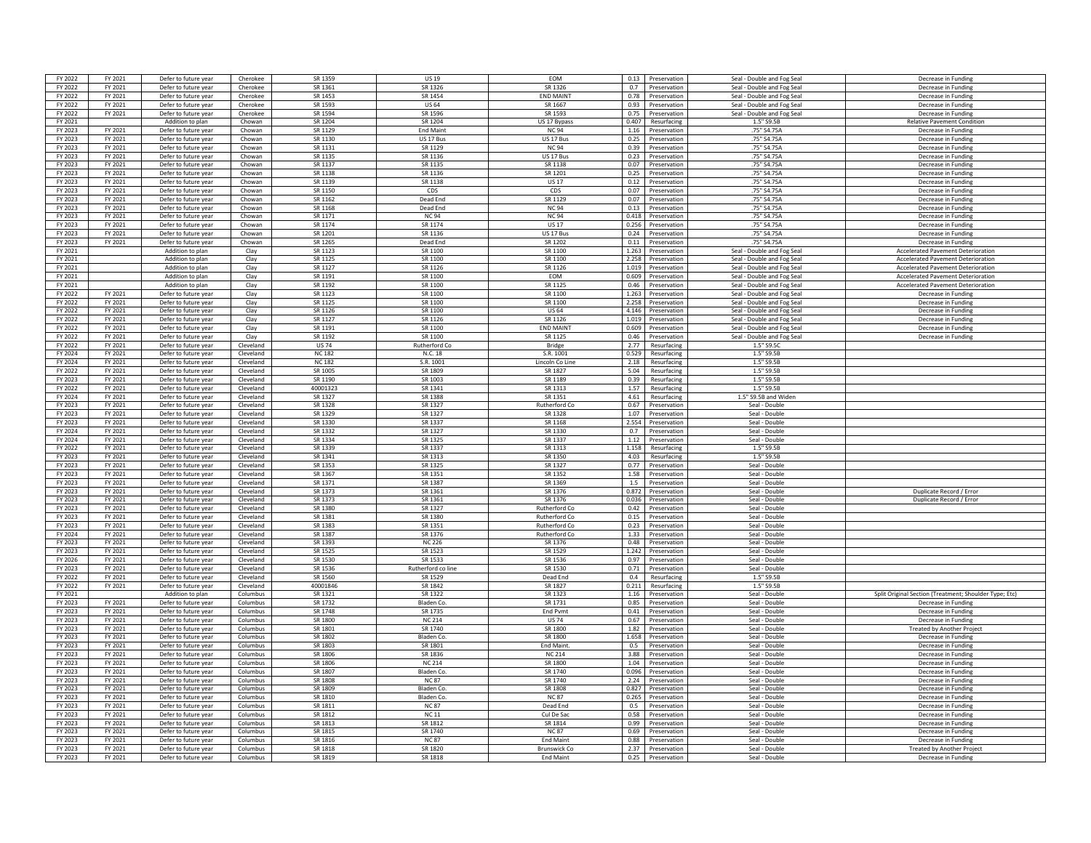| FY 2021<br>Defer to future year<br>FY 2022<br>FY 2021<br>Defer to future year<br>Cherokee<br>SR 1361<br>SR 1326<br>SR 1326<br>0.7 Preservation<br>FY 2022<br>FY 2021<br>SR 1453<br>SR 1454<br><b>FND MAINT</b><br>Defer to future year<br>0.78 Preservation<br>Cherokee<br>FY 2022<br>FY 2021<br>Defer to future year<br>Cherokee<br>SR 1593<br><b>US 64</b><br>SR 1667<br>0.93<br>Preservation<br>FY 2021<br>SR 1594<br>SR 1596<br>FY 2022<br>Defer to future yea<br>Cherokee<br>SR 1593<br>0.75<br>Preservation<br>SR 1204<br>SR 1204<br>FY 2021<br>Addition to plan<br>Chowan<br>US 17 Bypass<br>0.407<br>Resurfacing<br>FY 2023<br>FY 2021<br>SR 1129<br><b>End Maint</b><br><b>NC 94</b><br>Defer to future year<br>Chowan<br>1.16<br>Preservation<br>FY 2023<br>FY 2021<br>Defer to future year<br>Chowan<br>SR 1130<br>US 17 Bus<br>US 17 Bus<br>0.25 Preservation<br>FY 2023<br>FY 2021<br>Defer to future year<br>Chowan<br>SR 1131<br>SR 1129<br><b>NC 94</b><br>0.39 Preservation<br>SR 1136<br>US 17 Bus<br>FY 2023<br>FY 2021<br>Defer to future year<br>Chowan<br>SR 1135<br>0.23 Preservation<br>FY 2023<br>FY 2021<br>SR 1137<br>SR 1135<br>SR 1138<br>0.07<br>Defer to future year<br>Chowan<br>Preservation<br>FY 2023<br>FY 2021<br>SR 1138<br>SR 1136<br>SR 1201<br>Defer to future year<br>Chowan<br>0.25<br>Preservation<br>SR 1139<br>SR 1138<br><b>US17</b><br>FY 2023<br>FY 2021<br>Defer to future year<br>Chowan<br>0.12<br>Preservation | Seal - Double and Fog Seal<br>Seal - Double and Fog Seal<br>Decrease in Funding<br>Seal - Double and Fog Seal<br>Decrease in Funding |
|---------------------------------------------------------------------------------------------------------------------------------------------------------------------------------------------------------------------------------------------------------------------------------------------------------------------------------------------------------------------------------------------------------------------------------------------------------------------------------------------------------------------------------------------------------------------------------------------------------------------------------------------------------------------------------------------------------------------------------------------------------------------------------------------------------------------------------------------------------------------------------------------------------------------------------------------------------------------------------------------------------------------------------------------------------------------------------------------------------------------------------------------------------------------------------------------------------------------------------------------------------------------------------------------------------------------------------------------------------------------------------------------------------------------------------------------------------------------|--------------------------------------------------------------------------------------------------------------------------------------|
|                                                                                                                                                                                                                                                                                                                                                                                                                                                                                                                                                                                                                                                                                                                                                                                                                                                                                                                                                                                                                                                                                                                                                                                                                                                                                                                                                                                                                                                                     |                                                                                                                                      |
|                                                                                                                                                                                                                                                                                                                                                                                                                                                                                                                                                                                                                                                                                                                                                                                                                                                                                                                                                                                                                                                                                                                                                                                                                                                                                                                                                                                                                                                                     |                                                                                                                                      |
|                                                                                                                                                                                                                                                                                                                                                                                                                                                                                                                                                                                                                                                                                                                                                                                                                                                                                                                                                                                                                                                                                                                                                                                                                                                                                                                                                                                                                                                                     | Seal - Double and Fog Seal<br>Decrease in Funding                                                                                    |
|                                                                                                                                                                                                                                                                                                                                                                                                                                                                                                                                                                                                                                                                                                                                                                                                                                                                                                                                                                                                                                                                                                                                                                                                                                                                                                                                                                                                                                                                     | Decrease in Funding                                                                                                                  |
|                                                                                                                                                                                                                                                                                                                                                                                                                                                                                                                                                                                                                                                                                                                                                                                                                                                                                                                                                                                                                                                                                                                                                                                                                                                                                                                                                                                                                                                                     | Seal - Double and Fog Seal                                                                                                           |
|                                                                                                                                                                                                                                                                                                                                                                                                                                                                                                                                                                                                                                                                                                                                                                                                                                                                                                                                                                                                                                                                                                                                                                                                                                                                                                                                                                                                                                                                     | 1.5" S9.5B<br><b>Relative Pavement Condition</b>                                                                                     |
|                                                                                                                                                                                                                                                                                                                                                                                                                                                                                                                                                                                                                                                                                                                                                                                                                                                                                                                                                                                                                                                                                                                                                                                                                                                                                                                                                                                                                                                                     | .75" S4.75A<br>Decrease in Funding                                                                                                   |
|                                                                                                                                                                                                                                                                                                                                                                                                                                                                                                                                                                                                                                                                                                                                                                                                                                                                                                                                                                                                                                                                                                                                                                                                                                                                                                                                                                                                                                                                     | .75" S4.75A<br>Decrease in Funding                                                                                                   |
|                                                                                                                                                                                                                                                                                                                                                                                                                                                                                                                                                                                                                                                                                                                                                                                                                                                                                                                                                                                                                                                                                                                                                                                                                                                                                                                                                                                                                                                                     | .75" S4.75A<br>Decrease in Funding                                                                                                   |
|                                                                                                                                                                                                                                                                                                                                                                                                                                                                                                                                                                                                                                                                                                                                                                                                                                                                                                                                                                                                                                                                                                                                                                                                                                                                                                                                                                                                                                                                     | .75" S4.75A<br>Decrease in Funding                                                                                                   |
|                                                                                                                                                                                                                                                                                                                                                                                                                                                                                                                                                                                                                                                                                                                                                                                                                                                                                                                                                                                                                                                                                                                                                                                                                                                                                                                                                                                                                                                                     | .75" S4.75A<br>Decrease in Funding                                                                                                   |
|                                                                                                                                                                                                                                                                                                                                                                                                                                                                                                                                                                                                                                                                                                                                                                                                                                                                                                                                                                                                                                                                                                                                                                                                                                                                                                                                                                                                                                                                     | .75" S4.75A<br>Decrease in Funding                                                                                                   |
|                                                                                                                                                                                                                                                                                                                                                                                                                                                                                                                                                                                                                                                                                                                                                                                                                                                                                                                                                                                                                                                                                                                                                                                                                                                                                                                                                                                                                                                                     | .75" S4.75A<br>Decrease in Funding                                                                                                   |
| FY 2023<br>SR 1150<br>CDS<br>FY 2021<br>Defer to future yea<br>CDS<br>0.07<br>Chowan<br>Preservation                                                                                                                                                                                                                                                                                                                                                                                                                                                                                                                                                                                                                                                                                                                                                                                                                                                                                                                                                                                                                                                                                                                                                                                                                                                                                                                                                                | .75" S4.75A<br>Decrease in Funding                                                                                                   |
| FY 2023<br>FY 2021<br>Defer to future year<br>Chowan<br>SR 1162<br>Dead End<br>SR 1129<br>0.07<br>Preservation                                                                                                                                                                                                                                                                                                                                                                                                                                                                                                                                                                                                                                                                                                                                                                                                                                                                                                                                                                                                                                                                                                                                                                                                                                                                                                                                                      | .75" S4.75A<br>Decrease in Funding                                                                                                   |
| FY 2023<br>FY 2021<br>Defer to future year<br>Chowan<br>SR 1168<br>Dead End<br><b>NC 94</b><br>0.13 Preservation                                                                                                                                                                                                                                                                                                                                                                                                                                                                                                                                                                                                                                                                                                                                                                                                                                                                                                                                                                                                                                                                                                                                                                                                                                                                                                                                                    | .75" S4.75A<br>Decrease in Funding                                                                                                   |
| FY 2021<br>SR 1171<br><b>NC 94</b><br><b>NC 94</b><br>FY 2023<br>Defer to future year<br>Chowan<br>0.418 Preservation                                                                                                                                                                                                                                                                                                                                                                                                                                                                                                                                                                                                                                                                                                                                                                                                                                                                                                                                                                                                                                                                                                                                                                                                                                                                                                                                               | .75" S4.75A<br>Decrease in Funding                                                                                                   |
| FY 2023<br>FY 2021<br>Defer to future year<br>SR 1174<br>SR 1174<br><b>US17</b><br>Chowan<br>0.256<br>Preservation                                                                                                                                                                                                                                                                                                                                                                                                                                                                                                                                                                                                                                                                                                                                                                                                                                                                                                                                                                                                                                                                                                                                                                                                                                                                                                                                                  | .75" S4.75A<br>Decrease in Funding                                                                                                   |
| SR 1201<br>SR 1136<br>US 17 Bus<br>FY 2023<br>FY 2021<br>Defer to future year<br>Chowan<br>0.24<br>Preservation                                                                                                                                                                                                                                                                                                                                                                                                                                                                                                                                                                                                                                                                                                                                                                                                                                                                                                                                                                                                                                                                                                                                                                                                                                                                                                                                                     | .75" S4.75A<br>Decrease in Funding                                                                                                   |
| SR 1265<br>Chowan<br>Dead End<br>SR 1202<br>Preservation                                                                                                                                                                                                                                                                                                                                                                                                                                                                                                                                                                                                                                                                                                                                                                                                                                                                                                                                                                                                                                                                                                                                                                                                                                                                                                                                                                                                            | .75" S4.75A<br>Decrease in Funding                                                                                                   |
| FY 2023<br>FY 2021<br>Defer to future year<br>0.11<br>SR 1123<br>SR 1100<br>SR 1100<br>FY 2021<br>Addition to plan<br>Clav<br>1.263<br>Preservation                                                                                                                                                                                                                                                                                                                                                                                                                                                                                                                                                                                                                                                                                                                                                                                                                                                                                                                                                                                                                                                                                                                                                                                                                                                                                                                 | Seal - Double and Fog Seal<br>Accelerated Pavement Deterioratio                                                                      |
| 2.258                                                                                                                                                                                                                                                                                                                                                                                                                                                                                                                                                                                                                                                                                                                                                                                                                                                                                                                                                                                                                                                                                                                                                                                                                                                                                                                                                                                                                                                               |                                                                                                                                      |
| FY 2021<br>Addition to plan<br>Clay<br>SR 1125<br>SR 1100<br>SR 1100<br>Preservation                                                                                                                                                                                                                                                                                                                                                                                                                                                                                                                                                                                                                                                                                                                                                                                                                                                                                                                                                                                                                                                                                                                                                                                                                                                                                                                                                                                | Seal - Double and Fog Seal<br><b>Accelerated Pavement Deterioration</b>                                                              |
| SR 1127<br>SR 1126<br>SR 1126<br>1.019 Preservation<br>FY 2021<br>Addition to plan<br>Clay                                                                                                                                                                                                                                                                                                                                                                                                                                                                                                                                                                                                                                                                                                                                                                                                                                                                                                                                                                                                                                                                                                                                                                                                                                                                                                                                                                          | Seal - Double and Fog Seal<br><b>Accelerated Pavement Deterioration</b>                                                              |
| SR 1191<br>SR 1100<br>FY 2021<br>Addition to plan<br>Clay<br><b>FOM</b><br>0.609 Preservation                                                                                                                                                                                                                                                                                                                                                                                                                                                                                                                                                                                                                                                                                                                                                                                                                                                                                                                                                                                                                                                                                                                                                                                                                                                                                                                                                                       | Seal - Double and Fog Seal<br><b>Accelerated Payement Deterioration</b>                                                              |
| FY 2021<br>Clay<br>SR 1192<br>SR 1100<br>SR 1125<br>0.46<br>Addition to plan<br>Preservation                                                                                                                                                                                                                                                                                                                                                                                                                                                                                                                                                                                                                                                                                                                                                                                                                                                                                                                                                                                                                                                                                                                                                                                                                                                                                                                                                                        | Seal - Double and Fog Seal<br><b>Accelerated Pavement Deterioration</b>                                                              |
| FY 2021<br>SR 1123<br>SR 1100<br>SR 1100<br>FY 2022<br>Defer to future yea<br>Clay<br>1.263<br>Preservation                                                                                                                                                                                                                                                                                                                                                                                                                                                                                                                                                                                                                                                                                                                                                                                                                                                                                                                                                                                                                                                                                                                                                                                                                                                                                                                                                         | Seal - Double and Fog Seal<br>Decrease in Funding                                                                                    |
| FY 2022<br>FY 2021<br>Defer to future year<br>Clay<br>SR 1125<br>SR 1100<br>SR 1100<br>2.258<br>Preservation                                                                                                                                                                                                                                                                                                                                                                                                                                                                                                                                                                                                                                                                                                                                                                                                                                                                                                                                                                                                                                                                                                                                                                                                                                                                                                                                                        | Seal - Double and Fog Seal<br>Decrease in Funding                                                                                    |
| SR 1100<br>FY 2022<br>SR 1126<br><b>US64</b><br>4.146<br>FY 2021<br>Defer to future year<br>Clay<br>Preservation                                                                                                                                                                                                                                                                                                                                                                                                                                                                                                                                                                                                                                                                                                                                                                                                                                                                                                                                                                                                                                                                                                                                                                                                                                                                                                                                                    | Seal - Double and Fog Seal<br>Decrease in Funding                                                                                    |
| FY 2022<br>FY 2021<br>Defer to future year<br>Clay<br>SR 1127<br>SR 1126<br>SR 1126<br>1.019<br>Preservation                                                                                                                                                                                                                                                                                                                                                                                                                                                                                                                                                                                                                                                                                                                                                                                                                                                                                                                                                                                                                                                                                                                                                                                                                                                                                                                                                        | Seal - Double and Fog Seal<br>Decrease in Funding                                                                                    |
| FY 2022<br>FY 2021<br>Defer to future year<br>Clay<br>SR 1191<br>SR 1100<br><b>END MAINT</b><br>0.609 Preservation                                                                                                                                                                                                                                                                                                                                                                                                                                                                                                                                                                                                                                                                                                                                                                                                                                                                                                                                                                                                                                                                                                                                                                                                                                                                                                                                                  | Seal - Double and Fog Seal<br>Decrease in Funding                                                                                    |
| SR 1192<br>SR 1100<br>SR 1125<br>FY 2022<br>FY 2021<br>Defer to future year<br>Clay<br>0.46 Preservation                                                                                                                                                                                                                                                                                                                                                                                                                                                                                                                                                                                                                                                                                                                                                                                                                                                                                                                                                                                                                                                                                                                                                                                                                                                                                                                                                            | Seal - Double and Fog Seal<br>Decrease in Funding                                                                                    |
| FY 2021<br>FY 2022<br>Defer to future year<br>Cleveland<br><b>US 74</b><br>Rutherford Co<br><b>Bridge</b><br>2.77<br>Resurfacing                                                                                                                                                                                                                                                                                                                                                                                                                                                                                                                                                                                                                                                                                                                                                                                                                                                                                                                                                                                                                                                                                                                                                                                                                                                                                                                                    | 1.5" S9.5C                                                                                                                           |
| FY 2024<br>FY 2021<br>Defer to future year<br>Cleveland<br><b>NC 182</b><br>N.C. 18<br>S.R. 1001<br>0.529<br>Resurfacing                                                                                                                                                                                                                                                                                                                                                                                                                                                                                                                                                                                                                                                                                                                                                                                                                                                                                                                                                                                                                                                                                                                                                                                                                                                                                                                                            | 1.5" S9.5B                                                                                                                           |
| FY 2024<br>FY 2021<br>Defer to future year<br><b>NC 182</b><br>S.R. 1001<br>Lincoln Co Line<br>2.18<br>Cleveland<br>Resurfacing                                                                                                                                                                                                                                                                                                                                                                                                                                                                                                                                                                                                                                                                                                                                                                                                                                                                                                                                                                                                                                                                                                                                                                                                                                                                                                                                     | 1.5" S9.5E                                                                                                                           |
| FY 2021<br>Defer to future year<br>SR 1005<br>SR 1809<br>SR 1827<br>5.04 Resurfacing<br>FY 2022<br>Cleveland                                                                                                                                                                                                                                                                                                                                                                                                                                                                                                                                                                                                                                                                                                                                                                                                                                                                                                                                                                                                                                                                                                                                                                                                                                                                                                                                                        | 1.5" S9.5F                                                                                                                           |
| FY 2023<br>FY 2021<br>Defer to future year<br>SR 1190<br>SR 1003<br>SR 1189<br>0.39 Resurfacing<br>Cleveland                                                                                                                                                                                                                                                                                                                                                                                                                                                                                                                                                                                                                                                                                                                                                                                                                                                                                                                                                                                                                                                                                                                                                                                                                                                                                                                                                        | 1.5" S9.5B                                                                                                                           |
| FY 2022<br>FY 2021<br>Defer to future year<br>40001323<br>SR 1341<br>SR 1313<br>1.57 Resurfacing<br>Cleveland                                                                                                                                                                                                                                                                                                                                                                                                                                                                                                                                                                                                                                                                                                                                                                                                                                                                                                                                                                                                                                                                                                                                                                                                                                                                                                                                                       | 1.5" S9.5B                                                                                                                           |
| FY 2021<br>SR 1327<br><b>SR 1388</b><br>SR 1351<br>FY 2024<br>Defer to future year<br>Cleveland<br>4.61 Resurfacing                                                                                                                                                                                                                                                                                                                                                                                                                                                                                                                                                                                                                                                                                                                                                                                                                                                                                                                                                                                                                                                                                                                                                                                                                                                                                                                                                 | 1.5" \$9.5B and Wider                                                                                                                |
| FY 2023<br>FY 2021<br>SR 1327<br>SR 1328<br><b>Rutherford Co.</b><br>0.67<br>Defer to future year<br>Cleveland<br>Preservation                                                                                                                                                                                                                                                                                                                                                                                                                                                                                                                                                                                                                                                                                                                                                                                                                                                                                                                                                                                                                                                                                                                                                                                                                                                                                                                                      | Seal - Double                                                                                                                        |
| FY 2023<br>FY 2021<br>Defer to future year<br>Cleveland<br>SR 1329<br>SR 1327<br>SR 1328<br>1.07<br>Preservation                                                                                                                                                                                                                                                                                                                                                                                                                                                                                                                                                                                                                                                                                                                                                                                                                                                                                                                                                                                                                                                                                                                                                                                                                                                                                                                                                    | Seal - Double                                                                                                                        |
| FY 2023<br>FY 2021<br>Defer to future year<br>SR 1330<br>SR 1337<br>SR 1168<br>2.554<br>Cleveland<br>Preservation                                                                                                                                                                                                                                                                                                                                                                                                                                                                                                                                                                                                                                                                                                                                                                                                                                                                                                                                                                                                                                                                                                                                                                                                                                                                                                                                                   | Seal - Double                                                                                                                        |
| SR 1327<br>FY 2024<br>FY 2021<br>SR 1337<br>SR 1330<br>0.7<br>Defer to future year<br>Cleveland<br>Preservation                                                                                                                                                                                                                                                                                                                                                                                                                                                                                                                                                                                                                                                                                                                                                                                                                                                                                                                                                                                                                                                                                                                                                                                                                                                                                                                                                     | Seal - Double                                                                                                                        |
| FY 2024<br>FY 2021<br>Defer to future year<br>Cleveland<br>SR 1334<br>SR 1325<br>SR 1337<br>1.12<br>Preservation                                                                                                                                                                                                                                                                                                                                                                                                                                                                                                                                                                                                                                                                                                                                                                                                                                                                                                                                                                                                                                                                                                                                                                                                                                                                                                                                                    | Seal - Double                                                                                                                        |
| FY 2021<br>SR 1339<br>SR 1337<br>SR 1313<br>1.158 Resurfacing<br>FY 2022<br>Defer to future year<br>Cleveland                                                                                                                                                                                                                                                                                                                                                                                                                                                                                                                                                                                                                                                                                                                                                                                                                                                                                                                                                                                                                                                                                                                                                                                                                                                                                                                                                       | 1.5" S9.5B                                                                                                                           |
|                                                                                                                                                                                                                                                                                                                                                                                                                                                                                                                                                                                                                                                                                                                                                                                                                                                                                                                                                                                                                                                                                                                                                                                                                                                                                                                                                                                                                                                                     |                                                                                                                                      |
| FY 2023<br>FY 2021<br>Defer to future year<br>Cleveland<br>SR 1341<br>SR 1313<br>SR 1350<br>4.03 Resurfacing<br>SR 1325<br>SR 1327<br>FY 2023<br>FY 2021<br>Defer to future year<br>SR 1353<br>0.77 Preservation<br>Cleveland                                                                                                                                                                                                                                                                                                                                                                                                                                                                                                                                                                                                                                                                                                                                                                                                                                                                                                                                                                                                                                                                                                                                                                                                                                       | 1.5" S9.5B<br>Seal - Double                                                                                                          |
|                                                                                                                                                                                                                                                                                                                                                                                                                                                                                                                                                                                                                                                                                                                                                                                                                                                                                                                                                                                                                                                                                                                                                                                                                                                                                                                                                                                                                                                                     |                                                                                                                                      |
|                                                                                                                                                                                                                                                                                                                                                                                                                                                                                                                                                                                                                                                                                                                                                                                                                                                                                                                                                                                                                                                                                                                                                                                                                                                                                                                                                                                                                                                                     | Seal - Double                                                                                                                        |
| FY 2023<br>FY 2021<br>Defer to future year<br>SR 1367<br>SR 1351<br>SR 1352<br>1.58<br>Cleveland<br>Preservation                                                                                                                                                                                                                                                                                                                                                                                                                                                                                                                                                                                                                                                                                                                                                                                                                                                                                                                                                                                                                                                                                                                                                                                                                                                                                                                                                    |                                                                                                                                      |
| SR 1371<br>SR 1387<br>SR 1369<br>FY 2023<br>FY 2021<br>Defer to future year<br>Cleveland<br>1.5<br>Preservation                                                                                                                                                                                                                                                                                                                                                                                                                                                                                                                                                                                                                                                                                                                                                                                                                                                                                                                                                                                                                                                                                                                                                                                                                                                                                                                                                     | Seal - Double                                                                                                                        |
| SR 1373<br>SR 1361<br>SR 1376<br>FY 2023<br>FY 2021<br>0.872<br>Defer to future year<br>Cleveland<br>Preservation                                                                                                                                                                                                                                                                                                                                                                                                                                                                                                                                                                                                                                                                                                                                                                                                                                                                                                                                                                                                                                                                                                                                                                                                                                                                                                                                                   | Seal - Double<br>Duplicate Record / Error                                                                                            |
| FY 2023<br>FY 2021<br>Defer to future year<br>SR 1373<br>SR 1361<br>SR 1376<br>Cleveland<br>0.036<br>Preservation                                                                                                                                                                                                                                                                                                                                                                                                                                                                                                                                                                                                                                                                                                                                                                                                                                                                                                                                                                                                                                                                                                                                                                                                                                                                                                                                                   | Seal - Double<br>Duplicate Record / Error                                                                                            |
| Defer to future year<br>SR 1380<br>SR 1327<br><b>Rutherford Co</b><br>0.42 Preservation<br>FY 2023<br>FY 2021<br>Cleveland                                                                                                                                                                                                                                                                                                                                                                                                                                                                                                                                                                                                                                                                                                                                                                                                                                                                                                                                                                                                                                                                                                                                                                                                                                                                                                                                          | Seal - Double                                                                                                                        |
| FY 2023<br>FY 2021<br>Defer to future year<br>Cleveland<br>SR 1381<br>SR 1380<br>Rutherford Co<br>0.15 Preservation                                                                                                                                                                                                                                                                                                                                                                                                                                                                                                                                                                                                                                                                                                                                                                                                                                                                                                                                                                                                                                                                                                                                                                                                                                                                                                                                                 | Seal - Double                                                                                                                        |
| FY 2021<br>SR 1383<br>SR 1351<br>FY 2023<br>Defer to future year<br>Rutherford Co.<br>0.23<br>Cleveland<br>Preservation                                                                                                                                                                                                                                                                                                                                                                                                                                                                                                                                                                                                                                                                                                                                                                                                                                                                                                                                                                                                                                                                                                                                                                                                                                                                                                                                             | Seal - Double                                                                                                                        |
| FY 2024<br>FY 2021<br>Defer to future year<br>Cleveland<br>SR 1387<br>SR 1376<br>Rutherford Co<br>1.33<br>Preservation                                                                                                                                                                                                                                                                                                                                                                                                                                                                                                                                                                                                                                                                                                                                                                                                                                                                                                                                                                                                                                                                                                                                                                                                                                                                                                                                              | Seal - Double                                                                                                                        |
| SR 1393<br><b>NC 226</b><br>SR 1376<br>FY 2023<br>FY 2021<br>Defer to future yea<br>Cleveland<br>0.48<br>Preservation                                                                                                                                                                                                                                                                                                                                                                                                                                                                                                                                                                                                                                                                                                                                                                                                                                                                                                                                                                                                                                                                                                                                                                                                                                                                                                                                               | Seal - Doubl                                                                                                                         |
| SR 1525<br>SR 1523<br>SR 1529<br>FY 2023<br>FY 2021<br>Cleveland<br>1.242<br>Preservation                                                                                                                                                                                                                                                                                                                                                                                                                                                                                                                                                                                                                                                                                                                                                                                                                                                                                                                                                                                                                                                                                                                                                                                                                                                                                                                                                                           | Seal - Double                                                                                                                        |
| Defer to future year<br>FY 2026<br>FY 2021<br>Defer to future year<br>Cleveland<br>SR 1530<br>SR 1533<br>SR 1536<br>0.97<br>Preservation                                                                                                                                                                                                                                                                                                                                                                                                                                                                                                                                                                                                                                                                                                                                                                                                                                                                                                                                                                                                                                                                                                                                                                                                                                                                                                                            | Seal - Double                                                                                                                        |
| FY 2023<br>FY 2021<br>Defer to future year<br>Cleveland<br>SR 1536<br>Rutherford co line<br>SR 1530<br>0.71 Preservation                                                                                                                                                                                                                                                                                                                                                                                                                                                                                                                                                                                                                                                                                                                                                                                                                                                                                                                                                                                                                                                                                                                                                                                                                                                                                                                                            | Seal - Double                                                                                                                        |
| SR 1560<br>SR 1529                                                                                                                                                                                                                                                                                                                                                                                                                                                                                                                                                                                                                                                                                                                                                                                                                                                                                                                                                                                                                                                                                                                                                                                                                                                                                                                                                                                                                                                  | 1.5" S9.5B                                                                                                                           |
| FY 2022<br>FY 2021<br>Defer to future year<br>Cleveland<br>Dead End<br>0.4 Resurfacing<br>FY 2021<br>40001846<br>SR 1842<br>SR 1827<br>FY 2022<br>Defer to future year<br>0.211 Resurfacing<br>Cleveland                                                                                                                                                                                                                                                                                                                                                                                                                                                                                                                                                                                                                                                                                                                                                                                                                                                                                                                                                                                                                                                                                                                                                                                                                                                            | 1.5" S9.5B                                                                                                                           |
| Addition to plan<br>Columbus<br>1.16<br>Preservation                                                                                                                                                                                                                                                                                                                                                                                                                                                                                                                                                                                                                                                                                                                                                                                                                                                                                                                                                                                                                                                                                                                                                                                                                                                                                                                                                                                                                |                                                                                                                                      |
| FY 2021<br>SR 1321<br>SR 1322<br>SR 1323                                                                                                                                                                                                                                                                                                                                                                                                                                                                                                                                                                                                                                                                                                                                                                                                                                                                                                                                                                                                                                                                                                                                                                                                                                                                                                                                                                                                                            | Seal - Double<br>Split Original Section (Treatment; Shoulder Type; Etc)                                                              |
| FY 2021<br>SR 1732<br>Bladen Co.<br>SR 1731<br>FY 2023<br>Defer to future yea<br>Columbus<br>0.85<br>Preservation<br>SR 1748<br>SR 1735<br>FY 2021<br>Columbus<br>Preservation                                                                                                                                                                                                                                                                                                                                                                                                                                                                                                                                                                                                                                                                                                                                                                                                                                                                                                                                                                                                                                                                                                                                                                                                                                                                                      | Seal - Doubl<br>Decrease in Funding<br>Seal - Double                                                                                 |
| FY 2023<br>Defer to future year<br>End Pvm<br>0.41                                                                                                                                                                                                                                                                                                                                                                                                                                                                                                                                                                                                                                                                                                                                                                                                                                                                                                                                                                                                                                                                                                                                                                                                                                                                                                                                                                                                                  | Decrease in Funding                                                                                                                  |
| FY 2023<br>FY 2021<br>SR 1800<br><b>NC 214</b><br><b>US74</b><br>Defer to future year<br>Columbus<br>0.67<br>Preservation                                                                                                                                                                                                                                                                                                                                                                                                                                                                                                                                                                                                                                                                                                                                                                                                                                                                                                                                                                                                                                                                                                                                                                                                                                                                                                                                           | Seal - Double<br>Decrease in Funding                                                                                                 |
| SR 1740<br>SR 1800<br>FY 2023<br>FY 2021<br>Defer to future year<br>Columbus<br>SR 1801<br>1.82 Preservation                                                                                                                                                                                                                                                                                                                                                                                                                                                                                                                                                                                                                                                                                                                                                                                                                                                                                                                                                                                                                                                                                                                                                                                                                                                                                                                                                        | Seal - Double<br><b>Treated by Another Project</b>                                                                                   |
| FY 2023<br>FY 2021<br>Defer to future year<br>Columbus<br>SR 1802<br>Bladen Co.<br>SR 1800<br>1.658 Preservation                                                                                                                                                                                                                                                                                                                                                                                                                                                                                                                                                                                                                                                                                                                                                                                                                                                                                                                                                                                                                                                                                                                                                                                                                                                                                                                                                    | Seal - Double<br>Decrease in Funding                                                                                                 |
| FY 2021<br>SR 1803<br>SR 1801<br>FY 2023<br>Defer to future year<br>Columbus<br><b>End Maint</b><br>0.5<br>Preservation                                                                                                                                                                                                                                                                                                                                                                                                                                                                                                                                                                                                                                                                                                                                                                                                                                                                                                                                                                                                                                                                                                                                                                                                                                                                                                                                             | Seal - Double<br>Decrease in Funding                                                                                                 |
| FY 2023<br>FY 2021<br>Defer to future year<br>SR 1806<br>SR 1836<br><b>NC 214</b><br>3.88<br>Preservation<br>Columbus                                                                                                                                                                                                                                                                                                                                                                                                                                                                                                                                                                                                                                                                                                                                                                                                                                                                                                                                                                                                                                                                                                                                                                                                                                                                                                                                               | Seal - Double<br>Decrease in Funding                                                                                                 |
| FY 2023<br>FY 2021<br>Defer to future year<br>Columbus<br>SR 1806<br><b>NC 214</b><br>SR 1800<br>1.04<br>Preservation                                                                                                                                                                                                                                                                                                                                                                                                                                                                                                                                                                                                                                                                                                                                                                                                                                                                                                                                                                                                                                                                                                                                                                                                                                                                                                                                               | Seal - Double<br>Decrease in Funding                                                                                                 |
| FY 2023<br>FY 2021<br>Defer to future year<br>Columbus<br>SR 1807<br><b>Bladen Co</b><br>SR 1740<br>0.096<br>Preservation                                                                                                                                                                                                                                                                                                                                                                                                                                                                                                                                                                                                                                                                                                                                                                                                                                                                                                                                                                                                                                                                                                                                                                                                                                                                                                                                           | Seal - Double<br>Decrease in Funding                                                                                                 |
| SR 1808<br><b>NC 87</b><br>SR 1740<br>FY 2023<br>FY 2021<br>Defer to future year<br>2.24<br>Columbus<br>Preservation                                                                                                                                                                                                                                                                                                                                                                                                                                                                                                                                                                                                                                                                                                                                                                                                                                                                                                                                                                                                                                                                                                                                                                                                                                                                                                                                                | Seal - Double<br>Decrease in Funding                                                                                                 |
| FY 2023<br>FY 2021<br>Defer to future year<br>Columbus<br>SR 1809<br>Bladen Co.<br>SR 1808<br>0.827<br>Preservation                                                                                                                                                                                                                                                                                                                                                                                                                                                                                                                                                                                                                                                                                                                                                                                                                                                                                                                                                                                                                                                                                                                                                                                                                                                                                                                                                 | Seal - Double<br>Decrease in Funding                                                                                                 |
| FY 2023<br>FY 2021<br>Defer to future year<br>SR 1810<br>Bladen Co.<br><b>NC 87</b><br>Columbus<br>0.265 Preservation                                                                                                                                                                                                                                                                                                                                                                                                                                                                                                                                                                                                                                                                                                                                                                                                                                                                                                                                                                                                                                                                                                                                                                                                                                                                                                                                               | Seal - Double<br>Decrease in Funding                                                                                                 |
| FY 2021<br>SR 1811<br><b>NC87</b><br>FY 2023<br>Defer to future year<br>Columbus<br>Dead End<br>0.5 Preservation                                                                                                                                                                                                                                                                                                                                                                                                                                                                                                                                                                                                                                                                                                                                                                                                                                                                                                                                                                                                                                                                                                                                                                                                                                                                                                                                                    | Seal - Double<br>Decrease in Funding                                                                                                 |
| FY 2021<br>SR 1812<br>NC <sub>11</sub><br>Cul De Sac<br>0.58<br>FY 2023<br>Defer to future year<br>Columbus<br>Preservation                                                                                                                                                                                                                                                                                                                                                                                                                                                                                                                                                                                                                                                                                                                                                                                                                                                                                                                                                                                                                                                                                                                                                                                                                                                                                                                                         | Seal - Double<br>Decrease in Funding                                                                                                 |
| SR 1813<br>FY 2023<br>FY 2021<br>Defer to future year<br>Columbus<br>SR 1812<br>SR 1814<br>0.99<br>Preservation                                                                                                                                                                                                                                                                                                                                                                                                                                                                                                                                                                                                                                                                                                                                                                                                                                                                                                                                                                                                                                                                                                                                                                                                                                                                                                                                                     | Seal - Double<br>Decrease in Funding                                                                                                 |
| FY 2023<br>FY 2021<br>Defer to future yea<br>Columbus<br>SR 1815<br>SR 1740<br><b>NC 87</b><br>0.69<br>Preservation                                                                                                                                                                                                                                                                                                                                                                                                                                                                                                                                                                                                                                                                                                                                                                                                                                                                                                                                                                                                                                                                                                                                                                                                                                                                                                                                                 | Seal - Double<br>Decrease in Funding                                                                                                 |
| FY 2023<br>FY 2021<br>SR 1816<br><b>NC87</b><br>Defer to future year<br><b>Fnd Maint</b><br>0.88<br>Columbus<br>Preservation                                                                                                                                                                                                                                                                                                                                                                                                                                                                                                                                                                                                                                                                                                                                                                                                                                                                                                                                                                                                                                                                                                                                                                                                                                                                                                                                        | Seal - Double<br>Decrease in Funding                                                                                                 |
| FY 2023<br>FY 2021<br>Defer to future year<br>Columbus<br>SR 1818<br>SR 1820<br><b>Brunswick Co</b><br>2.37<br>Preservation<br>FY 2023<br>FY 2021<br>Defer to future year<br>SR 1819<br>SR 1818<br><b>End Maint</b><br>0.25 Preservation<br>Columbus                                                                                                                                                                                                                                                                                                                                                                                                                                                                                                                                                                                                                                                                                                                                                                                                                                                                                                                                                                                                                                                                                                                                                                                                                | Seal - Double<br><b>Treated by Another Project</b><br>Seal - Double<br>Decrease in Funding                                           |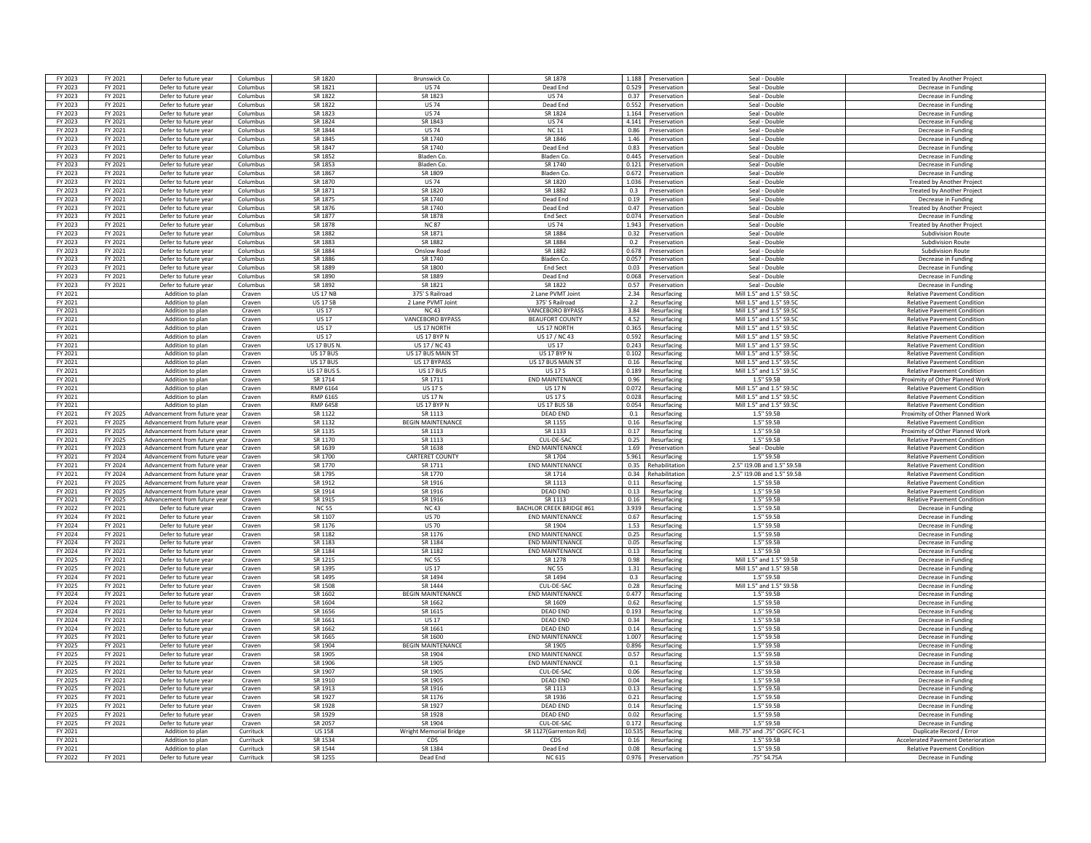| FY 2023            | FY 2021            | Defer to future yea                                          | Columbus         | SR 1820            | <b>Brunswick Co</b>           | SR 1878                         |              | 1.188 Preservation               | Seal - Double                | <b>Treated by Another Project</b>                                        |
|--------------------|--------------------|--------------------------------------------------------------|------------------|--------------------|-------------------------------|---------------------------------|--------------|----------------------------------|------------------------------|--------------------------------------------------------------------------|
| FY 2023            | FY 2021            | Defer to future year                                         | Columbus         | SR 1821            | <b>US 74</b>                  | Dead End                        |              | 0.529 Preservation               | Seal - Double                | Decrease in Funding                                                      |
| FY 2023            | FY 2021            | Defer to future year                                         | Columbus         | SR 1822            | SR 1823                       | <b>US 74</b>                    | 0.37         | Preservation                     | Seal - Double                | Decrease in Funding                                                      |
| FY 2023            | FY 2021            | Defer to future year                                         | Columbus         | SR 1822            | <b>US74</b>                   | Dead End                        | 0.552        | Preservation                     | Seal - Double                | Decrease in Funding                                                      |
| FY 2023            | FY 2021            | Defer to future year                                         | Columbus         | SR 1823            | <b>US74</b>                   | SR 1824                         | 1.164        | Preservation                     | Seal - Double                | Decrease in Funding                                                      |
| FY 2023            | FY 2021            | Defer to future year                                         | Columbus         | SR 1824            | SR 1843                       | <b>US74</b>                     | 4.141        | Preservation                     | Seal - Double                | Decrease in Fundin                                                       |
| FY 2023            | FY 2021            | Defer to future year                                         | Columbus         | SR 1844            | <b>US74</b>                   | <b>NC11</b>                     | 0.86         | Preservation                     | Seal - Double                | Decrease in Funding                                                      |
| FY 2023            | FY 2021            | Defer to future year                                         | Columbus         | SR 1845            | SR 1740                       | SR 1846                         |              | 1.46 Preservation                | Seal - Double                | Decrease in Funding                                                      |
| FY 2023            | FY 2021            | Defer to future year                                         | Columbus         | SR 1847            | SR 1740                       | Dead End                        |              | 0.83 Preservation                | Seal - Double                | Decrease in Funding                                                      |
| FY 2023            | FY 2021            | Defer to future year                                         | Columbus         | SR 1852            | Bladen Co                     | Bladen Co.                      |              | 0.445 Preservation               | Seal - Double                | Decrease in Funding                                                      |
| FY 2023            | FY 2021            | Defer to future year                                         | Columbus         | SR 1853            | <b>Bladen Co</b>              | SR 1740                         | 0.121        | Preservation                     | Seal - Double                | Decrease in Funding                                                      |
|                    |                    |                                                              |                  | SR 1867            | SR 1809                       |                                 |              |                                  |                              |                                                                          |
| FY 2023            | FY 2021            | Defer to future year                                         | Columbus         | <b>SR 1870</b>     |                               | Bladen Co.<br>SR 1820           | 0.672        | Preservation                     | Seal - Double                | Decrease in Funding                                                      |
| FY 2023            | FY 2021            | Defer to future year                                         | Columbus         |                    | <b>US74</b>                   |                                 | 1.036        | Preservation                     | Seal - Double                | <b>Treated by Another Proiec</b>                                         |
| FY 2023            | FY 2021            | Defer to future year                                         | Columbus         | SR 1871            | SR 1820                       | SR 1882                         | 0.3          | Preservation                     | Seal - Double                | <b>Treated by Another Projec</b>                                         |
| FY 2023            | FY 2021            | Defer to future year                                         | Columbus         | SR 1875            | SR 1740                       | Dead End                        |              | 0.19 Preservation                | Seal - Double                | Decrease in Funding                                                      |
| FY 2023            | FY 2021            | Defer to future year                                         | Columbus         | SR 1876            | SR 1740                       | Dead End                        |              | 0.47 Preservation                | Seal - Double                | <b>Treated by Another Project</b>                                        |
| FY 2023            | FY 2021            | Defer to future year                                         | Columbus         | SR 1877            | <b>SR 1878</b>                | <b>Fnd Sect</b>                 | 0.074        | Preservation                     | Seal - Double                | Decrease in Funding                                                      |
| FY 2023            | FY 2021            | Defer to future year                                         | Columbus         | <b>SR 1878</b>     | <b>NC 87</b>                  | <b>US74</b>                     | 1.943        | Preservation                     | Seal - Double                | Treated by Another Project                                               |
| FY 2023            | FY 2021            | Defer to future year                                         | Columbus         | SR 1882            | SR 1871                       | SR 1884                         | 0.32         | Preservation                     | Seal - Double                | <b>Subdivision Route</b>                                                 |
| FY 2023            | FY 2021            | Defer to future year                                         | Columbus         | SR 1883            | <b>SR 1882</b>                | SR 1884                         | 0.2          | Preservation                     | Seal - Double                | Subdivision Route                                                        |
| FY 2023            | FY 2021            | Defer to future year                                         | Columbus         | SR 1884            | Onslow Road                   | SR 1882                         | 0.678        | Preservation                     | Seal - Double                | <b>Subdivision Route</b>                                                 |
| FY 2023            | FY 2021            | Defer to future year                                         | Columbus         | SR 1886            | SR 1740                       | <b>Bladen Co</b>                | 0.057        | Preservation                     | Seal - Double                | Decrease in Funding                                                      |
| FY 2023            | FY 2021            | Defer to future year                                         | Columbus         | SR 1889            | SR 1800                       | End Sect                        |              | 0.03 Preservation                | Seal - Double                | Decrease in Funding                                                      |
| FY 2023            | FY 2021            | Defer to future year                                         | Columbus         | SR 1890            | SR 1889                       | Dead End                        | 0.068        | Preservation                     | Seal - Double                | Decrease in Funding                                                      |
| FY 2023            | FY 2021            | Defer to future year                                         | Columbus         | SR 1892            | SR 1821                       | SR 1822                         | 0.57         | Preservation                     | Seal - Double                | Decrease in Funding                                                      |
| FY 2021            |                    | Addition to plan                                             | Craven           | <b>US 17 NE</b>    | 375' S Railroad               | 2 Lane PVMT Joint               | 2.34         | Resurfacing                      | Mill 1.5" and 1.5" S9.50     | <b>Relative Pavement Conditio</b>                                        |
| FY 2021            |                    | Addition to plan                                             | Craven           | <b>US 17 SE</b>    | 2 Lane PVMT Joint             | 375' S Railroad                 | 2.2          | Resurfacing                      | Mill 1.5" and 1.5" \$9.50    | <b>Relative Pavement Condition</b>                                       |
| FY 2021            |                    | Addition to plan                                             | Craven           | <b>US17</b>        | <b>NC43</b>                   | VANCEBORO BYPASS                | 3.84         | Resurfacing                      | Mill 1.5" and 1.5" \$9.50    | <b>Relative Pavement Condition</b>                                       |
| FY 2021            |                    | Addition to plan                                             | Craven           | <b>US17</b>        | <b>VANCEBORO BYPASS</b>       | <b>BEAUFORT COUNTY</b>          | 4.52         | Resurfacing                      | Mill 1.5" and 1.5" S9.50     | <b>Relative Pavement Condition</b>                                       |
| FY 2021            |                    |                                                              |                  | <b>US17</b>        | US 17 NORTH                   | US 17 NORTH                     |              |                                  | Mill 1.5" and 1.5" S9.5C     |                                                                          |
|                    |                    | Addition to plan                                             | Craven           |                    |                               |                                 |              | 0.365 Resurfacing                |                              | <b>Relative Pavement Condition</b>                                       |
| FY 2021            |                    | Addition to plan                                             | Craven           | <b>US 17</b>       | US 17 BYP N                   | US 17 / NC 43                   | 0.592        | Resurfacing                      | Mill 1.5" and 1.5" S9.5C     | <b>Relative Pavement Condition</b>                                       |
| FY 2021            |                    | Addition to plan                                             | Craven           | <b>US 17 BUS N</b> | US 17 / NC 43                 | <b>US17</b>                     | 0.243        | Resurfacing                      | Mill 1.5" and 1.5" S9.5C     | <b>Relative Pavement Condition</b>                                       |
| FY 2021            |                    | Addition to plan                                             | Craven           | <b>US 17 BUS</b>   | US 17 BUS MAIN ST             | US 17 BYP N                     | 0.102        | Resurfacing                      | Mill 1.5" and 1.5" S9.50     | <b>Relative Pavement Condition</b>                                       |
| FY 2021            |                    | Addition to plan                                             | Craven           | <b>US 17 BUS</b>   | US 17 BYPASS                  | US 17 BUS MAIN S'               | 0.16         | Resurfacing                      | Mill 1.5" and 1.5" S9.5C     | <b>Relative Pavement Condition</b>                                       |
| FY 2021            |                    | Addition to plan                                             | Craven           | <b>US 17 BUS 5</b> | <b>US 17 BUS</b>              | <b>US 17 S</b>                  | 0.189        | Resurfacing                      | Mill 1.5" and 1.5" \$9.5C    | <b>Relative Pavement Condition</b>                                       |
| FY 2021            |                    | Addition to plan                                             | Craven           | SR 1714            | SR 1711                       | <b>FND MAINTFNANCE</b>          | 0.96         | Resurfacing                      | 1.5" S9.5B                   | Proximity of Other Planned Work                                          |
| FY 2021            |                    | Addition to plan                                             | Craven           | RMP 6164           | <b>US 17 S</b>                | <b>US17N</b>                    |              | 0.072 Resurfacing                | Mill 1.5" and 1.5" \$9.5C    | <b>Relative Pavement Condition</b>                                       |
| FY 2021            |                    | Addition to plan                                             | Craven           | RMP 6165           | <b>US 17 N</b>                | <b>US 17 S</b>                  | 0.028        | Resurfacing                      | Mill 1.5" and 1.5" S9.5C     | <b>Relative Pavement Condition</b>                                       |
| FY 2021            |                    | Addition to plan                                             | Craven           | <b>RMP 6458</b>    | <b>US 17 BYP N</b>            | US 17 BUS SB                    | 0.054        | Resurfacing                      | Mill 1.5" and 1.5" S9.5C     | <b>Relative Pavement Condition</b>                                       |
| FY 2021            | FY 2025            | Advancement from future yea                                  | Craven           | SR 1122            | SR 1113                       | <b>DEAD END</b>                 | 0.1          | Resurfacing                      | 1.5" S9.5B                   | Proximity of Other Planned Work                                          |
| FY 2021            | FY 2025            | Advancement from future year                                 | Craven           | SR 1132            | <b>BEGIN MAINTENANCE</b>      | SR 1155                         | 0.16         | Resurfacing                      | 15" SQ 5B                    | <b>Relative Pavement Condition</b>                                       |
| FY 2021            | FY 2025            | Advancement from future year                                 | Craven           | SR 1135            | SR 1113                       | SR 1133                         | 0.17         | Resurfacing                      | 1.5" S9.5B                   | Proximity of Other Planned Work                                          |
| FY 2021            | FY 2025            | Advancement from future year                                 | Craven           | SR 1170            | SR 1113                       | CUL-DE-SAC                      |              | 0.25 Resurfacing                 | 1.5" S9.5B                   | <b>Relative Pavement Condition</b>                                       |
| FY 2021            | FY 2023            | Advancement from future year                                 | Craven           | SR 1639            | SR 1638                       | <b>END MAINTENANCE</b>          |              | 1.69 Preservation                | Seal - Double                | <b>Relative Pavement Condition</b>                                       |
| FY 2021            | FY 2024            | Advancement from future year                                 | Craven           | SR 1700            | CARTERET COUNTY               | SR 1704                         |              | 5.961 Resurfacing                | 1.5" S9.5B                   | <b>Relative Pavement Condition</b>                                       |
| FY 2021            | FY 2024            | Advancement from future vear                                 | Craven           | SR 1770            | SR 1711                       | <b>END MAINTENANCE</b>          | 0.35         | Rehabilitation                   | 2.5" I19.0B and 1.5" S9.5B   | <b>Relative Pavement Condition</b>                                       |
| FY 2021            | FY 2024            | Advancement from future year                                 | Craven           | SR 1795            | SR 1770                       | SR 1714                         | 0.34         | Rehabilitation                   | 2.5" I19.0B and 1.5" S9.5B   | <b>Relative Pavement Condition</b>                                       |
|                    |                    |                                                              |                  |                    |                               | SR 1113                         |              |                                  |                              |                                                                          |
| FY 2021<br>FY 2021 | FY 2025<br>FY 2025 | Advancement from future year<br>Advancement from future year | Craven<br>Craven | SR 1912<br>SR 1914 | SR 1916<br>SR 1916            | DFAD FND                        | 0.11<br>0.13 | Resurfacing<br>Resurfacing       | 1.5" S9.5B<br>1.5" S9.5B     | <b>Relative Pavement Condition</b><br><b>Relative Pavement Condition</b> |
|                    |                    |                                                              |                  |                    |                               | SR 1113                         | 0.16         |                                  | 1.5" S9.5B                   | <b>Relative Pavement Condition</b>                                       |
| FY 2021            | FY 2025            | Advancement from future year                                 | Craven           | SR 1915            | SR 1916                       |                                 |              | Resurfacing                      |                              |                                                                          |
| FY 2022            | FY 2021            | Defer to future year                                         | Craven           | <b>NC 55</b>       | <b>NC43</b>                   |                                 |              |                                  |                              |                                                                          |
| FY 2024            | FY 2021            | Defer to future year                                         | Craven           |                    |                               | <b>BACHLOR CREEK BRIDGE #61</b> |              | 3.939 Resurfacing                | 1.5" S9.5B                   | Decrease in Funding                                                      |
| FY 2024            | FY 2021            | Defer to future year                                         |                  | SR 1107            | <b>US 70</b>                  | <b>END MAINTENANCE</b>          | 0.67         | Resurfacing                      | 1.5" S9.5B                   | Decrease in Funding                                                      |
| FY 2024            |                    |                                                              | Craven           | SR 1176            | <b>US70</b>                   | SR 1904                         | 1.53         | Resurfacing                      | 1.5" S9.5B                   | Decrease in Funding                                                      |
| FY 2024            | FY 2021            | Defer to future year                                         | Craven           | SR 1182            | SR 1176                       | <b>END MAINTENANCI</b>          | 0.25         | Resurfacing                      | 1.5" S9.5B                   | Decrease in Funding                                                      |
|                    | FY 2021            | Defer to future year                                         | Craven           | SR 1183            | SR 1184                       | <b>END MAINTENANCE</b>          | 0.05         | Resurfacing                      | 1.5" S9.5B                   | Decrease in Fundin                                                       |
| FY 2024            | FY 2021            | Defer to future year                                         | Craven           | SR 1184            | SR 1182                       | <b>END MAINTENANCE</b>          | 0.13         | Resurfacing                      | 1.5" S9.5B                   | Decrease in Funding                                                      |
| FY 2025            | FY 2021            | Defer to future year                                         | Craven           | SR 1215            | <b>NC 55</b>                  | SR 1278                         |              | 0.98 Resurfacing                 | Mill 1.5" and 1.5" S9.5E     | Decrease in Funding                                                      |
| FY 2025            | FY 2021            | Defer to future year                                         | Craven           | SR 1395            | <b>US 17</b>                  | <b>NC 55</b>                    |              | 1.31 Resurfacing                 | Mill 1.5" and 1.5" S9.5B     | Decrease in Funding                                                      |
| FY 2024            | FY 2021            | Defer to future year                                         | Craven           | SR 1495            | SR 1494                       | SR 1494                         | 0.3          | Resurfacing                      | 1.5" S9.5B                   | Decrease in Funding                                                      |
| FY 2025            | FY 2021            | Defer to future year                                         | Craven           | SR 1508            | SR 1444                       | CUL-DE-SAC                      | 0.28         | Resurfacing                      | Mill 1.5" and 1.5" S9.5B     | Decrease in Funding                                                      |
| FY 2024            | FY 2021            |                                                              | Craven           | SR 1602            | <b>BEGIN MAINTENANCE</b>      | <b>END MAINTENANC</b>           | 0.477        |                                  | 1.5" S9.5B                   |                                                                          |
| FY 2024            | FY 2021            | Defer to future year                                         |                  | SR 1604            | SR 1662                       | SR 1609                         | 0.62         | Resurfacing                      | 1.5" S9.5B                   | Decrease in Funding<br>Decrease in Fundin                                |
| FY 2024            | FY 2021            | Defer to future year<br>Defer to future year                 | Craven<br>Craven | SR 1656            | SR 1615                       | DFAD FND                        |              | Resurfacing<br>0.193 Resurfacing | 1.5" S9.5B                   | Decrease in Funding                                                      |
|                    |                    |                                                              |                  |                    |                               | DFAD FND                        | 0.34         |                                  |                              |                                                                          |
| FY 2024            | FY 2021            | Defer to future year                                         | Craven           | SR 1661            | <b>US 17</b>                  |                                 |              | Resurfacing                      | 1.5" S9.5B                   | Decrease in Fundin                                                       |
| FY 2024            | FY 2021            | Defer to future year                                         | Craven           | SR 1662            | SR 1661                       | <b>DEAD END</b>                 |              | 0.14 Resurfacing                 | 1.5" S9.5B                   | Decrease in Funding                                                      |
| FY 2025            | FY 2021            | Defer to future year                                         | Craven           | SR 1665            | SR 1600                       | <b>FND MAINTENANCE</b>          | 1.007        | Resurfacing                      | 1.5" S9.5B                   | Decrease in Funding                                                      |
| FY 2025            | FY 2021            | Defer to future year                                         | Craven           | SR 1904            | <b>BEGIN MAINTENANCE</b>      | SR 1905                         | 0.896        | Resurfacing                      | 1.5" S9.5B                   | Decrease in Funding                                                      |
| FY 2025            | FY 2021            | Defer to future year                                         | Craven           | SR 1905            | SR 1904                       | <b>END MAINTENANCE</b>          | 0.57         | Resurfacing                      | 1.5" S9.5B                   | Decrease in Funding                                                      |
| FY 2025            | FY 2021            | Defer to future year                                         | Craven           | SR 1906            | SR 1905                       | <b>END MAINTENANCE</b>          | 0.1          | Resurfacing                      | 1.5" S9.5B                   | Decrease in Fundin                                                       |
| FY 2025            | FY 2021            | Defer to future year                                         | Craven           | SR 1907            | SR 1905                       | CUL-DE-SAC                      | 0.06         | Resurfacing                      | 1.5" S9.5B                   | Decrease in Funding                                                      |
| FY 2025            | FY 2021            | Defer to future year                                         | Craven           | SR 1910            | SR 1905                       | DFAD FND                        | 0.04         | Resurfacing                      | 1.5" S9.5F                   | Decrease in Funding                                                      |
| FY 2025            | FY 2021            | Defer to future year                                         | Craven           | SR 1913            | SR 1916                       | SR 1113                         |              | 0.13 Resurfacing                 | 1.5" S9.5B                   | Decrease in Funding                                                      |
| FY 2025            | FY 2021            | Defer to future year                                         | Craven           | SR 1927            | SR 1176                       | SR 1936                         |              | 0.21 Resurfacing                 | 1.5" S9.5B                   | Decrease in Funding                                                      |
| FY 2025            | FY 2021            | Defer to future year                                         | Craven           | SR 1928            | SR 1927                       | <b>DEAD END</b>                 | 0.14         | Resurfacing                      | 1.5" S9.5B                   | Decrease in Funding                                                      |
| FY 2025            | FY 2021            | Defer to future year                                         | Craven           | SR 1929            | SR 1928                       | DFAD FND                        | 0.02         | Resurfacing                      | $1.5"$ S9.5E                 | Decrease in Funding                                                      |
| FY 2025            | FY 2021            | Defer to future year                                         | Craven           | SR 2057            | SR 1904                       | CUL-DE-SAC                      | 0.172        | Resurfacing                      | 1.5" S9.5E                   | Decrease in Funding                                                      |
| FY 2021            |                    | Addition to plan                                             | Currituck        | <b>US158</b>       | <b>Wright Memorial Bridge</b> | SR 1127(Garrenton Rd)           | 10.535       | Resurfacing                      | Mill .75" and .75" OGFC FC-1 | Duplicate Record / Frrou                                                 |
| FY 2021            |                    | Addition to plan                                             | Currituck        | SR 1534            | CDS                           | CDS                             | 0.16         | Resurfacing                      | 1.5" S9.5B                   | <b>Accelerated Pavement Deterioration</b>                                |
| FY 2021            |                    |                                                              | Currituck        | SR 1544            | SR 1384                       | Dead End                        | 0.08         | Resurfacing                      | 1.5" S9.5B                   |                                                                          |
| FY 2022            | FY 2021            | Addition to plan<br>Defer to future year                     | Currituck        | SR 1255            | Dead End                      | <b>NC 615</b>                   |              | 0.976 Preservation               | .75" S4.75A                  | <b>Relative Pavement Condition</b><br>Decrease in Funding                |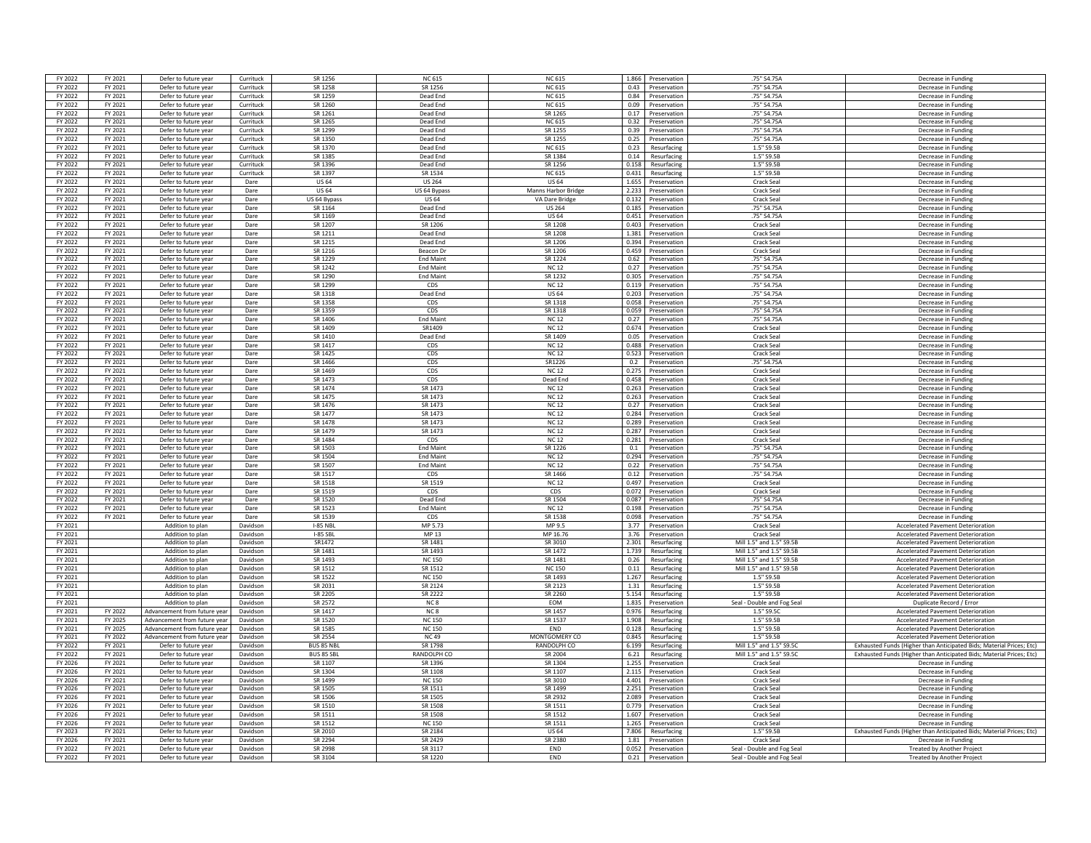| FY 2022            | FY 2021            | Defer to future year                         | Currituck            | SR 1256            | <b>NC 615</b>      | <b>NC 615</b>          | 1.866<br>Preservation                         | .75" S4.75A                                              | Decrease in Funding                                                    |
|--------------------|--------------------|----------------------------------------------|----------------------|--------------------|--------------------|------------------------|-----------------------------------------------|----------------------------------------------------------|------------------------------------------------------------------------|
| FY 2022            | FY 2021            | Defer to future year                         | Currituck            | SR 1258            | SR 1256            | <b>NC 615</b>          | 0.43 Preservation                             | .75" S4.75A                                              | Decrease in Funding                                                    |
| FY 2022            | FY 2021            | Defer to future year                         | Currituck            | SR 1259            | Dead End           | <b>NC 615</b>          | 0.84<br>Preservation                          | .75" S4.75A                                              | Decrease in Funding                                                    |
| FY 2022            | FY 2021            | Defer to future year                         | Currituck            | SR 1260            | Dead End           | <b>NC 615</b>          | 0.09<br>Preservation                          | .75" S4.75A                                              | Decrease in Funding                                                    |
| FY 2022            | FY 2021            | Defer to future year                         | Currituck            | SR 1261            | Dead End           | SR 1265                | 0.17<br>Preservation                          | .75" S4.75A                                              | Decrease in Funding                                                    |
|                    |                    |                                              |                      |                    |                    |                        |                                               |                                                          |                                                                        |
| FY 2022            | FY 2021            | Defer to future year                         | Currituck            | SR 1265            | Dead End           | <b>NC 615</b>          | 0.32<br>Preservation                          | .75" S4.75A                                              | Decrease in Fundin                                                     |
| FY 2022            | FY 2021            | Defer to future year                         | Currituck            | SR 1299            | Dead End           | SR 1255                | 0.39<br>Preservation                          | .75" S4.75A                                              | Decrease in Funding                                                    |
| FY 2022            | FY 2021            | Defer to future year                         | Currituck            | SR 1350            | Dead End           | SR 1255                | 0.25<br>Preservation                          | .75" S4.75A                                              | Decrease in Funding                                                    |
| FY 2022            | FY 2021            | Defer to future year                         | Currituck            | SR 1370            | Dead End           | <b>NC 615</b>          | 0.23 Resurfacing                              | 1.5" S9.5B                                               | Decrease in Funding                                                    |
| FY 2022            | FY 2021            | Defer to future year                         | Currituck            | SR 1385            | Dead End           | SR 1384                | 0.14<br>Resurfacing                           | 1.5" S9.5B                                               | Decrease in Funding                                                    |
| FY 2022            | FY 2021            | Defer to future year                         | Currituck            | SR 1396            | Dead End           | SR 1256                | 0.158<br>Resurfacing                          | 1.5" S9.5B                                               | Decrease in Funding                                                    |
| FY 2022            | FY 2021            | Defer to future year                         | Currituck            | SR 1397            | SR 1534            | <b>NC 615</b>          | 0.431<br>Resurfacing                          | 1.5" S9.5B                                               | Decrease in Funding                                                    |
| <b>FY 2022</b>     | FY 2021            | Defer to future year                         | Dare                 | <b>US 64</b>       | <b>US 264</b>      | <b>US64</b>            | 1.655<br>Preservation                         | Crack Seal                                               | Decrease in Funding                                                    |
| FY 2022            | FY 2021            | Defer to future year                         | Dare                 | <b>US 64</b>       | US 64 Bypass       | Manns Harbor Bridge    | 2.233<br>Preservation                         | <b>Crack Seal</b>                                        | Decrease in Fundin                                                     |
| FY 2022            | FY 2021            | Defer to future year                         | Dare                 | US 64 Bypass       | <b>US 64</b>       | VA Dare Bridge         | 0.132<br>Preservation                         | Crack Seal                                               | Decrease in Funding                                                    |
| FY 2022            | FY 2021            | Defer to future year                         | Dare                 | SR 1164            | Dead End           | <b>US 264</b>          | 0.185<br>Preservation                         | .75" S4.75A                                              | Decrease in Funding                                                    |
| FY 2022            | FY 2021            | Defer to future year                         | Dare                 | SR 1169            | Dead End           | <b>US 64</b>           | 0.451<br>Preservation                         | .75" S4.75A                                              | Decrease in Funding                                                    |
| FY 2022            | FY 2021            | Defer to future year                         | Dare                 | SR 1207            | SR 1206            | SR 1208                | 0.403<br>Preservation                         | <b>Crack Seal</b>                                        | Decrease in Funding                                                    |
| FY 2022            | FY 2021            | Defer to future year                         | Dare                 | SR 1211            | Dead End           | SR 1208                | 1.381<br>Preservation                         | Crack Seal                                               | Decrease in Funding                                                    |
| FY 2022            |                    |                                              |                      | SR 1215            | Dead End           | SR 1206                | 0.394                                         | Crack Sea                                                |                                                                        |
| FY 2022            | FY 2021<br>FY 2021 | Defer to future year<br>Defer to future year | Dare<br>Dare         | SR 1216            | Beacon Dr          | SR 1206                | Preservation<br>0.459                         | <b>Crack Seal</b>                                        | Decrease in Funding                                                    |
|                    |                    |                                              |                      |                    |                    |                        | Preservation<br>0.62                          |                                                          | Decrease in Funding                                                    |
| FY 2022            | FY 2021            | Defer to future year                         | Dare                 | SR 1229            | <b>End Maint</b>   | SR 1224                | Preservation                                  | .75" S4.75A                                              | Decrease in Funding                                                    |
| FY 2022            | FY 2021            | Defer to future year                         | Dare                 | SR 1242            | <b>End Maint</b>   | <b>NC12</b>            | 0.27 Preservation                             | .75" S4.75A                                              | Decrease in Funding                                                    |
| FY 2022            | FY 2021            | Defer to future year                         | Dare                 | SR 1290            | <b>Fnd Maint</b>   | SR 1232                | 0.305<br>Preservation                         | .75" S4.75A                                              | Decrease in Funding                                                    |
| FY 2022            | FY 2021            | Defer to future year                         | Dare                 | SR 1299            | CDS                | <b>NC12</b>            | 0.119<br>Preservation                         | .75" S4.75A                                              | Decrease in Funding                                                    |
| FY 2022            | FY 2021            | Defer to future year                         | Dare                 | SR 1318            | Dead End           | <b>US 64</b>           | 0.203<br>Preservation                         | .75" S4.75A                                              | Decrease in Funding                                                    |
| FY 2022            | FY 2021            | Defer to future year                         | Dare                 | SR 1358            | CDS                | SR 1318                | 0.058<br>Preservation                         | .75" S4.75A                                              | Decrease in Funding                                                    |
| FY 2022            | FY 2021            | Defer to future year                         | Dare                 | SR 1359            | CDS                | SR 1318                | 0.059<br>Preservation                         | .75" S4.75A                                              | Decrease in Fundin                                                     |
| FY 2022            | FY 2021            | Defer to future year                         | Dare                 | SR 1406            | End Maint          | <b>NC12</b>            | 0.27<br>Preservation                          | .75" S4.75A                                              | Decrease in Funding                                                    |
| FY 2022            | FY 2021            | Defer to future year                         | Dare                 | SR 1409            | SR1409             | <b>NC12</b>            | 0.674<br>Preservation                         | <b>Crack Seal</b>                                        | Decrease in Funding                                                    |
| FY 2022            | FY 2021            | Defer to future year                         | Dare                 | SR 1410            | Dead End           | SR 1409                | 0.05<br>Preservation                          | Crack Seal                                               | Decrease in Funding                                                    |
| FY 2022            | FY 2021            | Defer to future year                         | Dare                 | SR 1417            | CDS                | <b>NC12</b>            | 0.488<br>Preservation                         | Crack Seal                                               | Decrease in Funding                                                    |
| FY 2022            | FY 2021            | Defer to future year                         | Dare                 | SR 1425            | CDS                | <b>NC12</b>            | 0.523<br>Preservation                         | Crack Seal                                               | Decrease in Funding                                                    |
| FY 2022            | FY 2021            | Defer to future year                         | Dare                 | SR 1466            | CDS                | SR1226                 | 0.2<br>Preservation                           | .75" S4.75A                                              | Decrease in Funding                                                    |
| FY 2022            | FY 2021            | Defer to future year                         | Dare                 | SR 1469            | CDS                | <b>NC12</b>            | 0.275<br>Preservation                         | Crack Seal                                               | Decrease in Funding                                                    |
| FY 2022            | FY 2021            | Defer to future year                         | Dare                 | SR 1473            | CDS                | Dead End               | 0.458<br>Preservation                         | Crack Seal                                               | Decrease in Fundin                                                     |
| FY 2022            | FY 2021            | Defer to future year                         | Dare                 | SR 1474            | SR 1473            | <b>NC 12</b>           | 0.263<br>Preservation                         | Crack Seal                                               | Decrease in Funding                                                    |
| FY 2022            | FY 2021            | Defer to future year                         | Dare                 | SR 1475            | SR 1473            | <b>NC 12</b>           | 0.263<br>Preservation                         | Crack Seal                                               | Decrease in Funding                                                    |
| FY 2022            | FY 2021            |                                              | Dare                 | SR 1476            | SR 1473            | <b>NC12</b>            | 0.27<br>Preservation                          | <b>Crack Seal</b>                                        | Decrease in Funding                                                    |
|                    |                    | Defer to future year                         |                      |                    |                    |                        |                                               |                                                          |                                                                        |
| FY 2022            | FY 2021            | Defer to future year                         | Dare                 | SR 1477            | SR 1473            | <b>NC 12</b>           | 0.284<br>Preservation                         | Crack Seal                                               | Decrease in Funding                                                    |
| FY 2022            | FY 2021            | Defer to future year                         | Dare                 | SR 1478            | SR 1473            | <b>NC12</b>            | 0.289<br>Preservation                         | Crack Seal                                               | Decrease in Fundin                                                     |
| <b>FV 2022</b>     | FY 2021            | Defer to future year                         | Dare                 | SR 1479            | SR 1473            | <b>NC12</b>            | 0.287<br>Preservation                         | Crack Seal                                               | Decrease in Fundin                                                     |
| FY 2022            | FY 2021            | Defer to future year                         | Dare                 | SR 1484            | CDS                | <b>NC12</b>            | 0.281<br>Preservation                         | <b>Crack Seal</b>                                        | Decrease in Funding                                                    |
| FY 2022            | FY 2021            | Defer to future year                         | Dare                 | SR 1503            | <b>End Maint</b>   | SR 1226                | 0.1<br>Preservation                           | .75" S4.75A                                              | Decrease in Funding                                                    |
| FY 2022            | FY 2021            | Defer to future year                         | Dare                 | SR 1504            | <b>End Maint</b>   | <b>NC 12</b>           | 0.294<br>Preservation                         | .75" S4.75A                                              | Decrease in Funding                                                    |
| FY 2022            | FY 2021            | Defer to future year                         | Dare                 | SR 1507            | <b>End Maint</b>   | <b>NC12</b>            | 0.22<br>Preservation                          | .75" S4.75A                                              | Decrease in Funding                                                    |
| FY 2022            | FY 2021            | Defer to future year                         | Dare                 | SR 1517            | CDS                | SR 1466                | 0.12<br>Preservation                          | .75" S4.75A                                              | Decrease in Funding                                                    |
| FY 2022            |                    |                                              | Dare                 | SR 1518            | SR 1519            | <b>NC12</b>            |                                               |                                                          |                                                                        |
| FY 2022            | FY 2021            | Defer to future year                         |                      |                    |                    |                        | 0.497<br>Preservation                         | Crack Seal                                               | Decrease in Funding                                                    |
|                    | FY 2021            | Defer to future year                         | Dare                 | SR 1519            | CDS                | CDS                    | 0.072<br>Preservation                         | Crack Seal                                               | Decrease in Funding                                                    |
|                    |                    |                                              | Dare                 |                    | Dead End           |                        | Preservation                                  |                                                          | Decrease in Funding                                                    |
| FY 2022            | FY 2021<br>FY 2021 | Defer to future year                         | Dare                 | SR 1520            |                    | SR 1504                | 0.087<br>0.198<br>Preservation                | .75" S4.75A                                              | Decrease in Funding                                                    |
| FY 2022            |                    | Defer to future year                         |                      | SR 1523            | <b>End Maint</b>   | <b>NC12</b><br>SR 1538 | 0.098                                         | .75" S4.75A                                              |                                                                        |
| FY 2022            | FY 2021            | Defer to future year                         | Dare                 | SR 1539            | CDS                |                        | Preservation                                  | .75" S4.75A                                              | Decrease in Funding                                                    |
| FY 2021            |                    | Addition to plan                             | Davidson             | <b>I-85 NBI</b>    | MP 5.73            | MP 9.5                 | 3.77<br>Preservation                          | Crack Seal                                               | <b>Accelerated Payement Deterioration</b>                              |
| FY 2021            |                    | Addition to plan                             | Davidson             | $-85$ SBL          | MP 13              | MP 16.76               | 3.76<br>Preservation                          | Crack Seal                                               | <b>Accelerated Pavement Deterioration</b>                              |
| FY 2021            |                    | Addition to plar                             | Davidson             | SR1472             | SR 1481            | SR 3010                | 2.301<br>Resurfacing                          | Mill 1.5" and 1.5" S9.5B                                 | <b>Accelerated Pavement Deterioration</b>                              |
| FY 2021            |                    | Addition to plan                             | Davidson             | SR 1481            | SR 1493            | SR 1472                | 1.739<br>Resurfacing                          | Mill 1.5" and 1.5" S9.5B                                 | <b>Accelerated Pavement Deterioration</b>                              |
| FY 2021            |                    | Addition to plan                             | Davidson             | SR 1493            | <b>NC150</b>       | SR 1481                | 0.26<br>Resurfacing                           | Mill 1.5" and 1.5" S9.5B                                 | <b>Accelerated Pavement Deterioration</b>                              |
| FY 2021            |                    | Addition to plan                             | Davidson             | SR 1512            | SR 1512            | <b>NC150</b>           | 0.11<br>Resurfacing                           | Mill 1.5" and 1.5" S9.5B                                 | <b>Accelerated Pavement Deterioration</b>                              |
| FY 2021            |                    | Addition to plan                             | Davidson             | SR 1522            | <b>NC 150</b>      | SR 1493                | 1.267 Resurfacing                             | 1.5" S9.5B                                               | <b>Accelerated Pavement Deterioration</b>                              |
| FY 2021            |                    | Addition to plan                             | Davidson             | SR 2031            | SR 2124            | SR 2123                | 1.31 Resurfacing                              | 1.5" S9.5B                                               | <b>Accelerated Payement Deterioration</b>                              |
| FY 2021            |                    | Addition to plan                             | Davidson             | SR 2205            | SR 2222            | SR 2260                | 5.154<br>Resurfacing                          | 1.5"59.56                                                | <b>Accelerated Pavement Deterioration</b>                              |
| FY 2021            |                    | Addition to plar                             | Davidson             | SR 2572            | NC <sub>8</sub>    | EOM                    | 1.835<br>Preservation                         | Seal - Double and Fog Seal                               | Duplicate Record / Error                                               |
| FY 2021            | FY 2022            | Advancement from future yea                  | Davidson             | SR 1417            | NC <sub>8</sub>    | SR 1457                | 0.976<br>Resurfacing                          | 1.5"59.50                                                | <b>Accelerated Pavement Deterioratio</b>                               |
| FY 2021            | FY 2025            | Advancement from future year                 | Davidson             | SR 1520            | <b>NC 150</b>      | SR 1537                | 1.908<br>Resurfacing                          | 1.5" S9.5B                                               | <b>Accelerated Pavement Deterioration</b>                              |
| FY 2021            | FY 2025            | Advancement from future year                 | Davidson             | SR 1585            | <b>NC 150</b>      | END                    | 0.128<br>Resurfacing                          | 1.5" S9.5B                                               | <b>Accelerated Pavement Deterioration</b>                              |
| FY 2021            | FY 2022            | Advancement from future year                 | Davidson             | SR 2554            | <b>NC49</b>        | MONTGOMERY CO          | 0.845<br>Resurfacing                          | 1.5" S9.5B                                               | Accelerated Pavement Deterioration                                     |
| FY 2022            | FY 2021            | Defer to future year                         | Davidson             | BUS 85 NBI         | SR 1798            | RANDOLPH CO            | 6.199<br>Resurfacing                          | Mill 1.5" and 1.5" S9.50                                 | Exhausted Funds (Higher than Anticipated Bids; Material Prices; Etc)   |
| FY 2022            | FY 2021            | Defer to future year                         | Davidson             | BUS 85 SBL         | RANDOLPH CO        | SR 2004                | 6.21<br>Resurfacing                           | Mill 1.5" and 1.5" S9.50                                 | Exhausted Funds (Higher than Anticipated Bids; Material Prices; Etc)   |
| FY 2026            | FY 2021            | Defer to future year                         | Davidson             | SR 1107            | SR 1396            | SR 1304                | 1.255<br>Preservation                         | Crack Seal                                               | Decrease in Funding                                                    |
| FY 2026            |                    |                                              |                      | SR 1304            | SR 1108            | SR 1107                | 2.115                                         |                                                          |                                                                        |
| FY 2026            | FY 2021<br>FY 2021 | Defer to future year<br>Defer to future year | Davidson<br>Davidson |                    | <b>NC 150</b>      |                        | Preservation<br>4.401<br>Preservation         | Crack Seal<br>Crack Seal                                 | Decrease in Funding                                                    |
| FY 2026            |                    |                                              | Davidson             | SR 1499<br>SR 1505 | SR 1511            | SR 3010<br>SR 1499     | 2.251                                         |                                                          | Decrease in Funding<br>Decrease in Fundin                              |
|                    | FY 2021            | Defer to future year                         |                      |                    |                    |                        | Preservation                                  | Crack Seal                                               |                                                                        |
| FY 2026            | FY 2021            | Defer to future year                         | Davidson             | SR 1506            | SR 1505            | SR 2932                | 2.089<br>Preservation                         | Crack Seal                                               | Decrease in Funding                                                    |
| FY 2026            | FY 2021            | Defer to future year                         | Davidson             | SR 1510            | SR 1508            | SR 1511                | 0.779 Preservation                            | Crack Seal                                               | Decrease in Funding                                                    |
| FY 2026            | FY 2021            | Defer to future year                         | Davidson             | SR 1511            | SR 1508            | SR 1512                | 1.607<br>Preservation                         | Crack Seal                                               | Decrease in Funding                                                    |
| FY 2026            | FY 2021            | Defer to future year                         | Davidson             | SR 1512            | <b>NC 150</b>      | SR 1511                | 1.265<br>Preservation                         | Crack Sea                                                | Decrease in Funding                                                    |
| FY 2023            | FY 2021            | Defer to future year                         | Davidson             | SR 2010            | SR 2184            | <b>US 64</b>           | 7.806<br>Resurfacing                          | $1.5"$ S9.5E                                             | Exhausted Funds (Higher than Anticipated Bids: Material Prices: Etc)   |
| FY 2026            | FY 2021            | Defer to future year                         | Davidson             | SR 2294            | SR 2429            | SR 2380                | 1.81<br>Preservation                          | <b>Crack Seal</b>                                        | Decrease in Funding                                                    |
| FY 2022<br>FY 2022 | FY 2021<br>FY 2021 | Defer to future year<br>Defer to future year | Davidson<br>Davidson | SR 2998<br>SR 3104 | SR 3117<br>SR 1220 | <b>END</b><br>END      | 0.052<br>Preservation<br>0.21<br>Preservation | Seal - Double and Fog Seal<br>Seal - Double and Fog Seal | <b>Treated by Another Project</b><br><b>Treated by Another Project</b> |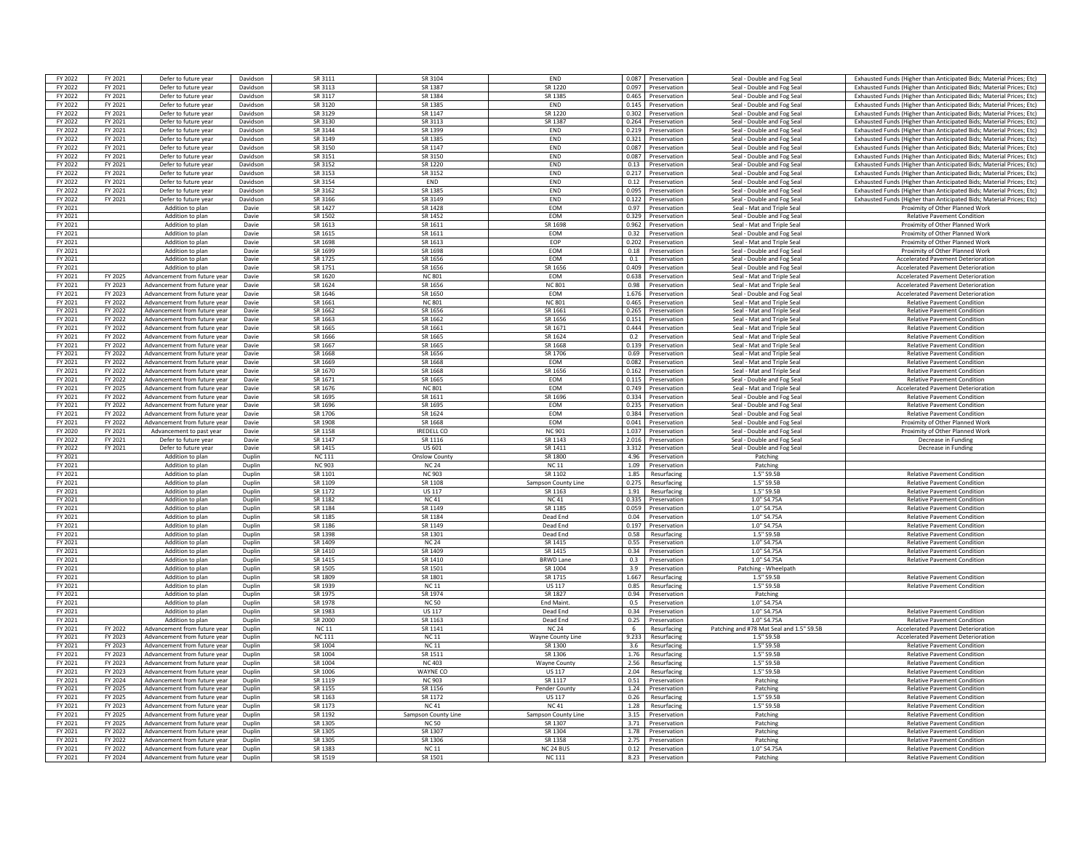| FY 2022 | FY 2021 | Defer to future year         | Davidson | SR 3111       | SR 3104              | END                      |       | 0.087 Preservation | Seal - Double and Fog Sea                | Exhausted Funds (Higher than Anticipated Bids: Material Prices: Etc) |
|---------|---------|------------------------------|----------|---------------|----------------------|--------------------------|-------|--------------------|------------------------------------------|----------------------------------------------------------------------|
|         |         |                              |          |               |                      |                          |       |                    |                                          |                                                                      |
| FY 2022 | FY 2021 | Defer to future year         | Davidson | SR 3113       | SR 1387              | SR 1220                  |       | 0.097 Preservation | Seal - Double and Fog Seal               | Exhausted Funds (Higher than Anticipated Bids; Material Prices; Etc) |
| FY 2022 | FY 2021 | Defer to future year         | Davidson | SR 3117       | SR 1384              | SR 1385                  |       | 0.465 Preservation | Seal - Double and Fog Seal               | Exhausted Funds (Higher than Anticipated Bids; Material Prices; Etc) |
| FY 2022 | FY 2021 | Defer to future year         | Davidson | SR 3120       | SR 1385              | END                      |       | 0.145 Preservation | Seal - Double and Fog Seal               | Exhausted Funds (Higher than Anticipated Bids; Material Prices; Etc) |
| FY 2022 | FY 2021 | Defer to future year         | Davidson | SR 3129       | SR 1147              | SR 1220                  | 0.302 | Preservation       | Seal - Double and Fog Seal               | Exhausted Funds (Higher than Anticipated Bids: Material Prices: Etc) |
|         |         |                              |          |               |                      |                          |       |                    |                                          |                                                                      |
| FY 2022 | FY 2021 | Defer to future year         | Davidson | SR 3130       | SR 3113              | SR 1387                  | 0.264 | Preservation       | Seal - Double and Fog Seal               | Exhausted Funds (Higher than Anticipated Bids; Material Prices; Etc) |
| FY 2022 | FY 2021 | Defer to future year         | Davidson | SR 3144       | SR 1399              | <b>FND</b>               | 0.219 | Preservation       | Seal - Double and Fog Sea                | Exhausted Funds (Higher than Anticipated Bids; Material Prices; Etc) |
| FY 2022 | FY 2021 | Defer to future year         | Davidson | SR 3149       | SR 1385              | <b>FND</b>               | 0.321 | Preservation       | Seal - Double and Fog Seal               | Exhausted Funds (Higher than Anticipated Bids; Material Prices; Etc) |
| FY 2022 | FY 2021 | Defer to future year         | Davidson | SR 3150       | SR 1147              | END                      | 0.087 | Preservation       | Seal - Double and Fog Seal               | Exhausted Funds (Higher than Anticipated Bids; Material Prices; Etc) |
|         |         |                              |          |               |                      |                          |       |                    |                                          |                                                                      |
| FY 2022 | FY 2021 | Defer to future year         | Davidson | SR 3151       | SR 3150              | END                      |       | 0.087 Preservation | Seal - Double and Fog Seal               | Exhausted Funds (Higher than Anticipated Bids; Material Prices; Etc) |
| FY 2022 | FY 2021 | Defer to future year         | Davidson | SR 3152       | SR 1220              | <b>FND</b>               |       | 0.13 Preservation  | Seal - Double and Fog Seal               | Exhausted Funds (Higher than Anticipated Bids; Material Prices; Etc) |
| FY 2022 | FY 2021 | Defer to future year         | Davidson | SR 3153       | SR 3152              | END                      | 0.217 | Preservation       | Seal - Double and Fog Seal               | Exhausted Funds (Higher than Anticipated Bids; Material Prices; Etc) |
| FY 2022 | FY 2021 | Defer to future year         | Davidson | SR 3154       | END                  | END                      | 0.12  | Preservation       | Seal - Double and Fog Sea                | Exhausted Funds (Higher than Anticipated Bids: Material Prices: Etc) |
|         |         |                              |          |               |                      |                          |       |                    |                                          |                                                                      |
| FY 2022 | FY 2021 | Defer to future year         | Davidson | SR 3162       | SR 1385              | END                      | 0.095 | Preservation       | Seal - Double and Fog Seal               | Exhausted Funds (Higher than Anticipated Bids; Material Prices; Etc) |
| FY 2022 | FY 2021 | Defer to future year         | Davidson | SR 3166       | SR 3149              | END                      | 0.122 | Preservation       | Seal - Double and Fog Seal               | Exhausted Funds (Higher than Anticipated Bids: Material Prices: Etc) |
| FY 2021 |         | Addition to plan             | Davie    | SR 1427       | SR 1428              | EOM                      |       | 0.97 Preservation  | Seal - Mat and Triple Seal               | Proximity of Other Planned Work                                      |
|         |         |                              |          |               |                      |                          |       |                    |                                          |                                                                      |
| FY 2021 |         | Addition to plan             | Davie    | SR 1502       | SR 1452              | EOM                      |       | 0.329 Preservation | Seal - Double and Fog Seal               | <b>Relative Pavement Condition</b>                                   |
| FY 2021 |         | Addition to plan             | Davie    | SR 1613       | SR 1611              | SR 1698                  | 0.962 | Preservation       | Seal - Mat and Triple Seal               | Proximity of Other Planned Work                                      |
| FY 2021 |         | Addition to plan             | Davie    | SR 1615       | SR 1611              | EOM                      | 0.32  | Preservation       | Seal - Double and Fog Seal               | Proximity of Other Planned Work                                      |
| FY 2021 |         | Addition to plan             | Davie    | SR 1698       | SR 1613              | EOP                      | 0.202 | Preservation       | Seal - Mat and Triple Seal               | Proximity of Other Planned Work                                      |
|         |         |                              |          | SR 1699       | SR 1698              | <b>FOM</b>               |       |                    |                                          |                                                                      |
| FY 2021 |         | Addition to plan             | Davie    |               |                      |                          |       | 0.18 Preservation  | Seal - Double and Fog Seal               | Proximity of Other Planned Work                                      |
| FY 2021 |         | Addition to plan             | Davie    | SR 1725       | SR 1656              | EOM                      | 0.1   | Preservation       | Seal - Double and Fog Sea                | <b>Accelerated Pavement Deterioration</b>                            |
| FY 2021 |         | Addition to plan             | Davie    | SR 1751       | SR 1656              | SR 1656                  | 0.409 | Preservation       | Seal - Double and Fog Seal               | <b>Accelerated Pavement Deterioration</b>                            |
| FY 2021 | FY 2025 | Advancement from future year | Davie    | SR 1620       | <b>NC 801</b>        | <b>FOM</b>               |       | 0.638 Preservation | Seal - Mat and Triple Seal               | <b>Accelerated Pavement Deterioration</b>                            |
|         |         |                              |          | SR 1624       | SR 1656              |                          |       |                    |                                          |                                                                      |
| FY 2021 | FY 2023 | Advancement from future year | Davie    |               |                      | <b>NC 801</b>            | 0.98  | Preservation       | Seal - Mat and Triple Seal               | <b>Accelerated Payement Deterioration</b>                            |
| FY 2021 | FY 2023 | Advancement from future vea  | Davie    | SR 1646       | SR 1650              | EOM                      | 1.676 | Preservation       | Seal - Double and Fog Seal               | <b>Accelerated Pavement Deterioration</b>                            |
| FY 2021 | FY 2022 | Advancement from future yea  | Davie    | SR 1661       | <b>NC 801</b>        | <b>NC 801</b>            | 0.465 | Preservation       | Seal - Mat and Triple Seal               | <b>Relative Pavement Condition</b>                                   |
| FY 2021 | FY 2022 | Advancement from future yea  | Davie    | SR 1662       | SR 1656              | SR 1661                  | 0.265 | Preservatio        | Seal - Mat and Triple Sea                | <b>Relative Pavement Condition</b>                                   |
|         |         |                              |          |               |                      |                          |       |                    |                                          |                                                                      |
| FY 2021 | FY 2022 | Advancement from future vear | Davie    | SR 1663       | SR 1662              | SR 1656                  | 0.151 | Preservation       | Seal - Mat and Triple Seal               | <b>Relative Pavement Condition</b>                                   |
| FY 2021 | FY 2022 | Advancement from future year | Davie    | SR 1665       | SR 1661              | SR 1671                  |       | 0.444 Preservation | Seal - Mat and Triple Seal               | <b>Relative Pavement Condition</b>                                   |
| FY 2021 | FY 2022 | Advancement from future year | Davie    | SR 1666       | SR 1665              | SR 1624                  |       | 0.2 Preservation   | Seal - Mat and Triple Seal               | <b>Relative Pavement Condition</b>                                   |
| FY 2021 | FY 2022 | Advancement from future vear | Davie    | SR 1667       | SR 1665              | SR 1668                  | 0.139 | Preservation       | Seal - Mat and Triple Seal               | <b>Relative Pavement Condition</b>                                   |
|         |         |                              |          |               |                      |                          |       |                    |                                          |                                                                      |
| FY 2021 | FY 2022 | Advancement from future vea  | Davie    | SR 1668       | SR 1656              | SR 1706                  | 0.69  | Preservation       | Seal - Mat and Triple Seal               | <b>Relative Pavement Condition</b>                                   |
| FY 2021 | FY 2022 | Advancement from future vear | Davie    | SR 1669       | SR 1668              | EOM                      | 0.082 | Preservation       | Seal - Mat and Triple Seal               | <b>Relative Pavement Condition</b>                                   |
| FY 2021 | FY 2022 | Advancement from future year | Davie    | SR 1670       | SR 1668              | SR 1656                  |       | 0.162 Preservation | Seal - Mat and Triple Seal               | <b>Relative Payement Condition</b>                                   |
| FY 2021 | FY 2022 | Advancement from future vea  | Davie    | SR 1671       | SR 1665              | EOM                      | 0.115 | Preservation       | Seal - Double and Fog Seal               | <b>Relative Pavement Condition</b>                                   |
|         |         |                              |          |               |                      |                          |       |                    |                                          |                                                                      |
| FY 2021 | FY 2025 | Advancement from future year | Davie    | SR 1676       | <b>NC 801</b>        | EOM                      |       | 0.749 Preservation | Seal - Mat and Triple Seal               | <b>Accelerated Pavement Deterioration</b>                            |
| FY 2021 | FY 2022 | Advancement from future year | Davie    | SR 1695       | SR 1611              | SR 1696                  |       | 0.334 Preservation | Seal - Double and Fog Seal               | <b>Relative Pavement Condition</b>                                   |
| FY 2021 | FY 2022 | Advancement from future year | Davie    | SR 1696       | SR 1695              | EOM                      | 0.235 | Preservation       | Seal - Double and Fog Seal               | <b>Relative Pavement Condition</b>                                   |
| FY 2021 | FY 2022 | Advancement from future vear | Davie    | SR 1706       | SR 1624              | EOM                      | 0.384 | Preservation       |                                          | <b>Relative Pavement Condition</b>                                   |
|         |         |                              |          |               |                      |                          |       |                    | Seal - Double and Fog Seal               |                                                                      |
| FY 2021 | FY 2022 | Advancement from future vea  | Davie    | SR 1908       | SR 1668              | EOM                      | 0.041 | Preservation       | Seal - Double and Fog Seal               | Proximity of Other Planned Work                                      |
| FY 2020 | FY 2021 | Advancement to past year     | Davie    | SR 1158       | <b>IREDELL CO</b>    | <b>NC 901</b>            | 1.037 | Preservation       | Seal - Double and Fog Seal               | Proximity of Other Planned Work                                      |
| FY 2022 | FY 2021 | Defer to future year         | Davie    | SR 1147       | SR 1116              | SR 1143                  | 2.016 | Preservation       | Seal - Double and Fog Seal               | Decrease in Funding                                                  |
|         |         |                              |          |               |                      |                          |       |                    |                                          |                                                                      |
| FY 2022 | FY 2021 | Defer to future year         | Davie    | SR 1415       | US 601               | SR 1411                  |       | 3.312 Preservation | Seal - Double and Fog Seal               | Decrease in Funding                                                  |
| FY 2021 |         | Addition to plan             | Duplin   | <b>NC 111</b> | <b>Onslow County</b> | SR 1800                  |       | 4.96 Preservation  | Patching                                 |                                                                      |
| FY 2021 |         | Addition to plan             | Duplin   | <b>NC 903</b> | <b>NC 24</b>         | <b>NC11</b>              |       | 1.09 Preservation  | Patchine                                 |                                                                      |
|         |         | Addition to plan             |          |               |                      |                          |       |                    |                                          |                                                                      |
|         |         |                              |          |               |                      |                          |       |                    |                                          |                                                                      |
| FY 2021 |         |                              | Duplin   | SR 1101       | <b>NC 903</b>        | SR 1102                  | 1.85  | Resurfacing        | 1.5" S9.5B                               | <b>Relative Pavement Condition</b>                                   |
| FY 2021 |         | Addition to plan             | Duplin   | SR 1109       | SR 1108              | Sampson County Line      | 0.275 | Resurfacing        | 1.5" S9.5B                               | <b>Relative Pavement Condition</b>                                   |
| FY 2021 |         | Addition to plan             | Dunlin   | SR 1172       | <b>US117</b>         | SR 1163                  |       | 1.91 Resurfacing   | 1.5" S9.5B                               | <b>Relative Pavement Condition</b>                                   |
|         |         |                              | Dunlin   | SR 1182       |                      | <b>NC41</b>              |       |                    | 1.0" S4.75A                              |                                                                      |
| FY 2021 |         | Addition to plan             |          |               | <b>NC41</b>          |                          |       | 0.335 Preservation |                                          | <b>Relative Pavement Condition</b>                                   |
| FY 2021 |         | Addition to plan             | Duplin   | SR 1184       | SR 1149              | SR 1185                  |       | 0.059 Preservation | 1.0" S4.75A                              | <b>Relative Pavement Condition</b>                                   |
| FY 2021 |         | Addition to plan             | Duplin   | SR 1185       | SR 1184              | Dead End                 |       | 0.04 Preservation  | 1.0" S4.75A                              | <b>Relative Pavement Condition</b>                                   |
| FY 2021 |         | Addition to plan             | Dunlin   | SR 1186       | SR 1149              | Dead End                 | 0.197 | Preservation       | 1.0" S4.75A                              | <b>Relative Pavement Condition</b>                                   |
| FY 2021 |         | Addition to plan             | Duplin   | SR 1398       | SR 1301              | Dead End                 | 0.58  | Resurfacing        | 1.5" S9.5B                               | <b>Relative Pavement Condition</b>                                   |
|         |         |                              |          | SR 1409       |                      |                          |       |                    |                                          |                                                                      |
| FY 2021 |         | Addition to plan             | Duplin   |               | <b>NC 24</b>         | SR 1415                  | 0.55  | Preservation       | $1.0"$ S4.75A                            | <b>Relative Pavement Condition</b>                                   |
| FY 2021 |         | Addition to plan             | Duplin   | SR 1410       | SR 1409              | SR 1415                  | 0.34  | Preservation       | 1.0" S4.75A                              | <b>Relative Pavement Condition</b>                                   |
| FY 2021 |         | Addition to plan             | Duplin   | SR 1415       | SR 1410              | <b>BRWD Lane</b>         | 0.3   | Preservation       | 1.0" S4.75A                              | <b>Relative Pavement Condition</b>                                   |
| FY 2021 |         | Addition to plan             | Duplin   | SR 1505       | SR 1501              | SR 1004                  |       |                    | Patching - Wheelpath                     |                                                                      |
|         |         |                              |          |               |                      |                          |       | 3.9 Preservation   |                                          |                                                                      |
| FY 2021 |         | Addition to plan             | Duplin   | SR 1809       | SR 1801              | SR 1715                  |       | 1.667 Resurfacing  | 1.5" S9.5B                               | <b>Relative Pavement Condition</b>                                   |
| FY 2021 |         | Addition to plan             | Duplin   | SR 1939       | <b>NC11</b>          | <b>US 117</b>            | 0.85  | Resurfacing        | 1.5" S9.5B                               | <b>Relative Pavement Condition</b>                                   |
| FY 2021 |         | Addition to plan             | Duplin   | SR 1975       | SR 1974              | SR 1827                  | 0.94  | Preservation       | Patching                                 |                                                                      |
| FY 2021 |         | Addition to plan             | Duplin   | SR 1978       | <b>NC 50</b>         | <b>End Maint</b>         | 0.5   | Preservation       | 1.0" \$4.75/                             |                                                                      |
|         |         |                              |          |               |                      |                          |       |                    |                                          |                                                                      |
| FY 2021 |         | Addition to plan             | Duplin   | SR 1983       | <b>US 117</b>        | Dead End                 |       | 0.34 Preservation  | 1.0" \$4.75A                             | <b>Relative Pavement Condition</b>                                   |
| FY 2021 |         | Addition to plan             | Duplin   | SR 2000       | SR 1163              | Dead End                 |       | 0.25 Preservation  | 1.0" S4.75A                              | <b>Relative Pavement Condition</b>                                   |
| FY 2021 | FY 2022 | Advancement from future year | Duplin   | <b>NC11</b>   | SR 1141              | <b>NC 24</b>             | 6 1   | Resurfacing        | Patching and #78 Mat Seal and 1.5" S9.5B | <b>Accelerated Pavement Deterioration</b>                            |
| FY 2021 | FY 2023 | Advancement from future year | Duplin   | <b>NC 111</b> | NC <sub>11</sub>     | <b>Wavne County Line</b> |       | 9.233 Resurfacing  | 1.5" S9.5B                               | <b>Accelerated Payement Deterioration</b>                            |
|         |         |                              |          |               |                      |                          |       |                    |                                          |                                                                      |
| FY 2021 | FY 2023 | Advancement from future year | Duplin   | SR 1004       | <b>NC11</b>          | SR 1300                  | 3.6   | Resurfacing        | 1.5" S9.5B                               | <b>Relative Pavement Condition</b>                                   |
| FY 2021 | FY 2023 | Advancement from future yea  | Duplin   | SR 1004       | SR 1511              | SR 1306                  | 1.76  | Resurfacing        | 1.5" S9.5B                               | <b>Relative Pavement Condition</b>                                   |
| FY 2021 | FY 2023 | Advancement from future yea  | Dunlin   | SR 1004       | <b>NC403</b>         | <b>Wavne County</b>      | 2.56  | Resurfacing        | 1.5" 59.58                               | <b>Relative Pavement Condition</b>                                   |
| FY 2021 | FY 2023 | Advancement from future vear | Dunlin   | SR 1006       | WAYNE CC             | <b>US117</b>             | 2.04  | Resurfacing        | 1.5" S9.5B                               | <b>Relative Pavement Condition</b>                                   |
|         |         |                              |          |               |                      |                          |       |                    |                                          |                                                                      |
| FY 2021 | FY 2024 | Advancement from future year | Duplin   | SR 1119       | <b>NC 903</b>        | SR 1117                  |       | 0.51 Preservation  | Patchine                                 | <b>Relative Pavement Condition</b>                                   |
| FY 2021 | FY 2025 | Advancement from future year | Duplin   | SR 1155       | SR 1156              | Pender County            |       | 1.24 Preservation  | Patching                                 | <b>Relative Pavement Condition</b>                                   |
| FY 2021 | FY 2025 | Advancement from future year | Duplin   | SR 1163       | SR 1172              | US 117                   |       | 0.26 Resurfacing   | 1.5" S9.5B                               | <b>Relative Pavement Condition</b>                                   |
|         |         | Advancement from future vea  | Duplin   |               |                      |                          |       |                    |                                          |                                                                      |
| FY 2021 | FY 2023 |                              |          | SR 1173       | <b>NC41</b>          | <b>NC41</b>              | 1.28  | Resurfacing        | 1.5" S9.5B                               | <b>Relative Pavement Condition</b>                                   |
| FY 2021 | FY 2025 | Advancement from future vear | Duplin   | SR 1192       | Sampson County Line  | Sampson County Line      | 3.15  | Preservation       | Patchine                                 | <b>Relative Pavement Condition</b>                                   |
| FY 2021 | FY 2025 | Advancement from future year | Dunlin   | SR 1305       | <b>NC 50</b>         | SR 1307                  | 3.71  | Preservation       | Patchine                                 | <b>Relative Pavement Condition</b>                                   |
| FY 2021 | FY 2022 | Advancement from future year | Dunlin   | SR 1305       | SR 1307              | SR 1304                  | 1.78  | Preservation       | Patching                                 | <b>Relative Pavement Condition</b>                                   |
|         |         |                              |          |               |                      |                          |       |                    |                                          |                                                                      |
| FY 2021 | FY 2022 | Advancement from future vea  | Duplin   | SR 1305       | SR 1306              | SR 1358                  | 2.75  | Preservation       | Patchine                                 | <b>Relative Pavement Condition</b>                                   |
| FY 2021 | FY 2022 | Advancement from future year | Duplin   | SR 1383       | <b>NC11</b>          | NC <sub>24</sub> BUS     |       | 0.12 Preservation  | 1.0" S4.75A                              | <b>Relative Pavement Condition</b>                                   |
| FY 2021 | FY 2024 | Advancement from future year | Duplin   | SR 1519       | SR 1501              | <b>NC111</b>             |       | 8.23 Preservation  | Patching                                 | <b>Relative Pavement Condition</b>                                   |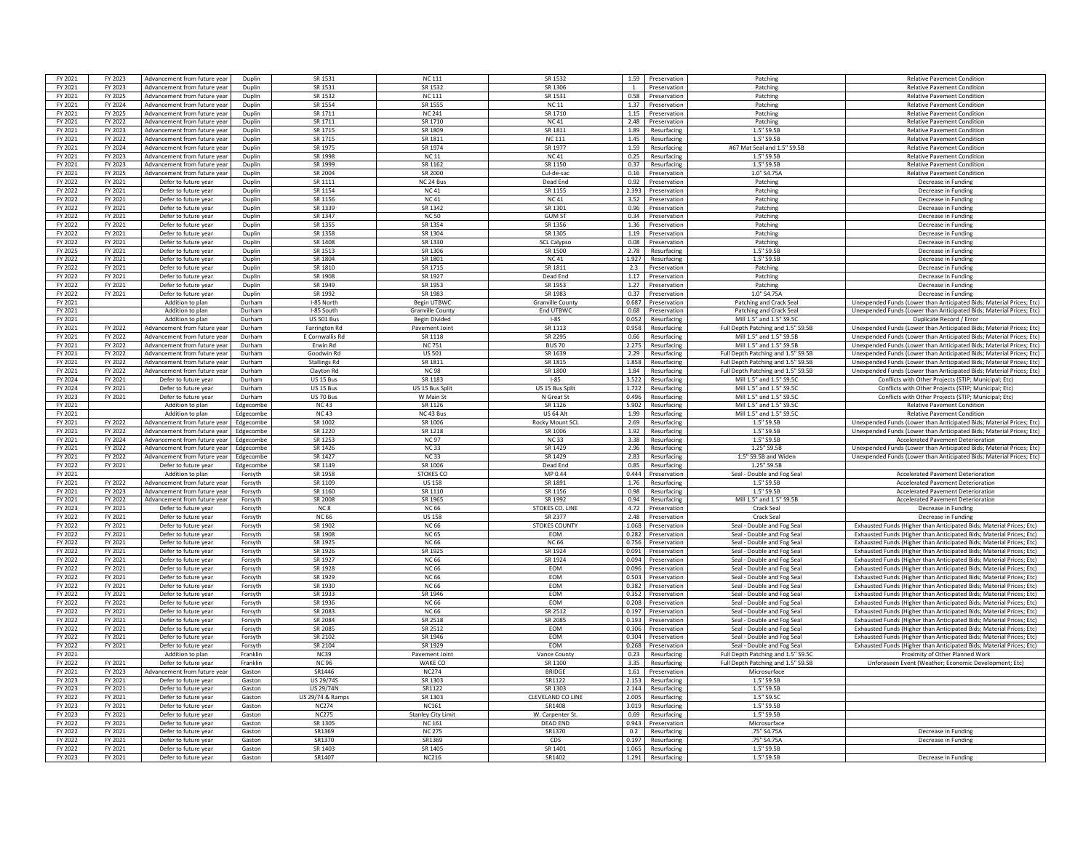| FY 2021            | FY 2023            | Advancement from future year                         | Duplin               | SR 1531              | <b>NC 111</b>             | SR 1532                            | 1.59           | Preservation                 | Patching                                                 | <b>Relative Pavement Condition</b>                                   |
|--------------------|--------------------|------------------------------------------------------|----------------------|----------------------|---------------------------|------------------------------------|----------------|------------------------------|----------------------------------------------------------|----------------------------------------------------------------------|
| FY 2021            | FY 2023            | Advancement from future year                         | Duplin               | SR 1531              | SR 1532                   | SR 1306                            |                | Preservation                 | Patching                                                 | <b>Relative Pavement Condition</b>                                   |
|                    |                    |                                                      |                      |                      |                           |                                    |                |                              |                                                          |                                                                      |
| FY 2021            | FY 2025            | Advancement from future year                         | Duplin               | SR 1532              | <b>NC 111</b>             | SR 1531                            |                | 0.58 Preservation            | Patching                                                 | <b>Relative Pavement Condition</b>                                   |
| FY 2021            | FY 2024            | Advancement from future year                         | Duplin               | SR 1554              | SR 1555                   | <b>NC 11</b>                       | 1.37           | Preservation                 | Patching                                                 | <b>Relative Pavement Condition</b>                                   |
| FY 2021            | FY 2025            | Advancement from future vear                         | Duplin               | SR 1711              | <b>NC 241</b>             | SR 1710                            | 1.15           | Preservation                 | Patchine                                                 | <b>Relative Pavement Condition</b>                                   |
| FY 2021            | FY 2022            | Advancement from future year                         | Duplin               | SR 1711              | SR 1710                   | <b>NC41</b>                        | 2.48           | Preservation                 | Patching                                                 | <b>Relative Pavement Condition</b>                                   |
| FY 2021            | FY 2023            | Advancement from future year                         | Dunlin               | SR 1715              | SR 1809                   | SR 1811                            | 1.89           | Resurfacing                  | 15"5951                                                  | <b>Relative Pavement Condition</b>                                   |
| FY 2021            | FY 2022            | Advancement from future year                         | Dunlin               | SR 1715              | SR 1811                   | <b>NC 111</b>                      | 1.45           | Resurfacing                  | 1.5" S9.5F                                               | <b>Relative Payement Condition</b>                                   |
| FY 2021            | FY 2024            | Advancement from future year                         | Duplin               | SR 1975              | SR 1974                   | SR 1977                            | 1.59           | Resurfacing                  | #67 Mat Seal and 1.5" S9.5B                              | <b>Relative Pavement Condition</b>                                   |
| FY 2021            | FY 2023            | Advancement from future year                         | Duplin               | SR 1998              | <b>NC 11</b>              | <b>NC41</b>                        | 0.25           | Resurfacing                  | 1.5" S9.5B                                               | <b>Relative Pavement Condition</b>                                   |
| FY 2021            | FY 2023            |                                                      |                      | SR 1999              |                           | SR 1150                            | 0.37           |                              | 1.5" S9.5B                                               | <b>Relative Pavement Condition</b>                                   |
|                    |                    | Advancement from future year                         | Duplin               |                      | SR 1162                   |                                    |                | Resurfacing                  |                                                          |                                                                      |
| FY 2021            | FY 2025            | Advancement from future vear                         | Duplin               | SR 2004              | SR 2000                   | Cul-de-sac                         | 0.16           | Preservation                 | 1.0" S4.75A                                              | <b>Relative Pavement Condition</b>                                   |
| FY 2022            | FY 2021            | Defer to future year                                 | Duplin               | SR 1111              | NC 24 Bus                 | Dead End                           | 0.92           | Preservation                 | Patchine                                                 | Decrease in Funding                                                  |
| FY 2022            | FY 2021            | Defer to future year                                 | Duplin               | SR 1154              | <b>NC41</b>               | SR 1155                            | 2.393          | Preservation                 | Patching                                                 | Decrease in Funding                                                  |
| FY 2022            | FY 2021            | Defer to future year                                 | Dunlin               | SR 1156              | <b>NC41</b>               | NC 41                              | 3.52           | Preservation                 | Patching                                                 | Decrease in Funding                                                  |
| FY 2022            | FY 2021            | Defer to future year                                 | Dunlin               | SR 1339              | SR 1342                   | SR 1301                            | 0.96           | Preservation                 | Patching                                                 | Decrease in Funding                                                  |
| FY 2022            | FY 2021            | Defer to future year                                 | Duplin               | SR 1347              | <b>NC 50</b>              | <b>GUM ST</b>                      | 0.34           | Preservation                 | Patchine                                                 | Decrease in Funding                                                  |
| FY 2022            | FY 2021            | Defer to future year                                 | Duplin               | SR 1355              | SR 1354                   | SR 1356                            | 1.36           | Preservation                 | Patching                                                 | Decrease in Funding                                                  |
| FY 2022            | FY 2021            | Defer to future year                                 | Dunlin               | SR 1358              | SR 1304                   | SR 1305                            | 1.19           | Preservation                 | Patching                                                 | Decrease in Funding                                                  |
|                    |                    |                                                      |                      |                      |                           |                                    |                |                              |                                                          |                                                                      |
| FY 2022            | FY 2021            | Defer to future year                                 | Duplin               | SR 1408              | SR 1330                   | <b>SCL Calypso</b>                 | 0.08           | Preservation                 | Patching                                                 | Decrease in Funding                                                  |
| FY 2025            | FY 2021            | Defer to future year                                 | Duplin               | SR 1513              | SR 1306                   | SR 1500                            | 2.78           | Resurfacing                  | $1.5"$ S9.51                                             | Decrease in Fundin                                                   |
| FY 2022            | FY 2021            | Defer to future year                                 | Dunlin               | SR 1804              | SR 1801                   | NC <sub>41</sub>                   | 1.927          | Resurfacing                  | 1.5" S9.5F                                               | Decrease in Fundin                                                   |
| FY 2022            | FY 2021            | Defer to future year                                 | Duplin               | SR 1810              | SR 1715                   | SR 1811                            | 2.3            | Preservation                 | Patching                                                 | Decrease in Funding                                                  |
| FY 2022            | FY 2021            | Defer to future year                                 | Duplin               | SR 1908              | SR 1927                   | Dead End                           | 1.17           | Preservation                 | Patchine                                                 | Decrease in Fundin                                                   |
| FY 2022            | FY 2021            | Defer to future year                                 | Duplin               | SR 1949              | SR 1953                   | SR 1953                            | 1.27           | Preservation                 | Patching                                                 | Decrease in Funding                                                  |
| FY 2022            | FY 2021            | Defer to future year                                 | Duplin               | SR 1992              | SR 1983                   | SR 1983                            | 0.37           | Preservation                 | 1.0" S4.75A                                              | Decrease in Funding                                                  |
|                    |                    |                                                      |                      |                      |                           |                                    |                |                              |                                                          |                                                                      |
| FY 2021            |                    | Addition to plan                                     | Durham               | I-85 North           | <b>Begin UTBWC</b>        | <b>Granville County</b>            | 0.687          | Preservation                 | Patching and Crack Seal                                  | Unexpended Funds (Lower than Anticipated Bids; Material Prices; Etc) |
| FY 2021            |                    | Addition to plan                                     | Durham               | I-85 South           | <b>Granville County</b>   | End UTBWC                          | 0.68           | Preservation                 | Patching and Crack Seal                                  | Unexpended Funds (Lower than Anticipated Bids; Material Prices; Etc) |
| FY 2021            |                    | Addition to plan                                     | Durham               | <b>US 501 Bus</b>    | <b>Begin Divided</b>      | $1 - 85$                           | 0.052          | Resurfacing                  | Mill 1.5" and 1.5" \$9.50                                | Duplicate Record / Error                                             |
| FY 2021            | FY 2022            | Advancement from future year                         | Durham               | <b>Farrington Rd</b> | Pavement Joint            | SR 1113                            | 0.958          | Resurfacing                  | Full Depth Patching and 1.5" S9.5B                       | Unexpended Funds (Lower than Anticipated Bids: Material Prices: Etc) |
| FY 2021            | FY 2022            | Advancement from future year                         | Durham               | E Cornwallis Rd      | SR 1118                   | SR 2295                            | 0.66           | Resurfacing                  | Mill 1.5" and 1.5" S9.5B                                 | Unexpended Funds (Lower than Anticipated Bids: Material Prices: Etc) |
| FY 2021            | FY 2022            | Advancement from future year                         | Durham               | Frwin Rd             | <b>NC 751</b>             | <b>BUS 70</b>                      | 2.275          | Resurfacing                  | Mill 1 5" and 1 5" SQ 5R                                 | Unexpended Funds (Lower than Anticipated Bids: Material Prices: Etc) |
| FY 2021            | FY 2022            | Advancement from future vear                         | Durham               | Goodwin Rd           | <b>US 501</b>             | SR 1639                            | 2.29           | Resurfacing                  | Full Depth Patching and 1.5" S9.5P                       | Unexpended Funds (Lower than Anticipated Bids: Material Prices: Etc) |
|                    |                    |                                                      |                      |                      |                           |                                    |                |                              |                                                          |                                                                      |
| FY 2021            | FY 2022            | Advancement from future vear                         | Durham               | <b>Stallings Rd</b>  | SR 1811                   | SR 1815                            | 1.858          | Resurfacing                  | Full Depth Patching and 1.5" S9.5B                       | Unexpended Funds (Lower than Anticipated Bids; Material Prices; Etc) |
| FY 2021            | FY 2022            | Advancement from future year                         | Durham               | Clayton Rd           | <b>NC 98</b>              | SR 1800                            | 1.84           | Resurfacing                  | Full Depth Patching and 1.5" S9.5B                       | Unexpended Funds (Lower than Anticipated Bids; Material Prices; Etc) |
| FY 2024            | FY 2021            | Defer to future year                                 | Durham               | US 15 Bus            | SR 1183                   | $-85$                              | 3522           | Resurfacing                  | Mill 1.5" and 1.5" S9.5C                                 | Conflicts with Other Projects (STIP: Municipal: Etc)                 |
| FY 2024            | FY 2021            | Defer to future year                                 | Durham               | US 15 Bus            | US 15 Bus Spli            | US 15 Bus Split                    | 1.722          | Resurfacing                  | Mill 1.5" and 1.5" \$9.50                                | Conflicts with Other Projects (STIP; Municipal; Etc)                 |
| FY 2023            | FY 2021            | Defer to future year                                 | Durham               | US 70 Bus            | W Main St                 | N Great St                         | 0.496          | Resurfacing                  | Mill 1.5" and 1.5" S9.50                                 | Conflicts with Other Projects (STIP: Municipal: Etc)                 |
| FY 2021            |                    | Addition to plan                                     | Edgecombe            | <b>NC43</b>          | SR 1126                   | SR 1126                            | 5.902          | Resurfacing                  | Mill 1.5" and 1.5" S9.5C                                 | <b>Relative Pavement Condition</b>                                   |
| FY 2021            |                    | Addition to plan                                     | Edgecombe            | <b>NC43</b>          | NC <sub>43</sub> Bus      | US 64 Alt                          | 1.99           | Resurfacing                  | Mill 1.5" and 1.5" S9.5C                                 | <b>Relative Pavement Condition</b>                                   |
| FY 2021            | <b>FY 2022</b>     | Advancement from future year                         | Edgecombe            | SR 1002              | SR 1006                   | <b>Rocky Mount SCI</b>             | 7.69           | Resurfacing                  | $1.5"$ S9.5B                                             | Unexpended Funds (Lower than Anticipated Bids; Material Prices; Etc) |
|                    |                    |                                                      |                      |                      |                           |                                    |                |                              |                                                          |                                                                      |
|                    |                    |                                                      |                      |                      |                           |                                    |                |                              |                                                          |                                                                      |
| FY 2021            | FY 2022            | Advancement from future year                         | Edgecomb             | SR 1220              | SR 1218                   | SR 1006                            | 1.92           | Resurfacing                  | 1.5" S9.5B                                               | Unexpended Funds (Lower than Anticipated Bids: Material Prices: Etc) |
| FY 2021            | FY 2024            | Advancement from future year                         | Edgecombe            | SR 1253              | <b>NC 97</b>              | NC 33                              | 3.38           | Resurfacing                  | 1.5" S9.5B                                               | <b>Accelerated Payement Deterioration</b>                            |
| FY 2021            | FY 2022            | Advancement from future year                         | Edgecombe            | SR 1426              | <b>NC33</b>               | SR 1429                            | 2.96           | Resurfacing                  | 1.25" S9.5B                                              | Unexpended Funds (Lower than Anticipated Bids: Material Prices: Etc) |
| FY 2021            | FY 2022            |                                                      |                      | SR 1427              | <b>NC33</b>               | SR 1429                            | 2.83           | Resurfacing                  | 1.5" S9.5B and Wider                                     |                                                                      |
| FY 2022            | FY 2021            | Advancement from future year<br>Defer to future year | Edgecombe            | SR 1149              | SR 1006                   | Dead End                           | 0.85           | Resurfacing                  | 1.25" S9.5B                                              | Unexpended Funds (Lower than Anticipated Bids; Material Prices; Etc) |
| FY 2021            |                    | Addition to plan                                     | Edgecombe<br>Forsyth | SR 1958              |                           | MP 0.44                            |                | Preservation                 |                                                          | <b>Accelerated Pavement Deterioration</b>                            |
|                    |                    |                                                      |                      |                      | <b>STOKES CO</b>          |                                    | 0.444          |                              | Seal - Double and Fog Seal                               |                                                                      |
| FY 2021            | FY 2022            | Advancement from future year                         | Forsyth              | SR 1109              | <b>US 158</b>             | SR 1891                            | 1.76           | Resurfacing                  | $1.5"$ S9.5B                                             | <b>Accelerated Pavement Deterioration</b>                            |
| FY 2021            | FY 2023            | Advancement from future yea                          | Forsyth              | SR 1160              | SR 1110                   | SR 1156                            | 0.98           | Resurfacing                  | 1.5" S9.5E                                               | <b>Accelerated Pavement Deterioration</b>                            |
| FY 2021            | FY 2022            | Advancement from future year                         | Forsyth              | SR 2008              | SR 1965                   | SR 1992                            | 0.94           | Resurfacing                  | Mill 1.5" and 1.5" \$9.5B                                | <b>Accelerated Pavement Deterioration</b>                            |
| FY 2023            | FY 2021            | Defer to future year                                 | Forsyth              | NC <sub>8</sub>      | <b>NC 66</b>              | <b>STOKES CO. LINE</b>             | 4.72           | Preservation                 | Crack Seal                                               | Decrease in Funding                                                  |
| FY 2022            | FY 2021            | Defer to future year                                 | Forsyth              | <b>NC 66</b>         | <b>US 158</b>             | SR 2377                            | 2.48           | Preservation                 | Crack Seal                                               | Decrease in Funding                                                  |
|                    |                    |                                                      |                      | SR 1902              | <b>NC 66</b>              |                                    | 1.068          |                              |                                                          |                                                                      |
| FY 2022<br>FY 2022 | FY 2021<br>FY 2021 | Defer to future year                                 | Forsyth              |                      | <b>NC 65</b>              | <b>STOKES COUNTY</b><br><b>FOM</b> | 0.282          | Preservation<br>Preservation | Seal - Double and Fog Seal<br>Seal - Double and Fog Seal | Exhausted Funds (Higher than Anticipated Bids; Material Prices; Etc) |
|                    |                    | Defer to future year                                 | Forsyth              | SR 1908<br>SR 1925   | NC 66                     | NC 66                              | 0.756          |                              |                                                          | Exhausted Funds (Higher than Anticipated Bids; Material Prices; Etc) |
| FY 2022            | FY 2021            | Defer to future year                                 | Forsyth              |                      |                           |                                    |                | Preservation                 | Seal - Double and Fog Seal                               | Exhausted Funds (Higher than Anticipated Bids; Material Prices; Etc) |
| FY 2022            | FY 2021            | Defer to future year                                 | Forsyth              | SR 1926              | SR 1925                   | SR 1924                            | 0.091          | Preservation                 | Seal - Double and Fog Seal                               | Exhausted Funds (Higher than Anticipated Bids: Material Prices: Etc) |
| FY 2022            | FY 2021            | Defer to future year                                 | Forsyth              | SR 1927              | <b>NC 66</b>              | SR 1924                            | 0.094          | Preservation                 | Seal - Double and Fog Seal                               | Exhausted Funds (Higher than Anticipated Bids; Material Prices; Etc) |
| FY 2022            | FY 2021            | Defer to future year                                 | Forsyth              | <b>SR 1978</b>       | <b>NC 66</b>              | EOM                                | 0.096          | Preservation                 | Seal - Double and Fog Seal                               | Exhausted Funds (Higher than Anticipated Bids: Material Prices: Etc) |
| FY 2022            | FY 2021            | Defer to future year                                 | Forsyth              | SR 1929              | <b>NC 66</b>              | <b>FOM</b>                         | 0.503          | Preservation                 | Seal - Double and Fog Seal                               | Exhausted Funds (Higher than Anticipated Bids; Material Prices; Etc) |
| FY 2022            | FY 2021            | Defer to future year                                 | Forsyth              | SR 1930              | NC 66                     | <b>FOM</b>                         | 0.382          | Preservation                 | Seal - Double and Fog Seal                               | Exhausted Funds (Higher than Anticipated Bids; Material Prices; Etc) |
| FY 2022            | FY 2021            |                                                      | Forsyth              | SR 1933              | SR 1946                   | <b>FOM</b>                         | 0.352          | Preservation                 | Seal - Double and Fog Seal                               | Exhausted Funds (Higher than Anticipated Bids; Material Prices: Etc) |
| FY 2022            |                    | Defer to future year                                 |                      | SR 1936              | <b>NC 66</b>              | EOM                                | 0.208          |                              |                                                          |                                                                      |
|                    | FY 2021            | Defer to future year                                 | Forsyth              |                      |                           |                                    |                | Preservation                 | Seal - Double and Fog Seal                               | Exhausted Funds (Higher than Anticipated Bids; Material Prices; Etc) |
| FY 2022            | FY 2021            | Defer to future year                                 | Forsyth              | SR 2083              | <b>NC 66</b>              | SR 2512                            | 0.197          | Preservation                 | Seal - Double and Fog Sea                                | Exhausted Funds (Higher than Anticipated Bids; Material Prices; Etc) |
| FY 2022            | FY 2021            | Defer to future year                                 | Forsyth              | SR 2084              | SR 2518                   | SR 2085                            | 0.193          | Preservation                 | Seal - Double and Fog Sea                                | Exhausted Funds (Higher than Anticipated Bids; Material Prices; Etc) |
| FY 2022            | FY 2021            | Defer to future year                                 | Forsyth              | SR 2085              | SR 2512                   | EOM                                | 0.306          | Preservation                 | Seal - Double and Fog Seal                               | Exhausted Funds (Higher than Anticipated Bids: Material Prices: Etc) |
| FY 2022            | FY 2021            | Defer to future year                                 | Forsyth              | SR 2102              | SR 1946                   | EOM                                | 0.304          | Preservation                 | Seal - Double and Fog Seal                               | Exhausted Funds (Higher than Anticipated Bids: Material Prices: Etc) |
| FY 2022            | FY 2021            | Defer to future year                                 | Forsyth              | SR 2104              | SR 1929                   | EOM                                | 0.268          | Preservation                 | Seal - Double and Fog Seal                               | Exhausted Funds (Higher than Anticipated Bids; Material Prices; Etc) |
| FY 2021            |                    | Addition to plan                                     | Franklin             | NC39                 | Pavement Ioint            | Vance County                       | 0.23           | Resurfacing                  | Full Depth Patching and 1.5" S9.50                       | Proximity of Other Planned Work                                      |
| FY 2022            | FY 2021            | Defer to future year                                 | Franklin             | <b>NC96</b>          | WAKE CO                   | SR 1100                            | 3.35           | Resurfacing                  | Full Depth Patching and 1.5" S9.5B                       | Unforeseen Event (Weather; Economic Development; Etc)                |
| FY 2021            | FY 2023            |                                                      | Gaston               | SR1446               | <b>NC274</b>              | <b>BRIDGE</b>                      | 1.61           | Preservation                 | Microsurface                                             |                                                                      |
|                    |                    | Advancement from future year                         |                      | <b>IIS 29/74S</b>    | <b>SR 1303</b>            | SR1122                             | 2.153          |                              | 15" SQ 5R                                                |                                                                      |
| FY 2023            | FY 2021            | Defer to future year                                 | Gaston               |                      |                           |                                    |                | Resurfacing                  |                                                          |                                                                      |
| FY 2023            | FY 2021            | Defer to future year                                 | Gaston               | <b>US 29/74N</b>     | SR1122                    | SR 1303                            | 2.144          | Resurfacing                  | 1.5" S9.5B                                               |                                                                      |
| FY 2022            | FY 2021            | Defer to future year                                 | Gaston               | US 29/74 & Ramps     | SR 1303                   | CLEVELAND CO LINE                  | 2.005          | Resurfacing                  | 1.5"59.50                                                |                                                                      |
| FY 2023            | FY 2021            | Defer to future year                                 | Gaston               | <b>NC274</b>         | NC161                     | SR1408                             | 3.019          | Resurfacing                  | 1.5" S9.5B                                               |                                                                      |
| FY 2023            | FY 2021            | Defer to future year                                 | Gaston               | <b>NC275</b>         | <b>Stanley City Limit</b> | W. Carpenter St                    | 0.69           | Resurfacing                  | 1.5" S9.5B                                               |                                                                      |
| FY 2022            | FY 2021            | Defer to future year                                 | Gaston               | SR 1305              | <b>NC 161</b>             | DFAD FND                           | 0.943          | Preservation                 | Microsurface                                             |                                                                      |
| FY 2022            | FY 2021            | Defer to future year                                 | Gaston               | SR1369               | <b>NC 275</b>             | SR1370                             | 0.2            | Resurfacing                  | .75" S4.75A                                              | Decrease in Funding                                                  |
|                    |                    |                                                      |                      |                      |                           |                                    |                |                              |                                                          |                                                                      |
| FY 2022            | FY 2021            | Defer to future year                                 | Gaston               | SR1370               | SR1369                    | CDS                                | 0.197          | Resurfacing                  | .75" \$4.75A                                             | Decrease in Fundin                                                   |
| FY 2022<br>FY 2023 | FY 2021<br>FY 2021 | Defer to future year<br>Defer to future year         | Gaston<br>Gaston     | SR 1403<br>SR1407    | SR 1405<br><b>NC216</b>   | SR 1401<br>SR1402                  | 1.065<br>1.291 | Resurfacing<br>Resurfacing   | 1.5" S9.5E<br>1.5" S9.5E                                 | Decrease in Funding                                                  |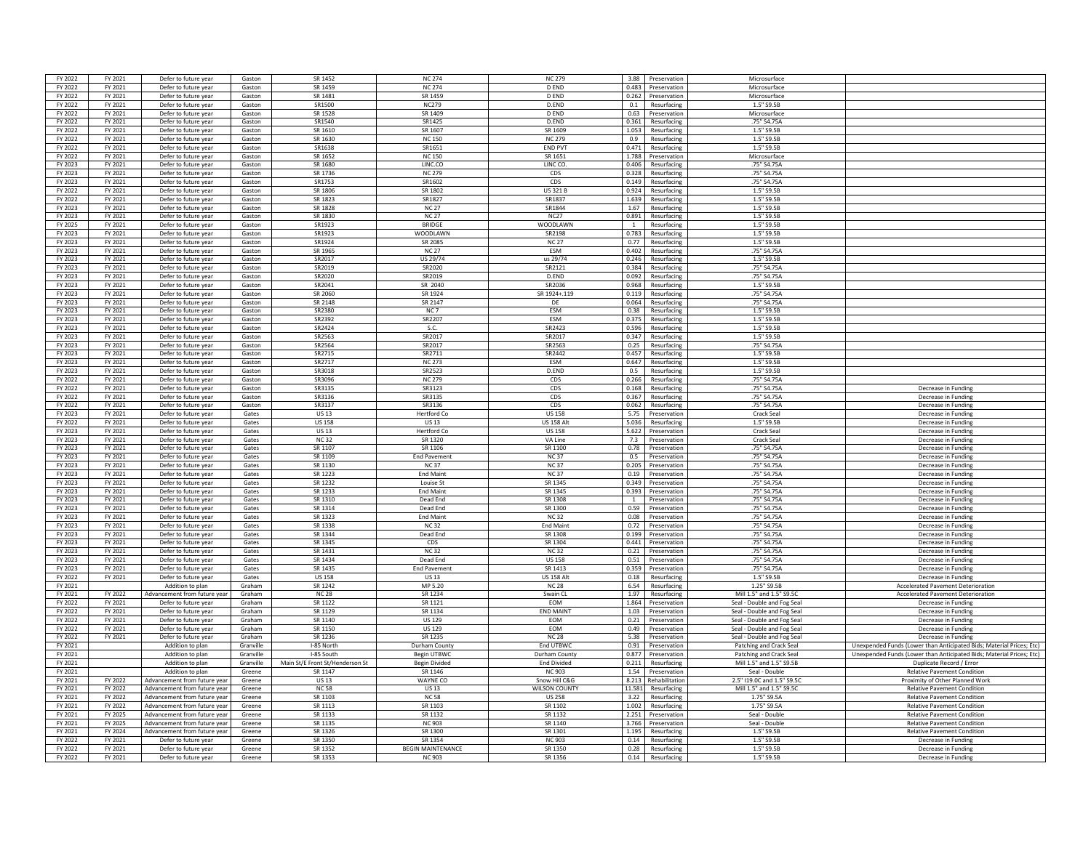| FY 2022            | FY 2021            | Defer to future year                         | Gaston           | SR 1452                         | <b>NC 274</b>                             | <b>NC 279</b>        |                | 3.88 Preservation               | Microsurface               |                                                                      |
|--------------------|--------------------|----------------------------------------------|------------------|---------------------------------|-------------------------------------------|----------------------|----------------|---------------------------------|----------------------------|----------------------------------------------------------------------|
| FY 2022            | FY 2021            | Defer to future year                         | Gaston           | SR 1459                         | <b>NC 274</b>                             | D FND                |                | 0.483 Preservation              | Microsurface               |                                                                      |
|                    |                    |                                              |                  |                                 |                                           |                      |                |                                 |                            |                                                                      |
| FY 2022            | FY 2021            | Defer to future year                         | Gaston           | SR 1481                         | SR 1459                                   | D END                |                | 0.262 Preservation              | Microsurface               |                                                                      |
| FY 2022            | FY 2021            | Defer to future year                         | Gaston           | SR1500                          | <b>NC279</b>                              | D.END                | 0.1            | Resurfacing                     | 1.5" S9.5B                 |                                                                      |
| FY 2022            | FY 2021            | Defer to future year                         | Gaston           | SR 1528                         | SR 1409                                   | <b>DEND</b>          | 0.63           | Preservation                    | Microsurface               |                                                                      |
| FY 2022            | FY 2021            | Defer to future year                         | Gaston           | SR1540                          | SR1425                                    | D.END                | 0.361          | Resurfacing                     | .75" S4.75A                |                                                                      |
| FY 2022            | FY 2021            | Defer to future year                         | Gaston           | SR 1610                         | SR 1607                                   | SR 1609              | 1.053          | Resurfacing                     | 1.5" S9.5B                 |                                                                      |
| FY 2022            | FY 2021            | Defer to future year                         | Gaston           | SR 1630                         | <b>NC150</b>                              | <b>NC 279</b>        | 0.9            | Resurfacing                     | 1.5" S9.5B                 |                                                                      |
| FY 2022            | FY 2021            | Defer to future year                         | Gaston           | SR1638                          | SR1651                                    | END PVT              | 0.471          | Resurfacing                     | 1.5" S9.5B                 |                                                                      |
| FY 2022            | FY 2021            | Defer to future year                         | Gaston           | SR 1652                         | <b>NC 150</b>                             | SR 1651              |                | 1.788 Preservation              | Microsurface               |                                                                      |
| FY 2023            | FY 2021            | Defer to future year                         | Gaston           | <b>SR 1680</b>                  | LINC.CO                                   | LINC CO.             | 0.406          | Resurfacing                     | .75" S4.75A                |                                                                      |
| FY 2023            | FY 2021            | Defer to future year                         | Gaston           | SR 1736                         | <b>NC 279</b>                             | CDS                  | 0.328          | Resurfacing                     | .75" S4.75A                |                                                                      |
| FY 2023            | FY 2021            | Defer to future year                         |                  | SR1753                          | SR1602                                    |                      | 0.149          |                                 | .75" S4.75A                |                                                                      |
|                    |                    |                                              | Gaston           |                                 |                                           | CDS                  |                | Resurfacing                     |                            |                                                                      |
| FY 2022            | FY 2021            | Defer to future year                         | Gaston           | SR 1806                         | SR 1802                                   | <b>US 321 B</b>      | 0.924          | Resurfacing                     | 1.5" S9.5B                 |                                                                      |
| FY 2022            | FY 2021            | Defer to future year                         | Gaston           | SR 1823                         | SR1827                                    | SR1837               | 1.639          | Resurfacing                     | 1.5" S9.5B                 |                                                                      |
| FY 2023            | FY 2021            | Defer to future year                         | Gaston           | SR 1828                         | <b>NC 27</b>                              | SR1844               | 1.67           | Resurfacing                     | 1.5" S9.5B                 |                                                                      |
| FY 2023            | FY 2021            | Defer to future year                         | Gaston           | SR 1830                         | <b>NC 27</b>                              | <b>NC27</b>          |                | 0.891 Resurfacing               | 1.5" S9.5B                 |                                                                      |
| FY 2025            | FY 2021            | Defer to future year                         | Gaston           | SR1923                          | <b>BRIDGE</b>                             | WOODI AWN            | $\overline{1}$ | Resurfacing                     | 1.5" S9.5B                 |                                                                      |
| FY 2023            | FY 2021            | Defer to future year                         | Gaston           | SR1923                          | <b>WOODLAWN</b>                           | SR2198               | 0.783          | Resurfacing                     | 1.5" S9.5B                 |                                                                      |
| FY 2023            | FY 2021            | Defer to future year                         | Gaston           | SR1924                          | SR 2085                                   | <b>NC 27</b>         | 0.77           | Resurfacing                     | 1.5" S9.5B                 |                                                                      |
| FY 2023            | FY 2021            | Defer to future year                         | Gaston           | SR 1965                         | <b>NC 27</b>                              | <b>FSM</b>           | 0.402          | Resurfacing                     | .75" S4.75A                |                                                                      |
| FY 2023            | FY 2021            | Defer to future year                         | Gaston           | SR2017                          | <b>US 29/74</b>                           | us 29/74             | 0.246          | Resurfacing                     | 1.5" S9.5B                 |                                                                      |
| FY 2023            | FY 2021            | Defer to future year                         | Gaston           | SR2019                          | SR2020                                    | SR2121               | 0.384          | Resurfacing                     | .75" S4.75A                |                                                                      |
| FY 2023            | FY 2021            | Defer to future year                         | Gaston           | SR2020                          | SR2019                                    | D.END                |                | 0.092 Resurfacing               | .75" S4.75A                |                                                                      |
|                    |                    |                                              |                  |                                 | SR 2040                                   | SR2036               | 889.0          |                                 | 1.5" S9.5B                 |                                                                      |
| FY 2023            | FY 2021            | Defer to future year                         | Gaston           | SR2041                          |                                           |                      |                | Resurfacing                     |                            |                                                                      |
| FY 2023            | FY 2021            | Defer to future year                         | Gaston           | SR 2060                         | SR 1924                                   | SR 1924+.119         | 0.119          | Resurfacing                     | .75" S4.75A                |                                                                      |
| FY 2023            | FY 2021            | Defer to future year                         | Gaston           | SR 2148                         | SR 2147                                   | DE                   | 0.064          | Resurfacing                     | .75" S4.75A                |                                                                      |
| FY 2023            | FY 2021            | Defer to future year                         | Gaston           | SR2380                          | NC <sub>7</sub>                           | ESM                  | 0.38           | Resurfacing                     | 1.5" S9.5B                 |                                                                      |
| FY 2023            | FY 2021            | Defer to future year                         | Gaston           | SR2392                          | SR2207                                    | <b>FSM</b>           | 0.375          | Resurfacing                     | 1.5" S9.5B                 |                                                                      |
| FY 2023            | FY 2021            | Defer to future year                         | Gaston           | SR2424                          | S.C.                                      | SR2423               | 0.596          | Resurfacing                     | 1.5" S9.5B                 |                                                                      |
| FY 2023            | FY 2021            | Defer to future year                         | Gaston           | SR2563                          | SR2017                                    | SR2017               |                | 0.347 Resurfacing               | 1.5" S9.5B                 |                                                                      |
| FY 2023            | FY 2021            | Defer to future year                         | Gaston           | SR2564                          | SR2017                                    | SR2563               | 0.25           | Resurfacing                     | .75" S4.75A                |                                                                      |
| FY 2023            | FY 2021            | Defer to future year                         | Gaston           | SR2715                          | SR2711                                    | SR2442               | 0.457          | Resurfacing                     | 1.5" S9.5B                 |                                                                      |
| FY 2023            | FY 2021            | Defer to future year                         |                  | SR2717                          | <b>NC 273</b>                             | <b>FSM</b>           | 0.647          | Resurfacing                     | 1.5" S9.5B                 |                                                                      |
| FY 2023            |                    |                                              | Gaston           | SR3018                          | SR2523                                    |                      |                |                                 | 1.5" S9.5B                 |                                                                      |
|                    | FY 2021            | Defer to future year                         | Gaston           |                                 |                                           | D.END                | 0.5            | Resurfacing                     |                            |                                                                      |
| FY 2022            | FY 2021            | Defer to future year                         | Gaston           | SR3096                          | <b>NC 279</b>                             | CDS                  | 0.266          | Resurfacing                     | .75" S4.75A                |                                                                      |
| FY 2022            | FY 2021            | Defer to future year                         | Gaston           | SR3135                          | SR3123                                    | CDS                  | 0.168          | Resurfacing                     | .75" S4.75A                | Decrease in Funding                                                  |
| FY 2022            | FY 2021            | Defer to future year                         | Gaston           | SR3136                          | SR3135                                    | CDS                  | 0.367          | Resurfacing                     | .75" S4.75A                | Decrease in Funding                                                  |
| FY 2022            | FY 2021            | Defer to future year                         | Gaston           | SR3137                          | SR3136                                    | CDS                  | 0.062          | Resurfacing                     | .75" S4.75A                | Decrease in Funding                                                  |
| FY 2023            | FY 2021            | Defer to future year                         | Gates            | <b>US13</b>                     | <b>Hertford Co</b>                        | <b>US 158</b>        | 5.75           | Preservation                    | <b>Crack Seal</b>          | Decrease in Funding                                                  |
| FY 2022            | FY 2021            | Defer to future year                         | Gates            | <b>US 158</b>                   | <b>US 13</b>                              | <b>US 158 Alt</b>    | 5.036          | Resurfacing                     | 1.5" S9.5B                 | Decrease in Funding                                                  |
| FY 2023            | FY 2021            | Defer to future year                         | Gates            | <b>US13</b>                     | <b>Hertford Co</b>                        | <b>US 158</b>        | 5.622          | Preservation                    | Crack Seal                 | Decrease in Fundin                                                   |
| FY 2023            | FY 2021            | Defer to future year                         | Gates            | NC 32                           | SR 1320                                   | VAIne                | 7.3            | Preservation                    | Crack Seal                 | Decrease in Funding                                                  |
| FY 2023            | FY 2021            | Defer to future year                         | Gates            | SR 1107                         | SR 1106                                   | SR 1100              | 0.78           | Preservation                    | .75" S4.75A                | Decrease in Funding                                                  |
| FY 2023            | FY 2021            |                                              | Gates            | SR 1109                         | <b>End Pavement</b>                       | <b>NC37</b>          |                | 0.5 Preservation                | .75" S4.75A                | Decrease in Funding                                                  |
|                    | FY 2021            | Defer to future year<br>Defer to future year |                  | SR 1130                         | <b>NC37</b>                               | <b>NC37</b>          |                |                                 |                            |                                                                      |
| FY 2023            |                    |                                              | Gates            |                                 |                                           |                      |                | 0.205 Preservation              | .75" S4.75A                | Decrease in Funding                                                  |
| FY 2023            | FY 2021            | Defer to future year                         | Gates            | SR 1223                         | <b>End Maint</b>                          | <b>NC37</b>          | 0.19           | Preservation                    | .75" S4.75A                | Decrease in Funding                                                  |
| FY 2023            | FY 2021            | Defer to future year                         | Gates            | SR 1232                         | Louise St                                 | SR 1345              | 0.349          | Preservation                    | .75" S4.75A                | Decrease in Funding                                                  |
| FY 2023            | FY 2021            | Defer to future year                         | Gates            | SR 1233                         | <b>Fnd Maint</b>                          | SR 1345              | 0.393          | Preservation                    | .75" S4.75A                | Decrease in Fundin                                                   |
| FY 2023            | FY 2021            | Defer to future year                         | Gates            | SR 1310                         | Dead End                                  | SR 1308              | $\overline{1}$ | Preservation                    | .75" S4.75A                | Decrease in Fundin                                                   |
| FY 2023            | FY 2021            | Defer to future year                         | Gates            | SR 1314                         | Dead End                                  | SR 1300              | 0.59           | Preservation                    | .75" S4.75A                | Decrease in Funding                                                  |
| FY 2023            | FY 2021            | Defer to future year                         | Gates            | SR 1323                         | <b>End Maint</b>                          | <b>NC32</b>          |                | 0.08 Preservation               | .75" S4.75A                | Decrease in Funding                                                  |
| FY 2023            | FY 2021            | Defer to future year                         | Gates            | SR 1338                         | <b>NC32</b>                               | <b>Fnd Maint</b>     | 0.72           | Preservation                    | .75" S4.75A                | Decrease in Funding                                                  |
| FY 2023            | FY 2021            | Defer to future year                         | Gates            | SR 1344                         | Dead End                                  | SR 1308              | 0.199          | Preservation                    | .75" S4.75A                | Decrease in Funding                                                  |
| FY 2023            | FY 2021            | Defer to future year                         | Gates            | SR 1345                         | CDS                                       | SR 1304              | 0.441          | Preservation                    | .75" S4.75A                | Decrease in Funding                                                  |
| FY 2023            | FY 2021            | Defer to future year                         | Gates            | SR 1431                         | <b>NC32</b>                               | <b>NC32</b>          | 0.21           | Preservation                    | .75" S4.75A                | Decrease in Funding                                                  |
| FY 2023            | FY 2021            | Defer to future year                         | Gates            | SR 1434                         | Dead End                                  | <b>US158</b>         | 0.51           | Preservation                    | .75" S4.75A                | Decrease in Funding                                                  |
| FY 2023            | FY 2021            | Defer to future year                         | Gates            | SR 1435                         | <b>End Pavement</b>                       | SR 1413              |                | 0.359 Preservation              | .75" S4.75A                | Decrease in Eunding                                                  |
|                    |                    |                                              |                  |                                 |                                           |                      |                |                                 |                            |                                                                      |
| FY 2022            | FY 2021            | Defer to future year                         | Gates            | <b>US 158</b>                   | <b>US13</b>                               | <b>US 158 Alt</b>    |                | 0.18 Resurfacing                | 1.5" S9.5B                 | Decrease in Funding                                                  |
| FY 2021            |                    | Addition to plan                             | Graham           | SR 1242                         | MP 5.20                                   | <b>NC 28</b>         | 6.54           | Resurfacing                     | 1.25" S9.5B                | <b>Accelerated Pavement Deterioration</b>                            |
| FY 2021            | FY 2022            | Advancement from future vear                 | Graham           | <b>NC 28</b>                    | SR 1234                                   | Swain CL             | 1.97           | Resurfacing                     | Mill 1.5" and 1.5" S9.5C   | <b>Accelerated Pavement Deterioration</b>                            |
| FY 2022            | FY 2021            | Defer to future year                         | Graham           | SR 1122                         | SR 1121                                   | <b>EOM</b>           | 1.864          | Preservation                    | Seal - Double and Fog Sea  | Decrease in Funding                                                  |
| FY 2022            | FY 2021            | Defer to future year                         | Graham           | SR 1129                         | SR 1134                                   | <b>END MAIN</b>      | 1.03           | Preservation                    | Seal - Double and Fog Seal | Decrease in Fundin                                                   |
| FY 2022            | FY 2021            | Defer to future year                         | Graham           | SR 1140                         | <b>US129</b>                              | <b>FOM</b>           | 0.21           | Preservation                    | Seal - Double and Fog Seal | Decrease in Funding                                                  |
| FY 2022            | FY 2021            | Defer to future year                         | Graham           | SR 1150                         | <b>US 129</b>                             | EOM                  |                | 0.49 Preservation               | Seal - Double and Fog Seal | Decrease in Funding                                                  |
| FY 2022            | FY 2021            | Defer to future year                         | Graham           | SR 1236                         | SR 1235                                   | <b>NC 28</b>         |                | 5.38 Preservation               | Seal - Double and Fog Seal | Decrease in Funding                                                  |
| FY 2021            |                    | Addition to plan                             | Granville        | I-85 North                      | Durham County                             | End UTBWC            | 0.91           | Preservation                    | Patching and Crack Seal    | Unexpended Funds (Lower than Anticipated Bids; Material Prices; Etc) |
| FY 2021            |                    | Addition to plan                             | Granville        | I-85 South                      | <b>Begin UTBWC</b>                        | Durham County        | 0.877          | Preservation                    | Patching and Crack Seal    | Unexpended Funds (Lower than Anticipated Bids: Material Prices: Etc) |
|                    |                    |                                              |                  |                                 |                                           |                      |                |                                 |                            |                                                                      |
| FY 2021            |                    | Addition to plan                             | Granville        | Main St/E Front St/Henderson St | <b>Begin Divided</b>                      | <b>End Divided</b>   | 0.211          | Resurfacing                     | Mill 1.5" and 1.5" S9.5B   | Duplicate Record / Error                                             |
| FY 2021            |                    | Addition to plan                             | Greene           | SR 1147                         | SR 1146                                   | <b>NC 903</b>        | 1.54           | Preservation                    | Seal - Double              | <b>Relative Pavement Condition</b>                                   |
| FY 2021            | FY 2022            | Advancement from future year                 | Greene           | <b>US13</b>                     | WAYNE CO                                  | Snow Hill C&G        | 8.213          | Rehabilitation                  | 2.5" I19.0C and 1.5" S9.50 | Proximity of Other Planned Work                                      |
| FY 2021            | FY 2022            | Advancement from future year                 | Greene           | <b>NC58</b>                     | <b>US13</b>                               | <b>WILSON COUNTY</b> | 11.581         | Resurfacing                     | Mill 1.5" and 1.5" \$9.50  | <b>Relative Pavement Condition</b>                                   |
| FY 2021            | FY 2022            | Advancement from future year                 | Greene           | SR 1103                         | <b>NC 58</b>                              | <b>US 258</b>        |                | 3.22 Resurfacing                | 1.75" S9.5A                | <b>Relative Pavement Condition</b>                                   |
| FY 2021            | FY 2022            | Advancement from future year                 | Greene           | SR 1113                         | SR 1103                                   | SR 1102              |                | 1.002 Resurfacing               | 1.75" S9.5A                | <b>Relative Pavement Condition</b>                                   |
| FY 2021            | FY 2025            | Advancement from future vear                 | Greene           | SR 1133                         | SR 1132                                   | SR 1132              | 2.251          | Preservation                    | Seal - Double              | <b>Relative Pavement Condition</b>                                   |
| FY 2021            | FY 2025            | Advancement from future year                 | Greene           | SR 1135                         | <b>NC 903</b>                             | SR 1140              | 3.766          | Preservation                    | Seal - Double              | <b>Relative Pavement Condition</b>                                   |
|                    |                    |                                              |                  |                                 |                                           | SR 1301              | 1.195          | Resurfacing                     | 1.5" S9.5B                 | <b>Relative Pavement Condition</b>                                   |
| FY 2021            | FY 2024            | Advancement from future vea                  |                  | SR 1326                         | SR 1300                                   |                      |                |                                 |                            |                                                                      |
|                    |                    |                                              | Greene           |                                 |                                           |                      |                |                                 |                            |                                                                      |
| FY 2022            | FY 2021            | Defer to future year                         | Greene           | SR 1350                         | SR 1354                                   | <b>NC 903</b>        | 0.14           | Resurfacing                     | 1.5" S9.5B                 | Decrease in Funding                                                  |
| FY 2022<br>FY 2022 | FY 2021<br>FY 2021 | Defer to future year<br>Defer to future year | Greene<br>Greene | SR 1352<br>SR 1353              | <b>BEGIN MAINTENANCE</b><br><b>NC 903</b> | SR 1350<br>SR 1356   | 0.28           | Resurfacing<br>0.14 Resurfacing | 1.5" S9.5E<br>1.5" S9.5B   | Decrease in Funding<br>Decrease in Funding                           |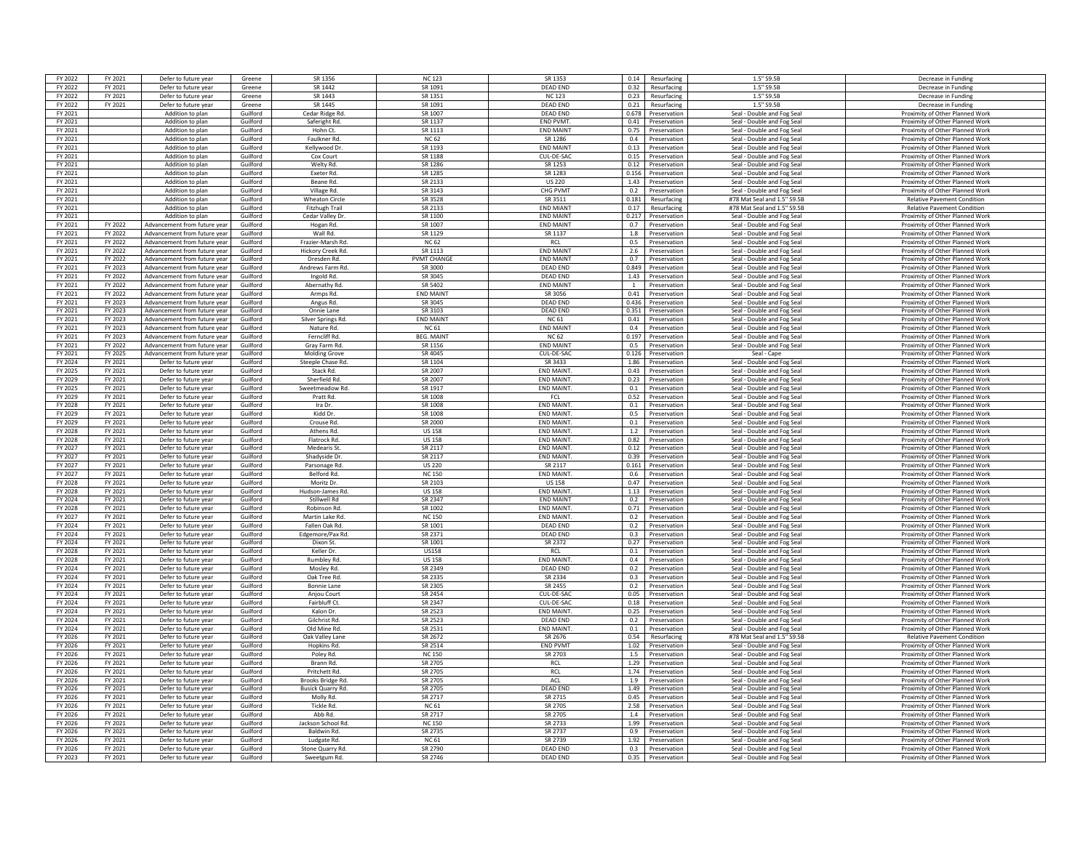| FY 2022 | FY 2021 | Defer to future year         | Greene               | SR 1356                      | <b>NC123</b>        | SR 1353                        | 0.14<br>Resurfacing            | 1.5"S9.5F                    | Decrease in Funding                |
|---------|---------|------------------------------|----------------------|------------------------------|---------------------|--------------------------------|--------------------------------|------------------------------|------------------------------------|
| FY 2022 | FY 2021 | Defer to future year         | Greene               | SR 1442                      | SR 1091             | <b>DEAD END</b>                | 0.32<br>Resurfacing            | 1.5" S9.5B                   | Decrease in Funding                |
| FY 2022 | FY 2021 | Defer to future year         | Greene               | SR 1443                      | SR 1351             | <b>NC123</b>                   | 0.23<br>Resurfacing            | 1.5" S9.5B                   | Decrease in Funding                |
|         |         |                              |                      |                              |                     |                                |                                |                              |                                    |
| FY 2022 | FY 2021 | Defer to future year         | Greene               | SR 1445                      | SR 1091             | <b>DEAD END</b>                | 0.21<br>Resurfacing            | 1.5" S9.5B                   | Decrease in Funding                |
| FY 2021 |         | Addition to plan             | Guilford             | Cedar Ridge Rd.              | SR 1007             | <b>DEAD END</b>                | 0.678<br>Preservation          | Seal - Double and Fog Seal   | Proximity of Other Planned Work    |
| FY 2021 |         | Addition to plan             | Guilford             | Saferight Rd.                | SR 1137             | END PVMT.                      | 0.41<br>Preservation           | Seal - Double and Fog Sea    | Proximity of Other Planned Work    |
| FY 2021 |         | Addition to plan             | Guilford             | Hohn Ct.                     | SR 1113             | <b>FND MAINT</b>               | 0.75<br>Preservation           | Seal - Double and Fog Seal   | Proximity of Other Planned Work    |
| FY 2021 |         | Addition to plan             | Guilford             | Faulkner Rd.                 | <b>NC 62</b>        | SR 1286                        | 0.4<br>Preservation            | Seal - Double and Fog Seal   | Proximity of Other Planned Work    |
| FY 2021 |         | Addition to plan             | Guilford             | Kellywood Dr                 | SR 1193             | <b>END MAINT</b>               | 0.13<br>Preservation           | Seal - Double and Fog Seal   | Proximity of Other Planned Work    |
| FY 2021 |         | Addition to plan             | Guilford             | Cox Court                    | SR 1188             | CUL-DE-SAC                     | 0.15<br>Preservation           | Seal - Double and Fog Seal   | Proximity of Other Planned Work    |
| FY 2021 |         | Addition to plan             | Guilford             | Welty Rd.                    | SR 1286             | SR 1253                        | 0.12<br>Preservation           | Seal - Double and Fog Seal   | Proximity of Other Planned Work    |
| FY 2021 |         | Addition to plan             | Guilford             | <b>Exeter Rd</b>             | SR 1285             | SR 1283                        | 0.156<br>Preservation          | Seal - Double and Fog Seal   | Proximity of Other Planned Work    |
| FY 2021 |         | Addition to plan             | Guilford             | Beane Rd.                    | SR 2133             | <b>US 220</b>                  | 1.43<br>Preservation           | Seal - Double and Fog Seal   | Proximity of Other Planned Work    |
| FY 2021 |         | Addition to plan             | Guilford             | Village Rd.                  | SR 3143             | CHG PVMT                       | 0.2<br>Preservation            | Seal - Double and Fog Seal   | Proximity of Other Planned Work    |
| FY 2021 |         | Addition to plan             | Guilford             | <b>Wheaton Circle</b>        | SR 3528             | SR 3511                        | 0.181<br>Resurfacing           | #78 Mat Seal and 1.5" \$9.5B | <b>Relative Pavement Condition</b> |
| FY 2021 |         | Addition to plan             | Guilford             | Fitzhugh Trail               | SR 2133             | <b>END MIANT</b>               | 0.17<br>Resurfacing            | #78 Mat Seal and 1.5" S9.5B  | <b>Relative Pavement Condition</b> |
| FY 2021 |         | Addition to plan             | Guilford             | Cedar Valley Dr.             | SR 1100             | <b>END MAINT</b>               | 0.217<br>Preservation          | Seal - Double and Fog Seal   | Proximity of Other Planned Work    |
| FY 2021 | FY 2022 | Advancement from future year | Guilford             | Hogan Rd.                    | SR 1007             | <b>END MAINT</b>               | 0.7<br>Preservation            | Seal - Double and Fog Seal   | Proximity of Other Planned Work    |
| FY 2021 | FY 2022 |                              | Guilford             | Wall Rd                      | SR 1129             |                                | 1.8                            |                              |                                    |
|         |         | Advancement from future year |                      |                              |                     | SR 1137                        | Preservation                   | Seal - Double and Fog Seal   | Proximity of Other Planned Work    |
| FY 2021 | FY 2022 | Advancement from future year | Guilford             | Frazier-Marsh Rd             | <b>NC 62</b>        | <b>RCL</b><br><b>FND MAINT</b> | 0.5<br>Preservation            | Seal - Double and Fog Sea    | Proximity of Other Planned Work    |
| FY 2021 | FY 2022 | Advancement from future year | Guilford             | Hickory Creek Rd.            | SR 1113             |                                | 2.6<br>Preservation            | Seal - Double and Fog Seal   | Proximity of Other Planned Work    |
| FY 2021 | FY 2022 | Advancement from future year | Guilford             | Dresden Rd.                  | <b>PVMT CHANGE</b>  | <b>END MAINT</b>               | 0.7<br>Preservation            | Seal - Double and Fog Seal   | Proximity of Other Planned Work    |
| FY 2021 | FY 2023 | Advancement from future year | Guilford             | Andrews Farm Rd.             | SR 3000             | <b>DEAD END</b>                | 0.849<br>Preservation          | Seal - Double and Fog Seal   | Proximity of Other Planned Work    |
| FY 2021 | FY 2022 | Advancement from future year | Guilford             | Ingold Rd.                   | <b>SR 3045</b>      | DFAD FND                       | 1.43 Preservation              | Seal - Double and Fog Seal   | Proximity of Other Planned Work    |
| FY 2021 | FY 2022 | Advancement from future year | Guilford             | Abernathy Rd.                | SR 5402             | <b>END MAINT</b>               | $\overline{1}$<br>Preservation | Seal - Double and Fog Seal   | Proximity of Other Planned Work    |
| FY 2021 | FY 2022 | Advancement from future year | Guilford             | Armps Rd.                    | <b>END MAINT</b>    | SR 3056                        | 0.41<br>Preservation           | Seal - Double and Fog Seal   | Proximity of Other Planned Work    |
| FY 2021 | FY 2023 | Advancement from future year | Guilford             | Angus Rd.                    | SR 3045             | <b>DEAD END</b>                | 0.436<br>Preservation          | Seal - Double and Fog Seal   | Proximity of Other Planned Work    |
| FY 2021 | FY 2023 | Advancement from future year | Guilford             | Onnie Lane                   | SR 3103             | <b>DEAD END</b>                | 0.351<br>Preservation          | Seal - Double and Fog Seal   | Proximity of Other Planned Work    |
| FY 2021 | FY 2023 | Advancement from future year | Guilford             | Silver Springs Rd.           | <b>FND MAIN</b>     | <b>NC 61</b>                   | 0.41<br>Preservation           | Seal - Double and Fog Seal   | Proximity of Other Planned Work    |
| FY 2021 | FY 2023 | Advancement from future year | Guilford             | Nature Rd.                   | <b>NC 61</b>        | <b>END MAINT</b>               | 0.4<br>Preservation            | Seal - Double and Fog Seal   | Proximity of Other Planned Work    |
| FY 2021 | FY 2023 | Advancement from future year | Guilford             | Ferncliff Rd.                | <b>BEG. MAINT</b>   | <b>NC 62</b>                   | 0.197<br>Preservation          | Seal - Double and Fog Seal   | Proximity of Other Planned Work    |
| FY 2021 | FY 2022 | Advancement from future year | Guilford             | Grav Farm Rd                 | SR 1156             | <b>END MAINT</b>               | 0.5<br>Preservation            | Seal - Double and Fog Seal   | Proximity of Other Planned Work    |
| FY 2021 | FY 2025 | Advancement from future year | Guilford             | <b>Molding Grove</b>         | SR 4045             | CUL-DE-SAC                     | 0.126<br>Preservation          | Seal - Cape                  | Proximity of Other Planned Work    |
| FY 2024 | FY 2021 | Defer to future year         | Guilford             | Steeple Chase Rd             | SR 1104             | SR 3433                        | 1.86<br>Preservation           | Seal - Double and Fog Sea    | Proximity of Other Planned Work    |
| FY 2025 | FY 2021 | Defer to future year         | Guilford             | Stack Rd.                    | SR 2007             | <b>FND MAINT</b>               | 0.43<br>Preservation           | Seal - Double and Fog Seal   | Proximity of Other Planned Work    |
| FY 2029 | FY 2021 | Defer to future year         | Guilford             | Sherfield Rd.                | SR 2007             | <b>END MAINT</b>               | 0.23<br>Preservation           | Seal - Double and Fog Seal   | Proximity of Other Planned Work    |
|         |         |                              |                      |                              |                     | <b>END MAINT.</b>              |                                |                              |                                    |
| FY 2025 | FY 2021 | Defer to future year         | Guilford<br>Guilford | Sweetmeadow Rd.<br>Pratt Rd. | SR 1917<br>SR 1008  |                                | 0.1<br>Preservation<br>0.52    | Seal - Double and Fog Seal   | Proximity of Other Planned Work    |
| FY 2029 | FY 2021 | Defer to future year         |                      |                              |                     | FCL                            | Preservation                   | Seal - Double and Fog Seal   | Proximity of Other Planned Work    |
| FY 2028 | FY 2021 | Defer to future year         | Guilford             | Ira Dr.                      | SR 1008             | END MAINT.                     | 0.1<br>Preservation            | Seal - Double and Fog Seal   | Proximity of Other Planned Work    |
| FY 2029 | FY 2021 | Defer to future year         | Guilford             | Kidd Dr                      | SR 1008             | <b>END MAINT</b>               | 0.5<br>Preservation            | Seal - Double and Fog Seal   | Proximity of Other Planned Work    |
| FY 2029 | FY 2021 | Defer to future year         | Guilford             | Crouse Rd.                   | SR 2000             | <b>END MAINT</b>               | 0.1<br>Preservation            | Seal - Double and Fog Seal   | Proximity of Other Planned Work    |
| FY 2028 | FY 2021 | Defer to future year         | Guilford             | Athens Rd.                   | <b>US 158</b>       | <b>END MAINT</b>               | 1.2<br>Preservation            | Seal - Double and Fog Seal   | Proximity of Other Planned Work    |
| FY 2028 | FY 2021 | Defer to future year         | Guilford             | Flatrock Rd.                 | <b>US 158</b>       | <b>FND MAINT</b>               | 0.82<br>Preservation           | Seal - Double and Fog Seal   | Proximity of Other Planned Work    |
| FY 2027 | FY 2021 | Defer to future year         | Guilford             | Medearis St.                 | SR 2117             | END MAINT.                     | 0.12 Preservation              | Seal - Double and Fog Seal   | Proximity of Other Planned Work    |
| FY 2027 | FY 2021 | Defer to future year         | Guilford             | Shadyside Dr.                | SR 2117             | <b>END MAINT</b>               | 0.39<br>Preservation           | Seal - Double and Fog Seal   | Proximity of Other Planned Work    |
| FY 2027 | FY 2021 | Defer to future year         | Guilford             | Parsonage Rd                 | <b>US 220</b>       | SR 2117                        | 0.161<br>Preservation          | Seal - Double and Fog Seal   | Proximity of Other Planned Work    |
| FY 2027 | FY 2021 | Defer to future year         | Guilford             | Belford Rd.                  | <b>NC 150</b>       | <b>END MAINT</b>               | 0.6<br>Preservation            | Seal - Double and Fog Seal   | Proximity of Other Planned Work    |
| FY 2028 | FY 2021 | Defer to future year         | Guilford             | Moritz Dr.                   | SR 2103             | <b>US 158</b>                  | 0.47<br>Preservation           | Seal - Double and Fog Seal   | Proximity of Other Planned Work    |
| FY 2028 | FY 2021 | Defer to future year         | Guilford             | Hudson-James Rd              | <b>US158</b>        | <b>FND MAINT</b>               | 1.13<br>Preservation           | Seal - Double and Fog Seal   | Proximity of Other Planned Work    |
| FY 2024 | FY 2021 | Defer to future year         | Guilford             | Stillwell Rd                 | SR 2347             | <b>END MAINT</b>               | 0.2<br>Preservation            | Seal - Double and Fog Seal   | Proximity of Other Planned Work    |
| FY 2028 | FY 2021 | Defer to future year         | Guilford             | Robinson Rd.                 | SR 1002             | END MAINT.                     | 0.71<br>Preservation           | Seal - Double and Fog Seal   | Proximity of Other Planned Work    |
| FY 2027 | FY 2021 | Defer to future year         | Guilford             | Martin Lake Rd.              | <b>NC150</b>        | FND MAINT.                     | 0.2<br>Preservation            | Seal - Double and Fog Seal   | Proximity of Other Planned Work    |
| FY 2024 | FY 2021 | Defer to future year         | Guilford             | Fallen Oak Rd.               | SR 1001             | <b>DEAD END</b>                | 0.2<br>Preservation            | Seal - Double and Fog Seal   | Proximity of Other Planned Work    |
|         |         |                              |                      |                              |                     |                                |                                |                              |                                    |
| FY 2024 | FY 2021 | Defer to future year         | Guilford             | Edgemore/Pax Rd.             | SR 2371             | <b>DEAD END</b>                | 0.3<br>Preservation            | Seal - Double and Fog Seal   | Proximity of Other Planned Work    |
| FY 2024 | FY 2021 | Defer to future year         | Guilford             | Dixon St.                    | SR 1001             | SR 2372                        | 0.27<br>Preservation           | Seal - Double and Fog Seal   | Proximity of Other Planned Work    |
| FY 2028 | FY 2021 | Defer to future year         | Guilford             | Keller Dr                    | <b>US158</b>        | <b>RCI</b>                     | 0.1<br>Preservation            | Seal - Double and Fog Seal   | Proximity of Other Planned Work    |
| FY 2028 | FY 2021 | Defer to future year         | Guilford             | Rumbley Rd.                  | <b>US 158</b>       | <b>FND MAINT</b>               | 0.4<br>Preservation            | Seal - Double and Fog Seal   | Proximity of Other Planned Work    |
| FY 2024 | FY 2021 | Defer to future year         | Guilford             | Mosley Rd.                   | SR 2349             | DEAD END                       | 0.2<br>Preservation            | Seal - Double and Fog Seal   | Proximity of Other Planned Work    |
| FY 2024 | FY 2021 | Defer to future year         | Guilford             | Oak Tree Rd.                 | SR 2335             | SR 2334                        | 0.3<br>Preservation            | Seal - Double and Fog Seal   | Proximity of Other Planned Work    |
| FY 2024 | FY 2021 | Defer to future year         | Guilford             | <b>Bonnie Lane</b>           | SR 2305             | SR 2455                        | 0.2<br>Preservation            | Seal - Double and Fog Seal   | Proximity of Other Planned Work    |
| FY 2024 | FY 2021 | Defer to future year         | Guilford             | Anjou Court                  | SR 2454             | CUL-DE-SAC                     | 0.05<br>Preservation           | Seal - Double and Fog Seal   | Proximity of Other Planned Work    |
| FY 2024 | FY 2021 | Defer to future year         | Guilford             | Fairbluff Ct.                | SR 2347             | CUL-DE-SAC                     | 0.18<br>Preservation           | Seal - Double and Fog Seal   | Proximity of Other Planned Work    |
| FY 2024 | FY 2021 | Defer to future year         | Guilford             | Kalon Dr                     | SR 2523             | <b>FND MAINT</b>               | 0.25<br>Preservation           | Seal - Double and Fog Seal   | Proximity of Other Planned Work    |
| FY 2024 | FY 2021 | Defer to future year         | Guilford             | Gilchrist Rd.                | SR 2523             | <b>DEAD END</b>                | 0.2<br>Preservation            | Seal - Double and Fog Seal   | Proximity of Other Planned Work    |
| FY 2024 | FY 2021 | Defer to future year         | Guilford             | Old Mine Rd.                 | SR 2531             | END MAINT.                     | 0.1<br>Preservation            | Seal - Double and Fog Seal   | Proximity of Other Planned Work    |
| FY 2026 | FY 2021 | Defer to future year         | Guilford             | Oak Valley Lane              | SR 2672             | SR 2676                        | 0.54<br>Resurfacing            | #78 Mat Seal and 1.5" S9.5B  | <b>Relative Pavement Condition</b> |
| FY 2026 | FY 2021 | Defer to future year         | Guilford             | Honkins Rd.                  | SR 2514             | <b>END PVMT</b>                | 1.02<br>Preservation           | Seal - Double and Fog Seal   | Proximity of Other Planned Work    |
| FY 2026 | FY 2021 | Defer to future year         | Guilford             | Poley Rd.                    | <b>NC 150</b>       | SR 2703                        | 1.5<br>Preservation            | Seal - Double and Fog Seal   | Proximity of Other Planned Work    |
| FY 2026 | FY 2021 | Defer to future year         | Guilford             | Brann Rd.                    | SR 2705             | RCL                            | 1.29<br>Preservation           | Seal - Double and Fog Seal   | Proximity of Other Planned Work    |
| FY 2026 | FY 2021 | Defer to future year         | Guilford             | Pritchett Rd.                | SR 2705             | <b>RCI</b>                     | 1.74<br>Preservation           | Seal - Double and Fog Seal   | Proximity of Other Planned Work    |
| FY 2026 | FY 2021 | Defer to future year         | Guilford             | Brooks Bridge Rd.            | SR 2705             | ACI                            | 1.9<br>Preservation            | Seal - Double and Fog Seal   | Proximity of Other Planned Work    |
|         |         |                              |                      |                              |                     |                                |                                |                              |                                    |
| FY 2026 | FY 2021 | Defer to future year         | Guilford             | <b>Busick Quarry Rd.</b>     | SR 2705             | <b>DEAD END</b>                | 1.49<br>Preservation           | Seal - Double and Fog Seal   | Proximity of Other Planned Work    |
| FY 2026 | FY 2021 | Defer to future year         | Guilford             | Molly Rd.                    | SR 2717             | SR 2715                        | 0.45<br>Preservation           | Seal - Double and Fog Seal   | Proximity of Other Planned Work    |
| FY 2026 | FY 2021 | Defer to future year         | Guilford             | <b>Tickle Rd</b>             | <b>NC 61</b>        | SR 2705                        | 2.58<br>Preservation           | Seal - Double and Fog Seal   | Proximity of Other Planned Work    |
| FY 2026 | FY 2021 | Defer to future year         | Guilford             | Abb Rd.                      | SR 2717             | SR 2705                        | 1.4<br>Preservation            | Seal - Double and Fog Seal   | Proximity of Other Planned Work    |
| FY 2026 | FY 2021 | Defer to future year         | Guilford             | Jackson School Rd            | <b>NC 150</b>       | SR 2733                        | 1.99<br>Preservation           | Seal - Double and Fog Seal   | Proximity of Other Planned Work    |
| FY 2026 | FY 2021 | Defer to future year         | Guilford             | <b>Baldwin Rd</b>            | SR 273 <sup>e</sup> | SR 2737                        | 0.9<br>Preservation            | Seal - Double and Fog Seal   | Proximity of Other Planned Work    |
| FY 2026 | FY 2021 | Defer to future year         | Guilford             | Ludgate Rd                   | <b>NC 61</b>        | SR 2739                        | 1.92<br>Preservation           | Seal - Double and Fog Seal   | Proximity of Other Planned Work    |
| FY 2026 | FY 2021 | Defer to future year         | Guilford             | Stone Quarry Rd              | SR 2790             | <b>DEAD END</b>                | 0.3<br>Preservation            | Seal - Double and Fog Seal   | Proximity of Other Planned Work    |
| FY 2023 | FY 2021 | Defer to future year         | Guilford             | Sweetgum Rd.                 | SR 2746             | <b>DEAD END</b>                | 0.35<br>Preservation           | Seal - Double and Fog Seal   | Proximity of Other Planned Work    |
|         |         |                              |                      |                              |                     |                                |                                |                              |                                    |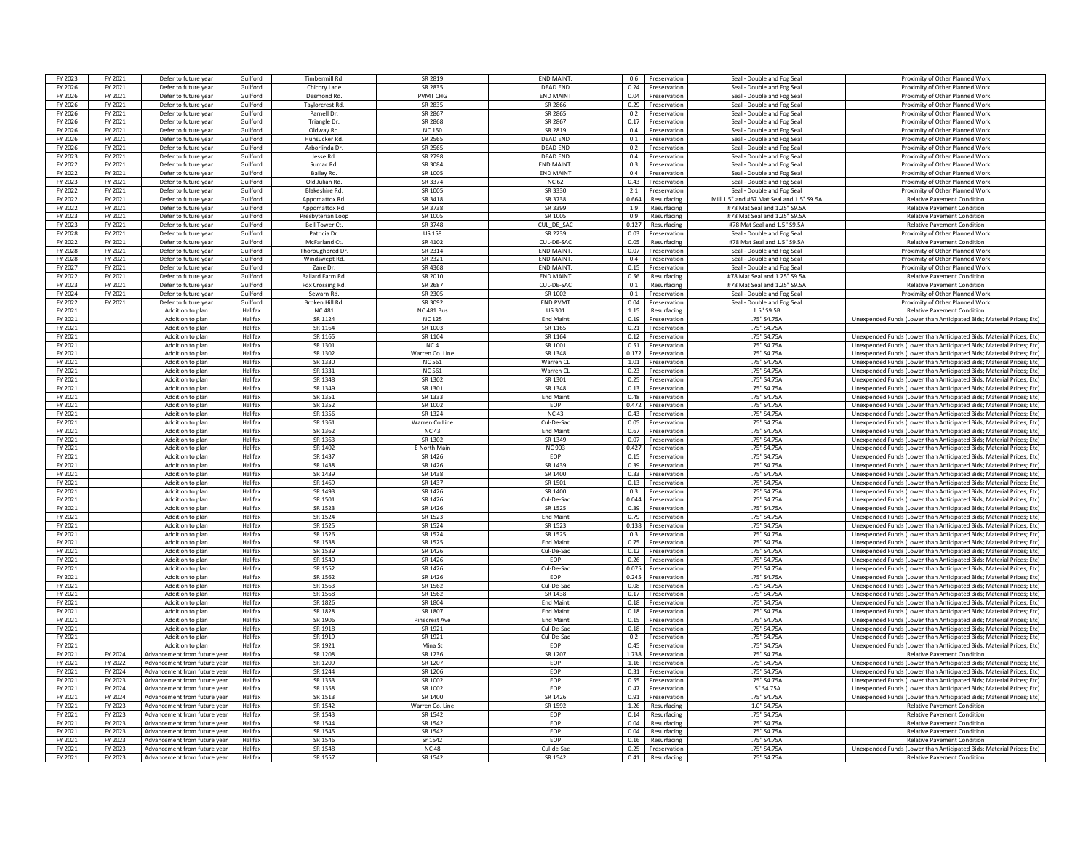| FY 2023 | FY 2021 | Defer to future year                 | Guilford | <b>Timbermill Rc</b>   | SR 2819            | <b>FND MAIN</b>             | 0.6                   | Preservation                      | Seal - Double and Fog Seal                | Proximity of Other Planned Work                                                                                                              |
|---------|---------|--------------------------------------|----------|------------------------|--------------------|-----------------------------|-----------------------|-----------------------------------|-------------------------------------------|----------------------------------------------------------------------------------------------------------------------------------------------|
| FY 2026 | FY 2021 | Defer to future year                 | Guilford | Chicory Lane           | SR 2835            | <b>DEAD END</b>             |                       | 0.24 Preservation                 | Seal - Double and Fog Seal                | Proximity of Other Planned Work                                                                                                              |
| FY 2026 | FY 2021 | Defer to future year                 | Guilford | Desmond Rd.            | <b>PVMT CHG</b>    | <b>END MAINT</b>            |                       | 0.04 Preservation                 | Seal - Double and Fog Seal                | Proximity of Other Planned Work                                                                                                              |
|         |         |                                      |          |                        |                    |                             |                       |                                   |                                           |                                                                                                                                              |
| FY 2026 | FY 2021 | Defer to future year                 | Guilford | Tavlorcrest Rd.        | SR 2835            | SR 2866                     | 0.29                  | Preservation                      | Seal - Double and Fog Seal                | Proximity of Other Planned Work                                                                                                              |
| FY 2026 | FY 2021 | Defer to future year                 | Guilford | Parnell Dr.            | SR 2867            | SR 2865                     | 0.2                   | Preservation                      | Seal - Double and Fog Seal                | Proximity of Other Planned Work                                                                                                              |
| FY 2026 | FY 2021 | Defer to future year                 | Guilford | Triangle Dr.           | SR 2868            | SR 2867                     | 0.17                  | Preservation                      | Seal - Double and Fog Sea                 | Proximity of Other Planned Work                                                                                                              |
| FY 2026 | FY 2021 | Defer to future year                 | Guilford | Oldway Rd              | <b>NC150</b>       | SR 2819                     |                       | 0.4 Preservation                  | Seal - Double and Fog Seal                | Proximity of Other Planned Work                                                                                                              |
| FY 2026 | FY 2021 | Defer to future yea                  | Guilford | Hunsucker Rd           | SR 2565            | <b>DEAD END</b>             | 0.1                   | Preservation                      | Seal - Double and Fog Seal                | Proximity of Other Planned Work                                                                                                              |
| FY 2026 | FY 2021 | Defer to future year                 | Guilford | Arborlinda Dr          | SR 2565            | <b>DEAD END</b>             |                       | 0.2 Preservation                  | Seal - Double and Fog Seal                | Proximity of Other Planned Work                                                                                                              |
| FY 2023 | FY 2021 | Defer to future year                 | Guilford | Jesse Rd.              | SR 2798            | DFAD FND                    |                       | 0.4 Preservation                  | Seal - Double and Fog Seal                | Proximity of Other Planned Work                                                                                                              |
| FY 2022 | FY 2021 | Defer to future year                 | Guilford | Sumac Rd.              | SR 3084            | END MAINT.                  | 0.3                   | Preservation                      | Seal - Double and Fog Seal                | Proximity of Other Planned Work                                                                                                              |
| FY 2022 | FY 2021 | Defer to future year                 | Guilford | <b>Bailey Rd</b>       | SR 1005            | <b>END MAINT</b>            | 0.4                   | Preservation                      | Seal - Double and Fog Seal                | Proximity of Other Planned Work                                                                                                              |
| FY 2023 | FY 2021 | Defer to future year                 | Guilford | Old Julian Rd.         | SR 3374            | <b>NC 62</b>                | 0.43                  | Preservation                      | Seal - Double and Fog Seal                | Proximity of Other Planned Work                                                                                                              |
| FY 2022 | FY 2021 | Defer to future year                 | Guilford | <b>Blakeshire Rd</b>   | SR 1005            | <b>SR 3330</b>              | 2.1                   | Preservation                      | Seal - Double and Fog Seal                | Proximity of Other Planned Work                                                                                                              |
| FY 2022 | FY 2021 | Defer to future year                 | Guilford | Appomattox Rd.         | SR 3418            | SR 3738                     | 0.664                 | Resurfacing                       | Mill 1.5" and #67 Mat Seal and 1.5" S9.5/ | <b>Relative Pavement Condition</b>                                                                                                           |
| FY 2022 | FY 2021 | Defer to future year                 | Guilford | Appomattox Rd          | SR 3738            | SR 3399                     | 1.9                   | Resurfacing                       | #78 Mat Seal and 1.25" S9.5A              | <b>Relative Pavement Condition</b>                                                                                                           |
| FY 2023 | FY 2021 | Defer to future year                 | Guilford | Presbyterian Loop      | SR 1005            | SR 1005                     | 0.9                   | Resurfacing                       | #78 Mat Seal and 1.25" S9.5A              | <b>Relative Pavement Condition</b>                                                                                                           |
| FY 2023 | FY 2021 | Defer to future year                 | Guilford | <b>Bell Tower Ct.</b>  | SR 3748            | CUL DE SAO                  | 0.127                 | Resurfacing                       | #78 Mat Seal and 1.5" S9.5A               | <b>Relative Pavement Condition</b>                                                                                                           |
|         |         |                                      |          |                        |                    |                             |                       |                                   |                                           |                                                                                                                                              |
| FY 2028 | FY 2021 | Defer to future yea                  | Guilford | Patricia Dr.           | <b>US 158</b>      | SR 2239                     | 0.03                  | Preservation                      | Seal - Double and Fog Seal                | Proximity of Other Planned Work                                                                                                              |
| FY 2022 | FY 2021 | Defer to future year                 | Guilford | McFarland Ct.          | SR 4102            | CUL-DE-SAC                  | 0.05                  | Resurfacing                       | #78 Mat Seal and 1.5" S9.5/               | <b>Relative Pavement Condition</b>                                                                                                           |
| FY 2028 | FY 2021 | Defer to future year                 | Guilford | Thoroughbred D         | SR 2314            | <b>FND MAINT</b>            |                       | 0.07 Preservation                 | Seal - Double and Fog Seal                | Proximity of Other Planned Work                                                                                                              |
| FY 2028 | FY 2021 | Defer to future yea                  | Guilford | Windswept Rd           | SR 2321            | <b>END MAINT</b>            | 0.4                   | Preservation                      | Seal - Double and Fog Seal                | Proximity of Other Planned Worl                                                                                                              |
| FY 2027 | FY 2021 | Defer to future year                 | Guilford | Zane Dr                | SR 4368            | <b>FND MAINT</b>            | 0.15                  | Preservation                      | Seal - Double and Fog Seal                | Proximity of Other Planned Work                                                                                                              |
| FY 2022 | FY 2021 | Defer to future year                 | Guilford | <b>Ballard Farm Rd</b> | SR 2010            | <b>FND MAINT</b>            |                       | 0.56 Resurfacing                  | #78 Mat Seal and 1.25" S9.5A              | <b>Relative Pavement Condition</b>                                                                                                           |
| FY 2023 | FY 2021 | Defer to future year                 | Guilford | Fox Crossing Rd.       | SR 2687            | CUL-DE-SAC                  | 0.1                   | Resurfacing                       | #78 Mat Seal and 1.25" S9.5A              | <b>Relative Pavement Condition</b>                                                                                                           |
| FY 2024 | FY 2021 | Defer to future year                 | Guilford | Sewarn Rd.             | SR 2305            | SR 1002                     | 0.1                   | Preservation                      | Seal - Double and Fog Seal                | Proximity of Other Planned Work                                                                                                              |
| FY 2022 | FY 2021 | Defer to future yea                  | Guilford | Broken Hill Rd         | SR 3092            | <b>END PVMT</b>             | 0.04                  | Preservation                      | Seal - Double and Fog Seal                | Proximity of Other Planned Work                                                                                                              |
| FY 2021 |         | Addition to plan                     | Halifax  | <b>NC481</b>           | <b>NC 481 Bus</b>  | <b>US 301</b>               | 1.15                  | Resurfacing                       | 1.5" S9.5B                                | <b>Relative Pavement Condition</b>                                                                                                           |
| FY 2021 |         | Addition to plan                     | Halifax  | SR 1124                | <b>NC 125</b>      | <b>End Maint</b>            | 0.19                  | Preservation                      | .75" S4.75A                               | Unexpended Funds (Lower than Anticipated Bids; Material Prices; Etc)                                                                         |
| FY 2021 |         | Addition to plan                     | Halifax  | SR 1164                | SR 1003            | SR 1165                     |                       | 0.21 Preservation                 | .75" S4.75A                               |                                                                                                                                              |
| FY 2021 |         | Addition to plan                     | Halifax  | SR 1165                | SR 1104            | SR 1164                     |                       | 0.12 Preservation                 | .75" S4.75A                               | Unexpended Funds (Lower than Anticipated Bids; Material Prices; Etc)                                                                         |
| FY 2021 |         | Addition to plan                     | Halifax  | SR 1301                | NC.4               | SR 1001                     | 0.51                  | Preservation                      | 75" S4.75A                                | Unexpended Funds (Lower than Anticipated Bids: Material Prices: Etc)                                                                         |
| FY 2021 |         | Addition to plan                     | Halifax  | SR 1302                | Warren Co. Line    | SR 1348                     | 0.172                 | Preservation                      | .75" S4.75A                               | Unexpended Funds (Lower than Anticipated Bids; Material Prices; Etc)                                                                         |
| FY 2021 |         |                                      | Halifax  | SR 1330                | <b>NC 561</b>      |                             | 1.01                  | Preservation                      | .75" S4.75A                               |                                                                                                                                              |
| FY 2021 |         | Addition to plan                     | Halifax  | SR 1331                | <b>NC 561</b>      | Warren CL<br>Warren CL      |                       |                                   | .75" S4.75A                               | Unexpended Funds (Lower than Anticipated Bids; Material Prices; Etc)                                                                         |
|         |         | Addition to plan<br>Addition to plan | Halifax  |                        |                    |                             | 0.25                  | 0.23 Preservation<br>Preservation |                                           | Unexpended Funds (Lower than Anticipated Bids; Material Prices; Etc)<br>Unexpended Funds (Lower than Anticipated Bids: Material Prices: Etc) |
| FY 2021 |         |                                      |          | SR 1348                | SR 1302            | SR 1301                     |                       |                                   | .75" S4.75A                               |                                                                                                                                              |
| FY 2021 |         | Addition to plan                     | Halifax  | SR 1349                | SR 1301            | SR 1348                     |                       | 0.13 Preservation                 | .75" S4.75A                               | Unexpended Funds (Lower than Anticipated Bids: Material Prices: Etc)                                                                         |
| FY 2021 |         | Addition to plan                     | Halifax  | SR 1351                | SR 1333            | <b>End Maint</b>            |                       | 0.48 Preservation                 | .75" S4.75A                               | Unexpended Funds (Lower than Anticipated Bids; Material Prices; Etc)                                                                         |
| FY 2021 |         | Addition to plan                     | Halifax  | SR 1352                | SR 1002            | <b>FOP</b>                  | 0.472                 | Preservation                      | .75" S4.75A                               | Unexpended Funds (Lower than Anticipated Bids; Material Prices: Etc)                                                                         |
| FY 2021 |         | Addition to plan                     | Halifax  | SR 1356                | SR 1324            | <b>NC43</b>                 | 0.43                  | Preservation                      | .75" S4.75A                               | Unexpended Funds (Lower than Anticipated Bids; Material Prices; Etc)                                                                         |
| FY 2021 |         | Addition to plan                     | Halifax  | SR 1361                | Warren Co Line     | Cul-De-Sa                   | 0.05                  | Preservation                      | .75" S4.75/                               | Unexpended Funds (Lower than Anticipated Bids: Material Prices: Etc)                                                                         |
| FY 2021 |         | Addition to plan                     | Halifax  | SR 1362                | NC 43              | <b>End Maint</b>            | 0.67                  | Preservation                      | .75" S4.75A                               | Unexpended Funds (Lower than Anticipated Bids; Material Prices; Etc)                                                                         |
| FY 2021 |         | Addition to plan                     | Halifax  | SR 1363                | SR 1302            | SR 1349                     | 0.07                  | Preservation                      | .75" S4.75A                               | Unexpended Funds (Lower than Anticipated Bids; Material Prices; Etc)                                                                         |
| FY 2021 |         | Addition to plan                     | Halifax  | SR 1402                | E North Mair       | <b>NC 903</b>               | 0.427                 | Preservation                      | .75" S4.75A                               | Unexpended Funds (Lower than Anticipated Bids; Material Prices; Etc)                                                                         |
| FY 2021 |         | Addition to plan                     | Halifax  | SR 1437                | SR 1426            | FOP                         |                       | 0.15 Preservation                 | .75" S4.75A                               | Unexpended Funds (Lower than Anticipated Bids; Material Prices; Etc)                                                                         |
| FY 2021 |         | Addition to plan                     | Halifax  | SR 1438                | SR 1426            | SR 1439                     | $0.39$ $\blacksquare$ | Preservation                      | .75" S4.75A                               | Unexpended Funds (Lower than Anticipated Bids; Material Prices; Etc)                                                                         |
| FY 2021 |         | Addition to plan                     | Halifax  | SR 1439                | SR 1438            | SR 1400                     | 0.33                  | Preservation                      | .75" S4.75A                               | Unexpended Funds (Lower than Anticipated Bids: Material Prices: Etc)                                                                         |
| FY 2021 |         | Addition to plan                     | Halifax  | SR 1469                | SR 1437            | SR 1501                     | 0.13                  | Preservation                      | .75" S4.75A                               | Unexpended Funds (Lower than Anticipated Bids; Material Prices; Etc)                                                                         |
| FY 2021 |         | Addition to plan                     | Halifax  | SR 1493                | SR 1426            | SR 1400                     | 0.3                   | Preservation                      | .75" S4.75A                               | Unexpended Funds (Lower than Anticipated Bids; Material Prices; Etc)                                                                         |
| FY 2021 |         | Addition to plan                     | Halifax  | SR 1501                | SR 1426            | Cul-De-Sar                  | 0.044                 | Preservation                      | .75" S4.75A                               | Unexpended Funds (Lower than Anticipated Bids: Material Prices: Etc)                                                                         |
| FY 2021 |         | Addition to plan                     | Halifax  | SR 1523                | SR 1426            | SR 1525                     | 0.39                  | Preservation                      | .75" S4.75A                               | Unexpended Funds (Lower than Anticipated Bids; Material Prices; Etc)                                                                         |
|         |         |                                      |          |                        |                    |                             |                       |                                   |                                           |                                                                                                                                              |
| FY 2021 |         | Addition to plan                     | Halifax  | SR 1524                | SR 1523<br>SR 1524 | <b>End Maint</b><br>SR 1523 |                       | 0.79 Preservation                 | .75" S4.75A                               | Unexpended Funds (Lower than Anticipated Bids; Material Prices; Etc)                                                                         |
| FY 2021 |         | Addition to plan                     | Halifax  | SR 1525                |                    |                             | 0.138                 | Preservation                      | .75" S4.75A                               | Unexpended Funds (Lower than Anticipated Bids; Material Prices; Etc)                                                                         |
| FY 2021 |         | Addition to plan                     | Halifax  | SR 1526                | SR 1524            | SR 1525                     | 0.3                   | Preservation                      | .75" S4.75A                               | Unexpended Funds (Lower than Anticipated Bids; Material Prices; Etc)                                                                         |
| FY 2021 |         | Addition to plan                     | Halifax  | SR 1538                | SR 1525            | <b>End Main</b>             | 0.75                  | Preservation                      | .75" S4.75A                               | Unexpended Funds (Lower than Anticipated Bids; Material Prices; Etc)                                                                         |
| FY 2021 |         | Addition to plan                     | Halifax  | SR 1539                | SR 1426            | Cul-De-Sac                  | 0.12                  | Preservation                      | .75" S4.75/                               | Unexpended Funds (Lower than Anticipated Bids; Material Prices; Etc)                                                                         |
| FY 2021 |         | Addition to plan                     | Halifax  | SR 1540                | SR 1426            | EOP                         | 0.26                  | Preservation                      | .75" S4.75A                               | Unexpended Funds (Lower than Anticipated Bids: Material Prices: Etc)                                                                         |
| FY 2021 |         | Addition to plan                     | Halifax  | SR 1552                | SR 1426            | Cul-De-Sar                  | 0.075                 | Preservation                      | 75" S4.75A                                | Unexpended Funds (Lower than Anticipated Bids; Material Prices; Etc)                                                                         |
| FY 2021 |         | Addition to plan                     | Halifax  | SR 1562                | SR 1426            | EOP                         |                       | 0.245 Preservation                | .75" S4.75A                               | Unexpended Funds (Lower than Anticipated Bids; Material Prices; Etc)                                                                         |
| FY 2021 |         | Addition to plan                     | Halifax  | SR 1563                | SR 1562            | Cul-De-Sac                  |                       | 0.08 Preservation                 | .75" S4.75A                               | Unexpended Funds (Lower than Anticipated Bids: Material Prices: Etc)                                                                         |
| FY 2021 |         | Addition to plan                     | Halifax  | SR 1568                | SR 1562            | SR 1438                     | 0.17                  | Preservation                      | .75" S4.75A                               | Unexpended Funds (Lower than Anticipated Bids: Material Prices: Etc)                                                                         |
| FY 2021 |         | Addition to plan                     | Halifax  | SR 1826                | SR 1804            | <b>End Main</b>             | 0.18                  | Preservation                      | .75" S4.75A                               | Unexpended Funds (Lower than Anticipated Bids; Material Prices; Etc)                                                                         |
| FY 2021 |         | Addition to plan                     | Halifax  | SR 1828                | SR 1807            | <b>Fnd Maint</b>            | 0.18                  | Preservation                      | .75" S4.75A                               | Unexpended Funds (Lower than Anticipated Bids; Material Prices; Etc)                                                                         |
| FY 2021 |         | Addition to plan                     | Halifax  | SR 1906                | Pinecrest Av       | <b>Fnd Maint</b>            | 0.15                  | Preservation                      | 75" S4.75A                                | Unexpended Funds (Lower than Anticipated Bids: Material Prices: Etc)                                                                         |
| FY 2021 |         | Addition to plan                     | Halifax  | SR 1918                | SR 1921            | Cul-De-Sac                  | 0.18                  | Preservation                      | .75" S4.75A                               | Unexpended Funds (Lower than Anticipated Bids; Material Prices; Etc)                                                                         |
| FY 2021 |         | Addition to plan                     | Halifax  | SR 1919                | SR 1921            | Cul-De-Sac                  | 0.2                   | Preservation                      | .75" S4.75A                               | Unexpended Funds (Lower than Anticipated Bids; Material Prices; Etc)                                                                         |
| FY 2021 |         |                                      |          |                        |                    |                             |                       |                                   | .75" S4.75A                               | Unexpended Funds (Lower than Anticipated Bids; Material Prices; Etc)                                                                         |
| FY 2021 |         |                                      |          |                        |                    |                             |                       |                                   |                                           |                                                                                                                                              |
| FY 2021 |         | Addition to plan                     | Halifax  | SR 1921                | Mina St            | <b>FOP</b>                  | 0.45                  | Preservation                      |                                           |                                                                                                                                              |
|         | FY 2024 | Advancement from future vea          | Halifax  | SR 1208                | SR 1236            | SR 1207                     | 1.738                 | Preservation                      | .75" S4.75A                               | <b>Relative Pavement Condition</b>                                                                                                           |
|         | FY 2022 | Advancement from future vear         | Halifax  | SR 1209                | SR 1207            | EOP                         | 1.16                  | Preservation                      | .75" S4.75A                               | Unexpended Funds (Lower than Anticipated Bids; Material Prices; Etc)                                                                         |
| FY 2021 | FY 2024 | Advancement from future year         | Halifax  | SR 1244                | SR 1206            | EOP                         | 0.31                  | Preservation                      | .75" S4.75A                               | Unexpended Funds (Lower than Anticipated Bids; Material Prices; Etc)                                                                         |
| FY 2021 | FY 2023 | Advancement from future vear         | Halifax  | SR 1353                | SR 1002            | <b>FOP</b>                  | 0.55 1                | Preservation                      | 75" S4.75A                                | Unexpended Funds (Lower than Anticipated Bids: Material Prices: Etc)                                                                         |
| FY 2021 | FY 2024 | Advancement from future vear         | Halifax  | SR 1358                | SR 1002            | FOP                         | 0.47                  | Preservation                      | $.5"$ S4.75/                              | Unexpended Funds (Lower than Anticipated Bids; Material Prices; Etc)                                                                         |
| FY 2021 | FY 2024 | Advancement from future year         | Halifax  | SR 1513                | SR 1400            | SR 1426                     |                       | 0.91 Preservation                 | .75" S4.75A                               | Unexpended Funds (Lower than Anticipated Bids: Material Prices: Etc)                                                                         |
| FY 2021 | FY 2023 | Advancement from future year         | Halifax  | SR 1542                | Warren Co. Line    | SR 1592                     |                       | 1.26 Resurfacing                  | 1.0" S4.75A                               | <b>Relative Pavement Condition</b>                                                                                                           |
| FY 2021 | FY 2023 | Advancement from future vear         | Halifax  | SR 1543                | SR 1542            | EOP                         | 0.14                  | Resurfacing                       | .75" S4.75A                               | <b>Relative Pavement Condition</b>                                                                                                           |
| FY 2021 | FY 2023 | Advancement from future vear         | Halifax  | SR 1544                | SR 1542            | EOP                         | 0.04                  | Resurfacing                       | .75" S4.75A                               | <b>Relative Pavement Condition</b>                                                                                                           |
| FY 2021 | FY 2023 | Advancement from future vea          | Halifax  | SR 1545                | SR 1542            | EOP                         | 0.04                  | Resurfacing                       | .75" S4.75/                               | <b>Relative Pavement Conditio</b>                                                                                                            |
| FY 2021 | FY 2023 | Advancement from future year         | Halifax  | SR 1546                | Sr 1542            | <b>FOP</b>                  | 0.16                  | Resurfacing                       | 75" S4.75A                                | <b>Relative Pavement Condition</b>                                                                                                           |
| FY 2021 | FY 2023 | Advancement from future year         | Halifax  | SR 1548                | <b>NC48</b>        | Cul-de-Sao                  | 0.25                  | Preservation                      | .75" S4.75A                               | Unexpended Funds (Lower than Anticipated Bids; Material Prices; Etc)                                                                         |
| FY 2021 | FY 2023 | Advancement from future year         | Halifax  | SR 1557                | SR 1542            | SR 1542                     | 0.41                  | Resurfacing                       | .75" S4.75A                               | <b>Relative Pavement Condition</b>                                                                                                           |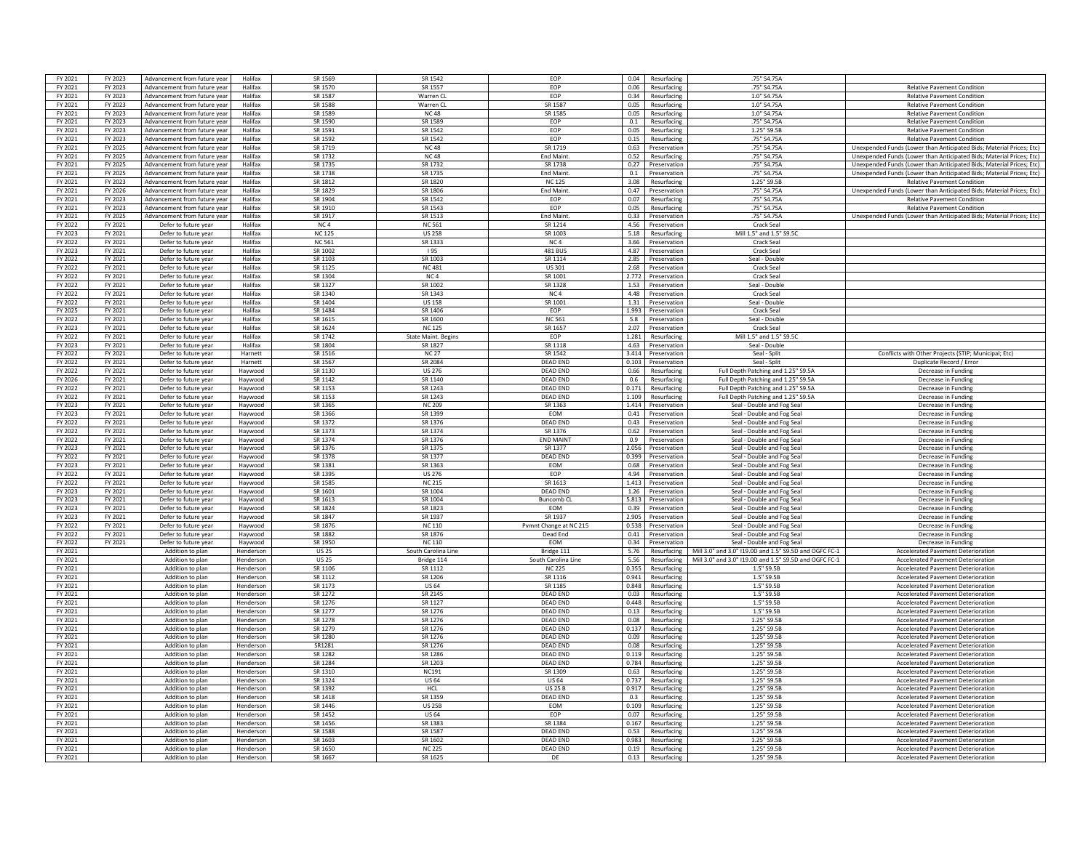| FY 2021 | FY 2023 | Advancement from future year | Halifax   | SR 1569         | SR 1542                    | <b>FOP</b>             | 0.04  | Resurfacing        | .75" S4.75A                                            |                                                                      |
|---------|---------|------------------------------|-----------|-----------------|----------------------------|------------------------|-------|--------------------|--------------------------------------------------------|----------------------------------------------------------------------|
|         |         |                              |           |                 |                            |                        |       |                    |                                                        |                                                                      |
| FY 2021 | FY 2023 | Advancement from future year | Halifax   | SR 1570         | SR 1557                    | EOP                    |       | 0.06 Resurfacing   | .75" S4.75A                                            | <b>Relative Pavement Condition</b>                                   |
| FY 2021 | FY 2023 | Advancement from future year | Halifax   | SR 1587         | Warren CL                  | EOP                    | 0.34  | Resurfacing        | 1.0" S4.75A                                            | <b>Relative Pavement Condition</b>                                   |
| FY 2021 | FY 2023 | Advancement from future year | Halifax   | SR 1588         | Warren CL                  | SR 1587                | 0.05  | Resurfacing        | 1.0" S4.75A                                            | <b>Relative Pavement Condition</b>                                   |
| FY 2021 | FY 2023 | Advancement from future year | Halifax   | SR 1589         | <b>NC48</b>                | SR 1585                | 0.05  | Resurfacing        | 1.0" S4.75A                                            | <b>Relative Pavement Condition</b>                                   |
|         |         |                              |           |                 |                            |                        |       |                    |                                                        |                                                                      |
| FY 2021 | FY 2023 | Advancement from future vear | Halifax   | SR 1590         | SR 1589                    | EOP                    | 0.1   | Resurfacing        | .75" S4.75A                                            | <b>Relative Pavement Condition</b>                                   |
| FY 2021 | FY 2023 | Advancement from future year | Halifax   | SR 1591         | SR 1542                    | FOP                    | 0.05  | Resurfacing        | 1.25" S9.5B                                            | <b>Relative Pavement Condition</b>                                   |
| FY 2021 | FY 2023 | Advancement from future year | Halifax   | SR 1592         | SR 1542                    | EOP                    | 0.15  | Resurfacing        | .75" S4.75A                                            | <b>Relative Pavement Condition</b>                                   |
|         |         |                              |           | SR 1719         |                            |                        |       |                    |                                                        |                                                                      |
| FY 2021 | FY 2025 | Advancement from future year | Halifax   |                 | <b>NC48</b>                | SR 1719                | 0.63  | Preservation       | .75" S4.75A                                            | Unexpended Funds (Lower than Anticipated Bids; Material Prices; Etc) |
| FY 2021 | FY 2025 | Advancement from future year | Halifax   | SR 1732         | <b>NC48</b>                | <b>Fnd Maint</b>       | 0.52  | Resurfacing        | .75" S4.75A                                            | Unexpended Funds (Lower than Anticipated Bids; Material Prices; Etc) |
| FY 2021 | FY 2025 | Advancement from future year | Halifax   | SR 1735         | SR 1732                    | SR 1738                | 0.27  | Preservation       | .75" S4.75A                                            | Unexpended Funds (Lower than Anticipated Bids: Material Prices: Etc) |
| FY 2021 | FY 2025 | Advancement from future vear | Halifax   | SR 1738         | SR 1735                    | <b>End Maint</b>       | 0.1   | Preservation       | .75" S4.75A                                            | Unexpended Funds (Lower than Anticipated Bids; Material Prices; Etc) |
|         |         |                              |           |                 |                            |                        |       |                    |                                                        |                                                                      |
| FY 2021 | FY 2023 | Advancement from future year | Halifax   | SR 1812         | SR 1820                    | <b>NC 125</b>          | 3.08  | Resurfacing        | 1.25" S9.5B                                            | <b>Relative Pavement Condition</b>                                   |
| FY 2021 | FY 2026 | Advancement from future year | Halifax   | SR 1829         | SR 1806                    | <b>Fnd Maint</b>       | 0.47  | Preservation       | .75" S4.75A                                            | Unexpended Funds (Lower than Anticipated Bids: Material Prices: Etc) |
| FY 2021 | FY 2023 | Advancement from future year | Halifax   | SR 1904         | SR 1542                    | EOP                    | 0.07  | Resurfacing        | .75" S4.75A                                            | <b>Relative Pavement Condition</b>                                   |
| FY 2021 | FY 2023 | Advancement from future year | Halifax   | SR 1910         | SR 1543                    | EOP                    | 0.05  | Resurfacing        | .75" S4.75A                                            | <b>Relative Pavement Condition</b>                                   |
|         |         |                              |           |                 |                            |                        |       |                    |                                                        |                                                                      |
| FY 2021 | FY 2025 | Advancement from future year | Halifax   | SR 1917         | SR 1513                    | <b>End Maint</b>       |       | 0.33 Preservation  | .75" S4.75A                                            | Unexpended Funds (Lower than Anticipated Bids; Material Prices; Etc) |
| FY 2022 | FY 2021 | Defer to future year         | Halifax   | NC <sub>4</sub> | NC 561                     | SR 1214                | 4.56  | Preservation       | Crack Seal                                             |                                                                      |
| FY 2023 | FY 2021 | Defer to future year         | Halifax   | <b>NC 125</b>   | <b>US 258</b>              | SR 1003                | 5.18  | Resurfacing        | Mill 1.5" and 1.5" S9.5C                               |                                                                      |
|         |         |                              |           |                 |                            |                        |       |                    |                                                        |                                                                      |
| FY 2022 | FY 2021 | Defer to future year         | Halifax   | <b>NC 561</b>   | SR 1333                    | NC <sub>4</sub>        | 3.66  | Preservation       | Crack Seal                                             |                                                                      |
| FY 2023 | FY 2021 | Defer to future year         | Halifax   | SR 1002         | 195                        | 481 BUS                |       | 4.87 Preservation  | <b>Crack Seal</b>                                      |                                                                      |
| FY 2022 | FY 2021 | Defer to future year         | Halifax   | SR 1103         | SR 1003                    | SR 1114                | 2.85  | Preservation       | Seal - Double                                          |                                                                      |
| FY 2022 | FY 2021 | Defer to future year         | Halifax   | SR 1125         | <b>NC 481</b>              | US 301                 |       | 2.68 Preservation  | Crack Seal                                             |                                                                      |
|         |         |                              |           |                 |                            |                        |       |                    |                                                        |                                                                      |
| FY 2022 | FY 2021 | Defer to future year         | Halifax   | SR 1304         | NC <sub>4</sub>            | SR 1001                |       | 2.772 Preservation | Crack Seal                                             |                                                                      |
| FY 2022 | FY 2021 | Defer to future year         | Halifax   | SR 1327         | SR 1002                    | SR 1328                | 1.53  | Preservation       | Seal - Double                                          |                                                                      |
| FY 2022 | FY 2021 | Defer to future year         | Halifax   | SR 1340         | SR 1343                    | NC <sub>4</sub>        | 4.48  | Preservation       | <b>Crack Seal</b>                                      |                                                                      |
| FY 2022 | FY 2021 | Defer to future year         | Halifax   | SR 1404         | <b>US 158</b>              | SR 1001                | 1.31  | Preservation       | Seal - Double                                          |                                                                      |
|         |         |                              |           |                 |                            |                        |       |                    |                                                        |                                                                      |
| FY 2025 | FY 2021 | Defer to future year         | Halifax   | SR 1484         | SR 1406                    | <b>FOP</b>             |       | 1.993 Preservation | Crack Seal                                             |                                                                      |
| FY 2022 | FY 2021 | Defer to future year         | Halifax   | SR 1615         | SR 1600                    | <b>NC 561</b>          | 5.8   | Preservation       | Seal - Double                                          |                                                                      |
| FY 2023 | FY 2021 | Defer to future year         | Halifax   | SR 1624         | <b>NC 125</b>              | SR 1657                |       | 2.07 Preservation  | <b>Crack Seal</b>                                      |                                                                      |
|         |         |                              |           |                 |                            |                        |       |                    |                                                        |                                                                      |
| FY 2022 | FY 2021 | Defer to future year         | Halifax   | SR 1742         | <b>State Maint. Begins</b> | EOP                    |       | 1.281 Resurfacing  | Mill 1.5" and 1.5" S9.5C                               |                                                                      |
| FY 2023 | FY 2021 | Defer to future year         | Halifax   | SR 1804         | SR 1827                    | SR 1118                |       | 4.63 Preservation  | Seal - Double                                          |                                                                      |
| FY 2022 | FY 2021 | Defer to future year         | Harnett   | SR 1516         | <b>NC 27</b>               | SR 1542                | 3.414 | Preservation       | Seal - Split                                           | Conflicts with Other Projects (STIP; Municipal; Etc)                 |
| FY 2022 | FY 2021 | Defer to future year         | Harnett   | SR 1567         | SR 2084                    | <b>DEAD END</b>        | 0.103 | Preservation       | Seal - Split                                           | Duplicate Record / Error                                             |
|         |         |                              |           | SR 1130         |                            |                        |       |                    |                                                        |                                                                      |
| FY 2022 | FY 2021 | Defer to future year         | Havwood   |                 | <b>US 276</b>              | <b>DEAD END</b>        |       | 0.66 Resurfacing   | Full Depth Patching and 1.25" S9.5A                    | Decrease in Funding                                                  |
| FY 2026 | FY 2021 | Defer to future year         | Havwood   | SR 1142         | SR 1140                    | DFAD FND               | 0.6   | Resurfacing        | Full Depth Patching and 1.25" S9.5A                    | Decrease in Eunding                                                  |
| FY 2022 | FY 2021 | Defer to future year         | Havwood   | SR 1153         | SR 1243                    | <b>DEAD END</b>        | 0.171 | Resurfacing        | Full Depth Patching and 1.25" S9.5A                    | Decrease in Funding                                                  |
| FY 2022 | FY 2021 | Defer to future year         | Haywood   | SR 1153         | SR 1243                    | DEAD END               | 1.109 | Resurfacing        | Full Depth Patching and 1.25" S9.5A                    | Decrease in Funding                                                  |
|         |         |                              |           |                 |                            |                        |       |                    |                                                        |                                                                      |
| FY 2023 | FY 2021 | Defer to future year         | Haywood   | SR 1365         | <b>NC 209</b>              | SR 1363                | 1.414 | Preservation       | Seal - Double and Fog Seal                             | Decrease in Funding                                                  |
| FY 2023 | FY 2021 | Defer to future year         | Havwood   | SR 1366         | SR 1399                    | EOM                    | 0.41  | Preservation       | Seal - Double and Fog Seal                             | Decrease in Funding                                                  |
| FY 2022 | FY 2021 | Defer to future year         | Havwood   | SR 1372         | SR 1376                    | <b>DEAD END</b>        | 0.43  | Preservation       | Seal - Double and Fog Seal                             | Decrease in Funding                                                  |
| FY 2022 | FY 2021 | Defer to future year         | Haywood   | SR 1373         | SR 1374                    | SR 1376                | 0.62  | Preservation       | Seal - Double and Fog Seal                             | Decrease in Funding                                                  |
| FY 2022 | FY 2021 | Defer to future year         |           | SR 1374         | SR 1376                    | <b>END MAINT</b>       |       |                    |                                                        |                                                                      |
|         |         |                              | Haywood   |                 |                            |                        | 0.9   | Preservation       | Seal - Double and Fog Seal                             | Decrease in Fundin                                                   |
| FY 2023 | FY 2021 | Defer to future year         | Havwood   | SR 1376         | SR 1375                    | SR 1377                | 2.056 | Preservation       | Seal - Double and Fog Seal                             | Decrease in Funding                                                  |
| FY 2022 | FY 2021 | Defer to future year         | Haywood   | SR 1378         | SR 1377                    | <b>DEAD END</b>        |       | 0.399 Preservation | Seal - Double and Fog Seal                             | Decrease in Funding                                                  |
| FY 2023 | FY 2021 | Defer to future year         | Haywood   | SR 1381         | SR 1363                    | <b>FOM</b>             |       | 0.68 Preservation  | Seal - Double and Fog Seal                             | Decrease in Funding                                                  |
|         |         | Defer to future year         |           |                 | <b>US 276</b>              |                        |       | Preservation       |                                                        |                                                                      |
|         |         |                              |           |                 |                            |                        |       |                    | Seal - Double and Fog Seal                             |                                                                      |
| FY 2022 | FY 2021 |                              | Haywood   | SR 1395         |                            | EOP                    | 4.94  |                    |                                                        | Decrease in Funding                                                  |
| FY 2022 | FY 2021 | Defer to future year         | Havwood   | SR 1585         | <b>NC 215</b>              | SR 1613                | 1.413 | Preservation       | Seal - Double and Fog Seal                             | Decrease in Funding                                                  |
|         |         |                              |           |                 |                            |                        |       |                    |                                                        |                                                                      |
| FY 2023 | FY 2021 | Defer to future year         | Haywood   | SR 1601         | SR 1004                    | <b>DEAD END</b>        |       | 1.26 Preservation  | Seal - Double and Fog Seal                             | Decrease in Funding                                                  |
| FY 2023 | FY 2021 | Defer to future year         | Havwood   | SR 1613         | SR 1004                    | Buncomb CI             | 5.813 | Preservation       | Seal - Double and Fog Seal                             | Decrease in Funding                                                  |
| FY 2023 | FY 2021 | Defer to future year         | Haywood   | SR 1824         | SR 1823                    | <b>FOM</b>             | 0.39  | Preservation       | Seal - Double and Fog Seal                             | Decrease in Funding                                                  |
| FY 2023 | FY 2021 | Defer to future year         | Havwood   | SR 1847         | SR 1937                    | SR 1937                |       | 2.905 Preservation | Seal - Double and Fog Seal                             | Decrease in Funding                                                  |
|         |         |                              |           |                 |                            |                        |       |                    |                                                        |                                                                      |
| FY 2022 | FY 2021 | Defer to future year         | Haywood   | SR 1876         | <b>NC 110</b>              | Pvmnt Change at NC 215 | 0.538 | Preservation       | Seal - Double and Fog Seal                             | Decrease in Funding                                                  |
| FY 2022 | FY 2021 | Defer to future year         | Havwood   | SR 1882         | SR 1876                    | Dead End               | 0.41  | Preservation       | Seal - Double and Fog Seal                             | Decrease in Funding                                                  |
| FY 2022 | FY 2021 | Defer to future year         | Haywood   | SR 1950         | <b>NC 110</b>              | EOM                    | 0.34  | Preservation       | Seal - Double and Fog Seal                             | Decrease in Funding                                                  |
| FY 2021 |         | Addition to plan             | Henderson | <b>US 25</b>    | South Carolina Line        | Bridge 111             | 5.76  | Resurfacing        | Mill 3.0" and 3.0" I19.0D and 1.5" S9.5D and OGFC FC-1 | <b>Accelerated Pavement Deterioration</b>                            |
| FY 2021 |         | Addition to plan             | Henderson | <b>US25</b>     | Bridge 114                 | South Carolina Line    | 5.56  | Resurfacing        | Mill 3.0" and 3.0" (19.0D and 1.5" S9.5D and OGEC EC-1 | <b>Accelerated Pavement Deterioration</b>                            |
|         |         |                              |           |                 |                            |                        |       |                    |                                                        |                                                                      |
| FY 2021 |         | Addition to plan             | Hendersor | SR 1106         | SR 1112                    | <b>NC 225</b>          | 0.355 | Resurfacing        | 1.5" S9.5B                                             | <b>Accelerated Pavement Deterioration</b>                            |
| FY 2021 |         | Addition to plan             | Henderson | SR 1112         | SR 1206                    | SR 1116                | 0.941 | Resurfacing        | 1.5" S9.5B                                             | <b>Accelerated Pavement Deterioration</b>                            |
| FY 2021 |         | Addition to plan             | Henderson | SR 1173         | <b>US 64</b>               | SR 1185                |       | 0.848 Resurfacing  | 1.5" S9.5B                                             | <b>Accelerated Pavement Deterioration</b>                            |
| FY 2021 |         | Addition to plan             | Henderson |                 | SR 2145                    |                        | 0.03  |                    | 1.5" S9.5B                                             | <b>Accelerated Pavement Deterioration</b>                            |
|         |         |                              |           | SR 1272         |                            | <b>DEAD END</b>        |       | Resurfacing        |                                                        |                                                                      |
| FY 2021 |         | Addition to plan             | Hendersor | SR 1276         | SR 1127                    | <b>DEAD END</b>        | 0.448 | Resurfacing        | 1.5" S9.5B                                             | <b>Accelerated Pavement Deterioration</b>                            |
| FY 2021 |         | Addition to plan             | Henderson | SR 1277         | SR 1276                    | DEAD END               | 0.13  | Resurfacing        | 1.5" S9.5B                                             | Accelerated Pavement Deterioration                                   |
| FY 2021 |         | Addition to plan             | Henderson | SR 1278         |                            | DFAD FND               | 0.08  | Resurfacing        | 1.25" S9.5F                                            | <b>Accelerated Pavement Deterioration</b>                            |
|         |         |                              |           |                 | SR 1276                    |                        |       |                    |                                                        |                                                                      |
| FY 2021 |         | Addition to plan             | Henderson | SR 1279         | SR 1276                    | <b>DEAD END</b>        | 0.137 | Resurfacing        | 1.25" S9.5E                                            | <b>Accelerated Pavement Deterioration</b>                            |
| FY 2021 |         | Addition to plan             | Henderson | SR 1280         | SR 1276                    | <b>DEAD END</b>        | 0.09  | Resurfacing        | 1.25" S9.5B                                            | <b>Accelerated Pavement Deterioration</b>                            |
| FY 2021 |         | Addition to plan             | Henderson | SR1281          | SR 1276                    | <b>DEAD END</b>        | 0.08  | Resurfacing        | 1.25" S9.5B                                            | <b>Accelerated Pavement Deterioration</b>                            |
| FY 2021 |         | Addition to plan             | Henderson | SR 1282         | SR 1286                    | DFAD FND               | 0.119 | Resurfacing        | 1.25" S9.5B                                            | <b>Accelerated Pavement Deterioration</b>                            |
|         |         |                              |           |                 |                            |                        |       |                    |                                                        |                                                                      |
| FY 2021 |         | Addition to plan             | Henderson | SR 1284         | SR 1203                    | DEAD END               | 0.784 | Resurfacing        | 1.25" S9.5B                                            | <b>Accelerated Pavement Deterioration</b>                            |
| FY 2021 |         | Addition to plan             | Henderson | SR 1310         | NC191                      | SR 1309                | 0.63  | Resurfacing        | 1.25" S9.5E                                            | <b>Accelerated Pavement Deterioration</b>                            |
| FY 2021 |         | Addition to plan             | Henderson | SR 1324         | <b>US 64</b>               | <b>US 64</b>           | 0.737 | Resurfacing        | 1.25" S9.5B                                            | <b>Accelerated Payement Deterioration</b>                            |
|         |         |                              | Henderson |                 |                            |                        | 0.917 | Resurfacing        |                                                        | <b>Accelerated Pavement Deterioration</b>                            |
| FY 2021 |         | Addition to plan             |           | SR 1392         | HCL                        | <b>US 25 B</b>         |       |                    | 1.25" S9.5B                                            |                                                                      |
| FY 2021 |         | Addition to plan             | Henderson | SR 1418         | SR 1359                    | <b>DEAD END</b>        | 0.3   | Resurfacing        | 1.25" S9.5F                                            | <b>Accelerated Pavement Deterioration</b>                            |
| FY 2021 |         | Addition to plan             | Henderson | SR 1446         | <b>US 25B</b>              | EOM                    |       | 0.109 Resurfacing  | 1.25" S9.5B                                            | <b>Accelerated Pavement Deterioration</b>                            |
| FY 2021 |         | Addition to plan             | Henderson | SR 1452         | <b>US 64</b>               | FOP                    | 0.07  | Resurfacing        | 1.25" S9.5B                                            | <b>Accelerated Pavement Deterioration</b>                            |
|         |         |                              |           |                 |                            |                        |       |                    |                                                        |                                                                      |
| FY 2021 |         | Addition to plan             | Henderson | SR 1456         | SR 1383                    | SR 1384                | 0.167 | Resurfacing        | 1.25" S9.5B                                            | <b>Accelerated Pavement Deterioration</b>                            |
| FY 2021 |         | Addition to plan             | Henderson | SR 1588         | SR 1587                    | <b>DEAD END</b>        | 0.53  | Resurfacing        | 1.25" S9.5E                                            | <b>Accelerated Pavement Deterioration</b>                            |
| FY 2021 |         | Addition to plan             | Henderson | SR 1603         | SR 1602                    | <b>DEAD END</b>        | 0.983 | Resurfacing        | 1.25" S9.5E                                            | <b>Accelerated Pavement Deterioration</b>                            |
| FY 2021 |         | Addition to plan             | Henderson | SR 1650         | <b>NC 225</b>              | <b>DEAD END</b>        | 0.19  | Resurfacing        | 1.25" S9.5E                                            | <b>Accelerated Pavement Deterioration</b>                            |
| FY 2021 |         | Addition to plan             | Henderson | SR 1667         | SR 1625                    | DE                     | 0.13  | Resurfacing        | 1.25" S9.5E                                            | <b>Accelerated Pavement Deterioration</b>                            |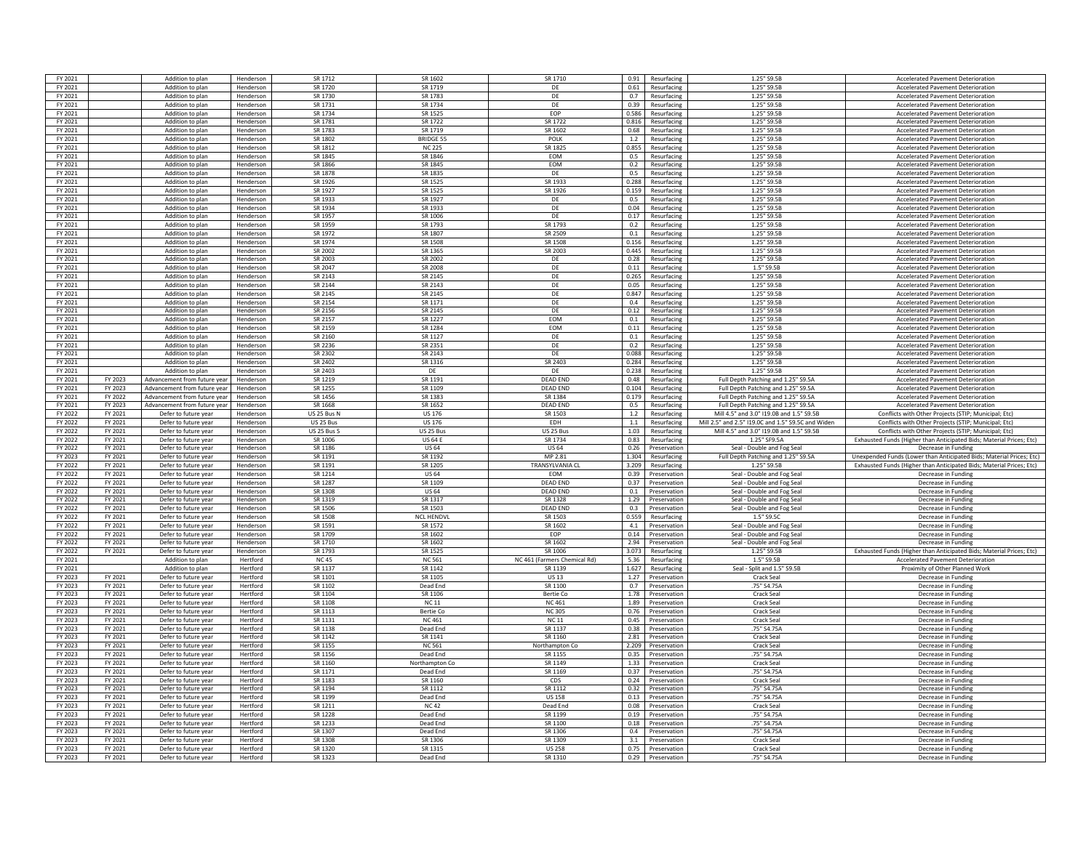| FY 2021            |                    | Addition to plan                             | Hendersor              | SR 1712            | SR 1602                          | SR 1710                      | 0.91         | Resurfacing                  | 1.25" S9.5B                                        | <b>Accelerated Pavement Deterioration</b>                                                                    |
|--------------------|--------------------|----------------------------------------------|------------------------|--------------------|----------------------------------|------------------------------|--------------|------------------------------|----------------------------------------------------|--------------------------------------------------------------------------------------------------------------|
| FY 2021            |                    | Addition to plan                             | Henderson              | SR 1720            | SR 1719                          | DE.                          |              | 0.61 Resurfacing             | 1.25" S9.5B                                        | <b>Accelerated Pavement Deterioration</b>                                                                    |
| FY 2021            |                    | Addition to plan                             | Henderson              | SR 1730            | SR 1783                          | DF                           | 0.7          | Resurfacing                  | 1.25" S9.5B                                        | <b>Accelerated Payement Deterioration</b>                                                                    |
| FY 2021            |                    | Addition to plan                             | Henderson              | SR 1731            | SR 1734                          | DE                           | 0.39         | Resurfacing                  | 1.25" S9.5B                                        | <b>Accelerated Pavement Deterioration</b>                                                                    |
| FY 2021            |                    | Addition to plan                             | Hendersor              | SR 1734            | SR 1525                          | EOP                          | 0.586        | Resurfacing                  | 1.25" S9.5B                                        | <b>Accelerated Pavement Deterioration</b>                                                                    |
| FY 2021            |                    | Addition to plan                             | Henderson              | SR 1781            | SR 1722                          | SR 1722                      | 0.816        | Resurfacing                  | 1.25" S9.5B                                        | <b>Accelerated Pavement Deterioration</b>                                                                    |
| FY 2021            |                    | Addition to plan                             | Hendersor              | SR 1783            | SR 1719                          | SR 1602                      | 0.68         | Resurfacing                  | 1.25" S9.5B                                        | <b>Accelerated Pavement Deterioration</b>                                                                    |
| FY 2021            |                    | Addition to plan                             | Hendersor              | SR 1802            | <b>BRIDGE 55</b>                 | POLK                         | 1.2          | Resurfacing                  | 1.25" S9.5B                                        | <b>Accelerated Pavement Deterioration</b>                                                                    |
| FY 2021            |                    | Addition to plan                             | Henderson              | SR 1812            | <b>NC 225</b>                    | SR 1825                      | 0.855        | Resurfacing                  | 1.25" S9.5B                                        | <b>Accelerated Pavement Deterioration</b>                                                                    |
| FY 2021            |                    | Addition to plan                             | Henderson              | SR 1845            | SR 1846                          | <b>FOM</b>                   | 0.5          | Resurfacing                  | 1.25" S9.5B                                        | <b>Accelerated Payement Deterioration</b>                                                                    |
|                    |                    |                                              |                        | SR 1866            |                                  |                              |              |                              |                                                    |                                                                                                              |
| FY 2021            |                    | Addition to plan                             | Henderson              | SR 1878            | SR 1845                          | EOM                          | 0.2          | Resurfacing                  | 1.25" S9.5B                                        | <b>Accelerated Pavement Deterioration</b>                                                                    |
| FY 2021            |                    | Addition to plan                             | Hendersor              | SR 1976            | SR 1835<br>SR 1525               | DE                           | 0.5          | Resurfacing                  | 1.25" S9.5B                                        | Accelerated Pavement Deterioration                                                                           |
| FY 2021            |                    | Addition to plan                             | Henderson              |                    |                                  | SR 1933                      | 0.288        | Resurfacing                  | 1.25" S9.5B                                        | <b>Accelerated Payement Deterioration</b>                                                                    |
| FY 2021            |                    | Addition to plan                             | Henderson              | SR 1927            | SR 1525                          | SR 1926                      | 0.159        | Resurfacing                  | 1.25" S9.5B                                        | <b>Accelerated Pavement Deterioration</b>                                                                    |
| FY 2021            |                    | Addition to plan                             | Hendersor              | SR 1933            | SR 1927                          | DE.                          | 0.5          | Resurfacing                  | 1.25" S9.5B                                        | <b>Accelerated Pavement Deterioration</b>                                                                    |
| FY 2021            |                    | Addition to plan                             | Henderson              | SR 1934            | SR 1933                          | DE                           |              | 0.04 Resurfacing             | 1.25" S9.5B                                        | <b>Accelerated Pavement Deterioration</b>                                                                    |
| FY 2021            |                    | Addition to plan                             | Henderson              | SR 1957            | SR 1006                          | DE                           | 0.17         | Resurfacing                  | 1.25" S9.5B                                        | Accelerated Pavement Deterioration                                                                           |
| FY 2021            |                    | Addition to plan                             | Henderson              | SR 1959            | SR 1793                          | SR 1793                      | 0.2          | Resurfacing                  | 1.25" S9.5B                                        | <b>Accelerated Pavement Deterioration</b>                                                                    |
| FY 2021            |                    | Addition to plan                             | Hendersor              | SR 1972            | SR 1807                          | SR 2509                      | 0.1          | Resurfacing                  | 1.25" S9.5B                                        | <b>Accelerated Pavement Deterioration</b>                                                                    |
| FY 2021            |                    | Addition to plan                             | Henderson              | SR 1974            | SR 1508                          | SR 1508                      | 0.156        | Resurfacing                  | 1.25" S9.5B                                        | <b>Accelerated Pavement Deterioration</b>                                                                    |
| FY 2021            |                    | Addition to plan                             | Henderson              | SR 2002            | SR 1365                          | SR 2003                      | 0.445        | Resurfacing                  | 1.25" S9.5B                                        | <b>Accelerated Pavement Deterioration</b>                                                                    |
| FY 2021            |                    | Addition to plan                             | Henderson              | SR 2003            | SR 2002                          | DE                           | 0.28         | Resurfacing                  | 1.25" S9.5B                                        | <b>Accelerated Pavement Deterioration</b>                                                                    |
| FY 2021            |                    | Addition to plan                             | Henderson              | SR 2047            | SR 2008                          | DE                           |              | 0.11 Resurfacing             | 1.5" S9.5B                                         | <b>Accelerated Pavement Deterioration</b>                                                                    |
| FY 2021            |                    | Addition to plan                             | Henderson              | SR 2143            | SR 2145                          | DF                           | 0.265        | Resurfacing                  | 1.25" S9.5B                                        | <b>Accelerated Payement Deterioration</b>                                                                    |
| FY 2021            |                    | Addition to plan                             | Henderson              | SR 2144            | SR 2143                          | DE                           | 0.05         | Resurfacing                  | 1.25" S9.5B                                        | <b>Accelerated Pavement Deterioration</b>                                                                    |
| FY 2021            |                    | Addition to plan                             | Hendersor              | SR 2145            | SR 2145                          | DE                           | 0.847        | Resurfacing                  | 1.25" S9.5B                                        | <b>Accelerated Pavement Deterioration</b>                                                                    |
| FY 2021            |                    | Addition to plan                             | Hendersor              | SR 2154            | SR 1171                          | DE                           | 0.4          | Resurfacing                  | 1.25" S9.5B                                        | <b>Accelerated Pavement Deterioration</b>                                                                    |
| FY 2021            |                    | Addition to plan                             | Henderson              | SR 2156            | SR 2145                          | DF                           | 0.12         | Resurfacing                  | 1.25" S9.5B                                        | <b>Accelerated Payement Deterioration</b>                                                                    |
| FY 2021            |                    | Addition to plan                             | Henderson              | SR 2157            | SR 1227                          | <b>EOM</b>                   | 0.1          | Resurfacing                  | 1.25" S9.5B                                        | <b>Accelerated Pavement Deterioration</b>                                                                    |
| FY 2021            |                    | Addition to plan                             | Hendersor              | SR 2159            | SR 1284                          | EOM                          |              | 0.11 Resurfacing             | 1.25" S9.5B                                        | <b>Accelerated Pavement Deterioration</b>                                                                    |
|                    |                    |                                              |                        |                    |                                  |                              |              |                              |                                                    |                                                                                                              |
| FY 2021            |                    | Addition to plan                             | Henderson              | SR 2160            | SR 1127                          | DE.                          | 0.1          | Resurfacing                  | 1.25" S9.5B                                        | <b>Accelerated Pavement Deterioration</b>                                                                    |
| FY 2021            |                    | Addition to plan                             | Henderson              | SR 2236            | SR 2351                          | DE                           | 0.2          | Resurfacing                  | 1.25" S9.5B                                        | <b>Accelerated Pavement Deterioration</b>                                                                    |
| FY 2021            |                    | Addition to plan                             | Hendersor              | SR 2302            | SR 2143                          | DE                           | 0.088        | Resurfacing                  | 1.25" S9.5B                                        | <b>Accelerated Pavement Deterioration</b>                                                                    |
| FY 2021            |                    | Addition to plan                             | Hendersor              | SR 2402            | SR 1316                          | SR 2403                      | 0.284        | Resurfacing                  | 1.25" S9.5B                                        | Accelerated Pavement Deterioration                                                                           |
| FY 2021            |                    | Addition to plan                             | Henderson              | SR 2403            | DF                               | DF                           | 0.238        | Resurfacing                  | 1.25" S9.5B                                        | <b>Accelerated Pavement Deterioration</b>                                                                    |
| FY 2021            | FY 2023            | Advancement from future yea                  | Henderson              | SR 1219            | SR 1191                          | <b>DEAD END</b>              | 0.48         | Resurfacing                  | Full Depth Patching and 1.25" S9.5A                | <b>Accelerated Pavement Deterioration</b>                                                                    |
| FY 2021            | FY 2023            | Advancement from future year                 | Henderson              | SR 1255            | SR 1109                          | <b>DEAD END</b>              | 0.104        | Resurfacing                  | Full Depth Patching and 1.25" S9.5A                | <b>Accelerated Pavement Deterioration</b>                                                                    |
| FY 2021            | FY 2022            | Advancement from future year                 | Henderson              | SR 1456            | SR 1383                          | SR 1384                      | 0.179        | Resurfacing                  | Full Depth Patching and 1.25" S9.5A                | Accelerated Pavement Deterioration                                                                           |
| FY 2021            | FY 2023            | Advancement from future year                 | Henderson              | SR 1668            | SR 1652                          | <b>DEAD END</b>              | 0.5          | Resurfacing                  | Full Depth Patching and 1.25" S9.5A                | <b>Accelerated Pavement Deterioration</b>                                                                    |
| FY 2022            | FY 2021            | Defer to future year                         | Henderson              | US 25 Bus N        | <b>US 176</b>                    | SR 1503                      | 1.2          | Resurfacing                  | Mill 4.5" and 3.0" I19.0B and 1.5" S9.5B           | Conflicts with Other Projects (STIP; Municipal; Etc)                                                         |
|                    |                    |                                              |                        |                    |                                  |                              |              |                              |                                                    |                                                                                                              |
| FY 2022            | FY 2021            | Defer to future year                         |                        | US 25 Bus          | US 176                           | EDH                          | 1.1          | Resurfacing                  | Mill 2.5" and 2.5" I19.0C and 1.5" S9.5C and Wider |                                                                                                              |
| FY 2022            | FY 2021            | Defer to future year                         | Henderson<br>Hendersor | <b>US 25 Bus 9</b> | US 25 Bus                        | <b>US 25 Bus</b>             | 1.03         | Resurfacing                  | Mill 4.5" and 3.0" I19.0B and 1.5" S9.5B           | Conflicts with Other Projects (STIP; Municipal; Etc)<br>Conflicts with Other Projects (STIP; Municipal; Etc) |
| FY 2022            | FY 2021            | Defer to future year                         | Henderson              | SR 1006            | <b>US 64 E</b>                   | SR 1734                      | 0.83         | Resurfacing                  | 1.25" SF9.5A                                       | Exhausted Funds (Higher than Anticipated Bids; Material Prices; Etc)                                         |
| FY 2022            | FY 2021            | Defer to future year                         | Henderson              |                    | <b>US 64</b>                     |                              |              | 0.26 Preservation            | Seal - Double and Fog Seal                         | Decrease in Funding                                                                                          |
|                    |                    |                                              |                        | SR 1186            |                                  | <b>US 64</b>                 |              |                              |                                                    |                                                                                                              |
| FY 2023            | FY 2021            | Defer to future year                         | Henderson              | SR 1191            | SR 1192                          | MP 2.81                      | 1.304        | Resurfacing                  | Full Depth Patching and 1.25" S9.5A                | Unexpended Funds (Lower than Anticipated Bids; Material Prices; Etc)                                         |
| FY 2022            | FY 2021            | Defer to future year                         | Henderson              | SR 1191            | SR 1205                          | <b>TRANSYLVANIA CL</b>       | 3.209        | Resurfacing                  | 1.25" S9.5B                                        | Exhausted Funds (Higher than Anticipated Bids: Material Prices: Etc)                                         |
| FY 2022            | FY 2021            | Defer to future year                         | Hendersor              | SR 1214            | <b>US 64</b>                     | EOM                          | 0.39         | Preservation                 | Seal - Double and Fog Seal                         | Decrease in Funding                                                                                          |
| FY 2022            | FY 2021            | Defer to future year                         | Henderson              | SR 1287            | SR 1109                          | <b>DEAD END</b>              | 0.37         | Preservation                 | Seal - Double and Fog Seal                         | Decrease in Funding                                                                                          |
| FY 2022            | FY 2021            | Defer to future year                         | Henderson              | SR 1308            | <b>US64</b>                      | DFAD FND                     | 0.1          | Preservation                 | Seal - Double and Fog Seal                         | Decrease in Funding                                                                                          |
| FY 2022            | FY 2021            | Defer to future year                         | Hendersor              | SR 1319            | SR 1317                          | SR 1328                      | 1.29         | Preservation                 | Seal - Double and Fog Seal                         | Decrease in Fundin                                                                                           |
| FY 2022            | FY 2021            | Defer to future year                         | Hendersor              | SR 1506            | SR 1503                          | <b>DEAD END</b>              |              | 0.3 Preservation             | Seal - Double and Fog Seal                         | Decrease in Funding                                                                                          |
| FY 2022            | FY 2021            | Defer to future year                         | Henderson              | SR 1508            | <b>NCL HENDVI</b>                | SR 1503                      | 0.559        | Resurfacing                  | 1.5" S9.5C                                         | Decrease in Funding                                                                                          |
| FY 2022            | FY 2021            | Defer to future year                         | Henderson              | SR 1591            | SR 1572                          | SR 1602                      | 4.1          | Preservation                 | Seal - Double and Fog Seal                         | Decrease in Funding                                                                                          |
| FY 2022            | FY 2021            | Defer to future year                         | Henderson              | SR 1709            | SR 1602                          | EOP                          | 0.14         | Preservation                 | Seal - Double and Fog Seal                         | Decrease in Funding                                                                                          |
| FY 2022            | FY 2021            | Defer to future yea                          | Hendersor              | SR 1710            | SR 1602                          | SR 1602                      | 2.94         | Preservation                 | Seal - Double and Fog Seal                         | Decrease in Fundin                                                                                           |
| FY 2022            | FY 2021            | Defer to future year                         | Henderson              | SR 1793            | SR 1525                          | SR 1006                      | 3.073        | Resurfacing                  | 1.25" S9.5B                                        | Exhausted Funds (Higher than Anticipated Bids: Material Prices: Etc)                                         |
| FY 2021            |                    | Addition to plan                             | Hertford               | <b>NC45</b>        | <b>NC 561</b>                    | NC 461 (Farmers Chemical Rd) | 5.36         | Resurfacing                  | 1.5" S9.5B                                         | <b>Accelerated Pavement Deterioration</b>                                                                    |
| FY 2021            |                    | Addition to plan                             | Hertford               | SR 1137            | SR 1142                          | SR 1139                      | 1.627        | Resurfacing                  | Seal - Split and 1.5" S9.5B                        | Proximity of Other Planned Work                                                                              |
| FY 2023            | FY 2021            | Defer to future year                         | Hertford               | SR 1101            | SR 1105                          | <b>US13</b>                  |              | 1.27 Preservation            | Crack Seal                                         | Decrease in Funding                                                                                          |
| FY 2023            | FY 2021            | Defer to future year                         | Hertford               | SR 1102            | Dead End                         | SR 1100                      | 0.7          | Preservation                 | .75" S4.75A                                        | Decrease in Funding                                                                                          |
| FY 2023            | FY 2021            | Defer to future year                         | Hertford               | SR 1104            | SR 1106                          | Bertie Co                    | 1.78         | Preservation                 | Crack Seal                                         | Decrease in Funding                                                                                          |
|                    |                    | Defer to future yea                          | Hertford               |                    |                                  |                              |              | Preservation                 | Crack Sea                                          | Decrease in Funding                                                                                          |
| FY 2023<br>FY 2023 | FY 2021            |                                              | Hertford               | SR 1108<br>SR 1113 | <b>NC 11</b><br><b>Bertie Co</b> | <b>NC 461</b><br>NC 305      | 1.89<br>0.76 |                              | Crack Seal                                         | Decrease in Funding                                                                                          |
| FY 2023            | FY 2021<br>FY 2021 | Defer to future year<br>Defer to future year | Hertford               | SR 1131            | NC 461                           | <b>NC11</b>                  | 0.45         | Preservation<br>Preservation | Crack Seal                                         | Decrease in Fundin                                                                                           |
| FY 2023            | FY 2021            | Defer to future year                         | Hertford               | SR 1138            | Dead End                         | SR 1137                      | 0.38         | Preservation                 | .75" S4.75A                                        | Decrease in Funding                                                                                          |
|                    |                    |                                              |                        |                    |                                  |                              |              |                              |                                                    |                                                                                                              |
| FY 2023            | FY 2021            | Defer to future year                         | Hertford               | SR 1142            | SR 1141                          | SR 1160                      | 2.81         | Preservation                 | Crack Seal                                         | Decrease in Funding                                                                                          |
| FY 2023            | FY 2021            | Defer to future year                         | Hertford               | SR 1155            | <b>NC 561</b>                    | Northampton Co               | 2.209        | Preservation                 | Crack Seal                                         | Decrease in Funding                                                                                          |
| FY 2023            | FY 2021            | Defer to future year                         | Hertford               | SR 1156            | Dead End                         | SR 1155                      | 0.35         | Preservation                 | .75" S4.75A                                        | Decrease in Funding                                                                                          |
| FY 2023            | FY 2021            | Defer to future year                         | Hertford               | SR 1160            | Northampton Co                   | SR 1149                      | 1.33         | Preservation                 | Crack Seal                                         | Decrease in Funding                                                                                          |
| FY 2023            | FY 2021            | Defer to future year                         | Hertford               | SR 1171            | Dead End                         | SR 1169                      | 0.37         | Preservation                 | .75" S4.75A                                        | Decrease in Fundin                                                                                           |
| FY 2023            | FY 2021            | Defer to future year                         | Hertford               | SR 1183            | SR 1160                          | CDS                          | 0.24         | Preservation                 | Crack Seal                                         | Decrease in Funding                                                                                          |
| FY 2023            | FY 2021            | Defer to future year                         | Hertford               | SR 1194            | SR 1112                          | SR 1112                      | 0.32         | Preservation                 | .75" S4.75A                                        | Decrease in Funding                                                                                          |
| FY 2023            | FY 2021            | Defer to future year                         | Hertford               | SR 1199            | Dead End                         | <b>US 158</b>                |              | 0.13 Preservation            | .75" S4.75A                                        | Decrease in Funding                                                                                          |
| FY 2023            | FY 2021            | Defer to future year                         | Hertford               | SR 1211            | NC 42                            | Dead End                     |              | 0.08 Preservation            | Crack Seal                                         | Decrease in Funding                                                                                          |
| FY 2023            | FY 2021            | Defer to future year                         | Hertford               | SR 1228            | Dead End                         | SR 1199                      | 0.19         | Preservation                 | .75" S4.75A                                        | Decrease in Funding                                                                                          |
| FY 2023            | FY 2021            | Defer to future yea                          | Hertford               | SR 1233            | Dead End                         | SR 1100                      | 0.18         | Preservation                 | .75" S4.75A                                        | Decrease in Funding                                                                                          |
| FY 2023            | FY 2021            | Defer to future yea                          | Hertford               | SR 1307            | Dead End                         | SR 1306                      | 0.4          | Preservation                 | .75" S4.75A                                        | Decrease in Fundin                                                                                           |
| FY 2023            | FY 2021            | Defer to future year                         | Hertford               | SR 1308            | SR 1306                          | SR 1309                      | 3.1          | Preservation                 | Crack Seal                                         | Decrease in Fundin                                                                                           |
| FY 2023            | FY 2021            | Defer to future year                         | Hertford               | SR 1320            | SR 1315                          | <b>US 258</b>                | 0.75         | Preservation                 | Crack Sea                                          | Decrease in Funding                                                                                          |
| FY 2023            | FY 2021            | Defer to future year                         | Hertford               | SR 1323            | Dead End                         | SR 1310                      |              | 0.29 Preservation            | .75" S4.75A                                        | Decrease in Funding                                                                                          |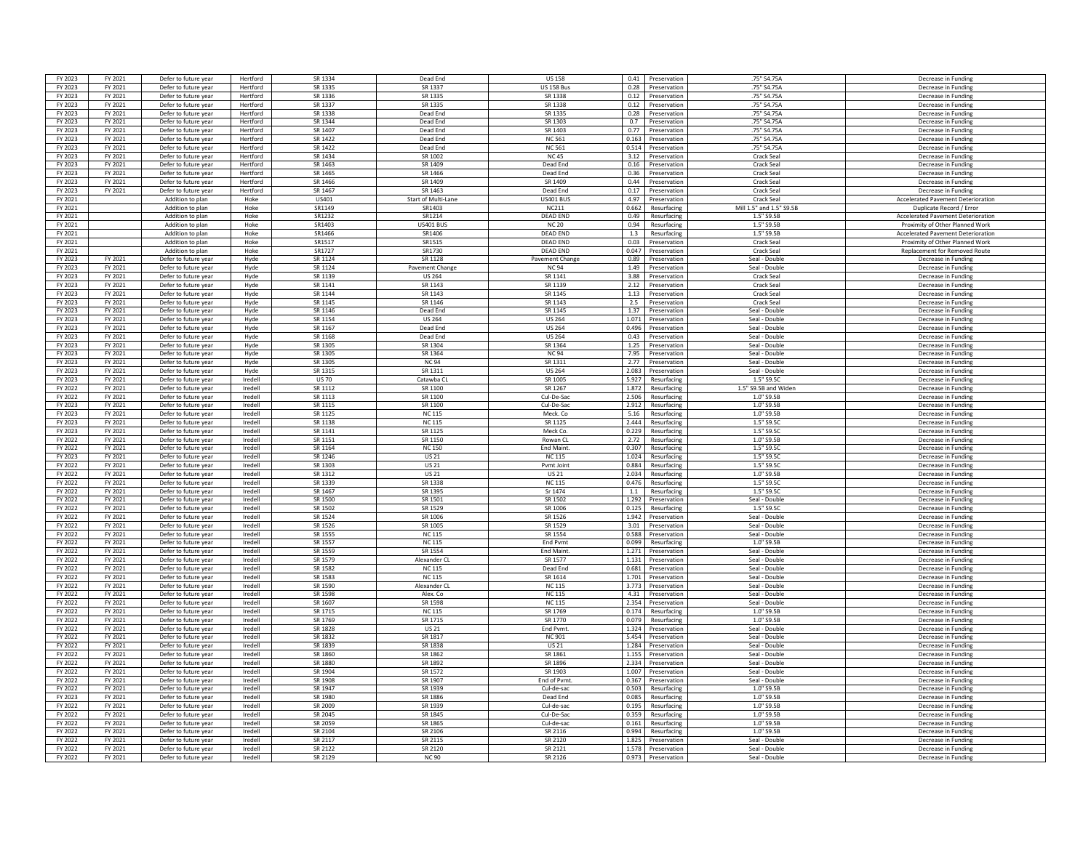| FY 2023            | FY 2021            | Defer to future year | Hertford | SR 1334                | Dead End              | <b>US158</b>       | 0.41 Preservation     | .75" S4.75A              | Decrease in Funding                       |
|--------------------|--------------------|----------------------|----------|------------------------|-----------------------|--------------------|-----------------------|--------------------------|-------------------------------------------|
| FY 2023            | FY 2021            | Defer to future year | Hertford | SR 1335                | SR 1337               | <b>US 158 Bus</b>  | Preservation<br>0.28  | .75" S4.75A              | Decrease in Funding                       |
| FY 2023            | FY 2021            | Defer to future year | Hertford | SR 1336                | SR 1335               | SR 1338            | 0.12<br>Preservation  | .75" S4.75A              | Decrease in Funding                       |
| FY 2023            | FY 2021            | Defer to future year | Hertford | SR 1337                | SR 1335               | SR 1338            | 0.12<br>Preservation  | .75" S4.75A              | Decrease in Funding                       |
|                    | FY 2021            | Defer to future year | Hertford | SR 1338                | Dead End              | SR 1335            | 0.28                  | .75" S4.75A              | Decrease in Fundin                        |
| FY 2023<br>FY 2023 | FY 2021            | Defer to future year | Hertford | SR 1344                | Dead End              | SR 1303            | Preservation<br>0.7   | .75" S4.75A              |                                           |
|                    |                    |                      |          |                        |                       |                    | Preservation          |                          | Decrease in Funding                       |
| FY 2023            | FY 2021            | Defer to future year | Hertford | SR 1407                | Dead End              | SR 1403            | 0.77<br>Preservation  | .75" S4.75A              | Decrease in Fundin                        |
| FY 2023            | FY 2021            | Defer to future year | Hertford | SR 1422                | Dead End              | <b>NC 561</b>      | 0.163<br>Preservation | .75" S4.75A              | Decrease in Funding                       |
| FY 2023            | FY 2021            | Defer to future year | Hertford | SR 1422                | Dead End              | <b>NC 561</b>      | 0.514<br>Preservation | .75" S4.75A              | Decrease in Funding                       |
| FY 2023            | FY 2021            | Defer to future year | Hertford | SR 1434                | SR 1002               | <b>NC45</b>        | 3.12<br>Preservation  | Crack Seal               | Decrease in Funding                       |
| FY 2023            | FY 2021            | Defer to future year | Hertford | SR 1463                | SR 1409               | Dead End           | 0.16<br>Preservation  | Crack Seal               | Decrease in Funding                       |
| FY 2023            | FY 2021            | Defer to future year | Hertford | SR 1465                | SR 1466               | Dead End           | 0.36<br>Preservation  | Crack Seal               | Decrease in Funding                       |
| FY 2023            | FY 2021            | Defer to future year | Hertford | SR 1466                | SR 1409               | SR 1409            | 0.44<br>Preservation  | Crack Seal               | Decrease in Funding                       |
| FY 2023            | FY 2021            | Defer to future year | Hertford | SR 1467                | SR 1463               | Dead End           | 0.17<br>Preservation  | Crack Seal               | Decrease in Funding                       |
| FY 2021            |                    | Addition to plan     | Hoke     | US401                  | Start of Multi-Lane   | <b>US401 BUS</b>   | 4.97<br>Preservation  | Crack Seal               | <b>Accelerated Pavement Deterioration</b> |
| FY 2021            |                    | Addition to plan     | Hoke     | SR1149                 | SR1403                | NC211              | 0.662<br>Resurfacing  | Mill 1.5" and 1.5" S9.5B | Duplicate Record / Error                  |
| FY 2021            |                    | Addition to plan     | Hoke     | SR1232                 | SR1214                | <b>DEAD END</b>    | 0.49<br>Resurfacing   | 1.5" S9.5B               | <b>Accelerated Payement Deterioration</b> |
| FY 2021            |                    | Addition to plan     | Hoke     | SR1403                 | <b>US401 BUS</b>      | <b>NC 20</b>       | 0.94<br>Resurfacing   | 1.5" S9.5B               | Proximity of Other Planned Work           |
| FY 2021            |                    | Addition to plan     | Hoke     | SR1466                 | SR1406                | DEAD END           | 1.3<br>Resurfacing    | 1.5" S9.5B               | <b>Accelerated Pavement Deterioration</b> |
|                    |                    |                      |          | SR1517                 | SR1515                | <b>DEAD END</b>    | 0.03                  | Crack Seal               |                                           |
| FY 2021            |                    | Addition to plan     | Hoke     |                        |                       |                    | Preservation<br>0.047 |                          | Proximity of Other Planned Work           |
| FY 2021            |                    | Addition to plan     | Hoke     | SR1727                 | SR1730                | <b>DEAD END</b>    | Preservation          | <b>Crack Seal</b>        | Replacement for Removed Route             |
| FY 2023            | FY 2021            | Defer to future year | Hyde     | SR 1124                | SR 1128               | Pavement Change    | 0.89<br>Preservation  | Seal - Double            | Decrease in Fundin                        |
| FY 2023            | FY 2021            | Defer to future year | Hyde     | SR 1124                | Pavement Change       | <b>NC 94</b>       | 1.49<br>Preservation  | Seal - Double            | Decrease in Funding                       |
| FY 2023            | FY 2021            | Defer to future year | Hyde     | SR 1139                | <b>US 264</b>         | SR 1141            | 3.88<br>Preservation  | Crack Seal               | Decrease in Funding                       |
| FY 2023            | FY 2021            | Defer to future year | Hyde     | SR 1141                | SR 1143               | SR 1139            | 2.12<br>Preservation  | Crack Seal               | Decrease in Funding                       |
| FY 2023            | FY 2021            | Defer to future year | Hyde     | SR 1144                | SR 1143               | SR 1145            | 1.13<br>Preservation  | Crack Seal               | Decrease in Funding                       |
| FY 2023            | FY 2021            | Defer to future year | Hyde     | SR 1145                | SR 1146               | SR 1143            | 2.5<br>Preservation   | Crack Seal               | Decrease in Fundin                        |
| FY 2023            | FY 2021            | Defer to future year | Hyde     | SR 1146                | Dead End              | SR 1145            | 1.37<br>Preservation  | Seal - Double            | Decrease in Funding                       |
| FY 2023            | FY 2021            | Defer to future year | Hyde     | SR 1154                | <b>US 264</b>         | <b>US 264</b>      | 1.071<br>Preservation | Seal - Double            | Decrease in Funding                       |
| FY 2023            | FY 2021            | Defer to future year | Hyde     | SR 1167                | Dead End              | <b>US 264</b>      | 0.496<br>Preservation | Seal - Double            | Decrease in Funding                       |
| FY 2023            | FY 2021            | Defer to future year | Hyde     | SR 1168                | Dead End              | <b>US 264</b>      | 0.43<br>Preservation  | Seal - Double            | Decrease in Funding                       |
| FY 2023            | FY 2021            | Defer to future year | Hyde     | SR 1305                | SR 1304               | SR 1364            | 1.25<br>Preservation  | Seal - Double            | Decrease in Funding                       |
| FY 2023            | FY 2021            | Defer to future year | Hyde     | SR 1305                | SR 1364               | <b>NC 94</b>       | 7.95<br>Preservation  | Seal - Double            | Decrease in Funding                       |
| FY 2023            | FY 2021            | Defer to future year | Hyde     | SR 1305                | <b>NC 94</b>          | SR 1311            | 2.77<br>Preservation  | Seal - Double            | Decrease in Fundin                        |
| FY 2023            | FY 2021            | Defer to future year | Hyde     | SR 1315                | SR 1311               | <b>US 264</b>      | 2.083<br>Preservation | Seal - Double            | Decrease in Funding                       |
|                    |                    |                      | Iredell  |                        |                       |                    | 5.927                 | 1.5"59.50                |                                           |
| FY 2023<br>FY 2022 | FY 2021<br>FY 2021 | Defer to future year | Iredell  | <b>US70</b><br>SR 1112 | Catawba Cl<br>SR 1100 | SR 1005<br>SR 1267 | Resurfacing<br>1.872  | 1.5" S9.5B and Widen     | Decrease in Funding                       |
|                    |                    | Defer to future year |          |                        |                       |                    | Resurfacing           |                          | Decrease in Funding                       |
| FY 2022            | FY 2021            | Defer to future year | Iredell  | SR 1113                | SR 1100               | Cul-De-Sac         | 2.506<br>Resurfacing  | 1.0" S9.5B               | Decrease in Funding                       |
| FY 2023            | FY 2021            | Defer to future year | Iredell  | SR 1115                | SR 1100               | Cul-De-Sac         | 2.912<br>Resurfacing  | 1.0" S9.5B               | Decrease in Funding                       |
| FY 2023            | FY 2021            | Defer to future year | Iredell  | SR 1125                | <b>NC 115</b>         | Meck. Co           | 5.16<br>Resurfacing   | 1.0" S9.5E               | Decrease in Funding                       |
| FY 2023            | FY 2021            | Defer to future year | Iredell  | SR 1138                | <b>NC 115</b>         | SR 1125            | 2.444<br>Resurfacing  | 15"5950                  | Decrease in Fundin                        |
| FY 2023            | FY 2021            | Defer to future year | Iredell  | SR 1141                | SR 1125               | Meck Co            | 0.229<br>Resurfacing  | 1.5" \$9.50              | Decrease in Funding                       |
| FY 2022            | FY 2021            | Defer to future year | Iredell  | SR 1151                | SR 1150               | Rowan Cl           | 2.72<br>Resurfacing   | 1.0" S9.5E               | Decrease in Fundin                        |
| FY 2022            | FY 2021            | Defer to future year | Iredell  | SR 1164                | <b>NC 150</b>         | End Maint.         | 0.307<br>Resurfacing  | 1.5" \$9.50              | Decrease in Funding                       |
| FY 2023            | FY 2021            | Defer to future year | Iredell  | SR 1246                | US 21                 | <b>NC115</b>       | 1.024<br>Resurfacing  | 1.5" \$9.50              | Decrease in Funding                       |
| FY 2022            | FY 2021            | Defer to future year | Iredell  | SR 1303                | <b>US21</b>           | Pymt Joint         | 0.884<br>Resurfacing  | 1.5" S9.5C               | Decrease in Funding                       |
| FY 2022            | FY 2021            | Defer to future year | Iredell  | SR 1312                | <b>US 21</b>          | <b>US 21</b>       | 2.034<br>Resurfacing  | 1.0" S9.5E               | Decrease in Funding                       |
| FY 2022            | FY 2021            | Defer to future year | Iredell  | SR 1339                | SR 1338               | <b>NC 115</b>      | 0.476<br>Resurfacing  | 1.5" S9.50               | Decrease in Fundin                        |
| FY 2022            | FY 2021            | Defer to future year | Iredell  | SR 1467                | SR 1395               | Sr 1474            | $-1.1$<br>Resurfacing | 1.5"S9.50                | Decrease in Funding                       |
| FY 2022            | FY 2021            | Defer to future year | Iredell  | SR 1500                | SR 1501               | SR 1502            | 1.292<br>Preservation | Seal - Double            | Decrease in Funding                       |
| FY 2022            | FY 2021            | Defer to future year | Iredell  | SR 1502                | SR 1529               | SR 1006            | 0.125<br>Resurfacing  | 1.5" S9.5C               | Decrease in Funding                       |
|                    |                    |                      | Iredell  | SR 1524                | SR 1006               | SR 1526            | 1.942                 |                          |                                           |
| FY 2022            | FY 2021            | Defer to future year |          |                        |                       |                    | Preservation          | Seal - Double            | Decrease in Funding                       |
| FY 2022            | FY 2021            | Defer to future year | Iredell  | SR 1526                | SR 1005               | SR 1529            | 3.01<br>Preservation  | Seal - Double            | Decrease in Funding                       |
| FY 2022            | FY 2021            | Defer to future year | Iredell  | SR 1555                | <b>NC 115</b>         | SR 1554            | 0.588<br>Preservation | Seal - Double            | Decrease in Funding                       |
| FY 2022            | FY 2021            | Defer to future year | Iredell  | SR 1557                | <b>NC 115</b>         | <b>End Pvmt</b>    | Resurfacing<br>0.099  | 1.0" S9.5B               | Decrease in Fundin                        |
| FY 2022            | FY 2021            | Defer to future year | Iredell  | SR 1559                | SR 1554               | <b>Fnd Maint</b>   | 1.271<br>Preservation | Seal - Double            | Decrease in Fundin                        |
| FY 2022            | FY 2021            | Defer to future year | Iredell  | SR 1579                | Alexander CL          | SR 1577            | 1.131<br>Preservation | Seal - Double            | Decrease in Funding                       |
| FY 2022            | FY 2021            | Defer to future year | Iredell  | SR 1582                | <b>NC115</b>          | Dead End           | 0.681<br>Preservation | Seal - Double            | Decrease in Funding                       |
| FY 2022            | FY 2021            | Defer to future year | Iredell  | SR 1583                | <b>NC 115</b>         | SR 1614            | 1.701<br>Preservation | Seal - Double            | Decrease in Funding                       |
| FY 2022            | FY 2021            | Defer to future year | Iredell  | SR 1590                | Alexander CI          | <b>NC115</b>       | 3.773<br>Preservation | Seal - Double            | Decrease in Funding                       |
| FY 2022            | FY 2021            | Defer to future year | Iredell  | SR 1598                | Alex. Co              | <b>NC 115</b>      | 4.31<br>Preservation  | Seal - Double            | Decrease in Funding                       |
| FY 2022            | FY 2021            | Defer to future year | Iredell  | SR 1607                | SR 1598               | <b>NC 115</b>      | 2.354<br>Preservation | Seal - Double            | Decrease in Funding                       |
| FY 2022            | FY 2021            | Defer to future year | Iredell  | SR 1715                | <b>NC 115</b>         | SR 1769            | 0.174<br>Resurfacing  | 1.0" S9.5B               | Decrease in Fundin                        |
| FY 2022            | FY 2021            | Defer to future year | Iredell  | SR 1769                | SR 1715               | SR 1770            | 0.079<br>Resurfacing  | 1.0" S9.5B               | Decrease in Funding                       |
| FY 2022            | FY 2021            | Defer to future year | Iredell  | SR 1828                | <b>US21</b>           | <b>End Pvmt</b>    | 1.324<br>Preservation | Seal - Double            | Decrease in Funding                       |
| FY 2022            | FY 2021            | Defer to future year | Iredell  | SR 1832                | SR 1817               | <b>NC 901</b>      | 5.454<br>Preservation | Seal - Double            | Decrease in Funding                       |
| FY 2022            | FY 2021            | Defer to future year | Iredell  | SR 1839                | SR 1838               | <b>US21</b>        | 1.284<br>Preservation | Seal - Double            | Decrease in Funding                       |
| FY 2022            | FY 2021            | Defer to future year | Iredell  | SR 1860                | SR 1862               | SR 1861            | 1.155<br>Preservation | Seal - Double            | Decrease in Funding                       |
| FY 2022            | FY 2021            | Defer to future year | Iredell  | SR 1880                | SR 1892               | SR 1896            | 2.334<br>Preservation | Seal - Double            | Decrease in Funding                       |
|                    |                    |                      |          |                        |                       |                    |                       |                          |                                           |
| FY 2022            | FY 2021            | Defer to future year | Iredell  | SR 1904                | SR 1572               | SR 1903            | 1.007<br>Preservation | Seal - Double            | Decrease in Fundin                        |
| FY 2022            | FY 2021            | Defer to future year | Iredell  | SR 1908                | SR 1907               | End of Pvmt        | 0.367<br>Preservation | Seal - Double            | Decrease in Funding                       |
| FY 2022            | FY 2021            | Defer to future year | Iredell  | SR 1947                | SR 1939               | Cul-de-sac         | 0.503<br>Resurfacing  | 1.0" S9.5B               | Decrease in Funding                       |
| FY 2023            | FY 2021            | Defer to future year | Iredell  | SR 1980                | SR 1886               | Dead End           | 0.085<br>Resurfacing  | 1.0" S9.5B               | Decrease in Funding                       |
| FY 2022            | FY 2021            | Defer to future year | Iredell  | SR 2009                | SR 1939               | Cul-de-sac         | 0.195<br>Resurfacing  | 1.0" S9.5B               | Decrease in Funding                       |
| FY 2022            | FY 2021            | Defer to future year | Iredell  | SR 2045                | SR 1845               | Cul-De-Sac         | 0.359<br>Resurfacing  | 1.0" S9.5B               | Decrease in Funding                       |
| FY 2022            | FY 2021            | Defer to future year | Iredell  | SR 2059                | SR 1865               | Cul-de-sac         | 0.161<br>Resurfacing  | 1.0" S9.5B               | Decrease in Funding                       |
| FY 2022            | FY 2021            | Defer to future yea  | Iredell  | SR 2104                | SR 2106               | SR 2116            | 0.994<br>Resurfacing  | $1.0"$ S9.5E             | Decrease in Fundin                        |
| FY 2022            | FY 2021            | Defer to future year | Iredell  | SR 2117                | SR 2115               | SR 2120            | 1.825<br>Preservation | Seal - Double            | Decrease in Fundin                        |
| FY 2022            | FY 2021            | Defer to future year | Iredell  | SR 2122                | SR 2120               | SR 2121            | 1.578<br>Preservation | Seal - Double            | Decrease in Funding                       |
| FY 2022            | FY 2021            | Defer to future year | Iredell  | SR 2129                | <b>NC 90</b>          | SR 2126            | 0.973<br>Preservation | Seal - Double            | Decrease in Funding                       |
|                    |                    |                      |          |                        |                       |                    |                       |                          |                                           |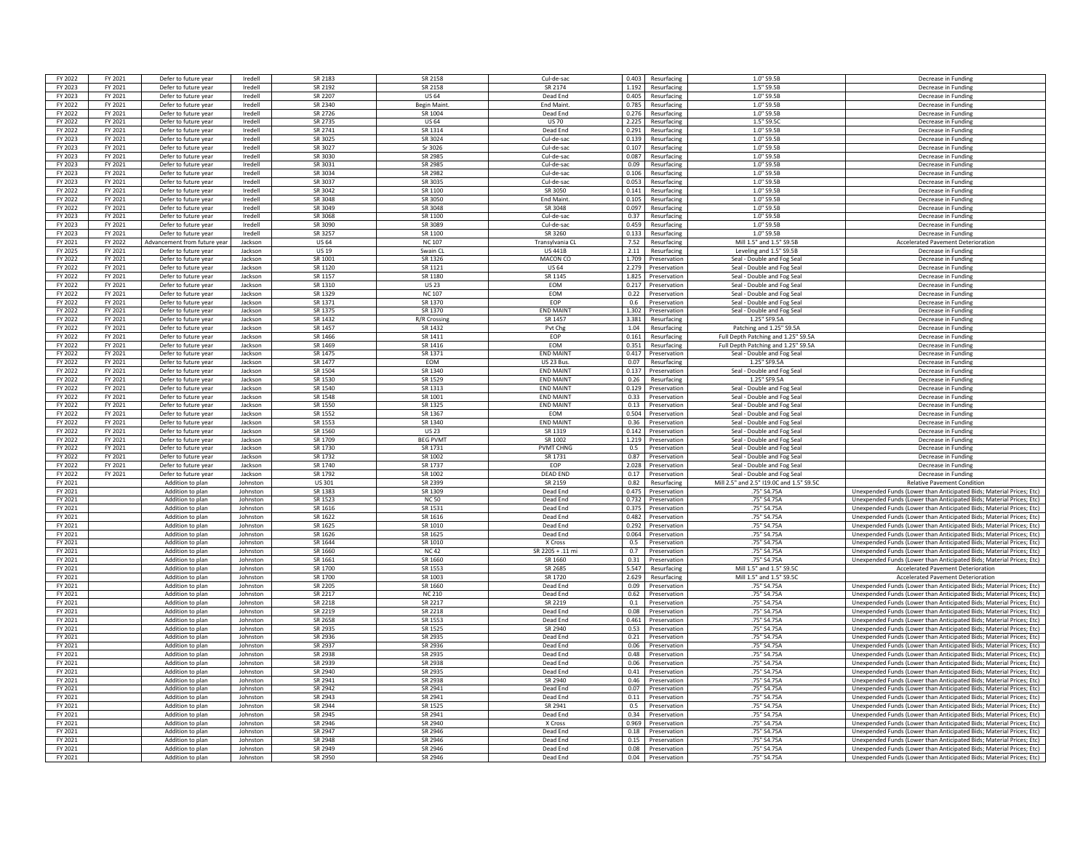| FY 2022<br>FY 2023 | FY 2021 | Defer to future yea                  | Iredell              | SR 2183            | SR 2158            | Cul-de-sad           | 0.403       | Resurfacine                       | 1.0" S9.5B                               | Decrease in Funding                                                                                                                          |
|--------------------|---------|--------------------------------------|----------------------|--------------------|--------------------|----------------------|-------------|-----------------------------------|------------------------------------------|----------------------------------------------------------------------------------------------------------------------------------------------|
|                    | FY 2021 | Defer to future year                 | Iredell              | SR 2192            | SR 2158            | SR 2174              | 1.192       | Resurfacing                       | 1.5" S9.5B                               | Decrease in Funding                                                                                                                          |
| FY 2023            | FY 2021 | Defer to future year                 | Iredell              | SR 2207            | <b>US64</b>        | Dead End             | 0.405       | Resurfacing                       | 1.0" S9.5B                               | Decrease in Funding                                                                                                                          |
| FY 2022            | FY 2021 | Defer to future year                 | Iredell              | SR 2340            | <b>Begin Maint</b> | <b>End Maint</b>     | 0.785       | Resurfacing                       | 1.0" S9.5B                               | Decrease in Funding                                                                                                                          |
|                    | FY 2021 | Defer to future year                 | Iredell              |                    | SR 1004            | Dead End             | 0.276       | Resurfacing                       | 1.0" S9.5B                               | Decrease in Funding                                                                                                                          |
| FY 2022            |         |                                      |                      | SR 2726            |                    |                      |             |                                   |                                          |                                                                                                                                              |
| FY 2022            | FY 2021 | Defer to future yea                  | Iredell              | SR 2735            | <b>US 64</b>       | <b>US70</b>          | 2.225       | Resurfacing                       | 1.5" S9.5C                               | Decrease in Fundin                                                                                                                           |
| FY 2022            | FY 2021 | Defer to future year                 | Iredell              | SR 2741            | SR 1314            | Dead End             | 0.291       | Resurfacing                       | 1.0" S9.5B                               | Decrease in Funding                                                                                                                          |
| FY 2023            | FY 2021 | Defer to future year                 | Iredell              | SR 3025            | SR 3024            | Cul-de-sad           | 0.139       | Resurfacine                       | 1.0" S9.5B                               | Decrease in Funding                                                                                                                          |
| FY 2023            | FY 2021 | Defer to future year                 | Iredell              | SR 3027            | Sr 3026            | Cul-de-sac           | 0.107       | Resurfacing                       | 1.0" S9.5B                               | Decrease in Funding                                                                                                                          |
| FY 2023            | FY 2021 | Defer to future year                 | Iredell              | SR 3030            | SR 2985            | Cul-de-sac           | 0.087       | Resurfacing                       | $1.0"$ S9.5B                             | Decrease in Funding                                                                                                                          |
| FY 2023            | FY 2021 | Defer to future year                 | Iredell              | SR 3031            | SR 2985            | Cul-de-sac           | 0.09        | Resurfacing                       | 1.0" S9.5B                               | Decrease in Funding                                                                                                                          |
| FY 2023            | FY 2021 | Defer to future year                 | Iredell              | SR 3034            | SR 2982            | Cul-de-sac           | 0.106       | Resurfacing                       | 1.0" S9.5B                               | Decrease in Funding                                                                                                                          |
| FY 2023            | FY 2021 | Defer to future year                 | Iredell              | SR 3037            | SR 3035            | Cul-de-sac           | 0.053       | Resurfacing                       | $1.0"$ S <sub>9.5</sub> <sub>B</sub>     | Decrease in Funding                                                                                                                          |
| FY 2022            | FY 2021 | Defer to future year                 | Iredell              | SR 3042            | SR 1100            | SR 3050              | 0.141       | Resurfacing                       | 1.0" S9.5B                               | Decrease in Fundin                                                                                                                           |
| FY 2022            | FY 2021 | Defer to future year                 | Iredell              | SR 3048            | SR 3050            | <b>End Maint</b>     | 0.105       | Resurfacing                       | 1.0" S9.5B                               | Decrease in Funding                                                                                                                          |
| FY 2022            | FY 2021 | Defer to future year                 | Iredell              | SR 3049            | SR 3048            | SR 3048              | 0.097       | Resurfacing                       | 1.0" S9.5B                               | Decrease in Funding                                                                                                                          |
| FY 2023            | FY 2021 | Defer to future year                 | Iredell              | <b>SR 3068</b>     | SR 1100            | Cul-de-sac           | <b>0.37</b> | Resurfacing                       | 1.0" S9.5B                               | Decrease in Funding                                                                                                                          |
| FY 2023            | FY 2021 | Defer to future year                 | Iredell              | SR 3090            | SR 3089            | Cul-de-sac           | 0.459       | Resurfacing                       | 1.0" S9.5B                               | Decrease in Funding                                                                                                                          |
| FY 2023            | FY 2021 | Defer to future year                 | Iredell              | SR 3257            | SR 1100            | SR 3260              | 0.133       | Resurfacing                       | 1.0" S9.5B                               | Decrease in Funding                                                                                                                          |
|                    |         |                                      |                      |                    |                    |                      |             |                                   |                                          |                                                                                                                                              |
| FY 2021            | FY 2022 | Advancement from future year         | Jackson              | <b>US 64</b>       | <b>NC 107</b>      | Transylvania CL      | 7.52        | Resurfacing                       | Mill 1.5" and 1.5" S9.5B                 | <b>Accelerated Pavement Deterioration</b>                                                                                                    |
| FY 2025            | FY 2021 | Defer to future year                 | Jackson              | <b>US 19</b>       | Swain CL           | <b>US 441B</b>       | 2.11        | Resurfacing                       | Leveling and 1.5" S9.5B                  | Decrease in Fundin                                                                                                                           |
| FY 2022            | FY 2021 | Defer to future year                 | lackson              | SR 1001            | SR 1326            | MACON CO             | 1.709       | Preservation                      | Seal - Double and Fog Seal               | Decrease in Funding                                                                                                                          |
| FY 2022            | FY 2021 | Defer to future year                 | Jackson              | SR 1120            | SR 1121            | <b>US 64</b>         |             | 2.279 Preservation                | Seal - Double and Fog Seal               | Decrease in Funding                                                                                                                          |
| FY 2022            | FY 2021 | Defer to future year                 | Jackson              | SR 1157            | SR 1180            | SR 1145              |             | 1.825 Preservation                | Seal - Double and Fog Seal               | Decrease in Funding                                                                                                                          |
| FY 2022            | FY 2021 | Defer to future year                 | Jackson              | SR 1310            | <b>US23</b>        | EOM                  | 0.217       | Preservation                      | Seal - Double and Fog Seal               | Decrease in Funding                                                                                                                          |
| FY 2022            | FY 2021 | Defer to future year                 | Jackson              | SR 1329            | <b>NC 107</b>      | EOM                  | 0.22        | Preservation                      | Seal - Double and Fog Sea                | Decrease in Funding                                                                                                                          |
| FY 2022            | FY 2021 | Defer to future year                 | Jackson              | SR 1371            | SR 1370            | FOP                  | 0.6         | Preservation                      | Seal - Double and Fog Seal               | Decrease in Fundin                                                                                                                           |
| FY 2022            | FY 2021 | Defer to future year                 | Jackson              | SR 1375            | SR 1370            | <b>FND MAIN</b>      | 1.302       | Preservation                      | Seal - Double and Fog Seal               | Decrease in Fundin                                                                                                                           |
| FY 2022            | FY 2021 | Defer to future year                 | Jackson              | SR 1432            | R/R Crossing       | SR 1457              | 3.381       | Resurfacing                       | 1.25" SF9.5A                             | Decrease in Funding                                                                                                                          |
| FY 2022            | FY 2021 | Defer to future year                 | Jackson              | SR 1457            | SR 1432            | Pvt Chg              | 1.04        | Resurfacing                       | Patching and 1.25" S9.5A                 | Decrease in Funding                                                                                                                          |
| FY 2022            | FY 2021 | Defer to future year                 | Jackson              | SR 1466            | SR 1411            | <b>FOP</b>           | 0.161       | Resurfacing                       | Full Depth Patching and 1.25" S9.5A      | Decrease in Funding                                                                                                                          |
| FY 2022            | FY 2021 | Defer to future year                 | Jackson              | SR 1469            | SR 1416            | EOM                  | 0.351       | Resurfacing                       | Full Depth Patching and 1.25" S9.5A      | Decrease in Funding                                                                                                                          |
| FY 2022            | FY 2021 | Defer to future year                 | Jackson              | SR 1475            | SR 1371            | <b>END MAINT</b>     | 0.417       | Preservation                      | Seal - Double and Fog Seal               | Decrease in Funding                                                                                                                          |
| FY 2022            | FY 2021 | Defer to future year                 | Jackson              | SR 1477            | EOM                | US 23 Bus.           | 0.07        | Resurfacing                       | 1.25" SF9.5A                             | Decrease in Funding                                                                                                                          |
| FY 2022            | FY 2021 | Defer to future year                 | lackson              | SR 1504            | SR 1340            | <b>FND MAINT</b>     | 0.137       | Preservation                      | Seal - Double and Fog Seal               | Decrease in Fundin                                                                                                                           |
| FY 2022            | FY 2021 | Defer to future year                 | Jackson              | SR 1530            | SR 1529            | <b>FND MAINT</b>     | 0.26        | Resurfacing                       | 1.25" SF9.5A                             | Decrease in Funding                                                                                                                          |
| FY 2022            | FY 2021 | Defer to future year                 | Jackson              | SR 1540            | SR 1313            | <b>END MAINT</b>     |             | 0.129 Preservation                | Seal - Double and Fog Seal               | Decrease in Funding                                                                                                                          |
|                    |         |                                      |                      |                    |                    | <b>END MAINT</b>     |             |                                   |                                          |                                                                                                                                              |
| FY 2022            | FY 2021 | Defer to future year                 | Jackson              | SR 1548            | SR 1001            |                      |             | 0.33 Preservation                 | Seal - Double and Fog Seal               | Decrease in Funding                                                                                                                          |
| FY 2022            | FY 2021 | Defer to future year                 | <b>Jackson</b>       | SR 1550            | SR 1325            | <b>END MAINT</b>     | 0.13        | Preservation                      | Seal - Double and Fog Seal               | Decrease in Funding                                                                                                                          |
| FY 2022            | FY 2021 | Defer to future year                 | Jackson              | SR 1552            | SR 1367            | EOM                  | 0.504       | Preservation                      | Seal - Double and Fog Seal               | Decrease in Funding                                                                                                                          |
| FY 2022            | FY 2021 | Defer to future year                 | Jackson              | SR 1553            | SR 1340            | <b>END MAIN</b>      | 0.36        | Preservation                      | Seal - Double and Fog Seal               | Decrease in Fundin                                                                                                                           |
| FY 2022            | FY 2021 | Defer to future year                 | Jackson              | SR 1560            | <b>US 23</b>       | SR 1319              | 0.142       | Preservation                      | Seal - Double and Fog Seal               | Decrease in Fundin                                                                                                                           |
| FY 2022            | FY 2021 | Defer to future year                 | Jackson              | SR 1709            | <b>BEG PVMT</b>    | SR 1002              | 1.219       | Preservation                      | Seal - Double and Fog Seal               | Decrease in Funding                                                                                                                          |
| FY 2022            | FY 2021 | Defer to future year                 | Jackson              | SR 1730            | SR 1731            | <b>PVMT CHNG</b>     |             | 0.5 Preservation                  | Seal - Double and Fog Seal               | Decrease in Funding                                                                                                                          |
| FY 2022            | FY 2021 | Defer to future year                 | Jackson              | SR 1732            | SR 1002            | SR 1731              |             | 0.87 Preservation                 | Seal - Double and Fog Seal               | Decrease in Funding                                                                                                                          |
| FY 2022            | FY 2021 | Defer to future year                 | Jackson              | SR 1740            | SR 1737            | EOP                  | 2.028       | Preservation                      | Seal - Double and Fog Seal               | Decrease in Funding                                                                                                                          |
| FY 2022            | FY 2021 | Defer to future year                 | Jackson              | SR 1792            | SR 1002            | <b>DEAD END</b>      | 0.17        | Preservation                      | Seal - Double and Fog Sea                | Decrease in Funding                                                                                                                          |
| FY 2021            |         | Addition to plan                     | Johnston             | US 301             | SR 2399            | SR 2159              | 0.82        | Resurfacing                       | Mill 2.5" and 2.5" I19.0C and 1.5" S9.5C | <b>Relative Pavement Condition</b>                                                                                                           |
| FY 2021            |         | Addition to plan                     | Iohnston             | SR 1383            | SR 1309            | Dead End             |             | 0.475 Preservation                | 75" S4.75A                               | Unexpended Funds (Lower than Anticipated Bids; Material Prices; Etc)                                                                         |
| FY 2021            |         | Addition to plan                     | Johnston             | SR 1523            | <b>NC 50</b>       | Dead End             |             |                                   | 75" S4.75A                               |                                                                                                                                              |
| FY 2021            |         | Addition to plan                     | Johnston             | SR 1616            |                    |                      | 0.732       |                                   |                                          |                                                                                                                                              |
| FY 2021            |         | Addition to plan                     |                      |                    |                    |                      |             | Preservation                      |                                          | Unexpended Funds (Lower than Anticipated Bids: Material Prices: Etc)                                                                         |
| FY 2021            |         |                                      |                      |                    | SR 1531            | Dead End             | 0.375       | Preservation                      | .75" S4.75A                              | Unexpended Funds (Lower than Anticipated Bids: Material Prices: Etc)                                                                         |
| FY 2021            |         |                                      | Johnston             | SR 1622            | SR 1616            | Dead End             |             | 0.482 Preservation                | .75" S4.75A                              | Unexpended Funds (Lower than Anticipated Bids; Material Prices; Etc)                                                                         |
|                    |         | Addition to plan                     | Iohnston             | SR 1625            | SR 1010            | Dead End             | 0.292       | Preservation                      | .75" S4.75A                              | Unexpended Funds (Lower than Anticipated Bids: Material Prices: Etc)                                                                         |
| FY 2021            |         | Addition to plan                     | Johnston             | SR 1626            | SR 1625            | Dead End             | 0.064       | Preservation                      | 75" S4.75A                               | Unexpended Funds (Lower than Anticipated Bids; Material Prices; Etc)                                                                         |
|                    |         | Addition to plan                     | Johnston             | SR 1644            | SR 1010            | X Cross              | 0.5         | Preservation                      | .75" S4.75A                              | Unexpended Funds (Lower than Anticipated Bids; Material Prices; Etc)                                                                         |
| FY 2021            |         | Addition to plan                     | Johnston             | SR 1660            | NC 42              | SR 2205 + .11 m      | 0.7         | Preservatio                       | 75" S4.75A                               | Unexpended Funds (Lower than Anticipated Bids; Material Prices; Etc)                                                                         |
| FY 2021            |         | Addition to plan                     | Johnston             | SR 1661            | SR 1660            | SR 1660              | 0.31        | Preservation                      | .75" S4.75A                              | Unexpended Funds (Lower than Anticipated Bids: Material Prices: Etc)                                                                         |
| FY 2021            |         | Addition to plan                     | Johnston             | SR 1700            | SR 1553            | SR 2685              | 5.547       | Resurfacine                       | Mill 1.5" and 1.5" \$9.50                | <b>Accelerated Pavement Deterioration</b>                                                                                                    |
| FY 2021            |         | Addition to plan                     | Johnston             | SR 1700            | SR 1003            | SR 1720              | 2.629       | Resurfacing                       | Mill 1.5" and 1.5" S9.5C                 | <b>Accelerated Pavement Deterioration</b>                                                                                                    |
| FY 2021            |         | Addition to plan                     | Iohnston             | SR 2205            | SR 1660            | Dead End             | 0.09        | Preservation                      | 75" S4.75A                               | Unexpended Funds (Lower than Anticipated Bids: Material Prices: Etc)                                                                         |
| FY 2021            |         | Addition to plan                     | Johnston             | SR 2217            | <b>NC 210</b>      | Dead End             | 0.62        | Preservation                      | .75" S4.75A                              | Unexpended Funds (Lower than Anticipated Bids: Material Prices: Etc)                                                                         |
| FY 2021            |         | Addition to plan                     | Johnston             | SR 2218            | SR 2217            | SR 2219              | 0.1         | Preservation                      | .75" S4.75A                              | Unexpended Funds (Lower than Anticipated Bids; Material Prices; Etc)                                                                         |
| FY 2021            |         | Addition to plan                     | Iohnston             | SR 2219            | <b>SR 2218</b>     | Dead End             | 0.08        | Preservation                      | 75" S4.75/                               | Unexpended Funds (Lower than Anticipated Bids; Material Prices; Etc)                                                                         |
| FY 2021            |         | Addition to plan                     | Inhuston             | SR 2658            | SR 1553            | Dead End             | 0.461       | Preservation                      | .75" S4.75A                              | Unexpended Funds (Lower than Anticipated Bids; Material Prices; Etc)                                                                         |
| FY 2021            |         | Addition to plan                     | Johnston             | SR 2935            | SR 1525            | SR 2940              |             | 0.53 Preservation                 | .75" S4.75A                              | Unexpended Funds (Lower than Anticipated Bids; Material Prices; Etc)                                                                         |
| FY 2021            |         | Addition to plan                     | Johnston             | SR 2936            | SR 2935            | Dead End             |             | 0.21 Preservation                 | .75" S4.75A                              | Unexpended Funds (Lower than Anticipated Bids; Material Prices; Etc)                                                                         |
| FY 2021            |         | Addition to plan                     | Inhnston             | SR 2937            | SR 2936            | Dead End             | 0.06        | Preservation                      |                                          |                                                                                                                                              |
|                    |         |                                      | Johnston             | SR 2938            |                    |                      |             |                                   | .75" S4.75A                              | Unexpended Funds (Lower than Anticipated Bids; Material Prices; Etc)                                                                         |
| FY 2021            |         | Addition to plan                     |                      |                    | SR 2935            | Dead End             | 0.48        | Preservation                      | .75" S4.75A                              | Unexpended Funds (Lower than Anticipated Bids; Material Prices; Etc)                                                                         |
| FY 2021            |         | Addition to plan                     | Johnston             | SR 2939            | SR 2938            | Dead End             | 0.06        | Preservation                      | .75" S4.75A                              | Unexpended Funds (Lower than Anticipated Bids: Material Prices: Etc)                                                                         |
| FY 2021            |         | Addition to plan                     | Johnston             | SR 2940            | SR 2935            | Dead End             | 0.41        | Preservation                      | .75" S4.75A                              | Unexpended Funds (Lower than Anticipated Bids; Material Prices; Etc)                                                                         |
| FY 2021            |         | Addition to plan                     | Johnston             | SR 2941            | SR 2938            | SR 2940              | 0.46        | Preservation                      | .75" S4.75A                              | Unexpended Funds (Lower than Anticipated Bids: Material Prices: Etc)                                                                         |
| FY 2021            |         | Addition to plan                     | Inhuston             | SR 2942            | SR 2941            | Dead End             |             | 0.07 Preservation                 | 75" S4.75A                               | Unexpended Funds (Lower than Anticipated Bids; Material Prices; Etc)                                                                         |
| FY 2021            |         | Addition to plan                     | Johnston             | SR 2943            | SR 2941            | Dead End             |             | 0.11 Preservation                 | .75" S4.75A                              | Unexpended Funds (Lower than Anticipated Bids; Material Prices; Etc)                                                                         |
| FY 2021            |         | Addition to plan                     | Iohnston             | SR 2944            | SR 1525            | SR 2941              |             | 0.5 Preservation                  | .75" S4.75A                              | Unexpended Funds (Lower than Anticipated Bids; Material Prices: Etc)                                                                         |
| FY 2021            |         | Addition to plan                     | Johnston             | SR 2945            | SR 2941            | Dead End             | 0.34        | Preservation                      | .75" S4.75A                              | Unexpended Funds (Lower than Anticipated Bids: Material Prices: Etc)                                                                         |
| FY 2021            |         | Addition to plan                     | Johnston             | SR 2946            | SR 2940            | X Cross              | 0.969       | Preservation                      | .75" S4.75A                              | Unexpended Funds (Lower than Anticipated Bids: Material Prices: Etc)                                                                         |
| FY 2021            |         | Addition to plan                     | Inhuston             | SR 2947            | SR 2946            | Dead End             | 0.18        | Preservation                      | .75" S4.75/                              | Unexpended Funds (Lower than Anticipated Bids: Material Prices: Etc)                                                                         |
| FY 2021            |         | Addition to plan                     | Iohnston             | SR 2948            | SR 2946            | Dead End             | 0.15        | Preservation                      | 75" S4.75A                               | Unexpended Funds (Lower than Anticipated Bids; Material Prices; Etc)                                                                         |
| FY 2021<br>FY 2021 |         | Addition to plan<br>Addition to plan | Johnston<br>Johnston | SR 2949<br>SR 2950 | SR 2946<br>SR 2946 | Dead End<br>Dead End | 0.08        | Preservation<br>0.04 Preservation | .75" S4.75A<br>.75" S4.75A               | Unexpended Funds (Lower than Anticipated Bids; Material Prices; Etc)<br>Unexpended Funds (Lower than Anticipated Bids; Material Prices; Etc) |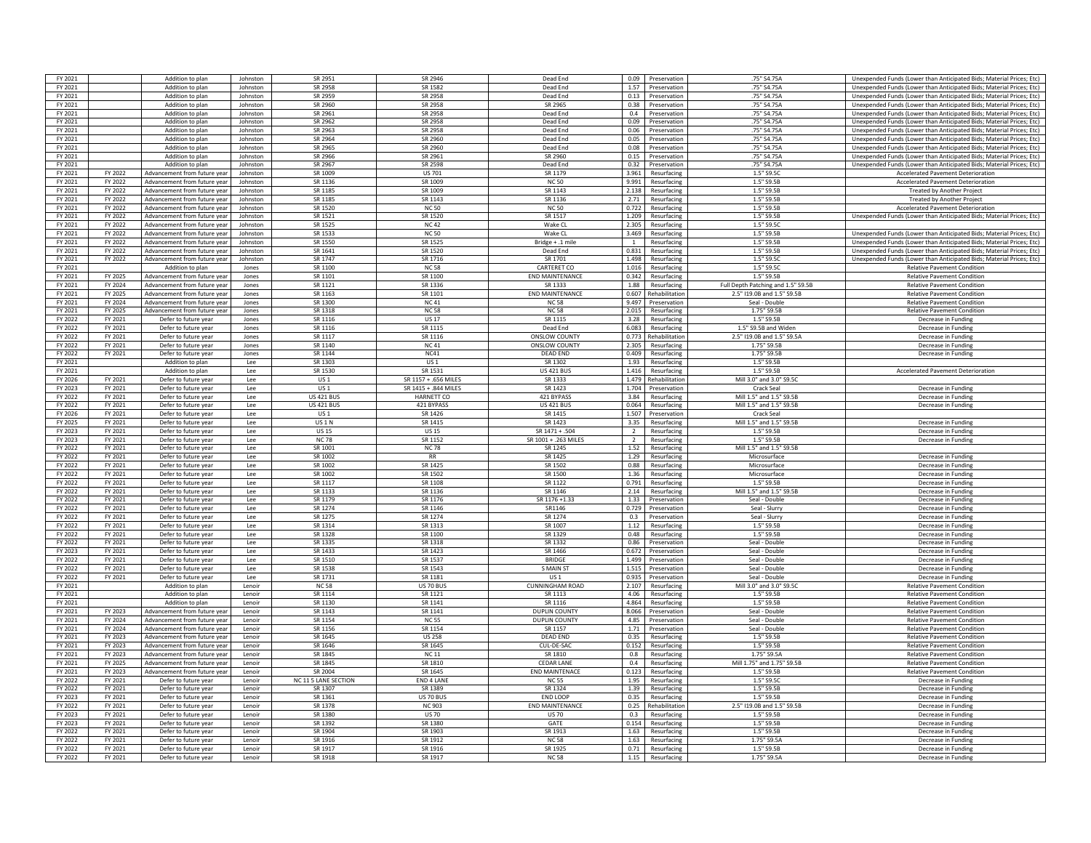| FY 2021            |                    | Addition to plan                                             | Johnston        | SR 2951              | SR 2946              | Dead End               | 0.09           | Preservation               | .75" S4.75A                        | Unexpended Funds (Lower than Anticipated Bids: Material Prices: Etc)     |
|--------------------|--------------------|--------------------------------------------------------------|-----------------|----------------------|----------------------|------------------------|----------------|----------------------------|------------------------------------|--------------------------------------------------------------------------|
| FY 2021            |                    | Addition to plan                                             | Johnston        | SR 2958              | SR 1582              | Dead End               |                | 1.57 Preservation          | .75" S4.75A                        | Unexpended Funds (Lower than Anticipated Bids; Material Prices; Etc)     |
| FY 2021            |                    | Addition to plan                                             | Inhuston        | SR 2959              | SR 2958              | Dead End               |                | 0.13 Preservation          | .75" S4.75A                        | Unexpended Funds (Lower than Anticipated Bids: Material Prices: Etc)     |
| FY 2021            |                    | Addition to plan                                             | Johnston        | SR 2960              | SR 2958              | SR 2965                | 0.38           | Preservation               | .75" S4.75A                        | Unexpended Funds (Lower than Anticipated Bids; Material Prices; Etc)     |
| FY 2021            |                    | Addition to plan                                             | Johnston        | SR 2961              | SR 2958              | Dead End               | 0.4            | Preservation               | .75" S4.75A                        | Unexpended Funds (Lower than Anticipated Bids: Material Prices: Etc)     |
| FY 2021            |                    | Addition to plan                                             | Johnston        | SR 2962              | SR 2958              | Dead End               | 0.09           | Preservation               | .75" S4.75A                        | Unexpended Funds (Lower than Anticipated Bids; Material Prices; Etc)     |
| FY 2021            |                    | Addition to plan                                             | Johnston        | SR 2963              | SR 2958              | Dead End               | 0.06           | Preservation               | .75" S4.75A                        | Unexpended Funds (Lower than Anticipated Bids: Material Prices: Etc)     |
|                    |                    |                                                              |                 |                      |                      |                        |                |                            |                                    |                                                                          |
| FY 2021            |                    | Addition to plan                                             | Johnston        | SR 2964              | SR 2960              | Dead End               | 0.05           | Preservation               | .75" S4.75A                        | Unexpended Funds (Lower than Anticipated Bids; Material Prices; Etc)     |
| FY 2021            |                    | Addition to plan                                             | Johnston        | SR 2965              | SR 2960              | Dead End               |                | 0.08 Preservation          | .75" S4.75A                        | Unexpended Funds (Lower than Anticipated Bids; Material Prices; Etc)     |
| FY 2021            |                    | Addition to plan                                             | Inhuston        | SR 2966              | SR 2961              | SR 2960                |                | 0.15 Preservation          | .75" S4.75A                        | Unexpended Funds (Lower than Anticipated Bids: Material Prices: Etc)     |
| FY 2021            |                    | Addition to plan                                             | Johnston        | SR 2967              | SR 2598              | Dead End               | 0.32           | Preservation               | .75" S4.75A                        | Unexpended Funds (Lower than Anticipated Bids: Material Prices: Etc)     |
| FY 2021            | <b>FY 2022</b>     | Advancement from future year                                 | Johnston        | SR 1009              | <b>US 701</b>        | SR 1179                | 3.961          | Resurfacing                | 1.5" S9.5C                         | Accelerated Pavement Deterioration                                       |
| FY 2021            | FY 2022            | Advancement from future vear                                 | Inhnston        | SR 1136              | SR 1009              | <b>NC50</b>            | 9.991          | Resurfacing                | 1.5" S9.5B                         | <b>Accelerated Pavement Deterioration</b>                                |
| FY 2021            | FY 2022            | Advancement from future vear                                 | lohnston        | SR 1185              | SR 1009              | SR 1143                | 2.138          | Resurfacing                | 1.5" S9.5B                         | <b>Treated by Another Project</b>                                        |
| FY 2021            | FY 2022            | Advancement from future year                                 | Johnston        | SR 1185              | SR 1143              | SR 1136                | 2.71           | Resurfacing                | 1.5" S9.5E                         | <b>Treated by Another Project</b>                                        |
| FY 2021            | FY 2022            | Advancement from future year                                 | Johnston        | SR 1520              | <b>NC 50</b>         | <b>NC 50</b>           | 0.722          | Resurfacing                | 1.5" S9.5B                         | <b>Accelerated Pavement Deterioration</b>                                |
| FY 2021            | FY 2022            | Advancement from future vear                                 | Johnston        | SR 1521              | SR 1520              | SR 1517                | 1.209          | Resurfacing                | 1.5" S9.5F                         | Unexpended Funds (Lower than Anticipated Bids; Material Prices; Etc)     |
| FY 2021            | FY 2022            | Advancement from future vear                                 | Johnston        | SR 1525              | <b>NC42</b>          | Wake CL                | 2.305          | Resurfacing                | 1.5" S9.5C                         |                                                                          |
| FY 2021            | FY 2022            | Advancement from future vear                                 | Johnston        | SR 1533              | <b>NC 50</b>         | Wake CL                | 3.469          | Resurfacing                | 1.5" S9.5E                         | Unexpended Funds (Lower than Anticipated Bids; Material Prices; Etc)     |
| FY 2021            | FY 2022            | Advancement from future year                                 | Johnston        | SR 1550              | SR 1525              | Bridge + .1 mile       | 1              | Resurfacing                | 1.5" S9.5E                         | Unexpended Funds (Lower than Anticipated Bids; Material Prices; Etc)     |
| FY 2021            | FY 2022            | Advancement from future year                                 | <b>Inhnston</b> | SR 1641              | SR 1520              | Dead End               | 0.831          | Resurfacing                | 1.5" S9.5F                         | Unexpended Funds (Lower than Anticipated Bids: Material Prices: Etc)     |
| FY 2021            | FY 2022            | Advancement from future year                                 | Johnston        | SR 1747              | SR 1716              | SR 1701                | 1.498          | Resurfacing                | $1.5"$ S9.50                       | Unexpended Funds (Lower than Anticipated Bids; Material Prices; Etc)     |
| FY 2021            |                    | Addition to plan                                             | Jones           | SR 1100              | <b>NC 58</b>         | CARTERET CO            | 1.016          | Resurfacing                | 1.5" S9.5C                         | <b>Relative Pavement Condition</b>                                       |
|                    |                    |                                                              |                 |                      | SR 1100              | <b>END MAINTENANCE</b> |                |                            |                                    |                                                                          |
| FY 2021<br>FY 2021 | FY 2025<br>FY 2024 | Advancement from future year<br>Advancement from future year | Jones           | SR 1101<br>SR 1121   | SR 1336              | SR 1333                | 0.342<br>1.88  | Resurfacing<br>Resurfacing | 1.5" S9.5B                         | <b>Relative Pavement Condition</b><br><b>Relative Pavement Condition</b> |
|                    |                    |                                                              | lones           |                      |                      |                        |                |                            | Full Depth Patching and 1.5" S9.5B |                                                                          |
| FY 2021            | FY 2025            | Advancement from future vear                                 | Jones           | SR 1163              | SR 1101              | <b>END MAINTENANCE</b> | 0.607          | Rehabilitatio              | 2.5" I19.0B and 1.5" S9.5B         | <b>Relative Pavement Condition</b>                                       |
| FY 2021            | FY 2024            | Advancement from future year                                 | Jones           | SR 1300              | <b>NC41</b>          | <b>NC58</b>            | 9.497          | Preservation               | Seal - Double                      | <b>Relative Pavement Condition</b>                                       |
| FY 2021            | FY 2025            | Advancement from future year                                 | Jones           | SR 1318              | <b>NC 58</b>         | <b>NC58</b>            | 2.015          | Resurfacing                | 1 75" SQ 5R                        | <b>Relative Pavement Condition</b>                                       |
| FY 2022            | FY 2021            | Defer to future year                                         | lones           | SR 1116              | <b>US17</b>          | SR 111 <sup>e</sup>    | 3.28           | Resurfacing                | 1.5" S9.5F                         | Decrease in Funding                                                      |
| FY 2022            | FY 2021            | Defer to future year                                         | Jones           | SR 1116              | SR 1115              | Dead End               | 6.083          | Resurfacing                | 1.5" S9.5B and Widen               | Decrease in Funding                                                      |
| FY 2022            | FY 2021            | Defer to future year                                         | Jones           | SR 1117              | SR 1116              | ONSLOW COUNTY          |                | 0.773 Rehabilitation       | 2.5" I19.0B and 1.5" S9.5A         | Decrease in Funding                                                      |
| FY 2022            | FY 2021            | Defer to future year                                         | Jones           | SR 1140              | <b>NC41</b>          | <b>ONSLOW COUNTY</b>   | 2.305          | Resurfacing                | 1.75" S9.5B                        | Decrease in Funding                                                      |
| FY 2022            | FY 2021            | Defer to future year                                         | Jones           | SR 1144              | NC41                 | <b>DEAD END</b>        | 0.409          | Resurfacing                | 1.75" S9.5B                        | Decrease in Funding                                                      |
| FY 2021            |                    | Addition to plan                                             | Lee             | SR 1303              | <b>US1</b>           | SR 1302                | 1.93           | Resurfacing                | 1.5" S9.5B                         |                                                                          |
| FY 2021            |                    | Addition to plan                                             | <b>Lee</b>      | SR 1530              | SR 1531              | <b>US 421 BUS</b>      | 1.416          | Resurfacing                | 1.5" S9.5F                         | <b>Accelerated Pavement Deterioration</b>                                |
| FY 2026            | FY 2021            | Defer to future year                                         | Lee             | US <sub>1</sub>      | SR 1157 + .656 MILES | SR 1333                | 1.479          | Rehabilitation             | Mill 3.0" and 3.0" S9.50           |                                                                          |
| FY 2023            | FY 2021            | Defer to future year                                         | Lee             | US <sub>1</sub>      | SR 1415 + .844 MILES | SR 1423                | 1.704          | Preservation               | Crack Seal                         | Decrease in Funding                                                      |
| FY 2022            | FY 2021            | Defer to future year                                         | Lee             | <b>US 421 BUS</b>    | HARNETT CO           | 421 BYPASS             | 3.84           | Resurfacing                | Mill 1.5" and 1.5" S9.5B           | Decrease in Funding                                                      |
| FY 2022            | FY 2021            | Defer to future year                                         | Lee             | <b>US 421 BUS</b>    | 421 BYPASS           | <b>US 421 BUS</b>      | 0.064          | Resurfacing                | Mill 1.5" and 1.5" S9.5B           | Decrease in Funding                                                      |
| FY 2026            | FY 2021            | Defer to future year                                         | Lee             | US <sub>1</sub>      | SR 1426              | SR 1415                | 1.507          | Preservation               | <b>Crack Seal</b>                  |                                                                          |
|                    | FY 2021            | Defer to future year                                         |                 | US <sub>1</sub> N    |                      | SR 1423                | 3.35           | Resurfacing                |                                    | Decrease in Funding                                                      |
| FY 2025            |                    |                                                              | Lee             |                      | SR 1415              |                        |                |                            | Mill 1.5" and 1.5" \$9.5B          |                                                                          |
|                    |                    |                                                              |                 |                      |                      |                        |                |                            |                                    |                                                                          |
| FY 2023            | FY 2021            | Defer to future year                                         | Lee             | <b>US15</b>          | <b>US15</b>          | SR 1471 + 504          | $\overline{2}$ | Resurfacing                | 1.5" S9.5F                         | Decrease in Fundin                                                       |
| FY 2023            | FY 2021            | Defer to future year                                         | Lee             | <b>NC78</b>          | SR 1152              | SR 1001 + .263 MILES   | $\overline{2}$ | Resurfacing                | 1.5" S9.5B                         | Decrease in Funding                                                      |
| FY 2022            | FY 2021            | Defer to future year                                         | Lee             | SR 1001              | <b>NC 78</b>         | SR 1245                | 1.52           | Resurfacing                | Mill 1.5" and 1.5" S9.5B           |                                                                          |
| FY 2022            | FY 2021            | Defer to future year                                         | Lee             | SR 1002              | <b>RR</b>            | SR 1425                | 1.29           | Resurfacing                | Microsurface                       | Decrease in Funding                                                      |
| FY 2022            | FY 2021            | Defer to future year                                         | Lee             | SR 1002              | SR 1425              | SR 1502                | 0.88           | Resurfacing                | Microsurface                       | Decrease in Funding                                                      |
| FY 2022            | FY 2021            | Defer to future year                                         | Lee             | SR 1002              | SR 1502              | SR 1500                | 1.36           | Resurfacing                | Microsurface                       | Decrease in Funding                                                      |
| FY 2022            | FY 2021            | Defer to future year                                         | Lee             | SR 1117              | SR 1108              | SR 1122                | 0.791          | Resurfacing                | 1.5" S9.5E                         | Decrease in Funding                                                      |
| FY 2022            | FY 2021            | Defer to future year                                         | Lee             | SR 1133              | SR 1136              | SR 1146                |                | 2.14 Resurfacing           | Mill 1.5" and 1.5" S9.5B           | Decrease in Funding                                                      |
| FY 2022            | FY 2021            | Defer to future year                                         | Lee             | SR 1179              | SR 1176              | SR 1176 +1.33          | 1.33           | Preservation               | Seal - Double                      | Decrease in Eunding                                                      |
| FY 2022            | FY 2021            |                                                              |                 | SR 1274              | SR 1146              | SR1146                 | 0.729          | Preservation               | Seal - Slurry                      | Decrease in Funding                                                      |
|                    |                    | Defer to future year                                         | Lee             | SR 1275              | SR 1274              | SR 1274                |                |                            |                                    |                                                                          |
| FY 2022            | FY 2021            | Defer to future year                                         | Lee             |                      |                      |                        |                | 0.3 Preservation           | Seal - Slurry                      | Decrease in Funding                                                      |
| FY 2022            | FY 2021            | Defer to future year                                         | Lee             | SR 1314              | SR 1313              | SR 1007                | 1.12           | Resurfacing                | 1.5" S9.5B                         | Decrease in Funding                                                      |
| FY 2022            | FY 2021            | Defer to future year                                         | Lee             | SR 1328              | SR 1100              | SR 1329                | 0.48           | Resurfacing                | 1.5" S9.5E                         | Decrease in Funding                                                      |
| FY 2022            | FY 2021            | Defer to future year                                         | Lee             | SR 1335              | SR 1318              | SR 1332                | 0.86           | Preservation               | Seal - Double                      | Decrease in Funding                                                      |
| FY 2023            | FY 2021            | Defer to future year                                         | Lee             | SR 1433              | SR 1423              | SR 1466                | 0.672          | Preservation               | Seal - Double                      | Decrease in Funding                                                      |
| FY 2022            | FY 2021            | Defer to future year                                         | <b>Lee</b>      | SR 1510              | SR 1537              | <b>BRIDGE</b>          | 1.499          | Preservation               | Seal - Double                      | Decrease in Eunding                                                      |
| FY 2022            | FY 2021            | Defer to future year                                         | Lee             | SR 1538              | SR 1543              | <b>SMAIN ST</b>        | 1.515          | Preservation               | Seal - Double                      | Decrease in Funding                                                      |
| FY 2022            | FY 2021            | Defer to future year                                         | Lee             | SR 1731              | SR 1181              | US <sub>1</sub>        | 0.935          | Preservation               | Seal - Double                      | Decrease in Funding                                                      |
| FY 2021            |                    | Addition to plan                                             | Lenoir          | <b>NC58</b>          | US 70 BUS            | <b>CUNNINGHAM ROAD</b> | 2.107          | Resurfacing                | Mill 3.0" and 3.0" S9.50           | <b>Relative Pavement Condition</b>                                       |
| FY 2021            |                    | Addition to plan                                             | <b>Lenoir</b>   | SR 1114              | SR 1121              | SR 1113                | 4.06           | Resurfacing                | 1.5" S9.5B                         | <b>Relative Pavement Condition</b>                                       |
| FY 2021            |                    | Addition to plan                                             | Lenoir          | SR 1130              | SR 1141              | SR 1116                | 4.864          | Resurfacing                | 1.5" S9.5E                         | <b>Relative Pavement Condition</b>                                       |
| FY 2021            | FY 2023            | Advancement from future year                                 | Lenoir          | SR 1143              | SR 1141              | DUPLIN COUNTY          | 8.066          | Preservation               | Seal - Double                      | <b>Relative Pavement Condition</b>                                       |
| FY 2021            | FY 2024            | Advancement from future year                                 | Lenoir          | SR 1154              | <b>NC 55</b>         | DUPLIN COUNTY          | 4.85           | Preservation               | Seal - Double                      | <b>Relative Pavement Condition</b>                                       |
| FY 2021            | FY 2024            | Advancement from future year                                 | Lenoir          | SR 1156              | SR 1154              | SR 1157                | 1.71           | Preservation               | Seal - Double                      | <b>Relative Pavement Condition</b>                                       |
| FY 2021            | FY 2023            | Advancement from future vear                                 | Lenoir          | SR 1645              | <b>US 258</b>        | <b>DEAD END</b>        | 0.35           | Resurfacing                | 1.5" S9.5B                         | <b>Relative Pavement Condition</b>                                       |
| FY 2021            | FY 2023            | Advancement from future year                                 | Lenoir          | SR 1646              | SR 1645              | CUL-DE-SAC             | 0.152          | Resurfacing                | 1.5" S9.5B                         | <b>Relative Pavement Condition</b>                                       |
| FY 2021            | FY 2023            | Advancement from future vear                                 | Lenoir          | SR 1845              | <b>NC11</b>          | SR 1810                | 0.8            | Resurfacing                | 1.75" S9.5A                        | <b>Relative Pavement Condition</b>                                       |
|                    |                    |                                                              | Lenoir          | SR 1845              | SR 1810              | <b>CEDAR LANE</b>      |                |                            |                                    |                                                                          |
| FY 2021            | FY 2025            | Advancement from future year                                 |                 |                      |                      |                        | 0.4            | Resurfacing                | Mill 1.75" and 1.75" S9.5B         | <b>Relative Pavement Condition</b>                                       |
| FY 2021            | FY 2023            | Advancement from future vear                                 | Lenoir          | SR 2004              | SR 1645              | <b>END MAINTENACE</b>  | 0.123          | Resurfacing                | 1.5" S9.5B                         | <b>Relative Pavement Condition</b>                                       |
| FY 2022            | FY 2021            | Defer to future year                                         | <b>Lenoir</b>   | NC 11 5 LANE SECTION | FND 41 ANR           | <b>NC 55</b>           | 1.95           | Resurfacing                | 1.5"S9.50                          | Decrease in Funding                                                      |
| FY 2022            | FY 2021            | Defer to future year                                         | Lenoir          | SR 1307              | SR 1389              | SR 1324                | 1.39           | Resurfacing                | 1.5" S9.5B                         | Decrease in Funding                                                      |
| FY 2023            | FY 2021            | Defer to future year                                         | Lenoir          | SR 1361              | US 70 BUS            | <b>END LOOP</b>        | 0.35           | Resurfacing                | 1.5" S9.5B                         | Decrease in Funding                                                      |
| FY 2022            | FY 2021            | Defer to future year                                         | Lenoir          | SR 1378              | <b>NC 903</b>        | <b>END MAINTENANCE</b> |                | 0.25 Rehabilitation        | 2.5" I19.0B and 1.5" S9.5B         | Decrease in Funding                                                      |
| FY 2023            | FY 2021            | Defer to future year                                         | <b>Lenoir</b>   | SR 1380              | <b>US 70</b>         | <b>US 70</b>           | 0.3            | Resurfacing                | 1.5" S9.5B                         | Decrease in Funding                                                      |
| FY 2023            | FY 2021            | Defer to future year                                         | Lenoir          | SR 1392              | SR 1380              | GATE                   | 0.154          | Resurfacing                | 1.5" S9.5E                         | Decrease in Funding                                                      |
| FY 2022            | FY 2021            | Defer to future year                                         | Lenoir          | SR 1904              | SR 1903              | SR 1913                | 1.63           | Resurfacing                | 1.5" S9.5E                         | Decrease in Funding                                                      |
| FY 2022            | FY 2021            | Defer to future year                                         | Lenoir          | SR 1916              | SR 1912              | <b>NC58</b>            | 1.63           | Resurfacing                | 1.75" S9.5A                        | Decrease in Funding                                                      |
| FY 2022            | FY 2021            | Defer to future year                                         | Lenoir          | SR 1917              | SR 1916              | SR 1925                | 0.71           | Resurfacing                | 1.5" S9.5E                         | Decrease in Funding                                                      |
| FY 2022            | FY 2021            | Defer to future year                                         | Lenoir          | SR 1918              | SR 1917              | <b>NC58</b>            | 1.15           | Resurfacing                | 1.75" S9.5A                        | Decrease in Funding                                                      |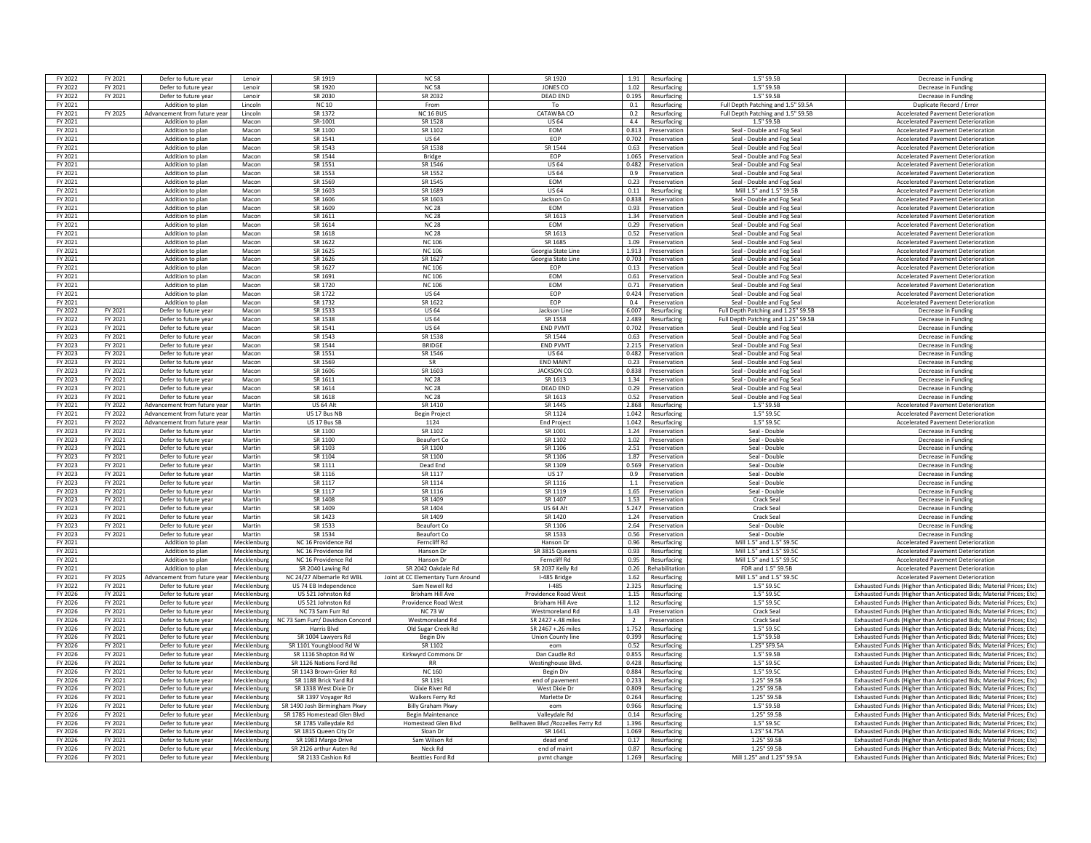| FY 2022 | FY 2021 | Defer to future year         | Lenoir        | SR 1919                          | <b>NC58</b>                        | SR 1920                             |                | 1.91 Resurfacing    | 1.5" S9.5B                                        | Decrease in Funding                                                  |
|---------|---------|------------------------------|---------------|----------------------------------|------------------------------------|-------------------------------------|----------------|---------------------|---------------------------------------------------|----------------------------------------------------------------------|
| FY 2022 | FY 2021 | Defer to future year         | Lenoir        | SR 1920                          | <b>NC 58</b>                       | <b>JONES CO</b>                     |                | 1.02 Resurfacing    | 1.5" S9.5B                                        | Decrease in Funding                                                  |
| FY 2022 | FY 2021 | Defer to future year         | <b>Lenoir</b> | SR 2030                          | SR 2032                            | DFAD FND                            | 0.195          | Resurfacing         | 1.5" S9.5B                                        | Decrease in Funding                                                  |
| FY 2021 |         | Addition to plan             | Lincoln       | <b>NC10</b>                      | From                               | To                                  | 0.1            | Resurfacing         | Full Depth Patching and 1.5" S9.5A                | Duplicate Record / Error                                             |
|         |         | Advancement from future vea  | Lincoln       |                                  | <b>NC 16 BUS</b>                   |                                     |                |                     |                                                   | <b>Accelerated Pavement Deterioration</b>                            |
| FY 2021 | FY 2025 |                              |               | SR 1372                          |                                    | CATAWBA CO                          | 0.2            | Resurfacing         | Full Depth Patching and 1.5" S9.5B<br>$15"$ SQ SR |                                                                      |
| FY 2021 |         | Addition to plan             | Macon         | SR-1001                          | SR 1528                            | <b>US 64</b>                        | 4.4            | Resurfacing         |                                                   | <b>Accelerated Pavement Deterioration</b>                            |
| FY 2021 |         | Addition to plan             | Macon         | SR 1100                          | SR 1102                            | EOM                                 | 0.813          | Preservation        | Seal - Double and Fog Seal                        | <b>Accelerated Pavement Deterioration</b>                            |
| FY 2021 |         | Addition to plan             | Macon         | SR 1541                          | <b>US 64</b>                       | EOP                                 | 0.702          | Preservation        | Seal - Double and Fog Seal                        | <b>Accelerated Pavement Deterioration</b>                            |
| FY 2021 |         | Addition to plan             | Macon         | SR 1543                          | SR 1538                            | SR 1544                             |                | 0.63 Preservation   | Seal - Double and Fog Seal                        | <b>Accelerated Pavement Deterioration</b>                            |
| FY 2021 |         | Addition to plan             | Macon         | SR 1544                          | <b>Bridge</b>                      | <b>FOP</b>                          |                | 1.065 Preservation  | Seal - Double and Fog Seal                        | <b>Accelerated Pavement Deterioration</b>                            |
| FY 2021 |         | Addition to plan             | Macon         | SR 1551                          | SR 1546                            | <b>US 64</b>                        | 0.482          | Preservation        | Seal - Double and Fog Seal                        | Accelerated Pavement Deterioration                                   |
| FY 2021 |         | Addition to plan             | Macon         | SR 1553                          | SR 1552                            | <b>US 64</b>                        | 0.9            | Preservation        | Seal - Double and Fog Seal                        | <b>Accelerated Pavement Deterioration</b>                            |
| FY 2021 |         | Addition to plan             | Macon         | SR 1569                          | SR 1545                            | <b>FOM</b>                          | 0.23           | Preservation        | Seal - Double and Fog Seal                        | <b>Accelerated Payement Deterioration</b>                            |
| FY 2021 |         | Addition to plan             | Macon         | SR 1603                          | SR 1689                            | <b>US 64</b>                        | 0.11           | Resurfacing         | Mill 1.5" and 1.5" \$9.5B                         | <b>Accelerated Pavement Deterioration</b>                            |
| FY 2021 |         | Addition to plan             | Macon         | SR 1606                          | SR 1603                            | Jackson Co                          |                | 0.838 Preservation  |                                                   | <b>Accelerated Pavement Deterioration</b>                            |
|         |         |                              |               |                                  |                                    |                                     |                |                     | Seal - Double and Fog Seal                        |                                                                      |
| FY 2021 |         | Addition to plan             | Macon         | SR 1609                          | <b>NC 28</b>                       | <b>EOM</b>                          |                | 0.93 Preservation   | Seal - Double and Fog Seal                        | <b>Accelerated Pavement Deterioration</b>                            |
| FY 2021 |         | Addition to plan             | Macon         | SR 1611                          | <b>NC 28</b>                       | SR 1613                             |                | 1.34 Preservation   | Seal - Double and Fog Seal                        | Accelerated Payement Deterioration                                   |
| FY 2021 |         | Addition to plan             | Macon         | SR 1614                          | <b>NC 28</b>                       | EOM                                 | 0.29           | Preservation        | Seal - Double and Fog Seal                        | <b>Accelerated Pavement Deterioration</b>                            |
| FY 2021 |         | Addition to plan             | Macon         | SR 1618                          | <b>NC 28</b>                       | SR 1613                             | 0.52           | Preservation        | Seal - Double and Fog Seal                        | <b>Accelerated Pavement Deterioration</b>                            |
| FY 2021 |         | Addition to plan             | Macon         | SR 1622                          | <b>NC 106</b>                      | SR 1685                             | 1.09           | Preservation        | Seal - Double and Fog Seal                        | <b>Accelerated Pavement Deterioration</b>                            |
| FY 2021 |         | Addition to plan             | Macon         | SR 1625                          | <b>NC 106</b>                      | Georgia State Line                  | 1.913          | Preservation        | Seal - Double and Fog Seal                        | <b>Accelerated Pavement Deterioration</b>                            |
| FY 2021 |         | Addition to plan             | Macon         | SR 1626                          | SR 1627                            | Georgia State Line                  | 0.703          | Preservation        | Seal - Double and Fog Seal                        | <b>Accelerated Pavement Deterioration</b>                            |
| FY 2021 |         | Addition to plan             | Macon         | SR 1627                          | <b>NC 106</b>                      | EOP                                 |                | 0.13 Preservation   | Seal - Double and Fog Seal                        | <b>Accelerated Pavement Deterioration</b>                            |
| FY 2021 |         | Addition to plan             | Macon         | SR 1691                          | NC 106                             | <b>FOM</b>                          |                | 0.61 Preservation   | Seal - Double and Fog Seal                        | <b>Accelerated Payement Deterioration</b>                            |
|         |         |                              |               |                                  |                                    |                                     |                |                     |                                                   |                                                                      |
| FY 2021 |         | Addition to plan             | Macon         | SR 1720                          | <b>NC 106</b>                      | EOM                                 | 0.71           | Preservation        | Seal - Double and Fog Seal                        | <b>Accelerated Pavement Deterioration</b>                            |
| FY 2021 |         | Addition to plan             | Macon         | SR 1722                          | <b>US 64</b>                       | EOP                                 | 0.424          | Preservation        | Seal - Double and Fog Seal                        | <b>Accelerated Pavement Deterioration</b>                            |
| FY 2021 |         | Addition to plan             | Macon         | SR 1737                          | SR 1622                            | <b>FOP</b>                          | 0.4            | Preservation        | Seal - Double and Fog Seal                        | <b>Accelerated Pavement Deterioration</b>                            |
| FY 2022 | FY 2021 | Defer to future year         | Macon         | SR 1533                          | <b>US64</b>                        | Jackson Line                        | 6.007          | Resurfacing         | Full Depth Patching and 1.25" S9.5B               | Decrease in Fundir                                                   |
| FY 2022 | FY 2021 | Defer to future year         | Macon         | SR 1538                          | <b>US 64</b>                       | SR 1558                             | 2.489          | Resurfacing         | Full Depth Patching and 1.25" S9.5E               | Decrease in Funding                                                  |
| FY 2023 | FY 2021 | Defer to future year         | Macon         | SR 1541                          | <b>US 64</b>                       | <b>END PVMT</b>                     |                | 0.702 Preservation  | Seal - Double and Fog Seal                        | Decrease in Funding                                                  |
| FY 2023 | FY 2021 | Defer to future year         | Macon         | SR 1543                          | SR 1538                            | SR 1544                             |                | 0.63 Preservation   | Seal - Double and Fog Seal                        | Decrease in Funding                                                  |
| FY 2023 | FY 2021 | Defer to future year         | Macon         | SR 1544                          | <b>BRIDGE</b>                      | <b>END PVMT</b>                     | 2.215          | Preservation        | Seal - Double and Fog Seal                        | Decrease in Funding                                                  |
| FY 2023 | FY 2021 |                              | Macon         | SR 1551                          | SR 1546                            | <b>US 64</b>                        | 0.482          | Preservation        |                                                   |                                                                      |
|         |         | Defer to future year         |               |                                  |                                    |                                     |                |                     | Seal - Double and Fog Seal                        | Decrease in Funding                                                  |
| FY 2023 | FY 2021 | Defer to future year         | Macon         | SR 1569                          | <b>SR</b>                          | <b>END MAINT</b>                    | 0.23           | Preservation        | Seal - Double and Fog Seal                        | Decrease in Funding                                                  |
| FY 2023 | FY 2021 | Defer to future year         | Macon         | SR 1606                          | SR 1603                            | <b>JACKSON CO</b>                   |                | 0.838 Preservation  | Seal - Double and Fog Seal                        | Decrease in Fundin                                                   |
| FY 2023 | FY 2021 | Defer to future year         | Macon         | SR 1611                          | <b>NC 28</b>                       | SR 1613                             | 1.34           | Preservation        | Seal - Double and Fog Seal                        | Decrease in Funding                                                  |
| FY 2023 | FY 2021 | Defer to future year         | Macon         | SR 1614                          | <b>NC 28</b>                       | <b>DEAD END</b>                     |                | 0.29 Preservation   | Seal - Double and Fog Seal                        | Decrease in Funding                                                  |
| FY 2023 | FY 2021 | Defer to future year         | Macon         | SR 1618                          | <b>NC 28</b>                       | SR 1613                             |                | 0.52 Preservation   | Seal - Double and Fog Seal                        | Decrease in Funding                                                  |
| FY 2021 | FY 2022 | Advancement from future vear | Martin        | US 64 Alt                        | SR 1410                            | SR 1445                             | 2.868          | Resurfacing         | $1.5"$ S9.5B                                      | <b>Accelerated Pavement Deterioration</b>                            |
| FY 2021 | FY 2022 | Advancement from future vear | Martin        | US 17 Bus NB                     | <b>Begin Project</b>               | SR 1124                             | 1.042          | Resurfacing         | 1.5" S9.5C                                        | <b>Accelerated Pavement Deterioration</b>                            |
| FY 2021 | FY 2022 | Advancement from future vea  | Martin        | US 17 Bus SB                     | 1124                               | <b>End Project</b>                  | 1.042          | Resurfacing         | 1.5" \$9.50                                       | <b>Accelerated Pavement Deterioration</b>                            |
| FY 2023 | FY 2021 | Defer to future year         | Martin        | SR 1100                          | SR 1102                            | SR 1001                             | 1.24           | Preservation        | Seal - Double                                     | Decrease in Fundir                                                   |
| FY 2023 | FY 2021 | Defer to future year         | Martin        | SR 1100                          | <b>Beaufort Co</b>                 | SR 1102                             | 1.02           | Preservation        | Seal - Double                                     | Decrease in Funding                                                  |
|         |         |                              |               |                                  |                                    |                                     |                |                     |                                                   |                                                                      |
| FY 2023 | FY 2021 | Defer to future year         | Martin        | SR 1103                          | SR 1100                            | SR 1106                             |                | 2.51 Preservation   | Seal - Double                                     | Decrease in Funding                                                  |
| FY 2023 | FY 2021 | Defer to future year         | Martin        | SR 1104                          | SR 1100                            | SR 1106                             |                | 1.87 Preservation   | Seal - Double                                     | Decrease in Funding                                                  |
|         |         | Defer to future year         | Martin        | SR 1111                          | Dead End                           | SR 1109                             |                | Preservation        | Seal - Double                                     |                                                                      |
| FY 2023 | FY 2021 |                              |               |                                  |                                    |                                     | 0.569          |                     |                                                   | Decrease in Funding                                                  |
| FY 2023 | FY 2021 | Defer to future year         | Martin        | SR 1116                          | SR 1117                            | <b>US 17</b>                        | 0.9            | Preservation        | Seal - Double                                     | Decrease in Funding                                                  |
| FY 2023 | FY 2021 | Defer to future year         | Martin        | SR 1117                          | SR 1114                            | SR 1116                             | 1.1            | Preservation        | Seal - Double                                     | Decrease in Funding                                                  |
| FY 2023 | FY 2021 | Defer to future year         | Martin        | SR 1117                          | SR 1116                            | SR 1119                             |                | 1.65 Preservation   | Seal - Double                                     | Decrease in Fundin                                                   |
|         |         |                              |               |                                  |                                    |                                     |                |                     | Crack Seal                                        |                                                                      |
| FY 2023 | FY 2021 | Defer to future year         | Martin        | SR 1408                          | SR 1409                            | SR 1407                             | 1.53           | Preservation        |                                                   | Decrease in Fundin                                                   |
| FY 2023 | FY 2021 | Defer to future yea          | Martin        | SR 1409                          | SR 1404                            | US 64 Alt                           |                | 5.247 Preservation  | Crack Seal                                        | Decrease in Funding                                                  |
| FY 2023 | FY 2021 | Defer to future year         | Martin        | SR 1423                          | SR 1409                            | SR 1420                             |                | 1.24 Preservation   | Crack Seal                                        | Decrease in Funding                                                  |
| FY 2023 | FY 2021 | Defer to future year         | Martin        | SR 1533                          | Beaufort Co.                       | SR 1106                             | 2.64           | Preservation        | Seal - Double                                     | Decrease in Funding                                                  |
| FY 2023 | FY 2021 | Defer to future year         | Martin        | SR 1534                          | Beaufort Co                        | SR 1533                             | 0.56           | Preservation        | Seal - Double                                     | Decrease in Funding                                                  |
| FY 2021 |         | Addition to plan             | Mecklenburg   | NC 16 Providence Rd              | Ferncliff Rd                       | Hanson Dr                           | 0.96           | Resurfacing         | Mill 1.5" and 1.5" \$9.50                         | <b>Accelerated Pavement Deterioration</b>                            |
| FY 2021 |         | Addition to plan             | Mecklenbur    | NC 16 Providence Rd              | Hanson Dr                          | SR 3815 Queen                       | 0.93           | Resurfacing         | Mill 1.5" and 1.5" S9.50                          | <b>Accelerated Pavement Deterioratio</b>                             |
| FY 2021 |         | Addition to plan             | Mecklenburg   | NC 16 Providence Rd              | Hanson Dr                          | Ferncliff Rd                        | 0.95           | Resurfacing         | Mill 1.5" and 1.5" S9.50                          | <b>Accelerated Pavement Deterioration</b>                            |
| FY 2021 |         | Addition to plan             | Mecklenburg   | SR 2040 Lawing Rd                | SR 2042 Oakdale Rd                 | SR 2037 Kelly Rd                    |                | 0.26 Rehabilitation | FDR and 1.5" S9.5B                                | <b>Accelerated Pavement Deterioration</b>                            |
| FY 2021 | FY 2025 | Advancement from future year | Mecklenburg   | NC 24/27 Albemarle Rd WBL        | Joint at CC Elementary Turn Around | I-485 Bridge                        |                | 1.62 Resurfacing    | Mill 1.5" and 1.5" \$9.50                         | Accelerated Pavement Deterioration                                   |
| FY 2022 | FY 2021 | Defer to future year         | Mecklenburg   | US 74 FB Independence            | Sam Newell Rd                      | $1 - 485$                           | 2.325          | Resurfacing         | 1.5" S9.5C                                        | Exhausted Funds (Higher than Anticinated Bids: Material Prices: Etc) |
|         |         | Defer to future year         |               | US 521 Johnston Rd               | <b>Brixham Hill Ave</b>            | Providence Road West                |                | Resurfacing         |                                                   | Exhausted Funds (Higher than Anticipated Bids: Material Prices: Etc) |
| FY 2026 | FY 2021 |                              | Mecklenburg   |                                  |                                    |                                     | 1.15           |                     | 1.5" S9.5C                                        |                                                                      |
| FY 2026 | FY 2021 | Defer to future yea          | Mecklenburg   | US 521 Johnston Rd               | Providence Road West               | <b>Brixham Hill Ave</b>             | 1.12           | Resurfacing         | 1.5" S9.5C                                        | Exhausted Funds (Higher than Anticipated Bids; Material Prices; Etc) |
| FY 2026 | FY 2021 | Defer to future year         | Mecklenburg   | NC 73 Sam Furr Rd                | <b>NC 73 W</b>                     | Westmoreland Rd                     | 1.43           | Preservation        | Crack Seal                                        | Exhausted Funds (Higher than Anticipated Bids; Material Prices; Etc) |
| FY 2026 | FY 2021 | Defer to future year         | Mecklenburg   | NC 73 Sam Furr/ Davidson Concord | Westmoreland Rd                    | SR 2427 + 48 miles                  | $\overline{2}$ | Preservation        | Crack Seal                                        | Exhausted Funds (Higher than Anticipated Bids; Material Prices; Etc) |
| FY 2026 | FY 2021 | Defer to future year         | Mecklenburg   | Harris Blvd                      | Old Sugar Creek Rd                 | SR 2467 +.26 miles                  |                | 1.752 Resurfacing   | 1.5" S9.5C                                        | Exhausted Funds (Higher than Anticipated Bids; Material Prices; Etc) |
| FY 2026 | FY 2021 | Defer to future year         | Mecklenburg   | SR 1004 Lawyers Rd               | <b>Begin Div</b>                   | Union County line                   |                | 0.399 Resurfacing   | 1.5" S9.5B                                        | Exhausted Funds (Higher than Anticipated Bids; Material Prices; Etc) |
| FY 2026 | FY 2021 | Defer to future year         | Mecklenburg   | SR 1101 Youngblood Rd W          | SR 1102                            | eom                                 | 0.52           | Resurfacing         | 1.25" SF9.5A                                      | Exhausted Funds (Higher than Anticipated Bids; Material Prices; Etc) |
| FY 2026 | FY 2021 | Defer to future year         | Mecklenburg   | SR 1116 Shopton Rd W             | Kirkwyrd Commons Dr                | Dan Caudle Rd                       | 0.855          | Resurfacing         | 1.5" S9.5B                                        | Exhausted Funds (Higher than Anticipated Bids; Material Prices; Etc) |
| FY 2026 | FY 2021 | Defer to future year         | Mecklenburg   | SR 1126 Nations Ford Rd          | <b>RR</b>                          | Westinghouse Blvd.                  | 0.428          | Resurfacing         | 1.5" S9.5C                                        | Exhausted Funds (Higher than Anticipated Bids: Material Prices: Etc) |
| FY 2026 | FY 2021 | Defer to future year         | Mecklenburg   | SR 1143 Brown-Grier Rd           | <b>NC 160</b>                      | <b>Begin Div</b>                    | 0.884          | Resurfacing         | 1.5" S9.5C                                        | Exhausted Funds (Higher than Anticipated Bids; Material Prices; Etc) |
| FY 2026 | FY 2021 | Defer to future year         | Mecklenburg   | SR 1188 Brick Yard Rd            |                                    | end of pavement                     | 0.233          | Resurfacing         | 1.25" S9.5B                                       |                                                                      |
| FY 2026 | FY 2021 | Defer to future year         | Mecklenburg   | SR 1338 West Dixie Dr            | SR 1191<br>Dixie River Rd          | West Dixie Dr                       | 0.809          | Resurfacing         | 1.25" S9.5F                                       | Exhausted Funds (Higher than Anticipated Bids; Material Prices; Etc) |
|         |         |                              |               |                                  |                                    |                                     |                |                     |                                                   | Exhausted Funds (Higher than Anticipated Bids; Material Prices; Etc) |
| FY 2026 | FY 2021 | Defer to future year         | Mecklenburg   | SR 1397 Voyager Rd               | Walkers Ferry Rd                   | Marlette Dr                         |                | 0.264 Resurfacing   | 1.25" S9.5B                                       | Exhausted Funds (Higher than Anticipated Bids; Material Prices; Etc) |
| FY 2026 | FY 2021 | Defer to future year         | Mecklenburg   | SR 1490 Josh Birmingham Pkwy     | <b>Billy Graham Pkwy</b>           | eom                                 |                | 0.966 Resurfacing   | 1.5" S9.5B                                        | Exhausted Funds (Higher than Anticipated Bids: Material Prices: Etc) |
| FY 2026 | FY 2021 | Defer to future year         | Mecklenburg   | SR 1785 Homestead Glen Blvd      | Begin Maintenance                  | Valleydale Rd                       | 0.14           | Resurfacing         | 1.25" S9.5B                                       | Exhausted Funds (Higher than Anticipated Bids: Material Prices: Etc) |
| FY 2026 | FY 2021 | Defer to future year         | Mecklenburg   | SR 1785 Valleydale Rd            | <b>Homestead Glen Blvd</b>         | Bellhaven Blvd / Rozzelles Ferry Rd | 1.396          | Resurfacing         | 1.5" S9.5C                                        | Exhausted Funds (Higher than Anticipated Bids: Material Prices: Etc) |
| FY 2026 | FY 2021 | Defer to future year         | Mecklenburg   | SR 1815 Queen City Dr            | Sloan Dr                           | SR 1641                             | 1.069          | Resurfacing         | 1.25" S4.75/                                      | Exhausted Funds (Higher than Anticipated Bids; Material Prices; Etc) |
| FY 2026 | FY 2021 | Defer to future year         | Mecklenburg   | SR 1983 Margo Drive              | Sam Wilson Rd                      | dead end                            | 0.17           | Resurfacing         | 1.25" S9.5B                                       | Exhausted Funds (Higher than Anticipated Bids; Material Prices; Etc) |
| FY 2026 | FY 2021 | Defer to future year         | Mecklenburg   | SR 2126 arthur Auten Rd          | Neck Rd                            | end of main                         | 0.87           | Resurfacing         | 1.25" S9.5E                                       | Exhausted Funds (Higher than Anticipated Bids; Material Prices; Etc) |
| FY 2026 | FY 2021 | Defer to future year         | Mecklenburg   | SR 2133 Cashion Rd               | <b>Beatties Ford Rd</b>            | pvmt change                         | 1.269          | Resurfacing         | Mill 1.25" and 1.25" S9.5A                        | Exhausted Funds (Higher than Anticipated Bids; Material Prices; Etc) |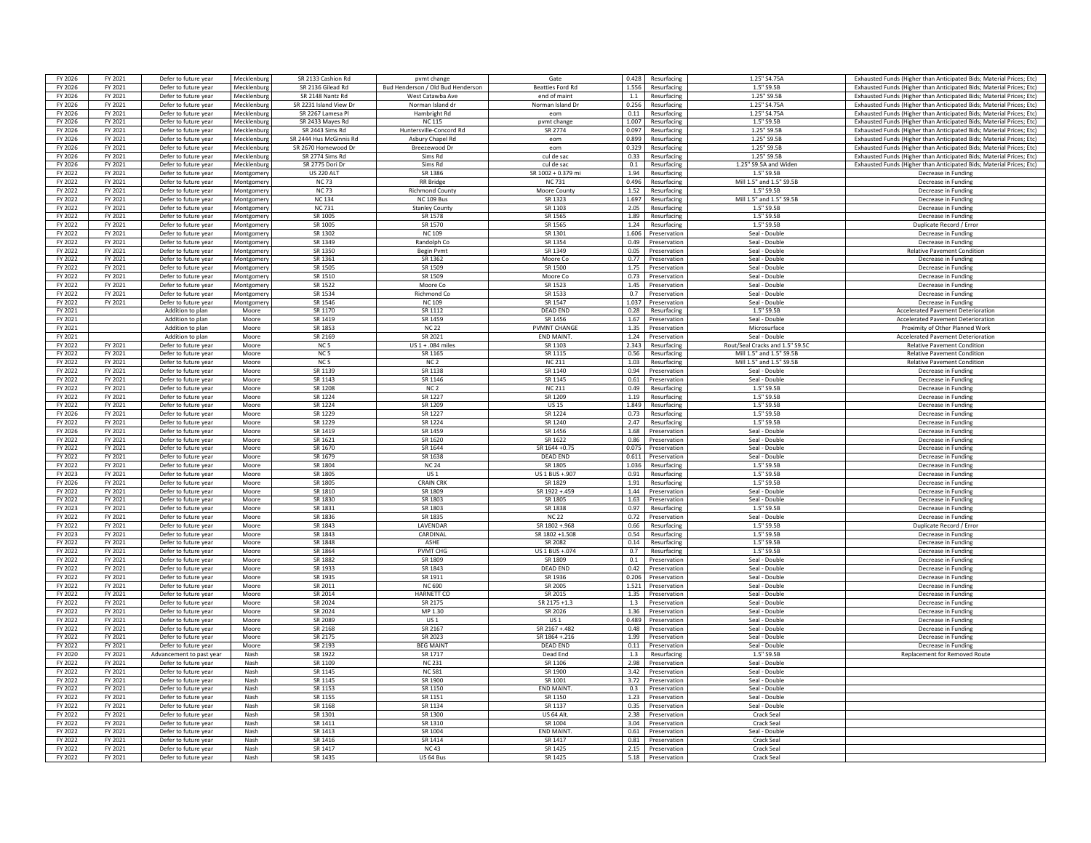| FY 2026            | FY 2021            | Defer to future year                         | Mecklenburg    | SR 2133 Cashion Rd          | pymt change                       | Gate                    | 0.428        | Resurfacing                  | 1.25" S4.75A                    | Exhausted Funds (Higher than Anticipated Bids: Material Prices: Etc) |
|--------------------|--------------------|----------------------------------------------|----------------|-----------------------------|-----------------------------------|-------------------------|--------------|------------------------------|---------------------------------|----------------------------------------------------------------------|
| FY 2026            | FY 2021            | Defer to future year                         | Mecklenburg    | SR 2136 Gilead Rd           | Bud Henderson / Old Bud Henderson | <b>Beatties Ford Ro</b> | 1.556        | Resurfacing                  | 1.5" S9.5B                      | Exhausted Funds (Higher than Anticipated Bids; Material Prices; Etc) |
| FY 2026            | FY 2021            | Defer to future year                         | Mecklenburg    | SR 2148 Nantz Rd            | West Catawba Ave                  | end of maint            | 1.1          | Resurfacing                  | 1.25" S9.5B                     | Exhausted Funds (Higher than Anticipated Bids; Material Prices; Etc) |
| FY 2026            | FY 2021            | Defer to future year                         | Mecklenburg    | SR 2231 Island View Dr      | Norman Island dr                  | Norman Island Dr        | 0.256        | Resurfacing                  | 1.25" S4.75A                    | Exhausted Funds (Higher than Anticipated Bids; Material Prices; Etc) |
| FY 2026            | FY 2021            | Defer to future year                         | Mecklenburg    | SR 2267 Lamesa Pl           | Hambright Rd                      | eom                     | 0.11         | Resurfacing                  | 1.25" S4.75A                    | Exhausted Funds (Higher than Anticipated Bids: Material Prices: Etc) |
| FY 2026            | FY 2021            | Defer to future year                         | Mecklenburg    | SR 2433 Mayes Rd            | <b>NC 115</b>                     | pvmt change             | 1.007        | Resurfacing                  | 1.5" S9.5E                      | Exhausted Funds (Higher than Anticipated Bids; Material Prices; Etc) |
| FY 2026            | FY 2021            | Defer to future year                         | Mecklenbur     | SR 2443 Sims Rd             | Huntersville-Concord Rd           | <b>SR 2774</b>          | 0.097        | Resurfacing                  | 1.25" S9.5B                     | Exhausted Funds (Higher than Anticipated Bids; Material Prices; Etc) |
| FY 2026            | FY 2021            | Defer to future year                         | Mecklenburg    | SR 2444 Hus McGinnis Rd     | Asbury Chapel Rd                  | eom                     | 0.899        | Resurfacing                  | 1.25" S9.5B                     | Exhausted Funds (Higher than Anticipated Bids; Material Prices; Etc) |
| FY 2026            | FY 2021            | Defer to future year                         | Mecklenburg    | SR 2670 Homewood Dr         | Breezewood Dr                     | eom                     | 0.329        | Resurfacing                  | 1.25" S9.5B                     | Exhausted Funds (Higher than Anticipated Bids; Material Prices; Etc) |
| FY 2026            | FY 2021            | Defer to future year                         | Mecklenbur     | SR 2774 Sims Rd             | Sims Rd                           | cul de sac              | 0.33         | Resurfacing                  | 1.25" S9.5B                     | Exhausted Funds (Higher than Anticipated Bids; Material Prices; Etc) |
| FY 2026            | FY 2021            | Defer to future year                         | Mecklenburg    | SR 2775 Dori Dr             | Sims Rd                           | cul de sac              | 0.1          | Resurfacing                  | 1.25" S9.5A and Widen           | Exhausted Funds (Higher than Anticipated Bids; Material Prices; Etc) |
| FY 2022            | FY 2021            | Defer to future year                         | Montgomer      | <b>US 220 ALT</b>           | SR 1386                           | SR 1002 + 0.379 mi      | 1.94         | Resurfacing                  | 1.5" S9.5B                      | Decrease in Funding                                                  |
| FY 2022            | FY 2021            | Defer to future year                         | Montgomery     | <b>NC73</b>                 | <b>RR</b> Bridge                  | <b>NC731</b>            | 0.496        | Resurfacing                  | Mill 1.5" and 1.5" S9.5B        | Decrease in Funding                                                  |
| FY 2022            | FY 2021            | Defer to future year                         | Montgomen      | <b>NC 73</b>                | Richmond County                   | Moore County            | 1.52         | Resurfacing                  | 1.5" S9.5E                      | Decrease in Funding                                                  |
| FY 2022            | FY 2021            | Defer to future year                         | Montgomen      | <b>NC134</b>                | <b>NC 109 Bus</b>                 | SR 1323                 | 1.697        | Resurfacing                  | Mill 1.5" and 1.5" S9.5B        | Decrease in Funding                                                  |
| FY 2022            | FY 2021            | Defer to future year                         | Montgomen      | <b>NC 731</b>               | <b>Stanley County</b>             | SR 1103                 | 2.05         | Resurfacing                  | 1.5"S9.5F                       | Decrease in Funding                                                  |
| FY 2022            | FY 2021            | Defer to future year                         | Montgomen      | SR 1005                     | SR 1578                           | SR 1565                 | 1.89         | Resurfacing                  | 1.5" S9.5B                      | Decrease in Funding                                                  |
| FY 2022            | FY 2021            | Defer to future year                         | Montgomen      | SR 1005                     | SR 1570                           | SR 1565                 | 1.24         | Resurfacing                  | 1.5" S9.5B                      | Duplicate Record / Frror                                             |
| FY 2022            | FY 2021            | Defer to future year                         | Montgomer      | SR 1302                     | <b>NC 109</b>                     | SR 1301                 | 1.606        | Preservation                 | Seal - Double                   | Decrease in Funding                                                  |
| FY 2022            | FY 2021            | Defer to future year                         | Montgomen      | SR 1349                     | Randolph Co                       | SR 1354                 | 0.49         | Preservation                 | Seal - Double                   | Decrease in Funding                                                  |
| FY 2022            | FY 2021            | Defer to future year                         | Montgomen      | SR 1350                     | <b>Begin Pymt</b>                 | SR 1349                 | 0.05         | Preservation                 | Seal - Double                   | <b>Relative Pavement Condition</b>                                   |
| FY 2022            | FY 2021            | Defer to future year                         | Montgomer      | SR 1361                     | SR 1362                           | Moore Co                | 0.77         | Preservation                 | Seal - Double                   | Decrease in Fundin                                                   |
| FY 2022            | FY 2021            | Defer to future year                         | Montgomer      | SR 1505                     | SR 1509                           | SR 1500                 | 1.75         | Preservation                 | Seal - Double                   | Decrease in Funding                                                  |
| FY 2022            | FY 2021            | Defer to future year                         | Montgomen      | SR 1510                     | SR 1509                           | Moore Co                | 0.73         | Preservation                 | Seal - Double                   | Decrease in Funding                                                  |
| FY 2022            | FY 2021            | Defer to future year                         | Montgomery     | SR 1522                     | Moore Co                          | SR 1523                 | 1.45         | Preservation                 | Seal - Double                   | Decrease in Funding                                                  |
| FY 2022            | FY 2021            | Defer to future year                         | Montgomer      | SR 1534                     | <b>Richmond Co</b>                | SR 1533                 | 0.7          | Preservation                 | Seal - Double                   | Decrease in Funding                                                  |
| FY 2022            | FY 2021            | Defer to future year                         | Montgomery     | SR 1546                     | <b>NC 109</b>                     | SR 1547                 | 1.037        | Preservation                 | Seal - Double                   | Decrease in Funding                                                  |
| FY 2021            |                    | Addition to plan                             | Moore          | SR 1170                     | SR 1112                           | <b>DEAD END</b>         | 0.28         | Resurfacing                  | 1.5" S9.5B                      | <b>Accelerated Pavement Deterioration</b>                            |
| FY 2021            |                    | Addition to plan                             | Moore          | SR 1419                     | SR 1459                           | SR 1456                 | 1.67         | Preservation                 | Seal - Double                   | <b>Accelerated Pavement Deterioration</b>                            |
| FY 2021            |                    | Addition to plan                             | Moore          | SR 1853                     | <b>NC 22</b>                      | <b>PVMNT CHANGE</b>     | 1.35         | Preservation                 | Microsurface                    | Proximity of Other Planned Work                                      |
| FY 2021            |                    | Addition to plan                             | Moore          | SR 2169                     | SR 2021                           | END MAINT.              | 1.24         | Preservation                 | Seal - Double                   | <b>Accelerated Pavement Deterioration</b>                            |
| FY 2022            | FY 2021            | Defer to future year                         | Moore          | N <sub>C</sub> <sub>5</sub> | US $1 + .084$ miles               | SR 1103                 | 2.343        | Resurfacing                  | Rout/Seal Cracks and 1.5" S9.5C | <b>Relative Pavement Condition</b>                                   |
| FY 2022            | FY 2021            | Defer to future year                         | Moore          | NC <sub>5</sub>             | SR 1165                           | SR 1115                 | 0.56         | Resurfacing                  | Mill 1.5" and 1.5" S9.5B        | <b>Relative Pavement Condition</b>                                   |
| FY 2022            | FY 2021            | Defer to future year                         | Moore          | NC <sub>5</sub>             | NC <sub>2</sub>                   | <b>NC 211</b>           | 1.03         | Resurfacing                  | Mill 1.5" and 1.5" S9.5B        | <b>Relative Pavement Condition</b>                                   |
| FY 2022            | FY 2021            | Defer to future year                         | Moore          | SR 1139                     | SR 1138                           | SR 1140                 | 0.94         | Preservation                 | Seal - Double                   | Decrease in Funding                                                  |
| FY 2022            | FY 2021            | Defer to future year                         | Moore          | SR 1143                     | SR 1146                           | SR 1145                 | 0.61         | Preservation                 | Seal - Double                   | Decrease in Eunding                                                  |
| FY 2022            | FY 2021            | Defer to future year                         | Moore          | SR 1208                     | NC <sub>2</sub>                   | <b>NC 211</b>           | 0.49         | Resurfacing                  | 1.5" S9.5B                      | Decrease in Funding                                                  |
| FY 2022            | FY 2021            | Defer to future year                         | Moore          | SR 1224                     | SR 1227                           | SR 1209                 | 1.19         | Resurfacing                  | 1.5" S9.5B                      | Decrease in Funding                                                  |
| FY 2022            | FY 2021            | Defer to future year                         | Moore          | SR 1224                     | SR 1209                           | <b>US 15</b>            | 1.849        | Resurfacing                  | 1.5" S9.5B                      | Decrease in Funding                                                  |
| FY 2026            | FY 2021            | Defer to future year                         | Moore          | SR 1229                     | SR 1227                           | SR 1224                 | 0.73         | Resurfacing                  | 1.5" S9.5B                      | Decrease in Funding                                                  |
| FY 2022            | FY 2021            | Defer to future year                         | Moore          | SR 1229                     | SR 1224                           | SR 1240                 | 2.47         | Resurfacing                  | 1.5" S9.5B                      | Decrease in Funding                                                  |
| FY 2026<br>FY 2022 | FY 2021<br>FY 2021 | Defer to future year<br>Defer to future year | Moore<br>Moore | SR 1419<br>SR 1621          | SR 1459<br>SR 1620                | SR 1456<br>SR 1622      | 1.68<br>0.86 | Preservation<br>Preservation | Seal - Double<br>Seal - Double  | Decrease in Funding<br>Decrease in Funding                           |
| FY 2022            | FY 2021            | Defer to future year                         | Moore          | SR 1670                     | SR 1644                           | SR 1644 + 0.75          | 0.075        | Preservation                 | Seal - Double                   | Decrease in Funding                                                  |
| FY 2022            | FY 2021            | Defer to future year                         | Moore          | SR 1679                     | SR 1638                           | DEAD END                |              | 0.611 Preservation           | Seal - Double                   | Decrease in Funding                                                  |
| FY 2022            | FY 2021            | Defer to future year                         | Moore          | SR 1804                     | NC 24                             | SR 1805                 | 1.036        | Resurfacing                  | 1.5" S9.5B                      | Decrease in Funding                                                  |
| FY 2023            | FY 2021            | Defer to future year                         | Moore          | SR 1805                     | US <sub>1</sub>                   | US 1 BUS +.907          | 0.91         | Resurfacing                  | 1.5" S9.5B                      | Decrease in Funding                                                  |
| FY 2026            | FY 2021            | Defer to future year                         | Moore          | SR 1805                     | <b>CRAIN CRK</b>                  | SR 1829                 | 1.91         | Resurfacing                  | 1.5" S9.5B                      | Decrease in Funding                                                  |
| FY 2022            | FY 2021            | Defer to future year                         | Moore          | SR 1810                     | SR 1809                           | SR 1922 +.459           | 1.44         | Preservation                 | Seal - Double                   | Decrease in Funding                                                  |
| FY 2022            | FY 2021            | Defer to future year                         | Moore          | SR 1830                     | SR 1803                           | SR 1805                 | 1.63         | Preservation                 | Seal - Double                   | Decrease in Funding                                                  |
| FY 2023            | FY 2021            | Defer to future year                         | Moore          | SR 1831                     | SR 1803                           | SR 1838                 | 0.97         | Resurfacing                  | 1.5" S9.5B                      | Decrease in Funding                                                  |
| FY 2022            | FY 2021            | Defer to future year                         | Moore          | SR 1836                     | SR 1835                           | <b>NC 22</b>            | 0.72         | Preservation                 | Seal - Double                   | Decrease in Funding                                                  |
| FY 2022            | FY 2021            | Defer to future year                         | Moore          | SR 1843                     | LAVENDAR                          | SR 1802 +.968           | 0.66         | Resurfacing                  | 1.5" S9.5B                      | Duplicate Record / Error                                             |
| FY 2023            | FY 2021            | Defer to future year                         | Moore          | SR 1843                     | CARDINAL                          | SR 1802+1.508           | 0.54         | Resurfacing                  | 1.5" S9.5B                      | Decrease in Funding                                                  |
| FY 2022            | FY 2021            | Defer to future year                         | Moore          | SR 1848                     | ASHE                              | SR 2082                 | 0.14         | Resurfacing                  | 1.5" S9.5E                      | Decrease in Funding                                                  |
| FY 2022            | FY 2021            | Defer to future year                         | Moore          | SR 1864                     | <b>PVMT CHO</b>                   | US 1 BUS +.074          | 0.7          | Resurfacing                  | 1.5" S9.5E                      | Decrease in Funding                                                  |
| FY 2022            | FY 2021            | Defer to future year                         | Moore          | SR 1882                     | SR 1809                           | SR 1809                 | 0.1          | Preservation                 | Seal - Double                   | Decrease in Funding                                                  |
| FY 2022            | FY 2021            | Defer to future year                         | Moore          | SR 1933                     | SR 1843                           | <b>DEAD END</b>         | 0.42         | Preservation                 | Seal - Double                   | Decrease in Funding                                                  |
| FY 2022            | FY 2021            | Defer to future year                         | Moore          | SR 1935                     | SR 1911                           | SR 1936                 | 0.206        | Preservation                 | Seal - Double                   | Decrease in Funding                                                  |
| FY 2022            | FY 2021            | Defer to future year                         | Moore          | SR 2011                     | <b>NC 690</b>                     | SR 2005                 | 1.521        | Preservation                 | Seal - Double                   | Decrease in Funding                                                  |
| FY 2022            | FY 2021            | Defer to future year                         | Moore          | SR 2014                     | <b>HARNETT CO</b>                 | SR 2015                 | 1.35         | Preservation                 | Seal - Double                   | Decrease in Funding                                                  |
| FY 2022            | FY 2021            | Defer to future year                         | Moore          | SR 2024                     | SR 2175                           | SR 2175 +1.3            | 1.3          | Preservation                 | Seal - Double                   | Decrease in Funding                                                  |
| FY 2022            | FY 2021            | Defer to future year                         | Moore          | SR 2024                     | MP 1.30                           | SR 2026                 | 1.36         | Preservation                 | Seal - Double                   | Decrease in Fundin                                                   |
| FY 2022            | FY 2021            | Defer to future year                         | Moore          | SR 2089                     | US <sub>1</sub>                   | <b>US1</b>              | 0.489        | Preservation                 | Seal - Double                   | Decrease in Funding                                                  |
| FY 2022            | FY 2021            | Defer to future year                         | Moore          | SR 2168                     | SR 2167                           | SR 2167 +.482           | 0.48         | Preservation                 | Seal - Double                   | Decrease in Funding                                                  |
| FY 2022            | FY 2021            | Defer to future year                         | Moore          | SR 2175                     | SR 2023                           | SR 1864 +.216           | 1.99         | Preservation                 | Seal - Double                   | Decrease in Funding                                                  |
| FY 2022            | FY 2021            | Defer to future year                         | Moore          | SR 2193                     | <b>BFG MAINT</b>                  | <b>DEAD END</b>         | 0.11         | Preservation                 | Seal - Double                   | Decrease in Funding                                                  |
| FY 2020            | FY 2021            | Advancement to past year                     | Nash           | SR 1922                     | SR 1717                           | Dead End                | 1.3          | Resurfacing                  | 1.5" S9.5B                      | Replacement for Removed Route                                        |
| FY 2022            | FY 2021            | Defer to future year                         | Nash           | SR 1109                     | <b>NC 231</b>                     | SR 1106                 | 2.98         | Preservation                 | Seal - Double                   |                                                                      |
| FY 2022            | FY 2021            | Defer to future year                         | Nash           | SR 1145                     | <b>NC 581</b>                     | SR 1900                 | 3.42         | Preservation                 | Seal - Double                   |                                                                      |
| FY 2022            | FY 2021            | Defer to future year                         | Nash           | SR 1145                     | SR 1900                           | SR 1001                 | 3.72         | Preservation                 | Seal - Double                   |                                                                      |
| FY 2022            | FY 2021            | Defer to future year                         | Nash           | SR 1153                     | SR 1150                           | <b>FND MAINT</b>        | 0.3          | Preservation                 | Seal - Double                   |                                                                      |
| FY 2022            | FY 2021            | Defer to future year                         | Nash           | SR 1155                     | SR 1151                           | SR 1150                 | 1.23         | Preservation                 | Seal - Double                   |                                                                      |
| FY 2022            | FY 2021            | Defer to future year                         | Nash           | SR 1168                     | SR 1134                           | SR 1137                 | 0.35         | Preservation                 | Seal - Double                   |                                                                      |
| FY 2022            | FY 2021            | Defer to future year                         | Nash           | SR 1301                     | SR 1300                           | US 64 Alt.              | 2.38         | Preservation                 | Crack Seal                      |                                                                      |
| FY 2022            | FY 2021            | Defer to future year                         | Nash           | SR 1411                     | SR 1310                           | SR 1004                 | 3.04         | Preservation                 | Crack Seal                      |                                                                      |
| FY 2022            | FY 2021            | Defer to future year                         | Nash           | SR 1413                     | SR 1004                           | <b>FND MAINT</b>        | 0.61         | Preservation                 | Seal - Double                   |                                                                      |
| FY 2022            | FY 2021            | Defer to future year                         | Nash           | SR 1416                     | SR 1414                           | SR 1417                 | 0.81         | Preservation                 | Crack Seal                      |                                                                      |
| FY 2022            | FY 2021            | Defer to future year                         | Nash           | SR 1417                     | <b>NC43</b>                       | SR 1425                 | 2.15         | Preservation                 | Crack Sea                       |                                                                      |
| FY 2022            | FY 2021            | Defer to future year                         | Nash           | SR 1435                     | US 64 Bus                         | SR 1425                 | 5.18         | Preservation                 | Crack Seal                      |                                                                      |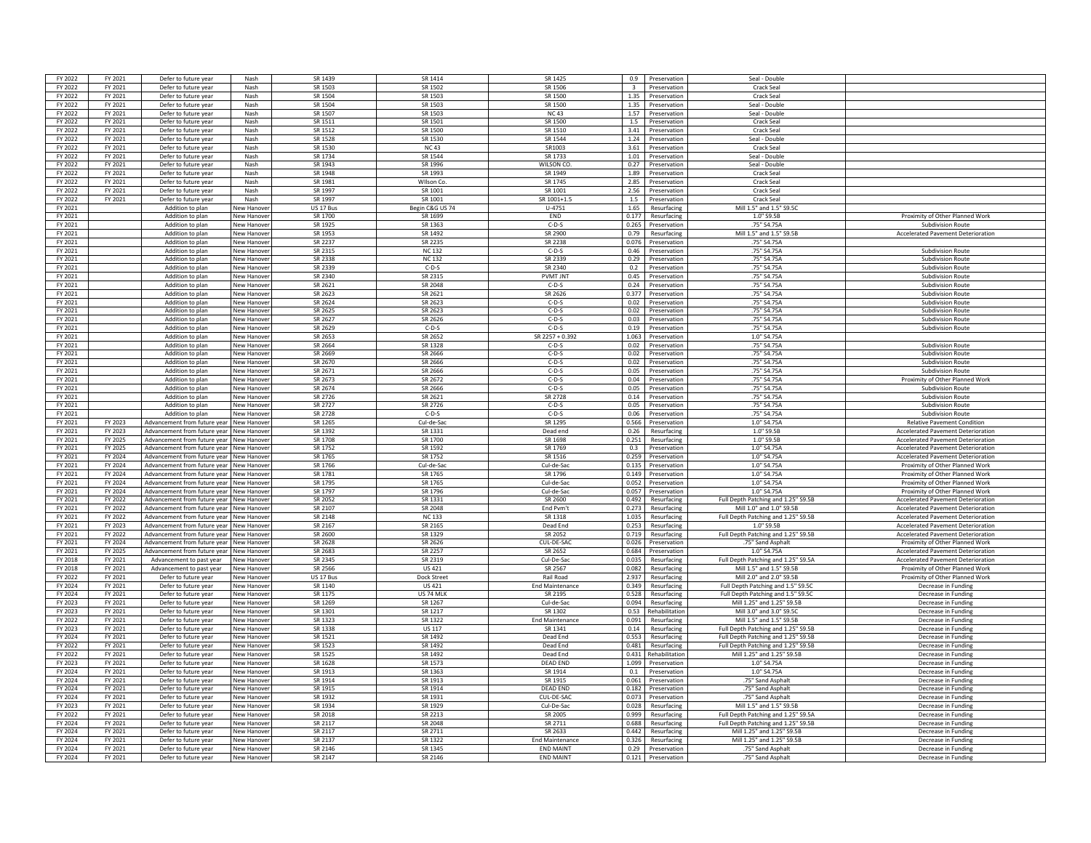| FY 2022            | FY 2021            | Defer to future year                         | Nash                            | SR 1439            | SR 1414               | SR 1425                              | 0.9   | Preservation                             | Seal - Double                          |                                                                              |
|--------------------|--------------------|----------------------------------------------|---------------------------------|--------------------|-----------------------|--------------------------------------|-------|------------------------------------------|----------------------------------------|------------------------------------------------------------------------------|
|                    |                    |                                              |                                 |                    |                       |                                      |       |                                          |                                        |                                                                              |
| FY 2022            | FY 2021            | Defer to future year                         | Nash                            | SR 1503            | SR 1502               | SR 1506                              |       | 3 Preservation                           | Crack Seal                             |                                                                              |
| FY 2022            | FY 2021            | Defer to future year                         | Nash                            | SR 1504            | SR 1503               | SR 1500                              | 1.35  | Preservation                             | Crack Seal                             |                                                                              |
| FY 2022            | FY 2021            | Defer to future year                         | Nash                            | SR 1504            | SR 1503               | SR 1500                              | 1.35  | Preservation                             | Seal - Double                          |                                                                              |
| FY 2022            | FY 2021            | Defer to future year                         | Nash                            | SR 1507            | SR 1503               | <b>NC43</b>                          | 1.57  | Preservation                             | Seal - Double                          |                                                                              |
| FY 2022            | FY 2021            | Defer to future year                         | Nash                            | SR 1511            | SR 1501               | SR 1500                              | 1.5   | Preservation                             | Crack Seal                             |                                                                              |
| FY 2022            | FY 2021            | Defer to future year                         | Nash                            | SR 1512            | SR 1500               | SR 1510                              |       |                                          | Crack Seal                             |                                                                              |
|                    |                    |                                              |                                 |                    |                       |                                      |       | 3.41 Preservation                        |                                        |                                                                              |
| FY 2022            | FY 2021            | Defer to future year                         | Nash                            | SR 1528            | SR 1530               | SR 1544                              | 1.24  | Preservation                             | Seal - Double                          |                                                                              |
| FY 2022            | FY 2021            | Defer to future year                         | Nash                            | SR 1530            | <b>NC43</b>           | SR1003                               |       | 3.61 Preservation                        | Crack Seal                             |                                                                              |
| FY 2022            | FY 2021            | Defer to future year                         | Nash                            | SR 1734            | SR 1544               | SR 1733                              |       | 1.01 Preservation                        | Seal - Double                          |                                                                              |
| FY 2022            | FY 2021            | Defer to future year                         | Nash                            | SR 1943            | SR 1996               | WILSON CO                            | 0.27  | Preservation                             | Seal - Double                          |                                                                              |
| FY 2022            | FY 2021            | Defer to future year                         | Nash                            | SR 1948            | SR 1993               | SR 1949                              | 1.89  | Preservation                             | Crack Seal                             |                                                                              |
|                    |                    |                                              |                                 |                    |                       |                                      |       |                                          |                                        |                                                                              |
| FY 2022            | FY 2021            | Defer to future year                         | Nash                            | SR 1981            | Wilson Co.            | SR 1745                              | 2.85  | Preservation                             | Crack Seal                             |                                                                              |
| FY 2022            | FY 2021            | Defer to future year                         | Nash                            | SR 1997            | SR 1001               | SR 1001                              | 2.56  | Preservation                             | <b>Crack Seal</b>                      |                                                                              |
| FY 2022            | FY 2021            | Defer to future year                         | Nash                            | SR 1997            | SR 1001               | SR 1001+1.5                          | 1.5   | Preservation                             | <b>Crack Seal</b>                      |                                                                              |
| FY 2021            |                    | Addition to plan                             | <b>New Hanove</b>               | US 17 Bus          | Begin C&G US 74       | $U - 4751$                           | 1.65  | Resurfacing                              | Mill 1.5" and 1.5" S9.5C               |                                                                              |
| FY 2021            |                    | Addition to plan                             | New Hanove                      | SR 1700            | SR 1699               | END                                  | 0.177 | Resurfacing                              | 1.0" S9.5B                             | Proximity of Other Planned Work                                              |
| FY 2021            |                    | Addition to plan                             | New Hanove                      | SR 1925            | SR 1363               | $C-D-S$                              | 0.265 | Preservation                             | .75" S4.75A                            |                                                                              |
|                    |                    |                                              |                                 |                    |                       |                                      |       |                                          |                                        | <b>Subdivision Route</b>                                                     |
| FY 2021            |                    | Addition to plan                             | lew Hanove                      | SR 1953            | SR 1492               | SR 2900                              | 0.79  | Resurfacing                              | Mill 1.5" and 1.5" S9.5B               | <b>Accelerated Pavement Deterioration</b>                                    |
| FY 2021            |                    | Addition to plan                             | New Hanove                      | SR 2237            | SR 2235               | SR 2238                              | 0.076 | Preservation                             | .75" S4.75A                            |                                                                              |
| FY 2021            |                    | Addition to plan                             | New Hanove                      | SR 2315            | <b>NC132</b>          | $C-D-S$                              |       | 0.46 Preservation                        | .75" S4.75A                            | Subdivision Route                                                            |
| FY 2021            |                    | Addition to plan                             | <b>Vew Hanove</b>               | SR 2338            | <b>NC 132</b>         | SR 2339                              | 0.29  | Preservation                             | .75" S4.75A                            | <b>Subdivision Route</b>                                                     |
| FY 2021            |                    | Addition to plan                             | <b>Vew Hanove</b>               | SR 2339            | $C-D-S$               | SR 2340                              | 0.2   | Preservation                             | .75" S4.75A                            | <b>Subdivision Route</b>                                                     |
| FY 2021            |                    | Addition to plan                             | New Hanove                      | SR 2340            | SR 2315               | <b>PVMT INT</b>                      |       |                                          | .75" S4.75A                            | <b>Subdivision Route</b>                                                     |
|                    |                    |                                              |                                 |                    |                       |                                      |       | 0.45 Preservation                        |                                        |                                                                              |
| FY 2021            |                    | Addition to plan                             | New Hanove                      | SR 2621            | SR 2048               | $C-D-S$                              | 0.24  | Preservation                             | .75" S4.75A                            | Subdivision Route                                                            |
| FY 2021            |                    | Addition to plan                             | lew Hanove                      | SR 2623            | SR 2621               | SR 2626                              | 0.377 | Preservation                             | .75" S4.75A                            | <b>Subdivision Route</b>                                                     |
| FY 2021            |                    | Addition to plan                             | lew Hanove                      | SR 2624            | SR 2623               | $C-D-S$                              | 0.02  | Preservation                             | .75" S4.75A                            | Subdivision Route                                                            |
| FY 2021            |                    | Addition to plan                             | New Hanove                      | SR 2625            | SR 2623               | $C-D-S$                              | 0.02  | Preservation                             | .75" S4.75A                            | Subdivision Route                                                            |
| FY 2021            |                    | Addition to plan                             | New Hanove                      | SR 2627            | SR 2626               | $C-D-S$                              | 0.03  | Preservation                             | .75" S4.75A                            | <b>Subdivision Route</b>                                                     |
| FY 2021            |                    | Addition to plan                             | New Hanove                      | SR 2629            | $C-D-S$               | $C-D-S$                              | 0.19  | Preservation                             | .75" S4.75A                            | <b>Subdivision Route</b>                                                     |
|                    |                    |                                              |                                 |                    |                       |                                      |       |                                          |                                        |                                                                              |
| FY 2021            |                    | Addition to plan                             | New Hanove                      | SR 2653            | SR 2652               | SR 2257 + 0.392                      |       | 1.063 Preservation                       | 1.0" S4.75A                            |                                                                              |
| FY 2021            |                    | Addition to plan                             | New Hanove                      | SR 2664            | SR 1328               | $C-D-S$                              | 0.02  | Preservation                             | .75" S4.75A                            | Subdivision Route                                                            |
| FY 2021            |                    | Addition to plan                             | lew Hanove                      | SR 2669            | SR 2666               | $C-D-S$                              | 0.02  | Preservation                             | .75" S4.75A                            | <b>Subdivision Route</b>                                                     |
| FY 2021            |                    | Addition to plan                             | New Hanove                      | SR 2670            | SR 2666               | $C-D-S$                              | 0.02  | Preservation                             | .75" S4.75A                            | <b>Subdivision Route</b>                                                     |
| FY 2021            |                    | Addition to plan                             | New Hanove                      | SR 2671            | SR 2666               | $C-D-S$                              |       | 0.05 Preservation                        | .75" S4.75A                            | <b>Subdivision Route</b>                                                     |
|                    |                    |                                              | <b>Vew Hanove</b>               |                    |                       |                                      |       | Preservation                             |                                        |                                                                              |
| FY 2021            |                    | Addition to plan                             |                                 | SR 2673            | SR 2672               | $C-D-S$                              | 0.04  |                                          | .75" S4.75A                            | Proximity of Other Planned Work                                              |
| FY 2021            |                    | Addition to plan                             | New Hanove                      | SR 2674            | SR 2666               | $C-D-S$                              |       | 0.05 Preservation                        | .75" S4.75A                            | Subdivision Route                                                            |
| FY 2021            |                    | Addition to plan                             | New Hanove                      | SR 2726            | SR 2621               | SR 2728                              |       | 0.14 Preservation                        | .75" S4.75A                            | <b>Subdivision Route</b>                                                     |
| FY 2021            |                    | Addition to plan                             | New Hanove                      | SR 2727            | SR 2726               | $C-D-S$                              | 0.05  | Preservation                             | .75" S4.75A                            | <b>Subdivision Route</b>                                                     |
| FY 2021            |                    | Addition to plan                             | lew Hanove                      | SR 2728            | $C-D-S$               | $C-D-S$                              | 0.06  | Preservation                             | .75" S4.75A                            | <b>Subdivision Route</b>                                                     |
|                    |                    |                                              |                                 |                    |                       |                                      |       |                                          |                                        |                                                                              |
|                    |                    |                                              |                                 |                    |                       |                                      |       |                                          |                                        |                                                                              |
| FY 2021            | FY 2023            | Advancement from future year                 | New Hanove                      | SR 1265            | Cul-de-Sa             | SR 1295                              | 0.566 | Preservation                             | 1.0" S4.75A                            | <b>Relative Pavement Condition</b>                                           |
| FY 2021            | FY 2023            | Advancement from future year                 | New Hanov                       | SR 1392            | SR 1331               | Dead end                             | 0.26  | Resurfacing                              | 1.0" S9.5B                             | <b>Accelerated Pavement Deterioratio</b>                                     |
| FY 2021            | FY 2025            | Advancement from future year                 | <b>New Hanove</b>               | SR 1708            | SR 1700               | SR 1698                              | 0.251 | Resurfacing                              | 1.0" S9.5B                             | <b>Accelerated Pavement Deterioration</b>                                    |
| FY 2021            | FY 2025            | Advancement from future year                 | New Hanove                      | SR 1752            | SR 1592               | SR 1769                              | 0.3   | Preservation                             | 1.0" S4.75A                            | <b>Accelerated Pavement Deterioration</b>                                    |
|                    |                    |                                              |                                 |                    |                       |                                      |       |                                          | 1.0" S4.75A                            |                                                                              |
| FY 2021<br>FY 2021 | FY 2024<br>FY 2024 | Advancement from future year                 | New Hanove<br>New Hanover       | SR 1765<br>SR 1766 | SR 1752<br>Cul-de-Sac | SR 1516<br>Cul-de-Sac                |       | 0.259 Preservation<br>0.135 Preservation | 1.0" S4.75A                            | <b>Accelerated Pavement Deterioration</b><br>Proximity of Other Planned Work |
|                    |                    | Advancement from future year                 |                                 |                    |                       |                                      |       |                                          |                                        |                                                                              |
| FY 2021            | FY 2024            | Advancement from future vear                 | <b>New Hanove</b>               | SR 1781            | SR 1765               | SR 1796                              | 0.149 | Preservation                             | 1.0" S4.75A                            | Proximity of Other Planned Work                                              |
| FY 2021            | FY 2024            | Advancement from future year                 | New Hanove                      | SR 1795            | SR 1765               | Cul-de-Sac                           | 0.052 | Preservation                             | 1.0" S4.75A                            | Proximity of Other Planned Work                                              |
| FY 2021            | FY 2024            | Advancement from future year                 | New Hanove                      | SR 1797            | SR 1796               | Cul-de-Sac                           |       | 0.057 Preservation                       | 1.0" S4.75A                            | Proximity of Other Planned Work                                              |
| FY 2021            | FY 2022            | Advancement from future year                 | <b>Vew Hanove</b>               | SR 2052            | SR 1331               | SR 2600                              | 0.492 | Resurfacing                              | Full Depth Patching and 1.25" S9.5B    | <b>Accelerated Pavement Deterioration</b>                                    |
| FY 2021            |                    | Advancement from future year                 | New Hanove                      | SR 2107            | SR 2048               | End Pvm <sup>4</sup>                 | 0.273 | Resurfacing                              | Mill 1.0" and 1.0" S9.5B               | <b>Accelerated Pavement Deterioration</b>                                    |
| FY 2021            | FY 2022<br>FY 2022 |                                              |                                 | SR 2148            | <b>NC133</b>          | SR 1318                              | 1.035 |                                          |                                        |                                                                              |
|                    |                    | Advancement from future year                 | New Hanove                      |                    |                       |                                      |       | Resurfacing                              | Full Depth Patching and 1.25" S9.5B    | Accelerated Pavement Deterioration                                           |
| FY 2021            | FY 2023            | Advancement from future year                 | New Hanove                      | SR 2167            | SR 2165               | Dead End                             | 0.253 | Resurfacing                              | 1.0" S9.5B                             | <b>Accelerated Pavement Deterioration</b>                                    |
| FY 2021            | FY 2022            | Advancement from future year                 | lew Hanov                       | SR 2600            | SR 1329               | SR 2052                              | 0.719 | Resurfacing                              | Full Depth Patching and 1.25" S9.5B    | <b>Accelerated Pavement Deterioration</b>                                    |
| FY 2021            | FY 2024            | Advancement from future vear                 | <b>New Hanove</b>               | SR 2628            | SR 2626               | CUL-DE-SAC                           | 0.026 | Preservation                             | 75" Sand Asphalt                       | Proximity of Other Planned Work                                              |
| FY 2021            | FY 2025            | Advancement from future year                 | <b>New Hanov</b>                | SR 2683            | SR 2257               | SR 2652                              | 0.684 | Preservation                             | 1.0" S4.75A                            | <b>Accelerated Pavement Deterioration</b>                                    |
| FY 2018            | FY 2021            | Advancement to past year                     | New Hanove                      | SR 2345            | SR 2319               | Cul-De-Sac                           | 0.035 | Resurfacing                              | Full Depth Patching and 1.25" S9.5A    | <b>Accelerated Pavement Deterioration</b>                                    |
| FY 2018            |                    |                                              | <b>Vew Hanove</b>               | SR 2566            |                       | SR 2567                              | 0.082 |                                          | Mill 1.5" and 1.5" \$9.5F              |                                                                              |
|                    | FY 2021            | Advancement to past year                     |                                 |                    | US 421                |                                      |       | Resurfacing                              |                                        | Proximity of Other Planned Work                                              |
| FY 2022            | FY 2021            | Defer to future year                         | New Hanove                      | US 17 Bus          | Dock Street           | Rail Road                            | 2.937 | Resurfacing                              | Mill 2.0" and 2.0" S9.5B               | Proximity of Other Planned Work                                              |
| FY 2024            | FY 2021            | Defer to future year                         | New Hanove                      | SR 1140            | <b>US421</b>          | <b>End Maintenance</b>               | 0.349 | Resurfacing                              | Full Depth Patching and 1.5" S9.5C     | Decrease in Funding                                                          |
| FY 2024            | FY 2021            | Defer to future year                         | <b>New Hanove</b>               | SR 1175            | US 74 MLK             | SR 2195                              | 0.528 | Resurfacing                              | Full Depth Patching and 1.5" S9.50     | Decrease in Funding                                                          |
| FY 2023            | FY 2021            | Defer to future year                         | <b>Vew Hanove</b>               | SR 1269            | SR 1267               | Cul-de-Sac                           | 0.094 | Resurfacing                              | Mill 1.25" and 1.25" S9.5B             | Decrease in Funding                                                          |
| FY 2023            | FY 2021            | Defer to future year                         | lew Hanove                      | SR 1301            | SR 1217               | SR 1302                              | 0.53  | Rehabilitation                           | Mill 3.0" and 3.0" \$9.50              | Decrease in Fundin                                                           |
| FY 2022            | FY 2021            | Defer to future year                         | New Hanove                      | SR 1323            | SR 1322               | <b>End Maintenance</b>               | 0.091 | Resurfacing                              | Mill 1.5" and 1.5" \$9.5B              | Decrease in Fundin                                                           |
| FY 2023            |                    |                                              |                                 | SR 1338            |                       | SR 1341                              | 0.14  |                                          |                                        |                                                                              |
|                    | FY 2021            | Defer to future year                         | New Hanove                      |                    | <b>US 117</b>         |                                      |       | Resurfacing                              | Full Depth Patching and 1.25" S9.5B    | Decrease in Funding                                                          |
| FY 2024            | FY 2021            | Defer to future year                         | New Hanove                      | SR 1521            | SR 1492               | Dead End                             | 0.553 | Resurfacing                              | Full Depth Patching and 1.25" S9.5B    | Decrease in Funding                                                          |
| FY 2022            | FY 2021            | Defer to future year                         | New Hanove                      | SR 1523            | SR 1492               | Dead End                             | 0.481 | Resurfacing                              | Full Depth Patching and 1.25" S9.5B    | Decrease in Funding                                                          |
| FY 2022            | FY 2021            | Defer to future year                         | lew Hanov                       | SR 1525            | SR 1492               | Dead End                             | 0.431 | Rehabilitation                           | Mill 1.25" and 1.25" S9.5B             | Decrease in Funding                                                          |
| FY 2023            | FY 2021            | Defer to future year                         | lew Hanove                      | SR 1628            | SR 1573               | <b>DEAD END</b>                      | 1.099 | Preservation                             | 1.0" S4.75A                            | Decrease in Funding                                                          |
| FY 2024            | FY 2021            | Defer to future year                         | New Hanove                      | SR 1913            | SR 1363               | SR 1914                              | 0.1   | Preservation                             | 1.0" S4.75A                            | Decrease in Fundin                                                           |
| FY 2024            | FY 2021            | Defer to future year                         | New Hanove                      |                    |                       | SR 1915                              | 0.061 | Preservation                             | 75" Sand Asphalt                       | Decrease in Fundin                                                           |
|                    |                    |                                              |                                 | SR 1914            | SR 1913               |                                      |       |                                          |                                        |                                                                              |
| FY 2024            | FY 2021            | Defer to future year                         | <b>Vew Hanove</b>               | SR 1915            | SR 1914               | DFAD FND                             |       | 0.182 Preservation                       | 75" Sand Asphalt                       | Decrease in Funding                                                          |
| FY 2024            | FY 2021            | Defer to future year                         | New Hanove                      | SR 1932            | SR 1931               | CUL-DE-SAC                           |       | 0.073 Preservation                       | .75" Sand Asphalt                      | Decrease in Funding                                                          |
| FY 2023            | FY 2021            | Defer to future year                         | New Hanove                      | SR 1934            | SR 1929               | Cul-De-Sac                           |       | 0.028 Resurfacing                        | Mill 1.5" and 1.5" S9.5E               | Decrease in Funding                                                          |
| FY 2022            | FY 2021            | Defer to future year                         | New Hanove                      | SR 2018            | SR 2213               | SR 2005                              | 0.999 | Resurfacing                              | Full Depth Patching and 1.25" S9.5A    | Decrease in Funding                                                          |
| FY 2024            | FY 2021            | Defer to future year                         | lew Hanove                      |                    |                       | SR 2711                              | 0.688 | Resurfacing                              |                                        | Decrease in Funding                                                          |
|                    |                    |                                              | ew Hanov                        | SR 2117<br>SR 2117 | SR 2048               | SR 2633                              | 0.442 |                                          | Full Depth Patching and 1.25" S9.5B    |                                                                              |
| FY 2024            | FY 2021            | Defer to future yea                          |                                 |                    | SR 2711               |                                      |       | Resurfacing                              | Mill 1.25" and 1.25" \$9.5B            | Decrease in Fundin                                                           |
| FY 2024            | FY 2021            | Defer to future year                         | New Hanove                      | SR 2137            | SR 1322               | <b>End Maintenance</b>               | 0.326 | Resurfacing                              | Mill 1.25" and 1.25" S9.5B             | Decrease in Fundin                                                           |
| FY 2024<br>FY 2024 | FY 2021<br>FY 2021 | Defer to future year<br>Defer to future year | New Hanove<br><b>New Hanove</b> | SR 2146<br>SR 2147 | SR 1345<br>SR 2146    | <b>END MAINT</b><br><b>END MAINT</b> | 0.29  | Preservation<br>0.121 Preservation       | .75" Sand Asphalt<br>.75" Sand Asphalt | Decrease in Funding<br>Decrease in Funding                                   |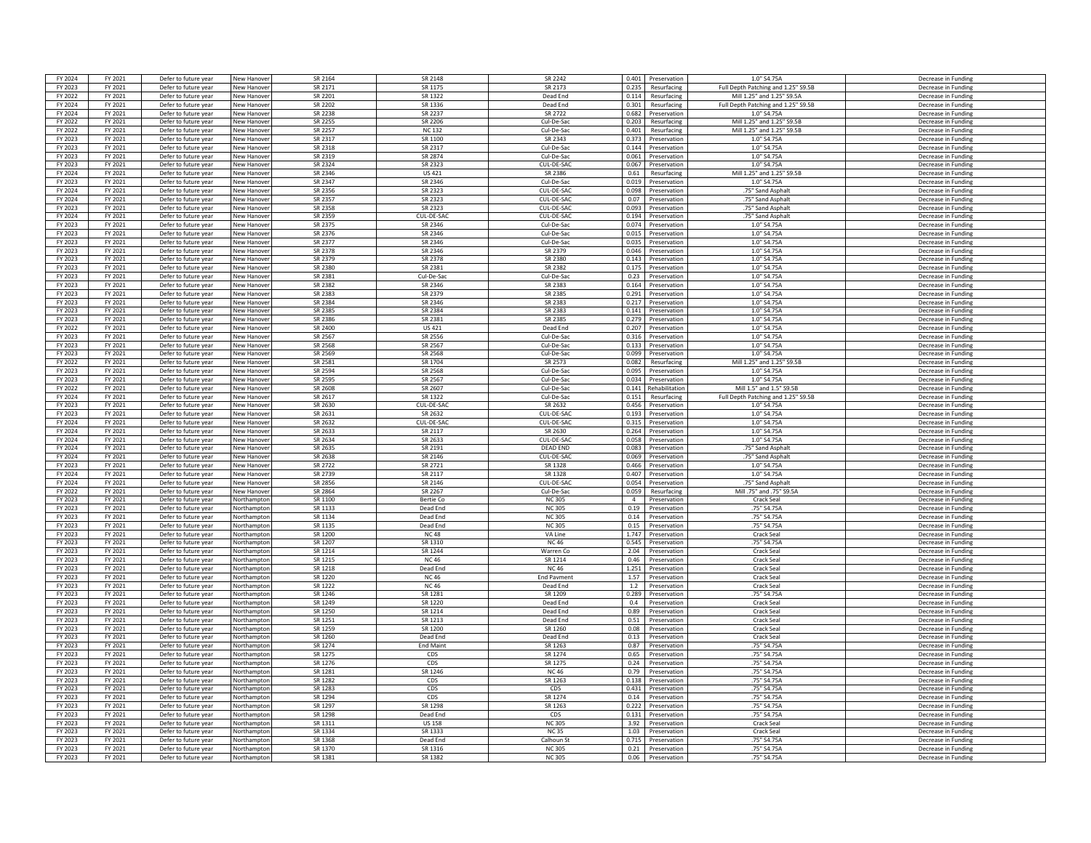| FY 2024            | FY 2021            | Defer to future year                         | New Hanove                 | SR 2164            | SR 2148            | SR 2242                       | 0.401 Preservation                        | 1.0" S4.75A                         | Decrease in Funding                        |
|--------------------|--------------------|----------------------------------------------|----------------------------|--------------------|--------------------|-------------------------------|-------------------------------------------|-------------------------------------|--------------------------------------------|
| FY 2023            | FY 2021            | Defer to future year                         | New Hanove                 | SR 2171            | SR 1175            | SR 2173                       | 0.235 Resurfacing                         | Full Depth Patching and 1.25" S9.5B | Decrease in Funding                        |
| FY 2022            | FY 2021            | Defer to future year                         | New Hanove                 | SR 2201            | SR 1322            | Dead End                      | 0.114<br>Resurfacing                      | Mill 1.25" and 1.25" S9.5A          | Decrease in Funding                        |
|                    |                    |                                              |                            | SR 2202            |                    | Dead End                      | 0.301                                     |                                     | Decrease in Funding                        |
| FY 2024            | FY 2021            | Defer to future year                         | New Hanove                 |                    | SR 1336            |                               | Resurfacing                               | Full Depth Patching and 1.25" S9.5B |                                            |
| FY 2024            | FY 2021            | Defer to future year                         | New Hanove                 | SR 2238            | SR 2237            | SR 2722                       | 0.682<br>Preservation                     | 1.0" S4.75A                         | Decrease in Funding                        |
| FY 2022            | FY 2021            | Defer to future year                         | New Hanove                 | SR 2255            | SR 2206            | Cul-De-Sac                    | 0.203<br>Resurfacing                      | Mill 1.25" and 1.25" S9.5B          | Decrease in Fundin                         |
| FY 2022            | FY 2021            | Defer to future year                         | New Hanove                 | SR 2257            | <b>NC132</b>       | Cul-De-Sac                    | 0.401<br>Resurfacing                      | Mill 1.25" and 1.25" S9.5B          | Decrease in Funding                        |
| FY 2023            | FY 2021            | Defer to future year                         | <b>New Hanove</b>          | SR 2317            | SR 1100            | SR 2343                       | 0.373<br>Preservation                     | 1.0" S4.75A                         | Decrease in Funding                        |
| FY 2023            | FY 2021            | Defer to future year                         | New Hanove                 | SR 2318            | SR 2317            | Cul-De-Sac                    | 0.144 Preservation                        | 1.0" S4.75A                         | Decrease in Funding                        |
| FY 2023            | FY 2021            | Defer to future year                         | New Hanove                 | SR 2319            | SR 2874            | Cul-De-Sac                    | 0.061<br>Preservation                     | 1.0" S4.75A                         | Decrease in Funding                        |
| FY 2023            | FY 2021            | Defer to future year                         | <b>New Hanove</b>          | SR 2324            | SR 2323            | CUL-DE-SAC                    | 0.067<br>Preservation                     | 1.0" S4.75A                         | Decrease in Funding                        |
| FY 2024            | FY 2021            | Defer to future year                         | New Hanove                 | SR 2346            | <b>US 421</b>      | SR 2386                       | 0.61<br>Resurfacing                       | Mill 1.25" and 1.25" S9.5B          | Decrease in Funding                        |
| FY 2023            | FY 2021            | Defer to future year                         | New Hanove                 | SR 2347            | SR 2346            | Cul-De-Sac                    | 0.019<br>Preservation                     | 1 0" S4 75A                         | Decrease in Funding                        |
| FY 2024            | FY 2021            | Defer to future year                         | <b>Vew Hanov</b>           | SR 2356            | SR 2323            | CUL-DE-SAC                    | 0.098<br>Preservation                     | .75" Sand Asphalt                   | Decrease in Fundin                         |
| FY 2024            | FY 2021            | Defer to future year                         | New Hanove                 | SR 2357            | SR 2323            | CUL-DE-SAC                    | 0.07<br>Preservation                      | .75" Sand Asphalt                   | Decrease in Funding                        |
|                    |                    |                                              |                            |                    |                    |                               |                                           |                                     |                                            |
| FY 2023            | FY 2021            | Defer to future year                         | New Hanove                 | SR 2358            | SR 2323            | CUL-DE-SAC                    | 0.093<br>Preservation                     | .75" Sand Asphalt                   | Decrease in Funding                        |
| FY 2024            | FY 2021            | Defer to future year                         | New Hanove                 | SR 2359            | CUL-DE-SAC         | CUL-DE-SAC                    | 0.194<br>Preservation                     | .75" Sand Asphalt                   | Decrease in Funding                        |
| FY 2023            | FY 2021            | Defer to future year                         | <b>New Hanove</b>          | SR 2375            | SR 2346            | Cul-De-Sac                    | 0.074<br>Preservation                     | 1.0" S4.75A                         | Decrease in Funding                        |
| FY 2023            | FY 2021            | Defer to future year                         | New Hanove                 | SR 2376            | SR 2346            | Cul-De-Sac                    | 0.015<br>Preservation                     | 1.0" S4.75A                         | Decrease in Funding                        |
| FY 2023            | FY 2021            | Defer to future year                         | New Hanove                 | SR 2377            | SR 2346            | Cul-De-Sac                    | 0.035<br>Preservation                     | 1.0" S4.75A                         | Decrease in Funding                        |
| FY 2023            | FY 2021            | Defer to future year                         | New Hanove                 | SR 2378            | SR 2346            | SR 2379                       | 0.046<br>Preservation                     | 1.0" S4.75A                         | Decrease in Funding                        |
| FY 2023            | FY 2021            | Defer to future year                         | <b>New Hanove</b>          | SR 2379            | SR 2378            | SR 2380                       | 0.143<br>Preservation                     | 1.0" S4.75A                         | Decrease in Funding                        |
| FY 2023            | FY 2021            | Defer to future year                         | <b>New Hanove</b>          | SR 2380            | SR 2381            | SR 2382                       | 0.175<br>Preservation                     | 1.0" S4.75A                         | Decrease in Funding                        |
| FY 2023            | FY 2021            | Defer to future year                         | New Hanove                 | SR 2381            | Cul-De-Sac         | Cul-De-Sac                    | 0.23<br>Preservation                      | 1.0" S4.75A                         | Decrease in Funding                        |
| FY 2023            | FY 2021            | Defer to future year                         | New Hanove                 | SR 2382            | SR 2346            | SR 2383                       | 0.164<br>Preservation                     | 1.0" S4.75A                         | Decrease in Funding                        |
| FY 2023            | FY 2021            | Defer to future year                         | lew Hanove                 | SR 2383            | SR 2379            | SR 2385                       | 0.291<br>Preservation                     | 1.0" S4.75A                         | Decrease in Funding                        |
| FY 2023            | FY 2021            | Defer to future year                         | New Hanove                 | <b>SR 2384</b>     | SR 2346            | SR 2383                       | 0.217<br>Preservation                     | 1.0" S4.75A                         | Decrease in Funding                        |
| FY 2023            | FY 2021            | Defer to future year                         |                            | SR 2385            | SR 2384            | SR 2383                       | 0.141                                     | 1.0" S4.75A                         |                                            |
|                    |                    |                                              | New Hanove                 |                    |                    |                               | Preservation                              |                                     | Decrease in Fundin                         |
| FY 2023            | FY 2021            | Defer to future year                         | New Hanove                 | SR 2386            | SR 2381            | SR 2385                       | 0.279<br>Preservation                     | 1.0" S4.75A                         | Decrease in Funding                        |
| FY 2022            | FY 2021            | Defer to future year                         | New Hanove                 | SR 2400            | <b>US421</b>       | Dead End                      | 0.207<br>Preservation                     | 1.0" S4.75A                         | Decrease in Funding                        |
| FY 2023            | FY 2021            | Defer to future year                         | New Hanove                 | SR 2567            | SR 2556            | Cul-De-Sac                    | 0.316<br>Preservation                     | 1.0" S4.75A                         | Decrease in Funding                        |
| FY 2023            | FY 2021            | Defer to future year                         | <b>New Hanove</b>          | SR 2568            | SR 2567            | Cul-De-Sac                    | 0.133<br>Preservation                     | 1.0" S4.75A                         | Decrease in Funding                        |
| FY 2023            | FY 2021            | Defer to future year                         | New Hanove                 | SR 2569            | SR 2568            | Cul-De-Sac                    | 0.099<br>Preservation                     | 1.0" S4.75A                         | Decrease in Funding                        |
| FY 2022            | FY 2021            | Defer to future year                         | New Hanove                 | SR 2581            | SR 1704            | SR 2573                       | 0.082<br>Resurfacing                      | Mill 1.25" and 1.25" S9.5B          | Decrease in Funding                        |
| FY 2023            | FY 2021            | Defer to future year                         | New Hanove                 | SR 2594            | SR 2568            | Cul-De-Sac                    | 0.095<br>Preservation                     | 1.0" S4.75A                         | Decrease in Funding                        |
| FY 2023            | FY 2021            | Defer to future year                         | <b>Vew Hanove</b>          | SR 2595            | SR 2567            | Cul-De-Sac                    | 0.034<br>Preservation                     | 1.0" S4.75A                         | Decrease in Fundin                         |
| FY 2022            | FY 2021            | Defer to future year                         | New Hanove                 | SR 2608            | SR 2607            | Cul-De-Sac                    | 0.141 Rehabilitation                      | Mill 1.5" and 1.5" S9.5B            | Decrease in Funding                        |
| FY 2024            | FY 2021            | Defer to future year                         | New Hanove                 | SR 2617            | SR 1322            | Cul-De-Sac                    | 0.151<br>Resurfacing                      | Full Depth Patching and 1.25" S9.5B | Decrease in Funding                        |
| FY 2023            | FY 2021            | Defer to future year                         | New Hanove                 | SR 2630            | CUL-DE-SAC         | SR 2632                       | 0.456<br>Preservation                     | 1.0" S4.75A                         | Decrease in Funding                        |
| FY 2023            | FY 2021            |                                              |                            | SR 2631            | SR 2632            | CUL-DE-SA                     | 0.193<br>Preservation                     | 1.0" S4.75A                         | Decrease in Funding                        |
|                    |                    | Defer to future year                         | <b>New Hanove</b>          |                    |                    |                               |                                           |                                     |                                            |
| FY 2024            | FY 2021            | Defer to future year                         | New Hanove                 | SR 2632            | CUL-DE-SAC         | CUL-DE-SAC                    | 0.315<br>Preservation                     | 1.0" S4.75A                         | Decrease in Fundin                         |
| <b>FV 2024</b>     | FY 2021            | Defer to future year                         | New Hanove                 | SR 2633            | SR 2117            | SR 2630                       | 0.264<br>Preservation                     | 1.0" S4.754                         | Decrease in Fundin                         |
|                    |                    |                                              | New Hanove                 | SR 2634            | SR 2633            | CUL-DE-SAC                    | 0.058                                     | 1.0" S4.75A                         |                                            |
| FY 2024            | FY 2021            | Defer to future year                         |                            |                    |                    |                               | Preservation                              |                                     | Decrease in Funding                        |
| FY 2024            | FY 2021            | Defer to future year                         | New Hanove                 | SR 2635            | SR 2191            | <b>DEAD END</b>               | 0.083<br>Preservation                     | .75" Sand Asphalt                   | Decrease in Funding                        |
| FY 2024            | FY 2021            | Defer to future year                         | New Hanove                 | SR 2638            | SR 2146            | CUL-DE-SAC                    | 0.069<br>Preservation                     | .75" Sand Asphalt                   | Decrease in Funding                        |
| FY 2023            | FY 2021            | Defer to future year                         | <b>New Hanove</b>          | SR 2722            | SR 2721            | SR 1328                       | 0.466<br>Preservation                     | 1.0" S4,75A                         | Decrease in Funding                        |
| FY 2024            | FY 2021            | Defer to future year                         | <b>New Hanove</b>          | SR 2739            | SR 2117            | SR 1328                       | 0.407<br>Preservation                     | 1.0" S4.75A                         | Decrease in Funding                        |
| FY 2024            | FY 2021            | Defer to future year                         | <b>New Hanove</b>          |                    |                    | CUL-DE-SAC                    | 0.054<br>Preservation                     | 75" Sand Asphal                     | Decrease in Funding                        |
| FY 2022            |                    |                                              |                            | SR 2856<br>SR 2864 | SR 2146            | Cul-De-Sac                    |                                           | Mill .75" and .75" S9.54            |                                            |
|                    | FY 2021            | Defer to future year                         | New Hanove                 |                    | SR 2267            |                               | 0.059<br>Resurfacing                      |                                     | Decrease in Funding                        |
| FY 2023            | FY 2021            | Defer to future year                         | Northampto                 | SR 1100            | <b>Bertie Co</b>   | <b>NC 305</b>                 | $\overline{a}$<br>Preservation            | Crack Seal                          | Decrease in Funding                        |
| FY 2023            | FY 2021            | Defer to future year                         | Northampton                | SR 1133            | Dead End           | <b>NC305</b>                  | 0.19<br>Preservation                      | .75" S4.75A                         | Decrease in Funding                        |
| FY 2023            | FY 2021            | Defer to future year                         | Northamptor                | SR 1134            | Dead End           | <b>NC305</b>                  | 0.14 Preservation                         | .75" S4.75A                         | Decrease in Funding                        |
| FY 2023            | FY 2021            | Defer to future year                         | Northampto                 | SR 1135            | Dead End           | <b>NC305</b>                  | 0.15<br>Preservation                      | .75" S4.75A                         | Decrease in Funding                        |
| FY 2023            | FY 2021            | Defer to future year                         | Northamptor                | SR 1200            | <b>NC48</b>        | VA Line                       | 1.747<br>Preservation                     | Crack Seal                          | Decrease in Funding                        |
| FY 2023            | FY 2021            | Defer to future year                         | Northampto                 | SR 1207            | SR 1310            | <b>NC46</b>                   | 0.545<br>Preservation                     | .75" S4.75A                         | Decrease in Fundin                         |
| FY 2023            | FY 2021            | Defer to future year                         | Northampto                 | SR 1214            | SR 1244            | Warren Co                     | 2.04<br>Preservation                      | Crack Sea                           | Decrease in Funding                        |
| FY 2023            | FY 2021            | Defer to future year                         | Northamptor                | SR 1215            | <b>NC46</b>        | SR 1214                       | 0.46<br>Preservation                      | <b>Crack Seal</b>                   | Decrease in Funding                        |
| FY 2023            | FY 2021            | Defer to future year                         | Northamptor                | SR 1218            | Dead End           | <b>NC46</b>                   | 1.251<br>Preservation                     | Crack Sea                           | Decrease in Funding                        |
| FY 2023            | FY 2021            | Defer to future year                         | Northamptor                | SR 1220            | <b>NC46</b>        | <b>End Pavment</b>            | 1.57 Preservation                         | Crack Seal                          | Decrease in Funding                        |
| FY 2023            | FY 2021            | Defer to future year                         | Northampton                | SR 1222            | NC 46              | Dead End                      | 1.2<br>Preservation                       | Crack Seal                          | Decrease in Funding                        |
| FY 2023            | FY 2021            | Defer to future year                         | Northampto                 | SR 1246            | SR 1281            | SR 1209                       | 0.289<br>Preservation                     | .75" S4.75A                         | Decrease in Funding                        |
| FY 2023            | FY 2021            | Defer to future year                         | Northampto                 | SR 1249            | SR 1220            | Dead End                      | 0.4<br>Preservation                       | Crack Sea                           | Decrease in Funding                        |
| FY 2023            | FY 2021            | Defer to future year                         | Northampto                 | SR 1250            | SR 1214            | Dead End                      | 0.89<br>Preservation                      | Crack Seal                          | Decrease in Fundin                         |
| FY 2023            | FY 2021            | Defer to future year                         | Northampto                 | SR 1251            | SR 1213            | Dead End                      | 0.51<br>Preservation                      | Crack Seal                          | Decrease in Funding                        |
| FY 2023            | FY 2021            | Defer to future year                         |                            | SR 1259            | SR 1200            | SR 1260                       | 0.08                                      | Crack Seal                          | Decrease in Funding                        |
|                    |                    |                                              | Northamptor                |                    |                    |                               | Preservation                              |                                     |                                            |
| FY 2023            | FY 2021            | Defer to future year                         | Northamptor                | SR 1260            | Dead End           | Dead End                      | 0.13 Preservation                         | Crack Seal                          | Decrease in Funding                        |
| FY 2023            | FY 2021            | Defer to future year                         | Northampto                 | SR 1274            | <b>End Maint</b>   | SR 1263                       | 0.87<br>Preservation                      | .75" S4.75A                         | Decrease in Funding                        |
| FY 2023            | FY 2021            | Defer to future year                         | Northamptor                | SR 1275            | CDS                | SR 1274                       | 0.65<br>Preservation                      | .75" S4.75A                         | Decrease in Funding                        |
| FY 2023            | FY 2021            | Defer to future year                         | Northamptor                | SR 1276            | CDS                | SR 1275                       | 0.24<br>Preservation                      | .75" S4.75A                         | Decrease in Funding                        |
| FY 2023            | FY 2021            | Defer to future year                         | Northamptor                | SR 1281            | SR 1246            | <b>NC46</b>                   | 0.79<br>Preservation                      | .75" S4.75A                         | Decrease in Fundin                         |
| FY 2023            | FY 2021            | Defer to future year                         | Northampto                 | SR 1282            | CDS                | SR 1263                       | 0.138<br>Preservation                     | .75" S4.75A                         | Decrease in Funding                        |
| FY 2023            | FY 2021            | Defer to future year                         | Northampton                | SR 1283            | CDS                | CDS                           | 0.431<br>Preservation                     | .75" S4.75A                         | Decrease in Funding                        |
| FY 2023            | FY 2021            | Defer to future year                         | Northamptor                | SR 1294            | CDS                | SR 1274                       | 0.14 Preservation                         | .75" S4.75A                         | Decrease in Funding                        |
| FY 2023            | FY 2021            | Defer to future year                         | Northampton                | SR 1297            | SR 1298            | SR 1263                       | 0.222 Preservation                        | .75" S4.75A                         | Decrease in Funding                        |
| FY 2023            | FY 2021            | Defer to future year                         | Northampto                 | SR 1298            | Dead End           | CDS                           | 0.131<br>Preservation                     | .75" S4.75A                         | Decrease in Funding                        |
| FY 2023            | FY 2021            | Defer to future year                         | Northampto                 | SR 1311            | <b>US 158</b>      | <b>NC305</b>                  | 3.92<br>Preservation                      | Crack Seal                          | Decrease in Funding                        |
| FY 2023            | FY 2021            | Defer to future year                         | Northampto                 | SR 1334            | SR 1333            | <b>NC35</b>                   | 1.03<br>Preservation                      | Crack Sea                           | Decrease in Fundin                         |
| FY 2023            | FY 2021            |                                              | Northampto                 | SR 1368            | Dead End           | Calhoun St                    | 0.715<br>Preservation                     | .75" S4.75A                         | Decrease in Funding                        |
|                    |                    | Defer to future year                         |                            |                    |                    |                               |                                           |                                     |                                            |
| FY 2023<br>FY 2023 | FY 2021<br>FY 2021 | Defer to future year<br>Defer to future year | Northamptor<br>Northamptor | SR 1370<br>SR 1381 | SR 1316<br>SR 1382 | <b>NC305</b><br><b>NC 305</b> | 0.21<br>Preservation<br>0.06 Preservation | .75" S4.75A<br>.75" S4.75A          | Decrease in Funding<br>Decrease in Funding |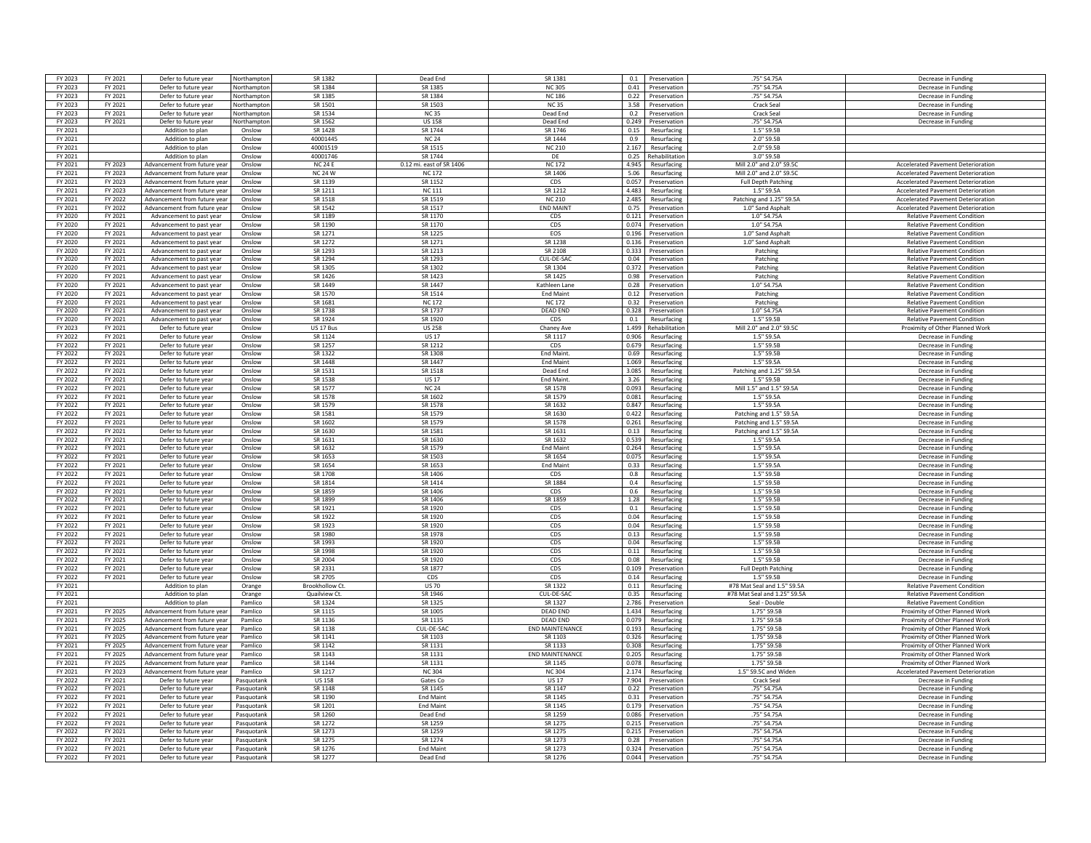| FY 2023            | FY 2021 | Defer to future year         | Northamptor | SR 1382         | Dead End                 | SR 1381                | 0.1   | Preservation      | .75" S4.75A                  | Decrease in Funding                       |
|--------------------|---------|------------------------------|-------------|-----------------|--------------------------|------------------------|-------|-------------------|------------------------------|-------------------------------------------|
| FY 2023            | FY 2021 | Defer to future year         | Northampto  | SR 1384         | SR 1385                  | <b>NC305</b>           |       | 0.41 Preservation | .75" S4.75A                  | Decrease in Funding                       |
| FY 2023            | FY 2021 | Defer to future year         | Northamptor | SR 1385         | SR 1384                  | <b>NC 186</b>          | 0.22  | Preservation      | .75" S4.75A                  | Decrease in Funding                       |
|                    |         |                              |             |                 |                          |                        |       |                   |                              |                                           |
| FY 2023            | FY 2021 | Defer to future year         | Northamptor | SR 1501         | SR 1503                  | <b>NC35</b>            | 3.58  | Preservation      | Crack Seal                   | Decrease in Funding                       |
| FY 2023            | FY 2021 | Defer to future year         | Northamptor | SR 1534         | <b>NC35</b>              | Dead End               | 0.2   | Preservation      | Crack Seal                   | Decrease in Funding                       |
| FY 2023            | FY 2021 | Defer to future year         | Vorthampto  | SR 1562         | <b>US 158</b>            | Dead End               | 0.249 | Preservation      | .75" S4.75A                  | Decrease in Funding                       |
| FY 2021            |         | Addition to plan             | Onslow      | SR 1428         | SR 1744                  | SR 1746                | 0.15  | Resurfacing       | 1.5" S9.5B                   |                                           |
| FY 2021            |         | Addition to plan             | Onslow      | 40001445        | <b>NC 24</b>             | SR 1444                | 0.9   | Resurfacing       | 2.0" S9.5B                   |                                           |
| FY 2021            |         | Addition to plan             | Onslow      | 40001519        | SR 1515                  | <b>NC 210</b>          | 2.167 | Resurfacing       | 2.0" S9.5B                   |                                           |
| FY 2021            |         | Addition to plan             | Onslow      | 40001746        | SR 1744                  | DF                     | 0.25  | Rehabilitation    | 3.0" S9.5B                   |                                           |
| FY 2021            | FY 2023 | Advancement from future year | Onslow      | <b>NC24F</b>    | 0.12 mi. east of SR 1406 | <b>NC172</b>           | 4.945 | Resurfacing       | Mill 2.0" and 2.0" \$9.50    | <b>Accelerated Pavement Deterioration</b> |
| FY 2021            | FY 2023 | Advancement from future vear | Onslow      | <b>NC 24 W</b>  | <b>NC 172</b>            | SR 1406                | 5.06  | Resurfacing       | Mill 2.0" and 2.0" \$9.5     | <b>Accelerated Pavement Deterioration</b> |
| FY 2021            | FY 2023 | Advancement from future year | Onslow      | SR 1139         | SR 1152                  | CDS                    | 0.057 | Preservation      | Full Depth Patching          | <b>Accelerated Pavement Deterioration</b> |
| FY 2021            | FY 2023 | Advancement from future year | Onslow      | SR 1211         | <b>NC 111</b>            | SR 1212                | 4 483 | Resurfacing       | 1.5" S9.5A                   | <b>Accelerated Pavement Deterioration</b> |
| FY 2021            | FY 2022 | Advancement from future year | Onslow      | SR 1518         | SR 1519                  | <b>NC 210</b>          | 2.485 | Resurfacing       | Patching and 1.25" S9.5A     | Accelerated Pavement Deterioration        |
|                    |         |                              |             |                 |                          |                        |       |                   |                              |                                           |
| FY 2021            | FY 2022 | Advancement from future year | Onslow      | SR 1542         | SR 1517                  | <b>END MAINT</b>       | 0.75  | Preservation      | 1.0" Sand Asphalt            | <b>Accelerated Pavement Deterioration</b> |
| FY 2020            | FY 2021 | Advancement to past year     | Onslow      | SR 1189         | SR 1170                  | CDS                    | 0.121 | Preservation      | 1.0" S4.75A                  | <b>Relative Pavement Condition</b>        |
| FY 2020            | FY 2021 | Advancement to past year     | Onslow      | SR 1190         | SR 1170                  | CDS                    | 0.074 | Preservation      | 1.0" S4.75A                  | <b>Relative Pavement Condition</b>        |
| FY 2020            | FY 2021 | Advancement to past year     | Onslow      | SR 1271         | SR 1225                  | EOS                    | 0.196 | Preservation      | 1.0" Sand Asphalt            | <b>Relative Pavement Condition</b>        |
| FY 2020            | FY 2021 | Advancement to past year     | Onslow      | SR 1272         | SR 1271                  | SR 1238                | 0.136 | Preservation      | 1.0" Sand Asphalt            | <b>Relative Pavement Condition</b>        |
| FY 2020            | FY 2021 | Advancement to past year     | Onslow      | SR 1293         | SR 1213                  | SR 2108                | 0.333 | Preservation      | Patching                     | <b>Relative Pavement Condition</b>        |
| FY 2020            | FY 2021 | Advancement to past year     | Onslow      | SR 1294         | SR 1293                  | CUL-DE-SAC             | 0.04  | Preservation      | Patching                     | <b>Relative Pavement Condition</b>        |
| FY 2020            | FY 2021 | Advancement to past year     | Onslow      | SR 1305         | SR 1302                  | SR 1304                | 0.372 | Preservation      | Patching                     | <b>Relative Payement Condition</b>        |
| FY 2020            | FY 2021 | Advancement to past year     | Onslow      | SR 1426         | SR 1423                  | SR 1425                | 0.98  | Preservation      | Patching                     | <b>Relative Pavement Condition</b>        |
| FY 2020            | FY 2021 | Advancement to past year     | Onslow      | SR 1449         | SR 1447                  | Kathleen Lane          | 0.28  | Preservation      | 1.0" S4.75A                  | <b>Relative Pavement Condition</b>        |
| FY 2020            | FY 2021 | Advancement to past year     | Onslow      | SR 1570         | SR 1514                  | <b>End Maint</b>       | 0.12  | Preservation      | Patching                     | <b>Relative Pavement Condition</b>        |
| FY 2020            | FY 2021 | Advancement to past year     | Onslow      | SR 1681         | <b>NC 172</b>            | <b>NC 172</b>          | 0.32  | Preservation      | Patching                     | <b>Relative Pavement Condition</b>        |
|                    |         |                              |             | SR 1738         | SR 1737                  | DFAD FND               |       |                   |                              |                                           |
| FY 2020            | FY 2021 | Advancement to past year     | Onslow      |                 |                          |                        | 0.328 | Preservation      | 1.0" S4.75A                  | <b>Relative Pavement Condition</b>        |
| FY 2020            | FY 2021 | Advancement to past year     | Onslow      | SR 1924         | SR 1920                  | CDS                    | 0.1   | Resurfacing       | 1.5" S9.5B                   | <b>Relative Pavement Condition</b>        |
| FY 2023            | FY 2021 | Defer to future year         | Onslow      | US 17 Bus       | <b>US 258</b>            | Chaney Ave             | 1.499 | Rehabilitation    | Mill 2.0" and 2.0" S9.50     | Proximity of Other Planned Work           |
| FY 2022            | FY 2021 | Defer to future year         | Onslow      | SR 1124         | <b>US 17</b>             | SR 1117                | 0.906 | Resurfacing       | 1.5" S9.5A                   | Decrease in Funding                       |
| FY 2022            | FY 2021 | Defer to future year         | Onslow      | SR 1257         | SR 1212                  | CDS                    | 0.679 | Resurfacing       | 1.5" S9.5B                   | Decrease in Funding                       |
| FY 2022            | FY 2021 | Defer to future year         | Onslow      | SR 1322         | SR 1308                  | End Maint.             | 0.69  | Resurfacing       | 1.5" S9.5B                   | Decrease in Funding                       |
| FY 2022            | FY 2021 | Defer to future year         | Onslow      | SR 1448         | SR 1447                  | <b>End Maint</b>       | 1.069 | Resurfacing       | 1.5" S9.5A                   | Decrease in Funding                       |
| FY 2022            | FY 2021 | Defer to future year         | Onslow      | SR 1531         | SR 1518                  | Dead End               | 3.085 | Resurfacing       | Patching and 1.25" S9.5A     | Decrease in Funding                       |
| FY 2022            | FY 2021 | Defer to future year         | Onslow      | SR 1538         | <b>US17</b>              | End Maint.             | 3.26  | Resurfacing       | 1.5" S9.5B                   | Decrease in Fundin                        |
| FY 2022            | FY 2021 | Defer to future year         | Onslow      | SR 1577         | <b>NC 24</b>             | SR 1578                | 0.093 | Resurfacing       | Mill 1.5" and 1.5" S9.5A     | Decrease in Funding                       |
| FY 2022            |         |                              |             | SR 1578         | SR 1602                  | SR 1579                | 0.081 |                   | 1.5" S9.5A                   |                                           |
|                    | FY 2021 | Defer to future year         | Onslow      |                 |                          |                        |       | Resurfacing       |                              | Decrease in Funding                       |
| FY 2022            | FY 2021 | Defer to future year         | Onslow      | SR 1579         | SR 1578                  | SR 1632                | 0.847 | Resurfacing       | 1.5" S9.5A                   | Decrease in Funding                       |
| FY 2022            | FY 2021 | Defer to future year         | Onslow      | SR 1581         | SR 1579                  | SR 1630                | 0.422 | Resurfacing       | Patching and 1.5" S9.5A      | Decrease in Funding                       |
| FY 2022            | FY 2021 | Defer to future year         | Onslow      | SR 1602         | SR 1579                  | SR 1578                | 0.261 | Resurfacing       | Patching and 1.5" S9.5A      | Decrease in Funding                       |
| FY 2022            | FY 2021 | Defer to future year         | Onslow      | SR 1630         | SR 1581                  | SR 1631                | 0.13  | Resurfacing       | Patching and 1.5" S9.5A      | Decrease in Fundin                        |
| FY 2022            | FY 2021 | Defer to future year         | Onslow      | SR 1631         | SR 1630                  | SR 1632                | 0.539 | Resurfacing       | 1.5" S9.5A                   | Decrease in Fundin                        |
| FY 2022            | FY 2021 | Defer to future year         | Onslow      | SR 1632         | SR 1579                  | <b>End Maint</b>       | 0.264 | Resurfacing       | 1.5" S9.5A                   | Decrease in Funding                       |
| FY 2022            | FY 2021 | Defer to future year         | Onslow      | SR 1653         | SR 1503                  | SR 1654                | 0.075 | Resurfacing       | 1.5" S9.5A                   | Decrease in Funding                       |
| FY 2022            | FY 2021 | Defer to future year         | Onslow      | SR 1654         | SR 1653                  | <b>Fnd Maint</b>       | 0.33  | Resurfacing       | 1.5" S9.5A                   | Decrease in Funding                       |
| FY 2022            | FY 2021 | Defer to future year         | Onslow      | SR 1708         | SR 1406                  | CDS                    | 0.8   | Resurfacing       | 1.5" S9.5B                   | Decrease in Funding                       |
| FY 2022            | FY 2021 | Defer to future year         | Onslow      | SR 1814         | SR 1414                  | SR 1884                | 0.4   | Resurfacing       | 1.5" S9.5E                   | Decrease in Funding                       |
|                    | FY 2021 |                              | Onslow      | <b>SR 1859</b>  | SR 1406                  | CDS                    | 0.6   |                   | 1.5" S9.5B                   | Decrease in Funding                       |
| FY 2022<br>FY 2022 | FY 2021 | Defer to future year         |             | SR 1899         | SR 1406                  | SR 1859                | 1.28  | Resurfacing       | 1.5" S9.5B                   |                                           |
|                    |         | Defer to future year         | Onslow      |                 |                          |                        |       | Resurfacing       |                              | Decrease in Funding                       |
| FY 2022            | FY 2021 | Defer to future year         | Onslow      | SR 1921         | SR 1920                  | CDS                    | 0.1   | Resurfacing       | 1.5" S9.5B                   | Decrease in Funding                       |
| FY 2022            | FY 2021 | Defer to future year         | Onslow      | SR 1922         | SR 1920                  | CDS                    | 0.04  | Resurfacing       | 1.5" S9.5B                   | Decrease in Funding                       |
| FY 2022            | FY 2021 | Defer to future year         | Onslow      | SR 1923         | SR 1920                  | CDS                    | 0.04  | Resurfacing       | 1.5" S9.5B                   | Decrease in Funding                       |
| FY 2022            | FY 2021 | Defer to future year         | Onslow      | SR 1980         | <b>SR 1978</b>           | CDS                    | 0.13  | Resurfacing       | 1.5" S9.5B                   | Decrease in Funding                       |
| FY 2022            | FY 2021 | Defer to future year         | Onslow      | SR 1993         | SR 1920                  | CDS                    | 0.04  | Resurfacing       | 1.5" S9.5B                   | Decrease in Funding                       |
| FY 2022            | FY 2021 | Defer to future year         | Onslow      | SR 1998         | SR 1920                  | CDS                    | 0.11  | Resurfacing       | 1.5" S9.5F                   | Decrease in Funding                       |
| FY 2022            | FY 2021 | Defer to future year         | Onslow      | SR 2004         | SR 1920                  | CDS                    | 0.08  | Resurfacing       | 1.5" S9.5F                   | Decrease in Funding                       |
| FY 2022            | FY 2021 | Defer to future year         | Onslow      | SR 2331         | SR 1877                  | CDS                    | 0.109 | Preservation      | <b>Full Depth Patching</b>   | Decrease in Funding                       |
| FY 2022            | FY 2021 | Defer to future year         | Onslow      | SR 2705         | CDS                      | CDS                    | 0.14  | Resurfacing       | 1.5" S9.5B                   | Decrease in Funding                       |
| FY 2021            |         | Addition to plan             | Orange      | Brookhollow Ct. | <b>US 70</b>             | SR 1322                | 0.11  | Resurfacing       | #78 Mat Seal and 1.5" S9.5A  | <b>Relative Pavement Condition</b>        |
| FY 2021            |         | Addition to plan             | Orange      | Quailview Ct.   | SR 1946                  | CUL-DE-SAC             | 0.35  | Resurfacing       | #78 Mat Seal and 1.25" S9.5A | <b>Relative Pavement Condition</b>        |
| FY 2021            |         | Addition to plar             | Pamlico     | SR 1324         | SR 1325                  | SR 1327                | 2.786 | Preservation      | Seal - Double                | <b>Relative Pavement Condition</b>        |
|                    | FY 2025 | Advancement from future yea  | Pamlico     | SR 1115         | SR 1005                  | <b>DEAD END</b>        | 1.434 |                   | 1.75" S9.5B                  | Proximity of Other Planned Worl           |
| FY 2021            |         |                              |             |                 |                          |                        |       | Resurfacing       |                              |                                           |
| FY 2021            | FY 2025 | Advancement from future year | Pamlico     | SR 1136         | SR 1135                  | DFAD FND               | 0.079 | Resurfacing       | 1.75" S9.5B                  | Proximity of Other Planned Work           |
| FY 2021            |         |                              |             |                 |                          | <b>END MAINTENANCE</b> | 0.193 |                   |                              |                                           |
| FY 2021            | FY 2025 | Advancement from future year | Pamlico     | SR 1138         | CUL-DE-SAC               |                        |       | Resurfacing       | 1.75" S9.5B                  | Proximity of Other Planned Work           |
| FY 2021            | FY 2025 | Advancement from future year | Pamlico     | SR 1141         | SR 1103                  | SR 1103                | 0.326 | Resurfacing       | 1.75" S9.5B                  | Proximity of Other Planned Work           |
|                    | FY 2025 | Advancement from future year | Pamlico     | SR 1142         | SR 1131                  | SR 1133                | 0.308 | Resurfacing       | 1.75" S9.5B                  | Proximity of Other Planned Work           |
| FY 2021            | FY 2025 | Advancement from future year | Pamlico     | SR 1143         | SR 1131                  | <b>END MAINTENANCE</b> | 0.205 | Resurfacing       | 1.75" S9.5B                  | Proximity of Other Planned Work           |
| FY 2021            | FY 2025 | Advancement from future year | Pamlico     | SR 1144         | SR 1131                  | SR 1145                | 0.078 | Resurfacing       | 1.75" S9.5B                  | Proximity of Other Planned Work           |
| FY 2021            | FY 2023 | Advancement from future year | Pamlico     | SR 1217         | <b>NC304</b>             | <b>NC304</b>           | 2.174 | Resurfacing       | 1.5" S9.5C and Widen         | <b>Accelerated Pavement Deterioration</b> |
| FY 2022            | FY 2021 | Defer to future year         | Pasquotank  | <b>US158</b>    | Gates Co                 | <b>US17</b>            | 7.904 | Preservation      | Crack Seal                   | Decrease in Funding                       |
|                    |         |                              |             |                 |                          |                        |       |                   |                              |                                           |
| FY 2022            | FY 2021 | Defer to future year         | Pasquotank  | SR 1148         | SR 1145                  | SR 1147                | 0.22  | Preservation      | .75" S4.75A                  | Decrease in Funding                       |
| FY 2022            | FY 2021 | Defer to future year         | Pasquotank  | SR 1190         | <b>End Maint</b>         | SR 1145                | 0.31  | Preservation      | .75" S4.75A                  | Decrease in Funding                       |
| FY 2022            | FY 2021 | Defer to future year         | Pasquotank  | SR 1201         | <b>Fnd Maint</b>         | SR 1145                | 0.179 | Preservation      | .75" S4.75A                  | Decrease in Funding                       |
| FY 2022            | FY 2021 | Defer to future year         | Pasquotank  | SR 1260         | Dead End                 | SR 1259                | 0.086 | Preservation      | .75" S4.75A                  | Decrease in Funding                       |
| FY 2022            | FY 2021 | Defer to future year         | Pasquotanl  | SR 1272         | SR 1259                  | SR 1275                | 0.215 | Preservation      | .75" S4.75A                  | Decrease in Funding                       |
| FY 2022            | FY 2021 | Defer to future year         | Pasquotanl  | SR 1273         | SR 1259                  | SR 1275                | 0.215 | Preservation      | .75" S4.75A                  | Decrease in Fundin                        |
| FY 2022            | FY 2021 | Defer to future year         | Pasquotank  | SR 1275         | SR 1274                  | SR 1273                | 0.28  | Preservation      | .75" S4.75A                  | Decrease in Funding                       |
| FY 2022            | FY 2021 | Defer to future year         | Pasquotank  | SR 1276         | <b>End Main</b>          | SR 1273                | 0.324 | Preservation      | .75" S4.75A                  | Decrease in Funding                       |
| FY 2022            | FY 2021 | Defer to future year         | Pasquotank  | SR 1277         | Dead End                 | SR 1276                | 0.044 | Preservation      | .75" S4.75A                  | Decrease in Funding                       |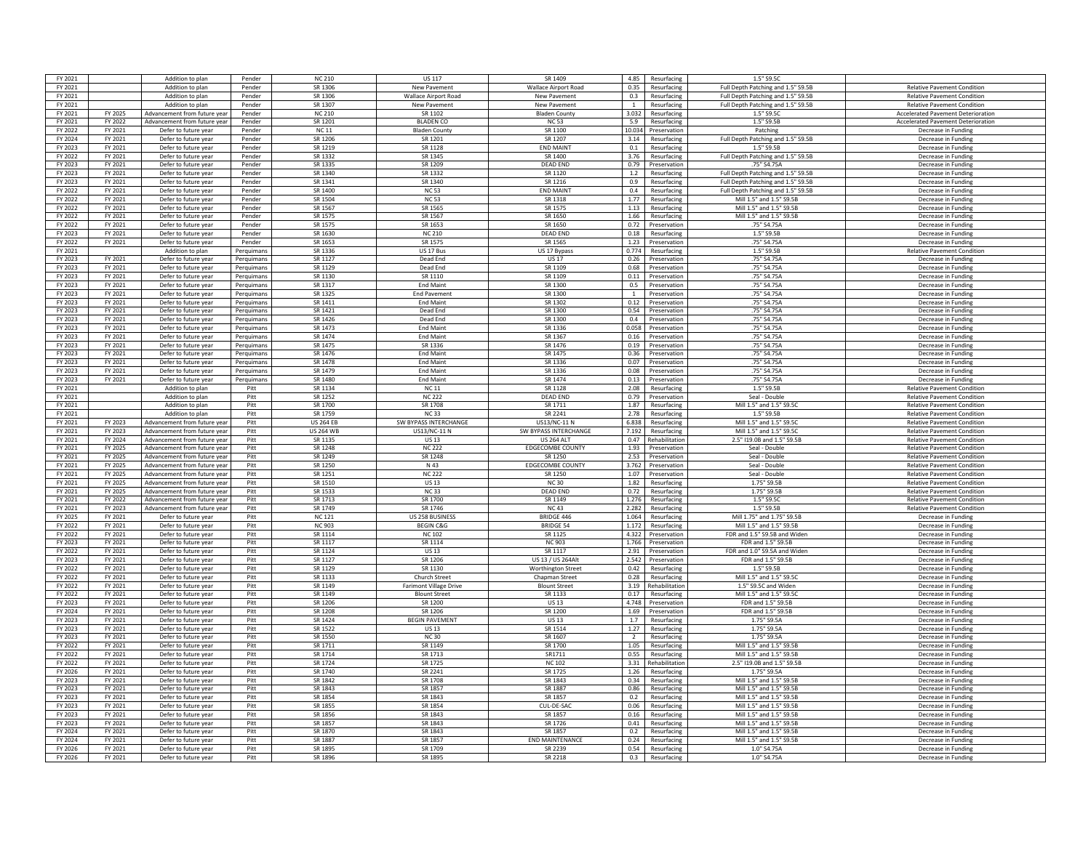| FY 2021 |         | Addition to plan             | Pender     | <b>NC 210</b>      | <b>US 117</b>                 | SR 1409                     | 4.85           | Resurfacing         | 1.5" S9.5C                         |                                           |
|---------|---------|------------------------------|------------|--------------------|-------------------------------|-----------------------------|----------------|---------------------|------------------------------------|-------------------------------------------|
| FY 2021 |         | Addition to plan             | Pender     | SR 1306            | New Pavement                  | <b>Wallace Airport Road</b> | 0.35           | Resurfacing         | Full Depth Patching and 1.5" S9.5B | <b>Relative Pavement Condition</b>        |
| FY 2021 |         | Addition to plan             | Pender     | SR 1306            | <b>Wallace Airport Road</b>   | New Pavement                | 0.3            | Resurfacing         | Full Depth Patching and 1.5" S9.5B | <b>Relative Pavement Condition</b>        |
| FY 2021 |         | Addition to plan             | Pender     | SR 1307            | New Pavement                  | New Pavement                | 1              | Resurfacing         | Full Depth Patching and 1.5" S9.5B | <b>Relative Pavement Condition</b>        |
| FY 2021 | FY 2025 | Advancement from future      | Pender     | <b>NC 210</b>      | SR 1102                       | <b>Bladen County</b>        | 3.032          | Resurfacing         | 1.5" \$9.50                        | <b>Accelerated Pavement Deterioratio</b>  |
| FY 2021 | FY 2022 | Advancement from future vear | Pender     | SR 1201            | <b>BLADEN CO</b>              | <b>NC53</b>                 | 5.9            | Resurfacing         | 1.5" S9.5B                         | <b>Accelerated Pavement Deterioration</b> |
| FY 2022 | FY 2021 | Defer to future year         | Pender     | <b>NC11</b>        | <b>Bladen County</b>          | SR 1100                     | 10.034         | Preservation        | Patching                           | Decrease in Funding                       |
|         |         |                              |            |                    |                               |                             |                |                     |                                    |                                           |
| FY 2024 | FY 2021 | Defer to future year         | Pender     | SR 1206<br>SR 1219 | SR 1201<br>SR 1128            | SR 1207<br><b>FND MAINT</b> | 3.14           | Resurfacing         | Full Depth Patching and 1.5" S9.5B | Decrease in Funding                       |
| FY 2023 | FY 2021 | Defer to future year         | Pender     |                    |                               |                             | 0.1            | Resurfacing         | 1.5" S9.5B                         | Decrease in Funding                       |
| FY 2022 | FY 2021 | Defer to future year         | Pender     | SR 1332            | SR 1345                       | SR 1400                     | 3.76           | Resurfacing         | Full Depth Patching and 1.5" S9.5B | Decrease in Funding                       |
| FY 2023 | FY 2021 | Defer to future year         | Pender     | SR 1335            | SR 1209                       | <b>DEAD END</b>             | 0.79           | Preservation        | .75" S4.75A                        | Decrease in Funding                       |
| FY 2023 | FY 2021 | Defer to future year         | Pender     | SR 1340            | SR 1332                       | SR 1120                     | 1.2            | Resurfacing         | Full Depth Patching and 1.5" S9.5B | Decrease in Funding                       |
| FY 2023 | FY 2021 | Defer to future year         | Pender     | SR 1341            | SR 1340                       | SR 1216                     | 0.9            | Resurfacing         | Full Depth Patching and 1.5" S9.5B | Decrease in Funding                       |
| FY 2022 | FY 2021 | Defer to future year         | Pender     | SR 1400            | <b>NC 53</b>                  | <b>FND MAINT</b>            | 0.4            | Resurfacing         | Full Depth Patching and 1.5" S9.5B | Decrease in Eunding                       |
| FY 2022 | FY 2021 | Defer to future year         | Pender     | SR 1504            | <b>NC 53</b>                  | SR 1318                     | 1.77           | Resurfacing         | Mill 1.5" and 1.5" S9.5B           | Decrease in Funding                       |
| FY 2022 | FY 2021 | Defer to future year         | Pender     | SR 1567            | SR 1565                       | SR 1575                     |                | 1.13 Resurfacing    | Mill 1.5" and 1.5" S9.5B           | Decrease in Funding                       |
| FY 2022 | FY 2021 | Defer to future year         | Pender     | SR 1575            | SR 1567                       | SR 1650                     | 1.66           | Resurfacing         | Mill 1.5" and 1.5" S9.5B           | Decrease in Funding                       |
| FY 2022 | FY 2021 | Defer to future year         | Pender     | SR 1575            | SR 1653                       | SR 1650                     | 0.72           | Preservation        | .75" S4.75A                        | Decrease in Funding                       |
| FY 2023 | FY 2021 | Defer to future year         | Pender     | SR 1630            | <b>NC 210</b>                 | <b>DEAD END</b>             | 0.18           | Resurfacing         | 1.5" S9.5B                         | Decrease in Funding                       |
| FY 2022 | FY 2021 | Defer to future year         | Pender     | SR 1653            | SR 1575                       | SR 1565                     | 1.23           | Preservation        | .75" S4.75A                        | Decrease in Funding                       |
| FY 2021 |         | Addition to plan             | Perquimans | SR 1336            | US 17 Bus                     | US 17 Bypass                | 0.774          | Resurfacing         | 1.5" S9.5B                         | Relative Pavement Condition               |
| FY 2023 | FY 2021 | Defer to future year         | Perguimans | SR 1127            | Dead End                      | <b>US 17</b>                | 0.26           | Preservation        | .75" S4.75A                        | Decrease in Funding                       |
| FY 2023 | FY 2021 | Defer to future year         | Perquimans | SR 1129            | Dead End                      | SR 1109                     | 0.68           | Preservation        | .75" S4.75A                        | Decrease in Funding                       |
| FY 2023 | FY 2021 | Defer to future year         | Perguimans | SR 1130            | SR 1110                       | SR 1109                     | 0.11           | Preservation        | .75" S4.75A                        | Decrease in Funding                       |
|         |         |                              |            | SR 1317            | <b>End Maint</b>              | SR 1300                     |                |                     |                                    |                                           |
| FY 2023 | FY 2021 | Defer to future year         | Perquimans | SR 1325            |                               | SR 1300                     | 0.5            | Preservation        | .75" S4.75A<br>.75" S4.75A         | Decrease in Funding                       |
| FY 2023 | FY 2021 | Defer to future year         | Perquimans |                    | <b>End Pavement</b>           |                             | 1              | Preservation        |                                    | Decrease in Funding                       |
| FY 2023 | FY 2021 | Defer to future year         | Perguimans | SR 1411            | <b>Fnd Maint</b>              | SR 1302                     | 0.12           | Preservation        | .75" S4.75A                        | Decrease in Eunding                       |
| FY 2023 | FY 2021 | Defer to future year         | Perguiman: | SR 1421            | Dead End                      | SR 1300                     | 0.54           | Preservation        | .75" S4.75A                        | Decrease in Funding                       |
| FY 2023 | FY 2021 | Defer to future year         | Perquimans | SR 1426            | Dead End                      | SR 1300                     | 0.4            | Preservation        | .75" S4.75A                        | Decrease in Funding                       |
| FY 2023 | FY 2021 | Defer to future year         | Perquimans | SR 1473            | <b>Fnd Maint</b>              | SR 1336                     | 0.058          | Preservation        | .75" S4.75A                        | Decrease in Funding                       |
| FY 2023 | FY 2021 | Defer to future year         | Perquimans | SR 1474            | <b>Fnd Maint</b>              | SR 1367                     | 0.16           | Preservation        | .75" S4.75A                        | Decrease in Funding                       |
| FY 2023 | FY 2021 | Defer to future year         | Perquimans | SR 1475            | SR 1336                       | SR 1476                     | 0.19           | Preservation        | .75" S4.75A                        | Decrease in Funding                       |
| FY 2023 | FY 2021 | Defer to future year         | Perquimans | SR 1476            | <b>End Maint</b>              | SR 1475                     | 0.36           | Preservation        | .75" S4.75A                        | Decrease in Funding                       |
| FY 2023 | FY 2021 | Defer to future year         | Perquimans | SR 1478            | <b>End Maint</b>              | SR 1336                     | 0.07           | Preservation        | .75" S4.75A                        | Decrease in Funding                       |
| FY 2023 | FY 2021 | Defer to future year         | Perguimans | SR 1479            | <b>End Maint</b>              | SR 1336                     | 0.08           | Preservation        | .75" S4.75A                        | Decrease in Funding                       |
| FY 2023 | FY 2021 | Defer to future year         | Perguimans | SR 1480            | <b>End Maint</b>              | SR 1474                     | 0.13           | Preservation        | .75" S4.75A                        | Decrease in Funding                       |
| FY 2021 |         | Addition to plan             | Pitt       | SR 1134            | <b>NC 11</b>                  | SR 1128                     | 2.08           | Resurfacing         | 1.5" S9.5B                         | <b>Relative Pavement Condition</b>        |
| FY 2021 |         | Addition to plan             | Pitt       | SR 1252            | <b>NC 222</b>                 | DFAD FND                    | 0.79           | Preservation        | Seal - Double                      | <b>Relative Pavement Condition</b>        |
| FY 2021 |         | Addition to plan             | Pitt       | SR 1700            | SR 1708                       | SR 1711                     | 1.87           | Resurfacing         | Mill 1.5" and 1.5" S9.5C           | <b>Relative Pavement Condition</b>        |
| FY 2021 |         | Addition to plan             | Pitt       | SR 1759            | <b>NC33</b>                   | SR 2241                     | 2.78           | Resurfacing         | 1.5" S9.5B                         | Relative Pavement Condition               |
| FY 2021 | FY 2023 | Advancement from future year | Pitt       | <b>US 264 FB</b>   | SW BYPASS INTERCHANGE         | US13/NC-11 N                | 6.838          | Resurfacing         | Mill 1.5" and 1.5" \$9.50          | <b>Relative Pavement Condition</b>        |
| FY 2021 | FY 2023 | Advancement from future year | Pitt       | <b>US 264 WB</b>   | US13/NC-11 N                  | SW BYPASS INTERCHANGE       | 7.192          | Resurfacing         | Mill 1.5" and 1.5" S9.5C           | <b>Relative Pavement Condition</b>        |
| FY 2021 | FY 2024 | Advancement from future year | Pitt       | SR 1135            | <b>US13</b>                   | <b>US 264 ALT</b>           |                | 0.47 Rehabilitation | 2.5" I19.0B and 1.5" S9.5B         | <b>Relative Pavement Condition</b>        |
|         |         |                              |            | SR 1248            |                               |                             |                |                     |                                    |                                           |
| FY 2021 | FY 2025 | Advancement from future year | Pitt       |                    | <b>NC 222</b>                 | EDGECOMBE COUNTY            | 1.93           | Preservation        | Seal - Double                      | <b>Relative Pavement Condition</b>        |
| FY 2021 | FY 2025 | Advancement from future year | Pitt       | SR 1249            | SR 1248                       | SR 1250                     | 2.53           | Preservation        | Seal - Double                      | <b>Relative Pavement Condition</b>        |
| FY 2021 | FY 2025 | Advancement from future year | Pitt       | SR 1250            | N 43                          | <b>EDGECOMBE COUNTY</b>     | 3.762          | Preservation        | Seal - Double                      | <b>Relative Pavement Condition</b>        |
| FY 2021 | FY 2025 | Advancement from future vear | Pitt       | SR 1251            | <b>NC 222</b>                 | SR 1250                     | 1.07           | Preservation        | Seal - Double                      | <b>Relative Pavement Condition</b>        |
| FY 2021 | FY 2025 | Advancement from future vear | Pitt       | SR 1510            | <b>US13</b>                   | <b>NC30</b>                 | 1.82           | Resurfacing         | 1.75" S9.5B                        | <b>Relative Pavement Condition</b>        |
| FY 2021 | FY 2025 | Advancement from future year | Pitt       | SR 1533            | <b>NC33</b>                   | <b>DEAD END</b>             | 0.72           | Resurfacing         | 1.75" S9.5B                        | <b>Relative Pavement Condition</b>        |
| FY 2021 | FY 2022 | Advancement from future year | Pitt       | SR 1713            | SR 1700                       | SR 1149                     | 1.276          | Resurfacing         | 1.5" S9.5C                         | <b>Relative Pavement Condition</b>        |
| FY 2021 | FY 2023 | Advancement from future year | Pitt       | SR 1749            | SR 1746                       | <b>NC43</b>                 | 2.282          | Resurfacing         | 1.5" S9.5B                         | <b>Relative Pavement Condition</b>        |
| FY 2025 | FY 2021 | Defer to future year         | Pitt       | <b>NC121</b>       | US 258 BUSINESS               | BRIDGE 446                  | 1.064          | Resurfacing         | Mill 1.75" and 1.75" S9.5B         | Decrease in Funding                       |
| FY 2022 | FY 2021 | Defer to future year         | Pitt       | <b>NC 903</b>      | <b>BEGIN C&amp;G</b>          | <b>BRIDGE 54</b>            | 1.172          | Resurfacing         | Mill 1.5" and 1.5" S9.5B           | Decrease in Funding                       |
| FY 2022 | FY 2021 | Defer to future year         | Pitt       | SR 1114            | <b>NC 102</b>                 | SR 1125                     | 4.322          | Preservation        | FDR and 1.5" S9.5B and Widen       | Decrease in Funding                       |
| FY 2023 | FY 2021 | Defer to future year         | Pitt       | SR 1117            | SR 1114                       | NC 903                      | 1.766          | Preservation        | FDR and 1.5" S9.5B                 | Decrease in Funding                       |
| FY 2022 | FY 2021 | Defer to future year         | Pitt       | SR 1124            | US <sub>13</sub>              | SR 1117                     | 2.91           | Preservation        | FDR and 1.0" S9.5A and Widen       | Decrease in Funding                       |
| FY 2023 | FY 2021 | Defer to future year         | Pitt       | SR 1127            | SR 1206                       | US 13 / US 264Alt           | 2.542          | Preservation        | FDR and 1.5" S9.5B                 | Decrease in Funding                       |
| FY 2022 | FY 2021 | Defer to future year         | Pitt       | SR 1129            | SR 1130                       | Worthington Street          |                | 0.42 Resurfacing    | 1.5" S9.5B                         | Decrease in Funding                       |
| FY 2022 | FY 2021 | Defer to future year         | Pitt       | SR 1133            | Church Street                 | Chapman Street              | 0.28           | Resurfacing         | Mill 1.5" and 1.5" S9.5C           | Decrease in Funding                       |
| FY 2022 | FY 2021 | Defer to future year         | Pitt       | SR 1149            | <b>Farimont Village Drive</b> | <b>Blount Street</b>        | 3.19           | Rehabilitation      | 1.5" S9.5C and Widen               | Decrease in Funding                       |
| FY 2022 | FY 2021 | Defer to future year         | Pitt       | SR 1149            | <b>Blount Street</b>          | SR 1133                     | 0.17           | Resurfacing         | Mill 1.5" and 1.5" \$9.50          | Decrease in Funding                       |
| FY 2023 | FY 2021 | Defer to future year         | Pitt       | SR 1206            | SR 1200                       | <b>US13</b>                 | 4.748          | Preservation        | FDR and 1.5" S9.5B                 | Decrease in Funding                       |
| FY 2024 | FY 2021 | Defer to future year         | Pitt       | SR 1208            | SR 1206                       | SR 1200                     | 1.69           | Preservation        | FDR and 1.5" S9.5B                 | Decrease in Funding                       |
| FY 2023 | FY 2021 | Defer to future year         | Pitt       | SR 1424            | <b>BEGIN PAVEMENT</b>         | <b>US13</b>                 | 1.7            | Resurfacing         | 1.75" S9.5A                        | Decrease in Funding                       |
|         |         |                              |            | SR 1522            |                               |                             |                |                     |                                    |                                           |
| FY 2023 | FY 2021 | Defer to future year         | Pitt       | SR 1550            | <b>US13</b>                   | SR 1514<br>SR 1607          | 1.27           | Resurfacing         | 1.75" S9.5A                        | Decrease in Funding                       |
| FY 2023 | FY 2021 | Defer to future year         | Pitt       |                    | <b>NC30</b>                   |                             | $\overline{2}$ | Resurfacing         | 1.75" S9.5A                        | Decrease in Funding                       |
| FY 2022 | FY 2021 | Defer to future year         | Pitt       | SR 1711            | SR 1149                       | SR 1700                     | 1.05           | Resurfacing         | Mill 1.5" and 1.5" \$9.5B          | Decrease in Eunding                       |
| FY 2022 | FY 2021 | Defer to future year         | Pitt       | SR 1714            | SR 1713                       | SR1711                      | 0.55           | Resurfacing         | Mill 1.5" and 1.5" S9.5B           | Decrease in Funding                       |
| FY 2022 | FY 2021 | Defer to future year         | Pitt       | SR 1724            | SR 1725                       | <b>NC 102</b>               | 3.31           | Rehabilitation      | 2.5" I19.0B and 1.5" S9.5B         | Decrease in Funding                       |
| FY 2026 | FY 2021 | Defer to future year         | Pitt       | SR 1740            | SR 2241                       | SR 1725                     | 1.26           | Resurfacing         | 1.75" S9.5A                        | Decrease in Funding                       |
| FY 2023 | FY 2021 | Defer to future year         | Pitt       | SR 1842            | <b>SR 1708</b>                | SR 1843                     | 0.34           | Resurfacing         | Mill 1.5" and 1.5" \$9.5B          | Decrease in Funding                       |
| FY 2023 | FY 2021 | Defer to future year         | Pitt       | SR 1843            | SR 1857                       | SR 1887                     | 0.86           | Resurfacing         | Mill 1.5" and 1.5" S9.5B           | Decrease in Funding                       |
| FY 2023 | FY 2021 | Defer to future year         | Pitt       | SR 1854            | SR 1843                       | SR 1857                     | 0.2            | Resurfacing         | Mill 1.5" and 1.5" S9.5B           | Decrease in Funding                       |
| FY 2023 | FY 2021 | Defer to future year         | Pitt       | SR 1855            | SR 1854                       | CUL-DE-SAC                  | 0.06           | Resurfacing         | Mill 1.5" and 1.5" S9.5B           | Decrease in Funding                       |
| FY 2023 | FY 2021 | Defer to future year         | Pitt       | SR 1856            | SR 1843                       | SR 1857                     | 0.16           | Resurfacing         | Mill 1.5" and 1.5" S9.5B           | Decrease in Funding                       |
| FY 2023 | FY 2021 | Defer to future year         | Pitt       | SR 1857            | SR 1843                       | SR 1726                     | 0.41           | Resurfacing         | Mill 1.5" and 1.5" S9.5B           | Decrease in Funding                       |
| FY 2024 | FY 2021 | Defer to future year         | Pitt       | SR 1870            | SR 1843                       | SR 1857                     | 0.2            | Resurfacing         | Mill 1.5" and 1.5" S9.5B           | Decrease in Funding                       |
| FY 2024 | FY 2021 | Defer to future year         | Pitt       | SR 1887            | SR 1857                       | <b>END MAINTENANCE</b>      | 0.24           | Resurfacing         | Mill 1.5" and 1.5" S9.5B           | Decrease in Funding                       |
| FY 2026 | FY 2021 | Defer to future year         | Pitt       | SR 1895            | SR 1709                       | SR 2239                     | 0.54           | Resurfacing         | 1.0" S4.75A                        | Decrease in Funding                       |
| FY 2026 | FY 2021 | Defer to future year         | Pitt       | SR 1896            | SR 1895                       | SR 2218                     | 0.3            | Resurfacing         | 1.0" S4.75A                        | Decrease in Funding                       |
|         |         |                              |            |                    |                               |                             |                |                     |                                    |                                           |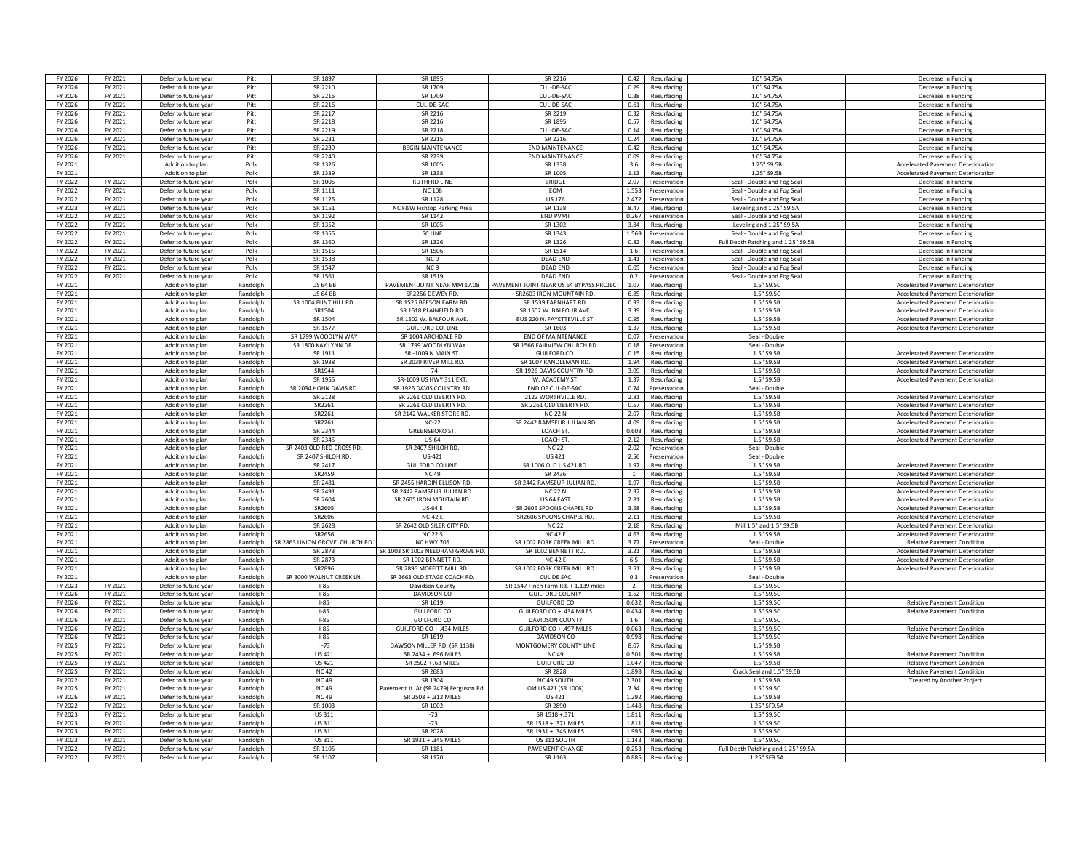| FY 2026            | FY 2021            | Defer to future year                         | Pitt                 | SR 1897                      | <b>SR 1895</b>                        | SR 2216                                  | 0.42           | Resurfacing                | 1.0" S4.75A                                         | Decrease in Funding                       |
|--------------------|--------------------|----------------------------------------------|----------------------|------------------------------|---------------------------------------|------------------------------------------|----------------|----------------------------|-----------------------------------------------------|-------------------------------------------|
| FY 2026            | FY 2021            | Defer to future year                         | Pitt                 | SR 2210                      | SR 1709                               | <b>CUL-DE-SAC</b>                        | 0.29           | Resurfacing                | 1.0" S4.75A                                         | Decrease in Funding                       |
| FY 2026            | FY 2021            | Defer to future year                         | Pitt                 | SR 2215                      | SR 1709                               | CUL-DE-SAC                               | 0.38           | Resurfacing                | 1.0" S4.75A                                         | Decrease in Funding                       |
| FY 2026            | FY 2021            | Defer to future year                         | Pitt                 | SR 2216                      | CUL-DE-SAC                            | CUL-DE-SAC                               | 0.61           | Resurfacing                | 1.0" S4.75A                                         | Decrease in Funding                       |
| FY 2026            |                    |                                              |                      | SR 2217                      |                                       |                                          | 0.32           |                            |                                                     |                                           |
|                    | FY 2021            | Defer to future year                         | Pitt                 |                              | SR 2216                               | SR 2219                                  |                | Resurfacing                | 1.0" S4.75A                                         | Decrease in Funding                       |
| FY 2026            | FY 2021            | Defer to future year                         | Pitt                 | SR 2218                      | SR 2216                               | SR 1895                                  | 0.57           | Resurfacing                | 1.0" S4.75A                                         | Decrease in Funding                       |
| FY 2026            | FY 2021            | Defer to future year                         | Pitt                 | SR 2219                      | SR 2218                               | CUI-DE-SAC                               | 0.14           | Resurfacing                | 1.0" S4.75A                                         | Decrease in Funding                       |
| FY 2026            | FY 2021            | Defer to future year                         | Pitt                 | SR 2231                      | SR 2215                               | SR 2216                                  | 0.24           | Resurfacing                | 1.0" S4.75A                                         | Decrease in Funding                       |
| FY 2026            | FY 2021            | Defer to future year                         | Pitt                 | SR 2239                      | <b>BEGIN MAINTENANCE</b>              | <b>END MAINTENANCE</b>                   | 0.42           | Resurfacing                | 1.0" S4.75A                                         | Decrease in Funding                       |
| FY 2026            | FY 2021            | Defer to future year                         | Pitt                 | SR 2240                      | SR 2239                               | <b>FND MAINTFNANCF</b>                   | 0.09           | Resurfacing                | 1.0" S4.75A                                         | Decrease in Funding                       |
| FY 2021            |                    | Addition to plan                             | Polk                 | SR 1326                      | SR 1005                               | SR 1338                                  | 3.6            | Resurfacing                | 1.25" S9.5B                                         | <b>Accelerated Pavement Deterioration</b> |
| FY 2021            |                    | Addition to plan                             | Polk                 | SR 1339                      | SR 1338                               | SR 1005                                  | 1.13           | Resurfacing                | 1.25" S9.5B                                         | <b>Accelerated Pavement Deterioration</b> |
| FY 2022            | FY 2021            | Defer to future year                         | Polk                 | SR 1005                      | <b>RUTHFRD LINE</b>                   | <b>BRIDGE</b>                            | 2.07           | Preservation               | Seal - Double and Fog Seal                          | Decrease in Fundin                        |
| FY 2022            | FY 2021            | Defer to future year                         | Polk                 | SR 1111                      | <b>NC108</b>                          | <b>FOM</b>                               | 1.553          | Preservation               | Seal - Double and Fog Seal                          | Decrease in Funding                       |
| FY 2022            | FY 2021            | Defer to future year                         | Polk                 | SR 1125                      | SR 1128                               | <b>US 176</b>                            | 2.472          | Preservation               | Seal - Double and Fog Seal                          | Decrease in Funding                       |
|                    |                    |                                              |                      |                              |                                       |                                          |                |                            |                                                     |                                           |
| FY 2023            | FY 2021            | Defer to future year                         | Polk                 | SR 1151                      | NC F&W Fishtop Parking Area           | SR 1138                                  | 8.47           | Resurfacing                | Leveling and 1.25" S9.5A                            | Decrease in Funding                       |
| FY 2022            | FY 2021            | Defer to future year                         | Polk                 | SR 1192                      | SR 1142                               | <b>END PVMT</b>                          | 0.267          | Preservation               | Seal - Double and Fog Seal                          | Decrease in Funding                       |
| FY 2022            | FY 2021            | Defer to future year                         | Polk                 | SR 1352                      | SR 1005                               | SR 1302                                  | 3.84           | Resurfacing                | Leveling and 1.25" S9.5A                            | Decrease in Funding                       |
| FY 2022            | FY 2021            | Defer to future year                         | Polk                 | SR 1355                      | <b>SC LINE</b>                        | SR 1343                                  | 1.569          | Preservation               | Seal - Double and Fog Seal                          | Decrease in Funding                       |
| FY 2022            | FY 2021            | Defer to future year                         | Polk                 | SR 1360                      | SR 1326                               | SR 1326                                  | 0.82           | Resurfacing                | Full Depth Patching and 1.25" S9.5E                 | Decrease in Funding                       |
| FY 2022            | FY 2021            | Defer to future year                         | Polk                 | SR 1515                      | SR 1506                               | SR 1514                                  | 1.6            | Preservation               | Seal - Double and Fog Seal                          | Decrease in Funding                       |
| FY 2022            | FY 2021            | Defer to future year                         | Polk                 | SR 1538                      | NC <sub>9</sub>                       | <b>DEAD END</b>                          | 1.41           | Preservation               | Seal - Double and Fog Seal                          | Decrease in Funding                       |
| FY 2022            | FY 2021            | Defer to future year                         | Polk                 | SR 1547                      | NC <sub>9</sub>                       | <b>DEAD END</b>                          | 0.05           | Preservation               | Seal - Double and Fog Seal                          | Decrease in Funding                       |
| FY 2022            | FY 2021            | Defer to future year                         | Polk                 | SR 1561                      | SR 1519                               | <b>DEAD END</b>                          | 0.2            | Preservation               | Seal - Double and Fog Seal                          | Decrease in Funding                       |
| FY 2021            |                    |                                              |                      | <b>US 64 FB</b>              | PAVEMENT IOINT NEAR MM 17.08          | PAVEMENT JOINT NEAR US 64 BYPASS PROJECT | 1.07           |                            | 1.5" S9.5C                                          |                                           |
|                    |                    | Addition to plan                             | Randolph             |                              |                                       |                                          |                | Resurfacing                |                                                     | <b>Accelerated Payement Deterioration</b> |
| FY 2021            |                    | Addition to plan                             | Randolph             | <b>US 64 FB</b>              | SR2256 DEWEY RD                       | SR2603 IRON MOUNTAIN RD                  | 6.85           | Resurfacing                | 1.5"S9.50                                           | Accelerated Pavement Deterioration        |
| FY 2021            |                    | Addition to plan                             | Randolph             | SR 1004 FLINT HILL RD        | SR 1525 BEESON FARM RD                | SR 1539 EARNHART RD.                     | 0.93           | Resurfacing                | 1.5" S9.5E                                          | <b>Accelerated Pavement Deterioration</b> |
| FY 2021            |                    | Addition to plan                             | Randolph             | SR1504                       | SR 1518 PLAINFIELD RD                 | SR 1502 W. BALFOUR AVE                   | 3.39           | Resurfacing                | 1.5" S9.5F                                          | <b>Accelerated Pavement Deterioration</b> |
| FY 2021            |                    | Addition to plan                             | Randolph             | SR 1504                      | SR 1502 W. BALFOUR AVE                | BUS 220 N. FAYETTEVILLE ST               | 0.95           | Resurfacing                | 1.5" S9.5B                                          | <b>Accelerated Pavement Deterioration</b> |
| FY 2021            |                    | Addition to plan                             | Randolph             | SR 1577                      | <b>GUILFORD CO. LINE</b>              | SR 1603                                  | 1.37           | Resurfacing                | 1.5" S9.5B                                          | <b>Accelerated Pavement Deterioration</b> |
| FY 2021            |                    | Addition to plan                             | Randolph             | SR 1799 WOODLYN WAY          | SR 1004 ARCHDALF RD                   | <b>FND OF MAINTFNANCE</b>                | 0.07           | Preservation               | Seal - Double                                       |                                           |
| FY 2021            |                    | Addition to plan                             | Randolph             | SR 1800 KAY LYNN DR.         | SR 1799 WOODI YN WAY                  | SR 1566 FAIRVIEW CHURCH RD               | 0.18           | Preservation               | Seal - Double                                       |                                           |
| FY 2021            |                    | Addition to plan                             | Randolph             | SR 1911                      | SR-1009 N MAIN ST.                    | GUILFORD CO.                             | 0.15           | Resurfacing                | 1.5" S9.5B                                          | <b>Accelerated Pavement Deterioration</b> |
| FY 2021            |                    |                                              |                      | SR 1938                      | SR 2039 RIVER MILL RD                 | SR 1007 RANDLEMAN RD                     | 1.94           |                            | 1.5" S9.5E                                          | <b>Accelerated Pavement Deterioration</b> |
|                    |                    | Addition to plan                             | Randolph             | SR1944                       |                                       |                                          |                | Resurfacing                | 15"595B                                             |                                           |
| FY 2021            |                    | Addition to plan                             | Randolph             |                              | $1 - 74$                              | SR 1926 DAVIS COUNTRY RD                 | 3.09           | Resurfacing                |                                                     | <b>Accelerated Pavement Deterioration</b> |
| FY 2021            |                    | Addition to plan                             | Randolph             | SR 1955                      | SR-1009 US HWY 311 EXT                | W. ACADEMY ST                            | 1.37           | Resurfacing                | 1.5" S9.5B                                          | <b>Accelerated Pavement Deterioration</b> |
| FY 2021            |                    | Addition to plan                             | Randolph             | SR 2034 HOHN DAVIS RD.       | SR 1926 DAVIS COUNTRY RD              | END OF CUL-DE-SAC                        | 0.74           | Preservation               | Seal - Double                                       |                                           |
| FY 2021            |                    | Addition to plan                             | Randolph             | SR 2128                      | SR 2261 OLD LIBERTY RD                | 2122 WORTHVILLE RD.                      | 2.81           | Resurfacing                | 1.5" S9.5B                                          | Accelerated Pavement Deterioration        |
| FY 2021            |                    | Addition to plan                             | Randolph             | SR2261                       | SR 2261 OLD LIBERTY RD.               | SR 2261 OLD LIBERTY RD.                  | 0.57           | Resurfacing                | 1.5" S9.5B                                          | <b>Accelerated Pavement Deterioration</b> |
| FY 2021            |                    | Addition to plan                             | Randolph             | SR2261                       |                                       |                                          |                |                            |                                                     | <b>Accelerated Pavement Deterioration</b> |
|                    |                    |                                              |                      |                              | SR 2142 WALKER STORE RD.              | <b>NC-22N</b>                            | 2.07           | Resurfacing                | 1.5" S9.5B                                          |                                           |
| FY 2021            |                    | Addition to plan                             | Randolph             | SR2261                       | <b>NC-22</b>                          |                                          | 4.09           |                            | 1.5" S9.5E                                          | <b>Accelerated Pavement Deterioration</b> |
|                    |                    |                                              |                      |                              |                                       | SR 2442 RAMSEUR JULIAN RD                |                | Resurfacing                |                                                     |                                           |
| FY 2021            |                    | Addition to plan                             | Randolph             | SR 2344                      | <b>GREENSBORO ST</b>                  | <b>LOACH ST</b>                          | 0.603          | Resurfacing                | 1.5" S9.5B                                          | <b>Accelerated Pavement Deterioration</b> |
| FY 2021            |                    | Addition to plan                             | Randolph             | SR 2345                      | US-64                                 | <b>LOACH ST</b>                          | 2.12           | Resurfacing                | 1.5" S9.5B                                          | <b>Accelerated Pavement Deterioration</b> |
| FY 2021            |                    | Addition to plan                             | Randolph             | SR 2403 OLD RED CROSS RD     | SR 2407 SHILOH RD.                    | <b>NC 22</b>                             | 2.02           | Preservation               | Seal - Double                                       |                                           |
| FY 2021            |                    | Addition to plan                             | Randolph             | SR 2407 SHILOH RD.           | US-421                                | <b>US421</b>                             | 2.56           | Preservation               | Seal - Double                                       |                                           |
| FY 2021            |                    | Addition to plan                             | Randolph             | SR 2417                      | GUILFORD CO LINE.                     | SR 1006 OLD US 421 RD.                   | 1.97           | Resurfacing                | 1.5" S9.5B                                          | <b>Accelerated Pavement Deterioration</b> |
| FY 2021            |                    | Addition to plan                             | Randolph             | SR2459                       | NC 49                                 | SR 2436                                  | $\overline{1}$ | Resurfacing                | 1.5" S9.5B                                          | <b>Accelerated Payement Deterioration</b> |
| FY 2021            |                    | Addition to plan                             | Randolph             | SR 2481                      | SR 2455 HARDIN ELLISON RD.            | SR 2442 RAMSEUR JULIAN RD.               | 1.97           | Resurfacing                | 1.5" S9.5F                                          | <b>Accelerated Pavement Deterioration</b> |
| FY 2021            |                    | Addition to plan                             | Randolph             | SR 2491                      | SR 2442 RAMSEUR JULIAN RD.            | <b>NC 22 N</b>                           | 2.97           | Resurfacing                | 1.5" S9.5F                                          | <b>Accelerated Pavement Deterioration</b> |
| FY 2021            |                    | Addition to plan                             | Randolph             | SR 2604                      | SR 2605 IRON MOUTAIN RD.              | US 64 FAST                               | 2.81           | Resurfacing                | 1.5" S9.5B                                          | Accelerated Pavement Deterioration        |
| FY 2021            |                    | Addition to plan                             | Randolph             | SR2605                       | <b>US-64 F</b>                        | SR 2606 SPOONS CHAPEL RD.                | 3.58           | Resurfacing                | 1.5" S9.5F                                          | Accelerated Pavement Deterioration        |
| FY 2021            |                    | Addition to plan                             | Randolph             | SR2606                       | <b>NC-42 E</b>                        | SR2606 SPOONS CHAPEL RD.                 | 2.11           | Resurfacing                | 1.5" S9.5B                                          | <b>Accelerated Pavement Deterioration</b> |
| FY 2021            |                    | Addition to plan                             | Randolph             | SR 2628                      |                                       | <b>NC 22</b>                             | 2.18           |                            | Mill 1.5" and 1.5" S9.5B                            |                                           |
|                    |                    |                                              |                      |                              | SR 2642 OLD SILER CITY RD.            |                                          |                | Resurfacing                |                                                     | <b>Accelerated Pavement Deterioration</b> |
| FY 2021            |                    | Addition to plan                             | Randolph             | SR2656                       | <b>NC 22 S</b>                        | <b>NC42E</b>                             | 4.63           | Resurfacing                | 1.5" S9.5B                                          | <b>Accelerated Pavement Deterioration</b> |
| FY 2021            |                    | Addition to plan                             | Randolph             | R 2863 UNION GROVE CHURCH RD | <b>NC HWY 705</b>                     | SR 1002 FORK CREEK MILL RD.              | 3.77           | Preservation               | Seal - Double                                       | <b>Relative Pavement Condition</b>        |
| FY 2021            |                    | Addition to plan                             | Randolph             | SR 2873                      | SR 1003 SR 1003 NEEDHAM GROVE RD.     | SR 1002 BENNETT RD.                      | 3.21           | Resurfacing                | 1.5" S9.5B                                          | <b>Accelerated Pavement Deterioration</b> |
| FY 2021            |                    | Addition to plan                             | Randolph             | SR 2873                      | SR 1002 BENNETT RD.                   | $NC-42F$                                 | 6.5            | Resurfacing                | 1.5" S9.5B                                          | <b>Accelerated Pavement Deterioration</b> |
| FY 2021            |                    | Addition to plan                             | Randolph             | SR2896                       | SR 2895 MOFFITT MILL RD               | SR 1002 FORK CREEK MILL RD               | 3.51           | Resurfacing                | 1.5" S9.5B                                          | <b>Accelerated Pavement Deterioration</b> |
| FY 2021            |                    | Addition to plan                             | Randolph             | SR 3000 WALNUT CREEK LN      | SR 2663 OLD STAGE COACH RD            | CUL DE SAC                               | 0.3            | Preservation               | Seal - Double                                       |                                           |
| FY 2023            | FY 2021            | Defer to future year                         | Randolph             | $1 - 85$                     | Davidson County                       | SR 1547 Finch Farm Rd. + 1.139 miles     | $\overline{2}$ | Resurfacing                | 1.5" S9.5C                                          |                                           |
| FY 2026            | FY 2021            | Defer to future year                         | Randolph             | $1 - 85$                     | DAVIDSON CO                           | <b>GUILFORD COUNTY</b>                   | 1.62           | Resurfacing                | 1.5" S9.5C                                          |                                           |
| FY 2026            | FY 2021            | Defer to future year                         | Randolph             | $1 - 85$                     | SR 1619                               | <b>GUILFORD CO</b>                       | 0.632          | Resurfacing                | 1.5" S9.50                                          | <b>Relative Pavement Condition</b>        |
| FY 2026            | FY 2021            | Defer to future year                         | Randolph             | $1 - 85$                     | <b>GUILFORD CO</b>                    | GUILFORD CO + .434 MILES                 | 0.434          | Resurfacing                | 1.5" S9.5C                                          | <b>Relative Pavement Condition</b>        |
| FY 2026            | FY 2021            | Defer to future year                         | Randolph             | $1 - 85$                     | <b>GUILFORD CO</b>                    | <b>DAVIDSON COUNTY</b>                   | 1.6            | Resurfacing                | 15"5950                                             |                                           |
| FY 2026            | FY 2021            | Defer to future year                         | Randolph             | $1 - 85$                     | GUILFORD CO + .434 MILES              | GUILFORD CO + .497 MILES                 | 0.063          | Resurfacing                | 1.5" S9.5C                                          | <b>Relative Pavement Condition</b>        |
| FY 2026            | FY 2021            | Defer to future year                         | Randolph             | $-85$                        | SR 1619                               | DAVIDSON CO                              | 0.998          | Resurfacing                | 1.5" S9.50                                          | <b>Relative Pavement Condition</b>        |
|                    |                    |                                              |                      |                              |                                       |                                          |                |                            |                                                     |                                           |
| FY 2025            | FY 2021            | Defer to future year                         | Randolph             | $1 - 73$                     | DAWSON MILLER RD. (SR 1138)           | MONTGOMERY COUNTY LINE                   | 8.07           | Resurfacing                | 1.5" S9.5B                                          |                                           |
| FY 2025            | FY 2021            | Defer to future year                         | Randolph             | <b>US421</b>                 | SR 2434 + .696 MILES                  | NC 49                                    | 0.501          | Resurfacing                | 1.5" S9.5B                                          | <b>Relative Pavement Condition</b>        |
| FY 2025            | FY 2021            | Defer to future year                         | Randolph             | US 421                       | SR 2502 + .63 MILES                   | <b>GUILFORD CO</b>                       | 1.047          | Resurfacing                | 1.5" S9.5B                                          | <b>Relative Pavement Condition</b>        |
| FY 2025            | FY 2021            | Defer to future year                         | Randolph             | <b>NC42</b>                  | SR 2683                               | SR 2828                                  | 1.898          | Resurfacing                | Crack Seal and 1.5" S9.5E                           | <b>Relative Pavement Condition</b>        |
| FY 2022            | FY 2021            | Defer to future year                         | Randolph             | <b>NC49</b>                  | SR 1304                               | NC 49 SOUTH                              | 2.301          | Resurfacing                | 1.5" S9.5B                                          | <b>Treated by Another Project</b>         |
| FY 2025            | FY 2021            | Defer to future year                         | Randolph             | <b>NC49</b>                  | Pavement Jt. At (SR 2479) Ferguson Rd | Old US 421 (SR 1006                      | 7.34           | Resurfacing                | 1.5" S9.5C                                          |                                           |
| FY 2026            | FY 2021            | Defer to future year                         | Randolph             | <b>NC49</b>                  | SR 2503 + .312 MILES                  | <b>US421</b>                             | 1.292          | Resurfacing                | 1.5" S9.5B                                          |                                           |
| FY 2022            | FY 2021            | Defer to future year                         | Randolph             | SR 1003                      | SR 1002                               | SR 2890                                  | 1.448          | Resurfacing                | 1.25" SF9.5A                                        |                                           |
| FY 2023            | FY 2021            |                                              | Randolph             | US 311                       | $1 - 73$                              | SR 1518 + 371                            | 1.811          | Resurfacing                | 1.5" \$9.50                                         |                                           |
| FY 2023            |                    | Defer to future year                         | Randolph             |                              |                                       | SR 1518 + .371 MILES                     | 1.811          |                            | 1.5"S9.50                                           |                                           |
|                    | FY 2021            | Defer to future year                         |                      | <b>US 311</b>                | $1 - 73$                              |                                          |                | Resurfacing                |                                                     |                                           |
| FY 2023            | FY 2021            | Defer to future year                         | Randolph             | <b>US311</b>                 | SR 2028                               | SR 1931 + .345 MILES                     | 1.995          | Resurfacing                | 1.5" S9.50                                          |                                           |
| FY 2023            | FY 2021            | Defer to future year                         | Randolph             | <b>US311</b>                 | SR 1931 + .345 MILES                  | US 311 SOUTH                             | 1.143          | Resurfacing                | 1.5" \$9.50                                         |                                           |
| FY 2022<br>FY 2022 | FY 2021<br>FY 2021 | Defer to future year<br>Defer to future year | Randolph<br>Randolph | SR 1105<br>SR 1107           | SR 1181<br>SR 1170                    | PAVEMENT CHANGE<br>SR 1163               | 0.253<br>0.885 | Resurfacing<br>Resurfacing | Full Depth Patching and 1.25" S9.5A<br>1.25" SF9.5A |                                           |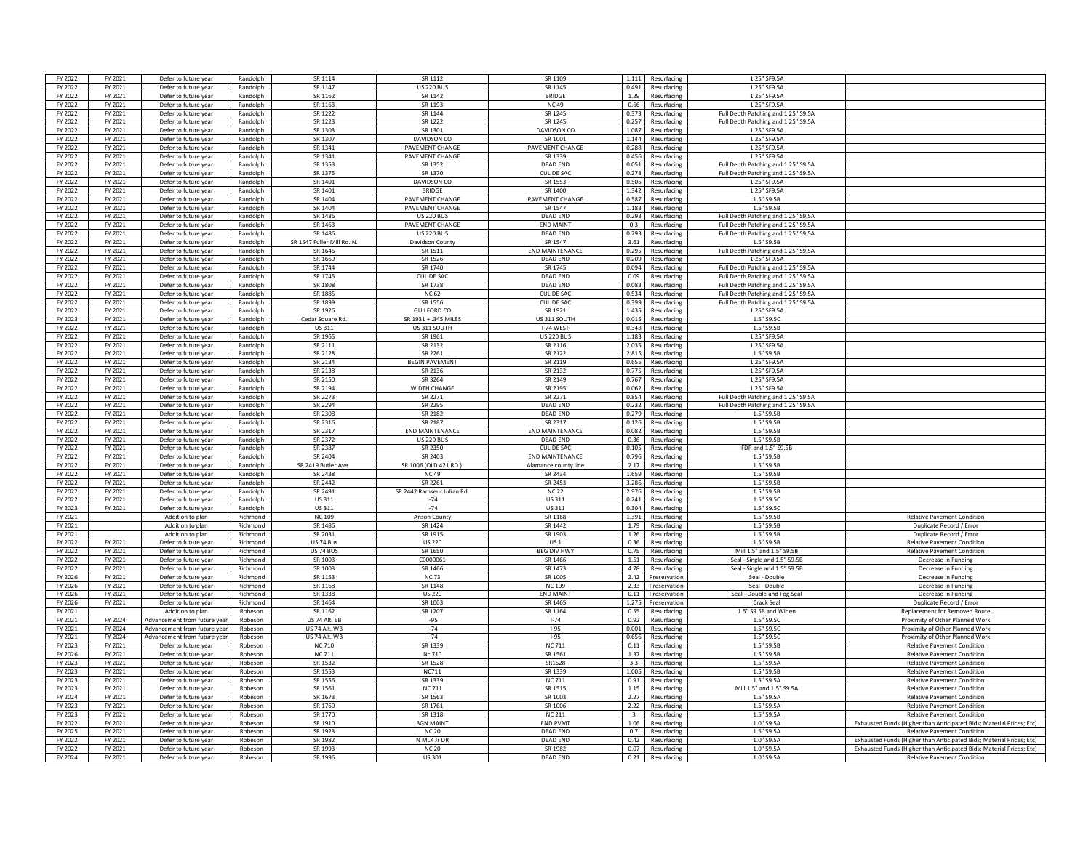| FY 2022 | FY 2021 | Defer to future year         | Randolph | SR 1114                    | SR 1117                    | SR 1109                |                         | 1.111 Resurfacing | 1.25" SF9.5A                        |                                                                      |
|---------|---------|------------------------------|----------|----------------------------|----------------------------|------------------------|-------------------------|-------------------|-------------------------------------|----------------------------------------------------------------------|
| FY 2022 | FY 2021 | Defer to future year         | Randolph | SR 1147                    | <b>US 220 BUS</b>          | SR 1145                |                         | 0.491 Resurfacing | 1.25" SF9.5A                        |                                                                      |
|         |         |                              |          |                            |                            |                        |                         |                   |                                     |                                                                      |
| FY 2022 | FY 2021 | Defer to future year         | Randolph | SR 1162                    | SR 1142                    | <b>BRIDGE</b>          |                         | 1.29 Resurfacing  | 1.25" SF9.5A                        |                                                                      |
| FY 2022 | FY 2021 | Defer to future year         | Randolph | SR 1163                    | SR 1193                    | <b>NC49</b>            |                         | 0.66 Resurfacing  | 1.25" SF9.5A                        |                                                                      |
| FY 2022 | FY 2021 | Defer to future year         | Randolph | SR 1222                    | SR 1144                    | SR 1245                | 0.373                   | Resurfacing       | Full Depth Patching and 1.25" S9.5A |                                                                      |
| FY 2022 | FY 2021 | Defer to future year         | Randolph | SR 1223                    | SR 1222                    | SR 1245                | 0.257                   | Resurfacing       | Full Depth Patching and 1.25" S9.5A |                                                                      |
| FY 2022 | FY 2021 | Defer to future year         | Randolph | SR 1303                    | SR 1301                    | DAVIDSON CO            |                         | 1.087 Resurfacing | 1.25" SF9.5A                        |                                                                      |
| FY 2022 | FY 2021 | Defer to future year         | Randolph | SR 1307                    | DAVIDSON CO                | SR 1001                |                         | 1.144 Resurfacing | 1.25" SF9.5A                        |                                                                      |
| FY 2022 | FY 2021 | Defer to future year         | Randolph | SR 1341                    | PAVEMENT CHANGE            | PAVEMENT CHANGE        |                         | 0.288 Resurfacing | 1.25" SF9.5A                        |                                                                      |
| FY 2022 | FY 2021 | Defer to future year         | Randolph | SR 1341                    | <b>PAVEMENT CHANGE</b>     | SR 1339                |                         |                   | 1.25" SF9.5A                        |                                                                      |
|         |         |                              |          |                            |                            |                        |                         | 0.456 Resurfacing |                                     |                                                                      |
| FY 2022 | FY 2021 | Defer to future year         | Randolph | SR 1353                    | SR 1352                    | <b>DEAD END</b>        | 0.051                   | Resurfacing       | Full Depth Patching and 1.25" S9.5A |                                                                      |
| FY 2022 | FY 2021 | Defer to future year         | Randolph | SR 1375                    | SR 1370                    | CUL DE SAC             | 0.278                   | Resurfacing       | Full Depth Patching and 1.25" S9.5A |                                                                      |
| FY 2022 | FY 2021 | Defer to future year         | Randolph | SR 1401                    | DAVIDSON CO                | SR 1553                | 0.505                   | Resurfacing       | 1.25" SF9.5A                        |                                                                      |
| FY 2022 | FY 2021 | Defer to future year         | Randolph | SR 1401                    | <b>BRIDGE</b>              | SR 1400                | 1.342                   | Resurfacing       | 1.25" SF9.5A                        |                                                                      |
| FY 2022 | FY 2021 | Defer to future year         | Randolph | SR 1404                    | PAVEMENT CHANGE            | <b>PAVEMENT CHANGE</b> | 0.587                   | Resurfacing       | 1.5" S9.5B                          |                                                                      |
| FY 2022 | FY 2021 | Defer to future year         | Randolph | SR 1404                    | PAVEMENT CHANGE            | SR 1547                |                         | 1.183 Resurfacing | 1.5" S9.5B                          |                                                                      |
|         |         |                              |          |                            |                            |                        |                         |                   |                                     |                                                                      |
| FY 2022 | FY 2021 | Defer to future year         | Randolph | SR 1486                    | <b>US 220 BUS</b>          | <b>DEAD END</b>        |                         | 0.293 Resurfacing | Full Depth Patching and 1.25" S9.5A |                                                                      |
| FY 2022 | FY 2021 | Defer to future year         | Randolph | SR 1463                    | <b>PAVEMENT CHANGE</b>     | <b>END MAINT</b>       | 0.3                     | Resurfacing       | Full Depth Patching and 1.25" S9.5A |                                                                      |
| FY 2022 | FY 2021 | Defer to future year         | Randolph | SR 1486                    | <b>US 220 BUS</b>          | <b>DEAD END</b>        | 0.293                   | Resurfacing       | Full Depth Patching and 1.25" S9.5A |                                                                      |
| FY 2022 | FY 2021 | Defer to future year         | Randolph | SR 1547 Fuller Mill Rd. N. | Davidson County            | SR 1547                | 3.61                    | Resurfacing       | 1.5" S9.5B                          |                                                                      |
| FY 2022 | FY 2021 | Defer to future year         | Randolph | SR 1646                    | SR 1511                    | <b>END MAINTENANCE</b> |                         | 0.295 Resurfacing | Full Depth Patching and 1.25" S9.5A |                                                                      |
| FY 2022 | FY 2021 | Defer to future year         | Randolph | SR 1669                    | SR 1526                    | <b>DEAD END</b>        | 0.209                   | Resurfacine       | 1.25" SF9.5A                        |                                                                      |
| FY 2022 | FY 2021 | Defer to future year         | Randolph | SR 1744                    | SR 1740                    | SR 1745                | 0.094                   | Resurfacing       | Full Depth Patching and 1.25" S9.5A |                                                                      |
|         |         |                              |          |                            |                            |                        |                         |                   |                                     |                                                                      |
| FY 2022 | FY 2021 | Defer to future year         | Randolph | SR 1745                    | CUL DE SAC                 | <b>DEAD END</b>        |                         | 0.09 Resurfacing  | Full Depth Patching and 1.25" S9.5A |                                                                      |
| FY 2022 | FY 2021 | Defer to future year         | Randolph | <b>SR 1808</b>             | SR 1738                    | DFAD FND               | 0.083                   | Resurfacing       | Full Depth Patching and 1.25" S9.5A |                                                                      |
| FY 2022 | FY 2021 | Defer to future year         | Randolph | SR 1885                    | <b>NC 62</b>               | CUL DE SAC             | 0.534                   | Resurfacing       | Full Depth Patching and 1.25" S9.5A |                                                                      |
| FY 2022 | FY 2021 | Defer to future year         | Randolph | SR 1899                    | SR 1556                    | <b>CUL DE SAC</b>      | 0.399                   | Resurfacing       | Full Depth Patching and 1.25" S9.5A |                                                                      |
| FY 2022 | FY 2021 | Defer to future year         | Randolph | SR 1926                    | <b>GUILFORD CO</b>         | SR 1921                | 1.435                   | Resurfacing       | 1.25" SF9.5A                        |                                                                      |
| FY 2023 | FY 2021 | Defer to future year         | Randolph | Cedar Square Rd.           | SR 1931 + .345 MILES       | US 311 SOUTH           | 0.015                   | Resurfacing       | 1.5" \$9.5C                         |                                                                      |
|         |         |                              |          |                            |                            |                        |                         |                   |                                     |                                                                      |
| FY 2022 | FY 2021 | Defer to future year         | Randolph | <b>US311</b>               | US 311 SOUTH               | I-74 WEST              |                         | 0.348 Resurfacing | 1.5" S9.5B                          |                                                                      |
| FY 2022 | FY 2021 | Defer to future year         | Randolph | SR 1965                    | SR 1961                    | <b>US 220 BUS</b>      |                         | 1.183 Resurfacing | 1.25" SF9.5A                        |                                                                      |
| FY 2022 | FY 2021 | Defer to future year         | Randolph | SR 2111                    | SR 2132                    | SR 2116                | 2.035                   | Resurfacing       | 1.25" SF9.5A                        |                                                                      |
| FY 2022 | FY 2021 | Defer to future year         | Randolph | SR 2128                    | SR 2261                    | SR 2122                | 2.815                   | Resurfacing       | 1.5" S9.5B                          |                                                                      |
| FY 2022 | FY 2021 | Defer to future year         | Randolph | SR 2134                    | <b>BEGIN PAVEMENT</b>      | SR 2119                | 0.655                   | Resurfacing       | 1.25" SF9.5A                        |                                                                      |
| FY 2022 | FY 2021 | Defer to future year         | Randolph | SR 2138                    | SR 2136                    | SR 2132                |                         | 0.775 Resurfacing | 1.25" SF9.5A                        |                                                                      |
| FY 2022 | FY 2021 | Defer to future year         | Randolph | SR 2150                    | SR 3264                    | SR 2149                | 0.767                   | Resurfacing       | 1.25" SF9.5A                        |                                                                      |
|         |         |                              |          |                            |                            |                        |                         |                   |                                     |                                                                      |
| FY 2022 | FY 2021 | Defer to future year         | Randolph | SR 2194                    | <b>WIDTH CHANGE</b>        | SR 2195                |                         | 0.062 Resurfacing | 1.25" SF9.5A                        |                                                                      |
| FY 2022 | FY 2021 | Defer to future year         | Randolph | SR 2273                    | SR 2271                    | SR 2271                |                         | 0.854 Resurfacing | Full Depth Patching and 1.25" S9.5A |                                                                      |
| FY 2022 | FY 2021 | Defer to future year         | Randolph | SR 2294                    | SR 2295                    | DFAD FND               | 0.232                   | Resurfacing       | Full Depth Patching and 1.25" S9.5A |                                                                      |
| FY 2022 | FY 2021 | Defer to future year         | Randolph | SR 2308                    | SR 2182                    | <b>DEAD END</b>        | 0.279                   | Resurfacing       | 1.5" S9.5B                          |                                                                      |
| FY 2022 | FY 2021 | Defer to future year         | Randolph | SR 2316                    | SR 2187                    | SR 2317                | 0.126                   | Resurfacine       | 1.5" S9.5B                          |                                                                      |
| FY 2022 | FY 2021 | Defer to future year         | Randolph | SR 2317                    | <b>END MAINTENANCE</b>     | <b>END MAINTENANCE</b> | 0.082                   | Resurfacing       | 1.5" S9.5B                          |                                                                      |
| FY 2022 | FY 2021 | Defer to future year         | Randolph | SR 2372                    | <b>US 220 BUS</b>          | <b>DEAD END</b>        |                         | 0.36 Resurfacing  | 1.5" S9.5B                          |                                                                      |
|         |         |                              |          |                            |                            |                        |                         |                   |                                     |                                                                      |
| FY 2022 | FY 2021 | Defer to future year         | Randolph | SR 2387                    | SR 2350                    | CUL DE SAC             | 0.105                   | Resurfacing       | FDR and 1.5" S9.5E                  |                                                                      |
| FY 2022 | FY 2021 | Defer to future year         | Randolph | SR 2404                    | SR 2403                    | <b>FND MAINTFNANCF</b> |                         | 0.796 Resurfacing | 1.5" S9.5B                          |                                                                      |
| FY 2022 | FY 2021 | Defer to future year         | Randolph | SR 2419 Butler Ave         | SR 1006 (OLD 421 RD.)      | Alamance county line   |                         | 2.17 Resurfacing  | 1.5" S9.5B                          |                                                                      |
| FY 2022 | FY 2021 | Defer to future year         | Randolph | SR 2438                    | <b>NC49</b>                | SR 2434                | 1.659                   | Resurfacing       | 1.5" S9.5B                          |                                                                      |
| FY 2022 | FY 2021 | Defer to future year         | Randolph | SR 2442                    | SR 2261                    | SR 2453                | 3.286                   | Resurfacing       | 1.5" S9.5B                          |                                                                      |
| FY 2022 | FY 2021 | Defer to future year         | Randolph | SR 2491                    | SR 2442 Ramseur Julian Rd. | <b>NC 22</b>           |                         | 2.976 Resurfacing | 15" SQ 5B                           |                                                                      |
| FY 2022 | FY 2021 | Defer to future year         | Randolph | <b>US 311</b>              | $1 - 74$                   | <b>US 311</b>          | 0.241                   | Resurfacing       | 1.5" S9.5C                          |                                                                      |
|         |         |                              |          |                            |                            |                        |                         |                   |                                     |                                                                      |
| FY 2023 | FY 2021 | Defer to future year         | Randolph | US 311                     | $1 - 74$                   | <b>US311</b>           | 0.304                   | Resurfacing       | 1.5" S9.5C                          |                                                                      |
| FY 2021 |         | Addition to plan             | Richmond | <b>NC 109</b>              | Anson County               | SR 1168                |                         | 1.391 Resurfacing | 1.5" S9.5B                          | <b>Relative Pavement Condition</b>                                   |
| FY 2021 |         | Addition to plan             | Richmond | SR 1486                    | SR 1424                    | SR 1442                |                         | 1.79 Resurfacing  | 1.5" S9.5B                          | Duplicate Record / Error                                             |
| FY 2021 |         | Addition to plan             | Richmond | SR 2031                    | SR 1915                    | SR 1903                | 1.26                    | Resurfacing       | 1.5" S9.5B                          | Duplicate Record / Error                                             |
| FY 2022 | FY 2021 | Defer to future year         | Richmond | US 74 Bus                  | <b>US 220</b>              | US <sub>1</sub>        | 0.36                    | Resurfacing       | 1.5" S9.5E                          | <b>Relative Pavement Condition</b>                                   |
| FY 2022 | FY 2021 | Defer to future year         | Richmond | <b>US 74 BUS</b>           | SR 1650                    | <b>BEG DIV HWY</b>     | 0.75                    | Resurfacing       | Mill 1.5" and 1.5" S9.5B            | <b>Relative Pavement Condition</b>                                   |
| FY 2022 | FY 2021 | Defer to future year         | Richmond | SR 1003                    | C0000061                   | SR 1466                |                         | 1.51 Resurfacing  | Seal - Single and 1.5" S9.5E        | Decrease in Funding                                                  |
|         |         |                              |          |                            |                            |                        |                         |                   |                                     |                                                                      |
| FY 2022 | FY 2021 | Defer to future year         | Richmond | SR 1003                    | SR 1466                    | SR 1473                |                         | 4.78 Resurfacing  | Seal - Single and 1.5" S9.5B        | Decrease in Eunding                                                  |
| FY 2026 | FY 2021 | Defer to future year         | Richmond | SR 1153                    | <b>NC73</b>                | SR 1005                |                         | 2.42 Preservation | Seal - Double                       | Decrease in Funding                                                  |
| FY 2026 | FY 2021 | Defer to future year         | Richmond | SR 1168                    | SR 1148                    | <b>NC109</b>           |                         | 2.33 Preservation | Seal - Double                       | Decrease in Funding                                                  |
| FY 2026 | FY 2021 | Defer to future year         | Richmond | SR 1338                    | <b>US 220</b>              | <b>END MAINT</b>       |                         | 0.11 Preservation | Seal - Double and Fog Seal          | Decrease in Funding                                                  |
| FY 2026 | FY 2021 | Defer to future year         | Richmond | SR 1464                    | SR 1003                    | SR 1465                | 1.275                   | Preservation      | Crack Seal                          | Duplicate Record / Erro                                              |
| FY 2021 |         | Addition to plan             | Robeson  | SR 1162                    | SR 1207                    | SR 1164                | 0.55                    | Resurfacing       | 1.5" S9.5B and Wider                | Replacement for Removed Rout                                         |
| FY 2021 | FY 2024 |                              | Robeson  | US 74 Alt. EB              | $1 - 95$                   | $1 - 74$               |                         |                   | 1.5" \$9.50                         | Proximity of Other Planned Work                                      |
|         |         | Advancement from future year |          |                            |                            |                        |                         | 0.92 Resurfacing  |                                     |                                                                      |
| FY 2021 |         |                              |          |                            |                            |                        |                         |                   |                                     |                                                                      |
| FY 2021 | FY 2024 | Advancement from future yea  | Robeson  | US 74 Alt. WB              | $1 - 74$                   | $1 - 95$               |                         | 0.001 Resurfacing | 1.5" S9.50                          | Proximity of Other Planned Work                                      |
| FY 2023 | FY 2024 | Advancement from future year | Robeson  | US 74 Alt. WB              | $1 - 74$                   | $1 - 95$               | 0.656                   | Resurfacing       | 1.5" S9.5C                          | Proximity of Other Planned Work                                      |
|         | FY 2021 | Defer to future year         | Robeson  | <b>NC 710</b>              | SR 1339                    | <b>NC 711</b>          | 0.11                    | Resurfacing       | 1.5" S9.5B                          | <b>Relative Pavement Condition</b>                                   |
| FY 2026 | FY 2021 | Defer to future year         | Robeson  | <b>NC 711</b>              | <b>Nc 710</b>              | SR 1561                | 1.37                    | Resurfacing       | 1.5" S9.5B                          | <b>Relative Pavement Condition</b>                                   |
|         |         |                              |          |                            |                            |                        |                         |                   |                                     |                                                                      |
| FY 2023 | FY 2021 | Defer to future year         | Robeson  | SR 1532                    | SR 1528                    | SR1528                 | 3.3                     | Resurfacing       | 1.5" S9.5A                          | <b>Relative Pavement Condition</b>                                   |
| FY 2023 | FY 2021 | Defer to future year         | Robeson  | SR 1553                    | NC711                      | SR 1339                | 1.005                   | Resurfacing       | 1.5" S9.5B                          | <b>Relative Pavement Condition</b>                                   |
| FY 2023 | FY 2021 | Defer to future year         | Robeson  | SR 1556                    | SR 1339                    | <b>NC 711</b>          | 0.91                    | Resurfacing       | 1.5" S9.5A                          | <b>Relative Pavement Condition</b>                                   |
| FY 2023 | FY 2021 | Defer to future year         | Robeson  | SR 1561                    | <b>NC 711</b>              | SR 1515                | 1.15                    | Resurfacing       | Mill 1.5" and 1.5" S9.5A            | <b>Relative Payement Condition</b>                                   |
| FY 2024 | FY 2021 | Defer to future year         | Robeson  | SR 1673                    | SR 1563                    | SR 1003                |                         | 2.27 Resurfacing  | 1.5" S9.5A                          | <b>Relative Pavement Condition</b>                                   |
| FY 2023 |         | Defer to future year         | Robeson  | SR 1760                    | SR 1761                    | SR 1006                |                         | 2.22 Resurfacing  | 1.5" S9.5A                          | <b>Relative Pavement Condition</b>                                   |
|         | FY 2021 |                              |          |                            |                            |                        |                         |                   |                                     |                                                                      |
| FY 2023 | FY 2021 | Defer to future year         | Robeson  | SR 1770                    | SR 1318                    | <b>NC 211</b>          | $\overline{\mathbf{3}}$ | Resurfacing       | 1.5" S9.5A                          | <b>Relative Pavement Condition</b>                                   |
| FY 2022 | FY 2021 | Defer to future year         | Robeson  | SR 1910                    | <b>BGN MAINT</b>           | <b>END PVMT</b>        | 1.06                    | Resurfacing       | 1.0" S9.5A                          | Exhausted Funds (Higher than Anticipated Bids; Material Prices; Etc) |
| FY 2025 | FY 2021 | Defer to future year         | Robeson  | SR 1923                    | <b>NC 20</b>               | <b>DEAD END</b>        | 0.7                     | Resurfacing       | 1.5"59.54                           | <b>Relative Pavement Condition</b>                                   |
| FY 2022 | FY 2021 | Defer to future year         | Robeson  | SR 1982                    | N MIK Ir DR                | DFAD FND               | 0.42                    | Resurfacing       | $1.0"$ S9.5A                        | Exhausted Funds (Higher than Anticipated Bids; Material Prices; Etc) |
| FY 2022 | FY 2021 | Defer to future year         | Robeson  | SR 1993                    | <b>NC 20</b>               | SR 1982                | 0.07                    | Resurfacing       | 1.0" S9.5A                          | Exhausted Funds (Higher than Anticipated Bids; Material Prices; Etc) |
| FY 2024 | FY 2021 | Defer to future year         | Robeson  | SR 1996                    | US 301                     | <b>DEAD END</b>        |                         | 0.21 Resurfacing  | 1.0" S9.5A                          | <b>Relative Pavement Condition</b>                                   |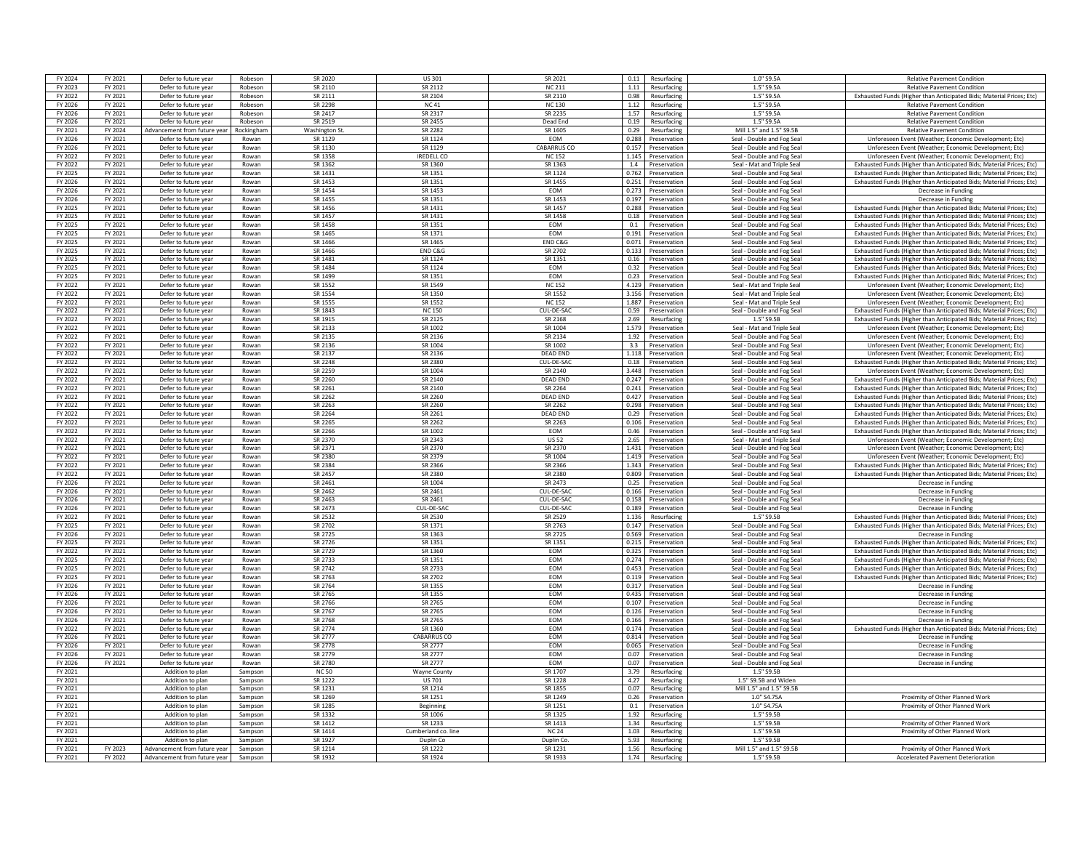| FY 2024            | FY 2021 | Defer to future year                        | Robeson    | SR 2020              | US 301                           | SR 2021         | Resurfacing<br>0.11                | $1.0"$ S9.5A                                             | <b>Relative Pavement Condition</b>                                   |
|--------------------|---------|---------------------------------------------|------------|----------------------|----------------------------------|-----------------|------------------------------------|----------------------------------------------------------|----------------------------------------------------------------------|
| FY 2023            | FY 2021 | Defer to future year                        | Robeson    | SR 2110              | SR 2112                          | <b>NC 211</b>   | 1.11 Resurfacing                   | 1.5" S9.5A                                               | <b>Relative Pavement Condition</b>                                   |
|                    |         |                                             |            |                      | SR 2104                          | SR 2110         | 0.98                               |                                                          |                                                                      |
| FY 2022            | FY 2021 | Defer to future year                        | Robeson    | SR 2111              |                                  |                 | Resurfacing                        | 1.5" S9.5A                                               | Exhausted Funds (Higher than Anticipated Bids; Material Prices; Etc) |
| FY 2026            | FY 2021 | Defer to future year                        | Robeson    | SR 2298              | <b>NC41</b>                      | <b>NC130</b>    | 1.12<br>Resurfacing                | 1.5" S9.5A                                               | <b>Relative Pavement Condition</b>                                   |
| FY 2026            | FY 2021 | Defer to future year                        | Robeson    | SR 2417              | SR 2317                          | SR 2235         | 1.57<br>Resurfacing                | 1.5" S9.5A                                               | <b>Relative Pavement Condition</b>                                   |
| FY 2026            | FY 2021 | Defer to future year                        | Robeson    | SR 2519              | SR 2455                          | Dead End        | 0.19<br>Resurfacing                | 1.5" S9.5A                                               | <b>Relative Pavement Condition</b>                                   |
| FY 2021            | FY 2024 | Advancement from future vear                | Rockingham | <b>Washington St</b> | SR 2282                          | SR 1605         | 0.29 Resurfacing                   | Mill 1.5" and 1.5" \$9.58                                | <b>Relative Payement Condition</b>                                   |
| FY 2026            | FY 2021 | Defer to future yea                         | Rowan      | SR 1129              | SR 1124                          | EOM             | 0.288<br>Preservation              | Seal - Double and Fog Seal                               | Unforeseen Event (Weather; Economic Development; Etc                 |
| FY 2026            | FY 2021 | Defer to future year                        | Rowan      | SR 1130              | SR 1129                          | CABARRUS CO     | 0.157<br>Preservation              | Seal - Double and Fog Seal                               | Unforeseen Event (Weather: Economic Development: Etc.                |
| FY 2022            | FY 2021 | Defer to future year                        | Rowan      | SR 1358              | <b>IREDELL CC</b>                | <b>NC152</b>    | 1.145 Preservation                 | Seal - Double and Fog Seal                               | Unforeseen Event (Weather: Economic Development: Etc)                |
| FY 2022            | FY 2021 | Defer to future year                        | Rowan      | SR 1362              | SR 1360                          | SR 1363         | 1.4<br>Preservation                | Seal - Mat and Triple Seal                               | Exhausted Funds (Higher than Anticipated Bids; Material Prices; Etc) |
| FY 2025            | FY 2021 | Defer to future year                        | Rowan      | SR 1431              | SR 1351                          | SR 1124         | 0.762<br>Preservation              | Seal - Double and Fog Seal                               | Exhausted Funds (Higher than Anticipated Bids; Material Prices; Etc) |
| FY 2026            | FY 2021 | Defer to future year                        | Rowan      | SR 1453              | SR 1351                          | SR 1455         | 0.251<br>Preservation              | Seal - Double and Fog Seal                               | Exhausted Funds (Higher than Anticipated Bids; Material Prices; Etc) |
| FY 2026            | FY 2021 | Defer to future year                        | Rowan      | SR 1454              | SR 1453                          | EOM             | 0.273 Preservation                 | Seal - Double and Fog Seal                               | Decrease in Funding                                                  |
| FY 2026            | FY 2021 | Defer to future year                        | Rowan      | SR 1455              | SR 1351                          | SR 1453         | 0.197<br>Preservation              | Seal - Double and Fog Seal                               | Decrease in Funding                                                  |
| FY 2025            | FY 2021 | Defer to future year                        | Rowan      | SR 1456              | SR 1431                          | SR 1457         | 0.288 Preservation                 | Seal - Double and Fog Seal                               | Exhausted Funds (Higher than Anticipated Bids: Material Prices: Etc) |
| FY 2025            | FY 2021 | Defer to future year                        | Rowan      | SR 1457              | SR 1431                          | SR 1458         | 0.18 Preservation                  | Seal - Double and Fog Seal                               | Exhausted Funds (Higher than Anticipated Bids; Material Prices; Etc) |
| FY 2025            | FY 2021 | Defer to future year                        | Rowan      | SR 1458              | SR 1351                          | EOM             | 0.1<br>Preservation                | Seal - Double and Fog Seal                               | Exhausted Funds (Higher than Anticipated Bids; Material Prices: Etc) |
| FY 2025            | FY 2021 | Defer to future year                        | Rowan      | SR 1465              | SR 1371                          | EOM             | 0.191<br>Preservation              | Seal - Double and Fog Seal                               | Exhausted Funds (Higher than Anticipated Bids; Material Prices; Etc) |
| FY 2025            | FY 2021 | Defer to future year                        | Rowan      | SR 1466              | SR 1465                          | END C&G         | 0.071<br>Preservation              |                                                          |                                                                      |
| FY 2025            | FY 2021 |                                             | Rowan      | SR 1466              | END C&G                          | SR 2702         | 0.133 Preservation                 | Seal - Double and Fog Seal                               | Exhausted Funds (Higher than Anticipated Bids; Material Prices; Etc) |
| FY 2025            | FY 2021 | Defer to future year<br>Defer to future yea | Rowan      | SR 1481              | SR 1124                          | SR 1351         | 0.16<br>Preservation               | Seal - Double and Fog Seal<br>Seal - Double and Fog Seal | Exhausted Funds (Higher than Anticipated Bids; Material Prices; Etc) |
|                    |         |                                             |            | SR 1484              | SR 1124                          | <b>FOM</b>      | 0.32                               |                                                          | Exhausted Funds (Higher than Anticipated Bids; Material Prices; Etc) |
| FY 2025            | FY 2021 | Defer to future year                        | Rowan      |                      |                                  |                 | Preservation                       | Seal - Double and Fog Seal                               | Exhausted Funds (Higher than Anticipated Bids; Material Prices; Etc) |
| FY 2025            | FY 2021 | Defer to future year                        | Rowan      | SR 1499              | SR 1351                          | <b>FOM</b>      | 0.23 Preservation                  | Seal - Double and Fog Seal                               | Exhausted Funds (Higher than Anticipated Bids; Material Prices; Etc) |
| FY 2022            | FY 2021 | Defer to future year                        | Rowan      | SR 1552              | SR 1549                          | <b>NC152</b>    | 4.129<br>Preservation              | Seal - Mat and Triple Seal                               | Unforeseen Event (Weather: Economic Development: Etc)                |
| FY 2022            | FY 2021 | Defer to future year                        | Rowan      | SR 1554              | SR 1350                          | SR 1552         | 3.156<br>Preservation              | Seal - Mat and Triple Seal                               | Unforeseen Event (Weather; Economic Development; Etc)                |
| FY 2022            | FY 2021 | Defer to future year                        | Rowan      | SR 1555              | SR 1552                          | <b>NC 152</b>   | 1.887<br>Preservation              | Seal - Mat and Triple Sea                                | Unforeseen Event (Weather; Economic Development; Etc                 |
| FY 2022            | FY 2021 | Defer to future year                        | Rowan      | SR 1843              | <b>NC150</b>                     | CUL-DE-SAC      | 0.59<br>Preservation               | Seal - Double and Fog Seal                               | Exhausted Funds (Higher than Anticipated Bids; Material Prices; Etc) |
| FY 2022            | FY 2021 | Defer to future year                        | Rowan      | SR 1915              | SR 2125                          | SR 2168         | 2.69<br>Resurfacing                | 1.5" S9.5E                                               | Exhausted Funds (Higher than Anticipated Bids; Material Prices; Etc) |
| FY 2022            | FY 2021 | Defer to future year                        | Rowan      | SR 2133              | SR 1002                          | SR 1004         | 1.579<br>Preservation              | Seal - Mat and Triple Seal                               | Unforeseen Event (Weather: Economic Development: Etc.                |
| FY 2022            | FY 2021 | Defer to future year                        | Rowan      | SR 2135              | SR 2136                          | SR 2134         | 1.92 Preservation                  | Seal - Double and Fog Seal                               | Unforeseen Event (Weather; Economic Development; Etc)                |
| FY 2022            | FY 2021 | Defer to future year                        | Rowan      | SR 2136              | SR 1004                          | SR 1002         | 3.3<br>Preservation                | Seal - Double and Fog Seal                               | Unforeseen Event (Weather; Economic Development; Etc)                |
| FY 2022            | FY 2021 | Defer to future year                        | Rowan      | SR 2137              | SR 2136                          | <b>DEAD END</b> | 1.118<br>Preservation              | Seal - Double and Fog Seal                               | Unforeseen Event (Weather: Economic Development: Etc.                |
| FY 2022            | FY 2021 | Defer to future year                        | Rowan      | SR 2248              | SR 2380                          | CUL-DE-SAG      | 0.18<br>Preservation               | Seal - Double and Fog Seal                               | Exhausted Funds (Higher than Anticipated Bids; Material Prices; Etc) |
| FY 2022            | FY 2021 | Defer to future year                        | Rowan      | SR 2259              | SR 1004                          | SR 2140         | 3.448 Preservation                 | Seal - Double and Fog Seal                               | Unforeseen Event (Weather; Economic Development; Etc                 |
| FY 2022            | FY 2021 | Defer to future yea                         | Rowan      | SR 2260              | SR 2140                          | <b>DEAD END</b> | 0.247<br>Preservation              | Seal - Double and Fog Seal                               | Exhausted Funds (Higher than Anticipated Bids: Material Prices: Etc) |
| FY 2022            | FY 2021 | Defer to future year                        | Rowan      | SR 2261              | SR 2140                          | SR 2264         | 0.241 Preservation                 | Seal - Double and Fog Seal                               | Exhausted Funds (Higher than Anticipated Bids: Material Prices: Etc) |
| FY 2022            | FY 2021 | Defer to future year                        | Rowan      | SR 2262              | SR 2260                          | <b>DEAD END</b> | 0.427 Preservation                 | Seal - Double and Fog Seal                               | Exhausted Funds (Higher than Anticipated Bids; Material Prices; Etc) |
| FY 2022            | FY 2021 | Defer to future year                        | Rowan      | SR 2263              | SR 2260                          | SR 2262         | 0.298<br>Preservation              | Seal - Double and Fog Seal                               | Exhausted Funds (Higher than Anticipated Bids; Material Prices; Etc) |
| FY 2022            | FY 2021 | Defer to future year                        | Rowan      | SR 2264              | SR 2261                          | <b>DEAD END</b> | 0.29<br>Preservation               | Seal - Double and Fog Seal                               | Exhausted Funds (Higher than Anticipated Bids; Material Prices; Etc) |
| FY 2022            | FY 2021 | Defer to future yea                         | Rowan      | SR 2265              | SR 2262                          | SR 2263         | 0.106<br>Preservation              | Seal - Double and Fog Sea                                | Exhausted Funds (Higher than Anticipated Bids: Material Prices: Etc) |
| FY 2022            | FY 2021 | Defer to future year                        | Rowan      | SR 2266              | SR 1002                          | EOM             | 0.46<br>Preservation               | Seal - Double and Fog Seal                               | Exhausted Funds (Higher than Anticipated Bids; Material Prices; Etc) |
| FY 2022            | FY 2021 | Defer to future year                        | Rowan      | SR 2370              | SR 2343                          | <b>US 52</b>    | 2.65<br>Preservation               | Seal - Mat and Triple Seal                               | Unforeseen Event (Weather: Economic Development: Etc.                |
| FY 2022            | FY 2021 | Defer to future year                        | Rowan      | SR 2371              | SR 2370                          | SR 2370         | 1.431<br>Preservation              | Seal - Double and Fog Seal                               | Unforeseen Event (Weather; Economic Development; Etc)                |
| FY 2022            | FY 2021 | Defer to future year                        | Rowan      | SR 2380              | SR 2379                          | SR 1004         | 1.419 Preservation                 | Seal - Double and Fog Seal                               | Unforeseen Event (Weather; Economic Development; Etc)                |
| FY 2022            | FY 2021 | Defer to future year                        | Rowan      | SR 2384              | SR 2366                          | SR 2366         | 1.343 Preservation                 | Seal - Double and Fog Seal                               | Exhausted Funds (Higher than Anticipated Bids; Material Prices; Etc) |
| FY 2022            | FY 2021 | Defer to future year                        | Rowan      | SR 2457              | SR 2380                          | SR 2380         | 0.809<br>Preservation              | Seal - Double and Fog Seal                               |                                                                      |
|                    |         |                                             |            |                      |                                  |                 |                                    |                                                          | Exhausted Funds (Higher than Anticipated Bids; Material Prices; Etc) |
| FY 2026            | FY 2021 | Defer to future year                        | Rowan      | SR 2461<br>SR 2462   | SR 1004                          | SR 2473         | 0.25<br>Preservation               | Seal - Double and Fog Seal                               | Decrease in Funding                                                  |
| FY 2026            | FY 2021 | Defer to future year                        | Rowan      |                      | SR 2461                          | CUL-DE-SAO      | 0.166<br>Preservation              | Seal - Double and Fog Seal                               | Decrease in Funding                                                  |
| FY 2026            | FY 2021 | Defer to future year                        | Rowan      | SR 2463              | SR 2461                          | CUL-DE-SAC      | 0.158<br>Preservation              | Seal - Double and Fog Seal                               | Decrease in Fundin                                                   |
| FY 2026            | FY 2021 | Defer to future year                        | Rowan      | SR 2473              | CUL-DE-SA                        | CUL-DE-SAC      | 0.189<br>Preservation              | Seal - Double and Fog Seal                               | Decrease in Funding                                                  |
| FY 2022            | FY 2021 | Defer to future year                        | Rowan      | SR 2532              | SR 2530                          | SR 2529         | 1.136<br>Resurfacing               | 1.5" S9.5B                                               | Exhausted Funds (Higher than Anticipated Bids; Material Prices; Etc) |
| FY 2025            | FY 2021 | Defer to future year                        | Rowan      | SR 2702              | SR 1371                          | SR 2763         | 0.147<br>Preservation              | Seal - Double and Fog Seal                               | Exhausted Funds (Higher than Anticipated Bids; Material Prices; Etc) |
| FY 2026            | FY 2021 | Defer to future year                        | Rowan      | SR 2725              | SR 1363                          | SR 2725         | 0.569<br>Preservation              | Seal - Double and Fog Seal                               | Decrease in Funding                                                  |
| FY 2025            | FY 2021 | Defer to future year                        | Rowan      | SR 2726              | SR 1351                          | SR 1351         | 0.215<br>Preservation              | Seal - Double and Fog Seal                               | Exhausted Funds (Higher than Anticipated Bids; Material Prices; Etc) |
| FY 2022            | FY 2021 | Defer to future year                        | Rowan      | SR 2729              | SR 1360                          | EOM             | 0.325<br>Preservation              | Seal - Double and Fog Seal                               | Exhausted Funds (Higher than Anticipated Bids; Material Prices; Etc) |
| FY 2025            | FY 2021 | Defer to future year                        | Rowan      | SR 2733              | SR 1351                          | <b>EOM</b>      | 0.274<br>Preservation              | Seal - Double and Fog Seal                               | Exhausted Funds (Higher than Anticipated Bids; Material Prices; Etc) |
| FY 2025            | FY 2021 | Defer to future year                        | Rowan      | SR 2742              | SR 2733                          | <b>FOM</b>      | 0.453<br>Preservation              | Seal - Double and Fog Seal                               | Exhausted Funds (Higher than Anticipated Bids; Material Prices; Etc) |
| FY 2025            | FY 2021 | Defer to future year                        | Rowan      | SR 2763              | SR 2702                          | <b>FOM</b>      | 0.119 Preservation                 | Seal - Double and Fog Seal                               | Exhausted Funds (Higher than Anticipated Bids; Material Prices; Etc) |
| FY 2026            | FY 2021 | Defer to future year                        | Rowan      | SR 2764              | SR 1355                          | <b>FOM</b>      | 0.317 Preservation                 | Seal - Double and Fog Seal                               | Decrease in Funding                                                  |
| FY 2026            | FY 2021 | Defer to future year                        | Rowan      | SR 2765              | SR 1355                          | EOM             | 0.435<br>Preservation              | Seal - Double and Fog Seal                               | Decrease in Funding                                                  |
| FY 2026            | FY 2021 | Defer to future yea                         | Rowan      | SR 2766              | SR 2765                          | EOM             | 0.107<br>Preservation              | Seal - Double and Fog Seal                               | Decrease in Funding                                                  |
| FY 2026            | FY 2021 | Defer to future yea                         | Rowan      | SR 2767              | SR 2765                          | EOM             | 0.126<br>Preservation              | Seal - Double and Fog Sea                                | Decrease in Fundir                                                   |
| FY 2026            | FY 2021 | Defer to future year                        | Rowan      | SR 2768              | SR 2765                          | <b>FOM</b>      | 0.166 Preservation                 | Seal - Double and Fog Seal                               | Decrease in Funding                                                  |
| <b>FY 2022</b>     | FY 2021 | Defer to future year                        | Rowan      | SR 2774              | SR 1360                          | EOM             | 0.174<br>Preservation              | Seal - Double and Fog Seal                               | Exhausted Funds (Higher than Anticipated Bids; Material Prices; Etc) |
| FY 2026            | FY 2021 | Defer to future year                        | Rowan      | SR 2777              | CABARRUS CO                      | <b>EOM</b>      | 0.814<br>Preservation              | Seal - Double and Fog Seal                               | Decrease in Funding                                                  |
| FY 2026            | FY 2021 | Defer to future year                        | Rowan      | SR 2778              | SR 2777                          | <b>FOM</b>      | 0.065<br>Preservation              | Seal - Double and Fog Seal                               | Decrease in Funding                                                  |
| FY 2026            | FY 2021 | Defer to future year                        | Rowan      | SR 2779              | SR 2777                          | EOM             | 0.07<br>Preservation               | Seal - Double and Fog Seal                               | Decrease in Funding                                                  |
| FY 2026            | FY 2021 | Defer to future year                        | Rowan      | SR 2780              | SR 2777                          | EOM             | 0.07<br>Preservation               | Seal - Double and Fog Seal                               | Decrease in Funding                                                  |
| FY 2021            |         | Addition to plan                            | Sampson    | <b>NC 50</b>         | <b>Wayne County</b>              | SR 1707         | 3.79<br>Resurfacing                | 1.5" S9.5B                                               |                                                                      |
| FY 2021            |         | Addition to plan                            | Sampson    | SR 1222              | <b>US 701</b>                    | SR 1228         | 4.27<br>Resurfacing                | 1.5" S9.5B and Wider                                     |                                                                      |
| FY 2021            |         | Addition to plan                            | Sampson    | SR 1231              | SR 1214                          | SR 1855         | 0.07<br>Resurfacing                | Mill 1.5" and 1.5" \$9.5B                                |                                                                      |
| FY 2021            |         | Addition to plan                            | Sampson    | SR 1269              | SR 1251                          | SR 1249         | 0.26<br>Preservation               | 1.0" S4.75A                                              | Proximity of Other Planned Work                                      |
| FY 2021            |         | Addition to plan                            | Sampson    | SR 1285              | Beginning                        | SR 1251         | 0.1 Preservation                   | 1.0" S4.75A                                              | Proximity of Other Planned Work                                      |
| FY 2021            |         | Addition to plan                            | Sampson    | SR 1332              | SR 1006                          | SR 1325         | 1.92<br>Resurfacing                | 1.5" S9.5B                                               |                                                                      |
| FY 2021            |         | Addition to plan                            | Sampson    | SR 1412              | SR 1233                          | SR 1413         | 1.34<br>Resurfacing                | 1.5" S9.5E                                               | Proximity of Other Planned Work                                      |
| FY 2021            |         | Addition to plan                            | Sampson    | SR 1414              |                                  | <b>NC 24</b>    | 1.03                               | 1.5" S9.5F                                               | Proximity of Other Planned Work                                      |
| FY 2021            |         |                                             | Sampson    | SR 1927              | Cumberland co. line<br>Duplin Co | Duplin Co       | Resurfacing<br>5.93<br>Resurfacing | 1.5" S9.5F                                               |                                                                      |
|                    | FY 2023 | Addition to plan                            | Sampson    | SR 1214              | SR 1222                          | SR 1233         | 1.56                               | Mill 1.5" and 1.5" \$9.58                                |                                                                      |
| FY 2021<br>FY 2021 |         | Advancement from future year                |            |                      |                                  |                 | Resurfacing                        |                                                          | Proximity of Other Planned Work                                      |
|                    | FY 2022 | Advancement from future year                | Sampson    | SR 1932              | SR 1924                          | SR 1933         | 1.74<br>Resurfacing                | 1.5" S9.5B                                               | Accelerated Pavement Deterioration                                   |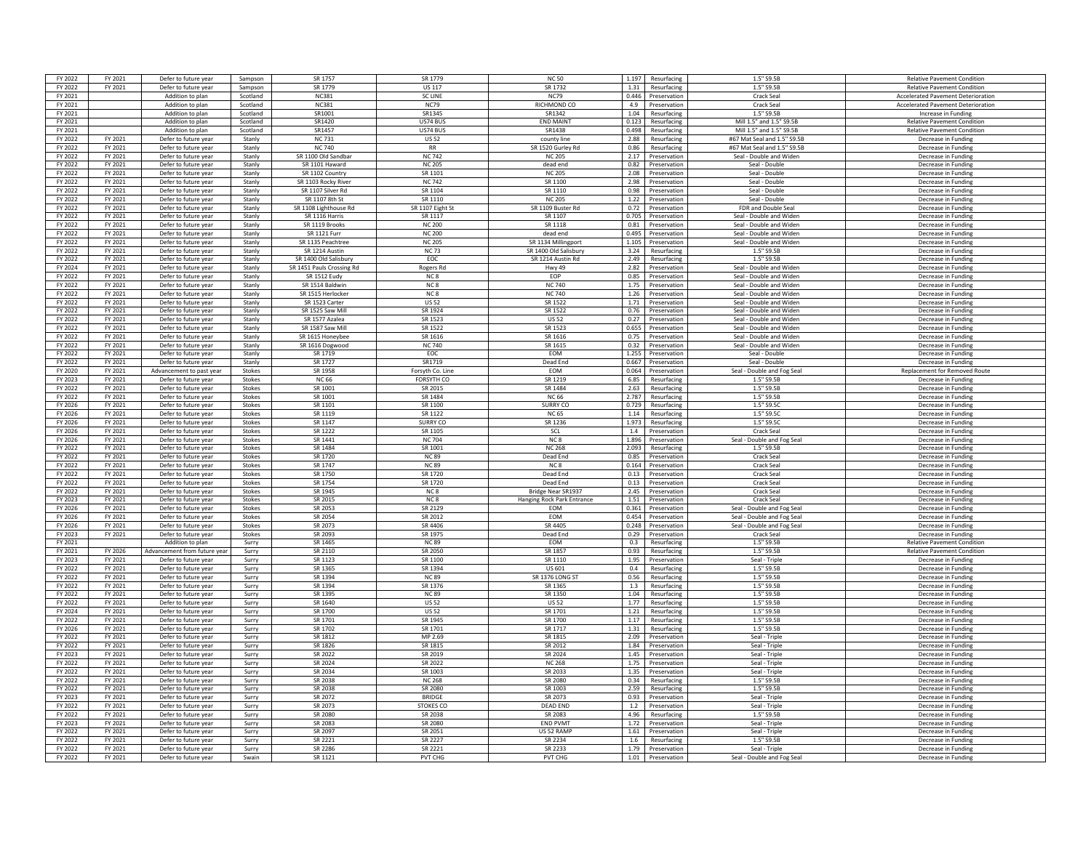| FY 2022        | FY 2021 | Defer to future year        | Sampson       | SR 1757                   | SR 1779           | <b>NC 50</b>                      | 1.197 | Resurfacing        | 1.5" S9.5E                  | <b>Relative Pavement Condition</b>        |
|----------------|---------|-----------------------------|---------------|---------------------------|-------------------|-----------------------------------|-------|--------------------|-----------------------------|-------------------------------------------|
| FY 2022        | FY 2021 | Defer to future year        | Sampson       | SR 1779                   | <b>US 117</b>     | SR 1732                           |       | 1.31 Resurfacing   | 1.5" S9.5B                  | <b>Relative Pavement Condition</b>        |
| FY 2021        |         | Addition to plan            | Scotland      | <b>NC381</b>              | <b>SCLINE</b>     | <b>NC79</b>                       | 0.446 | Preservation       | <b>Crack Seal</b>           | <b>Accelerated Payement Deterioration</b> |
|                |         | Addition to plan            | Scotland      | <b>NC381</b>              |                   | RICHMOND CO                       | 4.9   |                    | Crack Seal                  |                                           |
| FY 2021        |         |                             |               |                           | <b>NC79</b>       |                                   |       | Preservation       |                             | Accelerated Pavement Deterioration        |
| FY 2021        |         | Addition to plar            | Scotland      | SR1001                    | SR1345            | SR1342                            | 1.04  | Resurfacing        | 1.5" S9.5B                  | Increase in Funding                       |
| FY 2021        |         | Addition to plan            | Scotland      | SR1420                    | US74 BUS          | <b>FND MAINT</b>                  | 0.123 | Resurfacing        | Mill 1.5" and 1.5" S9.5B    | <b>Relative Pavement Condition</b>        |
| FY 2021        |         | Addition to plan            | Scotland      | SR1457                    | US74 BUS          | SR1438                            | 0.498 | Resurfacing        | Mill 1.5" and 1.5" S9.5B    | <b>Relative Pavement Condition</b>        |
| FY 2022        | FY 2021 | Defer to future year        | Stanly        | <b>NC731</b>              | <b>US 52</b>      | county line                       | 2.88  | Resurfacing        | #67 Mat Seal and 1.5" S9.5B | Decrease in Funding                       |
| FY 2022        | FY 2021 | Defer to future year        | Stanly        | <b>NC 740</b>             | <b>RR</b>         | SR 1520 Gurley Rd                 |       | 0.86 Resurfacing   | #67 Mat Seal and 1.5" S9.5B | Decrease in Funding                       |
| FY 2022        | FY 2021 | Defer to future year        | Stanly        | SR 1100 Old Sandbar       | <b>NC 742</b>     | NC 205                            | 2.17  | Preservation       | Seal - Double and Widen     | Decrease in Funding                       |
| FY 2022        | FY 2021 | Defer to future year        | Stanly        | SR 1101 Haward            | <b>NC 205</b>     | dead end                          | 0.82  | Preservation       | Seal - Double               | Decrease in Funding                       |
| FY 2022        | FY 2021 | Defer to future year        | Stanly        | SR 1102 Country           | SR 1101           | <b>NC 205</b>                     | 2.08  | Preservation       | Seal - Double               | Decrease in Funding                       |
| <b>FV 2022</b> | FY 2021 | Defer to future year        | Stanly        | SR 1103 Rocky River       | NC 742            | SR 1100                           | 2.98  | Preservation       | Seal - Double               | Decrease in Funding                       |
| FY 2022        | FY 2021 | Defer to future year        | Stanly        | SR 1107 Silver Rd         | SR 1104           | SR 1110                           | 0.98  | Preservation       | Seal - Double               | Decrease in Funding                       |
|                |         |                             |               |                           |                   |                                   |       |                    |                             |                                           |
| FY 2022        | FY 2021 | Defer to future year        | Stanly        | SR 1107 8th St            | SR 1110           | <b>NC 205</b>                     | 1.22  | Preservation       | Seal - Double               | Decrease in Funding                       |
| FY 2022        | FY 2021 | Defer to future year        | Stanly        | SR 1108 Lighthouse Rd     | SR 1107 Eight St  | SR 1109 Buster Rd                 |       | 0.72 Preservation  | FDR and Double Seal         | Decrease in Funding                       |
| FY 2022        | FY 2021 | Defer to future year        | Stanly        | SR 1116 Harris            | SR 1117           | SR 1107                           | 0.705 | Preservation       | Seal - Double and Widen     | Decrease in Funding                       |
| FY 2022        | FY 2021 | Defer to future year        | Stanly        | SR 1119 Brooks            | <b>NC 200</b>     | SR 1118                           | 0.81  | Preservation       | Seal - Double and Widen     | Decrease in Funding                       |
| FY 2022        | FY 2021 | Defer to future year        | Stanly        | <b>SR 1121 Furr</b>       | <b>NC 200</b>     | dead end                          | 0.495 | Preservation       | Seal - Double and Wider     | Decrease in Funding                       |
| FY 2022        | FY 2021 | Defer to future year        | Stanly        | SR 1135 Peachtree         | <b>NC 205</b>     | SR 1134 Millingport               | 1.105 | Preservation       | Seal - Double and Wider     | Decrease in Fundin                        |
| FY 2022        | FY 2021 | Defer to future year        | Stanly        | SR 1214 Austin            | <b>NC73</b>       | SR 1400 Old Salisbury             | 3.24  | Resurfacing        | 1.5" S9.5B                  | Decrease in Funding                       |
| FY 2022        | FY 2021 | Defer to future year        | Stanly        | SR 1400 Old Salisbur      | EOC               | SR 1214 Austin Rd                 | 2.49  | Resurfacing        | 1.5" S9.5E                  | Decrease in Funding                       |
| FY 2024        | FY 2021 | Defer to future year        | Stanly        | SR 1451 Pauls Crossing Rd |                   | <b>Hwy 49</b>                     |       | 2.82 Preservation  | Seal - Double and Widen     | Decrease in Funding                       |
| FY 2022        | FY 2021 | Defer to future year        | Stanly        | SR 1512 Fudy              | Rogers Rd<br>NC 8 | <b>FOP</b>                        | 0.85  | Preservation       | Seal - Double and Widen     | Decrease in Funding                       |
|                |         |                             |               |                           |                   |                                   |       |                    |                             |                                           |
| FY 2022        | FY 2021 | Defer to future year        | Stanly        | SR 1514 Baldwin           | NC <sub>8</sub>   | <b>NC 740</b>                     | 1.75  | Preservation       | Seal - Double and Widen     | Decrease in Funding                       |
| FY 2022        | FY 2021 | Defer to future year        | Stanly        | SR 1515 Herlocker         | NC <sub>8</sub>   | <b>NC 740</b>                     | 1.26  | Preservation       | Seal - Double and Widen     | Decrease in Funding                       |
| FY 2022        | FY 2021 | Defer to future year        | Stanly        | SR 1523 Carter            | <b>US 52</b>      | SR 1522                           | 1.71  | Preservation       | Seal - Double and Widen     | Decrease in Funding                       |
| FY 2022        | FY 2021 | Defer to future year        | Stanly        | SR 1525 Saw Mill          | SR 1924           | SR 1522                           | 0.76  | Preservation       | Seal - Double and Wider     | Decrease in Fundin                        |
| FY 2022        | FY 2021 | Defer to future year        | Stanly        | SR 1577 Azalea            | SR 1523           | <b>US 52</b>                      | 0.27  | Preservation       | Seal - Double and Wider     | Decrease in Funding                       |
| FY 2022        | FY 2021 | Defer to future year        | Stanly        | SR 1587 Saw Mill          | SR 1522           | SR 1523                           | 0.655 | Preservation       | Seal - Double and Widen     | Decrease in Funding                       |
| FY 2022        | FY 2021 | Defer to future year        | Stanly        | SR 1615 Honeybee          | SR 1616           | SR 1616                           | 0.75  | Preservation       | Seal - Double and Widen     | Decrease in Funding                       |
| FY 2022        | FY 2021 | Defer to future year        | Stanly        | SR 1616 Dogwood           | <b>NC740</b>      | SR 1615                           | 0.32  | Preservation       | Seal - Double and Widen     | Decrease in Funding                       |
| FY 2022        | FY 2021 | Defer to future year        | Stanly        | SR 1719                   | EOC               | EOM                               | 1.255 | Preservation       | Seal - Double               | Decrease in Funding                       |
|                |         |                             |               |                           |                   |                                   |       |                    |                             |                                           |
| FY 2022        | FY 2021 | Defer to future year        | Stanly        | SR 1727                   | SR1719            | Dead End                          | 0.667 | Preservation       | Seal - Double               | Decrease in Funding                       |
| FY 2020        | FY 2021 | Advancement to past year    | Stokes        | SR 1958                   | Forsyth Co. Lin   | EOM                               | 0.064 | Preservation       | Seal - Double and Fog Seal  | Replacement for Removed Rout              |
| FY 2023        | FY 2021 | Defer to future year        | Stokes        | <b>NC 66</b>              | FORSYTH CO        | SR 1219                           | 6.85  | Resurfacing        | 1.5" S9.5B                  | Decrease in Funding                       |
| FY 2022        | FY 2021 | Defer to future year        | Stokes        | SR 1001                   | SR 2015           | SR 1484                           |       | 2.63 Resurfacing   | 1.5" S9.5B                  | Decrease in Funding                       |
| FY 2022        | FY 2021 | Defer to future year        | Stokes        | SR 1001                   | SR 1484           | NC 66                             | 2.787 | Resurfacing        | 1.5" S9.5B                  | Decrease in Funding                       |
| FY 2026        | FY 2021 | Defer to future year        | Stokes        | SR 1101                   | SR 1100           | <b>SURRY CO</b>                   | 0.729 | Resurfacing        | 1.5" S9.5C                  | Decrease in Funding                       |
| FY 2026        | FY 2021 | Defer to future year        | Stokes        | SR 1119                   | SR 1122           | <b>NC 65</b>                      | 1.14  | Resurfacing        | 1.5" S9.5C                  | Decrease in Funding                       |
| FY 2026        | FY 2021 | Defer to future year        | Stokes        | SR 1147                   | SURRY CO          | SR 1236                           | 1.973 | Resurfacing        | 1.5" \$9.50                 | Decrease in Funding                       |
| FY 2026        | FY 2021 | Defer to future year        | Stokes        | SR 1222                   | SR 1105           | SCI.                              | 1.4   | Preservation       | <b>Crack Seal</b>           | Decrease in Funding                       |
| FY 2026        | FY 2021 | Defer to future year        | Stokes        | SR 1441                   | <b>NC 704</b>     | NC <sub>8</sub>                   | 1.896 | Preservation       | Seal - Double and Fog Seal  | Decrease in Funding                       |
| FY 2022        | FY 2021 | Defer to future year        | Stokes        | SR 1484                   | SR 1001           | <b>NC 268</b>                     |       | 2.093 Resurfacing  | 1.5" S9.5B                  | Decrease in Funding                       |
|                |         |                             |               |                           |                   |                                   |       |                    |                             |                                           |
| FY 2022        | FY 2021 | Defer to future year        | Stokes        | SR 1720                   | <b>NC89</b>       | Dead End                          | 0.85  | Preservation       | Crack Seal                  | Decrease in Funding                       |
| FY 2022        | FY 2021 | Defer to future year        | Stokes        | SR 1747                   | <b>NC 89</b>      | NC <sub>8</sub>                   | 0.164 | Preservation       | Crack Seal                  | Decrease in Funding                       |
| FY 2022        | FY 2021 | Defer to future year        | Stokes        | SR 1750                   | SR 1720           | Dead End                          | 0.13  | Preservation       | Crack Seal                  | Decrease in Funding                       |
| FY 2022        | FY 2021 | Defer to future year        | <b>Stokes</b> | SR 1754                   | SR 1720           | Dead End                          | 0.13  | Preservation       | Crack Seal                  | Decrease in Funding                       |
| FY 2022        | FY 2021 | Defer to future year        | Stokes        | SR 1945                   | NC <sub>8</sub>   | <b>Bridge Near SR193</b>          | 2.45  | Preservation       | Crack Seal                  | Decrease in Funding                       |
| FY 2023        | FY 2021 | Defer to future year        | Stokes        | SR 2015                   | NC <sub>8</sub>   | <b>Hanging Rock Park Entrance</b> | 1.51  | Preservation       | Crack Seal                  | Decrease in Funding                       |
| FY 2026        | FY 2021 | Defer to future year        | Stokes        | SR 2053                   | SR 2129           | <b>EOM</b>                        |       | 0.361 Preservation | Seal - Double and Fog Seal  | Decrease in Funding                       |
| FY 2026        | FY 2021 | Defer to future year        | Stokes        | SR 2054                   | SR 2012           | <b>FOM</b>                        | 0,454 | Preservation       | Seal - Double and Fog Seal  | Decrease in Funding                       |
| FY 2026        | FY 2021 | Defer to future year        | Stokes        | SR 2073                   | SR 4406           | SR 4405                           | 0.248 | Preservation       | Seal - Double and Fog Seal  | Decrease in Funding                       |
| FY 2023        | FY 2021 | Defer to future year        | Stokes        | SR 2093                   | SR 1975           | Dead End                          | 0.29  | Preservation       | Crack Seal                  | Decrease in Funding                       |
| FY 2021        |         | Addition to plan            | Surry         | SR 1465                   | <b>NC 89</b>      | <b>FOM</b>                        | 0.3   | Resurfacing        | 1.5" S9.5B                  | <b>Relative Pavement Condition</b>        |
|                |         |                             |               |                           |                   |                                   |       |                    |                             |                                           |
| FY 2021        | FY 2026 | Advancement from future vea | Surry         | SR 2110                   | SR 2050           | SR 1857                           | 0.93  | Resurfacing        | 1.5" S9.5B                  | <b>Relative Pavement Condition</b>        |
| FY 2023        | FY 2021 | Defer to future year        | Surry         | SR 1123                   | SR 1100           | SR 1110                           | 1.95  | Preservation       | Seal - Triple               | Decrease in Fundin                        |
| FY 2022        | FY 2021 | Defer to future year        | Surry         | SR 1365                   | SR 1394           | US 601                            |       | 0.4 Resurfacing    | 1.5" S9.5B                  | Decrease in Funding                       |
| FY 2022        | FY 2021 | Defer to future year        | Surry         | SR 1394                   | <b>NC 89</b>      | SR 1376 LONG ST                   | 0.56  | Resurfacing        | 1.5" S9.5B                  | Decrease in Funding                       |
| FY 2022        | FY 2021 | Defer to future year        | Surry         | SR 1394                   | SR 1376           | SR 1365                           | 1.3   | Resurfacing        | 1.5" S9.5B                  | Decrease in Funding                       |
| FY 2022        | FY 2021 | Defer to future year        | Surry         | SR 1395                   | <b>NC89</b>       | SR 1350                           | 1.04  | Resurfacing        | 1.5" S9.5B                  | Decrease in Funding                       |
| FY 2022        | FY 2021 | Defer to future year        | Surry         | SR 1640                   | <b>US 52</b>      | <b>US 52</b>                      | 1.77  | Resurfacing        | 15"595B                     | Decrease in Funding                       |
| FY 2024        | FY 2021 | Defer to future year        | Surry         | SR 1700                   | <b>US 52</b>      | SR 1701                           | 1.21  | Resurfacing        | 1.5" S9.5B                  | Decrease in Funding                       |
| FY 2022        | FY 2021 | Defer to future year        | Surry         | SR 1701                   | SR 1945           | SR 1700                           | 1.17  | Resurfacing        | 1.5" S9.5B                  | Decrease in Fundin                        |
| FY 2026        | FY 2021 | Defer to future year        | Surry         | SR 1702                   | SR 1701           | SR 1717                           |       | 1.31 Resurfacing   | 1.5" S9.5B                  | Decrease in Funding                       |
| FY 2022        | FY 2021 | Defer to future year        | Surry         | SR 1812                   | MP 2.69           | SR 1815                           | 2.09  | Preservation       | Seal - Triple               | Decrease in Funding                       |
| FY 2022        | FY 2021 |                             |               | SR 1826                   | SR 1815           | SR 2012                           | 1.84  |                    | Seal - Triple               |                                           |
|                |         | Defer to future year        | Surry         |                           |                   |                                   |       | Preservation       |                             | Decrease in Funding                       |
| FY 2023        | FY 2021 | Defer to future year        | Surry         | SR 2022                   | SR 2019           | SR 2024                           | 1.45  | Preservation       | Seal - Triple               | Decrease in Funding                       |
| FY 2022        | FY 2021 | Defer to future year        | Surry         | SR 2024                   | SR 2022           | <b>NC 268</b>                     | 1.75  | Preservation       | Seal - Triple               | Decrease in Fundin                        |
| FY 2022        | FY 2021 | Defer to future year        | Surry         | SR 2034                   | SR 1003           | SR 2033                           | 1.35  | Preservation       | Seal - Triple               | Decrease in Fundin                        |
| FY 2022        | FY 2021 | Defer to future year        | Surry         | SR 2038                   | NC 268            | SR 2080                           | 0.34  | Resurfacing        | 1.5" S9.5B                  | Decrease in Fundin                        |
| FY 2022        | FY 2021 | Defer to future year        | Surry         | SR 2038                   | SR 2080           | SR 1003                           |       | 2.59 Resurfacing   | 1.5" S9.5B                  | Decrease in Funding                       |
| FY 2023        | FY 2021 | Defer to future year        | Surry         | SR 2072                   | <b>BRIDGE</b>     | SR 2073                           |       | 0.93 Preservation  | Seal - Triple               | Decrease in Funding                       |
| FY 2022        | FY 2021 | Defer to future year        | Surry         | SR 2073                   | STOKES CO         | <b>DEAD END</b>                   | 1.2   | Preservation       | Seal - Triple               | Decrease in Funding                       |
| FY 2022        | FY 2021 | Defer to future year        | Surry         | <b>SR 2080</b>            | SR 2038           | SR 2083                           | 4.96  | Resurfacing        | 1.5" S9.5B                  | Decrease in Funding                       |
| FY 2023        | FY 2021 |                             |               | SR 2083                   | SR 2080           | <b>END PVMT</b>                   | 1.72  |                    |                             | Decrease in Funding                       |
|                |         | Defer to future year        | Surry         | SR 2097                   | SR 2051           | US 52 RAME                        |       | Preservation       | Seal - Triple               |                                           |
| FY 2022        | FY 2021 | Defer to future year        | Surry         |                           |                   |                                   | 1.61  | Preservation       | Seal - Triple               | Decrease in Funding                       |
| FY 2022        | FY 2021 | Defer to future year        | Surry         | SR 2221                   | SR 2227           | SR 2234                           | 1.6   | Resurfacing        | 1.5" S9.5B                  | Decrease in Funding                       |
| FY 2022        | FY 2021 | Defer to future year        | Surry         | SR 2286                   | SR 2221           | SR 2233                           | 1.79  | Preservation       | Seal - Triple               | Decrease in Funding                       |
|                | FY 2021 | Defer to future year        | Swain         | SR 1121                   | <b>PVT CHG</b>    | PVT CHG                           |       | 1.01 Preservation  | Seal - Double and Fog Seal  | Decrease in Funding                       |
| FY 2022        |         |                             |               |                           |                   |                                   |       |                    |                             |                                           |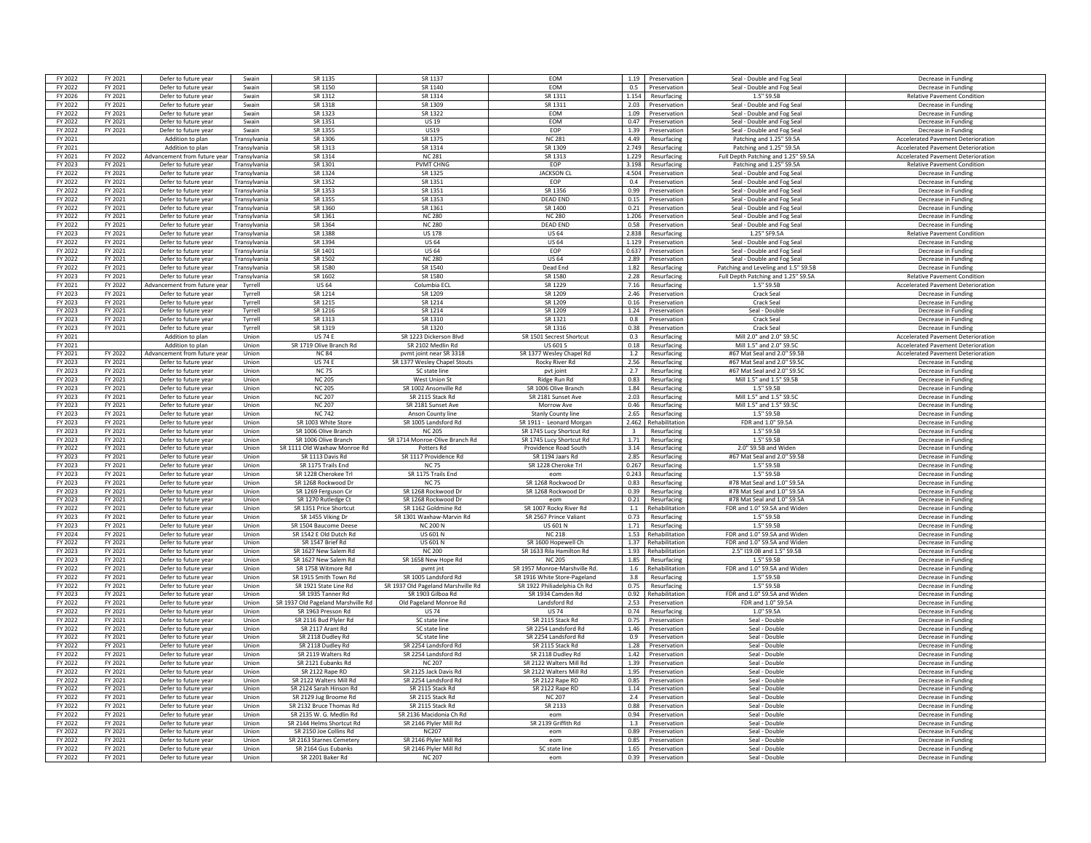| FY 2022            | FY 2021            | Defer to future year                         | Swain          | SR 1135                                 | SR 1137                                 | <b>FOM</b>                               |                | 1.19 Preservation                      | Seal - Double and Fog Seal           | Decrease in Funding                        |
|--------------------|--------------------|----------------------------------------------|----------------|-----------------------------------------|-----------------------------------------|------------------------------------------|----------------|----------------------------------------|--------------------------------------|--------------------------------------------|
| FY 2022            | FY 2021            | Defer to future year                         | Swain          | SR 1150                                 | SR 1140                                 | EOM                                      |                | 0.5 Preservation                       | Seal - Double and Fog Seal           | Decrease in Funding                        |
|                    |                    |                                              |                |                                         |                                         |                                          |                |                                        |                                      |                                            |
| FY 2026            | FY 2021            | Defer to future year                         | Swain          | SR 1312                                 | SR 1314                                 | SR 1311                                  |                | 1.154 Resurfacing                      | 1.5" S9.5B                           | <b>Relative Pavement Condition</b>         |
| FY 2022            | FY 2021            | Defer to future year                         | Swain          | SR 1318                                 | SR 1309                                 | SR 1311                                  |                | 2.03 Preservation                      | Seal - Double and Fog Seal           | Decrease in Funding                        |
| FY 2022            | FY 2021            | Defer to future year                         | Swain          | SR 1323                                 | SR 1322                                 | EOM                                      |                | 1.09 Preservation                      | Seal - Double and Fog Seal           | Decrease in Funding                        |
| FY 2022            | FY 2021            | Defer to future year                         | Swain          | SR 1351                                 | <b>US 19</b>                            | EOM                                      | 0.47           | Preservation                           | Seal - Double and Fog Seal           | Decrease in Funding                        |
| FY 2022            | FY 2021            | Defer to future year                         | Swain          | SR 1355                                 | <b>US19</b>                             | FOP                                      |                | 1.39 Preservation                      | Seal - Double and Fog Seal           | Decrease in Funding                        |
| FY 2021            |                    | Addition to plan                             | Transvlvania   | SR 1306                                 | SR 1375                                 | <b>NC 281</b>                            | 4.49           | Resurfacing                            | Patching and 1.25" S9.5A             | <b>Accelerated Pavement Deterioration</b>  |
|                    |                    |                                              |                |                                         |                                         |                                          |                |                                        |                                      |                                            |
| FY 2021            |                    | Addition to plan                             | Transylvania   | SR 1313                                 | SR 1314                                 | SR 1309                                  | 2.749          | Resurfacing                            | Patching and 1.25" S9.5A             | <b>Accelerated Pavement Deterioration</b>  |
| FY 2021            | FY 2022            | Advancement from future year                 | Transvlvania   | SR 1314                                 | <b>NC 281</b>                           | SR 1313                                  |                | 1.229 Resurfacing                      | Full Depth Patching and 1.25" S9.5A  | <b>Accelerated Pavement Deterioration</b>  |
| FY 2023            | FY 2021            | Defer to future year                         | Transylvania   | SR 1301                                 | <b>PVMT CHNG</b>                        | EOP                                      | 3.198          | Resurfacing                            | Patching and 1.25" S9.5A             | <b>Relative Pavement Condition</b>         |
| FY 2022            | FY 2021            | Defer to future year                         | Transylvania   | SR 1324                                 | SR 1325                                 | <b>JACKSON CI</b>                        | 4.504          | Preservation                           | Seal - Double and Fog Seal           | Decrease in Funding                        |
| FY 2022            | FY 2021            | Defer to future year                         | Transylvania   | SR 1352                                 | SR 1351                                 | EOP                                      | 0.4            | Preservation                           | Seal - Double and Fog Seal           | Decrease in Funding                        |
| FY 2022            | FY 2021            | Defer to future year                         | Transvlvania   | SR 1353                                 | SR 1351                                 | SR 1356                                  | 0.99           | Preservation                           | Seal - Double and Fog Seal           | Decrease in Funding                        |
| FY 2022            | FY 2021            | Defer to future year                         | Transylvania   | SR 1355                                 | SR 1353                                 | <b>DFAD FND</b>                          | 0.15           | Preservation                           | Seal - Double and Fog Seal           | Decrease in Funding                        |
|                    |                    |                                              |                |                                         |                                         |                                          |                |                                        |                                      |                                            |
| FY 2022            | FY 2021            | Defer to future year                         | Transvlvania   | SR 1360                                 | SR 1361                                 | SR 1400                                  |                | 0.21 Preservation                      | Seal - Double and Fog Seal           | Decrease in Funding                        |
| FY 2022            | FY 2021            | Defer to future year                         | Transylvania   | SR 1361                                 | <b>NC 280</b>                           | <b>NC 280</b>                            |                | 1.206 Preservation                     | Seal - Double and Fog Seal           | Decrease in Funding                        |
| FY 2022            | FY 2021            | Defer to future year                         | Transvlvania   | SR 1364                                 | <b>NC 280</b>                           | <b>DEAD END</b>                          |                | 0.58 Preservation                      | Seal - Double and Fog Seal           | Decrease in Funding                        |
| FY 2023            | FY 2021            | Defer to future year                         | Transylvania   | SR 1388                                 | <b>US 178</b>                           | <b>US 64</b>                             | 2.838          | Resurfacing                            | 1.25" SF9.5A                         | <b>Relative Pavement Condition</b>         |
| FY 2022            | FY 2021            | Defer to future year                         | Transvlvania   | SR 1394                                 | <b>US 64</b>                            | <b>US 64</b>                             | 1.129          | Preservation                           | Seal - Double and Fog Seal           | Decrease in Funding                        |
| FY 2022            | FY 2021            | Defer to future year                         | Transvlvania   | SR 1401                                 | <b>US 64</b>                            | <b>FOP</b>                               |                | 0.637 Preservation                     | Seal - Double and Fog Seal           | Decrease in Funding                        |
|                    |                    |                                              |                |                                         |                                         |                                          |                |                                        |                                      |                                            |
| FY 2022            | FY 2021            | Defer to future year                         | Transvlvania   | SR 1502                                 | <b>NC 280</b>                           | <b>US 64</b>                             | 2.89           | Preservation                           | Seal - Double and Fog Seal           | Decrease in Funding                        |
| FY 2022            | FY 2021            | Defer to future year                         | Transylvania   | SR 1580                                 | SR 1540                                 | Dead End                                 | 1.82           | Resurfacing                            | Patching and Leveling and 1.5" S9.5E | Decrease in Funding                        |
| FY 2023            | FY 2021            | Defer to future year                         | Transylvania   | SR 1602                                 | SR 1580                                 | SR 1580                                  |                | 2.28 Resurfacing                       | Full Depth Patching and 1.25" S9.5A  | <b>Relative Pavement Condition</b>         |
| FY 2021            | FY 2022            | Advancement from future vea                  | Tvrrell        | <b>US64</b>                             | Columbia ECI                            | SR 1229                                  | 7.16           | Resurfacing                            | 1.5" S9.5B                           | <b>Accelerated Pavement Deterioration</b>  |
| FY 2023            | FY 2021            | Defer to future year                         | Tyrrell        | SR 1214                                 | SR 1209                                 | SR 1209                                  | 2.46           | Preservation                           | Crack Seal                           | Decrease in Funding                        |
| FY 2023            | FY 2021            | Defer to future year                         | Tyrrell        | SR 1215                                 | SR 1214                                 | SR 1209                                  | 0.16           | Preservation                           | Crack Seal                           | Decrease in Funding                        |
| FY 2023            |                    |                                              |                | SR 1216                                 | SR 1214                                 |                                          |                |                                        | Seal - Double                        |                                            |
|                    | FY 2021            | Defer to future year                         | Tyrrell        |                                         |                                         | SR 1209                                  | 1.24           | Preservation                           |                                      | Decrease in Funding                        |
| FY 2023            | FY 2021            | Defer to future year                         | Tvrrell        | SR 1313                                 | SR 1310                                 | SR 1321                                  | 0.8            | Preservation                           | <b>Crack Seal</b>                    | Decrease in Funding                        |
| FY 2023            | FY 2021            | Defer to future year                         | Tvrrell        | SR 1319                                 | SR 1320                                 | SR 1316                                  |                | 0.38 Preservation                      | Crack Seal                           | Decrease in Funding                        |
| FY 2021            |                    | Addition to plan                             | Union          | <b>US 74 E</b>                          | SR 1223 Dickerson Blvd                  | SR 1501 Secrest Shortcut                 |                | 0.3 Resurfacing                        | Mill 2.0" and 2.0" S9.5C             | <b>Accelerated Pavement Deterioration</b>  |
| FY 2021            |                    | Addition to plan                             | Union          | SR 1719 Olive Branch Rd                 | SR 2102 Medlin Rd                       | <b>US 601 S</b>                          |                | 0.18 Resurfacing                       | Mill 1.5" and 2.0" \$9.50            | <b>Accelerated Pavement Deterioration</b>  |
| FY 2021            | FY 2022            | Advancement from future vea                  | Union          | <b>NC 84</b>                            | pymt joint near SR 3318                 | SR 1377 Wesley Chapel Rd                 | 1.2            | Resurfacing                            | #67 Mat Seal and 2.0" S9.5B          | <b>Accelerated Pavement Deterioration</b>  |
| FY 2023            | FY 2021            | Defer to future year                         | Union          | <b>US 74 E</b>                          | SR 1377 Wesley Chapel Stouts            | Rocky River Rd                           | 2.56           | Resurfacing                            | #67 Mat Seal and 2.0" S9.5C          | Decrease in Funding                        |
|                    |                    |                                              |                | <b>NC 75</b>                            |                                         |                                          | 2.7            |                                        | #67 Mat Seal and 2.0" \$9.50         |                                            |
| FY 2023            | FY 2021            | Defer to future year                         | Union          |                                         | SC state line                           | pvt joint                                |                | Resurfacing                            |                                      | Decrease in Funding                        |
| FY 2023            | FY 2021            | Defer to future year                         | Union          | <b>NC 205</b>                           | West Union St                           | Ridge Run Rd                             | 0.83           | Resurfacing                            | Mill 1.5" and 1.5" S9.5B             | Decrease in Eunding                        |
| FY 2023            | FY 2021            | Defer to future year                         | Union          | <b>NC 205</b>                           | SR 1002 Ansonville Rd                   | SR 1006 Olive Branch                     | 1.84           | Resurfacing                            | 1.5" S9.5B                           | Decrease in Funding                        |
| FY 2023            | FY 2021            | Defer to future year                         | Union          | <b>NC 207</b>                           | SR 2115 Stack Rd                        | SR 2181 Sunset Ave                       |                | 2.03 Resurfacing                       | Mill 1.5" and 1.5" S9.5C             | Decrease in Funding                        |
| FY 2023            | FY 2021            | Defer to future year                         | Union          | NC 207                                  | SR 2181 Sunset Ave                      | Morrow Ave                               | 0.46           | Resurfacing                            | Mill 1.5" and 1.5" \$9.50            | Decrease in Funding                        |
| FY 2023            | FY 2021            | Defer to future year                         | Union          | <b>NC 742</b>                           | Anson County line                       | <b>Stanly County line</b>                | 2.65           | Resurfacing                            | 1.5" S9.5B                           | Decrease in Funding                        |
| FY 2023            | FY 2021            | Defer to future year                         | Union          | SR 1003 White Store                     | SR 1005 Landsford Rd                    | SR 1911 - Leonard Morgan                 | 2.462          | Rehabilitation                         | FDR and 1.0" S9.5/                   | Decrease in Funding                        |
|                    |                    |                                              |                |                                         |                                         |                                          |                |                                        |                                      |                                            |
|                    |                    |                                              |                |                                         |                                         |                                          |                |                                        |                                      |                                            |
| FY 2023            | FY 2021            | Defer to future year                         | Union          | SR 1006 Olive Branch                    | <b>NC 205</b>                           | SR 1745 Lucy Shortcut Rd                 | $\overline{3}$ | Resurfacing                            | 1.5" S9.5F                           | Decrease in Funding                        |
| FY 2023            | FY 2021            | Defer to future year                         | Union          | SR 1006 Olive Branch                    | SR 1714 Monroe-Olive Branch Rd          | SR 1745 Lucy Shortcut Rd                 | 1.71           | Resurfacing                            | 1.5" S9.5B                           | Decrease in Funding                        |
| FY 2022            | FY 2021            | Defer to future year                         | Union          | SR 1111 Old Waxhaw Monroe Rd            | Potters Rd                              | Providence Road South                    |                | 3.14 Resurfacing                       | 2.0" S9.5B and Wider                 | Decrease in Funding                        |
|                    |                    |                                              |                |                                         |                                         |                                          |                |                                        | #67 Mat Seal and 2.0" S9.5B          | Decrease in Funding                        |
| FY 2023<br>FY 2023 | FY 2021<br>FY 2021 | Defer to future year<br>Defer to future year | Union<br>Union | SR 1113 Davis Rd<br>SR 1175 Trails End  | SR 1117 Providence Rd<br><b>NC 75</b>   | SR 1194 Jaars Rd<br>SR 1228 Cheroke Trl  |                | 2.85 Resurfacing<br>0.267 Resurfacing  | 1.5" S9.5B                           | Decrease in Funding                        |
|                    |                    |                                              |                |                                         |                                         |                                          |                |                                        |                                      |                                            |
| FY 2023            | FY 2021            | Defer to future year                         | Union          | SR 1228 Cherokee Trl                    | SR 1175 Trails End                      | eom                                      | 0.243          | Resurfacing                            | 1.5" S9.5B                           | Decrease in Funding                        |
| FY 2023            | FY 2021            | Defer to future year                         | Union          | SR 1268 Rockwood Dr                     | <b>NC75</b>                             | SR 1268 Rockwood Dr                      | 0.83           | Resurfacing                            | #78 Mat Seal and 1.0" S9.5A          | Decrease in Funding                        |
| FY 2023            | FY 2021            | Defer to future year                         | Union          | SR 1269 Ferguson Cir                    | SR 1268 Rockwood Dr                     | SR 1268 Rockwood Dr                      |                | 0.39 Resurfacing                       | #78 Mat Seal and 1.0" S9.5A          | Decrease in Funding                        |
| FY 2023            | FY 2021            | Defer to future year                         | Union          | SR 1270 Rutledge Ct                     | SR 1268 Rockwood Dr                     | eon                                      | 0.21           | Resurfacing                            | #78 Mat Seal and 1.0" S9.5A          | Decrease in Funding                        |
| FY 2022            | FY 2021            | Defer to future year                         | Union          | SR 1351 Price Shortcut                  | SR 1162 Goldmine Rd                     | SR 1007 Rocky River Rd                   | 1.1            | Rehabilitation                         | FDR and 1.0" S9.5A and Widen         | Decrease in Funding                        |
| FY 2023            | FY 2021            | Defer to future year                         | Union          | SR 1455 Viking Dr                       | SR 1301 Waxhaw-Marvin Rd                | SR 2567 Prince Valiant                   |                | 0.73 Resurfacing                       | 1.5" S9.5B                           | Decrease in Funding                        |
|                    |                    |                                              |                |                                         |                                         |                                          |                |                                        |                                      |                                            |
| FY 2023            | FY 2021            | Defer to future year                         | Union          | SR 1504 Baucome Deese                   | <b>NC 200 N</b>                         | <b>US 601 N</b>                          | 1.71           | Resurfacing                            | 1.5" S9.5B                           | Decrease in Funding                        |
| FY 2024            | FY 2021            | Defer to future year                         | Union          | SR 1542 F Old Dutch Rd                  | <b>US 601 N</b>                         | <b>NC 218</b>                            | 1.53           | Rehabilitation                         | FDR and 1.0" S9.5A and Widen         | Decrease in Funding                        |
| FY 2022            | FY 2021            | Defer to future year                         | Union          | SR 1547 Brief Rd                        | <b>US 601 N</b>                         | SR 1600 Hopewell Ch                      | 1.37           | Rehabilitatio                          | FDR and 1.0" S9.5A and Wider         | Decrease in Funding                        |
| FY 2023            | FY 2021            | Defer to future year                         | Union          | SR 1627 New Salem Ro                    | <b>NC 200</b>                           | SR 1633 Rila Hamilton Rd                 | 1.93           | Rehabilitatio                          | 2.5" I19.0B and 1.5" S9.5B           | Decrease in Funding                        |
| FY 2023            | FY 2021            | Defer to future year                         | Union          | SR 1627 New Salem Rd                    | SR 1658 New Hope Rd                     | NC 205                                   | 1.85           | Resurfacing                            | 1.5" S9.5B                           | Decrease in Funding                        |
| FY 2022            | FY 2021            | Defer to future year                         | Union          | SR 1758 Witmore Rd                      | pvmt jnt                                | SR 1957 Monroe-Marshville Rd             | 1.6            | Rehabilitation                         | FDR and 1.0" S9.5A and Widen         | Decrease in Funding                        |
| FY 2022            | FY 2021            | Defer to future year                         | Union          | SR 1915 Smith Town Rd                   | SR 1005 Landsford Rd                    | SR 1916 White Store-Pageland             |                | 3.8 Resurfacing                        | 1.5" S9.5B                           | Decrease in Funding                        |
| FY 2022            | FY 2021            | Defer to future year                         | Union          | SR 1921 State Line Rd                   |                                         | SR 1922 Philiadelphia Ch Rd              |                |                                        | 1.5" S9.5B                           | Decrease in Funding                        |
|                    |                    |                                              |                |                                         | SR 1937 Old Pageland Marshville Rd      |                                          |                | 0.75 Resurfacing                       |                                      |                                            |
| FY 2023            | FY 2021            | Defer to future year                         | Union          | SR 1935 Tanner Rd                       | SR 1903 Gilboa Rd                       | SR 1934 Camden Rd                        | 0.92           | Rehabilitatio                          | FDR and 1.0" S9.5A and Widen         | Decrease in Funding                        |
| FY 2022            | FY 2021            | Defer to future year                         | Union          | SR 1937 Old Pageland Marshville Re      | Old Pageland Monroe Rd                  | Landsford Rd                             | 2.53           | Preservation                           | FDR and 1.0" S9.5A                   | Decrease in Funding                        |
| FY 2022            | FY 2021            | Defer to future year                         | Union          | SR 1963 Presson Rd                      | <b>US74</b>                             | <b>US74</b>                              | 0.74           | Resurfacing                            | 1.0" S9.5A                           | Decrease in Funding                        |
| FY 2022            | FY 2021            | Defer to future year                         | Union          | SR 2116 Bud Plyler Rd                   | SC state line                           | SR 2115 Stack Rd                         | 0.75           | Preservation                           | Seal - Double                        | Decrease in Eunding                        |
| FY 2022            | FY 2021            | Defer to future year                         | Union          | SR 2117 Arant Rd                        | SC state line                           | SR 2254 Landsford Rd                     | 1.46           | Preservation                           | Seal - Double                        | Decrease in Funding                        |
|                    |                    |                                              |                |                                         |                                         |                                          | 0.9            |                                        |                                      | Decrease in Funding                        |
| FY 2022            | FY 2021            | Defer to future year                         | Union          | SR 2118 Dudley Rd                       | SC state line                           | SR 2254 Landsford Rd<br>SR 2115 Stack Rd | 1.28           | Preservation                           | Seal - Double                        |                                            |
| FY 2022            | FY 2021            | Defer to future year                         | Union          | SR 2118 Dudley Rd                       | SR 2254 Landsford Rd                    |                                          |                | Preservation                           | Seal - Double                        | Decrease in Funding                        |
| FY 2022            | FY 2021            | Defer to future year                         | Union          | SR 2119 Walters Rd                      | SR 2254 Landsford Rd                    | SR 2118 Dudley Rd                        | 1.42           | Preservation                           | Seal - Double                        | Decrease in Funding                        |
| FY 2022            | FY 2021            | Defer to future year                         | Union          | SR 2121 Eubanks Rd                      | <b>NC 207</b>                           | SR 2122 Walters Mill Ro                  | 1.39           | Preservation                           | Seal - Double                        | Decrease in Funding                        |
| FY 2022            | FY 2021            | Defer to future year                         | Union          | SR 2122 Rape RD                         | SR 2125 Jack Davis Rd                   | SR 2122 Walters Mill Rd                  | 1.95           | Preservation                           | Seal - Double                        | Decrease in Funding                        |
| FY 2022            | FY 2021            | Defer to future year                         | Union          | SR 2122 Walters Mill Rd                 | SR 2254 Landsford Rd                    | SR 2122 Rane RD                          |                | 0.85 Preservation                      | Seal - Double                        | Decrease in Funding                        |
| FY 2022            | FY 2021            | Defer to future year                         | Union          | SR 2124 Sarah Hinson Rd                 | SR 2115 Stack Rd                        | SR 2122 Rape RD                          |                | 1.14 Preservation                      | Seal - Double                        |                                            |
|                    |                    |                                              |                |                                         |                                         |                                          |                |                                        |                                      | Decrease in Funding                        |
| FY 2022            | FY 2021            | Defer to future year                         | Union          | SR 2129 Jug Broome Rd                   | SR 2115 Stack Rd                        | <b>NC 207</b>                            |                | 2.4 Preservation                       | Seal - Double                        | Decrease in Funding                        |
| FY 2022            | FY 2021            | Defer to future year                         | Union          | SR 2132 Bruce Thomas Rd                 | SR 2115 Stack Rd                        | SR 2133                                  |                | 0.88 Preservation                      | Seal - Double                        | Decrease in Funding                        |
| FY 2022            | FY 2021            | Defer to future year                         | Union          | SR 2135 W. G. Medlin Rd                 | SR 2136 Macidonia Ch Rd                 | eom                                      | 0.94           | Preservation                           | Seal - Double                        | Decrease in Funding                        |
| FY 2022            | FY 2021            | Defer to future year                         | Union          | SR 2144 Helms Shortcut Rd               | SR 2146 Plyler Mill Rd                  | SR 2139 Griffith Rd                      | 1.3            | Preservation                           | Seal - Double                        | Decrease in Funding                        |
| FY 2022            | FY 2021            | Defer to future year                         | Union          | SR 2150 Joe Collins Rd                  | <b>NC207</b>                            | eom                                      | 0.89           | Preservation                           | Seal - Double                        | Decrease in Funding                        |
| FY 2022            | FY 2021            | Defer to future year                         | Union          | SR 2163 Starnes Cemetery                | SR 2146 Plyler Mill Rd                  | eom                                      |                | 0.85 Preservation                      | Seal - Double                        | Decrease in Funding                        |
| FY 2022            | FY 2021            |                                              | Union          |                                         |                                         |                                          |                |                                        | Seal - Double                        |                                            |
| FY 2022            | FY 2021            | Defer to future year<br>Defer to future year | Union          | SR 2164 Gus Eubanks<br>SR 2201 Baker Rd | SR 2146 Plyler Mill Rd<br><b>NC 207</b> | SC state line<br>eom                     |                | 1.65 Preservation<br>0.39 Preservation | Seal - Double                        | Decrease in Funding<br>Decrease in Funding |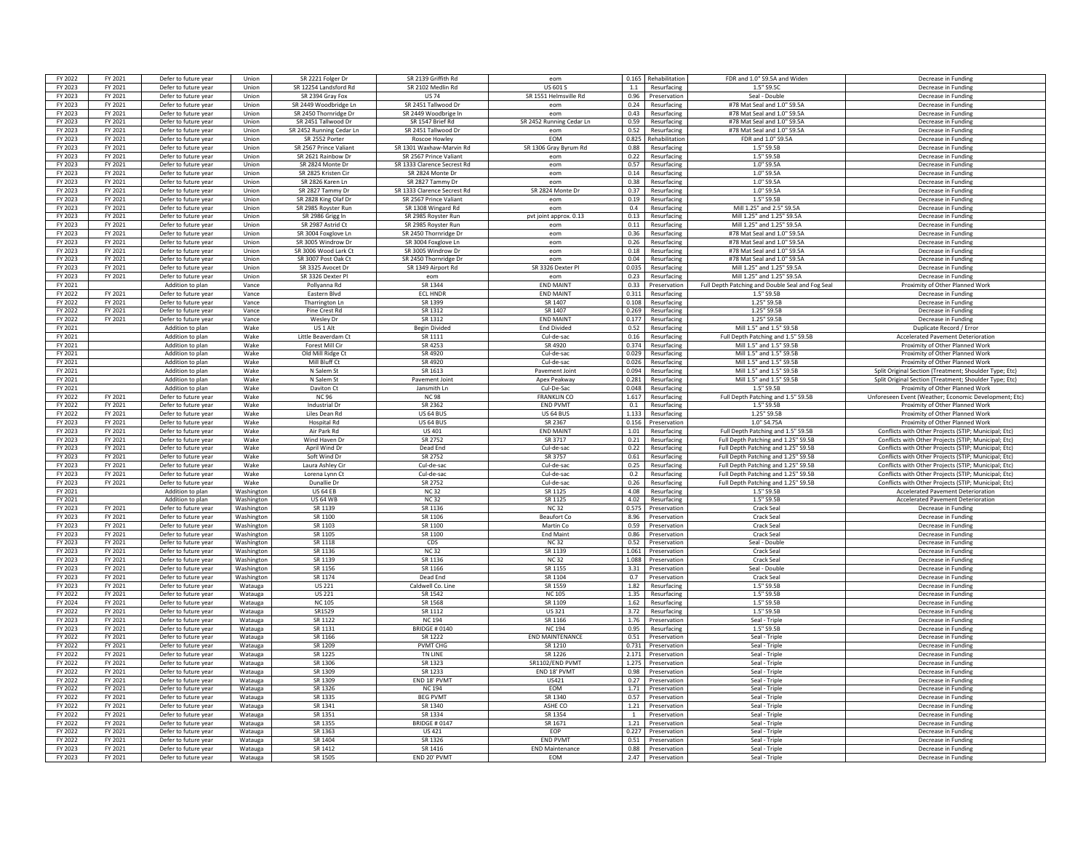| FY 2022            | FY 2021            | Defer to future year                         | Union              | SR 2221 Folger Dr        | SR 2139 Griffith Ro         | eom                                  | 0.165 | Rehabilitation                         | FDR and 1.0" S9.5A and Widen                     | Decrease in Funding                                    |
|--------------------|--------------------|----------------------------------------------|--------------------|--------------------------|-----------------------------|--------------------------------------|-------|----------------------------------------|--------------------------------------------------|--------------------------------------------------------|
| FY 2023            | FY 2021            | Defer to future year                         | Union              | SR 12254 Landsford Rd    | SR 2102 Medlin Rd           | <b>US 601 S</b>                      | 1.1   | Resurfacing                            | 1.5" S9.5C                                       | Decrease in Funding                                    |
| FY 2023            | FY 2021            | Defer to future year                         | Union              | SR 2394 Gray Fox         | <b>US 74</b>                | SR 1551 Helmsville Rd                | 0.96  | Preservation                           | Seal - Double                                    | Decrease in Funding                                    |
|                    |                    |                                              |                    |                          |                             |                                      |       |                                        |                                                  |                                                        |
| FY 2023            | FY 2021            | Defer to future year                         | Union              | SR 2449 Woodbridge Ln    | SR 2451 Tallwood Dr         | eom                                  | 0.24  | Resurfacing                            | #78 Mat Seal and 1.0" S9.5A                      | Decrease in Funding                                    |
| FY 2023            | FY 2021            | Defer to future year                         | Union              | SR 2450 Thornridge Dr    | SR 2449 Woodbrige In        | eom                                  | 0.43  | Resurfacing                            | #78 Mat Seal and 1.0" S9.5A                      | Decrease in Funding                                    |
| FY 2023            | FY 2021            | Defer to future year                         | Union              | SR 2451 Tallwood Dr      | SR 1547 Brief Rd            | SR 2452 Running Cedar Ln             | 0.59  | Resurfacing                            | #78 Mat Seal and 1.0" S9.5A                      | Decrease in Funding                                    |
| FY 2023            | FY 2021            | Defer to future year                         | Union              | SR 2452 Running Cedar Ln | SR 2451 Tallwood Dr         | eom                                  |       | 0.52 Resurfacing                       | #78 Mat Seal and 1.0" S9.54                      | Decrease in Funding                                    |
| FY 2023            | FY 2021            | Defer to future year                         | Union              | SR 2552 Porter           | Roscoe Howley               | EOM                                  | 0.825 | Rehabilitation                         | FDR and 1.0" S9.5A                               | Decrease in Funding                                    |
| FY 2023            | FY 2021            | Defer to future year                         | Union              | SR 2567 Prince Valiant   | SR 1301 Waxhaw-Marvin Rd    | SR 1306 Gray Byrum Rd                | 0.88  | Resurfacing                            | 1.5" S9.5B                                       | Decrease in Funding                                    |
| FY 2023            | FY 2021            | Defer to future year                         | Union              | SR 2621 Rainbow Dr       | SR 2567 Prince Valiant      | eom                                  |       | 0.22 Resurfacing                       | 1.5" S9.5B                                       | Decrease in Funding                                    |
| FY 2023            | FY 2021            | Defer to future year                         | Union              | SR 2824 Monte Dr         | SR 1333 Clarence Secrest Rd | eom                                  | 0.57  | Resurfacing                            | 1.0" S9.5A                                       | Decrease in Eunding                                    |
| FY 2023            | FY 2021            | Defer to future year                         | Union              | SR 2825 Kristen Cir      | SR 2824 Monte Dr            | eom                                  | 0.14  | Resurfacing                            | 1.0" S9.5A                                       | Decrease in Funding                                    |
| FY 2023            | FY 2021            | Defer to future year                         | Union              | SR 2826 Karen Ln         | SR 2827 Tammy Dr            | eom                                  | 0.38  | Resurfacing                            | 1.0" S9.5A                                       | Decrease in Funding                                    |
| FY 2023            | FY 2021            | Defer to future year                         | Union              | SR 2827 Tammy Dr         | SR 1333 Clarence Secrest Rd | SR 2824 Monte D                      | 0.37  |                                        | $1.0"$ S9.5A                                     | Decrease in Funding                                    |
| FY 2023            | FY 2021            |                                              | Union              |                          | SR 2567 Prince Valiant      | eom                                  | 0.19  | Resurfacing                            | 1.5" S9.5B                                       |                                                        |
|                    |                    | Defer to future year                         |                    | SR 2828 King Olaf Dr     |                             |                                      |       | Resurfacing                            |                                                  | Decrease in Funding                                    |
| FY 2023            | FY 2021            | Defer to future year                         | Union              | SR 2985 Royster Run      | SR 1308 Wingard Rd          | eom                                  | 0.4   | Resurfacing                            | Mill 1.25" and 2.5" S9.5A                        | Decrease in Funding                                    |
| FY 2023            | FY 2021            | Defer to future year                         | Union              | SR 2986 Grigg In         | SR 2985 Royster Run         | pvt joint approx. 0.13               |       | 0.13 Resurfacing                       | Mill 1.25" and 1.25" S9.5A                       | Decrease in Funding                                    |
| FY 2023            | FY 2021            | Defer to future year                         | Union              | SR 2987 Astrid Ct        | SR 2985 Royster Run         | eom                                  | 0.11  | Resurfacing                            | Mill 1.25" and 1.25" S9.5A                       | Decrease in Funding                                    |
| FY 2023            | FY 2021            | Defer to future year                         | Union              | SR 3004 Foxglove Ln      | SR 2450 Thornridge Dr       | eom                                  | 0.36  | Resurfacing                            | #78 Mat Seal and 1.0" S9.5A                      | Decrease in Funding                                    |
| FY 2023            | FY 2021            | Defer to future year                         | Union              | SR 3005 Windrow Dr       | SR 3004 Foxglove Ln         | eom                                  | 0.26  | Resurfacing                            | #78 Mat Seal and 1.0" S9.5A                      | Decrease in Funding                                    |
| FY 2023            | FY 2021            | Defer to future year                         | Union              | SR 3006 Wood Lark Ct     | SR 3005 Windrow Dr          | eom                                  |       | 0.18 Resurfacing                       | #78 Mat Seal and 1.0" S9.54                      | Decrease in Funding                                    |
| FY 2023            | FY 2021            | Defer to future year                         | Union              | SR 3007 Post Oak Ct      | SR 2450 Thornridge Dr       | eom                                  | 0.04  | Resurfacing                            | #78 Mat Seal and 1.0" S9.5A                      | Decrease in Funding                                    |
| FY 2023            | FY 2021            | Defer to future year                         | Union              | SR 3325 Avocet Dr        | SR 1349 Airport Rd          | SR 3326 Dexter P                     | 0.035 | Resurfacing                            | Mill 1.25" and 1.25" S9.5A                       | Decrease in Funding                                    |
| FY 2023            | FY 2021            | Defer to future year                         | Union              | SR 3326 Dexter PL        | eom                         | enm                                  |       | 0.23 Resurfacing                       | Mill 1.25" and 1.25" S9.5A                       | Decrease in Funding                                    |
| FY 2021            |                    | Addition to plan                             | Vance              | Pollvanna Rd             | SR 1344                     | <b>END MAINT</b>                     | 0.33  | Preservation                           | Full Depth Patching and Double Seal and Fog Seal | Proximity of Other Planned Work                        |
| FY 2022            | FY 2021            | Defer to future year                         | Vance              | Eastern Blvd             | <b>ECL HNDF</b>             | <b>END MAINT</b>                     | 0.311 | Resurfacing                            | 1.5" S9.5B                                       | Decrease in Funding                                    |
|                    |                    |                                              |                    |                          |                             |                                      |       |                                        |                                                  |                                                        |
| FY 2022            | FY 2021            | Defer to future year                         | Vance              | Tharrington Ln           | SR 1399                     | SR 1407                              | 0.108 | Resurfacing                            | 1.25" S9.5E                                      | Decrease in Funding                                    |
| FY 2022            | FY 2021            | Defer to future year                         | Vance              | Pine Crest Rd            | SR 1312                     | SR 1407                              | 0.269 | Resurfacing                            | 1.25" S9.5B                                      | Decrease in Funding                                    |
| FY 2022            | FY 2021            | Defer to future year                         | Vance              | <b>Wesley Dr</b>         | SR 1312                     | <b>FND MAIN</b>                      | 0.177 | Resurfacing                            | 1.25" S9.5B                                      | Decrease in Funding                                    |
| FY 2021            |                    | Addition to plan                             | Wake               | US <sub>1</sub> Alt      | <b>Begin Divided</b>        | <b>End Divided</b>                   |       | 0.52 Resurfacing                       | Mill 1.5" and 1.5" S9.5B                         | Duplicate Record / Error                               |
| FY 2021            |                    | Addition to plan                             | Wake               | Little Beaverdam Ct      | SR 1111                     | Cul-de-sac                           | 0.16  | Resurfacing                            | Full Depth Patching and 1.5" S9.5B               | <b>Accelerated Pavement Deterioration</b>              |
| FY 2021            |                    | Addition to plan                             | Wake               | Forest Mill Cir          | SR 4253                     | SR 4920                              | 0.374 | Resurfacing                            | Mill 1.5" and 1.5" S9.5B                         | Proximity of Other Planned Work                        |
| FY 2021            |                    | Addition to plan                             | Wake               | Old Mill Ridge Ct        | SR 4920                     | Cul-de-sac                           | 0.029 | Resurfacing                            | Mill 1.5" and 1.5" S9.5B                         | Proximity of Other Planned Work                        |
| FY 2021            |                    | Addition to plan                             | Wake               | Mill Bluff Ct            | SR 4920                     | Cul-de-sac                           | 0.026 | Resurfacing                            | Mill 1.5" and 1.5" S9.5B                         | Proximity of Other Planned Work                        |
| FY 2021            |                    | Addition to plan                             | Wake               | N Salem St               | SR 1613                     | Pavement Ioint                       |       | 0.094 Resurfacing                      | Mill 1.5" and 1.5" \$9.5B                        | Split Original Section (Treatment: Shoulder Type: Etc. |
| FY 2021            |                    | Addition to plan                             | Wake               | N Salem St               | Pavement Joint              | Apex Peakway                         | 0.281 | Resurfacing                            | Mill 1.5" and 1.5" S9.5B                         | Split Original Section (Treatment; Shoulder Type; Etc) |
|                    |                    |                                              |                    |                          |                             |                                      |       |                                        |                                                  |                                                        |
| FY 2021            |                    | Addition to plan                             | Wake               | Daviton Ct               | Jansmith Ln                 | Cul-De-Sac                           | 0.048 | Resurfacing                            | 1.5" S9.5B                                       | Proximity of Other Planned Work                        |
| FY 2022            | FY 2021            | Defer to future year                         | Wake               | <b>NC 96</b>             | <b>NC 98</b>                | <b>FRANKLIN CO</b>                   |       | 1.617 Resurfacing                      | Full Depth Patching and 1.5" S9.5B               | Unforeseen Event (Weather; Economic Development; Etc)  |
| FY 2022            | FY 2021            | Defer to future year                         | Wake               | <b>Industrial Dr</b>     | SR 2362                     | <b>END PVMT</b>                      | 0.1   | Resurfacing                            | 1.5" S9.5B                                       | Proximity of Other Planned Work                        |
| FY 2022            | FY 2021            | Defer to future year                         | Wake               | Liles Dean Rd            | <b>US 64 BUS</b>            | <b>US 64 BUS</b>                     | 1.133 | Resurfacing                            | 1.25" S9.5B                                      | Proximity of Other Planned Work                        |
| FY 2023            | FY 2021            | Defer to future year                         | Wake               | <b>Hospital Rd</b>       | <b>US 64 BUS</b>            | SR 2367                              | 0.156 | Preservation                           | 1.0" S4.75A                                      | Proximity of Other Planned Work                        |
| FY 2023            | FY 2021            | Defer to future year                         | Wake               | Air Park Rd              | <b>US 401</b>               | <b>FND MAINT</b>                     | 1.01  | Resurfacing                            | Full Depth Patching and 1.5" S9.5B               | Conflicts with Other Projects (STIP; Municipal; Etc)   |
| FY 2023            | FY 2021            | Defer to future year                         | Wake               | Wind Haven Dr            | SR 2752                     | SR 3717                              | 0.21  | Resurfacing                            | Full Depth Patching and 1.25" S9.5B              | Conflicts with Other Projects (STIP; Municipal; Etc)   |
| FY 2023            | FY 2021            | Defer to future year                         |                    | April Wind Dr            | Dead End                    | Cul-de-sac                           |       | 0.22 Resurfacing                       | Full Depth Patching and 1.25" S9.5B              | Conflicts with Other Projects (STIP: Municipal: Etc)   |
|                    |                    |                                              |                    |                          |                             |                                      |       |                                        |                                                  |                                                        |
|                    |                    |                                              | Wake               |                          |                             |                                      |       |                                        |                                                  |                                                        |
| FY 2023            | FY 2021            | Defer to future year                         | Wake               | Soft Wind Dr             | SR 2752                     | SR 3757                              |       | 0.61 Resurfacing                       | Full Depth Patching and 1.25" S9.5B              | Conflicts with Other Projects (STIP; Municipal; Etc)   |
| FY 2023            | FY 2021            | Defer to future year                         | Wake               | Laura Ashley Cir         | Cul-de-sac                  | Cul-de-sac                           | 0.25  | Resurfacing                            | Full Depth Patching and 1.25" S9.5B              | Conflicts with Other Projects (STIP: Municipal: Etc)   |
| FY 2023            | FY 2021            | Defer to future year                         | Wake               | Lorena Lynn Ct           | Cul-de-sac                  | Cul-de-sac                           | 0.2   | Resurfacing                            | Full Depth Patching and 1.25" S9.5B              | Conflicts with Other Projects (STIP; Municipal; Etc)   |
| FY 2023            | FY 2021            | Defer to future year                         | Wake               | Dunallie Dr              | SR 2752                     | Cul-de-sac                           | 0.26  | Resurfacing                            | Full Depth Patching and 1.25" S9.5B              | Conflicts with Other Projects (STIP; Municipal; Etc)   |
| FY 2021            |                    | Addition to plan                             | Washington         | <b>US 64 FB</b>          | <b>NC32</b>                 | SR 1125                              |       | 4.08 Resurfacing                       | 1.5" S9.5B                                       | <b>Accelerated Pavement Deterioration</b>              |
| FY 2021            |                    | Addition to plan                             | Washington         | <b>US 64 WB</b>          | <b>NC32</b>                 | SR 1125                              | 4.02  | Resurfacing                            | $1.5"$ S9.58                                     | <b>Accelerated Pavement Deterioration</b>              |
| FY 2023            | FY 2021            | Defer to future year                         | Washington         | SR 1139                  | SR 1136                     | <b>NC32</b>                          | 0.575 | Preservation                           | <b>Crack Seal</b>                                | Decrease in Funding                                    |
| FY 2023            | FY 2021            | Defer to future year                         | Washington         | SR 1100                  | SR 1106                     | Beaufort Co                          | 8.96  | Preservation                           | Crack Seal                                       | Decrease in Funding                                    |
| FY 2023            | FY 2021            | Defer to future year                         | Washington         | SR 1103                  | SR 1100                     | Martin Co.                           | 0.59  | Preservation                           | Crack Seal                                       | Decrease in Funding                                    |
| FY 2023            | FY 2021            | Defer to future year                         | Washington         | SR 1105                  | SR 1100                     | <b>End Maint</b>                     | 0.86  | Preservation                           | Crack Seal                                       | Decrease in Funding                                    |
| FY 2023            |                    |                                              |                    | SR 1118                  |                             |                                      |       | Preservation                           |                                                  | Decrease in Funding                                    |
|                    | FY 2021            | Defer to future year                         | Washington         | SR 1136                  | CDS                         | <b>NC32</b>                          | 0.52  |                                        | Seal - Double<br>Crack Seal                      |                                                        |
| FY 2023<br>FY 2023 | FY 2021            | Defer to future year                         | Washington         | SR 1139                  | <b>NC32</b><br>SR 1136      | SR 1139                              | 1.061 | Preservation                           |                                                  | Decrease in Funding                                    |
|                    | FY 2021            | Defer to future year                         | Washington         |                          |                             | <b>NC32</b>                          |       | 1.088 Preservation                     | <b>Crack Seal</b>                                | Decrease in Funding                                    |
| FY 2023            | FY 2021            | Defer to future year                         | Washington         | SR 1156                  | SR 1166                     | SR 1155                              |       | 3.31 Preservation                      | Seal - Double                                    | Decrease in Funding                                    |
| FY 2023            | FY 2021            | Defer to future year                         | Washington         | SR 1174                  | Dead End                    | SR 1104                              | 0.7   | Preservation                           | Crack Seal                                       | Decrease in Funding                                    |
| FY 2023            | FY 2021            | Defer to future year                         | Watauga            | <b>US 221</b>            | Caldwell Co. Line           | SR 1559                              | 1.82  | Resurfacing                            | 1.5" S9.5B                                       | Decrease in Funding                                    |
| FY 2022            | FY 2021            | Defer to future year                         | Watauga            | US 221                   | SR 1542                     | <b>NC 105</b>                        | 1.35  | Resurfacing                            | $1.5"$ S9.5B                                     | Decrease in Funding                                    |
| FY 2024            | FY 2021            | Defer to future year                         | Watauga            | <b>NC 105</b>            | SR 1568                     | SR 1109                              | 1.62  | Resurfacing                            | 1.5" S9.5B                                       | Decrease in Funding                                    |
| FY 2022            | FY 2021            | Defer to future year                         | Watauga            | SR1529                   | SR 1112                     | <b>US321</b>                         |       | 3.72 Resurfacing                       | 1.5" S9.5B                                       | Decrease in Funding                                    |
| FY 2023            | FY 2021            | Defer to future year                         | Watauga            | SR 1122                  | <b>NC 194</b>               | SR 1166                              | 1.76  | Preservation                           | Seal - Triple                                    | Decrease in Funding                                    |
| FY 2023            | FY 2021            | Defer to future year                         | Watauga            | SR 1131                  | <b>BRIDGE #0140</b>         | <b>NC 194</b>                        | 0.95  | Resurfacing                            | 1.5" S9.5B                                       | Decrease in Funding                                    |
| FY 2022            | FY 2021            | Defer to future year                         |                    | SR 1166                  | SR 1222                     | <b>FND MAINTFNANCF</b>               | 0.51  | Preservation                           | Seal - Trinle                                    | Decrease in Funding                                    |
| FY 2022            | FY 2021            | Defer to future year                         | Watauga            | SR 1209                  | <b>PVMT CHG</b>             | SR 1210                              | 0.731 | Preservation                           | Seal - Triple                                    | Decrease in Funding                                    |
|                    |                    |                                              | Watauga            |                          |                             |                                      |       |                                        |                                                  |                                                        |
| FY 2022            | FY 2021            | Defer to future year                         | Watauga            | SR 1225                  | TN LINE                     | SR 1226                              | 2.171 | Preservation                           | Seal - Triple                                    | Decrease in Funding                                    |
| FY 2022            | FY 2021            | Defer to future year                         | Watauga            | SR 1306                  | SR 1323                     | SR1102/END PVMT                      | 1.275 | Preservation                           | Seal - Triple                                    | Decrease in Funding                                    |
| <b>FY 2022</b>     | FY 2021            | Defer to future year                         | Watauga            | SR 1309                  | SR 1233                     | END 18' PVM1                         | 0.98  | Preservation                           | Seal - Triple                                    | Decrease in Funding                                    |
| FY 2022            | FY 2021            | Defer to future year                         | Watauga            | SR 1309                  | END 18' PVMT                | US421                                | 0.27  | Preservation                           | Seal - Triple                                    | Decrease in Funding                                    |
| FY 2022            | FY 2021            | Defer to future year                         | Watauga            | SR 1326                  | <b>NC 194</b>               | <b>EOM</b>                           |       | 1.71 Preservation                      | Seal - Triple                                    | Decrease in Funding                                    |
| FY 2022            | FY 2021            | Defer to future year                         | Watauga            | SR 1335                  | <b>BEG PVMT</b>             | SR 1340                              |       | 0.57 Preservation                      | Seal - Triple                                    | Decrease in Funding                                    |
| FY 2022            | FY 2021            | Defer to future year                         | Watauga            | SR 1341                  | SR 1340                     | ASHE CO                              |       | 1.21 Preservation                      | Seal - Triple                                    | Decrease in Funding                                    |
| FY 2022            | FY 2021            | Defer to future year                         | Watauga            | SR 1351                  | SR 1334                     | SR 1354                              | 1     | Preservation                           | Seal - Triple                                    | Decrease in Funding                                    |
| FY 2022            | FY 2021            | Defer to future year                         | Watauga            | SR 1355                  | <b>BRIDGE #0147</b>         | SR 1671                              | 1.21  | Preservation                           | Seal - Triple                                    | Decrease in Funding                                    |
| FY 2022            | FY 2021            | Defer to future year                         | Watauga            | SR 1363                  | <b>US 421</b>               | FOP                                  |       | 0.227 Preservation                     | Seal - Trinle                                    | Decrease in Funding                                    |
|                    |                    |                                              |                    |                          |                             |                                      |       |                                        |                                                  | Decrease in Funding                                    |
| FY 2022            | FY 2021            | Defer to future year                         | Watauga            | SR 1404                  | SR 1326                     | <b>END PVMT</b>                      | 0.51  | Preservation                           | Seal - Triple                                    |                                                        |
| FY 2023<br>FY 2023 | FY 2021<br>FY 2021 | Defer to future year<br>Defer to future year | Watauga<br>Watauga | SR 1412<br>SR 1505       | SR 1416<br>END 20' PVMT     | <b>END Maintenance</b><br><b>FOM</b> |       | 0.88 Preservation<br>2.47 Preservation | Seal - Triple<br>Seal - Trinle                   | Decrease in Funding<br>Decrease in Funding             |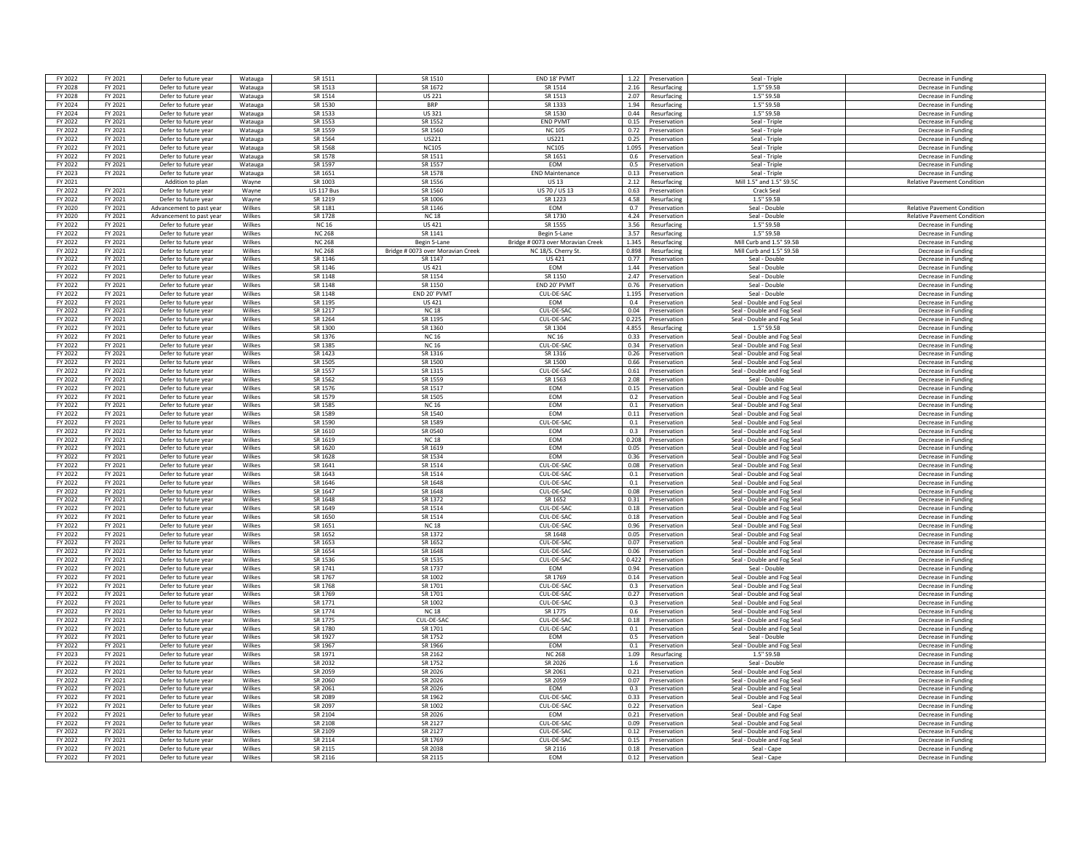| FY 2022            | FY 2021            | Defer to future year     | Watauga          | SR 1511                 | SR 1510                                           | FND 18' PVM                                             | 1.22           | Preservation      | Seal - Triple                                        | Decrease in Funding                        |
|--------------------|--------------------|--------------------------|------------------|-------------------------|---------------------------------------------------|---------------------------------------------------------|----------------|-------------------|------------------------------------------------------|--------------------------------------------|
| FY 2028            | FY 2021            | Defer to future year     | Watauga          | SR 1513                 | SR 1672                                           | SR 1514                                                 | 2.16           | Resurfacing       | 1.5" S9.5B                                           | Decrease in Funding                        |
| FY 2028            | FY 2021            | Defer to future year     | Watauga          | SR 1514                 | <b>US 221</b>                                     | SR 1513                                                 | 2.07           | Resurfacing       | 1.5" S9.5B                                           | Decrease in Funding                        |
| FY 2024            | FY 2021            | Defer to future year     | Watauga          | SR 1530                 | <b>BRP</b>                                        | SR 1333                                                 | 1.94           | Resurfacing       | 1.5" S9.5B                                           |                                            |
|                    |                    |                          |                  |                         |                                                   |                                                         |                |                   |                                                      | Decrease in Funding                        |
| FY 2024            | FY 2021            | Defer to future year     | Watauga          | SR 1533                 | US 321                                            | SR 1530                                                 | 0.44           | Resurfacing       | 1.5" S9.5B                                           | Decrease in Funding                        |
| FY 2022            | FY 2021            | Defer to future year     | Watauga          | SR 1553                 | SR 1552                                           | <b>END PVMT</b>                                         | 0.15           | Preservation      | Seal - Triple                                        | Decrease in Funding                        |
| FY 2022            | FY 2021            | Defer to future year     | Watauga          | SR 1559                 | SR 1560                                           | <b>NC105</b>                                            | 0.72           | Preservation      | Seal - Triple                                        | Decrease in Funding                        |
| FY 2022            | FY 2021            | Defer to future year     | Watauga          | SR 1564                 | US221                                             | US221                                                   | 0.25           | Preservation      | Seal - Triple                                        | Decrease in Funding                        |
| FY 2022            | FY 2021            | Defer to future year     | Watauga          | SR 1568                 | <b>NC105</b>                                      | <b>NC105</b>                                            | 1.095          | Preservation      | Seal - Triple                                        | Decrease in Funding                        |
| FY 2022            | FY 2021            | Defer to future year     | Watauga          | SR 1578                 | SR 1511                                           | SR 1651                                                 | 0.6            | Preservation      | Seal - Triple                                        | Decrease in Funding                        |
| FY 2022            | FY 2021            | Defer to future year     | Watauga          | SR 1597                 | SR 1557                                           | EOM                                                     | 0.5            | Preservation      | Seal - Triple                                        | Decrease in Funding                        |
| FY 2023            | FY 2021            | Defer to future year     | Watauga          | SR 1651                 | SR 1578                                           | <b>END Maintenance</b>                                  | 0.13           | Preservation      | Seal - Triple                                        | Decrease in Funding                        |
| FY 2021            |                    | Addition to plan         | Wayne            | SR 1003                 | SR 1556                                           | <b>US13</b>                                             | 2.12           | Resurfacing       | Mill 1.5" and 1.5" S9.5C                             | <b>Relative Pavement Condition</b>         |
| FY 2022            | FY 2021            | Defer to future year     | Wayne            | <b>US 117 Bus</b>       | SR 1560                                           | US 70 / US 13                                           | 0.63           | Preservation      | Crack Seal                                           |                                            |
| FY 2022            | FY 2021            | Defer to future year     | Wayne            | SR 1219                 | <b>SR 1006</b>                                    | SR 1223                                                 | 4.58           | Resurfacing       | 1.5" S9.5B                                           |                                            |
| FY 2020            | FY 2021            | Advancement to past year | Wilkes           | SR 1181                 | SR 1146                                           | <b>EOM</b>                                              | 0.7            | Preservation      | Seal - Double                                        | <b>Relative Pavement Condition</b>         |
| FY 2020            | FY 2021            | Advancement to past year | Wilkes           | SR 1728                 | <b>NC18</b>                                       | SR 1730                                                 | 4.24           | Preservation      | Seal - Double                                        | <b>Relative Pavement Condition</b>         |
| FY 2022            | FY 2021            | Defer to future year     | Wilkes           | <b>NC16</b>             | <b>US421</b>                                      | SR 1555                                                 | 3.56           | Resurfacing       | 1.5" S9.5B                                           | Decrease in Funding                        |
| FY 2022            | FY 2021            | Defer to future year     | Wilkes           | <b>NC 268</b>           | SR 1141                                           | Begin 5-Lane                                            | 3.57           | Resurfacing       | 1.5" S9.5E                                           | Decrease in Funding                        |
|                    |                    | Defer to future year     |                  |                         |                                                   |                                                         |                |                   |                                                      |                                            |
| FY 2022<br>FY 2022 | FY 2021<br>FY 2021 | Defer to future year     | Wilkes<br>Wilkes | <b>NC 268</b><br>NC 268 | Begin 5-Lane<br>Bridge # 0073 over Moravian Creek | Bridge # 0073 over Moravian Creek<br>NC 18/S. Cherry St | 1.345<br>0.898 | Resurfacing       | Mill Curb and 1.5" S9.5E<br>Mill Curb and 1.5" S9.5B | Decrease in Funding<br>Decrease in Funding |
|                    |                    |                          |                  |                         |                                                   |                                                         |                | Resurfacing       |                                                      |                                            |
| FY 2022            | FY 2021            | Defer to future year     | Wilkes           | SR 1146                 | SR 1147                                           | US 421                                                  | 0.77           | Preservation      | Seal - Double                                        | Decrease in Funding                        |
| FY 2022            | FY 2021            | Defer to future year     | Wilkes           | SR 1146                 | <b>US421</b>                                      | EOM                                                     | 1.44           | Preservation      | Seal - Double                                        | Decrease in Funding                        |
| FY 2022            | FY 2021            | Defer to future year     | <b>Wilkes</b>    | <b>SR 1148</b>          | SR 1154                                           | SR 1150                                                 | 2.47           | Preservation      | Seal - Double                                        | Decrease in Funding                        |
| FY 2022            | FY 2021            | Defer to future year     | Wilkes           | SR 1148                 | SR 1150                                           | END 20' PVMT                                            | 0.76           | Preservation      | Seal - Double                                        | Decrease in Funding                        |
| FY 2022            | FY 2021            | Defer to future year     | Wilkes           | SR 1148                 | END 20' PVMT                                      | CUL-DE-SAC                                              | 1.195          | Preservation      | Seal - Double                                        | Decrease in Funding                        |
| FY 2022            | FY 2021            | Defer to future year     | Wilkes           | SR 1195                 | <b>US 421</b>                                     | <b>EOM</b>                                              | 0.4            | Preservation      | Seal - Double and Fog Seal                           | Decrease in Fundin                         |
| FY 2022            | FY 2021            | Defer to future year     | Wilkes           | SR 1217                 | <b>NC18</b>                                       | CUL-DE-SAC                                              | 0.04           | Preservation      | Seal - Double and Fog Sea                            | Decrease in Funding                        |
| FY 2022            | FY 2021            | Defer to future year     | Wilkes           | SR 1264                 | SR 119 <sup>e</sup>                               | CUL-DE-SAC                                              | 0.225          | Preservation      | Seal - Double and Fog Seal                           | Decrease in Funding                        |
| FY 2022            | FY 2021            | Defer to future year     | Wilkes           | SR 1300                 | SR 1360                                           | SR 1304                                                 | 4.855          | Resurfacing       | 1.5" S9.5B                                           | Decrease in Funding                        |
| FY 2022            | FY 2021            | Defer to future year     | Wilkes           | SR 1376                 | <b>NC16</b>                                       | <b>NC 16</b>                                            | 0.33           | Preservation      | Seal - Double and Fog Seal                           | Decrease in Funding                        |
| FY 2022            | FY 2021            | Defer to future year     | Wilkes           | SR 1385                 | <b>NC16</b>                                       | CUL-DE-SA                                               | 0.34           | Preservation      | Seal - Double and Fog Seal                           | Decrease in Funding                        |
| FY 2022            | FY 2021            | Defer to future year     | Wilkes           | SR 1423                 | SR 1316                                           | SR 1316                                                 | 0.26           | Preservation      | Seal - Double and Fog Seal                           | Decrease in Funding                        |
| FY 2022            | FY 2021            | Defer to future year     | Wilkes           | SR 1505                 | SR 1500                                           | SR 1500                                                 | 0.66           | Preservation      | Seal - Double and Fog Sea                            | Decrease in Funding                        |
| FY 2022            | FY 2021            | Defer to future year     | Wilkes           | SR 1557                 | SR 1315                                           | CUL-DE-SAC                                              | 0.61           | Preservation      | Seal - Double and Fog Seal                           | Decrease in Funding                        |
| FY 2022            | FY 2021            | Defer to future year     | Wilkes           | SR 1562                 | SR 1559                                           | SR 1563                                                 | 2.08           | Preservation      | Seal - Double                                        | Decrease in Funding                        |
| FY 2022            | FY 2021            | Defer to future year     | Wilkes           | SR 1576                 | SR 1517                                           | EOM                                                     | 0.15           | Preservation      | Seal - Double and Fog Seal                           | Decrease in Funding                        |
| FY 2022            | FY 2021            |                          | Wilkes           | SR 1579                 | SR 1505                                           | <b>FOM</b>                                              | 0.2            | Preservation      | Seal - Double and Fog Seal                           | Decrease in Funding                        |
| FY 2022            | FY 2021            | Defer to future year     | Wilkes           | SR 1585                 | <b>NC16</b>                                       | EOM                                                     | 0.1            | Preservation      | Seal - Double and Fog Seal                           |                                            |
|                    |                    | Defer to future year     |                  |                         |                                                   |                                                         |                |                   |                                                      | Decrease in Funding                        |
| FY 2022            | FY 2021            | Defer to future year     | Wilkes           | SR 1589                 | SR 1540                                           | EOM                                                     | 0.11           | Preservation      | Seal - Double and Fog Seal                           | Decrease in Funding                        |
| FY 2022            | FY 2021            | Defer to future year     | Wilkes           | SR 1590                 | <b>SR 1589</b>                                    | CUL-DE-SAC                                              | 0.1            | Preservation      | Seal - Double and Fog Seal                           | Decrease in Fundin                         |
| FY 2022            | FY 2021            | Defer to future year     | Wilkes           | SR 1610                 | SR 0540                                           | EOM                                                     | 0.3            | Preservation      | Seal - Double and Fog Seal                           | Decrease in Fundin                         |
| FY 2022            | FY 2021            | Defer to future year     | Wilkes           | SR 1619                 | <b>NC18</b>                                       | <b>FOM</b>                                              | 0.208          | Preservation      | Seal - Double and Fog Seal                           | Decrease in Funding                        |
| FY 2022            | FY 2021            | Defer to future year     | Wilkes           | SR 1620                 | SR 1619                                           | EOM                                                     | 0.05           | Preservation      | Seal - Double and Fog Seal                           | Decrease in Funding                        |
| FY 2022            | FY 2021            | Defer to future year     | Wilkes           | SR 1628                 | SR 1534                                           | EOM                                                     | 0.36           | Preservation      | Seal - Double and Fog Seal                           | Decrease in Funding                        |
| FY 2022            | FY 2021            | Defer to future year     | Wilkes           | SR 1641                 | SR 1514                                           | CUL-DE-SA                                               | 0.08           | Preservation      | Seal - Double and Fog Seal                           | Decrease in Funding                        |
| FY 2022            | FY 2021            | Defer to future year     | Wilkes           | SR 1643                 | SR 1514                                           | CUL-DE-SAC                                              | 0.1            | Preservation      | Seal - Double and Fog Seal                           | Decrease in Funding                        |
| FY 2022            | FY 2021            | Defer to future year     | Wilkes           | SR 1646                 | SR 1648                                           | CUL-DE-SAC                                              | 0.1            | Preservation      | Seal - Double and Fog Seal                           | Decrease in Funding                        |
| FY 2022            | FY 2021            | Defer to future year     | Wilkes           | SR 1647                 | SR 1648                                           | CUI-DE-SAC                                              | 0.08           | Preservation      | Seal - Double and Fog Seal                           | Decrease in Eunding                        |
| FY 2022            | FY 2021            | Defer to future year     | Wilkes           | SR 1648                 | SR 1372                                           | SR 1652                                                 | 0.31           | Preservation      | Seal - Double and Fog Seal                           | Decrease in Funding                        |
| FY 2022            | FY 2021            | Defer to future year     | Wilkes           | SR 1649                 | SR 1514                                           | CUL-DE-SAC                                              | 0.18           | Preservation      | Seal - Double and Fog Seal                           | Decrease in Funding                        |
| FY 2022            | FY 2021            | Defer to future year     | Wilkes           | SR 1650                 | SR 1514                                           | CUL-DE-SAC                                              | 0.18           | Preservation      | Seal - Double and Fog Seal                           | Decrease in Funding                        |
| FY 2022            | FY 2021            | Defer to future year     | Wilkes           | SR 1651                 | <b>NC18</b>                                       | CUL-DE-SAC                                              | 0.96           | Preservation      | Seal - Double and Fog Seal                           | Decrease in Funding                        |
| FY 2022            | FY 2021            | Defer to future year     | Wilkes           | SR 1652                 | SR 1372                                           | SR 1648                                                 | 0.05           | Preservation      | Seal - Double and Fog Seal                           | Decrease in Funding                        |
|                    |                    |                          |                  | SR 1653                 |                                                   |                                                         |                |                   |                                                      |                                            |
| FY 2022            | FY 2021            | Defer to future year     | Wilkes           | SR 1654                 | SR 1652<br>SR 1648                                | CUL-DE-SAC                                              | 0.07           | Preservation      | Seal - Double and Fog Seal                           | Decrease in Funding                        |
| FY 2022            | FY 2021            | Defer to future year     | Wilkes           | SR 1536                 |                                                   | CUL-DE-SAC                                              | 0.06<br>0.422  | Preservation      | Seal - Double and Fog Seal                           | Decrease in Fundin                         |
| FY 2022            | FY 2021            | Defer to future year     | Wilkes           |                         | SR 1535                                           | CUL-DE-SAC                                              |                | Preservation      | Seal - Double and Fog Seal                           | Decrease in Funding                        |
| FY 2022            | FY 2021            | Defer to future year     | Wilkes           | SR 1741                 | SR 1737                                           | EOM                                                     | 0.94           | Preservation      | Seal - Double                                        | Decrease in Funding                        |
| FY 2022            | FY 2021            | Defer to future year     | Wilkes           | SR 1767                 | SR 1002                                           | SR 1769                                                 | 0.14           | Preservation      | Seal - Double and Fog Seal                           | Decrease in Funding                        |
| FY 2022            | FY 2021            | Defer to future year     | Wilkes           | SR 1768                 | SR 1701                                           | CUL-DE-SA                                               | 0.3            | Preservation      | Seal - Double and Fog Seal                           | Decrease in Funding                        |
| FY 2022            | FY 2021            | Defer to future year     | <b>Wilkes</b>    | SR 1769                 | SR 1701                                           | CUL-DE-SAC                                              | 0.27           | Preservation      | Seal - Double and Fog Seal                           | Decrease in Funding                        |
| FY 2022            | FY 2021            | Defer to future year     | Wilkes           | SR 1771                 | SR 1002                                           | CUL-DE-SAC                                              | 0.3            | Preservation      | Seal - Double and Fog Seal                           | Decrease in Funding                        |
| FY 2022            | FY 2021            | Defer to future year     | Wilkes           | SR 1774                 | <b>NC18</b>                                       | SR 1775                                                 | 0.6            | Preservation      | Seal - Double and Fog Seal                           | Decrease in Funding                        |
| FY 2022            | FY 2021            | Defer to future year     | Wilkes           | SR 1775                 | CUL-DE-SAO                                        | CUL-DE-SAC                                              | 0.18           | Preservation      | Seal - Double and Fog Seal                           | Decrease in Fundin                         |
| FY 2022            | FY 2021            | Defer to future year     | Wilkes           | SR 1780                 | SR 1701                                           | CUL-DE-SAC                                              | 0.1            | Preservation      | Seal - Double and Fog Seal                           | Decrease in Funding                        |
| FY 2022            | FY 2021            | Defer to future year     | Wilkes           | SR 1927                 | SR 1752                                           | <b>FOM</b>                                              | 0.5            | Preservation      | Seal - Double                                        | Decrease in Funding                        |
| FY 2022            | FY 2021            | Defer to future year     | <b>Wilkes</b>    | SR 1967                 | SR 1966                                           | EOM                                                     | 0.1            | Preservation      | Seal - Double and Fog Seal                           | Decrease in Funding                        |
| FY 2023            | FY 2021            | Defer to future year     | Wilkes           | SR 1971                 | SR 2162                                           | <b>NC 268</b>                                           | 1.09           | Resurfacing       | 1.5" S9.5B                                           | Decrease in Funding                        |
| FY 2022            | FY 2021            | Defer to future year     | Wilkes           | SR 2032                 | SR 1752                                           | SR 2026                                                 | 1.6            | Preservation      | Seal - Double                                        | Decrease in Fundin                         |
| FY 2022            | FY 2021            | Defer to future year     | Wilkes           | <b>SR 2059</b>          | SR 2026                                           | SR 2061                                                 | 0.21           | Preservation      | Seal - Double and Fog Seal                           | Decrease in Fundin                         |
| FY 2022            | FY 2021            | Defer to future year     | Wilkes           | SR 2060                 | SR 2026                                           | SR 2059                                                 | 0.07           | Preservation      | Seal - Double and Fog Seal                           | Decrease in Funding                        |
| FY 2022            | FY 2021            | Defer to future year     | Wilkes           | SR 2061                 | SR 2026                                           | <b>EOM</b>                                              | 0.3            | Preservation      | Seal - Double and Fog Seal                           | Decrease in Funding                        |
| FY 2022            | FY 2021            | Defer to future year     | Wilkes           | SR 2089                 | SR 1962                                           | CUL-DE-SAC                                              | 0.33           | Preservation      | Seal - Double and Fog Seal                           | Decrease in Funding                        |
| FY 2022            | FY 2021            | Defer to future year     | Wilkes           | SR 2097                 | SR 1002                                           | CUL-DE-SAC                                              | 0.22           | Preservation      | Seal - Cape                                          | Decrease in Funding                        |
|                    |                    |                          | <b>Wilkes</b>    | SR 2104                 |                                                   | <b>FOM</b>                                              | 0.21           |                   |                                                      |                                            |
| FY 2022<br>FY 2022 | FY 2021<br>FY 2021 | Defer to future year     | Wilkes           | SR 2108                 | SR 2026<br>SR 2127                                | CUL-DE-SAC                                              | 0.09           | Preservation      | Seal - Double and Fog Seal                           | Decrease in Funding<br>Decrease in Funding |
|                    |                    | Defer to future year     |                  |                         |                                                   |                                                         |                | Preservation      | Seal - Double and Fog Seal                           |                                            |
| FY 2022            | FY 2021            | Defer to future year     | Wilkes           | SR 2109                 | SR 2127                                           | CUL-DE-SAC                                              | 0.12           | Preservation      | Seal - Double and Fog Seal                           | Decrease in Funding                        |
| FY 2022            | FY 2021            | Defer to future year     | Wilkes           | SR 2114                 | SR 1769                                           | CUL-DE-SAC                                              | 0.15           | Preservation      | Seal - Double and Fog Seal                           | Decrease in Funding                        |
| FY 2022            | FY 2021            | Defer to future year     | Wilkes           | <b>SR 2115</b>          | SR 2038                                           | SR 2116                                                 | 0.18           | Preservation      | Seal - Cape                                          | Decrease in Funding                        |
| FY 2022            | FY 2021            | Defer to future year     | Wilkes           | SR 2116                 | SR 2115                                           | <b>FOM</b>                                              |                | 0.12 Preservation | Seal - Cape                                          | Decrease in Funding                        |